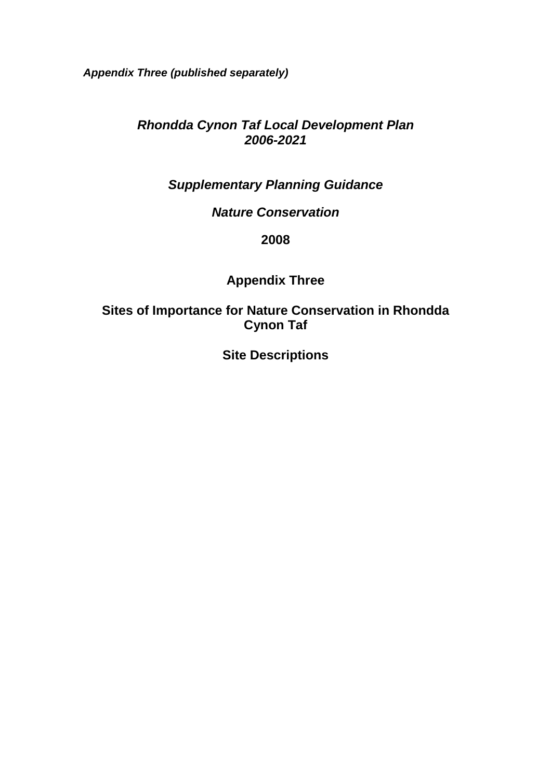*Appendix Three (published separately)* 

### *Rhondda Cynon Taf Local Development Plan 2006-2021*

# *Supplementary Planning Guidance*

#### *Nature Conservation*

#### **2008**

# **Appendix Three**

#### **Sites of Importance for Nature Conservation in Rhondda Cynon Taf**

**Site Descriptions**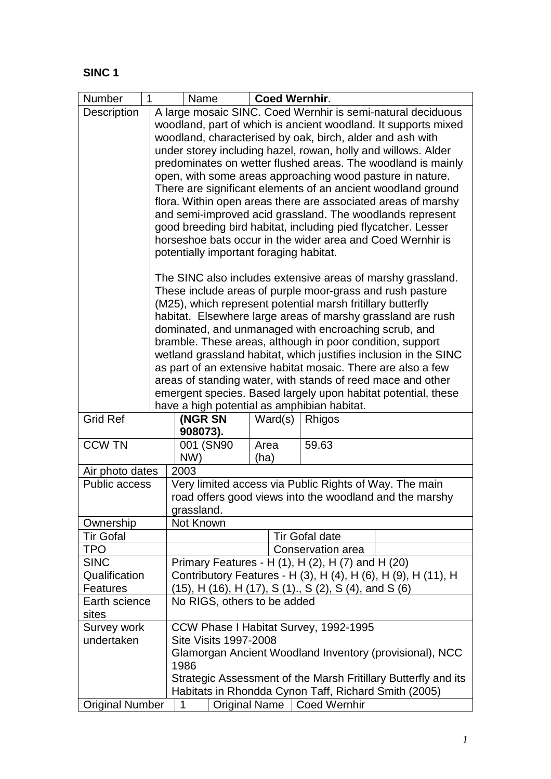| Number                                                                                                                 | Name                                                                                                                | <b>Coed Wernhir.</b>                                          |                       |  |  |  |  |  |
|------------------------------------------------------------------------------------------------------------------------|---------------------------------------------------------------------------------------------------------------------|---------------------------------------------------------------|-----------------------|--|--|--|--|--|
| Description                                                                                                            | A large mosaic SINC. Coed Wernhir is semi-natural deciduous                                                         |                                                               |                       |  |  |  |  |  |
|                                                                                                                        | woodland, part of which is ancient woodland. It supports mixed                                                      |                                                               |                       |  |  |  |  |  |
|                                                                                                                        | woodland, characterised by oak, birch, alder and ash with                                                           |                                                               |                       |  |  |  |  |  |
|                                                                                                                        |                                                                                                                     | under storey including hazel, rowan, holly and willows. Alder |                       |  |  |  |  |  |
|                                                                                                                        |                                                                                                                     | predominates on wetter flushed areas. The woodland is mainly  |                       |  |  |  |  |  |
|                                                                                                                        |                                                                                                                     | open, with some areas approaching wood pasture in nature.     |                       |  |  |  |  |  |
|                                                                                                                        |                                                                                                                     | There are significant elements of an ancient woodland ground  |                       |  |  |  |  |  |
|                                                                                                                        | flora. Within open areas there are associated areas of marshy                                                       |                                                               |                       |  |  |  |  |  |
|                                                                                                                        | and semi-improved acid grassland. The woodlands represent                                                           |                                                               |                       |  |  |  |  |  |
|                                                                                                                        | good breeding bird habitat, including pied flycatcher. Lesser                                                       |                                                               |                       |  |  |  |  |  |
|                                                                                                                        | horseshoe bats occur in the wider area and Coed Wernhir is                                                          |                                                               |                       |  |  |  |  |  |
|                                                                                                                        | potentially important foraging habitat.                                                                             |                                                               |                       |  |  |  |  |  |
|                                                                                                                        | The SINC also includes extensive areas of marshy grassland.                                                         |                                                               |                       |  |  |  |  |  |
|                                                                                                                        | These include areas of purple moor-grass and rush pasture                                                           |                                                               |                       |  |  |  |  |  |
|                                                                                                                        | (M25), which represent potential marsh fritillary butterfly                                                         |                                                               |                       |  |  |  |  |  |
|                                                                                                                        | habitat. Elsewhere large areas of marshy grassland are rush<br>dominated, and unmanaged with encroaching scrub, and |                                                               |                       |  |  |  |  |  |
|                                                                                                                        | bramble. These areas, although in poor condition, support                                                           |                                                               |                       |  |  |  |  |  |
|                                                                                                                        | wetland grassland habitat, which justifies inclusion in the SINC                                                    |                                                               |                       |  |  |  |  |  |
|                                                                                                                        | as part of an extensive habitat mosaic. There are also a few                                                        |                                                               |                       |  |  |  |  |  |
|                                                                                                                        | areas of standing water, with stands of reed mace and other                                                         |                                                               |                       |  |  |  |  |  |
|                                                                                                                        | emergent species. Based largely upon habitat potential, these                                                       |                                                               |                       |  |  |  |  |  |
|                                                                                                                        | have a high potential as amphibian habitat.                                                                         |                                                               |                       |  |  |  |  |  |
| <b>Grid Ref</b>                                                                                                        | (NGR SN                                                                                                             | Ward(s)                                                       | Rhigos                |  |  |  |  |  |
|                                                                                                                        | 908073).                                                                                                            |                                                               |                       |  |  |  |  |  |
| <b>CCW TN</b>                                                                                                          | 001 (SN90                                                                                                           | 59.63<br>Area                                                 |                       |  |  |  |  |  |
|                                                                                                                        |                                                                                                                     | NW)<br>(ha)                                                   |                       |  |  |  |  |  |
| Air photo dates                                                                                                        | 2003                                                                                                                |                                                               |                       |  |  |  |  |  |
| <b>Public access</b>                                                                                                   | Very limited access via Public Rights of Way. The main<br>road offers good views into the woodland and the marshy   |                                                               |                       |  |  |  |  |  |
|                                                                                                                        | grassland.                                                                                                          |                                                               |                       |  |  |  |  |  |
| Ownership                                                                                                              | Not Known                                                                                                           |                                                               |                       |  |  |  |  |  |
| <b>Tir Gofal</b>                                                                                                       |                                                                                                                     |                                                               | <b>Tir Gofal date</b> |  |  |  |  |  |
| <b>TPO</b>                                                                                                             |                                                                                                                     |                                                               | Conservation area     |  |  |  |  |  |
| <b>SINC</b>                                                                                                            |                                                                                                                     | Primary Features - H (1), H (2), H (7) and H (20)             |                       |  |  |  |  |  |
| Qualification                                                                                                          | Contributory Features - H (3), H (4), H (6), H (9), H (11), H                                                       |                                                               |                       |  |  |  |  |  |
| <b>Features</b>                                                                                                        | (15), H (16), H (17), S (1)., S (2), S (4), and S (6)                                                               |                                                               |                       |  |  |  |  |  |
| Earth science                                                                                                          | No RIGS, others to be added                                                                                         |                                                               |                       |  |  |  |  |  |
| sites                                                                                                                  |                                                                                                                     |                                                               |                       |  |  |  |  |  |
| Survey work<br>CCW Phase I Habitat Survey, 1992-1995                                                                   |                                                                                                                     |                                                               |                       |  |  |  |  |  |
| undertaken                                                                                                             | <b>Site Visits 1997-2008</b>                                                                                        |                                                               |                       |  |  |  |  |  |
|                                                                                                                        | Glamorgan Ancient Woodland Inventory (provisional), NCC                                                             |                                                               |                       |  |  |  |  |  |
|                                                                                                                        | 1986                                                                                                                |                                                               |                       |  |  |  |  |  |
| Strategic Assessment of the Marsh Fritillary Butterfly and its<br>Habitats in Rhondda Cynon Taff, Richard Smith (2005) |                                                                                                                     |                                                               |                       |  |  |  |  |  |
| <b>Original Number</b>                                                                                                 | <b>Original Name</b><br>1                                                                                           |                                                               | <b>Coed Wernhir</b>   |  |  |  |  |  |
|                                                                                                                        |                                                                                                                     |                                                               |                       |  |  |  |  |  |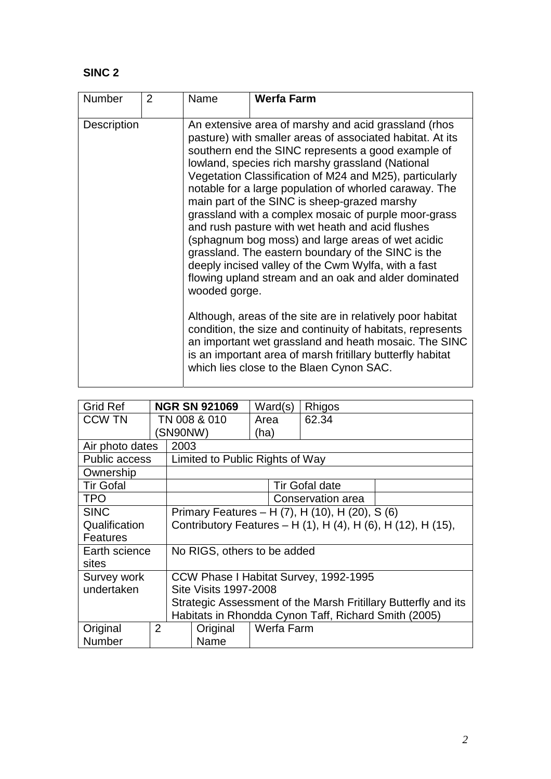| <b>Number</b>      | $\overline{2}$ | Name          | <b>Werfa Farm</b>                                                                                                                                                                                                                                                                                                                                                                                                                                                                                                                                                                                                                                                                                                                                                                                                                                                                                                                                                                                                                     |
|--------------------|----------------|---------------|---------------------------------------------------------------------------------------------------------------------------------------------------------------------------------------------------------------------------------------------------------------------------------------------------------------------------------------------------------------------------------------------------------------------------------------------------------------------------------------------------------------------------------------------------------------------------------------------------------------------------------------------------------------------------------------------------------------------------------------------------------------------------------------------------------------------------------------------------------------------------------------------------------------------------------------------------------------------------------------------------------------------------------------|
| <b>Description</b> |                | wooded gorge. | An extensive area of marshy and acid grassland (rhos<br>pasture) with smaller areas of associated habitat. At its<br>southern end the SINC represents a good example of<br>lowland, species rich marshy grassland (National<br>Vegetation Classification of M24 and M25), particularly<br>notable for a large population of whorled caraway. The<br>main part of the SINC is sheep-grazed marshy<br>grassland with a complex mosaic of purple moor-grass<br>and rush pasture with wet heath and acid flushes<br>(sphagnum bog moss) and large areas of wet acidic<br>grassland. The eastern boundary of the SINC is the<br>deeply incised valley of the Cwm Wylfa, with a fast<br>flowing upland stream and an oak and alder dominated<br>Although, areas of the site are in relatively poor habitat<br>condition, the size and continuity of habitats, represents<br>an important wet grassland and heath mosaic. The SINC<br>is an important area of marsh fritillary butterfly habitat<br>which lies close to the Blaen Cynon SAC. |

| Grid Ref             |                                                      | <b>NGR SN 921069</b>                                           | Ward(s)    | Rhigos                |  |  |
|----------------------|------------------------------------------------------|----------------------------------------------------------------|------------|-----------------------|--|--|
| <b>CCW TN</b>        |                                                      | TN 008 & 010                                                   | Area       | 62.34                 |  |  |
|                      |                                                      | (SN90NW)                                                       | (ha)       |                       |  |  |
| Air photo dates      |                                                      | 2003                                                           |            |                       |  |  |
| <b>Public access</b> |                                                      | Limited to Public Rights of Way                                |            |                       |  |  |
| Ownership            |                                                      |                                                                |            |                       |  |  |
| <b>Tir Gofal</b>     |                                                      |                                                                |            | <b>Tir Gofal date</b> |  |  |
| <b>TPO</b>           |                                                      |                                                                |            | Conservation area     |  |  |
| <b>SINC</b>          | Primary Features - H (7), H (10), H (20), S (6)      |                                                                |            |                       |  |  |
| Qualification        |                                                      | Contributory Features – H (1), H (4), H (6), H (12), H (15),   |            |                       |  |  |
| <b>Features</b>      |                                                      |                                                                |            |                       |  |  |
| Earth science        |                                                      | No RIGS, others to be added                                    |            |                       |  |  |
| sites                |                                                      |                                                                |            |                       |  |  |
| Survey work          |                                                      | CCW Phase I Habitat Survey, 1992-1995                          |            |                       |  |  |
| undertaken           | <b>Site Visits 1997-2008</b>                         |                                                                |            |                       |  |  |
|                      |                                                      | Strategic Assessment of the Marsh Fritillary Butterfly and its |            |                       |  |  |
|                      | Habitats in Rhondda Cynon Taff, Richard Smith (2005) |                                                                |            |                       |  |  |
| Original             | $\overline{2}$                                       | Original                                                       | Werfa Farm |                       |  |  |
| <b>Number</b>        |                                                      | Name                                                           |            |                       |  |  |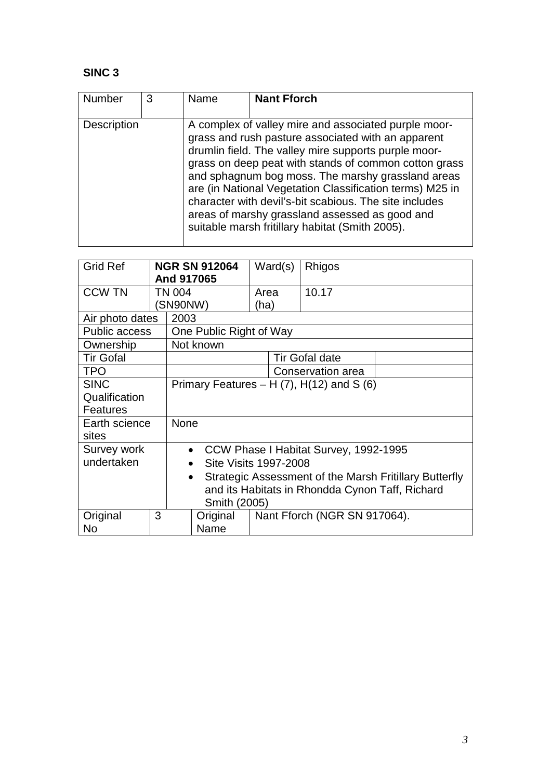| <b>Number</b> | 3 | Name | <b>Nant Fforch</b>                                                                                                                                                                                                                                                                                                                                                                                                                                                                                          |
|---------------|---|------|-------------------------------------------------------------------------------------------------------------------------------------------------------------------------------------------------------------------------------------------------------------------------------------------------------------------------------------------------------------------------------------------------------------------------------------------------------------------------------------------------------------|
| Description   |   |      | A complex of valley mire and associated purple moor-<br>grass and rush pasture associated with an apparent<br>drumlin field. The valley mire supports purple moor-<br>grass on deep peat with stands of common cotton grass<br>and sphagnum bog moss. The marshy grassland areas<br>are (in National Vegetation Classification terms) M25 in<br>character with devil's-bit scabious. The site includes<br>areas of marshy grassland assessed as good and<br>suitable marsh fritillary habitat (Smith 2005). |

| <b>Grid Ref</b>      |                                                 | <b>NGR SN 912064</b><br>And 917065                |                                                                     |      | Ward(s) | Rhigos                                |  |
|----------------------|-------------------------------------------------|---------------------------------------------------|---------------------------------------------------------------------|------|---------|---------------------------------------|--|
| <b>CCW TN</b>        |                                                 | TN 004                                            |                                                                     | Area |         | 10.17                                 |  |
|                      |                                                 | SN90NW)                                           |                                                                     | (ha) |         |                                       |  |
| Air photo dates      |                                                 | 2003                                              |                                                                     |      |         |                                       |  |
| <b>Public access</b> |                                                 |                                                   | One Public Right of Way                                             |      |         |                                       |  |
| Ownership            |                                                 |                                                   | Not known                                                           |      |         |                                       |  |
| <b>Tir Gofal</b>     |                                                 |                                                   |                                                                     |      |         | <b>Tir Gofal date</b>                 |  |
| <b>TPO</b>           |                                                 | Conservation area                                 |                                                                     |      |         |                                       |  |
| <b>SINC</b>          |                                                 | Primary Features – H $(7)$ , H $(12)$ and S $(6)$ |                                                                     |      |         |                                       |  |
| Qualification        |                                                 |                                                   |                                                                     |      |         |                                       |  |
| <b>Features</b>      |                                                 |                                                   |                                                                     |      |         |                                       |  |
| Earth science        |                                                 | <b>None</b>                                       |                                                                     |      |         |                                       |  |
| sites                |                                                 |                                                   |                                                                     |      |         |                                       |  |
| Survey work          |                                                 | $\bullet$                                         |                                                                     |      |         | CCW Phase I Habitat Survey, 1992-1995 |  |
| undertaken           |                                                 | $\bullet$                                         | <b>Site Visits 1997-2008</b>                                        |      |         |                                       |  |
|                      |                                                 |                                                   | Strategic Assessment of the Marsh Fritillary Butterfly<br>$\bullet$ |      |         |                                       |  |
|                      | and its Habitats in Rhondda Cynon Taff, Richard |                                                   |                                                                     |      |         |                                       |  |
| Smith (2005)         |                                                 |                                                   |                                                                     |      |         |                                       |  |
| Original             | 3                                               |                                                   | Original                                                            |      |         | Nant Fforch (NGR SN 917064).          |  |
| <b>No</b>            |                                                 |                                                   | Name                                                                |      |         |                                       |  |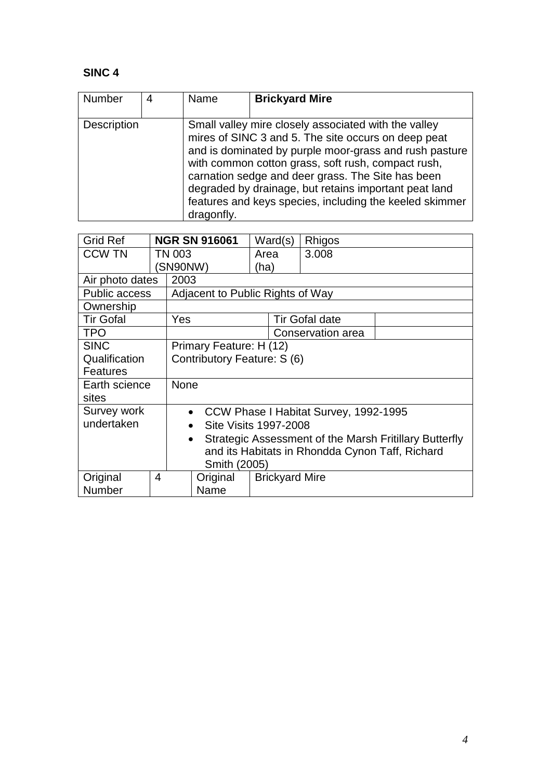| <b>Number</b>      | Name       | <b>Brickyard Mire</b>                                                                                                                                                                                                                                                                                                                                                                                |
|--------------------|------------|------------------------------------------------------------------------------------------------------------------------------------------------------------------------------------------------------------------------------------------------------------------------------------------------------------------------------------------------------------------------------------------------------|
| <b>Description</b> | dragonfly. | Small valley mire closely associated with the valley<br>mires of SINC 3 and 5. The site occurs on deep peat<br>and is dominated by purple moor-grass and rush pasture<br>with common cotton grass, soft rush, compact rush,<br>carnation sedge and deer grass. The Site has been<br>degraded by drainage, but retains important peat land<br>features and keys species, including the keeled skimmer |

| <b>Grid Ref</b>      |           | <b>NGR SN 916061</b>                                   | Ward(s)               |  | Rhigos                |  |
|----------------------|-----------|--------------------------------------------------------|-----------------------|--|-----------------------|--|
| <b>CCW TN</b>        |           | TN 003                                                 | Area                  |  | 3.008                 |  |
|                      |           | (SN90NW)                                               | (ha)                  |  |                       |  |
| Air photo dates      |           | 2003                                                   |                       |  |                       |  |
| <b>Public access</b> |           | Adjacent to Public Rights of Way                       |                       |  |                       |  |
| Ownership            |           |                                                        |                       |  |                       |  |
| <b>Tir Gofal</b>     |           | Yes                                                    |                       |  | <b>Tir Gofal date</b> |  |
| <b>TPO</b>           |           |                                                        |                       |  | Conservation area     |  |
| <b>SINC</b>          |           | Primary Feature: H (12)                                |                       |  |                       |  |
| Qualification        |           | Contributory Feature: S (6)                            |                       |  |                       |  |
| <b>Features</b>      |           |                                                        |                       |  |                       |  |
| Earth science        |           | None                                                   |                       |  |                       |  |
| sites                |           |                                                        |                       |  |                       |  |
| Survey work          |           | CCW Phase I Habitat Survey, 1992-1995<br>$\bullet$     |                       |  |                       |  |
| undertaken           |           | <b>Site Visits 1997-2008</b><br>$\bullet$              |                       |  |                       |  |
|                      | $\bullet$ | Strategic Assessment of the Marsh Fritillary Butterfly |                       |  |                       |  |
|                      |           | and its Habitats in Rhondda Cynon Taff, Richard        |                       |  |                       |  |
| Smith (2005)         |           |                                                        |                       |  |                       |  |
| Original             | 4         | Original                                               | <b>Brickyard Mire</b> |  |                       |  |
| Number               |           | Name                                                   |                       |  |                       |  |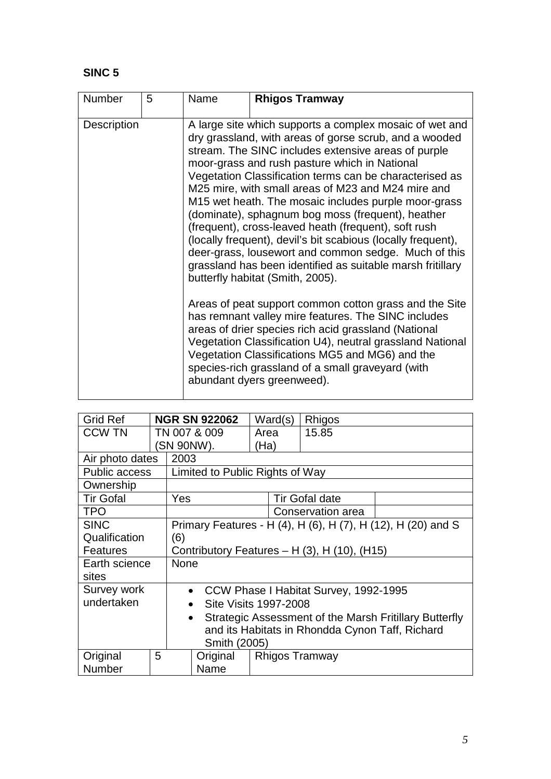| <b>Number</b>      | 5 | Name | <b>Rhigos Tramway</b>                                                                                                                                                                                                                                                                                                                                                                                                                                                                                                                                                                                                                                                                                                                                                                                                                                                                                                                                                                                                                                                                                                 |
|--------------------|---|------|-----------------------------------------------------------------------------------------------------------------------------------------------------------------------------------------------------------------------------------------------------------------------------------------------------------------------------------------------------------------------------------------------------------------------------------------------------------------------------------------------------------------------------------------------------------------------------------------------------------------------------------------------------------------------------------------------------------------------------------------------------------------------------------------------------------------------------------------------------------------------------------------------------------------------------------------------------------------------------------------------------------------------------------------------------------------------------------------------------------------------|
| <b>Description</b> |   |      | A large site which supports a complex mosaic of wet and<br>dry grassland, with areas of gorse scrub, and a wooded<br>stream. The SINC includes extensive areas of purple<br>moor-grass and rush pasture which in National<br>Vegetation Classification terms can be characterised as<br>M25 mire, with small areas of M23 and M24 mire and<br>M15 wet heath. The mosaic includes purple moor-grass<br>(dominate), sphagnum bog moss (frequent), heather<br>(frequent), cross-leaved heath (frequent), soft rush<br>(locally frequent), devil's bit scabious (locally frequent),<br>deer-grass, lousewort and common sedge. Much of this<br>grassland has been identified as suitable marsh fritillary<br>butterfly habitat (Smith, 2005).<br>Areas of peat support common cotton grass and the Site<br>has remnant valley mire features. The SINC includes<br>areas of drier species rich acid grassland (National<br>Vegetation Classification U4), neutral grassland National<br>Vegetation Classifications MG5 and MG6) and the<br>species-rich grassland of a small graveyard (with<br>abundant dyers greenweed). |

| <b>Grid Ref</b>      |                                                 | <b>NGR SN 922062</b>                                         |                                                                     |      | Ward(s) | Rhigos                                       |  |
|----------------------|-------------------------------------------------|--------------------------------------------------------------|---------------------------------------------------------------------|------|---------|----------------------------------------------|--|
| <b>CCW TN</b>        |                                                 | TN 007 & 009                                                 |                                                                     | Area |         | 15.85                                        |  |
|                      |                                                 | (SN 90NW).                                                   |                                                                     | (Ha) |         |                                              |  |
| Air photo dates      |                                                 | 2003                                                         |                                                                     |      |         |                                              |  |
| <b>Public access</b> |                                                 |                                                              | Limited to Public Rights of Way                                     |      |         |                                              |  |
| Ownership            |                                                 |                                                              |                                                                     |      |         |                                              |  |
| <b>Tir Gofal</b>     |                                                 | Yes                                                          |                                                                     |      |         | <b>Tir Gofal date</b>                        |  |
| TPO.                 |                                                 |                                                              |                                                                     |      |         | Conservation area                            |  |
| <b>SINC</b>          |                                                 | Primary Features - H (4), H (6), H (7), H (12), H (20) and S |                                                                     |      |         |                                              |  |
| Qualification        |                                                 | (6)                                                          |                                                                     |      |         |                                              |  |
| Features             |                                                 |                                                              |                                                                     |      |         | Contributory Features - H (3), H (10), (H15) |  |
| Earth science        |                                                 | <b>None</b>                                                  |                                                                     |      |         |                                              |  |
| sites                |                                                 |                                                              |                                                                     |      |         |                                              |  |
| Survey work          |                                                 | CCW Phase I Habitat Survey, 1992-1995<br>$\bullet$           |                                                                     |      |         |                                              |  |
| undertaken           |                                                 | $\bullet$                                                    | Site Visits 1997-2008                                               |      |         |                                              |  |
|                      |                                                 |                                                              | Strategic Assessment of the Marsh Fritillary Butterfly<br>$\bullet$ |      |         |                                              |  |
|                      | and its Habitats in Rhondda Cynon Taff, Richard |                                                              |                                                                     |      |         |                                              |  |
| Smith (2005)         |                                                 |                                                              |                                                                     |      |         |                                              |  |
| Original             | 5                                               |                                                              | Original                                                            |      |         | <b>Rhigos Tramway</b>                        |  |
| Number               |                                                 |                                                              | Name                                                                |      |         |                                              |  |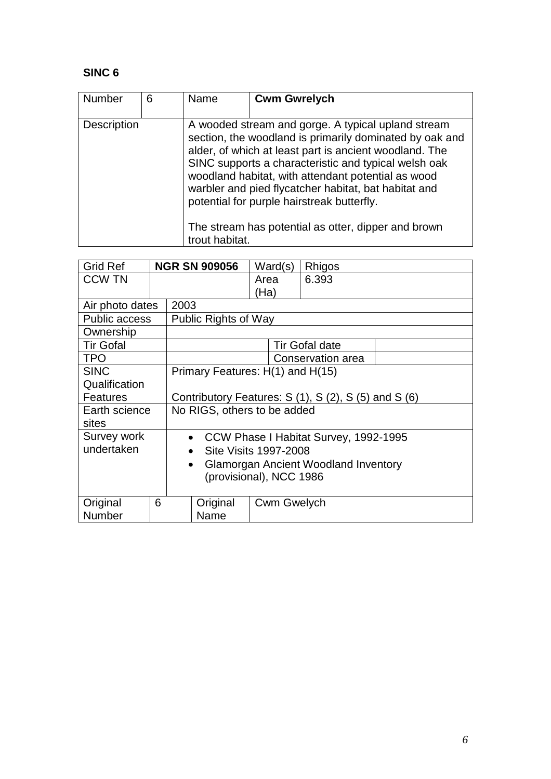| <b>Number</b>      | 6 | Name           | <b>Cwm Gwrelych</b>                                                                                                                                                                                                                                                                                                                                                                                                                                |
|--------------------|---|----------------|----------------------------------------------------------------------------------------------------------------------------------------------------------------------------------------------------------------------------------------------------------------------------------------------------------------------------------------------------------------------------------------------------------------------------------------------------|
| <b>Description</b> |   |                | A wooded stream and gorge. A typical upland stream<br>section, the woodland is primarily dominated by oak and<br>alder, of which at least part is ancient woodland. The<br>SINC supports a characteristic and typical welsh oak<br>woodland habitat, with attendant potential as wood<br>warbler and pied flycatcher habitat, bat habitat and<br>potential for purple hairstreak butterfly.<br>The stream has potential as otter, dipper and brown |
|                    |   | trout habitat. |                                                                                                                                                                                                                                                                                                                                                                                                                                                    |

| <b>Grid Ref</b>      |           | <b>NGR SN 909056</b>                                       | Ward(s)                               | Rhigos                |  |  |
|----------------------|-----------|------------------------------------------------------------|---------------------------------------|-----------------------|--|--|
| <b>CCW TN</b>        |           |                                                            | Area                                  | 6.393                 |  |  |
|                      |           |                                                            | (Ha)                                  |                       |  |  |
| Air photo dates      |           | 2003                                                       |                                       |                       |  |  |
| <b>Public access</b> |           | <b>Public Rights of Way</b>                                |                                       |                       |  |  |
| Ownership            |           |                                                            |                                       |                       |  |  |
| <b>Tir Gofal</b>     |           |                                                            |                                       | <b>Tir Gofal date</b> |  |  |
| <b>TPO</b>           |           |                                                            |                                       | Conservation area     |  |  |
| <b>SINC</b>          |           | Primary Features: H(1) and H(15)                           |                                       |                       |  |  |
| Qualification        |           |                                                            |                                       |                       |  |  |
| <b>Features</b>      |           | Contributory Features: $S(1)$ , $S(2)$ , $S(5)$ and $S(6)$ |                                       |                       |  |  |
| Earth science        |           | No RIGS, others to be added                                |                                       |                       |  |  |
| sites                |           |                                                            |                                       |                       |  |  |
| Survey work          |           | $\bullet$                                                  | CCW Phase I Habitat Survey, 1992-1995 |                       |  |  |
| undertaken           |           | $\bullet$                                                  | Site Visits 1997-2008                 |                       |  |  |
|                      | $\bullet$ | Glamorgan Ancient Woodland Inventory                       |                                       |                       |  |  |
|                      |           | (provisional), NCC 1986                                    |                                       |                       |  |  |
|                      |           |                                                            |                                       |                       |  |  |
| Original             | 6         | Original                                                   | <b>Cwm Gwelych</b>                    |                       |  |  |
| Number               |           | Name                                                       |                                       |                       |  |  |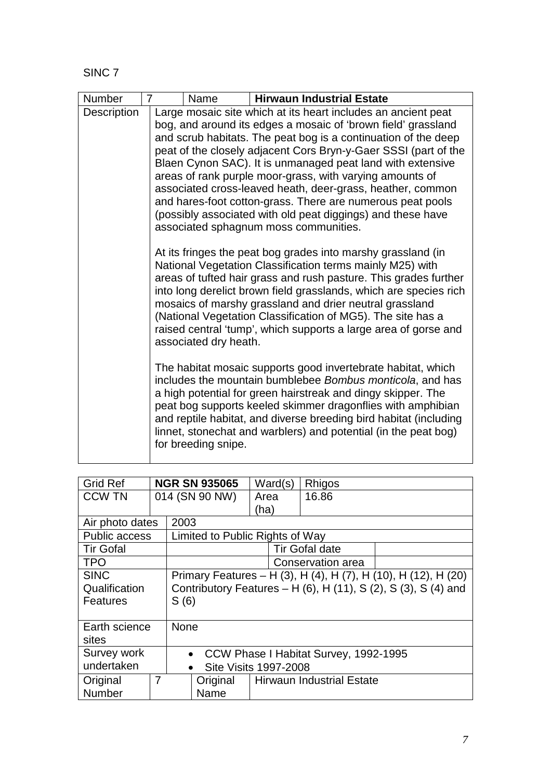| Number      | 7 | Name                                                                                                                                                                                                                                                                                                                                                                                                                                                                                                                                                                                                                              |  | <b>Hirwaun Industrial Estate</b>                                                                                                                                                                                                                                                                                                                                                                                                                                |  |  |  |
|-------------|---|-----------------------------------------------------------------------------------------------------------------------------------------------------------------------------------------------------------------------------------------------------------------------------------------------------------------------------------------------------------------------------------------------------------------------------------------------------------------------------------------------------------------------------------------------------------------------------------------------------------------------------------|--|-----------------------------------------------------------------------------------------------------------------------------------------------------------------------------------------------------------------------------------------------------------------------------------------------------------------------------------------------------------------------------------------------------------------------------------------------------------------|--|--|--|
| Description |   | Large mosaic site which at its heart includes an ancient peat<br>bog, and around its edges a mosaic of 'brown field' grassland<br>and scrub habitats. The peat bog is a continuation of the deep<br>peat of the closely adjacent Cors Bryn-y-Gaer SSSI (part of the<br>Blaen Cynon SAC). It is unmanaged peat land with extensive<br>areas of rank purple moor-grass, with varying amounts of<br>associated cross-leaved heath, deer-grass, heather, common<br>and hares-foot cotton-grass. There are numerous peat pools<br>(possibly associated with old peat diggings) and these have<br>associated sphagnum moss communities. |  |                                                                                                                                                                                                                                                                                                                                                                                                                                                                 |  |  |  |
|             |   | associated dry heath.                                                                                                                                                                                                                                                                                                                                                                                                                                                                                                                                                                                                             |  | At its fringes the peat bog grades into marshy grassland (in<br>National Vegetation Classification terms mainly M25) with<br>areas of tufted hair grass and rush pasture. This grades further<br>into long derelict brown field grasslands, which are species rich<br>mosaics of marshy grassland and drier neutral grassland<br>(National Vegetation Classification of MG5). The site has a<br>raised central 'tump', which supports a large area of gorse and |  |  |  |
|             |   | for breeding snipe.                                                                                                                                                                                                                                                                                                                                                                                                                                                                                                                                                                                                               |  | The habitat mosaic supports good invertebrate habitat, which<br>includes the mountain bumblebee Bombus monticola, and has<br>a high potential for green hairstreak and dingy skipper. The<br>peat bog supports keeled skimmer dragonflies with amphibian<br>and reptile habitat, and diverse breeding bird habitat (including<br>linnet, stonechat and warblers) and potential (in the peat bog)                                                                |  |  |  |

| <b>Grid Ref</b>      |                                       |                                                                | <b>NGR SN 935065</b>            |                                  | Ward(s) | Rhigos                |  |
|----------------------|---------------------------------------|----------------------------------------------------------------|---------------------------------|----------------------------------|---------|-----------------------|--|
| <b>CCW TN</b>        |                                       |                                                                | 014 (SN 90 NW)                  | Area                             |         | 16.86                 |  |
|                      |                                       |                                                                |                                 | (ha)                             |         |                       |  |
| Air photo dates      |                                       | 2003                                                           |                                 |                                  |         |                       |  |
| <b>Public access</b> |                                       |                                                                | Limited to Public Rights of Way |                                  |         |                       |  |
| <b>Tir Gofal</b>     |                                       |                                                                |                                 |                                  |         | <b>Tir Gofal date</b> |  |
| <b>TPO</b>           |                                       |                                                                |                                 |                                  |         | Conservation area     |  |
| <b>SINC</b>          |                                       | Primary Features – H (3), H (4), H (7), H (10), H (12), H (20) |                                 |                                  |         |                       |  |
| Qualification        |                                       | Contributory Features - H (6), H (11), S (2), S (3), S (4) and |                                 |                                  |         |                       |  |
| Features             |                                       | S(6)                                                           |                                 |                                  |         |                       |  |
| sites                | Earth science<br><b>None</b>          |                                                                |                                 |                                  |         |                       |  |
| Survey work          | CCW Phase I Habitat Survey, 1992-1995 |                                                                |                                 |                                  |         |                       |  |
| undertaken           |                                       | <b>Site Visits 1997-2008</b>                                   |                                 |                                  |         |                       |  |
| Original             | $\overline{7}$                        |                                                                | Original                        | <b>Hirwaun Industrial Estate</b> |         |                       |  |
| Number               |                                       |                                                                | Name                            |                                  |         |                       |  |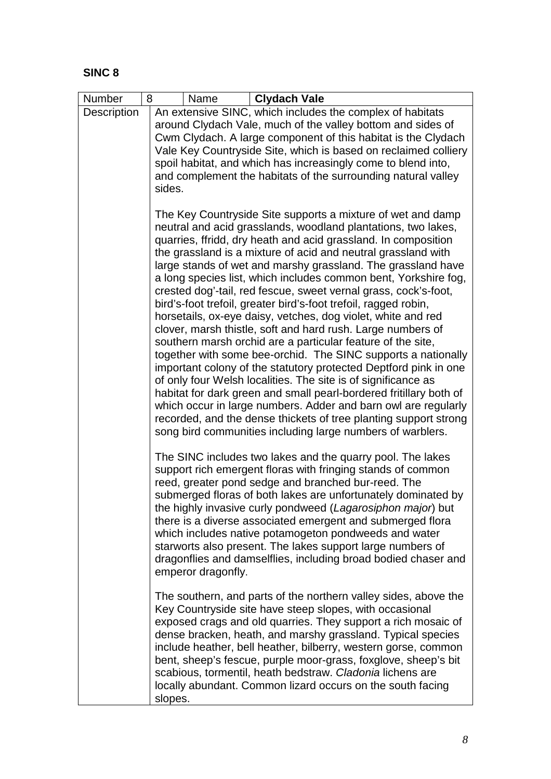| Number             | 8<br><b>Clydach Vale</b><br>Name                                                                                            |
|--------------------|-----------------------------------------------------------------------------------------------------------------------------|
| <b>Description</b> | An extensive SINC, which includes the complex of habitats                                                                   |
|                    | around Clydach Vale, much of the valley bottom and sides of                                                                 |
|                    | Cwm Clydach. A large component of this habitat is the Clydach                                                               |
|                    | Vale Key Countryside Site, which is based on reclaimed colliery                                                             |
|                    | spoil habitat, and which has increasingly come to blend into,                                                               |
|                    | and complement the habitats of the surrounding natural valley<br>sides.                                                     |
|                    |                                                                                                                             |
|                    | The Key Countryside Site supports a mixture of wet and damp                                                                 |
|                    | neutral and acid grasslands, woodland plantations, two lakes,                                                               |
|                    | quarries, ffridd, dry heath and acid grassland. In composition                                                              |
|                    | the grassland is a mixture of acid and neutral grassland with                                                               |
|                    | large stands of wet and marshy grassland. The grassland have                                                                |
|                    | a long species list, which includes common bent, Yorkshire fog,                                                             |
|                    | crested dog'-tail, red fescue, sweet vernal grass, cock's-foot,                                                             |
|                    | bird's-foot trefoil, greater bird's-foot trefoil, ragged robin,                                                             |
|                    | horsetails, ox-eye daisy, vetches, dog violet, white and red<br>clover, marsh thistle, soft and hard rush. Large numbers of |
|                    | southern marsh orchid are a particular feature of the site,                                                                 |
|                    | together with some bee-orchid. The SINC supports a nationally                                                               |
|                    | important colony of the statutory protected Deptford pink in one                                                            |
|                    | of only four Welsh localities. The site is of significance as                                                               |
|                    | habitat for dark green and small pearl-bordered fritillary both of                                                          |
|                    | which occur in large numbers. Adder and barn owl are regularly                                                              |
|                    | recorded, and the dense thickets of tree planting support strong                                                            |
|                    | song bird communities including large numbers of warblers.                                                                  |
|                    | The SINC includes two lakes and the quarry pool. The lakes                                                                  |
|                    | support rich emergent floras with fringing stands of common                                                                 |
|                    | reed, greater pond sedge and branched bur-reed. The                                                                         |
|                    | submerged floras of both lakes are unfortunately dominated by                                                               |
|                    | the highly invasive curly pondweed (Lagarosiphon major) but                                                                 |
|                    | there is a diverse associated emergent and submerged flora                                                                  |
|                    | which includes native potamogeton pondweeds and water                                                                       |
|                    | starworts also present. The lakes support large numbers of                                                                  |
|                    | dragonflies and damselflies, including broad bodied chaser and<br>emperor dragonfly.                                        |
|                    |                                                                                                                             |
|                    | The southern, and parts of the northern valley sides, above the                                                             |
|                    | Key Countryside site have steep slopes, with occasional                                                                     |
|                    | exposed crags and old quarries. They support a rich mosaic of                                                               |
|                    | dense bracken, heath, and marshy grassland. Typical species                                                                 |
|                    | include heather, bell heather, bilberry, western gorse, common                                                              |
|                    | bent, sheep's fescue, purple moor-grass, foxglove, sheep's bit                                                              |
|                    | scabious, tormentil, heath bedstraw. Cladonia lichens are                                                                   |
|                    | locally abundant. Common lizard occurs on the south facing<br>slopes.                                                       |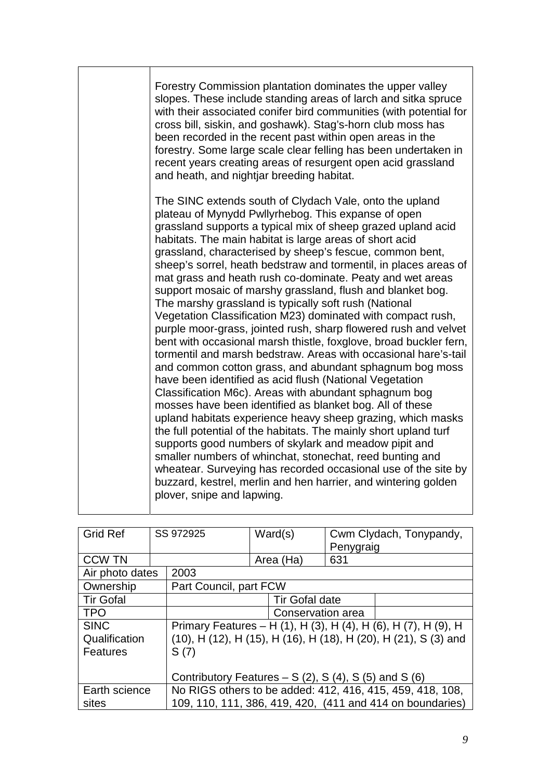| Forestry Commission plantation dominates the upper valley<br>slopes. These include standing areas of larch and sitka spruce<br>with their associated conifer bird communities (with potential for<br>cross bill, siskin, and goshawk). Stag's-horn club moss has<br>been recorded in the recent past within open areas in the<br>forestry. Some large scale clear felling has been undertaken in<br>recent years creating areas of resurgent open acid grassland<br>and heath, and nightjar breeding habitat.                                                                                                                                                                                                                                                                                                                                                                                                                                                                                                                                                                                                                                                                                                                                                                                                                                                                                                                                                                                                |
|--------------------------------------------------------------------------------------------------------------------------------------------------------------------------------------------------------------------------------------------------------------------------------------------------------------------------------------------------------------------------------------------------------------------------------------------------------------------------------------------------------------------------------------------------------------------------------------------------------------------------------------------------------------------------------------------------------------------------------------------------------------------------------------------------------------------------------------------------------------------------------------------------------------------------------------------------------------------------------------------------------------------------------------------------------------------------------------------------------------------------------------------------------------------------------------------------------------------------------------------------------------------------------------------------------------------------------------------------------------------------------------------------------------------------------------------------------------------------------------------------------------|
| The SINC extends south of Clydach Vale, onto the upland<br>plateau of Mynydd Pwllyrhebog. This expanse of open<br>grassland supports a typical mix of sheep grazed upland acid<br>habitats. The main habitat is large areas of short acid<br>grassland, characterised by sheep's fescue, common bent,<br>sheep's sorrel, heath bedstraw and tormentil, in places areas of<br>mat grass and heath rush co-dominate. Peaty and wet areas<br>support mosaic of marshy grassland, flush and blanket bog.<br>The marshy grassland is typically soft rush (National<br>Vegetation Classification M23) dominated with compact rush,<br>purple moor-grass, jointed rush, sharp flowered rush and velvet<br>bent with occasional marsh thistle, foxglove, broad buckler fern,<br>tormentil and marsh bedstraw. Areas with occasional hare's-tail<br>and common cotton grass, and abundant sphagnum bog moss<br>have been identified as acid flush (National Vegetation<br>Classification M6c). Areas with abundant sphagnum bog<br>mosses have been identified as blanket bog. All of these<br>upland habitats experience heavy sheep grazing, which masks<br>the full potential of the habitats. The mainly short upland turf<br>supports good numbers of skylark and meadow pipit and<br>smaller numbers of whinchat, stonechat, reed bunting and<br>wheatear. Surveying has recorded occasional use of the site by<br>buzzard, kestrel, merlin and hen harrier, and wintering golden<br>plover, snipe and lapwing. |

| <b>Grid Ref</b>  |                                                                            | SS 972925                                                       |  | Ward(s)               | Cwm Clydach, Tonypandy,<br>Penygraig |                                                           |
|------------------|----------------------------------------------------------------------------|-----------------------------------------------------------------|--|-----------------------|--------------------------------------|-----------------------------------------------------------|
| <b>CCW TN</b>    |                                                                            |                                                                 |  | Area (Ha)             | 631                                  |                                                           |
| Air photo dates  |                                                                            | 2003                                                            |  |                       |                                      |                                                           |
| Ownership        |                                                                            | Part Council, part FCW                                          |  |                       |                                      |                                                           |
| <b>Tir Gofal</b> |                                                                            |                                                                 |  | <b>Tir Gofal date</b> |                                      |                                                           |
| <b>TPO</b>       |                                                                            | Conservation area                                               |  |                       |                                      |                                                           |
| <b>SINC</b>      |                                                                            | Primary Features - H (1), H (3), H (4), H (6), H (7), H (9), H  |  |                       |                                      |                                                           |
| Qualification    |                                                                            | (10), H (12), H (15), H (16), H (18), H (20), H (21), S (3) and |  |                       |                                      |                                                           |
| <b>Features</b>  |                                                                            | S(7)                                                            |  |                       |                                      |                                                           |
|                  |                                                                            |                                                                 |  |                       |                                      |                                                           |
|                  | Contributory Features $- S(2)$ , S(4), S(5) and S(6)                       |                                                                 |  |                       |                                      |                                                           |
|                  | No RIGS others to be added: 412, 416, 415, 459, 418, 108,<br>Earth science |                                                                 |  |                       |                                      |                                                           |
| sites            |                                                                            |                                                                 |  |                       |                                      | 109, 110, 111, 386, 419, 420, (411 and 414 on boundaries) |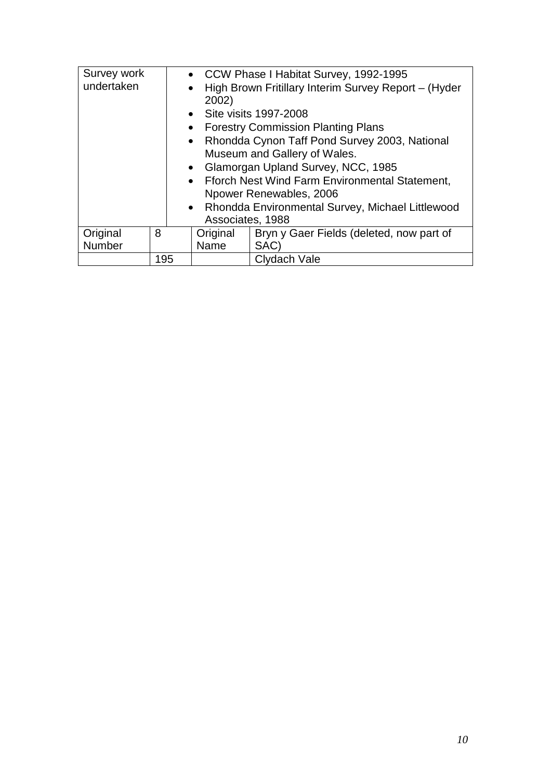| Survey work<br>undertaken |     | • CCW Phase I Habitat Survey, 1992-1995<br>High Brown Fritillary Interim Survey Report - (Hyder<br>$\bullet$<br>2002)<br>• Site visits 1997-2008<br><b>Forestry Commission Planting Plans</b><br>$\bullet$<br>Rhondda Cynon Taff Pond Survey 2003, National<br>$\bullet$<br>Museum and Gallery of Wales.<br>Glamorgan Upland Survey, NCC, 1985<br>$\bullet$<br>Fforch Nest Wind Farm Environmental Statement,<br>Npower Renewables, 2006<br>• Rhondda Environmental Survey, Michael Littlewood<br>Associates, 1988 |                                          |  |  |  |
|---------------------------|-----|--------------------------------------------------------------------------------------------------------------------------------------------------------------------------------------------------------------------------------------------------------------------------------------------------------------------------------------------------------------------------------------------------------------------------------------------------------------------------------------------------------------------|------------------------------------------|--|--|--|
|                           |     |                                                                                                                                                                                                                                                                                                                                                                                                                                                                                                                    |                                          |  |  |  |
| Original                  | 8   | Original                                                                                                                                                                                                                                                                                                                                                                                                                                                                                                           | Bryn y Gaer Fields (deleted, now part of |  |  |  |
| Number                    |     | Name                                                                                                                                                                                                                                                                                                                                                                                                                                                                                                               | SAC)                                     |  |  |  |
|                           | 195 |                                                                                                                                                                                                                                                                                                                                                                                                                                                                                                                    | Clydach Vale                             |  |  |  |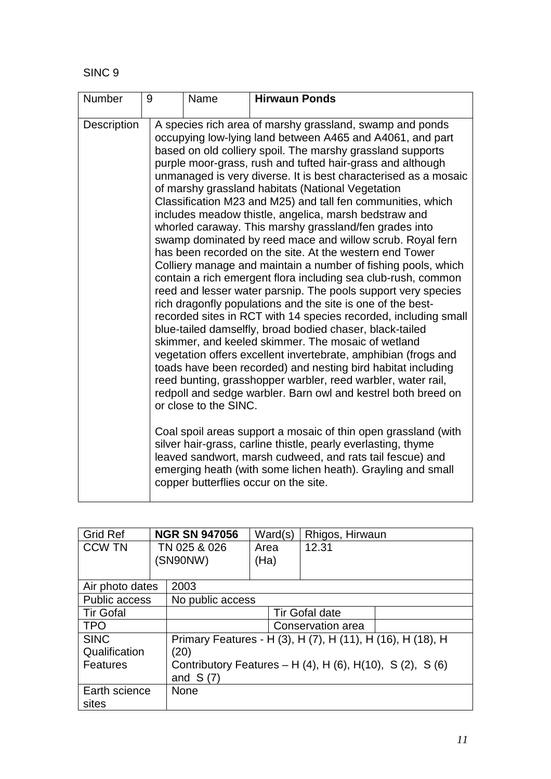| Number             | 9 | Name                  | <b>Hirwaun Ponds</b>                                                                                                                                                                                                                                                                                                                                                                                                                                                                                                                                                                                                                                                                                                                                                                                                                                                                                                                                                                                                                                                                                                                                                                                                                                                                                                                                                                                                                                                                                                                                                                                                                                                                                                  |
|--------------------|---|-----------------------|-----------------------------------------------------------------------------------------------------------------------------------------------------------------------------------------------------------------------------------------------------------------------------------------------------------------------------------------------------------------------------------------------------------------------------------------------------------------------------------------------------------------------------------------------------------------------------------------------------------------------------------------------------------------------------------------------------------------------------------------------------------------------------------------------------------------------------------------------------------------------------------------------------------------------------------------------------------------------------------------------------------------------------------------------------------------------------------------------------------------------------------------------------------------------------------------------------------------------------------------------------------------------------------------------------------------------------------------------------------------------------------------------------------------------------------------------------------------------------------------------------------------------------------------------------------------------------------------------------------------------------------------------------------------------------------------------------------------------|
| <b>Description</b> |   | or close to the SINC. | A species rich area of marshy grassland, swamp and ponds<br>occupying low-lying land between A465 and A4061, and part<br>based on old colliery spoil. The marshy grassland supports<br>purple moor-grass, rush and tufted hair-grass and although<br>unmanaged is very diverse. It is best characterised as a mosaic<br>of marshy grassland habitats (National Vegetation<br>Classification M23 and M25) and tall fen communities, which<br>includes meadow thistle, angelica, marsh bedstraw and<br>whorled caraway. This marshy grassland/fen grades into<br>swamp dominated by reed mace and willow scrub. Royal fern<br>has been recorded on the site. At the western end Tower<br>Colliery manage and maintain a number of fishing pools, which<br>contain a rich emergent flora including sea club-rush, common<br>reed and lesser water parsnip. The pools support very species<br>rich dragonfly populations and the site is one of the best-<br>recorded sites in RCT with 14 species recorded, including small<br>blue-tailed damselfly, broad bodied chaser, black-tailed<br>skimmer, and keeled skimmer. The mosaic of wetland<br>vegetation offers excellent invertebrate, amphibian (frogs and<br>toads have been recorded) and nesting bird habitat including<br>reed bunting, grasshopper warbler, reed warbler, water rail,<br>redpoll and sedge warbler. Barn owl and kestrel both breed on<br>Coal spoil areas support a mosaic of thin open grassland (with<br>silver hair-grass, carline thistle, pearly everlasting, thyme<br>leaved sandwort, marsh cudweed, and rats tail fescue) and<br>emerging heath (with some lichen heath). Grayling and small<br>copper butterflies occur on the site. |

| <b>Grid Ref</b>      |                          | <b>NGR SN 947056</b>                                      |                                                            | Ward(s)               | Rhigos, Hirwaun   |  |
|----------------------|--------------------------|-----------------------------------------------------------|------------------------------------------------------------|-----------------------|-------------------|--|
| <b>CCW TN</b>        | TN 025 & 026<br>(SN90NW) |                                                           | Area<br>(Ha)                                               |                       | 12.31             |  |
|                      |                          |                                                           |                                                            |                       |                   |  |
| Air photo dates      |                          | 2003                                                      |                                                            |                       |                   |  |
| <b>Public access</b> |                          | No public access                                          |                                                            |                       |                   |  |
| <b>Tir Gofal</b>     |                          |                                                           |                                                            | <b>Tir Gofal date</b> |                   |  |
| <b>TPO</b>           |                          |                                                           |                                                            |                       | Conservation area |  |
| <b>SINC</b>          |                          |                                                           | Primary Features - H (3), H (7), H (11), H (16), H (18), H |                       |                   |  |
| Qualification        |                          | (20)                                                      |                                                            |                       |                   |  |
| <b>Features</b>      |                          | Contributory Features – H (4), H (6), H(10), S (2), S (6) |                                                            |                       |                   |  |
|                      |                          | and $S(7)$                                                |                                                            |                       |                   |  |
| Earth science        |                          | <b>None</b>                                               |                                                            |                       |                   |  |
| sites                |                          |                                                           |                                                            |                       |                   |  |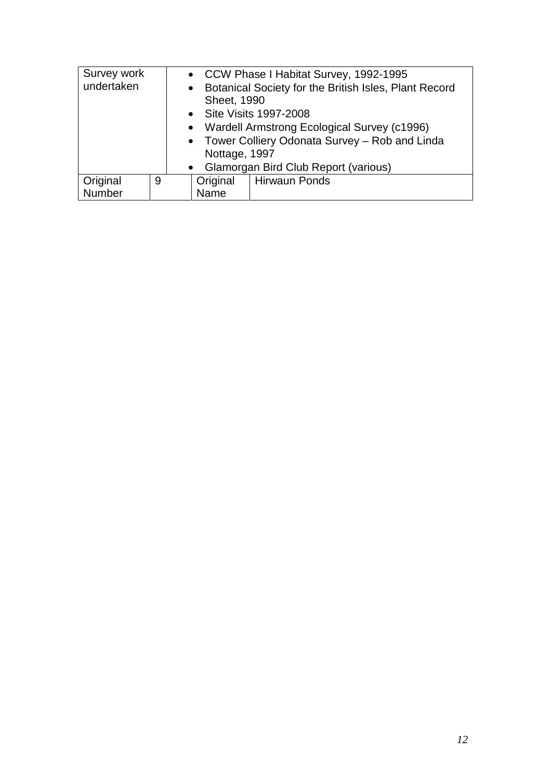| Survey work |               | • CCW Phase I Habitat Survey, 1992-1995 |                                                 |                                                       |  |  |
|-------------|---------------|-----------------------------------------|-------------------------------------------------|-------------------------------------------------------|--|--|
| undertaken  | $\bullet$     |                                         |                                                 | Botanical Society for the British Isles, Plant Record |  |  |
|             |               |                                         | Sheet, 1990                                     |                                                       |  |  |
|             |               | • Site Visits 1997-2008                 |                                                 |                                                       |  |  |
|             |               |                                         | • Wardell Armstrong Ecological Survey (c1996)   |                                                       |  |  |
|             |               |                                         | • Tower Colliery Odonata Survey - Rob and Linda |                                                       |  |  |
|             | Nottage, 1997 |                                         |                                                 |                                                       |  |  |
|             |               |                                         | • Glamorgan Bird Club Report (various)          |                                                       |  |  |
| Original    | 9             |                                         |                                                 | Original   Hirwaun Ponds                              |  |  |
| Number      |               |                                         | Name                                            |                                                       |  |  |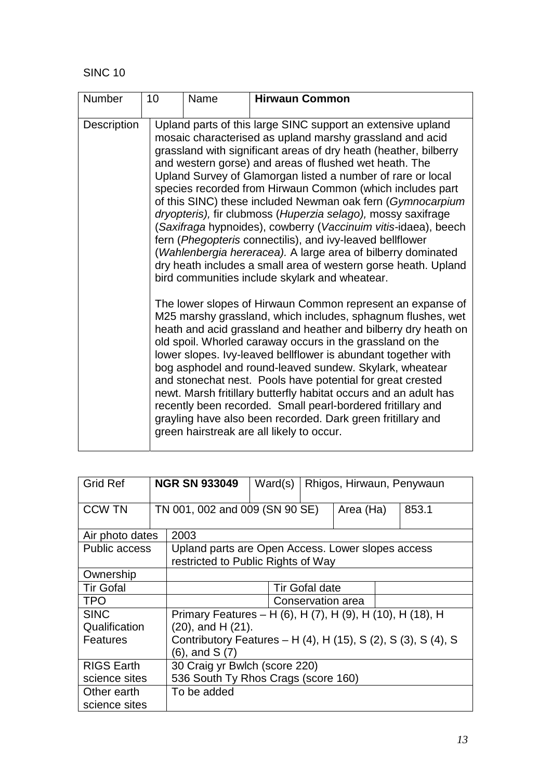| <b>Number</b> | 10 | Name                                                                                                                                                                                                                                                                                                                                                                                                                                                                                                                                                                                                                                                                                              | <b>Hirwaun Common</b>                                                                                                                                                                                                                                                                                                                                                                                                                                                                                                                                                                                                                                                                                                                                                                                                              |  |  |  |
|---------------|----|---------------------------------------------------------------------------------------------------------------------------------------------------------------------------------------------------------------------------------------------------------------------------------------------------------------------------------------------------------------------------------------------------------------------------------------------------------------------------------------------------------------------------------------------------------------------------------------------------------------------------------------------------------------------------------------------------|------------------------------------------------------------------------------------------------------------------------------------------------------------------------------------------------------------------------------------------------------------------------------------------------------------------------------------------------------------------------------------------------------------------------------------------------------------------------------------------------------------------------------------------------------------------------------------------------------------------------------------------------------------------------------------------------------------------------------------------------------------------------------------------------------------------------------------|--|--|--|
| Description   |    |                                                                                                                                                                                                                                                                                                                                                                                                                                                                                                                                                                                                                                                                                                   | Upland parts of this large SINC support an extensive upland<br>mosaic characterised as upland marshy grassland and acid<br>grassland with significant areas of dry heath (heather, bilberry<br>and western gorse) and areas of flushed wet heath. The<br>Upland Survey of Glamorgan listed a number of rare or local<br>species recorded from Hirwaun Common (which includes part<br>of this SINC) these included Newman oak fern (Gymnocarpium<br>dryopteris), fir clubmoss (Huperzia selago), mossy saxifrage<br>(Saxifraga hypnoides), cowberry (Vaccinuim vitis-idaea), beech<br>fern (Phegopteris connectilis), and ivy-leaved bellflower<br>(Wahlenbergia hereracea). A large area of bilberry dominated<br>dry heath includes a small area of western gorse heath. Upland<br>bird communities include skylark and wheatear. |  |  |  |
|               |    | The lower slopes of Hirwaun Common represent an expanse of<br>M25 marshy grassland, which includes, sphagnum flushes, wet<br>heath and acid grassland and heather and bilberry dry heath on<br>old spoil. Whorled caraway occurs in the grassland on the<br>lower slopes. Ivy-leaved bellflower is abundant together with<br>bog asphodel and round-leaved sundew. Skylark, wheatear<br>and stonechat nest. Pools have potential for great crested<br>newt. Marsh fritillary butterfly habitat occurs and an adult has<br>recently been recorded. Small pearl-bordered fritillary and<br>grayling have also been recorded. Dark green fritillary and<br>green hairstreak are all likely to occur. |                                                                                                                                                                                                                                                                                                                                                                                                                                                                                                                                                                                                                                                                                                                                                                                                                                    |  |  |  |

| <b>Grid Ref</b>      |                         | <b>NGR SN 933049</b>                                          | Ward(s) |  |           |  | Rhigos, Hirwaun, Penywaun |
|----------------------|-------------------------|---------------------------------------------------------------|---------|--|-----------|--|---------------------------|
| <b>CCW TN</b>        |                         | TN 001, 002 and 009 (SN 90 SE)                                |         |  | Area (Ha) |  | 853.1                     |
| Air photo dates      |                         | 2003                                                          |         |  |           |  |                           |
| <b>Public access</b> |                         | Upland parts are Open Access. Lower slopes access             |         |  |           |  |                           |
|                      |                         | restricted to Public Rights of Way                            |         |  |           |  |                           |
| Ownership            |                         |                                                               |         |  |           |  |                           |
| <b>Tir Gofal</b>     |                         | <b>Tir Gofal date</b>                                         |         |  |           |  |                           |
| <b>TPO</b>           |                         | Conservation area                                             |         |  |           |  |                           |
| <b>SINC</b>          |                         | Primary Features - H (6), H (7), H (9), H (10), H (18), H     |         |  |           |  |                           |
| Qualification        | $(20)$ , and H $(21)$ . |                                                               |         |  |           |  |                           |
| Features             |                         | Contributory Features – H (4), H (15), S (2), S (3), S (4), S |         |  |           |  |                           |
| (6), and S (7)       |                         |                                                               |         |  |           |  |                           |
| <b>RIGS Earth</b>    |                         | 30 Craig yr Bwlch (score 220)                                 |         |  |           |  |                           |
| science sites        |                         | 536 South Ty Rhos Crags (score 160)                           |         |  |           |  |                           |
| Other earth          |                         | To be added                                                   |         |  |           |  |                           |
| science sites        |                         |                                                               |         |  |           |  |                           |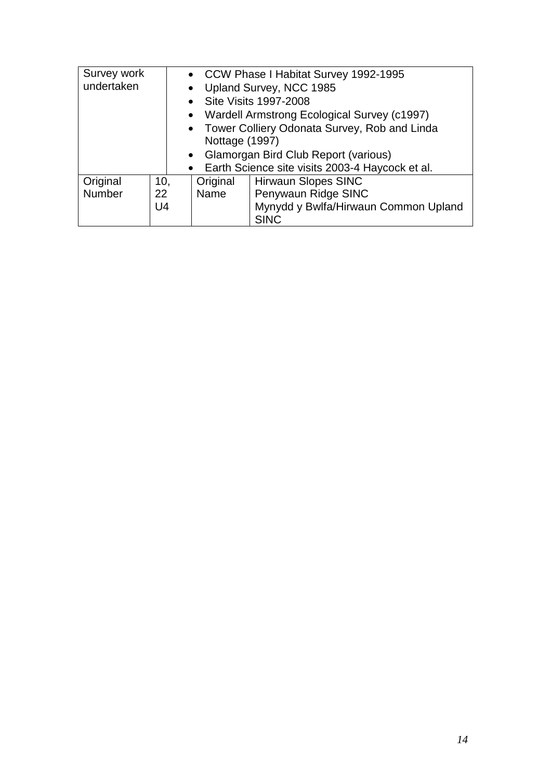| Survey work                                    |                                                          | • CCW Phase I Habitat Survey 1992-1995 |                                                   |  |  |
|------------------------------------------------|----------------------------------------------------------|----------------------------------------|---------------------------------------------------|--|--|
| undertaken<br>$\bullet$                        |                                                          |                                        | Upland Survey, NCC 1985                           |  |  |
|                                                |                                                          | $\bullet$                              | Site Visits 1997-2008                             |  |  |
|                                                | Wardell Armstrong Ecological Survey (c1997)<br>$\bullet$ |                                        |                                                   |  |  |
| • Tower Colliery Odonata Survey, Rob and Linda |                                                          |                                        |                                                   |  |  |
|                                                |                                                          |                                        | Nottage (1997)                                    |  |  |
|                                                |                                                          |                                        | • Glamorgan Bird Club Report (various)            |  |  |
|                                                |                                                          |                                        | • Earth Science site visits 2003-4 Haycock et al. |  |  |
| Original                                       | 10,                                                      | Original                               | <b>Hirwaun Slopes SINC</b>                        |  |  |
| Number                                         | 22                                                       | Name                                   | Penywaun Ridge SINC                               |  |  |
|                                                | U <sub>4</sub>                                           |                                        | Mynydd y Bwlfa/Hirwaun Common Upland              |  |  |
|                                                |                                                          |                                        | <b>SINC</b>                                       |  |  |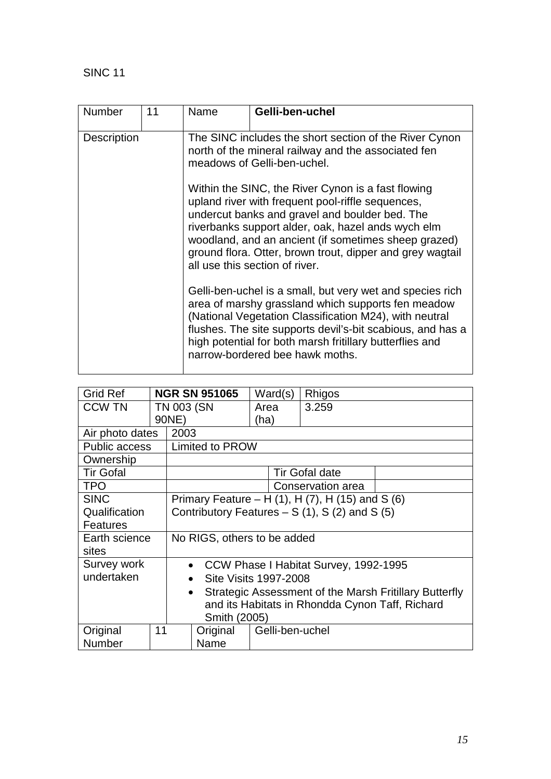| <b>Number</b>      | 11 | Name                                                                                                                                                                                                                                                                                                                                                                   | Gelli-ben-uchel                                                                                                                                                                                                                                                                                                                        |  |  |  |  |  |
|--------------------|----|------------------------------------------------------------------------------------------------------------------------------------------------------------------------------------------------------------------------------------------------------------------------------------------------------------------------------------------------------------------------|----------------------------------------------------------------------------------------------------------------------------------------------------------------------------------------------------------------------------------------------------------------------------------------------------------------------------------------|--|--|--|--|--|
| <b>Description</b> |    | The SINC includes the short section of the River Cynon<br>north of the mineral railway and the associated fen<br>meadows of Gelli-ben-uchel.                                                                                                                                                                                                                           |                                                                                                                                                                                                                                                                                                                                        |  |  |  |  |  |
|                    |    | Within the SINC, the River Cynon is a fast flowing<br>upland river with frequent pool-riffle sequences,<br>undercut banks and gravel and boulder bed. The<br>riverbanks support alder, oak, hazel ands wych elm<br>woodland, and an ancient (if sometimes sheep grazed)<br>ground flora. Otter, brown trout, dipper and grey wagtail<br>all use this section of river. |                                                                                                                                                                                                                                                                                                                                        |  |  |  |  |  |
|                    |    |                                                                                                                                                                                                                                                                                                                                                                        | Gelli-ben-uchel is a small, but very wet and species rich<br>area of marshy grassland which supports fen meadow<br>(National Vegetation Classification M24), with neutral<br>flushes. The site supports devil's-bit scabious, and has a<br>high potential for both marsh fritillary butterflies and<br>narrow-bordered bee hawk moths. |  |  |  |  |  |

| <b>Grid Ref</b>  |                   | <b>NGR SN 951065</b>                                                | Ward(s)                                                    | Rhigos                |  |  |
|------------------|-------------------|---------------------------------------------------------------------|------------------------------------------------------------|-----------------------|--|--|
| <b>CCW TN</b>    | <b>TN 003 (SN</b> |                                                                     | Area                                                       | 3.259                 |  |  |
|                  | 90NE)             |                                                                     | (ha)                                                       |                       |  |  |
| Air photo dates  | 2003              |                                                                     |                                                            |                       |  |  |
| Public access    |                   | <b>Limited to PROW</b>                                              |                                                            |                       |  |  |
| Ownership        |                   |                                                                     |                                                            |                       |  |  |
| <b>Tir Gofal</b> |                   |                                                                     |                                                            | <b>Tir Gofal date</b> |  |  |
| <b>TPO</b>       |                   | Conservation area                                                   |                                                            |                       |  |  |
| <b>SINC</b>      |                   |                                                                     | Primary Feature – H $(1)$ , H $(7)$ , H $(15)$ and S $(6)$ |                       |  |  |
| Qualification    |                   | Contributory Features $- S(1)$ , S(2) and S(5)                      |                                                            |                       |  |  |
| <b>Features</b>  |                   |                                                                     |                                                            |                       |  |  |
| Earth science    |                   | No RIGS, others to be added                                         |                                                            |                       |  |  |
| sites            |                   |                                                                     |                                                            |                       |  |  |
| Survey work      |                   | CCW Phase I Habitat Survey, 1992-1995<br>$\bullet$                  |                                                            |                       |  |  |
| undertaken       |                   | <b>Site Visits 1997-2008</b>                                        |                                                            |                       |  |  |
|                  |                   | Strategic Assessment of the Marsh Fritillary Butterfly<br>$\bullet$ |                                                            |                       |  |  |
|                  |                   | and its Habitats in Rhondda Cynon Taff, Richard                     |                                                            |                       |  |  |
|                  |                   | Smith (2005)                                                        |                                                            |                       |  |  |
| Original         | 11                | Original                                                            | Gelli-ben-uchel                                            |                       |  |  |
| Number           |                   | Name                                                                |                                                            |                       |  |  |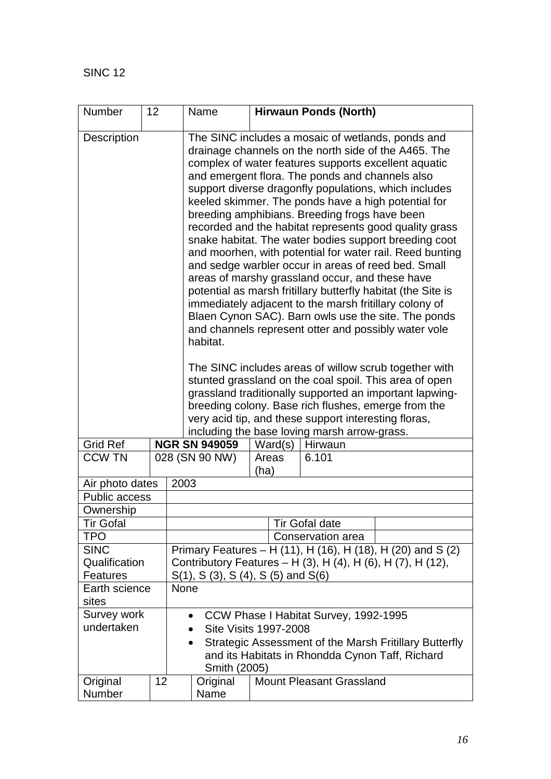| Number                                                                                                                                                                                                                                                                                                                                                                                                                                                                                                                                                                                                                                                                                                                                                                                                                                                                                                                                                    | 12                                                                                                                                                                                   |                                                                                                                                                                                                                                                                                                                                           | Name                                                        |               | <b>Hirwaun Ponds (North)</b>    |  |  |
|-----------------------------------------------------------------------------------------------------------------------------------------------------------------------------------------------------------------------------------------------------------------------------------------------------------------------------------------------------------------------------------------------------------------------------------------------------------------------------------------------------------------------------------------------------------------------------------------------------------------------------------------------------------------------------------------------------------------------------------------------------------------------------------------------------------------------------------------------------------------------------------------------------------------------------------------------------------|--------------------------------------------------------------------------------------------------------------------------------------------------------------------------------------|-------------------------------------------------------------------------------------------------------------------------------------------------------------------------------------------------------------------------------------------------------------------------------------------------------------------------------------------|-------------------------------------------------------------|---------------|---------------------------------|--|--|
| <b>Description</b><br>The SINC includes a mosaic of wetlands, ponds and<br>drainage channels on the north side of the A465. The<br>complex of water features supports excellent aquatic<br>and emergent flora. The ponds and channels also<br>support diverse dragonfly populations, which includes<br>keeled skimmer. The ponds have a high potential for<br>breeding amphibians. Breeding frogs have been<br>recorded and the habitat represents good quality grass<br>snake habitat. The water bodies support breeding coot<br>and moorhen, with potential for water rail. Reed bunting<br>and sedge warbler occur in areas of reed bed. Small<br>areas of marshy grassland occur, and these have<br>potential as marsh fritillary butterfly habitat (the Site is<br>immediately adjacent to the marsh fritillary colony of<br>Blaen Cynon SAC). Barn owls use the site. The ponds<br>and channels represent otter and possibly water vole<br>habitat. |                                                                                                                                                                                      |                                                                                                                                                                                                                                                                                                                                           |                                                             |               |                                 |  |  |
|                                                                                                                                                                                                                                                                                                                                                                                                                                                                                                                                                                                                                                                                                                                                                                                                                                                                                                                                                           |                                                                                                                                                                                      | The SINC includes areas of willow scrub together with<br>stunted grassland on the coal spoil. This area of open<br>grassland traditionally supported an important lapwing-<br>breeding colony. Base rich flushes, emerge from the<br>very acid tip, and these support interesting floras,<br>including the base loving marsh arrow-grass. |                                                             |               |                                 |  |  |
| <b>Grid Ref</b>                                                                                                                                                                                                                                                                                                                                                                                                                                                                                                                                                                                                                                                                                                                                                                                                                                                                                                                                           |                                                                                                                                                                                      |                                                                                                                                                                                                                                                                                                                                           | <b>NGR SN 949059</b>                                        | Ward(s)       | Hirwaun                         |  |  |
| <b>CCW TN</b>                                                                                                                                                                                                                                                                                                                                                                                                                                                                                                                                                                                                                                                                                                                                                                                                                                                                                                                                             |                                                                                                                                                                                      |                                                                                                                                                                                                                                                                                                                                           | 028 (SN 90 NW)                                              | Areas<br>(ha) | 6.101                           |  |  |
| Air photo dates                                                                                                                                                                                                                                                                                                                                                                                                                                                                                                                                                                                                                                                                                                                                                                                                                                                                                                                                           |                                                                                                                                                                                      | 2003                                                                                                                                                                                                                                                                                                                                      |                                                             |               |                                 |  |  |
| <b>Public access</b>                                                                                                                                                                                                                                                                                                                                                                                                                                                                                                                                                                                                                                                                                                                                                                                                                                                                                                                                      |                                                                                                                                                                                      |                                                                                                                                                                                                                                                                                                                                           |                                                             |               |                                 |  |  |
| Ownership                                                                                                                                                                                                                                                                                                                                                                                                                                                                                                                                                                                                                                                                                                                                                                                                                                                                                                                                                 |                                                                                                                                                                                      |                                                                                                                                                                                                                                                                                                                                           |                                                             |               |                                 |  |  |
| <b>Tir Gofal</b>                                                                                                                                                                                                                                                                                                                                                                                                                                                                                                                                                                                                                                                                                                                                                                                                                                                                                                                                          |                                                                                                                                                                                      |                                                                                                                                                                                                                                                                                                                                           |                                                             |               | <b>Tir Gofal date</b>           |  |  |
| TPO                                                                                                                                                                                                                                                                                                                                                                                                                                                                                                                                                                                                                                                                                                                                                                                                                                                                                                                                                       |                                                                                                                                                                                      |                                                                                                                                                                                                                                                                                                                                           |                                                             |               | Conservation area               |  |  |
| <b>SINC</b>                                                                                                                                                                                                                                                                                                                                                                                                                                                                                                                                                                                                                                                                                                                                                                                                                                                                                                                                               |                                                                                                                                                                                      |                                                                                                                                                                                                                                                                                                                                           | Primary Features - H (11), H (16), H (18), H (20) and S (2) |               |                                 |  |  |
| Qualification                                                                                                                                                                                                                                                                                                                                                                                                                                                                                                                                                                                                                                                                                                                                                                                                                                                                                                                                             |                                                                                                                                                                                      |                                                                                                                                                                                                                                                                                                                                           | Contributory Features - H (3), H (4), H (6), H (7), H (12), |               |                                 |  |  |
| <b>Features</b>                                                                                                                                                                                                                                                                                                                                                                                                                                                                                                                                                                                                                                                                                                                                                                                                                                                                                                                                           |                                                                                                                                                                                      |                                                                                                                                                                                                                                                                                                                                           | $S(1)$ , S $(3)$ , S $(4)$ , S $(5)$ and S $(6)$            |               |                                 |  |  |
| Earth science                                                                                                                                                                                                                                                                                                                                                                                                                                                                                                                                                                                                                                                                                                                                                                                                                                                                                                                                             |                                                                                                                                                                                      | <b>None</b>                                                                                                                                                                                                                                                                                                                               |                                                             |               |                                 |  |  |
| sites                                                                                                                                                                                                                                                                                                                                                                                                                                                                                                                                                                                                                                                                                                                                                                                                                                                                                                                                                     |                                                                                                                                                                                      |                                                                                                                                                                                                                                                                                                                                           |                                                             |               |                                 |  |  |
| Survey work                                                                                                                                                                                                                                                                                                                                                                                                                                                                                                                                                                                                                                                                                                                                                                                                                                                                                                                                               |                                                                                                                                                                                      |                                                                                                                                                                                                                                                                                                                                           | CCW Phase I Habitat Survey, 1992-1995<br>$\bullet$          |               |                                 |  |  |
|                                                                                                                                                                                                                                                                                                                                                                                                                                                                                                                                                                                                                                                                                                                                                                                                                                                                                                                                                           | undertaken<br><b>Site Visits 1997-2008</b><br>Strategic Assessment of the Marsh Fritillary Butterfly<br>$\bullet$<br>and its Habitats in Rhondda Cynon Taff, Richard<br>Smith (2005) |                                                                                                                                                                                                                                                                                                                                           |                                                             |               |                                 |  |  |
| Original                                                                                                                                                                                                                                                                                                                                                                                                                                                                                                                                                                                                                                                                                                                                                                                                                                                                                                                                                  | 12                                                                                                                                                                                   |                                                                                                                                                                                                                                                                                                                                           | Original                                                    |               | <b>Mount Pleasant Grassland</b> |  |  |
| <b>Number</b>                                                                                                                                                                                                                                                                                                                                                                                                                                                                                                                                                                                                                                                                                                                                                                                                                                                                                                                                             |                                                                                                                                                                                      |                                                                                                                                                                                                                                                                                                                                           | Name                                                        |               |                                 |  |  |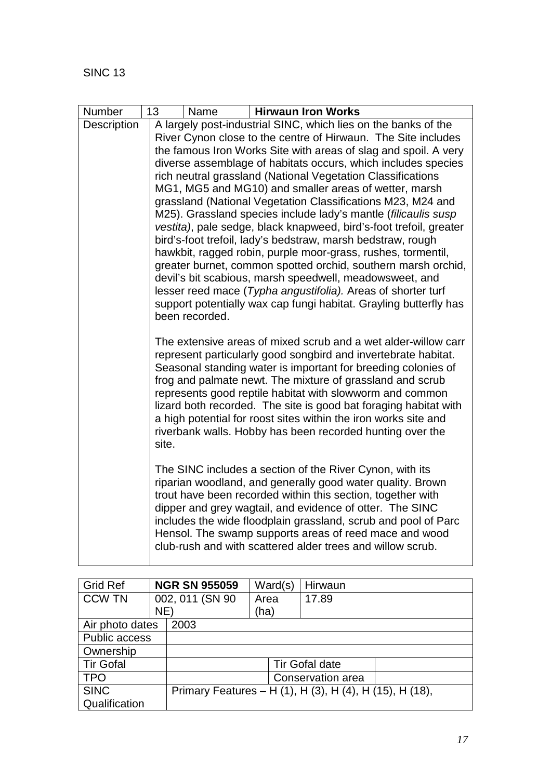| Number      | 13<br>Name                                                                                                                                                                                                                                                                                                                                                                                                                                                                                                                              |                                                                                                                                  | <b>Hirwaun Iron Works</b>                                                                                                                                                                                                                                                                                                                                                                                                                   |  |  |  |  |  |
|-------------|-----------------------------------------------------------------------------------------------------------------------------------------------------------------------------------------------------------------------------------------------------------------------------------------------------------------------------------------------------------------------------------------------------------------------------------------------------------------------------------------------------------------------------------------|----------------------------------------------------------------------------------------------------------------------------------|---------------------------------------------------------------------------------------------------------------------------------------------------------------------------------------------------------------------------------------------------------------------------------------------------------------------------------------------------------------------------------------------------------------------------------------------|--|--|--|--|--|
| Description |                                                                                                                                                                                                                                                                                                                                                                                                                                                                                                                                         |                                                                                                                                  | A largely post-industrial SINC, which lies on the banks of the                                                                                                                                                                                                                                                                                                                                                                              |  |  |  |  |  |
|             |                                                                                                                                                                                                                                                                                                                                                                                                                                                                                                                                         | River Cynon close to the centre of Hirwaun. The Site includes<br>the famous Iron Works Site with areas of slag and spoil. A very |                                                                                                                                                                                                                                                                                                                                                                                                                                             |  |  |  |  |  |
|             |                                                                                                                                                                                                                                                                                                                                                                                                                                                                                                                                         |                                                                                                                                  |                                                                                                                                                                                                                                                                                                                                                                                                                                             |  |  |  |  |  |
|             |                                                                                                                                                                                                                                                                                                                                                                                                                                                                                                                                         |                                                                                                                                  | diverse assemblage of habitats occurs, which includes species<br>rich neutral grassland (National Vegetation Classifications                                                                                                                                                                                                                                                                                                                |  |  |  |  |  |
|             |                                                                                                                                                                                                                                                                                                                                                                                                                                                                                                                                         |                                                                                                                                  | MG1, MG5 and MG10) and smaller areas of wetter, marsh                                                                                                                                                                                                                                                                                                                                                                                       |  |  |  |  |  |
|             |                                                                                                                                                                                                                                                                                                                                                                                                                                                                                                                                         |                                                                                                                                  | grassland (National Vegetation Classifications M23, M24 and                                                                                                                                                                                                                                                                                                                                                                                 |  |  |  |  |  |
|             |                                                                                                                                                                                                                                                                                                                                                                                                                                                                                                                                         |                                                                                                                                  | M25). Grassland species include lady's mantle (filicaulis susp                                                                                                                                                                                                                                                                                                                                                                              |  |  |  |  |  |
|             |                                                                                                                                                                                                                                                                                                                                                                                                                                                                                                                                         |                                                                                                                                  | vestita), pale sedge, black knapweed, bird's-foot trefoil, greater                                                                                                                                                                                                                                                                                                                                                                          |  |  |  |  |  |
|             |                                                                                                                                                                                                                                                                                                                                                                                                                                                                                                                                         |                                                                                                                                  | bird's-foot trefoil, lady's bedstraw, marsh bedstraw, rough                                                                                                                                                                                                                                                                                                                                                                                 |  |  |  |  |  |
|             |                                                                                                                                                                                                                                                                                                                                                                                                                                                                                                                                         |                                                                                                                                  | hawkbit, ragged robin, purple moor-grass, rushes, tormentil,                                                                                                                                                                                                                                                                                                                                                                                |  |  |  |  |  |
|             |                                                                                                                                                                                                                                                                                                                                                                                                                                                                                                                                         |                                                                                                                                  | greater burnet, common spotted orchid, southern marsh orchid,                                                                                                                                                                                                                                                                                                                                                                               |  |  |  |  |  |
|             |                                                                                                                                                                                                                                                                                                                                                                                                                                                                                                                                         |                                                                                                                                  | devil's bit scabious, marsh speedwell, meadowsweet, and                                                                                                                                                                                                                                                                                                                                                                                     |  |  |  |  |  |
|             |                                                                                                                                                                                                                                                                                                                                                                                                                                                                                                                                         |                                                                                                                                  | lesser reed mace (Typha angustifolia). Areas of shorter turf<br>support potentially wax cap fungi habitat. Grayling butterfly has                                                                                                                                                                                                                                                                                                           |  |  |  |  |  |
|             | been recorded.                                                                                                                                                                                                                                                                                                                                                                                                                                                                                                                          |                                                                                                                                  |                                                                                                                                                                                                                                                                                                                                                                                                                                             |  |  |  |  |  |
|             |                                                                                                                                                                                                                                                                                                                                                                                                                                                                                                                                         |                                                                                                                                  |                                                                                                                                                                                                                                                                                                                                                                                                                                             |  |  |  |  |  |
|             | The extensive areas of mixed scrub and a wet alder-willow carr<br>represent particularly good songbird and invertebrate habitat.<br>Seasonal standing water is important for breeding colonies of<br>frog and palmate newt. The mixture of grassland and scrub<br>represents good reptile habitat with slowworm and common<br>lizard both recorded. The site is good bat foraging habitat with<br>a high potential for roost sites within the iron works site and<br>riverbank walls. Hobby has been recorded hunting over the<br>site. |                                                                                                                                  |                                                                                                                                                                                                                                                                                                                                                                                                                                             |  |  |  |  |  |
|             |                                                                                                                                                                                                                                                                                                                                                                                                                                                                                                                                         |                                                                                                                                  | The SINC includes a section of the River Cynon, with its<br>riparian woodland, and generally good water quality. Brown<br>trout have been recorded within this section, together with<br>dipper and grey wagtail, and evidence of otter. The SINC<br>includes the wide floodplain grassland, scrub and pool of Parc<br>Hensol. The swamp supports areas of reed mace and wood<br>club-rush and with scattered alder trees and willow scrub. |  |  |  |  |  |

| <b>Grid Ref</b>         |                      | <b>NGR SN 955059</b> | Ward(s) | Hirwaun                                                 |  |
|-------------------------|----------------------|----------------------|---------|---------------------------------------------------------|--|
| <b>CCW TN</b>           |                      | 002, 011 (SN 90      | Area    | 17.89                                                   |  |
|                         | NE)                  |                      | (ha)    |                                                         |  |
| Air photo dates<br>2003 |                      |                      |         |                                                         |  |
|                         | <b>Public access</b> |                      |         |                                                         |  |
| Ownership               |                      |                      |         |                                                         |  |
| <b>Tir Gofal</b>        |                      | Tir Gofal date       |         |                                                         |  |
| <b>TPO</b>              |                      |                      |         | Conservation area                                       |  |
| <b>SINC</b>             |                      |                      |         | Primary Features – H (1), H (3), H (4), H (15), H (18), |  |
| Qualification           |                      |                      |         |                                                         |  |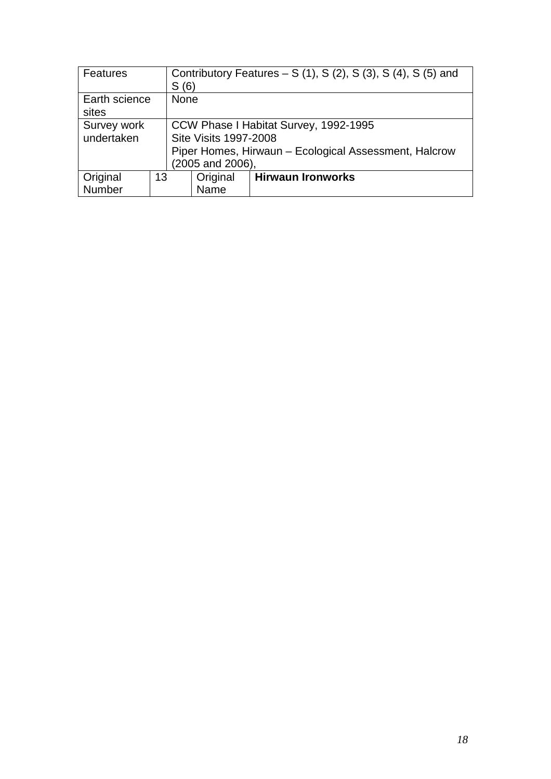| Features      |    | Contributory Features – S $(1)$ , S $(2)$ , S $(3)$ , S $(4)$ , S $(5)$ and |      |                          |  |
|---------------|----|-----------------------------------------------------------------------------|------|--------------------------|--|
|               |    | S(6)                                                                        |      |                          |  |
| Earth science |    | <b>None</b>                                                                 |      |                          |  |
| sites         |    |                                                                             |      |                          |  |
| Survey work   |    | CCW Phase I Habitat Survey, 1992-1995                                       |      |                          |  |
| undertaken    |    | Site Visits 1997-2008                                                       |      |                          |  |
|               |    | Piper Homes, Hirwaun - Ecological Assessment, Halcrow                       |      |                          |  |
|               |    | (2005 and 2006),                                                            |      |                          |  |
| Original      | 13 | Original                                                                    |      | <b>Hirwaun Ironworks</b> |  |
| Number        |    |                                                                             | Name |                          |  |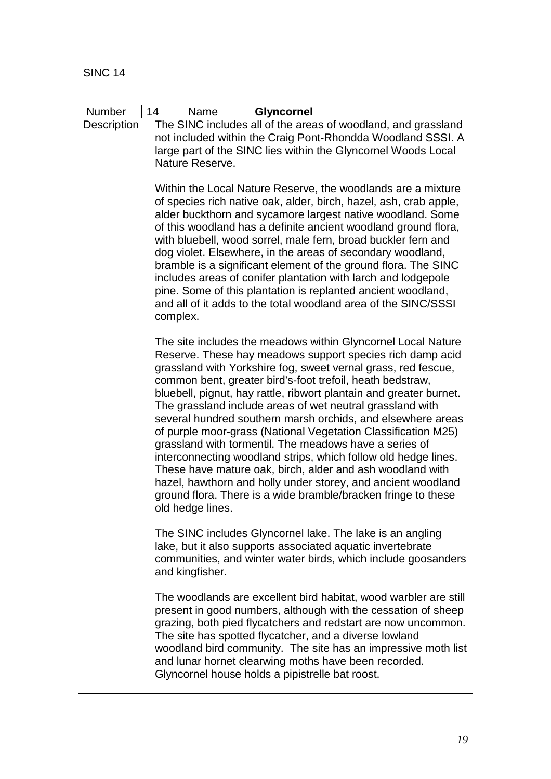| Number             | 14<br>Name<br><b>Glyncornel</b>                                                                                                                                                                                                                                                                                                                                                                                                                                                                                                                                                                                                                                                                                                                                                                                                                                          |
|--------------------|--------------------------------------------------------------------------------------------------------------------------------------------------------------------------------------------------------------------------------------------------------------------------------------------------------------------------------------------------------------------------------------------------------------------------------------------------------------------------------------------------------------------------------------------------------------------------------------------------------------------------------------------------------------------------------------------------------------------------------------------------------------------------------------------------------------------------------------------------------------------------|
| <b>Description</b> | The SINC includes all of the areas of woodland, and grassland                                                                                                                                                                                                                                                                                                                                                                                                                                                                                                                                                                                                                                                                                                                                                                                                            |
|                    | not included within the Craig Pont-Rhondda Woodland SSSI. A<br>large part of the SINC lies within the Glyncornel Woods Local                                                                                                                                                                                                                                                                                                                                                                                                                                                                                                                                                                                                                                                                                                                                             |
|                    | Nature Reserve.                                                                                                                                                                                                                                                                                                                                                                                                                                                                                                                                                                                                                                                                                                                                                                                                                                                          |
|                    |                                                                                                                                                                                                                                                                                                                                                                                                                                                                                                                                                                                                                                                                                                                                                                                                                                                                          |
|                    | Within the Local Nature Reserve, the woodlands are a mixture<br>of species rich native oak, alder, birch, hazel, ash, crab apple,<br>alder buckthorn and sycamore largest native woodland. Some<br>of this woodland has a definite ancient woodland ground flora,<br>with bluebell, wood sorrel, male fern, broad buckler fern and<br>dog violet. Elsewhere, in the areas of secondary woodland,<br>bramble is a significant element of the ground flora. The SINC<br>includes areas of conifer plantation with larch and lodgepole<br>pine. Some of this plantation is replanted ancient woodland,<br>and all of it adds to the total woodland area of the SINC/SSSI<br>complex.                                                                                                                                                                                        |
|                    | The site includes the meadows within Glyncornel Local Nature<br>Reserve. These hay meadows support species rich damp acid<br>grassland with Yorkshire fog, sweet vernal grass, red fescue,<br>common bent, greater bird's-foot trefoil, heath bedstraw,<br>bluebell, pignut, hay rattle, ribwort plantain and greater burnet.<br>The grassland include areas of wet neutral grassland with<br>several hundred southern marsh orchids, and elsewhere areas<br>of purple moor-grass (National Vegetation Classification M25)<br>grassland with tormentil. The meadows have a series of<br>interconnecting woodland strips, which follow old hedge lines.<br>These have mature oak, birch, alder and ash woodland with<br>hazel, hawthorn and holly under storey, and ancient woodland<br>ground flora. There is a wide bramble/bracken fringe to these<br>old hedge lines. |
|                    | The SINC includes Glyncornel lake. The lake is an angling<br>lake, but it also supports associated aquatic invertebrate<br>communities, and winter water birds, which include goosanders<br>and kingfisher.                                                                                                                                                                                                                                                                                                                                                                                                                                                                                                                                                                                                                                                              |
|                    | The woodlands are excellent bird habitat, wood warbler are still<br>present in good numbers, although with the cessation of sheep<br>grazing, both pied flycatchers and redstart are now uncommon.<br>The site has spotted flycatcher, and a diverse lowland<br>woodland bird community. The site has an impressive moth list<br>and lunar hornet clearwing moths have been recorded.<br>Glyncornel house holds a pipistrelle bat roost.                                                                                                                                                                                                                                                                                                                                                                                                                                 |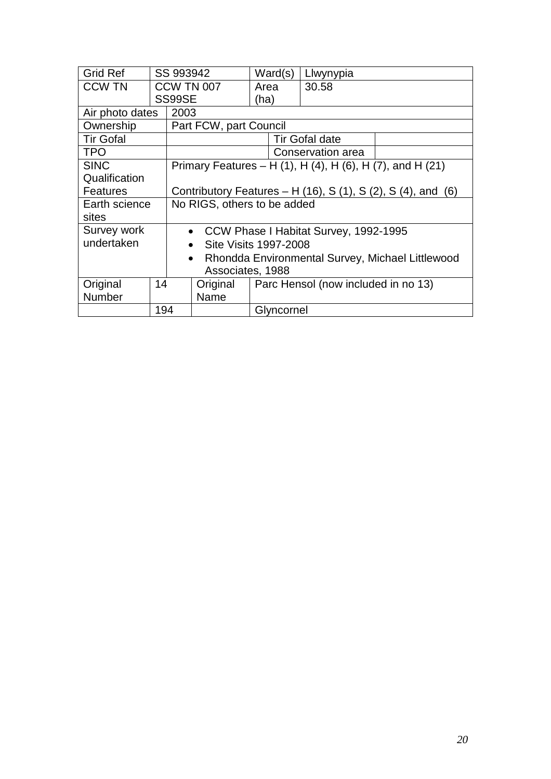| <b>Grid Ref</b>  |     | SS 993942                                                     |                        | Ward(s)                             |  | Llwynypia                                                 |  |
|------------------|-----|---------------------------------------------------------------|------------------------|-------------------------------------|--|-----------------------------------------------------------|--|
| <b>CCW TN</b>    |     | <b>CCW TN 007</b>                                             |                        | Area                                |  | 30.58                                                     |  |
|                  |     | SS99SE                                                        |                        | (ha)                                |  |                                                           |  |
| Air photo dates  |     | 2003                                                          |                        |                                     |  |                                                           |  |
| Ownership        |     |                                                               | Part FCW, part Council |                                     |  |                                                           |  |
| <b>Tir Gofal</b> |     |                                                               |                        |                                     |  | <b>Tir Gofal date</b>                                     |  |
| <b>TPO</b>       |     |                                                               |                        |                                     |  | Conservation area                                         |  |
| <b>SINC</b>      |     |                                                               |                        |                                     |  | Primary Features – H (1), H (4), H (6), H (7), and H (21) |  |
| Qualification    |     |                                                               |                        |                                     |  |                                                           |  |
| <b>Features</b>  |     | Contributory Features – H (16), S (1), S (2), S (4), and (6)  |                        |                                     |  |                                                           |  |
| Earth science    |     | No RIGS, others to be added                                   |                        |                                     |  |                                                           |  |
| sites            |     |                                                               |                        |                                     |  |                                                           |  |
| Survey work      |     | • CCW Phase I Habitat Survey, 1992-1995                       |                        |                                     |  |                                                           |  |
| undertaken       |     | Site Visits 1997-2008<br>$\bullet$                            |                        |                                     |  |                                                           |  |
|                  |     | Rhondda Environmental Survey, Michael Littlewood<br>$\bullet$ |                        |                                     |  |                                                           |  |
|                  |     | Associates, 1988                                              |                        |                                     |  |                                                           |  |
| Original         | 14  |                                                               | Original               | Parc Hensol (now included in no 13) |  |                                                           |  |
| <b>Number</b>    |     |                                                               | Name                   |                                     |  |                                                           |  |
|                  | 194 |                                                               |                        | Glyncornel                          |  |                                                           |  |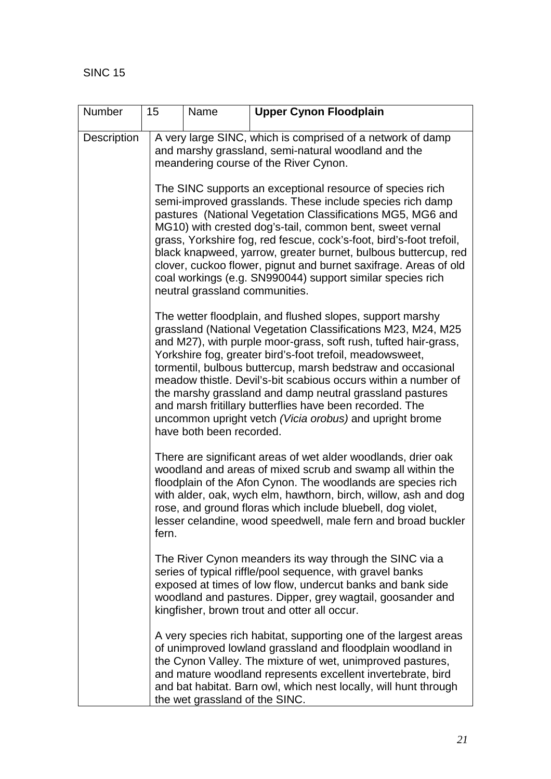| Number             | 15    | Name                                                                                                                                                                                                                                                                                                                                                                                                                                                                                                                                                                                                     | <b>Upper Cynon Floodplain</b>                                                                                                                                                                                                                                                                                                                                                                  |  |  |  |  |  |
|--------------------|-------|----------------------------------------------------------------------------------------------------------------------------------------------------------------------------------------------------------------------------------------------------------------------------------------------------------------------------------------------------------------------------------------------------------------------------------------------------------------------------------------------------------------------------------------------------------------------------------------------------------|------------------------------------------------------------------------------------------------------------------------------------------------------------------------------------------------------------------------------------------------------------------------------------------------------------------------------------------------------------------------------------------------|--|--|--|--|--|
| <b>Description</b> |       | A very large SINC, which is comprised of a network of damp<br>and marshy grassland, semi-natural woodland and the<br>meandering course of the River Cynon.                                                                                                                                                                                                                                                                                                                                                                                                                                               |                                                                                                                                                                                                                                                                                                                                                                                                |  |  |  |  |  |
|                    |       | The SINC supports an exceptional resource of species rich<br>semi-improved grasslands. These include species rich damp<br>pastures (National Vegetation Classifications MG5, MG6 and<br>MG10) with crested dog's-tail, common bent, sweet vernal<br>grass, Yorkshire fog, red fescue, cock's-foot, bird's-foot trefoil,<br>black knapweed, yarrow, greater burnet, bulbous buttercup, red<br>clover, cuckoo flower, pignut and burnet saxifrage. Areas of old<br>coal workings (e.g. SN990044) support similar species rich<br>neutral grassland communities.                                            |                                                                                                                                                                                                                                                                                                                                                                                                |  |  |  |  |  |
|                    |       | The wetter floodplain, and flushed slopes, support marshy<br>grassland (National Vegetation Classifications M23, M24, M25<br>and M27), with purple moor-grass, soft rush, tufted hair-grass,<br>Yorkshire fog, greater bird's-foot trefoil, meadowsweet,<br>tormentil, bulbous buttercup, marsh bedstraw and occasional<br>meadow thistle. Devil's-bit scabious occurs within a number of<br>the marshy grassland and damp neutral grassland pastures<br>and marsh fritillary butterflies have been recorded. The<br>uncommon upright vetch (Vicia orobus) and upright brome<br>have both been recorded. |                                                                                                                                                                                                                                                                                                                                                                                                |  |  |  |  |  |
|                    | fern. |                                                                                                                                                                                                                                                                                                                                                                                                                                                                                                                                                                                                          | There are significant areas of wet alder woodlands, drier oak<br>woodland and areas of mixed scrub and swamp all within the<br>floodplain of the Afon Cynon. The woodlands are species rich<br>with alder, oak, wych elm, hawthorn, birch, willow, ash and dog<br>rose, and ground floras which include bluebell, dog violet,<br>lesser celandine, wood speedwell, male fern and broad buckler |  |  |  |  |  |
|                    |       |                                                                                                                                                                                                                                                                                                                                                                                                                                                                                                                                                                                                          | The River Cynon meanders its way through the SINC via a<br>series of typical riffle/pool sequence, with gravel banks<br>exposed at times of low flow, undercut banks and bank side<br>woodland and pastures. Dipper, grey wagtail, goosander and<br>kingfisher, brown trout and otter all occur.                                                                                               |  |  |  |  |  |
|                    |       | the wet grassland of the SINC.                                                                                                                                                                                                                                                                                                                                                                                                                                                                                                                                                                           | A very species rich habitat, supporting one of the largest areas<br>of unimproved lowland grassland and floodplain woodland in<br>the Cynon Valley. The mixture of wet, unimproved pastures,<br>and mature woodland represents excellent invertebrate, bird<br>and bat habitat. Barn owl, which nest locally, will hunt through                                                                |  |  |  |  |  |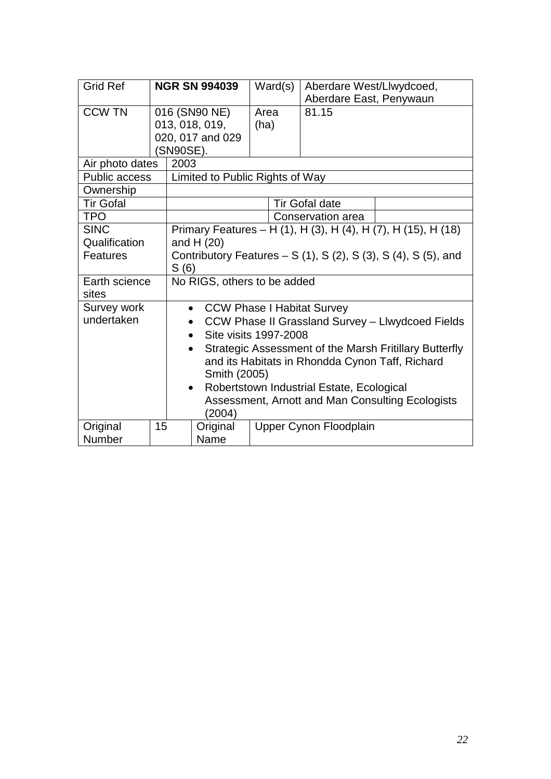| <b>Grid Ref</b>           |    | <b>NGR SN 994039</b>                                                                                                                                                                                                                                           | Ward(s)                | Aberdare West/Llwydcoed,<br>Aberdare East, Penywaun |  |  |  |
|---------------------------|----|----------------------------------------------------------------------------------------------------------------------------------------------------------------------------------------------------------------------------------------------------------------|------------------------|-----------------------------------------------------|--|--|--|
| <b>CCW TN</b>             |    | 016 (SN90 NE)<br>013, 018, 019,<br>020, 017 and 029<br>(SN90SE).                                                                                                                                                                                               | Area<br>(ha)           | 81.15                                               |  |  |  |
| Air photo dates           |    | 2003                                                                                                                                                                                                                                                           |                        |                                                     |  |  |  |
| <b>Public access</b>      |    | Limited to Public Rights of Way                                                                                                                                                                                                                                |                        |                                                     |  |  |  |
| Ownership                 |    |                                                                                                                                                                                                                                                                |                        |                                                     |  |  |  |
| <b>Tir Gofal</b>          |    |                                                                                                                                                                                                                                                                |                        | <b>Tir Gofal date</b>                               |  |  |  |
| <b>TPO</b>                |    |                                                                                                                                                                                                                                                                | Conservation area      |                                                     |  |  |  |
| <b>SINC</b>               |    | Primary Features - H (1), H (3), H (4), H (7), H (15), H (18)                                                                                                                                                                                                  |                        |                                                     |  |  |  |
| Qualification             |    | and $H(20)$                                                                                                                                                                                                                                                    |                        |                                                     |  |  |  |
| Features                  |    | Contributory Features – S $(1)$ , S $(2)$ , S $(3)$ , S $(4)$ , S $(5)$ , and<br>S(6)                                                                                                                                                                          |                        |                                                     |  |  |  |
| Earth science<br>sites    |    | No RIGS, others to be added                                                                                                                                                                                                                                    |                        |                                                     |  |  |  |
| Survey work<br>undertaken |    | • CCW Phase I Habitat Survey<br>CCW Phase II Grassland Survey - Llwydcoed Fields<br>Site visits 1997-2008<br>$\bullet$                                                                                                                                         |                        |                                                     |  |  |  |
|                           |    | Strategic Assessment of the Marsh Fritillary Butterfly<br>$\bullet$<br>and its Habitats in Rhondda Cynon Taff, Richard<br>Smith (2005)<br>Robertstown Industrial Estate, Ecological<br>$\bullet$<br>Assessment, Arnott and Man Consulting Ecologists<br>(2004) |                        |                                                     |  |  |  |
| Original<br>Number        | 15 | Original<br>Name                                                                                                                                                                                                                                               | Upper Cynon Floodplain |                                                     |  |  |  |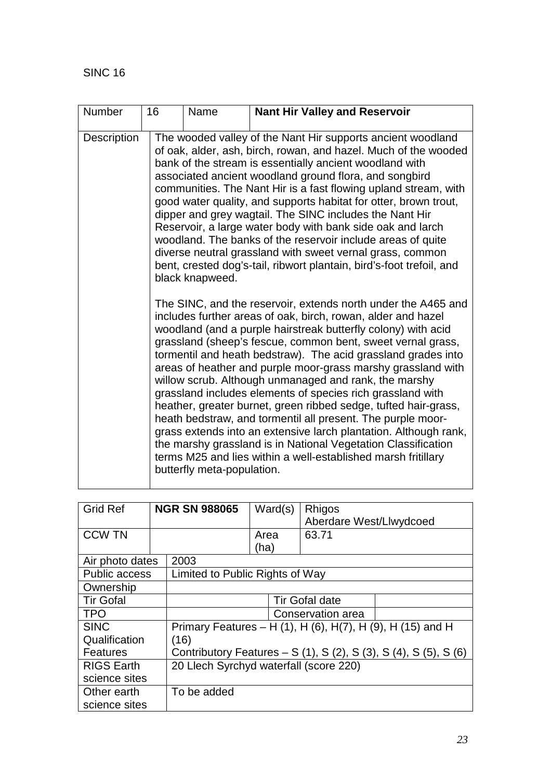| Number      | 16 | Name                       | <b>Nant Hir Valley and Reservoir</b>                                                                                                                                                                                                                                                                                                                                                                                                                                                                                                                                                                                                                                                                                                                                                                                                                          |
|-------------|----|----------------------------|---------------------------------------------------------------------------------------------------------------------------------------------------------------------------------------------------------------------------------------------------------------------------------------------------------------------------------------------------------------------------------------------------------------------------------------------------------------------------------------------------------------------------------------------------------------------------------------------------------------------------------------------------------------------------------------------------------------------------------------------------------------------------------------------------------------------------------------------------------------|
| Description |    | black knapweed.            | The wooded valley of the Nant Hir supports ancient woodland<br>of oak, alder, ash, birch, rowan, and hazel. Much of the wooded<br>bank of the stream is essentially ancient woodland with<br>associated ancient woodland ground flora, and songbird<br>communities. The Nant Hir is a fast flowing upland stream, with<br>good water quality, and supports habitat for otter, brown trout,<br>dipper and grey wagtail. The SINC includes the Nant Hir<br>Reservoir, a large water body with bank side oak and larch<br>woodland. The banks of the reservoir include areas of quite<br>diverse neutral grassland with sweet vernal grass, common<br>bent, crested dog's-tail, ribwort plantain, bird's-foot trefoil, and                                                                                                                                       |
|             |    | butterfly meta-population. | The SINC, and the reservoir, extends north under the A465 and<br>includes further areas of oak, birch, rowan, alder and hazel<br>woodland (and a purple hairstreak butterfly colony) with acid<br>grassland (sheep's fescue, common bent, sweet vernal grass,<br>tormentil and heath bedstraw). The acid grassland grades into<br>areas of heather and purple moor-grass marshy grassland with<br>willow scrub. Although unmanaged and rank, the marshy<br>grassland includes elements of species rich grassland with<br>heather, greater burnet, green ribbed sedge, tufted hair-grass,<br>heath bedstraw, and tormentil all present. The purple moor-<br>grass extends into an extensive larch plantation. Although rank,<br>the marshy grassland is in National Vegetation Classification<br>terms M25 and lies within a well-established marsh fritillary |

| <b>Grid Ref</b>            |  | <b>NGR SN 988065</b>                                             | Ward(s)               | Rhigos                  |  |  |
|----------------------------|--|------------------------------------------------------------------|-----------------------|-------------------------|--|--|
|                            |  |                                                                  |                       | Aberdare West/Llwydcoed |  |  |
| <b>CCW TN</b>              |  |                                                                  | Area                  | 63.71                   |  |  |
|                            |  |                                                                  | (ha)                  |                         |  |  |
| Air photo dates            |  | 2003                                                             |                       |                         |  |  |
| <b>Public access</b>       |  | Limited to Public Rights of Way                                  |                       |                         |  |  |
| Ownership                  |  |                                                                  |                       |                         |  |  |
| <b>Tir Gofal</b>           |  |                                                                  | <b>Tir Gofal date</b> |                         |  |  |
| <b>TPO</b>                 |  |                                                                  | Conservation area     |                         |  |  |
| <b>SINC</b>                |  | Primary Features – H (1), H (6), H(7), H (9), H (15) and H       |                       |                         |  |  |
| Qualification              |  | (16)                                                             |                       |                         |  |  |
| <b>Features</b>            |  | Contributory Features – S (1), S (2), S (3), S (4), S (5), S (6) |                       |                         |  |  |
| <b>RIGS Earth</b>          |  | 20 Llech Syrchyd waterfall (score 220)                           |                       |                         |  |  |
| science sites              |  |                                                                  |                       |                         |  |  |
| Other earth<br>To be added |  |                                                                  |                       |                         |  |  |
| science sites              |  |                                                                  |                       |                         |  |  |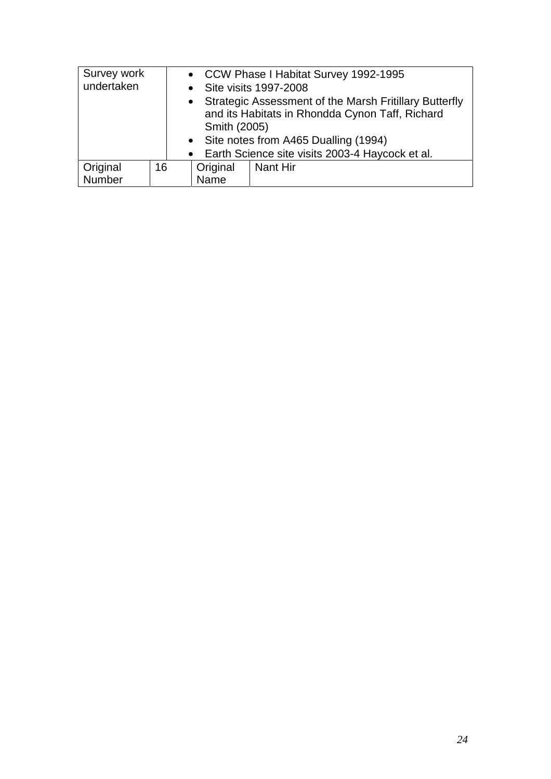| Survey work |    |                                                 |                                                        | • CCW Phase I Habitat Survey 1992-1995 |  |
|-------------|----|-------------------------------------------------|--------------------------------------------------------|----------------------------------------|--|
| undertaken  |    |                                                 | • Site visits 1997-2008                                |                                        |  |
| $\bullet$   |    |                                                 | Strategic Assessment of the Marsh Fritillary Butterfly |                                        |  |
|             |    | and its Habitats in Rhondda Cynon Taff, Richard |                                                        |                                        |  |
|             |    | Smith (2005)                                    |                                                        |                                        |  |
|             |    | • Site notes from A465 Dualling (1994)          |                                                        |                                        |  |
|             |    |                                                 | • Earth Science site visits 2003-4 Haycock et al.      |                                        |  |
| Original    | 16 |                                                 | Original                                               | <b>Nant Hir</b>                        |  |
| Number      |    |                                                 | Name                                                   |                                        |  |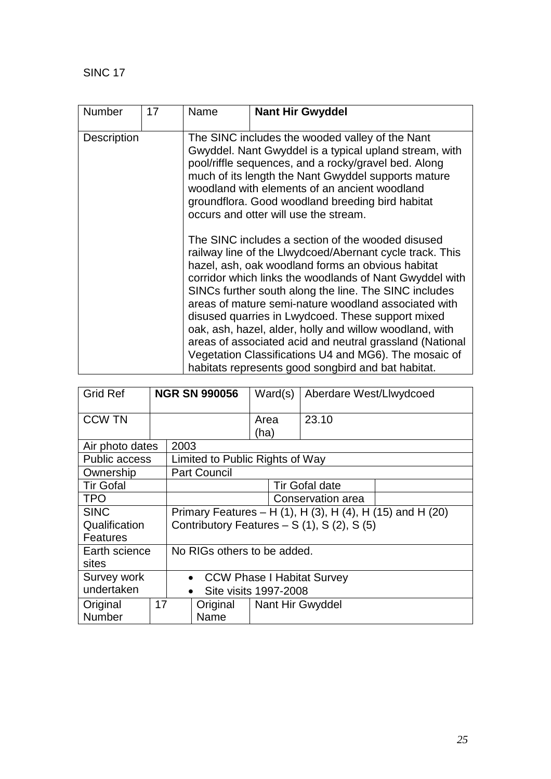SINC 17

| Number             | 17 | Name | <b>Nant Hir Gwyddel</b>                                                                                                                                                                                                                                                                                                                                                                                                                                                                                                                                                                                                                                                                                                                                                                                                                                                                                                                                       |
|--------------------|----|------|---------------------------------------------------------------------------------------------------------------------------------------------------------------------------------------------------------------------------------------------------------------------------------------------------------------------------------------------------------------------------------------------------------------------------------------------------------------------------------------------------------------------------------------------------------------------------------------------------------------------------------------------------------------------------------------------------------------------------------------------------------------------------------------------------------------------------------------------------------------------------------------------------------------------------------------------------------------|
| <b>Description</b> |    |      | The SINC includes the wooded valley of the Nant<br>Gwyddel. Nant Gwyddel is a typical upland stream, with<br>pool/riffle sequences, and a rocky/gravel bed. Along<br>much of its length the Nant Gwyddel supports mature<br>woodland with elements of an ancient woodland<br>groundflora. Good woodland breeding bird habitat<br>occurs and otter will use the stream.<br>The SINC includes a section of the wooded disused<br>railway line of the Llwydcoed/Abernant cycle track. This<br>hazel, ash, oak woodland forms an obvious habitat<br>corridor which links the woodlands of Nant Gwyddel with<br>SINCs further south along the line. The SINC includes<br>areas of mature semi-nature woodland associated with<br>disused quarries in Lwydcoed. These support mixed<br>oak, ash, hazel, alder, holly and willow woodland, with<br>areas of associated acid and neutral grassland (National<br>Vegetation Classifications U4 and MG6). The mosaic of |
|                    |    |      | habitats represents good songbird and bat habitat.                                                                                                                                                                                                                                                                                                                                                                                                                                                                                                                                                                                                                                                                                                                                                                                                                                                                                                            |

| <b>Grid Ref</b>      |    | <b>NGR SN 990056</b>                                      |                                 | Ward(s)      | Aberdare West/Llwydcoed |  |
|----------------------|----|-----------------------------------------------------------|---------------------------------|--------------|-------------------------|--|
| <b>CCW TN</b>        |    |                                                           |                                 | Area<br>(ha) | 23.10                   |  |
| Air photo dates      |    | 2003                                                      |                                 |              |                         |  |
| <b>Public access</b> |    |                                                           | Limited to Public Rights of Way |              |                         |  |
| Ownership            |    |                                                           | <b>Part Council</b>             |              |                         |  |
| <b>Tir Gofal</b>     |    |                                                           | <b>Tir Gofal date</b>           |              |                         |  |
| <b>TPO</b>           |    |                                                           | Conservation area               |              |                         |  |
| <b>SINC</b>          |    | Primary Features - H (1), H (3), H (4), H (15) and H (20) |                                 |              |                         |  |
| Qualification        |    | Contributory Features $- S(1)$ , S $(2)$ , S $(5)$        |                                 |              |                         |  |
| <b>Features</b>      |    |                                                           |                                 |              |                         |  |
| Earth science        |    | No RIGs others to be added.                               |                                 |              |                         |  |
| sites                |    |                                                           |                                 |              |                         |  |
| Survey work          |    | <b>CCW Phase I Habitat Survey</b><br>$\bullet$            |                                 |              |                         |  |
| undertaken           |    |                                                           | Site visits 1997-2008           |              |                         |  |
| Original             | 17 |                                                           | Original                        |              | Nant Hir Gwyddel        |  |
| <b>Number</b>        |    |                                                           | Name                            |              |                         |  |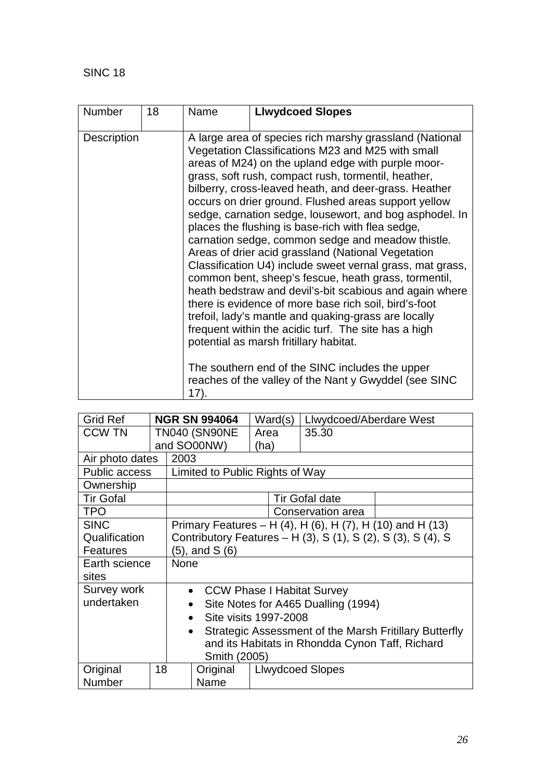| <b>Number</b>      | 18 | Name | <b>Llwydcoed Slopes</b>                                                                                                                                                                                                                                                                                                                                                                                                                                                                                                                                                                                                                                                                                                                                                                                                                                                                                                                                                                                                                                                              |
|--------------------|----|------|--------------------------------------------------------------------------------------------------------------------------------------------------------------------------------------------------------------------------------------------------------------------------------------------------------------------------------------------------------------------------------------------------------------------------------------------------------------------------------------------------------------------------------------------------------------------------------------------------------------------------------------------------------------------------------------------------------------------------------------------------------------------------------------------------------------------------------------------------------------------------------------------------------------------------------------------------------------------------------------------------------------------------------------------------------------------------------------|
| <b>Description</b> |    | 17). | A large area of species rich marshy grassland (National<br>Vegetation Classifications M23 and M25 with small<br>areas of M24) on the upland edge with purple moor-<br>grass, soft rush, compact rush, tormentil, heather,<br>bilberry, cross-leaved heath, and deer-grass. Heather<br>occurs on drier ground. Flushed areas support yellow<br>sedge, carnation sedge, lousewort, and bog asphodel. In<br>places the flushing is base-rich with flea sedge,<br>carnation sedge, common sedge and meadow thistle.<br>Areas of drier acid grassland (National Vegetation<br>Classification U4) include sweet vernal grass, mat grass,<br>common bent, sheep's fescue, heath grass, tormentil,<br>heath bedstraw and devil's-bit scabious and again where<br>there is evidence of more base rich soil, bird's-foot<br>trefoil, lady's mantle and quaking-grass are locally<br>frequent within the acidic turf. The site has a high<br>potential as marsh fritillary habitat.<br>The southern end of the SINC includes the upper<br>reaches of the valley of the Nant y Gwyddel (see SINC |

| <b>Grid Ref</b>  |    |                                                                     | <b>NGR SN 994064</b>            |      | Ward(s) | Llwydcoed/Aberdare West |                                                           |  |
|------------------|----|---------------------------------------------------------------------|---------------------------------|------|---------|-------------------------|-----------------------------------------------------------|--|
| <b>CCW TN</b>    |    |                                                                     | <b>TN040 (SN90NE</b>            | Area |         | 35.30                   |                                                           |  |
|                  |    |                                                                     | and SO00NW)                     | (ha) |         |                         |                                                           |  |
| Air photo dates  |    | 2003                                                                |                                 |      |         |                         |                                                           |  |
| Public access    |    |                                                                     | Limited to Public Rights of Way |      |         |                         |                                                           |  |
| Ownership        |    |                                                                     |                                 |      |         |                         |                                                           |  |
| <b>Tir Gofal</b> |    |                                                                     |                                 |      |         | Tir Gofal date          |                                                           |  |
| <b>TPO</b>       |    |                                                                     |                                 |      |         | Conservation area       |                                                           |  |
| <b>SINC</b>      |    |                                                                     |                                 |      |         |                         | Primary Features – H (4), H (6), H (7), H (10) and H (13) |  |
| Qualification    |    | Contributory Features - H (3), S (1), S (2), S (3), S (4), S        |                                 |      |         |                         |                                                           |  |
| <b>Features</b>  |    | (5), and S (6)                                                      |                                 |      |         |                         |                                                           |  |
| Earth science    |    | <b>None</b>                                                         |                                 |      |         |                         |                                                           |  |
| sites            |    |                                                                     |                                 |      |         |                         |                                                           |  |
| Survey work      |    | <b>CCW Phase I Habitat Survey</b><br>$\bullet$                      |                                 |      |         |                         |                                                           |  |
| undertaken       |    | Site Notes for A465 Dualling (1994)<br>$\bullet$                    |                                 |      |         |                         |                                                           |  |
|                  |    | Site visits 1997-2008<br>$\bullet$                                  |                                 |      |         |                         |                                                           |  |
|                  |    | Strategic Assessment of the Marsh Fritillary Butterfly<br>$\bullet$ |                                 |      |         |                         |                                                           |  |
|                  |    | and its Habitats in Rhondda Cynon Taff, Richard                     |                                 |      |         |                         |                                                           |  |
|                  |    | Smith (2005)                                                        |                                 |      |         |                         |                                                           |  |
| Original         | 18 |                                                                     | Original                        |      |         | <b>Llwydcoed Slopes</b> |                                                           |  |
| Number           |    |                                                                     | Name                            |      |         |                         |                                                           |  |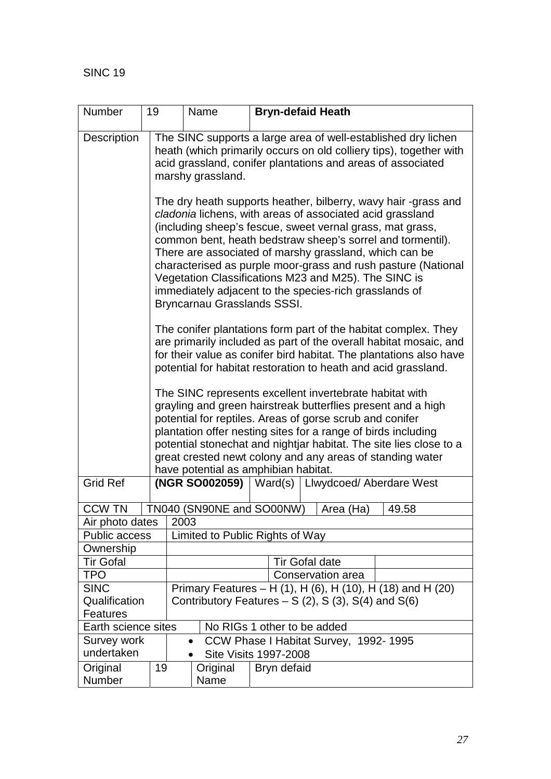| Number                         | 19                                                   |                                                                                                                                                                                                                                                                                                                                                                                                                                                                | Name                         |  |             | <b>Bryn-defaid Heath</b>                               |
|--------------------------------|------------------------------------------------------|----------------------------------------------------------------------------------------------------------------------------------------------------------------------------------------------------------------------------------------------------------------------------------------------------------------------------------------------------------------------------------------------------------------------------------------------------------------|------------------------------|--|-------------|--------------------------------------------------------|
| Description                    |                                                      | The SINC supports a large area of well-established dry lichen<br>heath (which primarily occurs on old colliery tips), together with<br>acid grassland, conifer plantations and areas of associated                                                                                                                                                                                                                                                             |                              |  |             |                                                        |
|                                |                                                      | marshy grassland.<br>The dry heath supports heather, bilberry, wavy hair -grass and<br>cladonia lichens, with areas of associated acid grassland<br>(including sheep's fescue, sweet vernal grass, mat grass,<br>common bent, heath bedstraw sheep's sorrel and tormentil).<br>There are associated of marshy grassland, which can be<br>characterised as purple moor-grass and rush pasture (National<br>Vegetation Classifications M23 and M25). The SINC is |                              |  |             |                                                        |
|                                |                                                      |                                                                                                                                                                                                                                                                                                                                                                                                                                                                | Bryncarnau Grasslands SSSI.  |  |             | immediately adjacent to the species-rich grasslands of |
|                                |                                                      | The conifer plantations form part of the habitat complex. They<br>are primarily included as part of the overall habitat mosaic, and<br>for their value as conifer bird habitat. The plantations also have<br>potential for habitat restoration to heath and acid grassland.                                                                                                                                                                                    |                              |  |             |                                                        |
|                                |                                                      | The SINC represents excellent invertebrate habitat with<br>grayling and green hairstreak butterflies present and a high<br>potential for reptiles. Areas of gorse scrub and conifer<br>plantation offer nesting sites for a range of birds including<br>potential stonechat and nightjar habitat. The site lies close to a<br>great crested newt colony and any areas of standing water<br>have potential as amphibian habitat.                                |                              |  |             |                                                        |
| <b>Grid Ref</b>                |                                                      |                                                                                                                                                                                                                                                                                                                                                                                                                                                                | (NGR SO002059)               |  | Ward(s)     | Llwydcoed/ Aberdare West                               |
| CCW TN                         |                                                      |                                                                                                                                                                                                                                                                                                                                                                                                                                                                | TN040 (SN90NE and SO00NW)    |  |             | Area (Ha)<br>49.58                                     |
| Air photo dates                |                                                      | 2003                                                                                                                                                                                                                                                                                                                                                                                                                                                           |                              |  |             |                                                        |
| <b>Public access</b>           |                                                      | Limited to Public Rights of Way                                                                                                                                                                                                                                                                                                                                                                                                                                |                              |  |             |                                                        |
| Ownership                      |                                                      |                                                                                                                                                                                                                                                                                                                                                                                                                                                                |                              |  |             |                                                        |
| <b>Tir Gofal</b><br><b>TPO</b> | <b>Tir Gofal date</b><br>Conservation area           |                                                                                                                                                                                                                                                                                                                                                                                                                                                                |                              |  |             |                                                        |
| <b>SINC</b>                    |                                                      |                                                                                                                                                                                                                                                                                                                                                                                                                                                                |                              |  |             |                                                        |
| Qualification                  |                                                      | Primary Features – H (1), H (6), H (10), H (18) and H (20)                                                                                                                                                                                                                                                                                                                                                                                                     |                              |  |             |                                                        |
| Features                       | Contributory Features $- S(2)$ , S(3), S(4) and S(6) |                                                                                                                                                                                                                                                                                                                                                                                                                                                                |                              |  |             |                                                        |
| Earth science sites            |                                                      |                                                                                                                                                                                                                                                                                                                                                                                                                                                                |                              |  |             | No RIGs 1 other to be added                            |
| Survey work                    |                                                      |                                                                                                                                                                                                                                                                                                                                                                                                                                                                | $\bullet$                    |  |             | CCW Phase I Habitat Survey, 1992-1995                  |
| undertaken                     |                                                      |                                                                                                                                                                                                                                                                                                                                                                                                                                                                | <b>Site Visits 1997-2008</b> |  |             |                                                        |
| Original<br>Number             | 19                                                   |                                                                                                                                                                                                                                                                                                                                                                                                                                                                | Original<br>Name             |  | Bryn defaid |                                                        |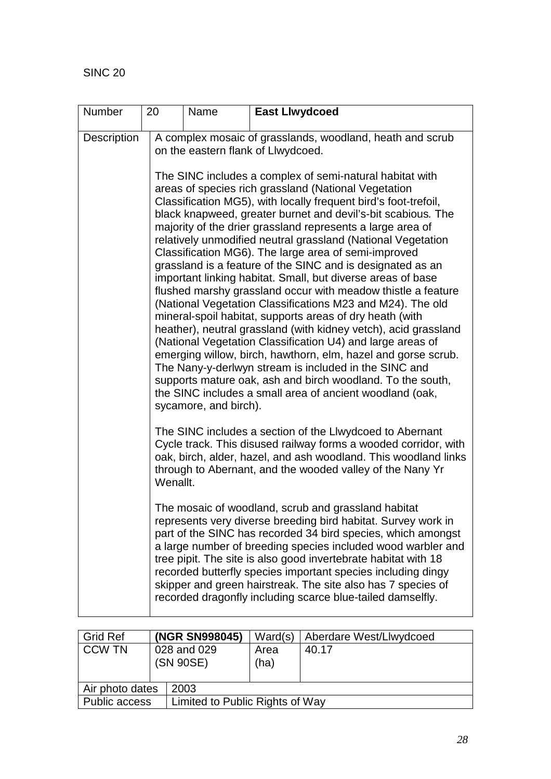| Number      | 20                                                                                                                                                                                                                                                                      | Name                                                                                                                                                                                                                                                                                                                                                                                                                                                                                                                                                                                                                                                                                                                                                                                                                                                                                                                                                                                                                                                                                                                                                                                                                                                                              | <b>East Llwydcoed</b>                                                                                                                                                                                                                                                                                                                                                                                                                                                                                                |  |  |  |
|-------------|-------------------------------------------------------------------------------------------------------------------------------------------------------------------------------------------------------------------------------------------------------------------------|-----------------------------------------------------------------------------------------------------------------------------------------------------------------------------------------------------------------------------------------------------------------------------------------------------------------------------------------------------------------------------------------------------------------------------------------------------------------------------------------------------------------------------------------------------------------------------------------------------------------------------------------------------------------------------------------------------------------------------------------------------------------------------------------------------------------------------------------------------------------------------------------------------------------------------------------------------------------------------------------------------------------------------------------------------------------------------------------------------------------------------------------------------------------------------------------------------------------------------------------------------------------------------------|----------------------------------------------------------------------------------------------------------------------------------------------------------------------------------------------------------------------------------------------------------------------------------------------------------------------------------------------------------------------------------------------------------------------------------------------------------------------------------------------------------------------|--|--|--|
| Description |                                                                                                                                                                                                                                                                         | A complex mosaic of grasslands, woodland, heath and scrub<br>on the eastern flank of Llwydcoed.<br>The SINC includes a complex of semi-natural habitat with<br>areas of species rich grassland (National Vegetation<br>Classification MG5), with locally frequent bird's foot-trefoil,<br>black knapweed, greater burnet and devil's-bit scabious. The<br>majority of the drier grassland represents a large area of<br>relatively unmodified neutral grassland (National Vegetation<br>Classification MG6). The large area of semi-improved<br>grassland is a feature of the SINC and is designated as an<br>important linking habitat. Small, but diverse areas of base<br>flushed marshy grassland occur with meadow thistle a feature<br>(National Vegetation Classifications M23 and M24). The old<br>mineral-spoil habitat, supports areas of dry heath (with<br>heather), neutral grassland (with kidney vetch), acid grassland<br>(National Vegetation Classification U4) and large areas of<br>emerging willow, birch, hawthorn, elm, hazel and gorse scrub.<br>The Nany-y-derlwyn stream is included in the SINC and<br>supports mature oak, ash and birch woodland. To the south,<br>the SINC includes a small area of ancient woodland (oak,<br>sycamore, and birch). |                                                                                                                                                                                                                                                                                                                                                                                                                                                                                                                      |  |  |  |
|             |                                                                                                                                                                                                                                                                         |                                                                                                                                                                                                                                                                                                                                                                                                                                                                                                                                                                                                                                                                                                                                                                                                                                                                                                                                                                                                                                                                                                                                                                                                                                                                                   |                                                                                                                                                                                                                                                                                                                                                                                                                                                                                                                      |  |  |  |
|             | The SINC includes a section of the Llwydcoed to Abernant<br>Cycle track. This disused railway forms a wooded corridor, with<br>oak, birch, alder, hazel, and ash woodland. This woodland links<br>through to Abernant, and the wooded valley of the Nany Yr<br>Wenallt. |                                                                                                                                                                                                                                                                                                                                                                                                                                                                                                                                                                                                                                                                                                                                                                                                                                                                                                                                                                                                                                                                                                                                                                                                                                                                                   |                                                                                                                                                                                                                                                                                                                                                                                                                                                                                                                      |  |  |  |
|             |                                                                                                                                                                                                                                                                         |                                                                                                                                                                                                                                                                                                                                                                                                                                                                                                                                                                                                                                                                                                                                                                                                                                                                                                                                                                                                                                                                                                                                                                                                                                                                                   | The mosaic of woodland, scrub and grassland habitat<br>represents very diverse breeding bird habitat. Survey work in<br>part of the SINC has recorded 34 bird species, which amongst<br>a large number of breeding species included wood warbler and<br>tree pipit. The site is also good invertebrate habitat with 18<br>recorded butterfly species important species including dingy<br>skipper and green hairstreak. The site also has 7 species of<br>recorded dragonfly including scarce blue-tailed damselfly. |  |  |  |

| <b>Grid Ref</b>         |             | (NGR SN998045)                  | Ward(s) | Aberdare West/Llwydcoed |  |
|-------------------------|-------------|---------------------------------|---------|-------------------------|--|
| <b>CCW TN</b>           | 028 and 029 |                                 | Area    | 40.17                   |  |
|                         |             | (SN 90SE)                       | (ha)    |                         |  |
|                         |             |                                 |         |                         |  |
| Air photo dates<br>2003 |             |                                 |         |                         |  |
| <b>Public access</b>    |             | Limited to Public Rights of Way |         |                         |  |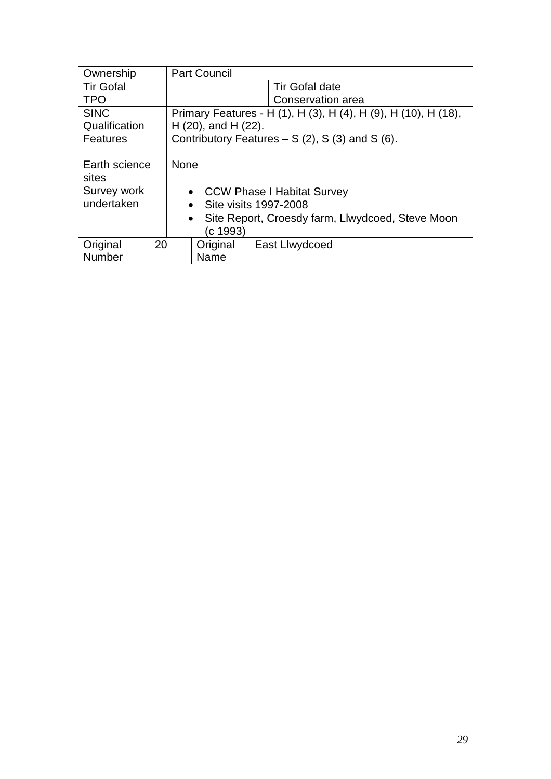| Ownership             |    | <b>Part Council</b>                                            |                         |                       |  |
|-----------------------|----|----------------------------------------------------------------|-------------------------|-----------------------|--|
| <b>Tir Gofal</b>      |    |                                                                |                         | <b>Tir Gofal date</b> |  |
| <b>TPO</b>            |    | Conservation area                                              |                         |                       |  |
| <b>SINC</b>           |    | Primary Features - H (1), H (3), H (4), H (9), H (10), H (18), |                         |                       |  |
| Qualification         |    |                                                                | $H(20)$ , and $H(22)$ . |                       |  |
| Features              |    | Contributory Features $- S(2)$ , S(3) and S(6).                |                         |                       |  |
|                       |    |                                                                |                         |                       |  |
| Earth science         |    | <b>None</b>                                                    |                         |                       |  |
| sites                 |    |                                                                |                         |                       |  |
| Survey work           |    | • CCW Phase I Habitat Survey                                   |                         |                       |  |
| undertaken            |    | Site visits 1997-2008<br>$\bullet$                             |                         |                       |  |
|                       |    | Site Report, Croesdy farm, Llwydcoed, Steve Moon<br>$\bullet$  |                         |                       |  |
|                       |    |                                                                | (c 1993)                |                       |  |
| Original              | 20 |                                                                | Original                | East Llwydcoed        |  |
| <b>Number</b><br>Name |    |                                                                |                         |                       |  |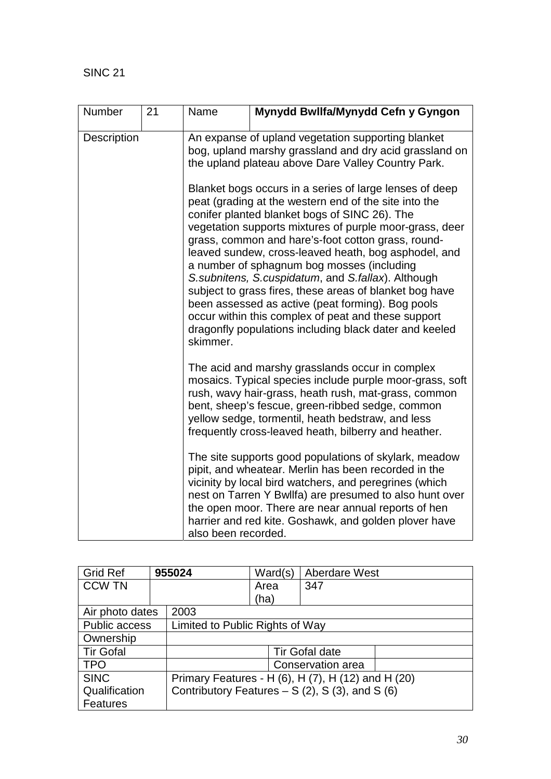| Number      | 21 | Name                                                                                                                                                               | Mynydd Bwllfa/Mynydd Cefn y Gyngon                                                                                                                                                                                                                                                                                                                                                                                                                                                                                                                                                                                                                                                 |  |  |  |
|-------------|----|--------------------------------------------------------------------------------------------------------------------------------------------------------------------|------------------------------------------------------------------------------------------------------------------------------------------------------------------------------------------------------------------------------------------------------------------------------------------------------------------------------------------------------------------------------------------------------------------------------------------------------------------------------------------------------------------------------------------------------------------------------------------------------------------------------------------------------------------------------------|--|--|--|
| Description |    | An expanse of upland vegetation supporting blanket<br>bog, upland marshy grassland and dry acid grassland on<br>the upland plateau above Dare Valley Country Park. |                                                                                                                                                                                                                                                                                                                                                                                                                                                                                                                                                                                                                                                                                    |  |  |  |
|             |    | skimmer.                                                                                                                                                           | Blanket bogs occurs in a series of large lenses of deep<br>peat (grading at the western end of the site into the<br>conifer planted blanket bogs of SINC 26). The<br>vegetation supports mixtures of purple moor-grass, deer<br>grass, common and hare's-foot cotton grass, round-<br>leaved sundew, cross-leaved heath, bog asphodel, and<br>a number of sphagnum bog mosses (including<br>S. subnitens, S. cuspidatum, and S. fallax). Although<br>subject to grass fires, these areas of blanket bog have<br>been assessed as active (peat forming). Bog pools<br>occur within this complex of peat and these support<br>dragonfly populations including black dater and keeled |  |  |  |
|             |    |                                                                                                                                                                    | The acid and marshy grasslands occur in complex<br>mosaics. Typical species include purple moor-grass, soft<br>rush, wavy hair-grass, heath rush, mat-grass, common<br>bent, sheep's fescue, green-ribbed sedge, common<br>yellow sedge, tormentil, heath bedstraw, and less<br>frequently cross-leaved heath, bilberry and heather.                                                                                                                                                                                                                                                                                                                                               |  |  |  |
|             |    | also been recorded.                                                                                                                                                | The site supports good populations of skylark, meadow<br>pipit, and wheatear. Merlin has been recorded in the<br>vicinity by local bird watchers, and peregrines (which<br>nest on Tarren Y Bwllfa) are presumed to also hunt over<br>the open moor. There are near annual reports of hen<br>harrier and red kite. Goshawk, and golden plover have                                                                                                                                                                                                                                                                                                                                 |  |  |  |

| <b>Grid Ref</b>  | 955024 |                                                    | Ward(s) | <b>Aberdare West</b>                            |  |
|------------------|--------|----------------------------------------------------|---------|-------------------------------------------------|--|
| <b>CCW TN</b>    |        |                                                    | Area    | 347                                             |  |
|                  |        |                                                    | (ha)    |                                                 |  |
| Air photo dates  |        | 2003                                               |         |                                                 |  |
| Public access    |        | Limited to Public Rights of Way                    |         |                                                 |  |
| Ownership        |        |                                                    |         |                                                 |  |
| <b>Tir Gofal</b> |        |                                                    |         | Tir Gofal date                                  |  |
| <b>TPO</b>       |        |                                                    |         | Conservation area                               |  |
| <b>SINC</b>      |        | Primary Features - H (6), H (7), H (12) and H (20) |         |                                                 |  |
| Qualification    |        |                                                    |         | Contributory Features $- S(2)$ , S(3), and S(6) |  |
| <b>Features</b>  |        |                                                    |         |                                                 |  |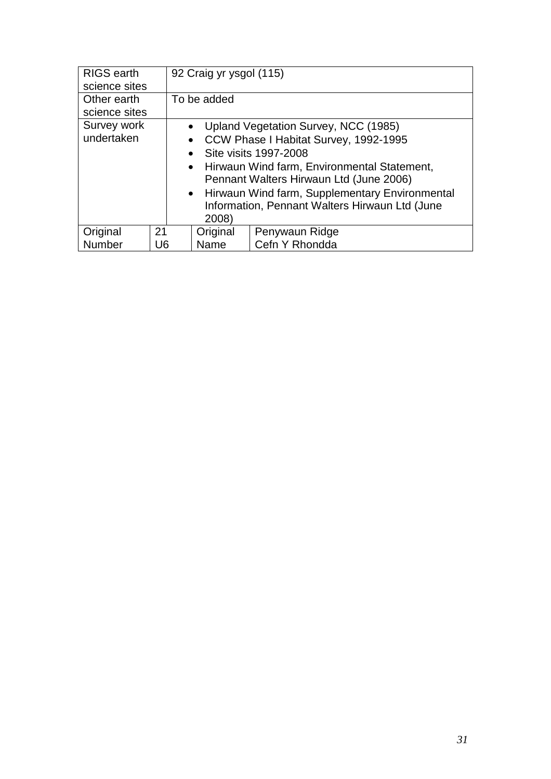| RIGS earth<br>science sites  |    | 92 Craig yr ysgol (115)                                                                                                                                                                                                                                                                                                                                  |                |  |
|------------------------------|----|----------------------------------------------------------------------------------------------------------------------------------------------------------------------------------------------------------------------------------------------------------------------------------------------------------------------------------------------------------|----------------|--|
| Other earth<br>science sites |    | To be added                                                                                                                                                                                                                                                                                                                                              |                |  |
| Survey work<br>undertaken    |    | Upland Vegetation Survey, NCC (1985)<br>$\bullet$<br>CCW Phase I Habitat Survey, 1992-1995<br>$\bullet$<br>Site visits 1997-2008<br>$\bullet$<br>• Hirwaun Wind farm, Environmental Statement,<br>Pennant Walters Hirwaun Ltd (June 2006)<br>• Hirwaun Wind farm, Supplementary Environmental<br>Information, Pennant Walters Hirwaun Ltd (June<br>2008) |                |  |
|                              |    |                                                                                                                                                                                                                                                                                                                                                          |                |  |
| Original                     | 21 | Original                                                                                                                                                                                                                                                                                                                                                 | Penywaun Ridge |  |
| Number                       | U6 | Name                                                                                                                                                                                                                                                                                                                                                     | Cefn Y Rhondda |  |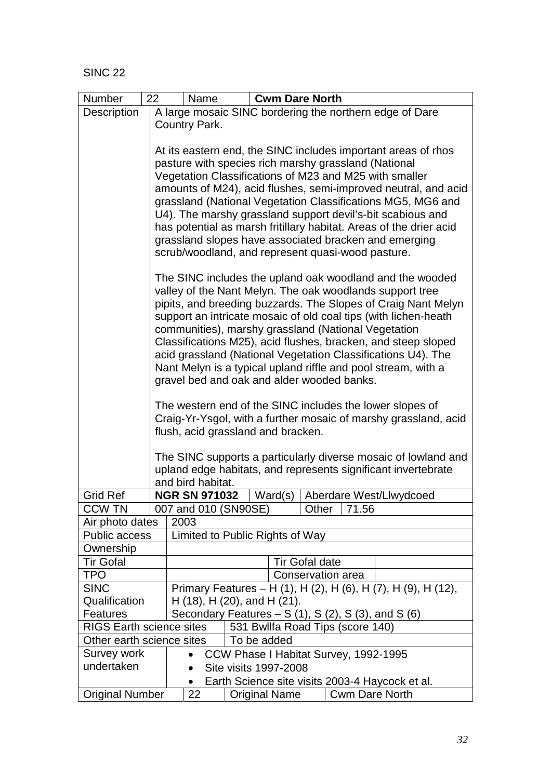| Number                                  | 22                                                   | Name                                                            | <b>Cwm Dare North</b>                                                                                                            |  |  |  |  |
|-----------------------------------------|------------------------------------------------------|-----------------------------------------------------------------|----------------------------------------------------------------------------------------------------------------------------------|--|--|--|--|
| Description                             |                                                      |                                                                 | A large mosaic SINC bordering the northern edge of Dare                                                                          |  |  |  |  |
|                                         |                                                      | Country Park.                                                   |                                                                                                                                  |  |  |  |  |
|                                         |                                                      |                                                                 |                                                                                                                                  |  |  |  |  |
|                                         |                                                      |                                                                 | At its eastern end, the SINC includes important areas of rhos                                                                    |  |  |  |  |
|                                         | pasture with species rich marshy grassland (National |                                                                 |                                                                                                                                  |  |  |  |  |
|                                         |                                                      | Vegetation Classifications of M23 and M25 with smaller          |                                                                                                                                  |  |  |  |  |
|                                         |                                                      |                                                                 | amounts of M24), acid flushes, semi-improved neutral, and acid                                                                   |  |  |  |  |
|                                         |                                                      |                                                                 | grassland (National Vegetation Classifications MG5, MG6 and                                                                      |  |  |  |  |
|                                         |                                                      |                                                                 | U4). The marshy grassland support devil's-bit scabious and<br>has potential as marsh fritillary habitat. Areas of the drier acid |  |  |  |  |
|                                         |                                                      |                                                                 | grassland slopes have associated bracken and emerging                                                                            |  |  |  |  |
|                                         |                                                      |                                                                 | scrub/woodland, and represent quasi-wood pasture.                                                                                |  |  |  |  |
|                                         |                                                      |                                                                 |                                                                                                                                  |  |  |  |  |
|                                         |                                                      |                                                                 | The SINC includes the upland oak woodland and the wooded                                                                         |  |  |  |  |
|                                         |                                                      |                                                                 | valley of the Nant Melyn. The oak woodlands support tree                                                                         |  |  |  |  |
|                                         |                                                      |                                                                 | pipits, and breeding buzzards. The Slopes of Craig Nant Melyn                                                                    |  |  |  |  |
|                                         |                                                      |                                                                 | support an intricate mosaic of old coal tips (with lichen-heath                                                                  |  |  |  |  |
|                                         |                                                      |                                                                 | communities), marshy grassland (National Vegetation                                                                              |  |  |  |  |
|                                         |                                                      |                                                                 | Classifications M25), acid flushes, bracken, and steep sloped                                                                    |  |  |  |  |
|                                         |                                                      |                                                                 | acid grassland (National Vegetation Classifications U4). The<br>Nant Melyn is a typical upland riffle and pool stream, with a    |  |  |  |  |
|                                         |                                                      |                                                                 | gravel bed and oak and alder wooded banks.                                                                                       |  |  |  |  |
|                                         |                                                      |                                                                 |                                                                                                                                  |  |  |  |  |
|                                         |                                                      | The western end of the SINC includes the lower slopes of        |                                                                                                                                  |  |  |  |  |
|                                         |                                                      | Craig-Yr-Ysgol, with a further mosaic of marshy grassland, acid |                                                                                                                                  |  |  |  |  |
|                                         |                                                      | flush, acid grassland and bracken.                              |                                                                                                                                  |  |  |  |  |
|                                         |                                                      |                                                                 |                                                                                                                                  |  |  |  |  |
|                                         |                                                      |                                                                 | The SINC supports a particularly diverse mosaic of lowland and                                                                   |  |  |  |  |
|                                         |                                                      |                                                                 | upland edge habitats, and represents significant invertebrate                                                                    |  |  |  |  |
|                                         |                                                      | and bird habitat.                                               |                                                                                                                                  |  |  |  |  |
| <b>Grid Ref</b>                         |                                                      | <b>NGR SN 971032</b>                                            | Ward(s)<br>Aberdare West/Llwydcoed                                                                                               |  |  |  |  |
| <b>CCW TN</b>                           |                                                      | 007 and 010 (SN90SE)                                            | Other<br>71.56                                                                                                                   |  |  |  |  |
| Air photo dates<br><b>Public access</b> |                                                      | 2003                                                            | Limited to Public Rights of Way                                                                                                  |  |  |  |  |
| Ownership                               |                                                      |                                                                 |                                                                                                                                  |  |  |  |  |
| <b>Tir Gofal</b>                        |                                                      |                                                                 | <b>Tir Gofal date</b>                                                                                                            |  |  |  |  |
| <b>TPO</b>                              |                                                      |                                                                 | Conservation area                                                                                                                |  |  |  |  |
| <b>SINC</b>                             |                                                      |                                                                 | Primary Features - H (1), H (2), H (6), H (7), H (9), H (12),                                                                    |  |  |  |  |
| Qualification                           |                                                      |                                                                 | $H(18)$ , $H(20)$ , and $H(21)$ .                                                                                                |  |  |  |  |
| <b>Features</b>                         |                                                      | Secondary Features $- S(1)$ , S $(2)$ , S $(3)$ , and S $(6)$   |                                                                                                                                  |  |  |  |  |
| <b>RIGS Earth science sites</b>         |                                                      |                                                                 | 531 Bwllfa Road Tips (score 140)                                                                                                 |  |  |  |  |
| Other earth science sites               |                                                      |                                                                 | To be added                                                                                                                      |  |  |  |  |
| Survey work                             |                                                      | $\bullet$                                                       | CCW Phase I Habitat Survey, 1992-1995                                                                                            |  |  |  |  |
| undertaken                              |                                                      |                                                                 | Site visits 1997-2008                                                                                                            |  |  |  |  |
|                                         |                                                      | $\bullet$                                                       | Earth Science site visits 2003-4 Haycock et al.                                                                                  |  |  |  |  |
| <b>Original Number</b>                  |                                                      | 22                                                              | <b>Cwm Dare North</b><br><b>Original Name</b>                                                                                    |  |  |  |  |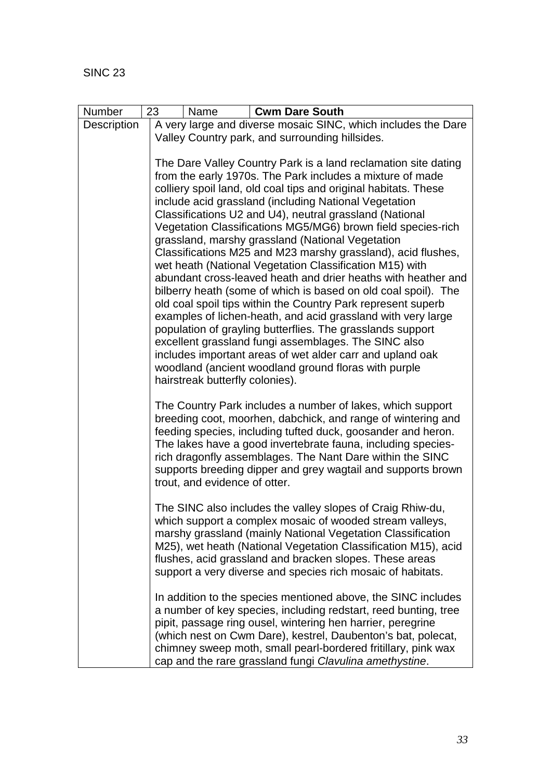| Number      | 23<br><b>Cwm Dare South</b><br>Name                                                                                                                                                                                                                                                                                                                                                                                                                                                                                                                                                                                                                                                                                                                                                                                                                                                                                                                                                                                                                                        |  |  |  |  |  |
|-------------|----------------------------------------------------------------------------------------------------------------------------------------------------------------------------------------------------------------------------------------------------------------------------------------------------------------------------------------------------------------------------------------------------------------------------------------------------------------------------------------------------------------------------------------------------------------------------------------------------------------------------------------------------------------------------------------------------------------------------------------------------------------------------------------------------------------------------------------------------------------------------------------------------------------------------------------------------------------------------------------------------------------------------------------------------------------------------|--|--|--|--|--|
| Description | A very large and diverse mosaic SINC, which includes the Dare                                                                                                                                                                                                                                                                                                                                                                                                                                                                                                                                                                                                                                                                                                                                                                                                                                                                                                                                                                                                              |  |  |  |  |  |
|             | Valley Country park, and surrounding hillsides.<br>The Dare Valley Country Park is a land reclamation site dating<br>from the early 1970s. The Park includes a mixture of made<br>colliery spoil land, old coal tips and original habitats. These<br>include acid grassland (including National Vegetation<br>Classifications U2 and U4), neutral grassland (National<br>Vegetation Classifications MG5/MG6) brown field species-rich<br>grassland, marshy grassland (National Vegetation<br>Classifications M25 and M23 marshy grassland), acid flushes,<br>wet heath (National Vegetation Classification M15) with<br>abundant cross-leaved heath and drier heaths with heather and<br>bilberry heath (some of which is based on old coal spoil). The<br>old coal spoil tips within the Country Park represent superb<br>examples of lichen-heath, and acid grassland with very large<br>population of grayling butterflies. The grasslands support<br>excellent grassland fungi assemblages. The SINC also<br>includes important areas of wet alder carr and upland oak |  |  |  |  |  |
|             |                                                                                                                                                                                                                                                                                                                                                                                                                                                                                                                                                                                                                                                                                                                                                                                                                                                                                                                                                                                                                                                                            |  |  |  |  |  |
|             | woodland (ancient woodland ground floras with purple<br>hairstreak butterfly colonies).<br>The Country Park includes a number of lakes, which support<br>breeding coot, moorhen, dabchick, and range of wintering and<br>feeding species, including tufted duck, goosander and heron.<br>The lakes have a good invertebrate fauna, including species-<br>rich dragonfly assemblages. The Nant Dare within the SINC<br>supports breeding dipper and grey wagtail and supports brown<br>trout, and evidence of otter.                                                                                                                                                                                                                                                                                                                                                                                                                                                                                                                                                        |  |  |  |  |  |
|             | The SINC also includes the valley slopes of Craig Rhiw-du,<br>which support a complex mosaic of wooded stream valleys,<br>marshy grassland (mainly National Vegetation Classification<br>M25), wet heath (National Vegetation Classification M15), acid<br>flushes, acid grassland and bracken slopes. These areas<br>support a very diverse and species rich mosaic of habitats.                                                                                                                                                                                                                                                                                                                                                                                                                                                                                                                                                                                                                                                                                          |  |  |  |  |  |
|             | In addition to the species mentioned above, the SINC includes<br>a number of key species, including redstart, reed bunting, tree<br>pipit, passage ring ousel, wintering hen harrier, peregrine<br>(which nest on Cwm Dare), kestrel, Daubenton's bat, polecat,<br>chimney sweep moth, small pearl-bordered fritillary, pink wax<br>cap and the rare grassland fungi Clavulina amethystine.                                                                                                                                                                                                                                                                                                                                                                                                                                                                                                                                                                                                                                                                                |  |  |  |  |  |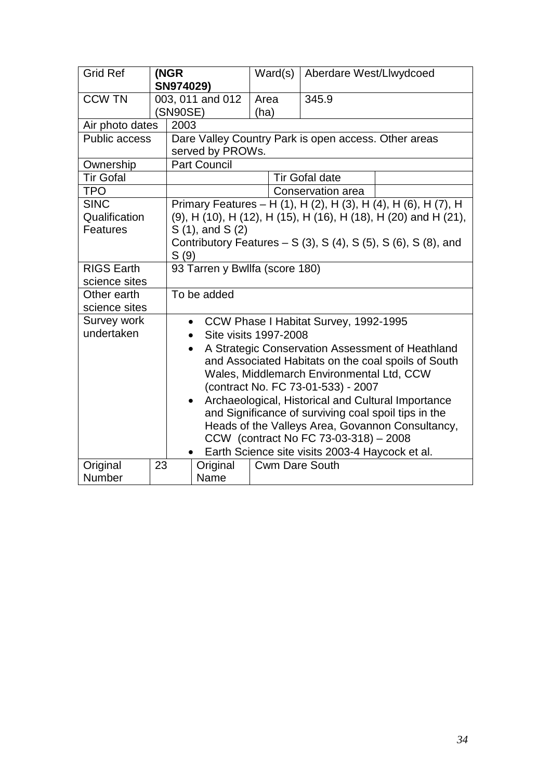| <b>Grid Ref</b>                                 |    | (NGR<br>SN974029)                                                               | Ward(s)               | Aberdare West/Llwydcoed |  |  |  |
|-------------------------------------------------|----|---------------------------------------------------------------------------------|-----------------------|-------------------------|--|--|--|
| <b>CCW TN</b>                                   |    | 003, 011 and 012                                                                | Area                  | 345.9                   |  |  |  |
|                                                 |    | (SN90SE)                                                                        | (ha)                  |                         |  |  |  |
| Air photo dates                                 |    | 2003                                                                            |                       |                         |  |  |  |
| <b>Public access</b>                            |    | Dare Valley Country Park is open access. Other areas<br>served by PROWs.        |                       |                         |  |  |  |
| Ownership                                       |    | <b>Part Council</b>                                                             |                       |                         |  |  |  |
| <b>Tir Gofal</b>                                |    | <b>Tir Gofal date</b>                                                           |                       |                         |  |  |  |
| <b>TPO</b>                                      |    | Conservation area                                                               |                       |                         |  |  |  |
| <b>SINC</b>                                     |    | Primary Features - H (1), H (2), H (3), H (4), H (6), H (7), H                  |                       |                         |  |  |  |
| Qualification                                   |    | (9), H (10), H (12), H (15), H (16), H (18), H (20) and H (21),                 |                       |                         |  |  |  |
| Features                                        |    | $S(1)$ , and $S(2)$                                                             |                       |                         |  |  |  |
|                                                 |    | Contributory Features $- S(3)$ , S(4), S(5), S(6), S(8), and                    |                       |                         |  |  |  |
|                                                 |    | S(9)                                                                            |                       |                         |  |  |  |
| <b>RIGS Earth</b>                               |    | 93 Tarren y Bwllfa (score 180)                                                  |                       |                         |  |  |  |
| science sites                                   |    |                                                                                 |                       |                         |  |  |  |
| Other earth                                     |    | To be added                                                                     |                       |                         |  |  |  |
| science sites                                   |    |                                                                                 |                       |                         |  |  |  |
| Survey work<br>undertaken                       |    | CCW Phase I Habitat Survey, 1992-1995<br>$\bullet$                              |                       |                         |  |  |  |
|                                                 |    | Site visits 1997-2008                                                           |                       |                         |  |  |  |
|                                                 |    | A Strategic Conservation Assessment of Heathland<br>$\bullet$                   |                       |                         |  |  |  |
|                                                 |    | and Associated Habitats on the coal spoils of South                             |                       |                         |  |  |  |
|                                                 |    | Wales, Middlemarch Environmental Ltd, CCW<br>(contract No. FC 73-01-533) - 2007 |                       |                         |  |  |  |
|                                                 |    | Archaeological, Historical and Cultural Importance                              |                       |                         |  |  |  |
|                                                 |    | and Significance of surviving coal spoil tips in the                            |                       |                         |  |  |  |
|                                                 |    | Heads of the Valleys Area, Govannon Consultancy,                                |                       |                         |  |  |  |
|                                                 |    | CCW (contract No FC 73-03-318) - 2008                                           |                       |                         |  |  |  |
| Earth Science site visits 2003-4 Haycock et al. |    |                                                                                 |                       |                         |  |  |  |
| Original                                        | 23 | Original                                                                        | <b>Cwm Dare South</b> |                         |  |  |  |
| Number                                          |    | Name                                                                            |                       |                         |  |  |  |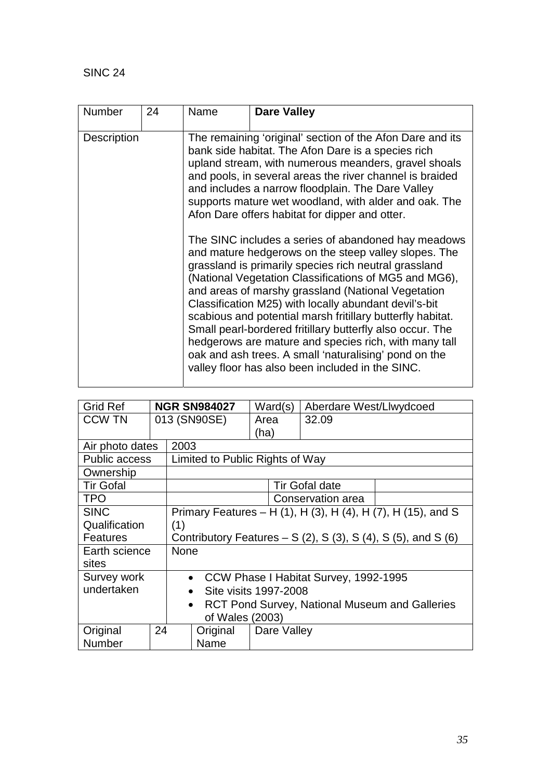| <b>Number</b><br>24 | Name | <b>Dare Valley</b>                                                                                                                                                                                                                                                                                                                                                                                                                                                                                                                                                                                                                                                                                                                                                                                                                                                                                                                                                                                                                                   |
|---------------------|------|------------------------------------------------------------------------------------------------------------------------------------------------------------------------------------------------------------------------------------------------------------------------------------------------------------------------------------------------------------------------------------------------------------------------------------------------------------------------------------------------------------------------------------------------------------------------------------------------------------------------------------------------------------------------------------------------------------------------------------------------------------------------------------------------------------------------------------------------------------------------------------------------------------------------------------------------------------------------------------------------------------------------------------------------------|
| <b>Description</b>  |      | The remaining 'original' section of the Afon Dare and its<br>bank side habitat. The Afon Dare is a species rich<br>upland stream, with numerous meanders, gravel shoals<br>and pools, in several areas the river channel is braided<br>and includes a narrow floodplain. The Dare Valley<br>supports mature wet woodland, with alder and oak. The<br>Afon Dare offers habitat for dipper and otter.<br>The SINC includes a series of abandoned hay meadows<br>and mature hedgerows on the steep valley slopes. The<br>grassland is primarily species rich neutral grassland<br>(National Vegetation Classifications of MG5 and MG6),<br>and areas of marshy grassland (National Vegetation<br>Classification M25) with locally abundant devil's-bit<br>scabious and potential marsh fritillary butterfly habitat.<br>Small pearl-bordered fritillary butterfly also occur. The<br>hedgerows are mature and species rich, with many tall<br>oak and ash trees. A small 'naturalising' pond on the<br>valley floor has also been included in the SINC. |

| <b>Grid Ref</b>      |              |                                                                             | <b>NGR SN984027</b>   | Ward(s)     | Aberdare West/Llwydcoed |  |  |
|----------------------|--------------|-----------------------------------------------------------------------------|-----------------------|-------------|-------------------------|--|--|
| <b>CCW TN</b>        | 013 (SN90SE) |                                                                             |                       | Area        | 32.09                   |  |  |
|                      |              |                                                                             |                       | (ha)        |                         |  |  |
| Air photo dates      |              | 2003                                                                        |                       |             |                         |  |  |
| <b>Public access</b> |              | Limited to Public Rights of Way                                             |                       |             |                         |  |  |
| Ownership            |              |                                                                             |                       |             |                         |  |  |
| <b>Tir Gofal</b>     |              |                                                                             | <b>Tir Gofal date</b> |             |                         |  |  |
| <b>TPO</b>           |              |                                                                             | Conservation area     |             |                         |  |  |
| <b>SINC</b>          |              | Primary Features – H (1), H (3), H (4), H (7), H (15), and S                |                       |             |                         |  |  |
| Qualification        |              | (1)                                                                         |                       |             |                         |  |  |
| <b>Features</b>      |              | Contributory Features – S $(2)$ , S $(3)$ , S $(4)$ , S $(5)$ , and S $(6)$ |                       |             |                         |  |  |
| Earth science        |              | <b>None</b>                                                                 |                       |             |                         |  |  |
| sites                |              |                                                                             |                       |             |                         |  |  |
| Survey work          |              | • CCW Phase I Habitat Survey, 1992-1995                                     |                       |             |                         |  |  |
| undertaken           |              | Site visits 1997-2008<br>$\bullet$                                          |                       |             |                         |  |  |
|                      |              | <b>RCT Pond Survey, National Museum and Galleries</b><br>$\bullet$          |                       |             |                         |  |  |
| of Wales (2003)      |              |                                                                             |                       |             |                         |  |  |
| Original             | 24           |                                                                             | Original              | Dare Valley |                         |  |  |
| <b>Number</b>        |              |                                                                             | Name                  |             |                         |  |  |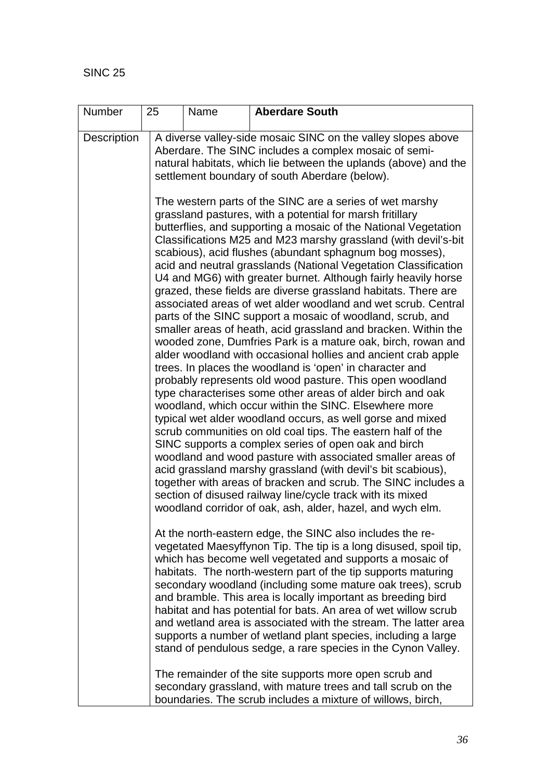| Number             | 25 | Name | <b>Aberdare South</b>                                                                                                                                                                                                                                                                                                                                                                                                                                                                                                                                                                                                                                                                                                                                                                                                                                                                                                                                                                                                                       |
|--------------------|----|------|---------------------------------------------------------------------------------------------------------------------------------------------------------------------------------------------------------------------------------------------------------------------------------------------------------------------------------------------------------------------------------------------------------------------------------------------------------------------------------------------------------------------------------------------------------------------------------------------------------------------------------------------------------------------------------------------------------------------------------------------------------------------------------------------------------------------------------------------------------------------------------------------------------------------------------------------------------------------------------------------------------------------------------------------|
| <b>Description</b> |    |      | A diverse valley-side mosaic SINC on the valley slopes above<br>Aberdare. The SINC includes a complex mosaic of semi-<br>natural habitats, which lie between the uplands (above) and the<br>settlement boundary of south Aberdare (below).<br>The western parts of the SINC are a series of wet marshy<br>grassland pastures, with a potential for marsh fritillary<br>butterflies, and supporting a mosaic of the National Vegetation<br>Classifications M25 and M23 marshy grassland (with devil's-bit<br>scabious), acid flushes (abundant sphagnum bog mosses),<br>acid and neutral grasslands (National Vegetation Classification<br>U4 and MG6) with greater burnet. Although fairly heavily horse<br>grazed, these fields are diverse grassland habitats. There are<br>associated areas of wet alder woodland and wet scrub. Central<br>parts of the SINC support a mosaic of woodland, scrub, and<br>smaller areas of heath, acid grassland and bracken. Within the<br>wooded zone, Dumfries Park is a mature oak, birch, rowan and |
|                    |    |      | alder woodland with occasional hollies and ancient crab apple<br>trees. In places the woodland is 'open' in character and<br>probably represents old wood pasture. This open woodland<br>type characterises some other areas of alder birch and oak<br>woodland, which occur within the SINC. Elsewhere more<br>typical wet alder woodland occurs, as well gorse and mixed<br>scrub communities on old coal tips. The eastern half of the<br>SINC supports a complex series of open oak and birch<br>woodland and wood pasture with associated smaller areas of<br>acid grassland marshy grassland (with devil's bit scabious),<br>together with areas of bracken and scrub. The SINC includes a<br>section of disused railway line/cycle track with its mixed<br>woodland corridor of oak, ash, alder, hazel, and wych elm.                                                                                                                                                                                                                |
|                    |    |      | At the north-eastern edge, the SINC also includes the re-<br>vegetated Maesyffynon Tip. The tip is a long disused, spoil tip,<br>which has become well vegetated and supports a mosaic of<br>habitats. The north-western part of the tip supports maturing<br>secondary woodland (including some mature oak trees), scrub<br>and bramble. This area is locally important as breeding bird<br>habitat and has potential for bats. An area of wet willow scrub<br>and wetland area is associated with the stream. The latter area<br>supports a number of wetland plant species, including a large<br>stand of pendulous sedge, a rare species in the Cynon Valley.                                                                                                                                                                                                                                                                                                                                                                           |
|                    |    |      | The remainder of the site supports more open scrub and<br>secondary grassland, with mature trees and tall scrub on the<br>boundaries. The scrub includes a mixture of willows, birch,                                                                                                                                                                                                                                                                                                                                                                                                                                                                                                                                                                                                                                                                                                                                                                                                                                                       |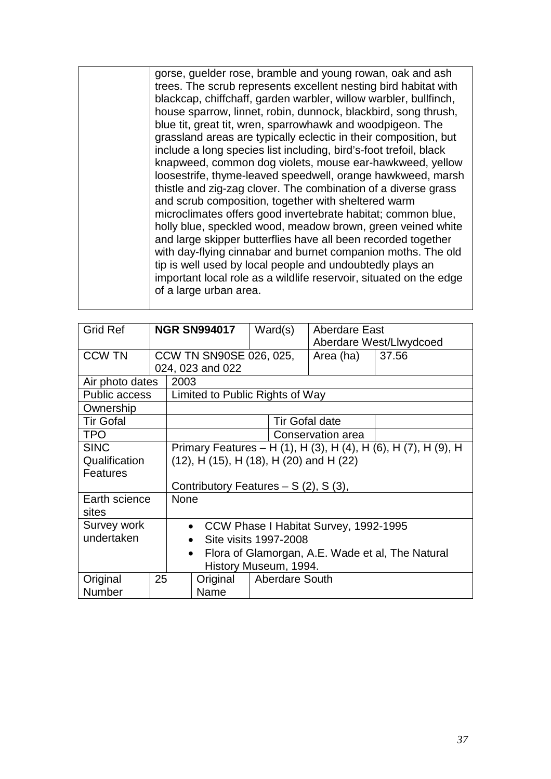| gorse, guelder rose, bramble and young rowan, oak and ash<br>trees. The scrub represents excellent nesting bird habitat with<br>blackcap, chiffchaff, garden warbler, willow warbler, bullfinch,<br>house sparrow, linnet, robin, dunnock, blackbird, song thrush,<br>blue tit, great tit, wren, sparrowhawk and woodpigeon. The<br>grassland areas are typically eclectic in their composition, but<br>include a long species list including, bird's-foot trefoil, black<br>knapweed, common dog violets, mouse ear-hawkweed, yellow<br>loosestrife, thyme-leaved speedwell, orange hawkweed, marsh<br>thistle and zig-zag clover. The combination of a diverse grass<br>and scrub composition, together with sheltered warm<br>microclimates offers good invertebrate habitat; common blue,<br>holly blue, speckled wood, meadow brown, green veined white<br>and large skipper butterflies have all been recorded together<br>with day-flying cinnabar and burnet companion moths. The old<br>tip is well used by local people and undoubtedly plays an<br>important local role as a wildlife reservoir, situated on the edge<br>of a large urban area. |
|------------------------------------------------------------------------------------------------------------------------------------------------------------------------------------------------------------------------------------------------------------------------------------------------------------------------------------------------------------------------------------------------------------------------------------------------------------------------------------------------------------------------------------------------------------------------------------------------------------------------------------------------------------------------------------------------------------------------------------------------------------------------------------------------------------------------------------------------------------------------------------------------------------------------------------------------------------------------------------------------------------------------------------------------------------------------------------------------------------------------------------------------------------|
|                                                                                                                                                                                                                                                                                                                                                                                                                                                                                                                                                                                                                                                                                                                                                                                                                                                                                                                                                                                                                                                                                                                                                            |

| <b>Grid Ref</b>      |                                                                | <b>NGR SN994017</b>                                           |                                 |  | Ward(s)               | Aberdare East           |       |
|----------------------|----------------------------------------------------------------|---------------------------------------------------------------|---------------------------------|--|-----------------------|-------------------------|-------|
|                      |                                                                |                                                               |                                 |  |                       | Aberdare West/Llwydcoed |       |
| <b>CCW TN</b>        |                                                                |                                                               | CCW TN SN90SE 026, 025,         |  |                       | Area (ha)               | 37.56 |
|                      |                                                                |                                                               | 024, 023 and 022                |  |                       |                         |       |
| Air photo dates      |                                                                | 2003                                                          |                                 |  |                       |                         |       |
| <b>Public access</b> |                                                                |                                                               | Limited to Public Rights of Way |  |                       |                         |       |
| Ownership            |                                                                |                                                               |                                 |  |                       |                         |       |
| <b>Tir Gofal</b>     |                                                                |                                                               |                                 |  | <b>Tir Gofal date</b> |                         |       |
| <b>TPO</b>           | Conservation area                                              |                                                               |                                 |  |                       |                         |       |
| <b>SINC</b>          | Primary Features – H (1), H (3), H (4), H (6), H (7), H (9), H |                                                               |                                 |  |                       |                         |       |
| Qualification        |                                                                | $(12)$ , H $(15)$ , H $(18)$ , H $(20)$ and H $(22)$          |                                 |  |                       |                         |       |
| <b>Features</b>      |                                                                |                                                               |                                 |  |                       |                         |       |
|                      |                                                                | Contributory Features $- S(2)$ , S(3),                        |                                 |  |                       |                         |       |
| Earth science        |                                                                | None                                                          |                                 |  |                       |                         |       |
| sites                |                                                                |                                                               |                                 |  |                       |                         |       |
| Survey work          |                                                                | CCW Phase I Habitat Survey, 1992-1995<br>$\bullet$            |                                 |  |                       |                         |       |
| undertaken           |                                                                | Site visits 1997-2008                                         |                                 |  |                       |                         |       |
|                      |                                                                | Flora of Glamorgan, A.E. Wade et al, The Natural<br>$\bullet$ |                                 |  |                       |                         |       |
|                      |                                                                | History Museum, 1994.                                         |                                 |  |                       |                         |       |
| Original             | 25                                                             |                                                               | Original                        |  | <b>Aberdare South</b> |                         |       |
| Number               |                                                                |                                                               | Name                            |  |                       |                         |       |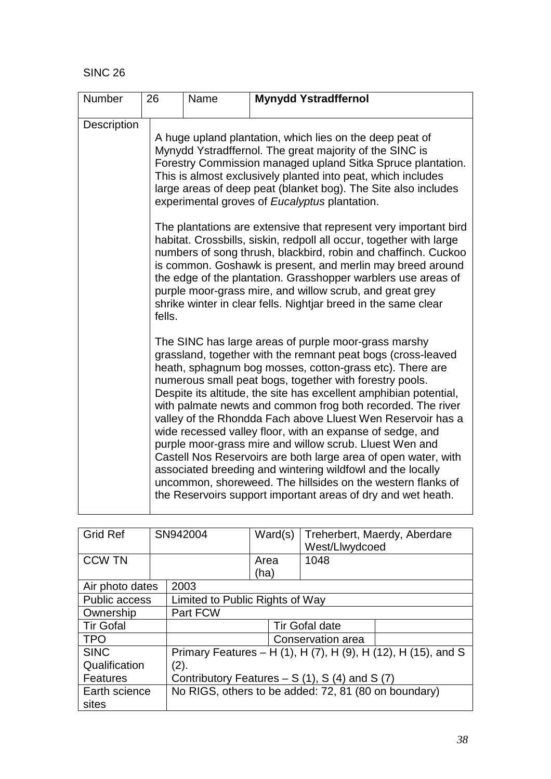| Number             | 26     | Name                                                                                                                                                                                                                                                                                                                                                                  | <b>Mynydd Ystradffernol</b>                                                                                                                                                                                                                                                                                                                                                                                                                                                                                                                                                                                                                                                                                                                                                                                                           |  |  |  |  |  |
|--------------------|--------|-----------------------------------------------------------------------------------------------------------------------------------------------------------------------------------------------------------------------------------------------------------------------------------------------------------------------------------------------------------------------|---------------------------------------------------------------------------------------------------------------------------------------------------------------------------------------------------------------------------------------------------------------------------------------------------------------------------------------------------------------------------------------------------------------------------------------------------------------------------------------------------------------------------------------------------------------------------------------------------------------------------------------------------------------------------------------------------------------------------------------------------------------------------------------------------------------------------------------|--|--|--|--|--|
| <b>Description</b> |        | A huge upland plantation, which lies on the deep peat of<br>Mynydd Ystradffernol. The great majority of the SINC is<br>Forestry Commission managed upland Sitka Spruce plantation.<br>This is almost exclusively planted into peat, which includes<br>large areas of deep peat (blanket bog). The Site also includes<br>experimental groves of Eucalyptus plantation. |                                                                                                                                                                                                                                                                                                                                                                                                                                                                                                                                                                                                                                                                                                                                                                                                                                       |  |  |  |  |  |
|                    | fells. |                                                                                                                                                                                                                                                                                                                                                                       | The plantations are extensive that represent very important bird<br>habitat. Crossbills, siskin, redpoll all occur, together with large<br>numbers of song thrush, blackbird, robin and chaffinch. Cuckoo<br>is common. Goshawk is present, and merlin may breed around<br>the edge of the plantation. Grasshopper warblers use areas of<br>purple moor-grass mire, and willow scrub, and great grey<br>shrike winter in clear fells. Nightjar breed in the same clear                                                                                                                                                                                                                                                                                                                                                                |  |  |  |  |  |
|                    |        |                                                                                                                                                                                                                                                                                                                                                                       | The SINC has large areas of purple moor-grass marshy<br>grassland, together with the remnant peat bogs (cross-leaved<br>heath, sphagnum bog mosses, cotton-grass etc). There are<br>numerous small peat bogs, together with forestry pools.<br>Despite its altitude, the site has excellent amphibian potential,<br>with palmate newts and common frog both recorded. The river<br>valley of the Rhondda Fach above Lluest Wen Reservoir has a<br>wide recessed valley floor, with an expanse of sedge, and<br>purple moor-grass mire and willow scrub. Lluest Wen and<br>Castell Nos Reservoirs are both large area of open water, with<br>associated breeding and wintering wildfowl and the locally<br>uncommon, shoreweed. The hillsides on the western flanks of<br>the Reservoirs support important areas of dry and wet heath. |  |  |  |  |  |

| <b>Grid Ref</b>      | SN942004 |                                                               |                                 | Ward(s)                                              | Treherbert, Maerdy, Aberdare<br>West/Llwydcoed |  |  |  |
|----------------------|----------|---------------------------------------------------------------|---------------------------------|------------------------------------------------------|------------------------------------------------|--|--|--|
| <b>CCW TN</b>        |          |                                                               | Area                            |                                                      | 1048                                           |  |  |  |
|                      |          |                                                               | (ha)                            |                                                      |                                                |  |  |  |
| Air photo dates      |          | 2003                                                          |                                 |                                                      |                                                |  |  |  |
| <b>Public access</b> |          |                                                               | Limited to Public Rights of Way |                                                      |                                                |  |  |  |
| Ownership            |          | Part FCW                                                      |                                 |                                                      |                                                |  |  |  |
| <b>Tir Gofal</b>     |          | <b>Tir Gofal date</b>                                         |                                 |                                                      |                                                |  |  |  |
| <b>TPO</b>           |          |                                                               |                                 |                                                      | Conservation area                              |  |  |  |
| <b>SINC</b>          |          | Primary Features - H (1), H (7), H (9), H (12), H (15), and S |                                 |                                                      |                                                |  |  |  |
| Qualification        |          | (2).                                                          |                                 |                                                      |                                                |  |  |  |
| <b>Features</b>      |          | Contributory Features $- S(1)$ , S(4) and S(7)                |                                 |                                                      |                                                |  |  |  |
| Earth science        |          |                                                               |                                 | No RIGS, others to be added: 72, 81 (80 on boundary) |                                                |  |  |  |
| sites                |          |                                                               |                                 |                                                      |                                                |  |  |  |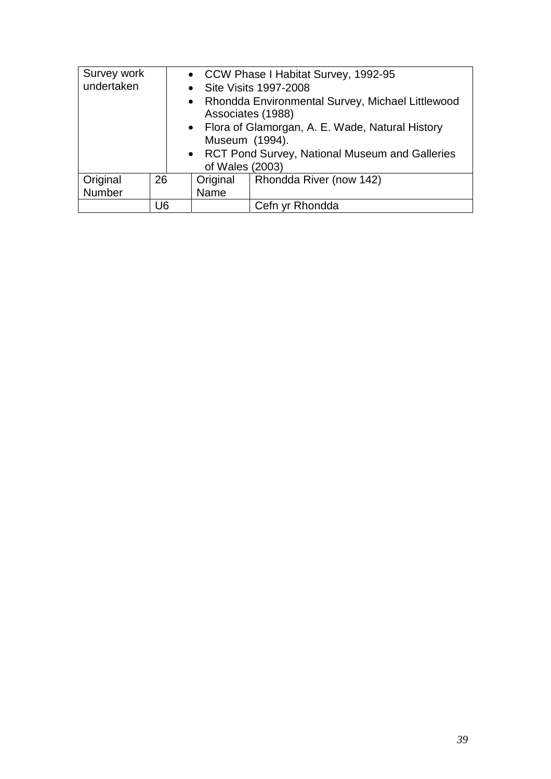| Survey work     |                                                  | • CCW Phase I Habitat Survey, 1992-95                                   |                         |  |  |  |  |
|-----------------|--------------------------------------------------|-------------------------------------------------------------------------|-------------------------|--|--|--|--|
| undertaken      |                                                  |                                                                         | • Site Visits 1997-2008 |  |  |  |  |
|                 |                                                  | • Rhondda Environmental Survey, Michael Littlewood<br>Associates (1988) |                         |  |  |  |  |
|                 |                                                  | • Flora of Glamorgan, A. E. Wade, Natural History                       |                         |  |  |  |  |
|                 | Museum (1994).                                   |                                                                         |                         |  |  |  |  |
|                 | • RCT Pond Survey, National Museum and Galleries |                                                                         |                         |  |  |  |  |
| of Wales (2003) |                                                  |                                                                         |                         |  |  |  |  |
| Original        | 26                                               | Original                                                                | Rhondda River (now 142) |  |  |  |  |
| Number          |                                                  | Name                                                                    |                         |  |  |  |  |
|                 | U6                                               |                                                                         | Cefn yr Rhondda         |  |  |  |  |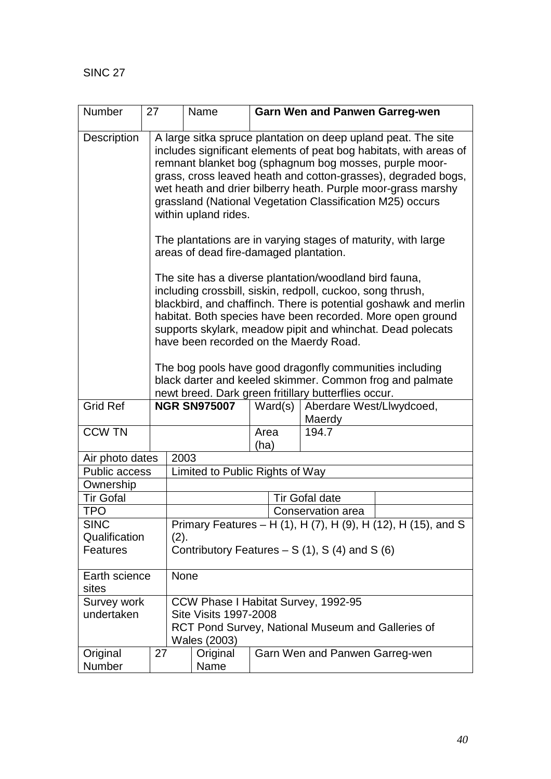| Number                 | 27 |                                                                                                                                                                                                                                                                                                                                                                                                                    | Name                                           |              |  | <b>Garn Wen and Panwen Garreg-wen</b>                         |  |  |
|------------------------|----|--------------------------------------------------------------------------------------------------------------------------------------------------------------------------------------------------------------------------------------------------------------------------------------------------------------------------------------------------------------------------------------------------------------------|------------------------------------------------|--------------|--|---------------------------------------------------------------|--|--|
| <b>Description</b>     |    | A large sitka spruce plantation on deep upland peat. The site<br>includes significant elements of peat bog habitats, with areas of<br>remnant blanket bog (sphagnum bog mosses, purple moor-<br>grass, cross leaved heath and cotton-grasses), degraded bogs,<br>wet heath and drier bilberry heath. Purple moor-grass marshy<br>grassland (National Vegetation Classification M25) occurs<br>within upland rides. |                                                |              |  |                                                               |  |  |
|                        |    |                                                                                                                                                                                                                                                                                                                                                                                                                    | areas of dead fire-damaged plantation.         |              |  | The plantations are in varying stages of maturity, with large |  |  |
|                        |    | The site has a diverse plantation/woodland bird fauna,<br>including crossbill, siskin, redpoll, cuckoo, song thrush,<br>blackbird, and chaffinch. There is potential goshawk and merlin<br>habitat. Both species have been recorded. More open ground<br>supports skylark, meadow pipit and whinchat. Dead polecats<br>have been recorded on the Maerdy Road.                                                      |                                                |              |  |                                                               |  |  |
|                        |    | The bog pools have good dragonfly communities including<br>black darter and keeled skimmer. Common frog and palmate<br>newt breed. Dark green fritillary butterflies occur.                                                                                                                                                                                                                                        |                                                |              |  |                                                               |  |  |
| <b>Grid Ref</b>        |    |                                                                                                                                                                                                                                                                                                                                                                                                                    | <b>NGR SN975007</b>                            | Ward(s)      |  | Aberdare West/Llwydcoed,<br>Maerdy                            |  |  |
| <b>CCW TN</b>          |    |                                                                                                                                                                                                                                                                                                                                                                                                                    |                                                | Area<br>(ha) |  | 194.7                                                         |  |  |
| Air photo dates        |    | 2003                                                                                                                                                                                                                                                                                                                                                                                                               |                                                |              |  |                                                               |  |  |
| Public access          |    | Limited to Public Rights of Way                                                                                                                                                                                                                                                                                                                                                                                    |                                                |              |  |                                                               |  |  |
| Ownership              |    |                                                                                                                                                                                                                                                                                                                                                                                                                    |                                                |              |  |                                                               |  |  |
| <b>Tir Gofal</b>       |    |                                                                                                                                                                                                                                                                                                                                                                                                                    |                                                |              |  | <b>Tir Gofal date</b>                                         |  |  |
| <b>TPO</b>             |    | Conservation area                                                                                                                                                                                                                                                                                                                                                                                                  |                                                |              |  |                                                               |  |  |
| <b>SINC</b>            |    | Primary Features - H (1), H (7), H (9), H (12), H (15), and S                                                                                                                                                                                                                                                                                                                                                      |                                                |              |  |                                                               |  |  |
| Qualification          |    | (2).                                                                                                                                                                                                                                                                                                                                                                                                               |                                                |              |  |                                                               |  |  |
| <b>Features</b>        |    |                                                                                                                                                                                                                                                                                                                                                                                                                    | Contributory Features $- S(1)$ , S(4) and S(6) |              |  |                                                               |  |  |
| Earth science<br>sites |    | None                                                                                                                                                                                                                                                                                                                                                                                                               |                                                |              |  |                                                               |  |  |
| Survey work            |    |                                                                                                                                                                                                                                                                                                                                                                                                                    |                                                |              |  | CCW Phase I Habitat Survey, 1992-95                           |  |  |
| undertaken             |    |                                                                                                                                                                                                                                                                                                                                                                                                                    | <b>Site Visits 1997-2008</b><br>Wales (2003)   |              |  | RCT Pond Survey, National Museum and Galleries of             |  |  |
| Original<br>Number     | 27 |                                                                                                                                                                                                                                                                                                                                                                                                                    | Original<br>Name                               |              |  | Garn Wen and Panwen Garreg-wen                                |  |  |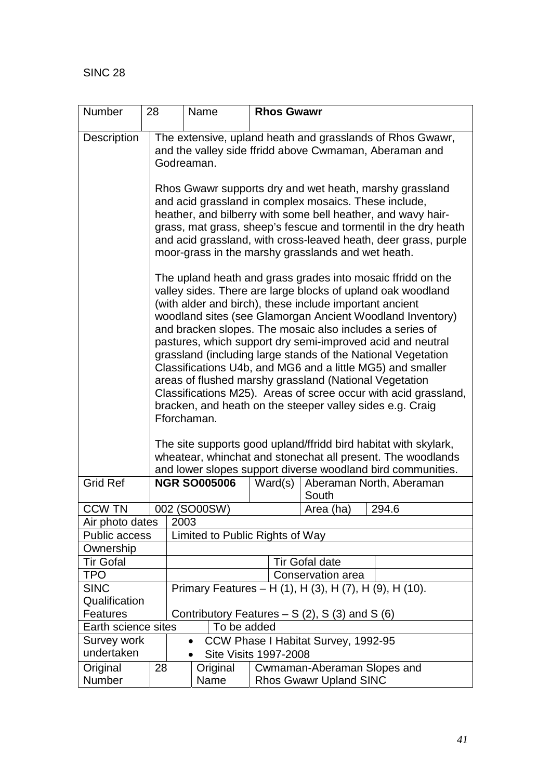| Number                                  | 28                                                     |                                                           | Name                                     |  | <b>Rhos Gwawr</b> |                                                                                                                                    |  |  |
|-----------------------------------------|--------------------------------------------------------|-----------------------------------------------------------|------------------------------------------|--|-------------------|------------------------------------------------------------------------------------------------------------------------------------|--|--|
| Description                             |                                                        | The extensive, upland heath and grasslands of Rhos Gwawr, |                                          |  |                   |                                                                                                                                    |  |  |
|                                         | and the valley side ffridd above Cwmaman, Aberaman and |                                                           |                                          |  |                   |                                                                                                                                    |  |  |
|                                         |                                                        | Godreaman.                                                |                                          |  |                   |                                                                                                                                    |  |  |
|                                         |                                                        |                                                           |                                          |  |                   |                                                                                                                                    |  |  |
|                                         |                                                        |                                                           |                                          |  |                   | Rhos Gwawr supports dry and wet heath, marshy grassland                                                                            |  |  |
|                                         |                                                        |                                                           |                                          |  |                   | and acid grassland in complex mosaics. These include,                                                                              |  |  |
|                                         |                                                        |                                                           |                                          |  |                   | heather, and bilberry with some bell heather, and wavy hair-                                                                       |  |  |
|                                         |                                                        |                                                           |                                          |  |                   | grass, mat grass, sheep's fescue and tormentil in the dry heath<br>and acid grassland, with cross-leaved heath, deer grass, purple |  |  |
|                                         |                                                        |                                                           |                                          |  |                   | moor-grass in the marshy grasslands and wet heath.                                                                                 |  |  |
|                                         |                                                        |                                                           |                                          |  |                   |                                                                                                                                    |  |  |
|                                         |                                                        |                                                           |                                          |  |                   | The upland heath and grass grades into mosaic ffridd on the                                                                        |  |  |
|                                         |                                                        |                                                           |                                          |  |                   | valley sides. There are large blocks of upland oak woodland                                                                        |  |  |
|                                         |                                                        |                                                           |                                          |  |                   | (with alder and birch), these include important ancient                                                                            |  |  |
|                                         |                                                        |                                                           |                                          |  |                   | woodland sites (see Glamorgan Ancient Woodland Inventory)<br>and bracken slopes. The mosaic also includes a series of              |  |  |
|                                         |                                                        |                                                           |                                          |  |                   | pastures, which support dry semi-improved acid and neutral                                                                         |  |  |
|                                         |                                                        |                                                           |                                          |  |                   | grassland (including large stands of the National Vegetation                                                                       |  |  |
|                                         |                                                        |                                                           |                                          |  |                   | Classifications U4b, and MG6 and a little MG5) and smaller                                                                         |  |  |
|                                         |                                                        |                                                           |                                          |  |                   | areas of flushed marshy grassland (National Vegetation                                                                             |  |  |
|                                         |                                                        |                                                           |                                          |  |                   | Classifications M25). Areas of scree occur with acid grassland,                                                                    |  |  |
|                                         |                                                        |                                                           | Fforchaman.                              |  |                   | bracken, and heath on the steeper valley sides e.g. Craig                                                                          |  |  |
|                                         |                                                        |                                                           |                                          |  |                   |                                                                                                                                    |  |  |
|                                         |                                                        |                                                           |                                          |  |                   | The site supports good upland/ffridd bird habitat with skylark,                                                                    |  |  |
|                                         |                                                        |                                                           |                                          |  |                   | wheatear, whinchat and stonechat all present. The woodlands                                                                        |  |  |
|                                         |                                                        |                                                           |                                          |  |                   | and lower slopes support diverse woodland bird communities.                                                                        |  |  |
| <b>Grid Ref</b>                         |                                                        |                                                           | <b>NGR SO005006</b>                      |  | Ward(s)           | Aberaman North, Aberaman                                                                                                           |  |  |
|                                         |                                                        |                                                           |                                          |  |                   | South                                                                                                                              |  |  |
| <b>CCW TN</b>                           |                                                        |                                                           | 002 (SO00SW)                             |  |                   | 294.6<br>Area (ha)                                                                                                                 |  |  |
| Air photo dates<br><b>Public access</b> |                                                        | 2003<br>Limited to Public Rights of Way                   |                                          |  |                   |                                                                                                                                    |  |  |
| Ownership                               |                                                        |                                                           |                                          |  |                   |                                                                                                                                    |  |  |
| <b>Tir Gofal</b>                        |                                                        | <b>Tir Gofal date</b>                                     |                                          |  |                   |                                                                                                                                    |  |  |
| <b>TPO</b>                              | Conservation area                                      |                                                           |                                          |  |                   |                                                                                                                                    |  |  |
| <b>SINC</b>                             |                                                        |                                                           |                                          |  |                   | Primary Features – H (1), H (3), H (7), H (9), H (10).                                                                             |  |  |
| Qualification                           |                                                        |                                                           |                                          |  |                   |                                                                                                                                    |  |  |
| Features                                |                                                        |                                                           |                                          |  |                   | Contributory Features $- S(2)$ , S(3) and S(6)                                                                                     |  |  |
| Earth science sites                     |                                                        |                                                           | To be added                              |  |                   |                                                                                                                                    |  |  |
| Survey work<br>undertaken               |                                                        |                                                           |                                          |  |                   | CCW Phase I Habitat Survey, 1992-95                                                                                                |  |  |
| Original                                | 28                                                     |                                                           | <b>Site Visits 1997-2008</b><br>Original |  |                   | Cwmaman-Aberaman Slopes and                                                                                                        |  |  |
| Number                                  |                                                        |                                                           | Name                                     |  |                   | <b>Rhos Gwawr Upland SINC</b>                                                                                                      |  |  |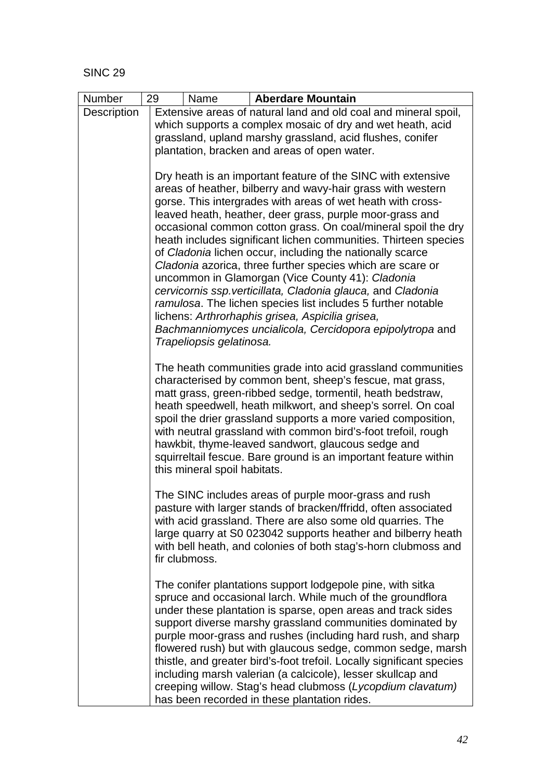| Number      | 29 | Name                                                                                                      |  | <b>Aberdare Mountain</b>                                                                                                             |  |  |  |  |  |  |
|-------------|----|-----------------------------------------------------------------------------------------------------------|--|--------------------------------------------------------------------------------------------------------------------------------------|--|--|--|--|--|--|
| Description |    |                                                                                                           |  | Extensive areas of natural land and old coal and mineral spoil,                                                                      |  |  |  |  |  |  |
|             |    | which supports a complex mosaic of dry and wet heath, acid                                                |  |                                                                                                                                      |  |  |  |  |  |  |
|             |    | grassland, upland marshy grassland, acid flushes, conifer<br>plantation, bracken and areas of open water. |  |                                                                                                                                      |  |  |  |  |  |  |
|             |    |                                                                                                           |  |                                                                                                                                      |  |  |  |  |  |  |
|             |    |                                                                                                           |  | Dry heath is an important feature of the SINC with extensive                                                                         |  |  |  |  |  |  |
|             |    |                                                                                                           |  | areas of heather, bilberry and wavy-hair grass with western                                                                          |  |  |  |  |  |  |
|             |    |                                                                                                           |  | gorse. This intergrades with areas of wet heath with cross-                                                                          |  |  |  |  |  |  |
|             |    |                                                                                                           |  | leaved heath, heather, deer grass, purple moor-grass and<br>occasional common cotton grass. On coal/mineral spoil the dry            |  |  |  |  |  |  |
|             |    |                                                                                                           |  | heath includes significant lichen communities. Thirteen species                                                                      |  |  |  |  |  |  |
|             |    |                                                                                                           |  | of Cladonia lichen occur, including the nationally scarce                                                                            |  |  |  |  |  |  |
|             |    |                                                                                                           |  | Cladonia azorica, three further species which are scare or                                                                           |  |  |  |  |  |  |
|             |    |                                                                                                           |  | uncommon in Glamorgan (Vice County 41): Cladonia<br>cervicornis ssp. verticillata, Cladonia glauca, and Cladonia                     |  |  |  |  |  |  |
|             |    |                                                                                                           |  | ramulosa. The lichen species list includes 5 further notable                                                                         |  |  |  |  |  |  |
|             |    |                                                                                                           |  | lichens: Arthrorhaphis grisea, Aspicilia grisea,                                                                                     |  |  |  |  |  |  |
|             |    |                                                                                                           |  | Bachmanniomyces uncialicola, Cercidopora epipolytropa and                                                                            |  |  |  |  |  |  |
|             |    | Trapeliopsis gelatinosa.                                                                                  |  |                                                                                                                                      |  |  |  |  |  |  |
|             |    |                                                                                                           |  | The heath communities grade into acid grassland communities                                                                          |  |  |  |  |  |  |
|             |    |                                                                                                           |  | characterised by common bent, sheep's fescue, mat grass,                                                                             |  |  |  |  |  |  |
|             |    |                                                                                                           |  | matt grass, green-ribbed sedge, tormentil, heath bedstraw,                                                                           |  |  |  |  |  |  |
|             |    |                                                                                                           |  | heath speedwell, heath milkwort, and sheep's sorrel. On coal<br>spoil the drier grassland supports a more varied composition,        |  |  |  |  |  |  |
|             |    |                                                                                                           |  | with neutral grassland with common bird's-foot trefoil, rough                                                                        |  |  |  |  |  |  |
|             |    |                                                                                                           |  | hawkbit, thyme-leaved sandwort, glaucous sedge and                                                                                   |  |  |  |  |  |  |
|             |    |                                                                                                           |  | squirreltail fescue. Bare ground is an important feature within                                                                      |  |  |  |  |  |  |
|             |    | this mineral spoil habitats.                                                                              |  |                                                                                                                                      |  |  |  |  |  |  |
|             |    |                                                                                                           |  | The SINC includes areas of purple moor-grass and rush                                                                                |  |  |  |  |  |  |
|             |    |                                                                                                           |  | pasture with larger stands of bracken/ffridd, often associated                                                                       |  |  |  |  |  |  |
|             |    |                                                                                                           |  | with acid grassland. There are also some old quarries. The                                                                           |  |  |  |  |  |  |
|             |    |                                                                                                           |  | large quarry at S0 023042 supports heather and bilberry heath<br>with bell heath, and colonies of both stag's-horn clubmoss and      |  |  |  |  |  |  |
|             |    | fir clubmoss.                                                                                             |  |                                                                                                                                      |  |  |  |  |  |  |
|             |    |                                                                                                           |  |                                                                                                                                      |  |  |  |  |  |  |
|             |    |                                                                                                           |  | The conifer plantations support lodgepole pine, with sitka                                                                           |  |  |  |  |  |  |
|             |    |                                                                                                           |  | spruce and occasional larch. While much of the groundflora<br>under these plantation is sparse, open areas and track sides           |  |  |  |  |  |  |
|             |    |                                                                                                           |  | support diverse marshy grassland communities dominated by                                                                            |  |  |  |  |  |  |
|             |    |                                                                                                           |  | purple moor-grass and rushes (including hard rush, and sharp                                                                         |  |  |  |  |  |  |
|             |    |                                                                                                           |  | flowered rush) but with glaucous sedge, common sedge, marsh                                                                          |  |  |  |  |  |  |
|             |    |                                                                                                           |  | thistle, and greater bird's-foot trefoil. Locally significant species<br>including marsh valerian (a calcicole), lesser skullcap and |  |  |  |  |  |  |
|             |    |                                                                                                           |  | creeping willow. Stag's head clubmoss (Lycopdium clavatum)                                                                           |  |  |  |  |  |  |
|             |    |                                                                                                           |  | has been recorded in these plantation rides.                                                                                         |  |  |  |  |  |  |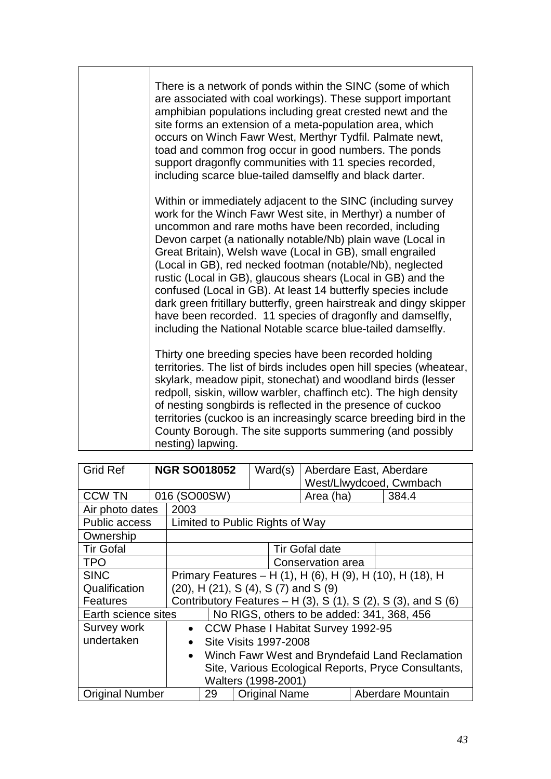|  | There is a network of ponds within the SINC (some of which<br>are associated with coal workings). These support important<br>amphibian populations including great crested newt and the<br>site forms an extension of a meta-population area, which<br>occurs on Winch Fawr West, Merthyr Tydfil. Palmate newt,<br>toad and common frog occur in good numbers. The ponds<br>support dragonfly communities with 11 species recorded,<br>including scarce blue-tailed damselfly and black darter.                                                                                                                                                                                                                   |
|--|-------------------------------------------------------------------------------------------------------------------------------------------------------------------------------------------------------------------------------------------------------------------------------------------------------------------------------------------------------------------------------------------------------------------------------------------------------------------------------------------------------------------------------------------------------------------------------------------------------------------------------------------------------------------------------------------------------------------|
|  | Within or immediately adjacent to the SINC (including survey<br>work for the Winch Fawr West site, in Merthyr) a number of<br>uncommon and rare moths have been recorded, including<br>Devon carpet (a nationally notable/Nb) plain wave (Local in<br>Great Britain), Welsh wave (Local in GB), small engrailed<br>(Local in GB), red necked footman (notable/Nb), neglected<br>rustic (Local in GB), glaucous shears (Local in GB) and the<br>confused (Local in GB). At least 14 butterfly species include<br>dark green fritillary butterfly, green hairstreak and dingy skipper<br>have been recorded. 11 species of dragonfly and damselfly,<br>including the National Notable scarce blue-tailed damselfly. |
|  | Thirty one breeding species have been recorded holding<br>territories. The list of birds includes open hill species (wheatear,<br>skylark, meadow pipit, stonechat) and woodland birds (lesser<br>redpoll, siskin, willow warbler, chaffinch etc). The high density<br>of nesting songbirds is reflected in the presence of cuckoo<br>territories (cuckoo is an increasingly scarce breeding bird in the<br>County Borough. The site supports summering (and possibly<br>nesting) lapwing.                                                                                                                                                                                                                        |

| <b>Grid Ref</b>        |                                                              | <b>NGR SO018052</b>                                         |                                                      | Ward(s)               | Aberdare East, Aberdare            |  |                   |
|------------------------|--------------------------------------------------------------|-------------------------------------------------------------|------------------------------------------------------|-----------------------|------------------------------------|--|-------------------|
|                        |                                                              |                                                             |                                                      |                       | West/Llwydcoed, Cwmbach            |  |                   |
| <b>CCW TN</b>          |                                                              | 016 (SO00SW)                                                |                                                      |                       | Area (ha)                          |  | 384.4             |
| Air photo dates        | 2003                                                         |                                                             |                                                      |                       |                                    |  |                   |
| Public access          |                                                              | Limited to Public Rights of Way                             |                                                      |                       |                                    |  |                   |
| Ownership              |                                                              |                                                             |                                                      |                       |                                    |  |                   |
| <b>Tir Gofal</b>       |                                                              |                                                             |                                                      |                       | <b>Tir Gofal date</b>              |  |                   |
| <b>TPO</b>             |                                                              |                                                             |                                                      |                       | Conservation area                  |  |                   |
| <b>SINC</b>            |                                                              | Primary Features - H (1), H (6), H (9), H (10), H (18), H   |                                                      |                       |                                    |  |                   |
| Qualification          |                                                              | (20), H (21), S (4), S (7) and S (9)                        |                                                      |                       |                                    |  |                   |
| <b>Features</b>        |                                                              | Contributory Features $- H(3)$ , S(1), S(2), S(3), and S(6) |                                                      |                       |                                    |  |                   |
| Earth science sites    |                                                              | No RIGS, others to be added: 341, 368, 456                  |                                                      |                       |                                    |  |                   |
| Survey work            |                                                              | $\bullet$                                                   |                                                      |                       | CCW Phase I Habitat Survey 1992-95 |  |                   |
| undertaken             |                                                              | $\bullet$                                                   |                                                      | Site Visits 1997-2008 |                                    |  |                   |
|                        | Winch Fawr West and Bryndefaid Land Reclamation<br>$\bullet$ |                                                             |                                                      |                       |                                    |  |                   |
|                        |                                                              |                                                             | Site, Various Ecological Reports, Pryce Consultants, |                       |                                    |  |                   |
| Walters (1998-2001)    |                                                              |                                                             |                                                      |                       |                                    |  |                   |
| <b>Original Number</b> |                                                              | 29                                                          |                                                      | <b>Original Name</b>  |                                    |  | Aberdare Mountain |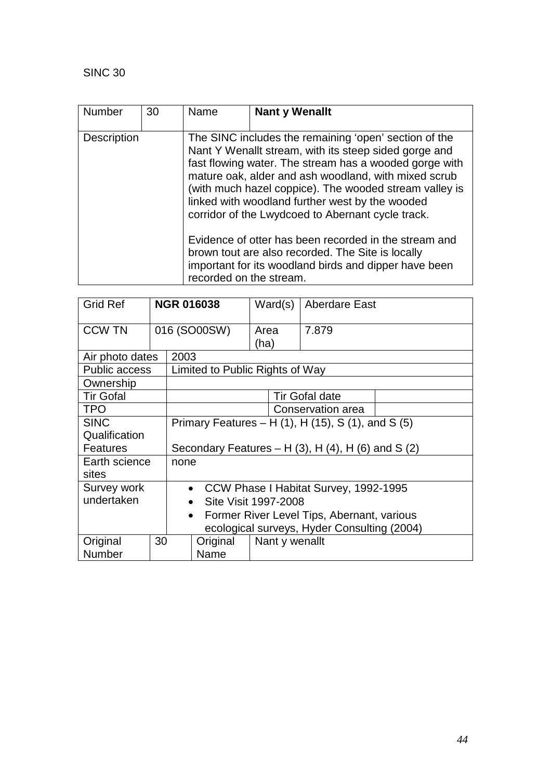| <b>Number</b>      | 30 | Name<br>Nant y Wenallt                                                                                                                                                                                                                                                                                                                                                                                                                                                                                                                                                                               |  |  |  |  |
|--------------------|----|------------------------------------------------------------------------------------------------------------------------------------------------------------------------------------------------------------------------------------------------------------------------------------------------------------------------------------------------------------------------------------------------------------------------------------------------------------------------------------------------------------------------------------------------------------------------------------------------------|--|--|--|--|
| <b>Description</b> |    | The SINC includes the remaining 'open' section of the<br>Nant Y Wenallt stream, with its steep sided gorge and<br>fast flowing water. The stream has a wooded gorge with<br>mature oak, alder and ash woodland, with mixed scrub<br>(with much hazel coppice). The wooded stream valley is<br>linked with woodland further west by the wooded<br>corridor of the Lwydcoed to Abernant cycle track.<br>Evidence of otter has been recorded in the stream and<br>brown tout are also recorded. The Site is locally<br>important for its woodland birds and dipper have been<br>recorded on the stream. |  |  |  |  |

| <b>Grid Ref</b>      |                                                               |      | <b>NGR 016038</b>               | Ward(s)                                            |  | <b>Aberdare East</b>                        |  |  |  |
|----------------------|---------------------------------------------------------------|------|---------------------------------|----------------------------------------------------|--|---------------------------------------------|--|--|--|
| <b>CCW TN</b>        |                                                               |      | 016 (SO00SW)                    | Area<br>(ha)                                       |  | 7.879                                       |  |  |  |
| Air photo dates      |                                                               | 2003 |                                 |                                                    |  |                                             |  |  |  |
| <b>Public access</b> |                                                               |      | Limited to Public Rights of Way |                                                    |  |                                             |  |  |  |
| Ownership            |                                                               |      |                                 |                                                    |  |                                             |  |  |  |
| <b>Tir Gofal</b>     |                                                               |      |                                 |                                                    |  | <b>Tir Gofal date</b>                       |  |  |  |
| <b>TPO</b>           |                                                               |      | Conservation area               |                                                    |  |                                             |  |  |  |
| <b>SINC</b>          | Primary Features – H $(1)$ , H $(15)$ , S $(1)$ , and S $(5)$ |      |                                 |                                                    |  |                                             |  |  |  |
| Qualification        |                                                               |      |                                 |                                                    |  |                                             |  |  |  |
| <b>Features</b>      | Secondary Features $- H(3)$ , $H(4)$ , $H(6)$ and S(2)        |      |                                 |                                                    |  |                                             |  |  |  |
| Earth science        |                                                               | none |                                 |                                                    |  |                                             |  |  |  |
| sites                |                                                               |      |                                 |                                                    |  |                                             |  |  |  |
|                      | Survey work                                                   |      |                                 | CCW Phase I Habitat Survey, 1992-1995<br>$\bullet$ |  |                                             |  |  |  |
| undertaken           | Site Visit 1997-2008<br>$\bullet$                             |      |                                 |                                                    |  |                                             |  |  |  |
|                      | Former River Level Tips, Abernant, various<br>$\bullet$       |      |                                 |                                                    |  |                                             |  |  |  |
|                      |                                                               |      |                                 |                                                    |  | ecological surveys, Hyder Consulting (2004) |  |  |  |
| Original             | 30                                                            |      | Original                        |                                                    |  | Nant y wenallt                              |  |  |  |
| Number               |                                                               |      | Name                            |                                                    |  |                                             |  |  |  |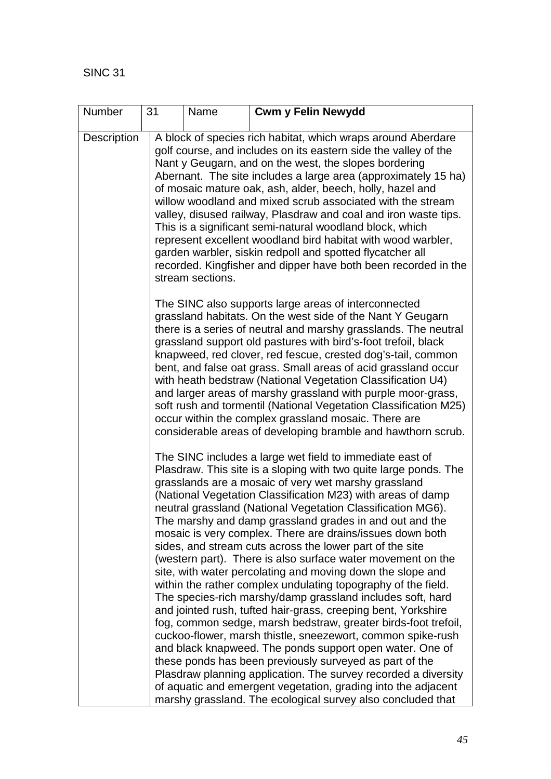| Number             | 31 | Name             | <b>Cwm y Felin Newydd</b>                                                                                                                                                                                                                                                                                                                                                                                                                                                                                                                                                                                                                                                                                                                                                                                                                                                                                                                                                                                                                                                                                                                                                                                                                                                                     |
|--------------------|----|------------------|-----------------------------------------------------------------------------------------------------------------------------------------------------------------------------------------------------------------------------------------------------------------------------------------------------------------------------------------------------------------------------------------------------------------------------------------------------------------------------------------------------------------------------------------------------------------------------------------------------------------------------------------------------------------------------------------------------------------------------------------------------------------------------------------------------------------------------------------------------------------------------------------------------------------------------------------------------------------------------------------------------------------------------------------------------------------------------------------------------------------------------------------------------------------------------------------------------------------------------------------------------------------------------------------------|
| <b>Description</b> |    | stream sections. | A block of species rich habitat, which wraps around Aberdare<br>golf course, and includes on its eastern side the valley of the<br>Nant y Geugarn, and on the west, the slopes bordering<br>Abernant. The site includes a large area (approximately 15 ha)<br>of mosaic mature oak, ash, alder, beech, holly, hazel and<br>willow woodland and mixed scrub associated with the stream<br>valley, disused railway, Plasdraw and coal and iron waste tips.<br>This is a significant semi-natural woodland block, which<br>represent excellent woodland bird habitat with wood warbler,<br>garden warbler, siskin redpoll and spotted flycatcher all<br>recorded. Kingfisher and dipper have both been recorded in the                                                                                                                                                                                                                                                                                                                                                                                                                                                                                                                                                                           |
|                    |    |                  | The SINC also supports large areas of interconnected<br>grassland habitats. On the west side of the Nant Y Geugarn<br>there is a series of neutral and marshy grasslands. The neutral<br>grassland support old pastures with bird's-foot trefoil, black<br>knapweed, red clover, red fescue, crested dog's-tail, common<br>bent, and false oat grass. Small areas of acid grassland occur<br>with heath bedstraw (National Vegetation Classification U4)<br>and larger areas of marshy grassland with purple moor-grass,<br>soft rush and tormentil (National Vegetation Classification M25)<br>occur within the complex grassland mosaic. There are<br>considerable areas of developing bramble and hawthorn scrub.                                                                                                                                                                                                                                                                                                                                                                                                                                                                                                                                                                          |
|                    |    |                  | The SINC includes a large wet field to immediate east of<br>Plasdraw. This site is a sloping with two quite large ponds. The<br>grasslands are a mosaic of very wet marshy grassland<br>(National Vegetation Classification M23) with areas of damp<br>neutral grassland (National Vegetation Classification MG6).<br>The marshy and damp grassland grades in and out and the<br>mosaic is very complex. There are drains/issues down both<br>sides, and stream cuts across the lower part of the site<br>(western part). There is also surface water movement on the<br>site, with water percolating and moving down the slope and<br>within the rather complex undulating topography of the field.<br>The species-rich marshy/damp grassland includes soft, hard<br>and jointed rush, tufted hair-grass, creeping bent, Yorkshire<br>fog, common sedge, marsh bedstraw, greater birds-foot trefoil,<br>cuckoo-flower, marsh thistle, sneezewort, common spike-rush<br>and black knapweed. The ponds support open water. One of<br>these ponds has been previously surveyed as part of the<br>Plasdraw planning application. The survey recorded a diversity<br>of aquatic and emergent vegetation, grading into the adjacent<br>marshy grassland. The ecological survey also concluded that |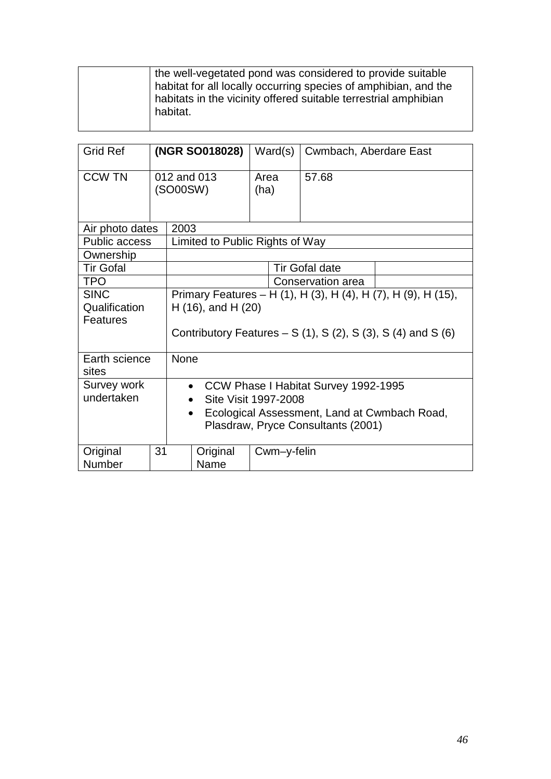| <b>Grid Ref</b>                          |                                                                                                                                                                 | Ward(s)<br>(NGR SO018028)                                                                                                                                           |                                 |              | Cwmbach, Aberdare East |       |  |
|------------------------------------------|-----------------------------------------------------------------------------------------------------------------------------------------------------------------|---------------------------------------------------------------------------------------------------------------------------------------------------------------------|---------------------------------|--------------|------------------------|-------|--|
| <b>CCW TN</b>                            |                                                                                                                                                                 | 012 and 013<br>(SO00SW)                                                                                                                                             |                                 | Area<br>(ha) |                        | 57.68 |  |
| Air photo dates                          |                                                                                                                                                                 | 2003                                                                                                                                                                |                                 |              |                        |       |  |
| Public access                            |                                                                                                                                                                 |                                                                                                                                                                     | Limited to Public Rights of Way |              |                        |       |  |
| Ownership                                |                                                                                                                                                                 |                                                                                                                                                                     |                                 |              |                        |       |  |
| <b>Tir Gofal</b>                         |                                                                                                                                                                 | <b>Tir Gofal date</b>                                                                                                                                               |                                 |              |                        |       |  |
| <b>TPO</b>                               |                                                                                                                                                                 | Conservation area                                                                                                                                                   |                                 |              |                        |       |  |
| <b>SINC</b><br>Qualification<br>Features |                                                                                                                                                                 | Primary Features - H (1), H (3), H (4), H (7), H (9), H (15),<br>$H(16)$ , and $H(20)$<br>Contributory Features – S $(1)$ , S $(2)$ , S $(3)$ , S $(4)$ and S $(6)$ |                                 |              |                        |       |  |
| Earth science<br>sites                   | <b>None</b>                                                                                                                                                     |                                                                                                                                                                     |                                 |              |                        |       |  |
| Survey work<br>undertaken                | CCW Phase I Habitat Survey 1992-1995<br>$\bullet$<br>Site Visit 1997-2008<br>Ecological Assessment, Land at Cwmbach Road,<br>Plasdraw, Pryce Consultants (2001) |                                                                                                                                                                     |                                 |              |                        |       |  |
| Original<br><b>Number</b>                | 31                                                                                                                                                              |                                                                                                                                                                     | Original<br>Name                |              | Cwm-y-felin            |       |  |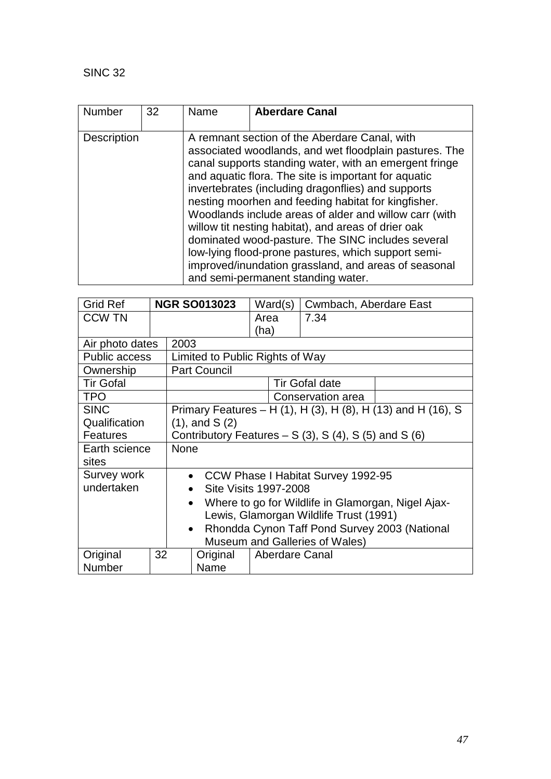| <b>Number</b>      | 32 | Name | <b>Aberdare Canal</b>                                                                                                                                                                                                                                                                                                                                                                                                                                                                                                                                                                                                                                             |
|--------------------|----|------|-------------------------------------------------------------------------------------------------------------------------------------------------------------------------------------------------------------------------------------------------------------------------------------------------------------------------------------------------------------------------------------------------------------------------------------------------------------------------------------------------------------------------------------------------------------------------------------------------------------------------------------------------------------------|
| <b>Description</b> |    |      | A remnant section of the Aberdare Canal, with<br>associated woodlands, and wet floodplain pastures. The<br>canal supports standing water, with an emergent fringe<br>and aquatic flora. The site is important for aquatic<br>invertebrates (including dragonflies) and supports<br>nesting moorhen and feeding habitat for kingfisher.<br>Woodlands include areas of alder and willow carr (with<br>willow tit nesting habitat), and areas of drier oak<br>dominated wood-pasture. The SINC includes several<br>low-lying flood-prone pastures, which support semi-<br>improved/inundation grassland, and areas of seasonal<br>and semi-permanent standing water. |

| <b>Grid Ref</b>      |                                                 |                                                                 | <b>NGR SO013023</b>             | Ward(s) |  | Cwmbach, Aberdare East                                       |  |
|----------------------|-------------------------------------------------|-----------------------------------------------------------------|---------------------------------|---------|--|--------------------------------------------------------------|--|
| <b>CCW TN</b>        |                                                 |                                                                 |                                 | Area    |  | 7.34                                                         |  |
|                      |                                                 | (ha)                                                            |                                 |         |  |                                                              |  |
| Air photo dates      |                                                 | 2003                                                            |                                 |         |  |                                                              |  |
| <b>Public access</b> |                                                 |                                                                 | Limited to Public Rights of Way |         |  |                                                              |  |
| Ownership            |                                                 |                                                                 | <b>Part Council</b>             |         |  |                                                              |  |
| <b>Tir Gofal</b>     |                                                 |                                                                 |                                 |         |  | <b>Tir Gofal date</b>                                        |  |
| <b>TPO</b>           |                                                 |                                                                 |                                 |         |  | Conservation area                                            |  |
| <b>SINC</b>          |                                                 |                                                                 |                                 |         |  | Primary Features - H (1), H (3), H (8), H (13) and H (16), S |  |
| Qualification        |                                                 | $(1)$ , and S $(2)$                                             |                                 |         |  |                                                              |  |
| <b>Features</b>      |                                                 | Contributory Features $- S(3)$ , S(4), S(5) and S(6)            |                                 |         |  |                                                              |  |
| Earth science        | None                                            |                                                                 |                                 |         |  |                                                              |  |
| sites                |                                                 |                                                                 |                                 |         |  |                                                              |  |
| Survey work          | CCW Phase I Habitat Survey 1992-95<br>$\bullet$ |                                                                 |                                 |         |  |                                                              |  |
| undertaken           |                                                 | <b>Site Visits 1997-2008</b><br>$\bullet$                       |                                 |         |  |                                                              |  |
|                      |                                                 | Where to go for Wildlife in Glamorgan, Nigel Ajax-<br>$\bullet$ |                                 |         |  |                                                              |  |
|                      |                                                 | Lewis, Glamorgan Wildlife Trust (1991)                          |                                 |         |  |                                                              |  |
|                      |                                                 | Rhondda Cynon Taff Pond Survey 2003 (National<br>$\bullet$      |                                 |         |  |                                                              |  |
|                      |                                                 |                                                                 |                                 |         |  | Museum and Galleries of Wales)                               |  |
| Original             | 32                                              |                                                                 | Original                        |         |  | <b>Aberdare Canal</b>                                        |  |
| Number               |                                                 |                                                                 | Name                            |         |  |                                                              |  |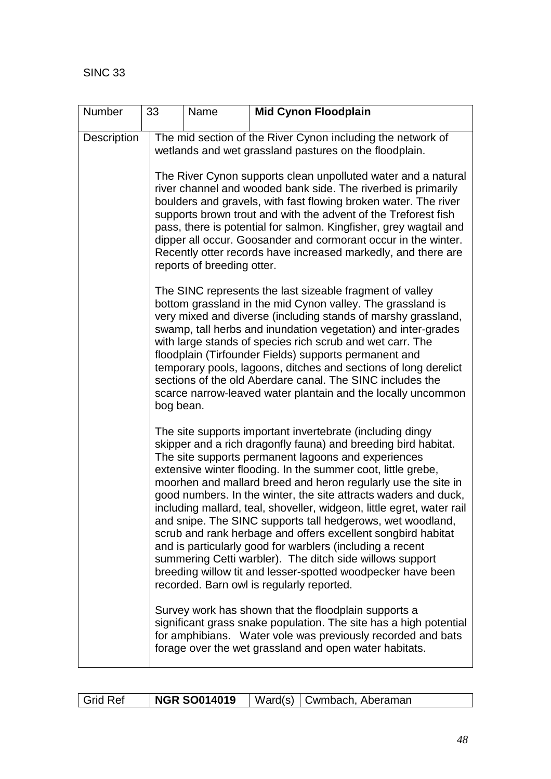| Number      | 33                                                                                                                                                                                                                                                                                                                                                                                                                                                                                                                                                                                                                                                                                                                                                                                                                                 | Name                                                                                                                                                                                                                                                                                                                                                                                                                                                                                                      | <b>Mid Cynon Floodplain</b>                                                                                                                                                                                                                                                                                                                                                                                                                                                                                                                                                    |  |  |  |  |
|-------------|------------------------------------------------------------------------------------------------------------------------------------------------------------------------------------------------------------------------------------------------------------------------------------------------------------------------------------------------------------------------------------------------------------------------------------------------------------------------------------------------------------------------------------------------------------------------------------------------------------------------------------------------------------------------------------------------------------------------------------------------------------------------------------------------------------------------------------|-----------------------------------------------------------------------------------------------------------------------------------------------------------------------------------------------------------------------------------------------------------------------------------------------------------------------------------------------------------------------------------------------------------------------------------------------------------------------------------------------------------|--------------------------------------------------------------------------------------------------------------------------------------------------------------------------------------------------------------------------------------------------------------------------------------------------------------------------------------------------------------------------------------------------------------------------------------------------------------------------------------------------------------------------------------------------------------------------------|--|--|--|--|
| Description |                                                                                                                                                                                                                                                                                                                                                                                                                                                                                                                                                                                                                                                                                                                                                                                                                                    |                                                                                                                                                                                                                                                                                                                                                                                                                                                                                                           | The mid section of the River Cynon including the network of<br>wetlands and wet grassland pastures on the floodplain.                                                                                                                                                                                                                                                                                                                                                                                                                                                          |  |  |  |  |
|             |                                                                                                                                                                                                                                                                                                                                                                                                                                                                                                                                                                                                                                                                                                                                                                                                                                    | The River Cynon supports clean unpolluted water and a natural<br>river channel and wooded bank side. The riverbed is primarily<br>boulders and gravels, with fast flowing broken water. The river<br>supports brown trout and with the advent of the Treforest fish<br>pass, there is potential for salmon. Kingfisher, grey wagtail and<br>dipper all occur. Goosander and cormorant occur in the winter.<br>Recently otter records have increased markedly, and there are<br>reports of breeding otter. |                                                                                                                                                                                                                                                                                                                                                                                                                                                                                                                                                                                |  |  |  |  |
|             | bog bean.                                                                                                                                                                                                                                                                                                                                                                                                                                                                                                                                                                                                                                                                                                                                                                                                                          |                                                                                                                                                                                                                                                                                                                                                                                                                                                                                                           | The SINC represents the last sizeable fragment of valley<br>bottom grassland in the mid Cynon valley. The grassland is<br>very mixed and diverse (including stands of marshy grassland,<br>swamp, tall herbs and inundation vegetation) and inter-grades<br>with large stands of species rich scrub and wet carr. The<br>floodplain (Tirfounder Fields) supports permanent and<br>temporary pools, lagoons, ditches and sections of long derelict<br>sections of the old Aberdare canal. The SINC includes the<br>scarce narrow-leaved water plantain and the locally uncommon |  |  |  |  |
|             | The site supports important invertebrate (including dingy<br>skipper and a rich dragonfly fauna) and breeding bird habitat.<br>The site supports permanent lagoons and experiences<br>extensive winter flooding. In the summer coot, little grebe,<br>moorhen and mallard breed and heron regularly use the site in<br>good numbers. In the winter, the site attracts waders and duck,<br>including mallard, teal, shoveller, widgeon, little egret, water rail<br>and snipe. The SINC supports tall hedgerows, wet woodland,<br>scrub and rank herbage and offers excellent songbird habitat<br>and is particularly good for warblers (including a recent<br>summering Cetti warbler). The ditch side willows support<br>breeding willow tit and lesser-spotted woodpecker have been<br>recorded. Barn owl is regularly reported. |                                                                                                                                                                                                                                                                                                                                                                                                                                                                                                           |                                                                                                                                                                                                                                                                                                                                                                                                                                                                                                                                                                                |  |  |  |  |
|             |                                                                                                                                                                                                                                                                                                                                                                                                                                                                                                                                                                                                                                                                                                                                                                                                                                    | Survey work has shown that the floodplain supports a<br>significant grass snake population. The site has a high potential<br>for amphibians. Water vole was previously recorded and bats<br>forage over the wet grassland and open water habitats.                                                                                                                                                                                                                                                        |                                                                                                                                                                                                                                                                                                                                                                                                                                                                                                                                                                                |  |  |  |  |

| <b>NGR SO014019</b><br>  Ward(s)   Cwmbach, Aberaman<br>I Grid Ref |
|--------------------------------------------------------------------|
|--------------------------------------------------------------------|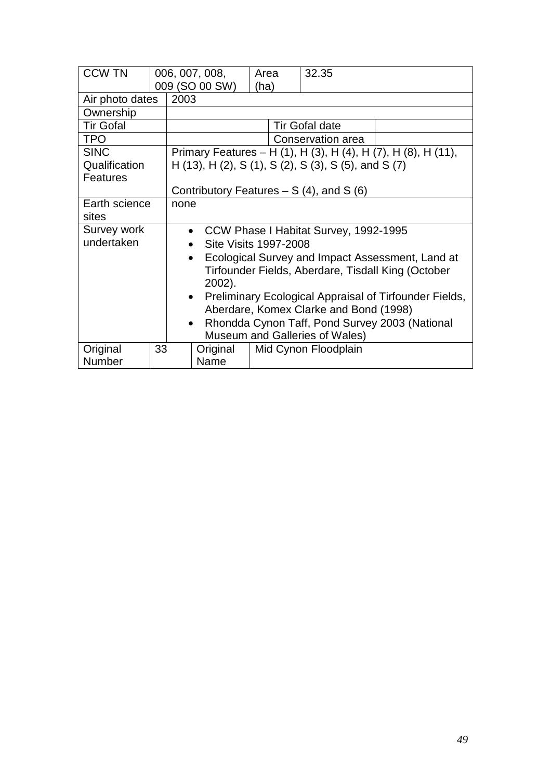| <b>CCW TN</b>    |                                                               | 006, 007, 008,                                                      |                       | Area | 32.35                                                         |  |  |  |
|------------------|---------------------------------------------------------------|---------------------------------------------------------------------|-----------------------|------|---------------------------------------------------------------|--|--|--|
|                  |                                                               | 009 (SO 00 SW)                                                      |                       | (ha) |                                                               |  |  |  |
| Air photo dates  |                                                               | 2003                                                                |                       |      |                                                               |  |  |  |
| Ownership        |                                                               |                                                                     |                       |      |                                                               |  |  |  |
| <b>Tir Gofal</b> |                                                               |                                                                     | <b>Tir Gofal date</b> |      |                                                               |  |  |  |
| <b>TPO</b>       |                                                               |                                                                     | Conservation area     |      |                                                               |  |  |  |
| <b>SINC</b>      |                                                               |                                                                     |                       |      | Primary Features – H (1), H (3), H (4), H (7), H (8), H (11), |  |  |  |
| Qualification    |                                                               |                                                                     |                       |      | H (13), H (2), S (1), S (2), S (3), S (5), and S (7)          |  |  |  |
| <b>Features</b>  |                                                               |                                                                     |                       |      |                                                               |  |  |  |
|                  |                                                               | Contributory Features $- S(4)$ , and S(6)                           |                       |      |                                                               |  |  |  |
| Earth science    | none                                                          |                                                                     |                       |      |                                                               |  |  |  |
| sites            |                                                               |                                                                     |                       |      |                                                               |  |  |  |
| Survey work      | • CCW Phase I Habitat Survey, 1992-1995                       |                                                                     |                       |      |                                                               |  |  |  |
| undertaken       | Site Visits 1997-2008                                         |                                                                     |                       |      |                                                               |  |  |  |
|                  | Ecological Survey and Impact Assessment, Land at<br>$\bullet$ |                                                                     |                       |      |                                                               |  |  |  |
|                  |                                                               | Tirfounder Fields, Aberdare, Tisdall King (October                  |                       |      |                                                               |  |  |  |
|                  |                                                               | 2002).                                                              |                       |      |                                                               |  |  |  |
|                  |                                                               | Preliminary Ecological Appraisal of Tirfounder Fields,<br>$\bullet$ |                       |      |                                                               |  |  |  |
|                  |                                                               | Aberdare, Komex Clarke and Bond (1998)                              |                       |      |                                                               |  |  |  |
|                  |                                                               | Rhondda Cynon Taff, Pond Survey 2003 (National<br>$\bullet$         |                       |      |                                                               |  |  |  |
|                  |                                                               |                                                                     |                       |      | Museum and Galleries of Wales)                                |  |  |  |
| Original         | 33                                                            | Original                                                            |                       |      | Mid Cynon Floodplain                                          |  |  |  |
| Number           |                                                               | Name                                                                |                       |      |                                                               |  |  |  |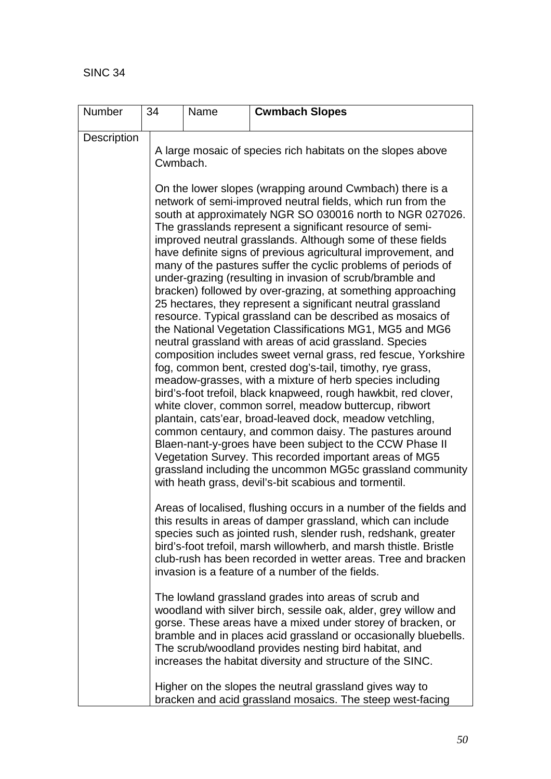| Number      | 34       | Name | <b>Cwmbach Slopes</b>                                                                                                                                                                                                                                                                                                                                                                                                                                                                                                                                                                                                                                                                                                                                                                                                                                                                                                                                                                                                                                                                                                                                                                                                                                                                                                                                                                                                                                                                                                       |
|-------------|----------|------|-----------------------------------------------------------------------------------------------------------------------------------------------------------------------------------------------------------------------------------------------------------------------------------------------------------------------------------------------------------------------------------------------------------------------------------------------------------------------------------------------------------------------------------------------------------------------------------------------------------------------------------------------------------------------------------------------------------------------------------------------------------------------------------------------------------------------------------------------------------------------------------------------------------------------------------------------------------------------------------------------------------------------------------------------------------------------------------------------------------------------------------------------------------------------------------------------------------------------------------------------------------------------------------------------------------------------------------------------------------------------------------------------------------------------------------------------------------------------------------------------------------------------------|
| Description |          |      | A large mosaic of species rich habitats on the slopes above                                                                                                                                                                                                                                                                                                                                                                                                                                                                                                                                                                                                                                                                                                                                                                                                                                                                                                                                                                                                                                                                                                                                                                                                                                                                                                                                                                                                                                                                 |
|             | Cwmbach. |      | On the lower slopes (wrapping around Cwmbach) there is a<br>network of semi-improved neutral fields, which run from the<br>south at approximately NGR SO 030016 north to NGR 027026.<br>The grasslands represent a significant resource of semi-<br>improved neutral grasslands. Although some of these fields<br>have definite signs of previous agricultural improvement, and<br>many of the pastures suffer the cyclic problems of periods of<br>under-grazing (resulting in invasion of scrub/bramble and<br>bracken) followed by over-grazing, at something approaching<br>25 hectares, they represent a significant neutral grassland<br>resource. Typical grassland can be described as mosaics of<br>the National Vegetation Classifications MG1, MG5 and MG6<br>neutral grassland with areas of acid grassland. Species<br>composition includes sweet vernal grass, red fescue, Yorkshire<br>fog, common bent, crested dog's-tail, timothy, rye grass,<br>meadow-grasses, with a mixture of herb species including<br>bird's-foot trefoil, black knapweed, rough hawkbit, red clover,<br>white clover, common sorrel, meadow buttercup, ribwort<br>plantain, cats'ear, broad-leaved dock, meadow vetchling,<br>common centaury, and common daisy. The pastures around<br>Blaen-nant-y-groes have been subject to the CCW Phase II<br>Vegetation Survey. This recorded important areas of MG5<br>grassland including the uncommon MG5c grassland community<br>with heath grass, devil's-bit scabious and tormentil. |
|             |          |      | Areas of localised, flushing occurs in a number of the fields and<br>this results in areas of damper grassland, which can include<br>species such as jointed rush, slender rush, redshank, greater<br>bird's-foot trefoil, marsh willowherb, and marsh thistle. Bristle<br>club-rush has been recorded in wetter areas. Tree and bracken<br>invasion is a feature of a number of the fields.                                                                                                                                                                                                                                                                                                                                                                                                                                                                                                                                                                                                                                                                                                                                                                                                                                                                                                                                                                                                                                                                                                                                |
|             |          |      | The lowland grassland grades into areas of scrub and<br>woodland with silver birch, sessile oak, alder, grey willow and<br>gorse. These areas have a mixed under storey of bracken, or<br>bramble and in places acid grassland or occasionally bluebells.<br>The scrub/woodland provides nesting bird habitat, and<br>increases the habitat diversity and structure of the SINC.                                                                                                                                                                                                                                                                                                                                                                                                                                                                                                                                                                                                                                                                                                                                                                                                                                                                                                                                                                                                                                                                                                                                            |
|             |          |      | Higher on the slopes the neutral grassland gives way to<br>bracken and acid grassland mosaics. The steep west-facing                                                                                                                                                                                                                                                                                                                                                                                                                                                                                                                                                                                                                                                                                                                                                                                                                                                                                                                                                                                                                                                                                                                                                                                                                                                                                                                                                                                                        |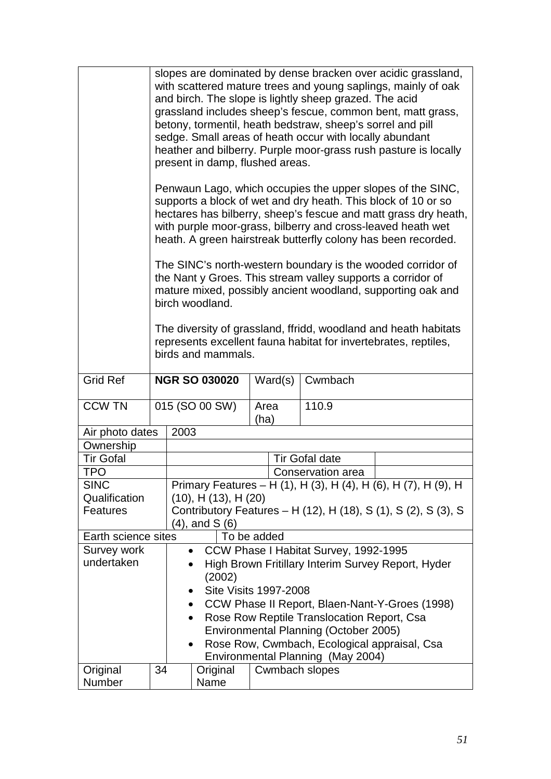|                           |    | slopes are dominated by dense bracken over acidic grassland,<br>with scattered mature trees and young saplings, mainly of oak<br>and birch. The slope is lightly sheep grazed. The acid<br>grassland includes sheep's fescue, common bent, matt grass,<br>betony, tormentil, heath bedstraw, sheep's sorrel and pill<br>sedge. Small areas of heath occur with locally abundant<br>heather and bilberry. Purple moor-grass rush pasture is locally<br>present in damp, flushed areas. |                                        |                       |                       |                                                     |                                                                |  |
|---------------------------|----|---------------------------------------------------------------------------------------------------------------------------------------------------------------------------------------------------------------------------------------------------------------------------------------------------------------------------------------------------------------------------------------------------------------------------------------------------------------------------------------|----------------------------------------|-----------------------|-----------------------|-----------------------------------------------------|----------------------------------------------------------------|--|
|                           |    | Penwaun Lago, which occupies the upper slopes of the SINC,<br>supports a block of wet and dry heath. This block of 10 or so<br>hectares has bilberry, sheep's fescue and matt grass dry heath,<br>with purple moor-grass, bilberry and cross-leaved heath wet<br>heath. A green hairstreak butterfly colony has been recorded.                                                                                                                                                        |                                        |                       |                       |                                                     |                                                                |  |
|                           |    | The SINC's north-western boundary is the wooded corridor of<br>the Nant y Groes. This stream valley supports a corridor of<br>mature mixed, possibly ancient woodland, supporting oak and<br>birch woodland.                                                                                                                                                                                                                                                                          |                                        |                       |                       |                                                     |                                                                |  |
|                           |    | The diversity of grassland, ffridd, woodland and heath habitats<br>represents excellent fauna habitat for invertebrates, reptiles,<br>birds and mammals.                                                                                                                                                                                                                                                                                                                              |                                        |                       |                       |                                                     |                                                                |  |
| <b>Grid Ref</b>           |    |                                                                                                                                                                                                                                                                                                                                                                                                                                                                                       | <b>NGR SO 030020</b>                   | Ward(s)<br>Cwmbach    |                       |                                                     |                                                                |  |
| <b>CCW TN</b>             |    | 015 (SO 00 SW)                                                                                                                                                                                                                                                                                                                                                                                                                                                                        |                                        |                       | 110.9<br>Area<br>(ha) |                                                     |                                                                |  |
| Air photo dates           |    | 2003                                                                                                                                                                                                                                                                                                                                                                                                                                                                                  |                                        |                       |                       |                                                     |                                                                |  |
| Ownership                 |    |                                                                                                                                                                                                                                                                                                                                                                                                                                                                                       |                                        |                       |                       |                                                     |                                                                |  |
| <b>Tir Gofal</b>          |    |                                                                                                                                                                                                                                                                                                                                                                                                                                                                                       |                                        | <b>Tir Gofal date</b> |                       |                                                     |                                                                |  |
| TPO                       |    |                                                                                                                                                                                                                                                                                                                                                                                                                                                                                       |                                        | Conservation area     |                       |                                                     |                                                                |  |
| <b>SINC</b>               |    |                                                                                                                                                                                                                                                                                                                                                                                                                                                                                       |                                        |                       |                       |                                                     | Primary Features – H (1), H (3), H (4), H (6), H (7), H (9), H |  |
| Qualification             |    |                                                                                                                                                                                                                                                                                                                                                                                                                                                                                       | $(10)$ , H $(13)$ , H $(20)$           |                       |                       |                                                     |                                                                |  |
| <b>Features</b>           |    | Contributory Features – H (12), H (18), S (1), S (2), S (3), S                                                                                                                                                                                                                                                                                                                                                                                                                        |                                        |                       |                       |                                                     |                                                                |  |
|                           |    |                                                                                                                                                                                                                                                                                                                                                                                                                                                                                       | (4), and S (6)                         |                       |                       |                                                     |                                                                |  |
| Earth science sites       |    |                                                                                                                                                                                                                                                                                                                                                                                                                                                                                       | To be added                            |                       |                       |                                                     |                                                                |  |
| Survey work<br>undertaken |    | $\bullet$                                                                                                                                                                                                                                                                                                                                                                                                                                                                             |                                        |                       |                       | CCW Phase I Habitat Survey, 1992-1995               |                                                                |  |
|                           |    |                                                                                                                                                                                                                                                                                                                                                                                                                                                                                       |                                        |                       |                       |                                                     | High Brown Fritillary Interim Survey Report, Hyder             |  |
|                           |    |                                                                                                                                                                                                                                                                                                                                                                                                                                                                                       | (2002)<br><b>Site Visits 1997-2008</b> |                       |                       |                                                     |                                                                |  |
|                           |    | $\bullet$                                                                                                                                                                                                                                                                                                                                                                                                                                                                             |                                        |                       |                       |                                                     |                                                                |  |
|                           |    | $\bullet$                                                                                                                                                                                                                                                                                                                                                                                                                                                                             |                                        |                       |                       |                                                     | CCW Phase II Report, Blaen-Nant-Y-Groes (1998)                 |  |
|                           |    | $\bullet$                                                                                                                                                                                                                                                                                                                                                                                                                                                                             |                                        |                       |                       | Rose Row Reptile Translocation Report, Csa          |                                                                |  |
|                           |    |                                                                                                                                                                                                                                                                                                                                                                                                                                                                                       |                                        |                       |                       |                                                     |                                                                |  |
|                           |    | Environmental Planning (October 2005)<br>Rose Row, Cwmbach, Ecological appraisal, Csa<br>$\bullet$                                                                                                                                                                                                                                                                                                                                                                                    |                                        |                       |                       |                                                     |                                                                |  |
|                           |    |                                                                                                                                                                                                                                                                                                                                                                                                                                                                                       |                                        |                       |                       |                                                     |                                                                |  |
| Original                  | 34 |                                                                                                                                                                                                                                                                                                                                                                                                                                                                                       | Original                               |                       |                       | Environmental Planning (May 2004)<br>Cwmbach slopes |                                                                |  |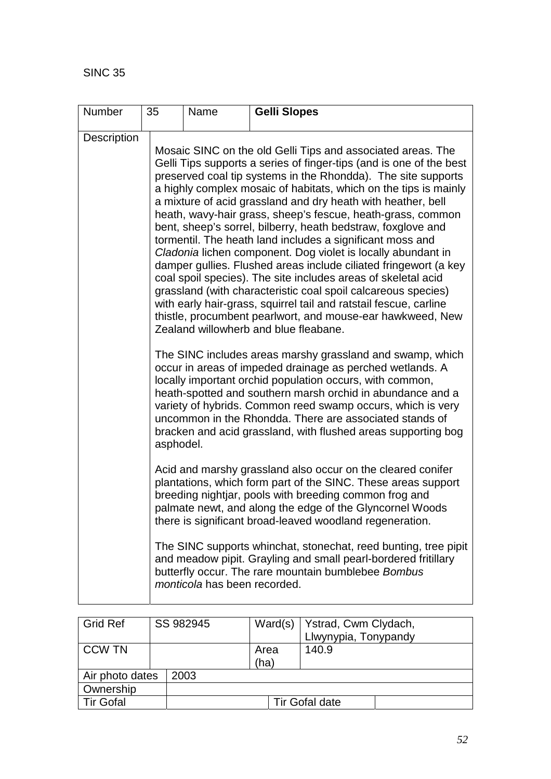| Number      | 35                                                                                                                                                                                                                                                                                                                                                                                                                                                       | Name                                                                                                                                                                                                                                                                                                                                                                                                                                                                                                                                                                                                                                                                                                                                                                                                                                                                                                                                                                                  | <b>Gelli Slopes</b>                                                                                                                                                                                                                                                                                            |  |  |  |
|-------------|----------------------------------------------------------------------------------------------------------------------------------------------------------------------------------------------------------------------------------------------------------------------------------------------------------------------------------------------------------------------------------------------------------------------------------------------------------|---------------------------------------------------------------------------------------------------------------------------------------------------------------------------------------------------------------------------------------------------------------------------------------------------------------------------------------------------------------------------------------------------------------------------------------------------------------------------------------------------------------------------------------------------------------------------------------------------------------------------------------------------------------------------------------------------------------------------------------------------------------------------------------------------------------------------------------------------------------------------------------------------------------------------------------------------------------------------------------|----------------------------------------------------------------------------------------------------------------------------------------------------------------------------------------------------------------------------------------------------------------------------------------------------------------|--|--|--|
| Description |                                                                                                                                                                                                                                                                                                                                                                                                                                                          | Mosaic SINC on the old Gelli Tips and associated areas. The<br>Gelli Tips supports a series of finger-tips (and is one of the best<br>preserved coal tip systems in the Rhondda). The site supports<br>a highly complex mosaic of habitats, which on the tips is mainly<br>a mixture of acid grassland and dry heath with heather, bell<br>heath, wavy-hair grass, sheep's fescue, heath-grass, common<br>bent, sheep's sorrel, bilberry, heath bedstraw, foxglove and<br>tormentil. The heath land includes a significant moss and<br>Cladonia lichen component. Dog violet is locally abundant in<br>damper gullies. Flushed areas include ciliated fringewort (a key<br>coal spoil species). The site includes areas of skeletal acid<br>grassland (with characteristic coal spoil calcareous species)<br>with early hair-grass, squirrel tail and ratstail fescue, carline<br>thistle, procumbent pearlwort, and mouse-ear hawkweed, New<br>Zealand willowherb and blue fleabane. |                                                                                                                                                                                                                                                                                                                |  |  |  |
|             | The SINC includes areas marshy grassland and swamp, which<br>occur in areas of impeded drainage as perched wetlands. A<br>locally important orchid population occurs, with common,<br>heath-spotted and southern marsh orchid in abundance and a<br>variety of hybrids. Common reed swamp occurs, which is very<br>uncommon in the Rhondda. There are associated stands of<br>bracken and acid grassland, with flushed areas supporting bog<br>asphodel. |                                                                                                                                                                                                                                                                                                                                                                                                                                                                                                                                                                                                                                                                                                                                                                                                                                                                                                                                                                                       |                                                                                                                                                                                                                                                                                                                |  |  |  |
|             |                                                                                                                                                                                                                                                                                                                                                                                                                                                          |                                                                                                                                                                                                                                                                                                                                                                                                                                                                                                                                                                                                                                                                                                                                                                                                                                                                                                                                                                                       | Acid and marshy grassland also occur on the cleared conifer<br>plantations, which form part of the SINC. These areas support<br>breeding nightjar, pools with breeding common frog and<br>palmate newt, and along the edge of the Glyncornel Woods<br>there is significant broad-leaved woodland regeneration. |  |  |  |
|             |                                                                                                                                                                                                                                                                                                                                                                                                                                                          | monticola has been recorded.                                                                                                                                                                                                                                                                                                                                                                                                                                                                                                                                                                                                                                                                                                                                                                                                                                                                                                                                                          | The SINC supports whinchat, stonechat, reed bunting, tree pipit<br>and meadow pipit. Grayling and small pearl-bordered fritillary<br>butterfly occur. The rare mountain bumblebee Bombus                                                                                                                       |  |  |  |

| <b>Grid Ref</b>  |  | SS 982945 | Ward(s) | Ystrad, Cwm Clydach, |
|------------------|--|-----------|---------|----------------------|
|                  |  |           |         | Llwynypia, Tonypandy |
| <b>CCW TN</b>    |  |           | Area    | 140.9                |
|                  |  |           | (ha)    |                      |
| Air photo dates  |  | 2003      |         |                      |
| Ownership        |  |           |         |                      |
| <b>Tir Gofal</b> |  |           |         | Tir Gofal date       |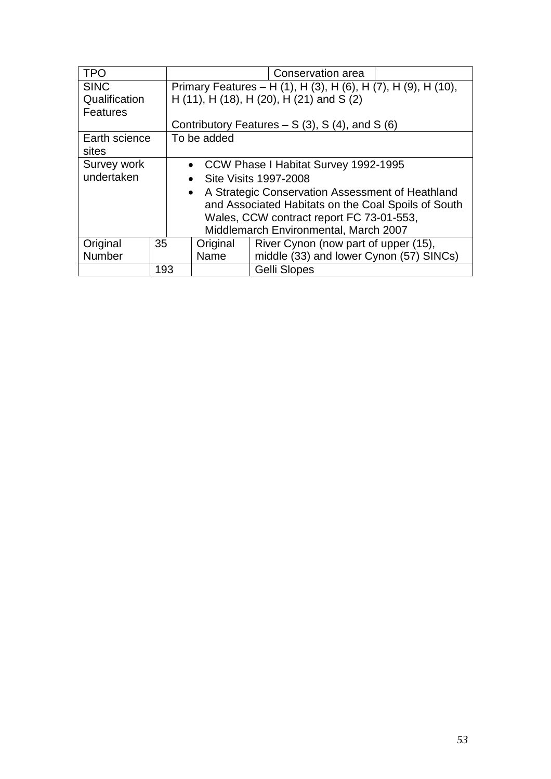| <b>TPO</b>      |     | Conservation area                                             |                                                  |                                                     |  |  |
|-----------------|-----|---------------------------------------------------------------|--------------------------------------------------|-----------------------------------------------------|--|--|
| <b>SINC</b>     |     | Primary Features – H (1), H (3), H (6), H (7), H (9), H (10), |                                                  |                                                     |  |  |
| Qualification   |     |                                                               |                                                  | H (11), H (18), H (20), H (21) and S (2)            |  |  |
| <b>Features</b> |     |                                                               |                                                  |                                                     |  |  |
|                 |     |                                                               |                                                  | Contributory Features $- S(3)$ , S(4), and S(6)     |  |  |
| Earth science   |     | To be added                                                   |                                                  |                                                     |  |  |
| sites           |     |                                                               |                                                  |                                                     |  |  |
| Survey work     |     | • CCW Phase I Habitat Survey 1992-1995                        |                                                  |                                                     |  |  |
| undertaken      |     | $\bullet$                                                     |                                                  | <b>Site Visits 1997-2008</b>                        |  |  |
|                 |     |                                                               |                                                  | • A Strategic Conservation Assessment of Heathland  |  |  |
|                 |     |                                                               |                                                  | and Associated Habitats on the Coal Spoils of South |  |  |
|                 |     |                                                               |                                                  | Wales, CCW contract report FC 73-01-553,            |  |  |
|                 |     | Middlemarch Environmental, March 2007                         |                                                  |                                                     |  |  |
| Original        | 35  |                                                               | River Cynon (now part of upper (15),<br>Original |                                                     |  |  |
| Number          |     |                                                               | Name                                             | middle (33) and lower Cynon (57) SINCs)             |  |  |
|                 | 193 |                                                               |                                                  | <b>Gelli Slopes</b>                                 |  |  |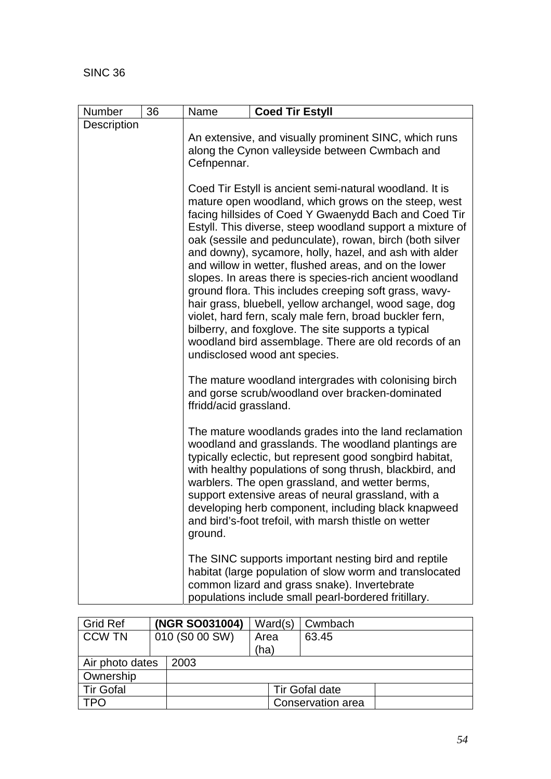| Number      | 36 | Name                                                                                                                                                                                                                                                                                                                                                                                                                                                                                                                                                                                                                                                                                                                                                                                                            | <b>Coed Tir Estyll</b>                                                                                                                                                                                                  |  |  |  |  |  |
|-------------|----|-----------------------------------------------------------------------------------------------------------------------------------------------------------------------------------------------------------------------------------------------------------------------------------------------------------------------------------------------------------------------------------------------------------------------------------------------------------------------------------------------------------------------------------------------------------------------------------------------------------------------------------------------------------------------------------------------------------------------------------------------------------------------------------------------------------------|-------------------------------------------------------------------------------------------------------------------------------------------------------------------------------------------------------------------------|--|--|--|--|--|
| Description |    | An extensive, and visually prominent SINC, which runs                                                                                                                                                                                                                                                                                                                                                                                                                                                                                                                                                                                                                                                                                                                                                           |                                                                                                                                                                                                                         |  |  |  |  |  |
|             |    | along the Cynon valleyside between Cwmbach and<br>Cefnpennar.                                                                                                                                                                                                                                                                                                                                                                                                                                                                                                                                                                                                                                                                                                                                                   |                                                                                                                                                                                                                         |  |  |  |  |  |
|             |    | Coed Tir Estyll is ancient semi-natural woodland. It is<br>mature open woodland, which grows on the steep, west<br>facing hillsides of Coed Y Gwaenydd Bach and Coed Tir<br>Estyll. This diverse, steep woodland support a mixture of<br>oak (sessile and pedunculate), rowan, birch (both silver<br>and downy), sycamore, holly, hazel, and ash with alder<br>and willow in wetter, flushed areas, and on the lower<br>slopes. In areas there is species-rich ancient woodland<br>ground flora. This includes creeping soft grass, wavy-<br>hair grass, bluebell, yellow archangel, wood sage, dog<br>violet, hard fern, scaly male fern, broad buckler fern,<br>bilberry, and foxglove. The site supports a typical<br>woodland bird assemblage. There are old records of an<br>undisclosed wood ant species. |                                                                                                                                                                                                                         |  |  |  |  |  |
|             |    | The mature woodland intergrades with colonising birch<br>and gorse scrub/woodland over bracken-dominated<br>ffridd/acid grassland.                                                                                                                                                                                                                                                                                                                                                                                                                                                                                                                                                                                                                                                                              |                                                                                                                                                                                                                         |  |  |  |  |  |
|             |    | The mature woodlands grades into the land reclamation<br>woodland and grasslands. The woodland plantings are<br>typically eclectic, but represent good songbird habitat,<br>with healthy populations of song thrush, blackbird, and<br>warblers. The open grassland, and wetter berms,<br>support extensive areas of neural grassland, with a<br>developing herb component, including black knapweed<br>and bird's-foot trefoil, with marsh thistle on wetter<br>ground.                                                                                                                                                                                                                                                                                                                                        |                                                                                                                                                                                                                         |  |  |  |  |  |
|             |    |                                                                                                                                                                                                                                                                                                                                                                                                                                                                                                                                                                                                                                                                                                                                                                                                                 | The SINC supports important nesting bird and reptile<br>habitat (large population of slow worm and translocated<br>common lizard and grass snake). Invertebrate<br>populations include small pearl-bordered fritillary. |  |  |  |  |  |

| Grid Ref         |                | (NGR SO031004) | Ward(s) | Cwmbach           |  |
|------------------|----------------|----------------|---------|-------------------|--|
| <b>CCW TN</b>    | 010 (S0 00 SW) |                | Area    | 63.45             |  |
|                  |                |                | (ha)    |                   |  |
| Air photo dates  |                | 2003           |         |                   |  |
| Ownership        |                |                |         |                   |  |
| <b>Tir Gofal</b> |                |                |         | Tir Gofal date    |  |
| TPO              |                |                |         | Conservation area |  |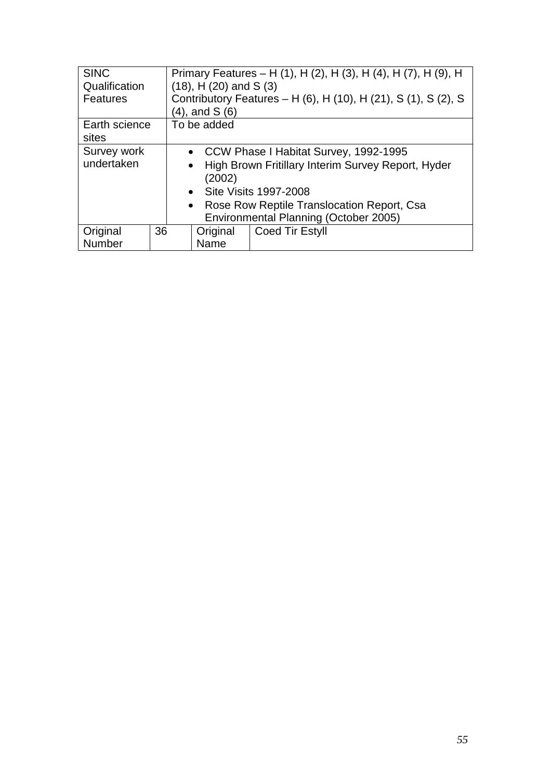| <b>SINC</b>                                  |                                       | Primary Features – H (1), H (2), H (3), H (4), H (7), H (9), H |          |                                                                |  |
|----------------------------------------------|---------------------------------------|----------------------------------------------------------------|----------|----------------------------------------------------------------|--|
| Qualification                                |                                       | $(18)$ , H $(20)$ and S $(3)$                                  |          |                                                                |  |
| <b>Features</b>                              |                                       |                                                                |          | Contributory Features - H (6), H (10), H (21), S (1), S (2), S |  |
|                                              |                                       | $(4)$ , and S $(6)$                                            |          |                                                                |  |
| Earth science                                |                                       | To be added                                                    |          |                                                                |  |
| sites                                        |                                       |                                                                |          |                                                                |  |
| Survey work                                  |                                       | • CCW Phase I Habitat Survey, 1992-1995                        |          |                                                                |  |
| undertaken                                   |                                       | $\bullet$                                                      |          | High Brown Fritillary Interim Survey Report, Hyder             |  |
|                                              |                                       |                                                                | (2002)   |                                                                |  |
|                                              |                                       |                                                                |          | • Site Visits 1997-2008                                        |  |
| • Rose Row Reptile Translocation Report, Csa |                                       |                                                                |          |                                                                |  |
|                                              | Environmental Planning (October 2005) |                                                                |          |                                                                |  |
| Original                                     | 36                                    |                                                                | Original | Coed Tir Estyll                                                |  |
| <b>Number</b>                                |                                       | Name                                                           |          |                                                                |  |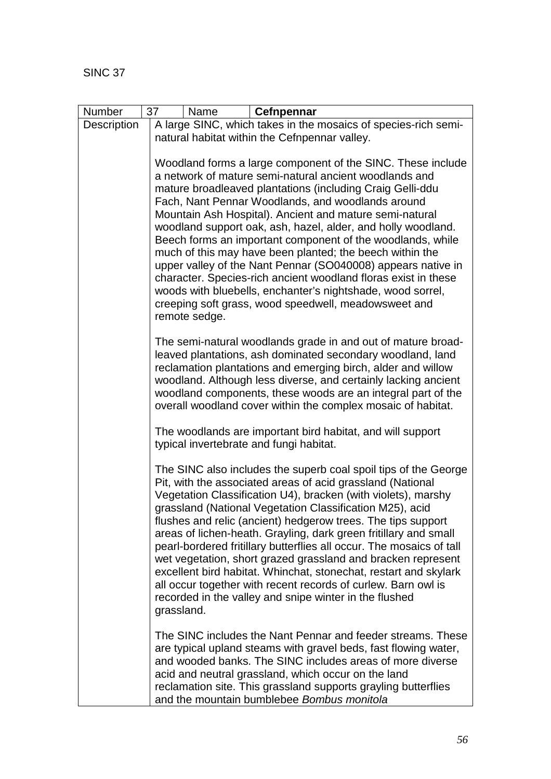| Number      | 37<br>Name<br>Cefnpennar                                                                                                                                                                                                                                                                                                                                                                                                                                                                                                                                                                                                                                                                                                                                              |  |  |  |  |  |  |
|-------------|-----------------------------------------------------------------------------------------------------------------------------------------------------------------------------------------------------------------------------------------------------------------------------------------------------------------------------------------------------------------------------------------------------------------------------------------------------------------------------------------------------------------------------------------------------------------------------------------------------------------------------------------------------------------------------------------------------------------------------------------------------------------------|--|--|--|--|--|--|
| Description | A large SINC, which takes in the mosaics of species-rich semi-                                                                                                                                                                                                                                                                                                                                                                                                                                                                                                                                                                                                                                                                                                        |  |  |  |  |  |  |
|             | natural habitat within the Cefnpennar valley.                                                                                                                                                                                                                                                                                                                                                                                                                                                                                                                                                                                                                                                                                                                         |  |  |  |  |  |  |
|             | Woodland forms a large component of the SINC. These include<br>a network of mature semi-natural ancient woodlands and<br>mature broadleaved plantations (including Craig Gelli-ddu<br>Fach, Nant Pennar Woodlands, and woodlands around<br>Mountain Ash Hospital). Ancient and mature semi-natural<br>woodland support oak, ash, hazel, alder, and holly woodland.<br>Beech forms an important component of the woodlands, while<br>much of this may have been planted; the beech within the<br>upper valley of the Nant Pennar (SO040008) appears native in<br>character. Species-rich ancient woodland floras exist in these<br>woods with bluebells, enchanter's nightshade, wood sorrel,<br>creeping soft grass, wood speedwell, meadowsweet and<br>remote sedge. |  |  |  |  |  |  |
|             | The semi-natural woodlands grade in and out of mature broad-<br>leaved plantations, ash dominated secondary woodland, land<br>reclamation plantations and emerging birch, alder and willow<br>woodland. Although less diverse, and certainly lacking ancient<br>woodland components, these woods are an integral part of the<br>overall woodland cover within the complex mosaic of habitat.                                                                                                                                                                                                                                                                                                                                                                          |  |  |  |  |  |  |
|             | The woodlands are important bird habitat, and will support<br>typical invertebrate and fungi habitat.                                                                                                                                                                                                                                                                                                                                                                                                                                                                                                                                                                                                                                                                 |  |  |  |  |  |  |
|             | The SINC also includes the superb coal spoil tips of the George<br>Pit, with the associated areas of acid grassland (National<br>Vegetation Classification U4), bracken (with violets), marshy<br>grassland (National Vegetation Classification M25), acid<br>flushes and relic (ancient) hedgerow trees. The tips support<br>areas of lichen-heath. Grayling, dark green fritillary and small<br>pearl-bordered fritillary butterflies all occur. The mosaics of tall<br>wet vegetation, short grazed grassland and bracken represent<br>excellent bird habitat. Whinchat, stonechat, restart and skylark<br>all occur together with recent records of curlew. Barn owl is<br>recorded in the valley and snipe winter in the flushed<br>grassland.                   |  |  |  |  |  |  |
|             | The SINC includes the Nant Pennar and feeder streams. These<br>are typical upland steams with gravel beds, fast flowing water,<br>and wooded banks. The SINC includes areas of more diverse<br>acid and neutral grassland, which occur on the land<br>reclamation site. This grassland supports grayling butterflies<br>and the mountain bumblebee Bombus monitola                                                                                                                                                                                                                                                                                                                                                                                                    |  |  |  |  |  |  |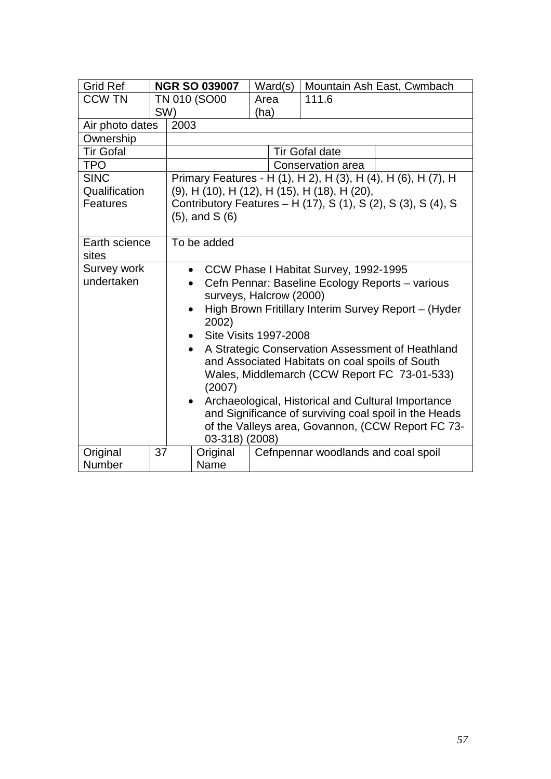| <b>Grid Ref</b>  |     | <b>NGR SO 039007</b>                                                | Ward(s) | Mountain Ash East, Cwmbach                                    |  |  |
|------------------|-----|---------------------------------------------------------------------|---------|---------------------------------------------------------------|--|--|
| <b>CCW TN</b>    |     | TN 010 (SO00                                                        | Area    | 111.6                                                         |  |  |
|                  | SW) |                                                                     | (ha)    |                                                               |  |  |
| Air photo dates  |     | 2003                                                                |         |                                                               |  |  |
| Ownership        |     |                                                                     |         |                                                               |  |  |
| <b>Tir Gofal</b> |     |                                                                     |         | <b>Tir Gofal date</b>                                         |  |  |
| <b>TPO</b>       |     |                                                                     |         | Conservation area                                             |  |  |
| <b>SINC</b>      |     |                                                                     |         | Primary Features - H (1), H 2), H (3), H (4), H (6), H (7), H |  |  |
| Qualification    |     | (9), H (10), H (12), H (15), H (18), H (20),                        |         |                                                               |  |  |
| Features         |     |                                                                     |         | Contributory Features – H (17), S (1), S (2), S (3), S (4), S |  |  |
|                  |     | $(5)$ , and S $(6)$                                                 |         |                                                               |  |  |
|                  |     |                                                                     |         |                                                               |  |  |
| Earth science    |     | To be added                                                         |         |                                                               |  |  |
| sites            |     |                                                                     |         |                                                               |  |  |
| Survey work      |     | CCW Phase I Habitat Survey, 1992-1995<br>$\bullet$                  |         |                                                               |  |  |
| undertaken       |     | Cefn Pennar: Baseline Ecology Reports - various                     |         |                                                               |  |  |
|                  |     | surveys, Halcrow (2000)                                             |         |                                                               |  |  |
|                  |     | High Brown Fritillary Interim Survey Report - (Hyder                |         |                                                               |  |  |
|                  |     | 2002)                                                               |         |                                                               |  |  |
|                  |     | <b>Site Visits 1997-2008</b>                                        |         |                                                               |  |  |
|                  |     | A Strategic Conservation Assessment of Heathland<br>$\bullet$       |         |                                                               |  |  |
|                  |     | and Associated Habitats on coal spoils of South                     |         |                                                               |  |  |
|                  |     | Wales, Middlemarch (CCW Report FC 73-01-533)                        |         |                                                               |  |  |
|                  |     | (2007)                                                              |         |                                                               |  |  |
|                  |     | Archaeological, Historical and Cultural Importance<br>$\bullet$     |         |                                                               |  |  |
|                  |     | and Significance of surviving coal spoil in the Heads               |         |                                                               |  |  |
|                  |     | of the Valleys area, Govannon, (CCW Report FC 73-<br>03-318) (2008) |         |                                                               |  |  |
| Original         | 37  | Original                                                            |         | Cefnpennar woodlands and coal spoil                           |  |  |
| Number           |     | Name                                                                |         |                                                               |  |  |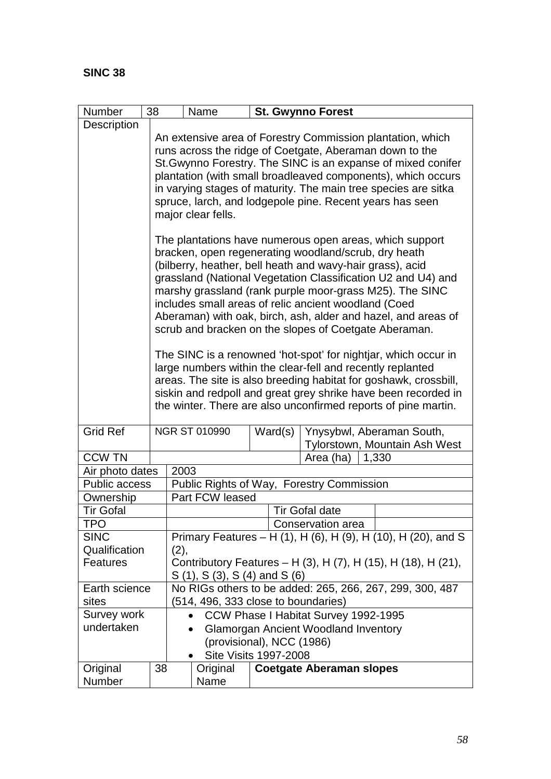| Number           | 38                                                                                                                                                                                                                                                                                                                                                                                                        |                                                                                                                                                                                                                                                                                                                                                                                                                                                                                                                                                                                                                                                                                                                                                                                                                                   | Name                                |         |                       | <b>St. Gwynno Forest</b>                                      |  |
|------------------|-----------------------------------------------------------------------------------------------------------------------------------------------------------------------------------------------------------------------------------------------------------------------------------------------------------------------------------------------------------------------------------------------------------|-----------------------------------------------------------------------------------------------------------------------------------------------------------------------------------------------------------------------------------------------------------------------------------------------------------------------------------------------------------------------------------------------------------------------------------------------------------------------------------------------------------------------------------------------------------------------------------------------------------------------------------------------------------------------------------------------------------------------------------------------------------------------------------------------------------------------------------|-------------------------------------|---------|-----------------------|---------------------------------------------------------------|--|
| Description      |                                                                                                                                                                                                                                                                                                                                                                                                           |                                                                                                                                                                                                                                                                                                                                                                                                                                                                                                                                                                                                                                                                                                                                                                                                                                   |                                     |         |                       |                                                               |  |
|                  | An extensive area of Forestry Commission plantation, which<br>runs across the ridge of Coetgate, Aberaman down to the<br>St. Gwynno Forestry. The SINC is an expanse of mixed conifer<br>plantation (with small broadleaved components), which occurs<br>in varying stages of maturity. The main tree species are sitka<br>spruce, larch, and lodgepole pine. Recent years has seen<br>major clear fells. |                                                                                                                                                                                                                                                                                                                                                                                                                                                                                                                                                                                                                                                                                                                                                                                                                                   |                                     |         |                       |                                                               |  |
|                  |                                                                                                                                                                                                                                                                                                                                                                                                           | The plantations have numerous open areas, which support<br>bracken, open regenerating woodland/scrub, dry heath<br>(bilberry, heather, bell heath and wavy-hair grass), acid<br>grassland (National Vegetation Classification U2 and U4) and<br>marshy grassland (rank purple moor-grass M25). The SINC<br>includes small areas of relic ancient woodland (Coed<br>Aberaman) with oak, birch, ash, alder and hazel, and areas of<br>scrub and bracken on the slopes of Coetgate Aberaman.<br>The SINC is a renowned 'hot-spot' for nightjar, which occur in<br>large numbers within the clear-fell and recently replanted<br>areas. The site is also breeding habitat for goshawk, crossbill,<br>siskin and redpoll and great grey shrike have been recorded in<br>the winter. There are also unconfirmed reports of pine martin. |                                     |         |                       |                                                               |  |
| <b>Grid Ref</b>  |                                                                                                                                                                                                                                                                                                                                                                                                           |                                                                                                                                                                                                                                                                                                                                                                                                                                                                                                                                                                                                                                                                                                                                                                                                                                   | <b>NGR ST 010990</b>                | Ward(s) |                       | Ynysybwl, Aberaman South,<br>Tylorstown, Mountain Ash West    |  |
| <b>CCW TN</b>    |                                                                                                                                                                                                                                                                                                                                                                                                           |                                                                                                                                                                                                                                                                                                                                                                                                                                                                                                                                                                                                                                                                                                                                                                                                                                   |                                     |         |                       | 1,330<br>Area (ha)                                            |  |
| Air photo dates  |                                                                                                                                                                                                                                                                                                                                                                                                           | 2003                                                                                                                                                                                                                                                                                                                                                                                                                                                                                                                                                                                                                                                                                                                                                                                                                              |                                     |         |                       |                                                               |  |
| Public access    |                                                                                                                                                                                                                                                                                                                                                                                                           | Public Rights of Way, Forestry Commission                                                                                                                                                                                                                                                                                                                                                                                                                                                                                                                                                                                                                                                                                                                                                                                         |                                     |         |                       |                                                               |  |
| Ownership        |                                                                                                                                                                                                                                                                                                                                                                                                           | Part FCW leased                                                                                                                                                                                                                                                                                                                                                                                                                                                                                                                                                                                                                                                                                                                                                                                                                   |                                     |         |                       |                                                               |  |
| <b>Tir Gofal</b> |                                                                                                                                                                                                                                                                                                                                                                                                           |                                                                                                                                                                                                                                                                                                                                                                                                                                                                                                                                                                                                                                                                                                                                                                                                                                   |                                     |         | <b>Tir Gofal date</b> |                                                               |  |
| TPO              |                                                                                                                                                                                                                                                                                                                                                                                                           |                                                                                                                                                                                                                                                                                                                                                                                                                                                                                                                                                                                                                                                                                                                                                                                                                                   |                                     |         |                       | Conservation area                                             |  |
| <b>SINC</b>      |                                                                                                                                                                                                                                                                                                                                                                                                           |                                                                                                                                                                                                                                                                                                                                                                                                                                                                                                                                                                                                                                                                                                                                                                                                                                   |                                     |         |                       | Primary Features - H (1), H (6), H (9), H (10), H (20), and S |  |
| Qualification    |                                                                                                                                                                                                                                                                                                                                                                                                           | (2),                                                                                                                                                                                                                                                                                                                                                                                                                                                                                                                                                                                                                                                                                                                                                                                                                              |                                     |         |                       |                                                               |  |
| <b>Features</b>  |                                                                                                                                                                                                                                                                                                                                                                                                           | Contributory Features - H (3), H (7), H (15), H (18), H (21),                                                                                                                                                                                                                                                                                                                                                                                                                                                                                                                                                                                                                                                                                                                                                                     |                                     |         |                       |                                                               |  |
|                  |                                                                                                                                                                                                                                                                                                                                                                                                           |                                                                                                                                                                                                                                                                                                                                                                                                                                                                                                                                                                                                                                                                                                                                                                                                                                   | S (1), S (3), S (4) and S (6)       |         |                       |                                                               |  |
| Earth science    |                                                                                                                                                                                                                                                                                                                                                                                                           |                                                                                                                                                                                                                                                                                                                                                                                                                                                                                                                                                                                                                                                                                                                                                                                                                                   |                                     |         |                       | No RIGs others to be added: 265, 266, 267, 299, 300, 487      |  |
| sites            |                                                                                                                                                                                                                                                                                                                                                                                                           |                                                                                                                                                                                                                                                                                                                                                                                                                                                                                                                                                                                                                                                                                                                                                                                                                                   | (514, 496, 333 close to boundaries) |         |                       |                                                               |  |
| Survey work      |                                                                                                                                                                                                                                                                                                                                                                                                           |                                                                                                                                                                                                                                                                                                                                                                                                                                                                                                                                                                                                                                                                                                                                                                                                                                   |                                     |         |                       | CCW Phase I Habitat Survey 1992-1995                          |  |
| undertaken       |                                                                                                                                                                                                                                                                                                                                                                                                           |                                                                                                                                                                                                                                                                                                                                                                                                                                                                                                                                                                                                                                                                                                                                                                                                                                   | $\bullet$                           |         |                       | <b>Glamorgan Ancient Woodland Inventory</b>                   |  |
|                  |                                                                                                                                                                                                                                                                                                                                                                                                           |                                                                                                                                                                                                                                                                                                                                                                                                                                                                                                                                                                                                                                                                                                                                                                                                                                   | (provisional), NCC (1986)           |         |                       |                                                               |  |
|                  |                                                                                                                                                                                                                                                                                                                                                                                                           |                                                                                                                                                                                                                                                                                                                                                                                                                                                                                                                                                                                                                                                                                                                                                                                                                                   | <b>Site Visits 1997-2008</b>        |         |                       |                                                               |  |
| Original         | 38                                                                                                                                                                                                                                                                                                                                                                                                        |                                                                                                                                                                                                                                                                                                                                                                                                                                                                                                                                                                                                                                                                                                                                                                                                                                   | Original                            |         |                       | <b>Coetgate Aberaman slopes</b>                               |  |
| Number           |                                                                                                                                                                                                                                                                                                                                                                                                           |                                                                                                                                                                                                                                                                                                                                                                                                                                                                                                                                                                                                                                                                                                                                                                                                                                   | Name                                |         |                       |                                                               |  |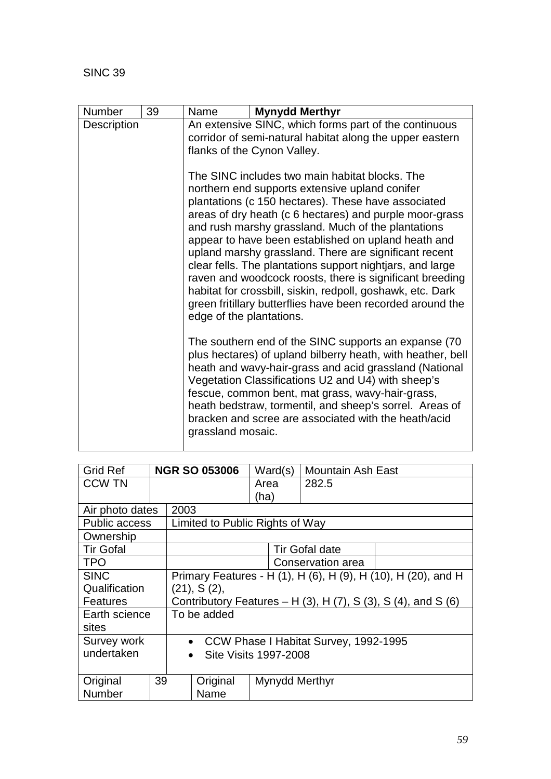| Number             | 39 | Name                                                                                                                                                                                                                                                                                                                                                                                                                                                                                                                                                                                                                                                                      | <b>Mynydd Merthyr</b>                                                                                                                                                                                                                                                                                                                                                                                       |  |  |  |  |
|--------------------|----|---------------------------------------------------------------------------------------------------------------------------------------------------------------------------------------------------------------------------------------------------------------------------------------------------------------------------------------------------------------------------------------------------------------------------------------------------------------------------------------------------------------------------------------------------------------------------------------------------------------------------------------------------------------------------|-------------------------------------------------------------------------------------------------------------------------------------------------------------------------------------------------------------------------------------------------------------------------------------------------------------------------------------------------------------------------------------------------------------|--|--|--|--|
| <b>Description</b> |    | An extensive SINC, which forms part of the continuous<br>corridor of semi-natural habitat along the upper eastern<br>flanks of the Cynon Valley.                                                                                                                                                                                                                                                                                                                                                                                                                                                                                                                          |                                                                                                                                                                                                                                                                                                                                                                                                             |  |  |  |  |
|                    |    | The SINC includes two main habitat blocks. The<br>northern end supports extensive upland conifer<br>plantations (c 150 hectares). These have associated<br>areas of dry heath (c 6 hectares) and purple moor-grass<br>and rush marshy grassland. Much of the plantations<br>appear to have been established on upland heath and<br>upland marshy grassland. There are significant recent<br>clear fells. The plantations support nightiars, and large<br>raven and woodcock roosts, there is significant breeding<br>habitat for crossbill, siskin, redpoll, goshawk, etc. Dark<br>green fritillary butterflies have been recorded around the<br>edge of the plantations. |                                                                                                                                                                                                                                                                                                                                                                                                             |  |  |  |  |
|                    |    | grassland mosaic.                                                                                                                                                                                                                                                                                                                                                                                                                                                                                                                                                                                                                                                         | The southern end of the SINC supports an expanse (70)<br>plus hectares) of upland bilberry heath, with heather, bell<br>heath and wavy-hair-grass and acid grassland (National<br>Vegetation Classifications U2 and U4) with sheep's<br>fescue, common bent, mat grass, wavy-hair-grass,<br>heath bedstraw, tormentil, and sheep's sorrel. Areas of<br>bracken and scree are associated with the heath/acid |  |  |  |  |

| <b>Grid Ref</b>      |    |                                                                             | <b>NGR SO 053006</b>            | Ward(s)        | <b>Mountain Ash East</b> |                                                               |
|----------------------|----|-----------------------------------------------------------------------------|---------------------------------|----------------|--------------------------|---------------------------------------------------------------|
| <b>CCW TN</b>        |    |                                                                             |                                 | Area           | 282.5                    |                                                               |
|                      |    |                                                                             |                                 | (ha)           |                          |                                                               |
| Air photo dates      |    | 2003                                                                        |                                 |                |                          |                                                               |
| <b>Public access</b> |    |                                                                             | Limited to Public Rights of Way |                |                          |                                                               |
| Ownership            |    |                                                                             |                                 |                |                          |                                                               |
| <b>Tir Gofal</b>     |    |                                                                             |                                 |                | <b>Tir Gofal date</b>    |                                                               |
| <b>TPO</b>           |    |                                                                             |                                 |                | Conservation area        |                                                               |
| <b>SINC</b>          |    |                                                                             |                                 |                |                          | Primary Features - H (1), H (6), H (9), H (10), H (20), and H |
| Qualification        |    | $(21)$ , S $(2)$ ,                                                          |                                 |                |                          |                                                               |
| <b>Features</b>      |    | Contributory Features – H $(3)$ , H $(7)$ , S $(3)$ , S $(4)$ , and S $(6)$ |                                 |                |                          |                                                               |
| Earth science        |    | To be added                                                                 |                                 |                |                          |                                                               |
| sites                |    |                                                                             |                                 |                |                          |                                                               |
| Survey work          |    | • CCW Phase I Habitat Survey, 1992-1995                                     |                                 |                |                          |                                                               |
| undertaken           |    | Site Visits 1997-2008<br>$\bullet$                                          |                                 |                |                          |                                                               |
|                      |    |                                                                             |                                 |                |                          |                                                               |
| Original             | 39 |                                                                             | Original                        | Mynydd Merthyr |                          |                                                               |
| Number               |    |                                                                             | Name                            |                |                          |                                                               |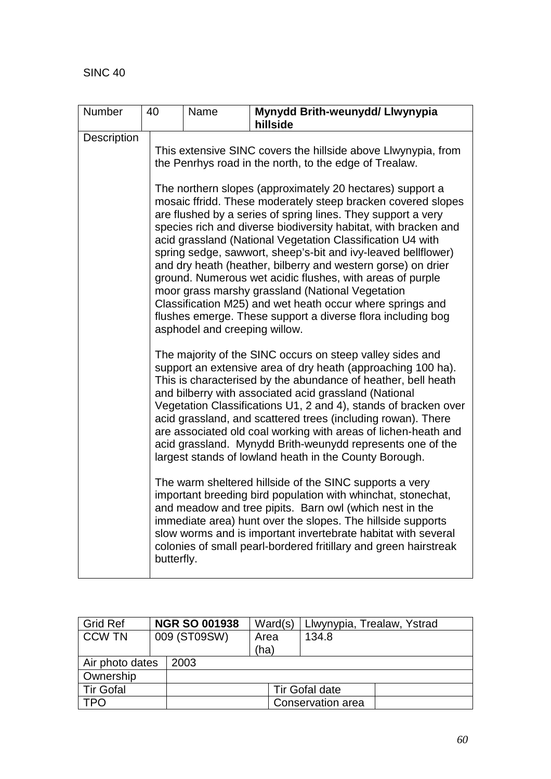| Number      | Mynydd Brith-weunydd/ Llwynypia<br>40<br>Name |                                                                                                                                                                                                                                                                                                                                                                                                                                                                                                                                                                                                                                                                                                                                                                                                                                                                                                                                                                                          |                                                                                                                                                                                                                                                                                                                                                                                                                                                                                                                                                                                                                                                                                                          |  |  |  |  |  |  |  |
|-------------|-----------------------------------------------|------------------------------------------------------------------------------------------------------------------------------------------------------------------------------------------------------------------------------------------------------------------------------------------------------------------------------------------------------------------------------------------------------------------------------------------------------------------------------------------------------------------------------------------------------------------------------------------------------------------------------------------------------------------------------------------------------------------------------------------------------------------------------------------------------------------------------------------------------------------------------------------------------------------------------------------------------------------------------------------|----------------------------------------------------------------------------------------------------------------------------------------------------------------------------------------------------------------------------------------------------------------------------------------------------------------------------------------------------------------------------------------------------------------------------------------------------------------------------------------------------------------------------------------------------------------------------------------------------------------------------------------------------------------------------------------------------------|--|--|--|--|--|--|--|
|             |                                               |                                                                                                                                                                                                                                                                                                                                                                                                                                                                                                                                                                                                                                                                                                                                                                                                                                                                                                                                                                                          | hillside                                                                                                                                                                                                                                                                                                                                                                                                                                                                                                                                                                                                                                                                                                 |  |  |  |  |  |  |  |
| Description |                                               |                                                                                                                                                                                                                                                                                                                                                                                                                                                                                                                                                                                                                                                                                                                                                                                                                                                                                                                                                                                          |                                                                                                                                                                                                                                                                                                                                                                                                                                                                                                                                                                                                                                                                                                          |  |  |  |  |  |  |  |
|             |                                               | This extensive SINC covers the hillside above Llwynypia, from<br>the Penrhys road in the north, to the edge of Trealaw.                                                                                                                                                                                                                                                                                                                                                                                                                                                                                                                                                                                                                                                                                                                                                                                                                                                                  |                                                                                                                                                                                                                                                                                                                                                                                                                                                                                                                                                                                                                                                                                                          |  |  |  |  |  |  |  |
|             |                                               | asphodel and creeping willow.                                                                                                                                                                                                                                                                                                                                                                                                                                                                                                                                                                                                                                                                                                                                                                                                                                                                                                                                                            | The northern slopes (approximately 20 hectares) support a<br>mosaic ffridd. These moderately steep bracken covered slopes<br>are flushed by a series of spring lines. They support a very<br>species rich and diverse biodiversity habitat, with bracken and<br>acid grassland (National Vegetation Classification U4 with<br>spring sedge, sawwort, sheep's-bit and ivy-leaved bellflower)<br>and dry heath (heather, bilberry and western gorse) on drier<br>ground. Numerous wet acidic flushes, with areas of purple<br>moor grass marshy grassland (National Vegetation<br>Classification M25) and wet heath occur where springs and<br>flushes emerge. These support a diverse flora including bog |  |  |  |  |  |  |  |
|             |                                               | The majority of the SINC occurs on steep valley sides and<br>support an extensive area of dry heath (approaching 100 ha).<br>This is characterised by the abundance of heather, bell heath<br>and bilberry with associated acid grassland (National<br>Vegetation Classifications U1, 2 and 4), stands of bracken over<br>acid grassland, and scattered trees (including rowan). There<br>are associated old coal working with areas of lichen-heath and<br>acid grassland. Mynydd Brith-weunydd represents one of the<br>largest stands of lowland heath in the County Borough.<br>The warm sheltered hillside of the SINC supports a very<br>important breeding bird population with whinchat, stonechat,<br>and meadow and tree pipits. Barn owl (which nest in the<br>immediate area) hunt over the slopes. The hillside supports<br>slow worms and is important invertebrate habitat with several<br>colonies of small pearl-bordered fritillary and green hairstreak<br>butterfly. |                                                                                                                                                                                                                                                                                                                                                                                                                                                                                                                                                                                                                                                                                                          |  |  |  |  |  |  |  |
|             |                                               |                                                                                                                                                                                                                                                                                                                                                                                                                                                                                                                                                                                                                                                                                                                                                                                                                                                                                                                                                                                          |                                                                                                                                                                                                                                                                                                                                                                                                                                                                                                                                                                                                                                                                                                          |  |  |  |  |  |  |  |

| <b>Grid Ref</b>  |  | <b>NGR SO 001938</b> | Ward(s)      | Llwynypia, Trealaw, Ystrad |
|------------------|--|----------------------|--------------|----------------------------|
| <b>CCW TN</b>    |  | 009 (ST09SW)         | Area<br>(ha) | 134.8                      |
| Air photo dates  |  | 2003                 |              |                            |
| Ownership        |  |                      |              |                            |
| <b>Tir Gofal</b> |  |                      |              | <b>Tir Gofal date</b>      |
| TPO              |  |                      |              | Conservation area          |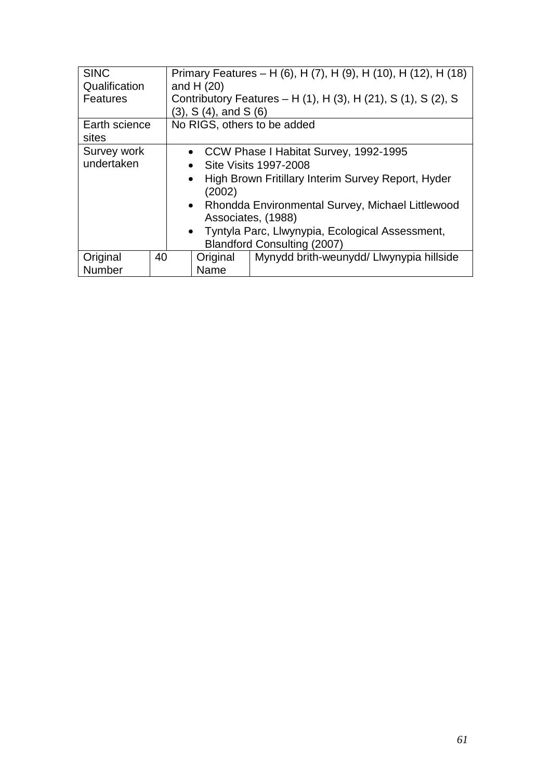| <b>SINC</b>   |                                                                           | Primary Features – H (6), H (7), H (9), H (10), H (12), H (18)<br>and H $(20)$ |                                    |                                                               |  |  |
|---------------|---------------------------------------------------------------------------|--------------------------------------------------------------------------------|------------------------------------|---------------------------------------------------------------|--|--|
| Qualification |                                                                           |                                                                                |                                    |                                                               |  |  |
| Features      |                                                                           |                                                                                |                                    | Contributory Features – H (1), H (3), H (21), S (1), S (2), S |  |  |
|               |                                                                           |                                                                                | (3), S(4), and S(6)                |                                                               |  |  |
| Earth science |                                                                           |                                                                                |                                    | No RIGS, others to be added                                   |  |  |
| sites         |                                                                           |                                                                                |                                    |                                                               |  |  |
| Survey work   | • CCW Phase I Habitat Survey, 1992-1995                                   |                                                                                |                                    |                                                               |  |  |
| undertaken    | • Site Visits 1997-2008                                                   |                                                                                |                                    |                                                               |  |  |
|               | High Brown Fritillary Interim Survey Report, Hyder<br>$\bullet$<br>(2002) |                                                                                |                                    |                                                               |  |  |
|               |                                                                           | • Rhondda Environmental Survey, Michael Littlewood                             |                                    |                                                               |  |  |
|               |                                                                           | Associates, (1988)                                                             |                                    |                                                               |  |  |
|               |                                                                           | • Tyntyla Parc, Llwynypia, Ecological Assessment,                              |                                    |                                                               |  |  |
|               |                                                                           |                                                                                | <b>Blandford Consulting (2007)</b> |                                                               |  |  |
| Original      | 40                                                                        |                                                                                | Original                           | Mynydd brith-weunydd/ Llwynypia hillside                      |  |  |
| Number        |                                                                           | Name                                                                           |                                    |                                                               |  |  |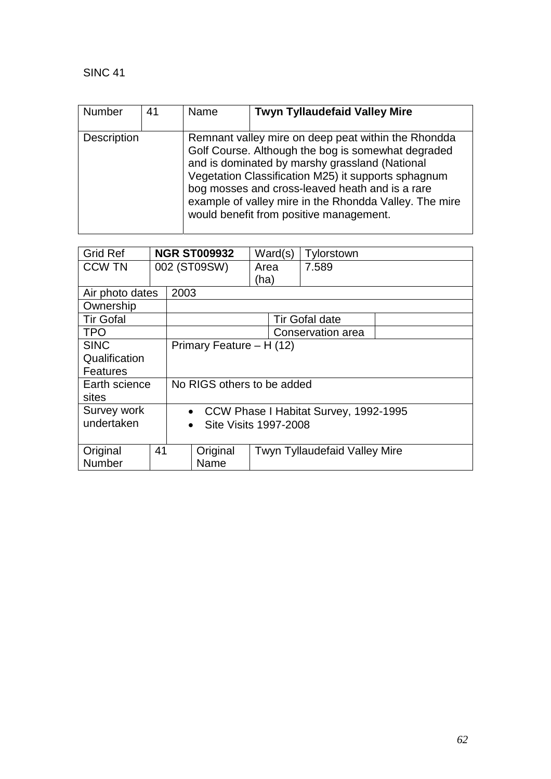| Number             | 41 | Name | <b>Twyn Tyllaudefaid Valley Mire</b>                                                                                                                                                                                                                                                                                                                                       |
|--------------------|----|------|----------------------------------------------------------------------------------------------------------------------------------------------------------------------------------------------------------------------------------------------------------------------------------------------------------------------------------------------------------------------------|
| <b>Description</b> |    |      | Remnant valley mire on deep peat within the Rhondda<br>Golf Course. Although the bog is somewhat degraded<br>and is dominated by marshy grassland (National<br>Vegetation Classification M25) it supports sphagnum<br>bog mosses and cross-leaved heath and is a rare<br>example of valley mire in the Rhondda Valley. The mire<br>would benefit from positive management. |

| <b>Grid Ref</b>  |                          | <b>NGR ST009932</b>                                |          | Ward(s) |  | Tylorstown                           |  |
|------------------|--------------------------|----------------------------------------------------|----------|---------|--|--------------------------------------|--|
| <b>CCW TN</b>    |                          | 002 (ST09SW)                                       |          | Area    |  | 7.589                                |  |
|                  |                          |                                                    |          | (ha)    |  |                                      |  |
| Air photo dates  |                          | 2003                                               |          |         |  |                                      |  |
| Ownership        |                          |                                                    |          |         |  |                                      |  |
| <b>Tir Gofal</b> |                          |                                                    |          |         |  | <b>Tir Gofal date</b>                |  |
| <b>TPO</b>       |                          |                                                    |          |         |  | Conservation area                    |  |
| <b>SINC</b>      | Primary Feature - H (12) |                                                    |          |         |  |                                      |  |
| Qualification    |                          |                                                    |          |         |  |                                      |  |
| <b>Features</b>  |                          |                                                    |          |         |  |                                      |  |
| Earth science    |                          | No RIGS others to be added                         |          |         |  |                                      |  |
| sites            |                          |                                                    |          |         |  |                                      |  |
| Survey work      |                          | CCW Phase I Habitat Survey, 1992-1995<br>$\bullet$ |          |         |  |                                      |  |
| undertaken       |                          | <b>Site Visits 1997-2008</b><br>$\bullet$          |          |         |  |                                      |  |
|                  |                          |                                                    |          |         |  |                                      |  |
| Original         | 41                       |                                                    | Original |         |  | <b>Twyn Tyllaudefaid Valley Mire</b> |  |
| Number           |                          |                                                    | Name     |         |  |                                      |  |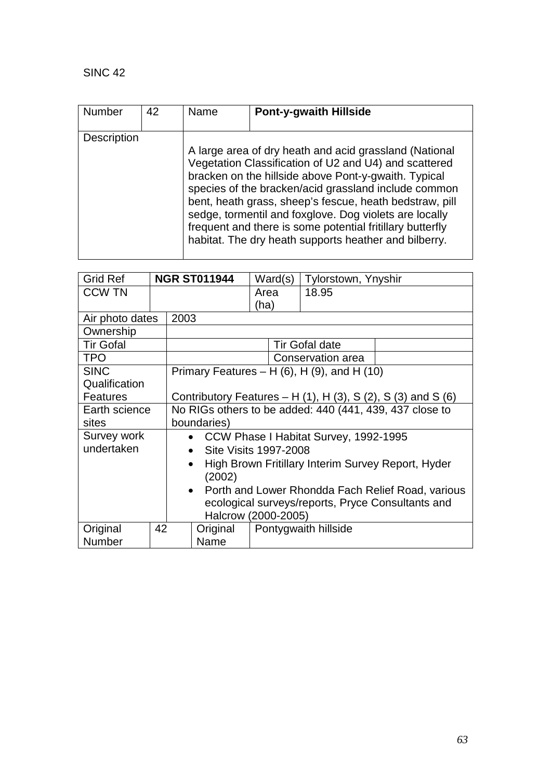| <b>Number</b> | 42 | Name | <b>Pont-y-gwaith Hillside</b>                                                                                                                                                                                                                                                                                                                                                                                                                                              |
|---------------|----|------|----------------------------------------------------------------------------------------------------------------------------------------------------------------------------------------------------------------------------------------------------------------------------------------------------------------------------------------------------------------------------------------------------------------------------------------------------------------------------|
| Description   |    |      | A large area of dry heath and acid grassland (National<br>Vegetation Classification of U2 and U4) and scattered<br>bracken on the hillside above Pont-y-gwaith. Typical<br>species of the bracken/acid grassland include common<br>bent, heath grass, sheep's fescue, heath bedstraw, pill<br>sedge, tormentil and foxglove. Dog violets are locally<br>frequent and there is some potential fritillary butterfly<br>habitat. The dry heath supports heather and bilberry. |

| <b>Grid Ref</b>  |                                                                           |                                                                 | <b>NGR ST011944</b> |      | Ward(s) | Tylorstown, Ynyshir                                 |  |  |
|------------------|---------------------------------------------------------------------------|-----------------------------------------------------------------|---------------------|------|---------|-----------------------------------------------------|--|--|
| <b>CCW TN</b>    |                                                                           |                                                                 |                     | Area |         | 18.95                                               |  |  |
|                  |                                                                           |                                                                 |                     | (ha) |         |                                                     |  |  |
| Air photo dates  |                                                                           | 2003                                                            |                     |      |         |                                                     |  |  |
| Ownership        |                                                                           |                                                                 |                     |      |         |                                                     |  |  |
| <b>Tir Gofal</b> |                                                                           |                                                                 |                     |      |         | <b>Tir Gofal date</b>                               |  |  |
| <b>TPO</b>       |                                                                           |                                                                 |                     |      |         | Conservation area                                   |  |  |
| <b>SINC</b>      |                                                                           |                                                                 |                     |      |         | Primary Features – H $(6)$ , H $(9)$ , and H $(10)$ |  |  |
| Qualification    |                                                                           |                                                                 |                     |      |         |                                                     |  |  |
| <b>Features</b>  | Contributory Features – H $(1)$ , H $(3)$ , S $(2)$ , S $(3)$ and S $(6)$ |                                                                 |                     |      |         |                                                     |  |  |
| Earth science    | No RIGs others to be added: 440 (441, 439, 437 close to                   |                                                                 |                     |      |         |                                                     |  |  |
| sites            |                                                                           | boundaries)                                                     |                     |      |         |                                                     |  |  |
| Survey work      |                                                                           | CCW Phase I Habitat Survey, 1992-1995<br>$\bullet$              |                     |      |         |                                                     |  |  |
| undertaken       |                                                                           | <b>Site Visits 1997-2008</b><br>$\bullet$                       |                     |      |         |                                                     |  |  |
|                  |                                                                           | High Brown Fritillary Interim Survey Report, Hyder<br>$\bullet$ |                     |      |         |                                                     |  |  |
|                  |                                                                           | (2002)                                                          |                     |      |         |                                                     |  |  |
|                  |                                                                           | • Porth and Lower Rhondda Fach Relief Road, various             |                     |      |         |                                                     |  |  |
|                  | ecological surveys/reports, Pryce Consultants and                         |                                                                 |                     |      |         |                                                     |  |  |
|                  |                                                                           |                                                                 | Halcrow (2000-2005) |      |         |                                                     |  |  |
| Original         | 42                                                                        |                                                                 | Original            |      |         | Pontygwaith hillside                                |  |  |
| <b>Number</b>    |                                                                           |                                                                 | Name                |      |         |                                                     |  |  |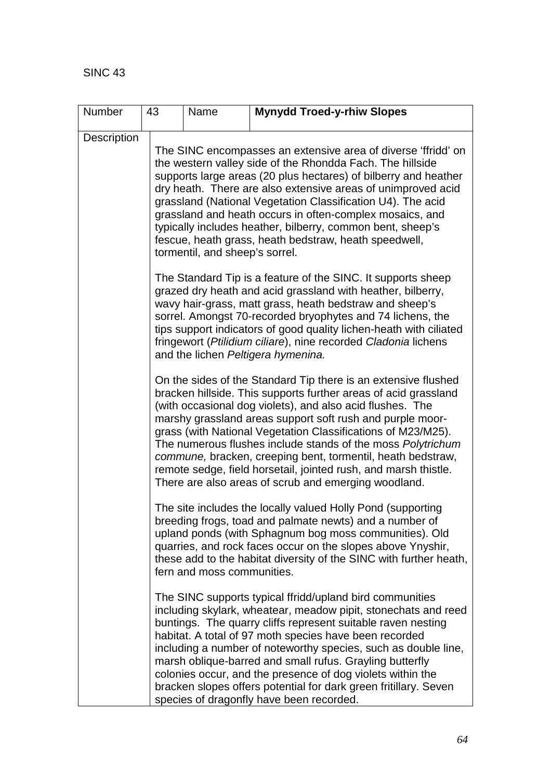| Number      | 43                                                                                                                                                                                                                                                                                                                                                                                                                                                                                                                                                                                   | Name                                                                                                                                                                                                                                                                                                                                                                                                                                                                                                                                              | <b>Mynydd Troed-y-rhiw Slopes</b>                                                                                                                                                                                                                                                                                                                                                                                                                                                                                                                                |  |  |  |  |  |
|-------------|--------------------------------------------------------------------------------------------------------------------------------------------------------------------------------------------------------------------------------------------------------------------------------------------------------------------------------------------------------------------------------------------------------------------------------------------------------------------------------------------------------------------------------------------------------------------------------------|---------------------------------------------------------------------------------------------------------------------------------------------------------------------------------------------------------------------------------------------------------------------------------------------------------------------------------------------------------------------------------------------------------------------------------------------------------------------------------------------------------------------------------------------------|------------------------------------------------------------------------------------------------------------------------------------------------------------------------------------------------------------------------------------------------------------------------------------------------------------------------------------------------------------------------------------------------------------------------------------------------------------------------------------------------------------------------------------------------------------------|--|--|--|--|--|
| Description |                                                                                                                                                                                                                                                                                                                                                                                                                                                                                                                                                                                      | The SINC encompasses an extensive area of diverse 'ffridd' on<br>the western valley side of the Rhondda Fach. The hillside<br>supports large areas (20 plus hectares) of bilberry and heather<br>dry heath. There are also extensive areas of unimproved acid<br>grassland (National Vegetation Classification U4). The acid<br>grassland and heath occurs in often-complex mosaics, and<br>typically includes heather, bilberry, common bent, sheep's<br>fescue, heath grass, heath bedstraw, heath speedwell,<br>tormentil, and sheep's sorrel. |                                                                                                                                                                                                                                                                                                                                                                                                                                                                                                                                                                  |  |  |  |  |  |
|             |                                                                                                                                                                                                                                                                                                                                                                                                                                                                                                                                                                                      |                                                                                                                                                                                                                                                                                                                                                                                                                                                                                                                                                   | The Standard Tip is a feature of the SINC. It supports sheep<br>grazed dry heath and acid grassland with heather, bilberry,<br>wavy hair-grass, matt grass, heath bedstraw and sheep's<br>sorrel. Amongst 70-recorded bryophytes and 74 lichens, the<br>tips support indicators of good quality lichen-heath with ciliated<br>fringewort (Ptilidium ciliare), nine recorded Cladonia lichens<br>and the lichen Peltigera hymenina.                                                                                                                               |  |  |  |  |  |
|             | On the sides of the Standard Tip there is an extensive flushed<br>bracken hillside. This supports further areas of acid grassland<br>(with occasional dog violets), and also acid flushes. The<br>marshy grassland areas support soft rush and purple moor-<br>grass (with National Vegetation Classifications of M23/M25).<br>The numerous flushes include stands of the moss Polytrichum<br>commune, bracken, creeping bent, tormentil, heath bedstraw,<br>remote sedge, field horsetail, jointed rush, and marsh thistle.<br>There are also areas of scrub and emerging woodland. |                                                                                                                                                                                                                                                                                                                                                                                                                                                                                                                                                   |                                                                                                                                                                                                                                                                                                                                                                                                                                                                                                                                                                  |  |  |  |  |  |
|             |                                                                                                                                                                                                                                                                                                                                                                                                                                                                                                                                                                                      | fern and moss communities.                                                                                                                                                                                                                                                                                                                                                                                                                                                                                                                        | The site includes the locally valued Holly Pond (supporting<br>breeding frogs, toad and palmate newts) and a number of<br>upland ponds (with Sphagnum bog moss communities). Old<br>quarries, and rock faces occur on the slopes above Ynyshir,<br>these add to the habitat diversity of the SINC with further heath,                                                                                                                                                                                                                                            |  |  |  |  |  |
|             |                                                                                                                                                                                                                                                                                                                                                                                                                                                                                                                                                                                      |                                                                                                                                                                                                                                                                                                                                                                                                                                                                                                                                                   | The SINC supports typical ffridd/upland bird communities<br>including skylark, wheatear, meadow pipit, stonechats and reed<br>buntings. The quarry cliffs represent suitable raven nesting<br>habitat. A total of 97 moth species have been recorded<br>including a number of noteworthy species, such as double line,<br>marsh oblique-barred and small rufus. Grayling butterfly<br>colonies occur, and the presence of dog violets within the<br>bracken slopes offers potential for dark green fritillary. Seven<br>species of dragonfly have been recorded. |  |  |  |  |  |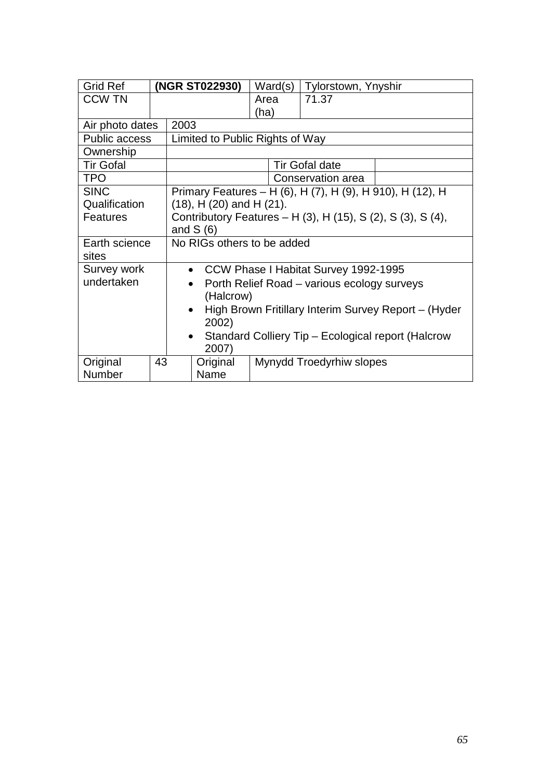| <b>Grid Ref</b>      |    |                                                                   | (NGR ST022930)                  | Ward(s) | Tylorstown, Ynyshir                                       |  |  |
|----------------------|----|-------------------------------------------------------------------|---------------------------------|---------|-----------------------------------------------------------|--|--|
| <b>CCW TN</b>        |    |                                                                   |                                 | Area    | 71.37                                                     |  |  |
|                      |    |                                                                   |                                 | (ha)    |                                                           |  |  |
| Air photo dates      |    | 2003                                                              |                                 |         |                                                           |  |  |
| <b>Public access</b> |    |                                                                   | Limited to Public Rights of Way |         |                                                           |  |  |
| Ownership            |    |                                                                   |                                 |         |                                                           |  |  |
| <b>Tir Gofal</b>     |    |                                                                   |                                 |         | <b>Tir Gofal date</b>                                     |  |  |
| <b>TPO</b>           |    |                                                                   |                                 |         | Conservation area                                         |  |  |
| <b>SINC</b>          |    |                                                                   |                                 |         | Primary Features - H (6), H (7), H (9), H 910), H (12), H |  |  |
| Qualification        |    | $(18)$ , H $(20)$ and H $(21)$ .                                  |                                 |         |                                                           |  |  |
| <b>Features</b>      |    | Contributory Features – H (3), H (15), S (2), S (3), S (4),       |                                 |         |                                                           |  |  |
|                      |    | and $S(6)$                                                        |                                 |         |                                                           |  |  |
| Earth science        |    | No RIGs others to be added                                        |                                 |         |                                                           |  |  |
| sites                |    |                                                                   |                                 |         |                                                           |  |  |
| Survey work          |    | • CCW Phase I Habitat Survey 1992-1995                            |                                 |         |                                                           |  |  |
| undertaken           |    | Porth Relief Road – various ecology surveys                       |                                 |         |                                                           |  |  |
|                      |    | (Halcrow)                                                         |                                 |         |                                                           |  |  |
|                      |    | High Brown Fritillary Interim Survey Report - (Hyder<br>$\bullet$ |                                 |         |                                                           |  |  |
|                      |    | 2002)                                                             |                                 |         |                                                           |  |  |
|                      |    | Standard Colliery Tip - Ecological report (Halcrow<br>$\bullet$   |                                 |         |                                                           |  |  |
|                      |    | 2007)                                                             |                                 |         |                                                           |  |  |
| Original             | 43 |                                                                   | Original                        |         | Mynydd Troedyrhiw slopes                                  |  |  |
| Number               |    |                                                                   | Name                            |         |                                                           |  |  |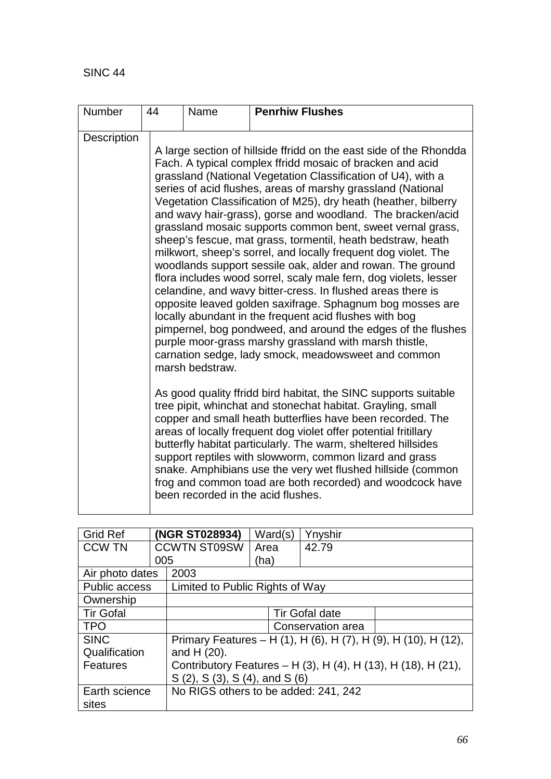| Number      | 44 | Name            | <b>Penrhiw Flushes</b>                                                                                                                                                                                                                                                                                                                                                                                                                                                                                                                                                                                                                                                                                                                                                                                                                                                                                                                                                                                                                                                                                                                                                                                                                                                                                                                                                                                                                                                                                                                                                                                                                                                   |
|-------------|----|-----------------|--------------------------------------------------------------------------------------------------------------------------------------------------------------------------------------------------------------------------------------------------------------------------------------------------------------------------------------------------------------------------------------------------------------------------------------------------------------------------------------------------------------------------------------------------------------------------------------------------------------------------------------------------------------------------------------------------------------------------------------------------------------------------------------------------------------------------------------------------------------------------------------------------------------------------------------------------------------------------------------------------------------------------------------------------------------------------------------------------------------------------------------------------------------------------------------------------------------------------------------------------------------------------------------------------------------------------------------------------------------------------------------------------------------------------------------------------------------------------------------------------------------------------------------------------------------------------------------------------------------------------------------------------------------------------|
| Description |    | marsh bedstraw. | A large section of hillside ffridd on the east side of the Rhondda<br>Fach. A typical complex ffridd mosaic of bracken and acid<br>grassland (National Vegetation Classification of U4), with a<br>series of acid flushes, areas of marshy grassland (National<br>Vegetation Classification of M25), dry heath (heather, bilberry<br>and wavy hair-grass), gorse and woodland. The bracken/acid<br>grassland mosaic supports common bent, sweet vernal grass,<br>sheep's fescue, mat grass, tormentil, heath bedstraw, heath<br>milkwort, sheep's sorrel, and locally frequent dog violet. The<br>woodlands support sessile oak, alder and rowan. The ground<br>flora includes wood sorrel, scaly male fern, dog violets, lesser<br>celandine, and wavy bitter-cress. In flushed areas there is<br>opposite leaved golden saxifrage. Sphagnum bog mosses are<br>locally abundant in the frequent acid flushes with bog<br>pimpernel, bog pondweed, and around the edges of the flushes<br>purple moor-grass marshy grassland with marsh thistle,<br>carnation sedge, lady smock, meadowsweet and common<br>As good quality ffridd bird habitat, the SINC supports suitable<br>tree pipit, whinchat and stonechat habitat. Grayling, small<br>copper and small heath butterflies have been recorded. The<br>areas of locally frequent dog violet offer potential fritillary<br>butterfly habitat particularly. The warm, sheltered hillsides<br>support reptiles with slowworm, common lizard and grass<br>snake. Amphibians use the very wet flushed hillside (common<br>frog and common toad are both recorded) and woodcock have<br>been recorded in the acid flushes. |

| <b>Grid Ref</b>  |     | (NGR ST028934)                       | Ward(s) | Ynyshir               |                                                                |
|------------------|-----|--------------------------------------|---------|-----------------------|----------------------------------------------------------------|
| <b>CCW TN</b>    |     | <b>CCWTN ST09SW</b>                  | Area    | 42.79                 |                                                                |
|                  | 005 |                                      | (ha)    |                       |                                                                |
| Air photo dates  |     | 2003                                 |         |                       |                                                                |
| Public access    |     | Limited to Public Rights of Way      |         |                       |                                                                |
| Ownership        |     |                                      |         |                       |                                                                |
| <b>Tir Gofal</b> |     |                                      |         | <b>Tir Gofal date</b> |                                                                |
| <b>TPO</b>       |     |                                      |         | Conservation area     |                                                                |
| <b>SINC</b>      |     |                                      |         |                       | Primary Features – H (1), H (6), H (7), H (9), H (10), H (12), |
| Qualification    |     | and $H(20)$ .                        |         |                       |                                                                |
| <b>Features</b>  |     |                                      |         |                       | Contributory Features - H (3), H (4), H (13), H (18), H (21),  |
|                  |     | S (2), S (3), S (4), and S (6)       |         |                       |                                                                |
| Earth science    |     | No RIGS others to be added: 241, 242 |         |                       |                                                                |
| sites            |     |                                      |         |                       |                                                                |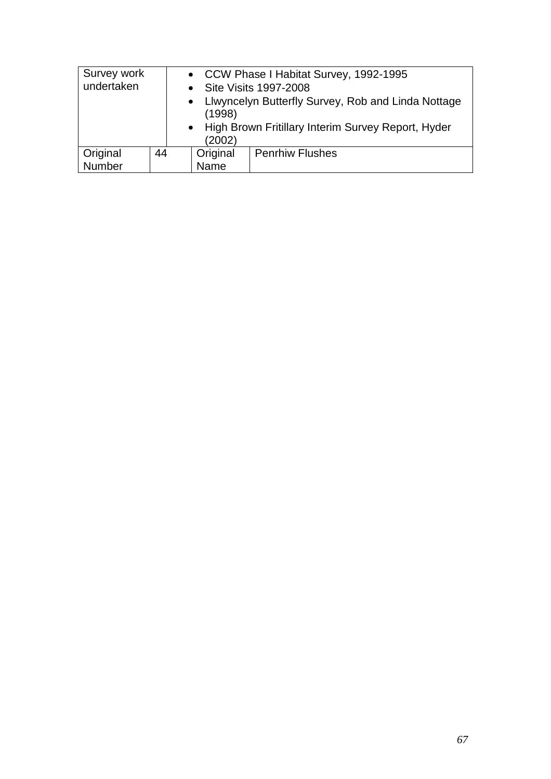| Survey work<br>undertaken |    | (1998)<br>(2002) | • CCW Phase I Habitat Survey, 1992-1995<br>Site Visits 1997-2008<br>• Liwyncelyn Butterfly Survey, Rob and Linda Nottage<br>• High Brown Fritillary Interim Survey Report, Hyder |
|---------------------------|----|------------------|----------------------------------------------------------------------------------------------------------------------------------------------------------------------------------|
| Original                  | 44 | Original         | <b>Penrhiw Flushes</b>                                                                                                                                                           |
| Number                    |    | Name             |                                                                                                                                                                                  |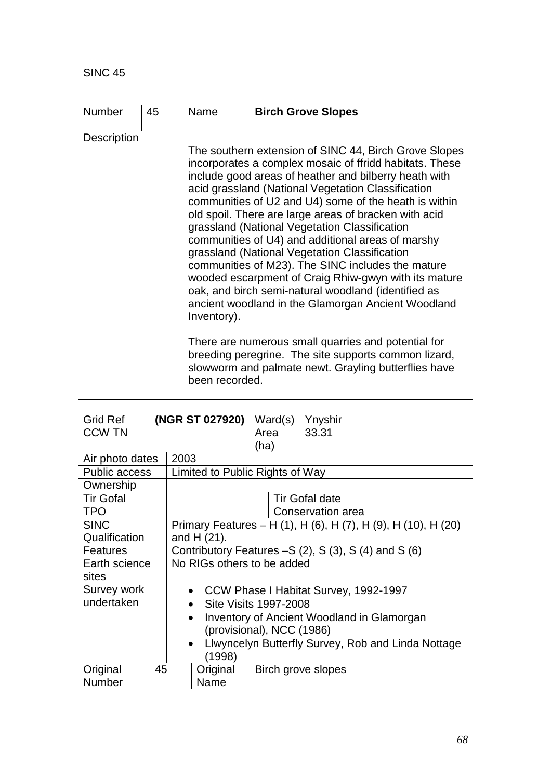| <b>Number</b> | 45 | Name                          | <b>Birch Grove Slopes</b>                                                                                                                                                                                                                                                                                                                                                                                                                                                                                                                                                                                                                                                                                                                                                                                                                                                                                 |
|---------------|----|-------------------------------|-----------------------------------------------------------------------------------------------------------------------------------------------------------------------------------------------------------------------------------------------------------------------------------------------------------------------------------------------------------------------------------------------------------------------------------------------------------------------------------------------------------------------------------------------------------------------------------------------------------------------------------------------------------------------------------------------------------------------------------------------------------------------------------------------------------------------------------------------------------------------------------------------------------|
| Description   |    | Inventory).<br>been recorded. | The southern extension of SINC 44, Birch Grove Slopes<br>incorporates a complex mosaic of ffridd habitats. These<br>include good areas of heather and bilberry heath with<br>acid grassland (National Vegetation Classification<br>communities of U2 and U4) some of the heath is within<br>old spoil. There are large areas of bracken with acid<br>grassland (National Vegetation Classification<br>communities of U4) and additional areas of marshy<br>grassland (National Vegetation Classification<br>communities of M23). The SINC includes the mature<br>wooded escarpment of Craig Rhiw-gwyn with its mature<br>oak, and birch semi-natural woodland (identified as<br>ancient woodland in the Glamorgan Ancient Woodland<br>There are numerous small quarries and potential for<br>breeding peregrine. The site supports common lizard,<br>slowworm and palmate newt. Grayling butterflies have |

| <b>Grid Ref</b>      |                                                                 |                                                               | (NGR ST 027920)                 | Ward(s) | Ynyshir                                                       |  |
|----------------------|-----------------------------------------------------------------|---------------------------------------------------------------|---------------------------------|---------|---------------------------------------------------------------|--|
| <b>CCW TN</b>        |                                                                 |                                                               |                                 | Area    | 33.31                                                         |  |
|                      |                                                                 |                                                               |                                 | (ha)    |                                                               |  |
| Air photo dates      |                                                                 | 2003                                                          |                                 |         |                                                               |  |
| <b>Public access</b> |                                                                 |                                                               | Limited to Public Rights of Way |         |                                                               |  |
| Ownership            |                                                                 |                                                               |                                 |         |                                                               |  |
| <b>Tir Gofal</b>     |                                                                 |                                                               |                                 |         | Tir Gofal date                                                |  |
| <b>TPO</b>           |                                                                 |                                                               |                                 |         | Conservation area                                             |  |
| <b>SINC</b>          |                                                                 |                                                               |                                 |         | Primary Features - H (1), H (6), H (7), H (9), H (10), H (20) |  |
| Qualification        |                                                                 | and $H(21)$ .                                                 |                                 |         |                                                               |  |
| <b>Features</b>      |                                                                 | Contributory Features $-S(2)$ , S $(3)$ , S $(4)$ and S $(6)$ |                                 |         |                                                               |  |
| Earth science        |                                                                 | No RIGs others to be added                                    |                                 |         |                                                               |  |
| sites                |                                                                 |                                                               |                                 |         |                                                               |  |
| Survey work          |                                                                 | CCW Phase I Habitat Survey, 1992-1997<br>$\bullet$            |                                 |         |                                                               |  |
| undertaken           |                                                                 | Site Visits 1997-2008<br>$\bullet$                            |                                 |         |                                                               |  |
|                      |                                                                 | Inventory of Ancient Woodland in Glamorgan<br>$\bullet$       |                                 |         |                                                               |  |
|                      |                                                                 | (provisional), NCC (1986)                                     |                                 |         |                                                               |  |
|                      | Llwyncelyn Butterfly Survey, Rob and Linda Nottage<br>$\bullet$ |                                                               |                                 |         |                                                               |  |
|                      |                                                                 | (1998)                                                        |                                 |         |                                                               |  |
| Original             | 45                                                              |                                                               | Original                        |         | Birch grove slopes                                            |  |
| Number               |                                                                 |                                                               | Name                            |         |                                                               |  |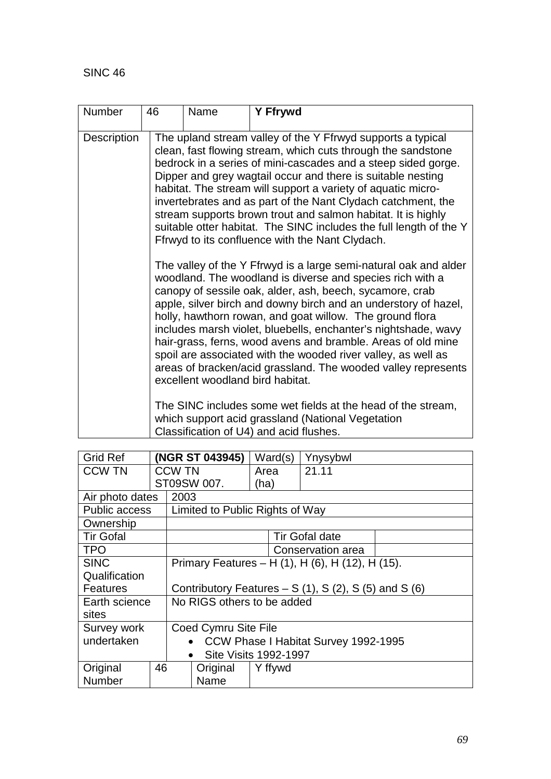| <b>Number</b> |                                                                                                                                                              | 46                                                                                                                                                                                                                                                                                                                                                                                                                                                                                                                                                                                                                               | Name | <b>Y Ffrywd</b> |  |  |  |  |
|---------------|--------------------------------------------------------------------------------------------------------------------------------------------------------------|----------------------------------------------------------------------------------------------------------------------------------------------------------------------------------------------------------------------------------------------------------------------------------------------------------------------------------------------------------------------------------------------------------------------------------------------------------------------------------------------------------------------------------------------------------------------------------------------------------------------------------|------|-----------------|--|--|--|--|
| Description   |                                                                                                                                                              | The upland stream valley of the Y Ffrwyd supports a typical<br>clean, fast flowing stream, which cuts through the sandstone<br>bedrock in a series of mini-cascades and a steep sided gorge.<br>Dipper and grey wagtail occur and there is suitable nesting<br>habitat. The stream will support a variety of aquatic micro-<br>invertebrates and as part of the Nant Clydach catchment, the<br>stream supports brown trout and salmon habitat. It is highly<br>suitable otter habitat. The SINC includes the full length of the Y<br>Ffrwyd to its confluence with the Nant Clydach.                                             |      |                 |  |  |  |  |
|               |                                                                                                                                                              | The valley of the Y Ffrwyd is a large semi-natural oak and alder<br>woodland. The woodland is diverse and species rich with a<br>canopy of sessile oak, alder, ash, beech, sycamore, crab<br>apple, silver birch and downy birch and an understory of hazel,<br>holly, hawthorn rowan, and goat willow. The ground flora<br>includes marsh violet, bluebells, enchanter's nightshade, wavy<br>hair-grass, ferns, wood avens and bramble. Areas of old mine<br>spoil are associated with the wooded river valley, as well as<br>areas of bracken/acid grassland. The wooded valley represents<br>excellent woodland bird habitat. |      |                 |  |  |  |  |
|               | The SINC includes some wet fields at the head of the stream,<br>which support acid grassland (National Vegetation<br>Classification of U4) and acid flushes. |                                                                                                                                                                                                                                                                                                                                                                                                                                                                                                                                                                                                                                  |      |                 |  |  |  |  |

| <b>Grid Ref</b>  |                                                      | (NGR ST 043945) |                   | Ward(s) | Ynysybwl |  |  |  |
|------------------|------------------------------------------------------|-----------------|-------------------|---------|----------|--|--|--|
| <b>CCW TN</b>    |                                                      | <b>CCW TN</b>   |                   | Area    | 21.11    |  |  |  |
|                  |                                                      | ST09SW 007.     |                   | (ha)    |          |  |  |  |
| Air photo dates  |                                                      |                 | 2003              |         |          |  |  |  |
| Public access    | Limited to Public Rights of Way                      |                 |                   |         |          |  |  |  |
| Ownership        |                                                      |                 |                   |         |          |  |  |  |
| <b>Tir Gofal</b> |                                                      |                 | Tir Gofal date    |         |          |  |  |  |
| <b>TPO</b>       |                                                      |                 | Conservation area |         |          |  |  |  |
| <b>SINC</b>      | Primary Features – H (1), H (6), H (12), H (15).     |                 |                   |         |          |  |  |  |
| Qualification    |                                                      |                 |                   |         |          |  |  |  |
| <b>Features</b>  | Contributory Features $- S(1)$ , S(2), S(5) and S(6) |                 |                   |         |          |  |  |  |
| Earth science    | No RIGS others to be added                           |                 |                   |         |          |  |  |  |
| sites            |                                                      |                 |                   |         |          |  |  |  |
| Survey work      | Coed Cymru Site File                                 |                 |                   |         |          |  |  |  |
| undertaken       | CCW Phase I Habitat Survey 1992-1995<br>$\bullet$    |                 |                   |         |          |  |  |  |
|                  | <b>Site Visits 1992-1997</b><br>$\bullet$            |                 |                   |         |          |  |  |  |
| Original<br>46   |                                                      |                 | Original          | Y ffywd |          |  |  |  |
| Number           |                                                      |                 | Name              |         |          |  |  |  |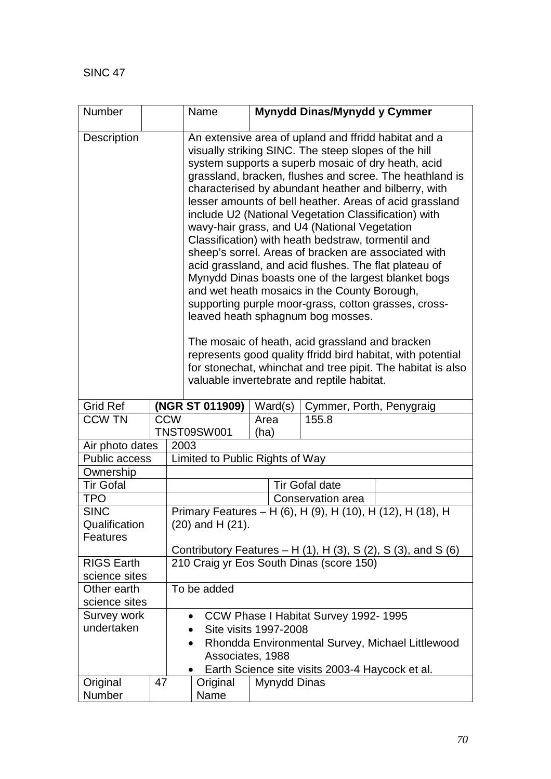| Number                             |                                                                                                                        |                                                                                                                                                                                                                                                                                                                                                                                                                                                                                                                                                                                                                                                                                                                                                                                                                                                                                                                                                                                                                                                                    | Name                                                   | Mynydd Dinas/Mynydd y Cymmer |  |  |  |  |
|------------------------------------|------------------------------------------------------------------------------------------------------------------------|--------------------------------------------------------------------------------------------------------------------------------------------------------------------------------------------------------------------------------------------------------------------------------------------------------------------------------------------------------------------------------------------------------------------------------------------------------------------------------------------------------------------------------------------------------------------------------------------------------------------------------------------------------------------------------------------------------------------------------------------------------------------------------------------------------------------------------------------------------------------------------------------------------------------------------------------------------------------------------------------------------------------------------------------------------------------|--------------------------------------------------------|------------------------------|--|--|--|--|
| Description                        |                                                                                                                        | An extensive area of upland and ffridd habitat and a<br>visually striking SINC. The steep slopes of the hill<br>system supports a superb mosaic of dry heath, acid<br>grassland, bracken, flushes and scree. The heathland is<br>characterised by abundant heather and bilberry, with<br>lesser amounts of bell heather. Areas of acid grassland<br>include U2 (National Vegetation Classification) with<br>wavy-hair grass, and U4 (National Vegetation<br>Classification) with heath bedstraw, tormentil and<br>sheep's sorrel. Areas of bracken are associated with<br>acid grassland, and acid flushes. The flat plateau of<br>Mynydd Dinas boasts one of the largest blanket bogs<br>and wet heath mosaics in the County Borough,<br>supporting purple moor-grass, cotton grasses, cross-<br>leaved heath sphagnum bog mosses.<br>The mosaic of heath, acid grassland and bracken<br>represents good quality ffridd bird habitat, with potential<br>for stonechat, whinchat and tree pipit. The habitat is also<br>valuable invertebrate and reptile habitat. |                                                        |                              |  |  |  |  |
| <b>Grid Ref</b>                    |                                                                                                                        |                                                                                                                                                                                                                                                                                                                                                                                                                                                                                                                                                                                                                                                                                                                                                                                                                                                                                                                                                                                                                                                                    | (NGR ST 011909)<br>Ward(s)<br>Cymmer, Porth, Penygraig |                              |  |  |  |  |
| <b>CCW TN</b>                      |                                                                                                                        | <b>CCW</b>                                                                                                                                                                                                                                                                                                                                                                                                                                                                                                                                                                                                                                                                                                                                                                                                                                                                                                                                                                                                                                                         | 155.8<br>Area<br><b>TNST09SW001</b><br>(ha)            |                              |  |  |  |  |
| Air photo dates                    |                                                                                                                        | 2003                                                                                                                                                                                                                                                                                                                                                                                                                                                                                                                                                                                                                                                                                                                                                                                                                                                                                                                                                                                                                                                               |                                                        |                              |  |  |  |  |
| Public access                      | Limited to Public Rights of Way                                                                                        |                                                                                                                                                                                                                                                                                                                                                                                                                                                                                                                                                                                                                                                                                                                                                                                                                                                                                                                                                                                                                                                                    |                                                        |                              |  |  |  |  |
| Ownership                          |                                                                                                                        |                                                                                                                                                                                                                                                                                                                                                                                                                                                                                                                                                                                                                                                                                                                                                                                                                                                                                                                                                                                                                                                                    |                                                        |                              |  |  |  |  |
| <b>Tir Gofal</b>                   |                                                                                                                        | <b>Tir Gofal date</b>                                                                                                                                                                                                                                                                                                                                                                                                                                                                                                                                                                                                                                                                                                                                                                                                                                                                                                                                                                                                                                              |                                                        |                              |  |  |  |  |
| <b>TPO</b>                         |                                                                                                                        |                                                                                                                                                                                                                                                                                                                                                                                                                                                                                                                                                                                                                                                                                                                                                                                                                                                                                                                                                                                                                                                                    | Conservation area                                      |                              |  |  |  |  |
| <b>SINC</b>                        | Primary Features - H (6), H (9), H (10), H (12), H (18), H                                                             |                                                                                                                                                                                                                                                                                                                                                                                                                                                                                                                                                                                                                                                                                                                                                                                                                                                                                                                                                                                                                                                                    |                                                        |                              |  |  |  |  |
| Qualification                      | (20) and H (21).                                                                                                       |                                                                                                                                                                                                                                                                                                                                                                                                                                                                                                                                                                                                                                                                                                                                                                                                                                                                                                                                                                                                                                                                    |                                                        |                              |  |  |  |  |
| Features                           |                                                                                                                        |                                                                                                                                                                                                                                                                                                                                                                                                                                                                                                                                                                                                                                                                                                                                                                                                                                                                                                                                                                                                                                                                    |                                                        |                              |  |  |  |  |
|                                    | Contributory Features $- H(1)$ , H $(3)$ , S $(2)$ , S $(3)$ , and S $(6)$<br>210 Craig yr Eos South Dinas (score 150) |                                                                                                                                                                                                                                                                                                                                                                                                                                                                                                                                                                                                                                                                                                                                                                                                                                                                                                                                                                                                                                                                    |                                                        |                              |  |  |  |  |
| <b>RIGS Earth</b><br>science sites |                                                                                                                        |                                                                                                                                                                                                                                                                                                                                                                                                                                                                                                                                                                                                                                                                                                                                                                                                                                                                                                                                                                                                                                                                    |                                                        |                              |  |  |  |  |
| Other earth                        | To be added                                                                                                            |                                                                                                                                                                                                                                                                                                                                                                                                                                                                                                                                                                                                                                                                                                                                                                                                                                                                                                                                                                                                                                                                    |                                                        |                              |  |  |  |  |
| science sites                      |                                                                                                                        |                                                                                                                                                                                                                                                                                                                                                                                                                                                                                                                                                                                                                                                                                                                                                                                                                                                                                                                                                                                                                                                                    |                                                        |                              |  |  |  |  |
| Survey work                        | CCW Phase I Habitat Survey 1992-1995<br>$\bullet$                                                                      |                                                                                                                                                                                                                                                                                                                                                                                                                                                                                                                                                                                                                                                                                                                                                                                                                                                                                                                                                                                                                                                                    |                                                        |                              |  |  |  |  |
| undertaken                         | Site visits 1997-2008<br>$\bullet$                                                                                     |                                                                                                                                                                                                                                                                                                                                                                                                                                                                                                                                                                                                                                                                                                                                                                                                                                                                                                                                                                                                                                                                    |                                                        |                              |  |  |  |  |
|                                    |                                                                                                                        | Rhondda Environmental Survey, Michael Littlewood<br>$\bullet$<br>Associates, 1988                                                                                                                                                                                                                                                                                                                                                                                                                                                                                                                                                                                                                                                                                                                                                                                                                                                                                                                                                                                  |                                                        |                              |  |  |  |  |
|                                    |                                                                                                                        | Earth Science site visits 2003-4 Haycock et al.<br>Original<br>Mynydd Dinas                                                                                                                                                                                                                                                                                                                                                                                                                                                                                                                                                                                                                                                                                                                                                                                                                                                                                                                                                                                        |                                                        |                              |  |  |  |  |
| Original<br>Number                 | 47                                                                                                                     | Name                                                                                                                                                                                                                                                                                                                                                                                                                                                                                                                                                                                                                                                                                                                                                                                                                                                                                                                                                                                                                                                               |                                                        |                              |  |  |  |  |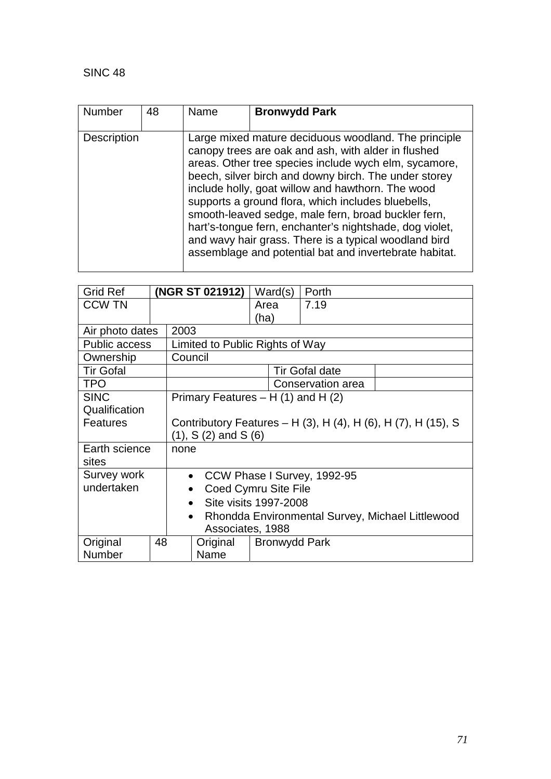| <b>Number</b><br>48 |  | Name | <b>Bronwydd Park</b>                                                                                                                                                                                                                                                                                                                                                                                                                                                                                                                                                          |  |  |
|---------------------|--|------|-------------------------------------------------------------------------------------------------------------------------------------------------------------------------------------------------------------------------------------------------------------------------------------------------------------------------------------------------------------------------------------------------------------------------------------------------------------------------------------------------------------------------------------------------------------------------------|--|--|
| <b>Description</b>  |  |      | Large mixed mature deciduous woodland. The principle<br>canopy trees are oak and ash, with alder in flushed<br>areas. Other tree species include wych elm, sycamore,<br>beech, silver birch and downy birch. The under storey<br>include holly, goat willow and hawthorn. The wood<br>supports a ground flora, which includes bluebells,<br>smooth-leaved sedge, male fern, broad buckler fern,<br>hart's-tongue fern, enchanter's nightshade, dog violet,<br>and wavy hair grass. There is a typical woodland bird<br>assemblage and potential bat and invertebrate habitat. |  |  |

| <b>Grid Ref</b>      |                                                               |                                                               | (NGR ST 021912)       | Ward(s) |  | Porth |  |  |
|----------------------|---------------------------------------------------------------|---------------------------------------------------------------|-----------------------|---------|--|-------|--|--|
| <b>CCW TN</b>        |                                                               | 7.19<br>Area                                                  |                       |         |  |       |  |  |
|                      |                                                               | (ha)                                                          |                       |         |  |       |  |  |
| Air photo dates      | 2003                                                          |                                                               |                       |         |  |       |  |  |
| <b>Public access</b> |                                                               | Limited to Public Rights of Way                               |                       |         |  |       |  |  |
| Ownership            |                                                               | Council                                                       |                       |         |  |       |  |  |
| <b>Tir Gofal</b>     |                                                               |                                                               | <b>Tir Gofal date</b> |         |  |       |  |  |
| <b>TPO</b>           |                                                               |                                                               | Conservation area     |         |  |       |  |  |
| <b>SINC</b>          |                                                               | Primary Features $- H(1)$ and H $(2)$                         |                       |         |  |       |  |  |
| Qualification        |                                                               |                                                               |                       |         |  |       |  |  |
| <b>Features</b>      |                                                               | Contributory Features – H (3), H (4), H (6), H (7), H (15), S |                       |         |  |       |  |  |
|                      |                                                               | $(1), S(2)$ and S $(6)$                                       |                       |         |  |       |  |  |
| Earth science        |                                                               | none                                                          |                       |         |  |       |  |  |
| sites                |                                                               |                                                               |                       |         |  |       |  |  |
| Survey work          | CCW Phase I Survey, 1992-95<br>$\bullet$                      |                                                               |                       |         |  |       |  |  |
| undertaken           | Coed Cymru Site File                                          |                                                               |                       |         |  |       |  |  |
|                      | Site visits 1997-2008<br>$\bullet$                            |                                                               |                       |         |  |       |  |  |
|                      | Rhondda Environmental Survey, Michael Littlewood<br>$\bullet$ |                                                               |                       |         |  |       |  |  |
|                      | Associates, 1988                                              |                                                               |                       |         |  |       |  |  |
| Original<br>48       |                                                               | Original<br><b>Bronwydd Park</b>                              |                       |         |  |       |  |  |
| Number               |                                                               | Name                                                          |                       |         |  |       |  |  |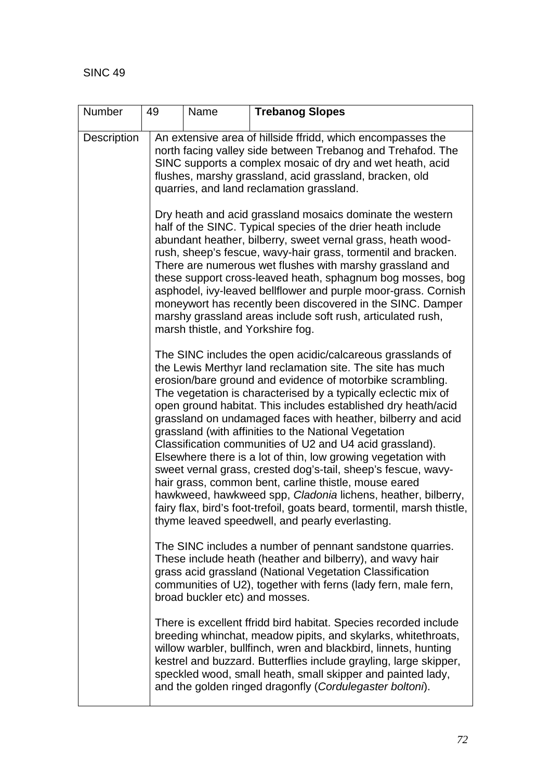| Number             | 49 | Name | <b>Trebanog Slopes</b>                                                                                                                                                                                                                                                                                                                                                                                                                                                                                                                                                                                                                                                                                                                                                                                                                                                                                 |
|--------------------|----|------|--------------------------------------------------------------------------------------------------------------------------------------------------------------------------------------------------------------------------------------------------------------------------------------------------------------------------------------------------------------------------------------------------------------------------------------------------------------------------------------------------------------------------------------------------------------------------------------------------------------------------------------------------------------------------------------------------------------------------------------------------------------------------------------------------------------------------------------------------------------------------------------------------------|
| <b>Description</b> |    |      | An extensive area of hillside ffridd, which encompasses the<br>north facing valley side between Trebanog and Trehafod. The<br>SINC supports a complex mosaic of dry and wet heath, acid<br>flushes, marshy grassland, acid grassland, bracken, old<br>quarries, and land reclamation grassland.                                                                                                                                                                                                                                                                                                                                                                                                                                                                                                                                                                                                        |
|                    |    |      | Dry heath and acid grassland mosaics dominate the western<br>half of the SINC. Typical species of the drier heath include<br>abundant heather, bilberry, sweet vernal grass, heath wood-<br>rush, sheep's fescue, wavy-hair grass, tormentil and bracken.<br>There are numerous wet flushes with marshy grassland and<br>these support cross-leaved heath, sphagnum bog mosses, bog<br>asphodel, ivy-leaved bellflower and purple moor-grass. Cornish<br>moneywort has recently been discovered in the SINC. Damper<br>marshy grassland areas include soft rush, articulated rush,<br>marsh thistle, and Yorkshire fog.                                                                                                                                                                                                                                                                                |
|                    |    |      | The SINC includes the open acidic/calcareous grasslands of<br>the Lewis Merthyr land reclamation site. The site has much<br>erosion/bare ground and evidence of motorbike scrambling.<br>The vegetation is characterised by a typically eclectic mix of<br>open ground habitat. This includes established dry heath/acid<br>grassland on undamaged faces with heather, bilberry and acid<br>grassland (with affinities to the National Vegetation<br>Classification communities of U2 and U4 acid grassland).<br>Elsewhere there is a lot of thin, low growing vegetation with<br>sweet vernal grass, crested dog's-tail, sheep's fescue, wavy-<br>hair grass, common bent, carline thistle, mouse eared<br>hawkweed, hawkweed spp, Cladonia lichens, heather, bilberry,<br>fairy flax, bird's foot-trefoil, goats beard, tormentil, marsh thistle,<br>thyme leaved speedwell, and pearly everlasting. |
|                    |    |      | The SINC includes a number of pennant sandstone quarries.<br>These include heath (heather and bilberry), and wavy hair<br>grass acid grassland (National Vegetation Classification<br>communities of U2), together with ferns (lady fern, male fern,<br>broad buckler etc) and mosses.                                                                                                                                                                                                                                                                                                                                                                                                                                                                                                                                                                                                                 |
|                    |    |      | There is excellent ffridd bird habitat. Species recorded include<br>breeding whinchat, meadow pipits, and skylarks, whitethroats,<br>willow warbler, bullfinch, wren and blackbird, linnets, hunting<br>kestrel and buzzard. Butterflies include grayling, large skipper,<br>speckled wood, small heath, small skipper and painted lady,<br>and the golden ringed dragonfly (Cordulegaster boltoni).                                                                                                                                                                                                                                                                                                                                                                                                                                                                                                   |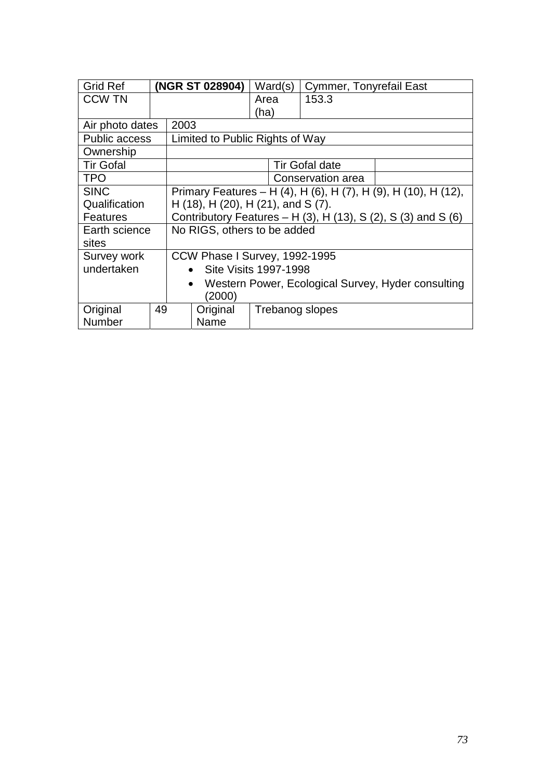| <b>Grid Ref</b>      |    |                                                                           | (NGR ST 028904)                 |                 | Ward(s) | <b>Cymmer, Tonyrefail East</b> |  |
|----------------------|----|---------------------------------------------------------------------------|---------------------------------|-----------------|---------|--------------------------------|--|
| <b>CCW TN</b>        |    |                                                                           |                                 | Area            |         | 153.3                          |  |
|                      |    |                                                                           |                                 | (ha)            |         |                                |  |
| Air photo dates      |    | 2003                                                                      |                                 |                 |         |                                |  |
| <b>Public access</b> |    |                                                                           | Limited to Public Rights of Way |                 |         |                                |  |
| Ownership            |    |                                                                           |                                 |                 |         |                                |  |
| <b>Tir Gofal</b>     |    |                                                                           |                                 |                 |         | <b>Tir Gofal date</b>          |  |
| <b>TPO</b>           |    |                                                                           | Conservation area               |                 |         |                                |  |
| <b>SINC</b>          |    | Primary Features – H (4), H (6), H (7), H (9), H (10), H (12),            |                                 |                 |         |                                |  |
| Qualification        |    | $H(18)$ , H $(20)$ , H $(21)$ , and S $(7)$ .                             |                                 |                 |         |                                |  |
| <b>Features</b>      |    | Contributory Features $- H(3)$ , H $(13)$ , S $(2)$ , S $(3)$ and S $(6)$ |                                 |                 |         |                                |  |
| Earth science        |    | No RIGS, others to be added                                               |                                 |                 |         |                                |  |
| sites                |    |                                                                           |                                 |                 |         |                                |  |
| Survey work          |    | CCW Phase I Survey, 1992-1995                                             |                                 |                 |         |                                |  |
| undertaken           |    | <b>Site Visits 1997-1998</b><br>$\bullet$                                 |                                 |                 |         |                                |  |
|                      |    | Western Power, Ecological Survey, Hyder consulting<br>$\bullet$           |                                 |                 |         |                                |  |
|                      |    | (2000)                                                                    |                                 |                 |         |                                |  |
| Original             | 49 |                                                                           | Original                        | Trebanog slopes |         |                                |  |
| <b>Number</b>        |    |                                                                           | Name                            |                 |         |                                |  |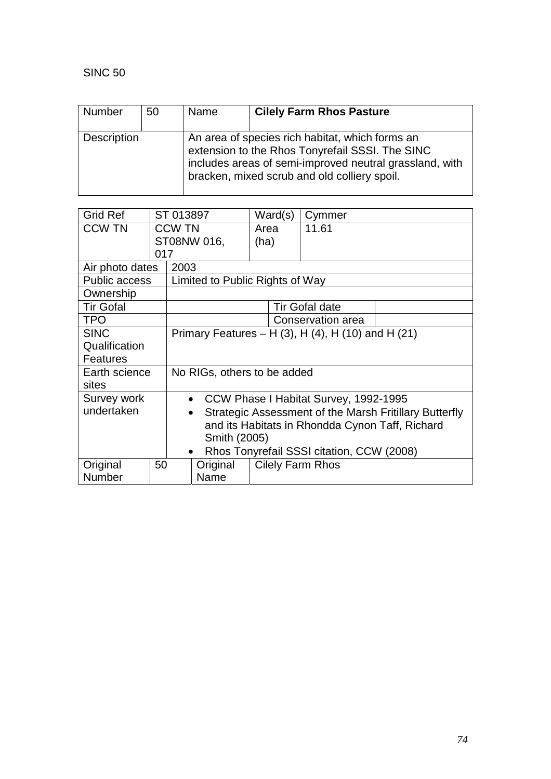| Number             | 50 | Name | <b>Cilely Farm Rhos Pasture</b>                                                                                                                                                                               |
|--------------------|----|------|---------------------------------------------------------------------------------------------------------------------------------------------------------------------------------------------------------------|
| <b>Description</b> |    |      | An area of species rich habitat, which forms an<br>extension to the Rhos Tonyrefail SSSI. The SINC<br>includes areas of semi-improved neutral grassland, with<br>bracken, mixed scrub and old colliery spoil. |

| <b>Grid Ref</b>      |                                                              | ST 013897                                                           |                                                 |      | Ward(s)                                   | Cymmer                                |  |
|----------------------|--------------------------------------------------------------|---------------------------------------------------------------------|-------------------------------------------------|------|-------------------------------------------|---------------------------------------|--|
| <b>CCW TN</b>        |                                                              | <b>CCW TN</b>                                                       |                                                 | Area |                                           | 11.61                                 |  |
|                      |                                                              |                                                                     | ST08NW 016,                                     | (ha) |                                           |                                       |  |
|                      | 017                                                          |                                                                     |                                                 |      |                                           |                                       |  |
| Air photo dates      |                                                              | 2003                                                                |                                                 |      |                                           |                                       |  |
| <b>Public access</b> |                                                              |                                                                     | Limited to Public Rights of Way                 |      |                                           |                                       |  |
| Ownership            |                                                              |                                                                     |                                                 |      |                                           |                                       |  |
| <b>Tir Gofal</b>     |                                                              |                                                                     |                                                 |      |                                           | <b>Tir Gofal date</b>                 |  |
| <b>TPO</b>           |                                                              |                                                                     |                                                 |      |                                           | Conservation area                     |  |
| <b>SINC</b>          | Primary Features – H $(3)$ , H $(4)$ , H $(10)$ and H $(21)$ |                                                                     |                                                 |      |                                           |                                       |  |
| Qualification        |                                                              |                                                                     |                                                 |      |                                           |                                       |  |
| <b>Features</b>      |                                                              |                                                                     |                                                 |      |                                           |                                       |  |
| Earth science        |                                                              | No RIGs, others to be added                                         |                                                 |      |                                           |                                       |  |
| sites                |                                                              |                                                                     |                                                 |      |                                           |                                       |  |
| Survey work          |                                                              | $\bullet$                                                           |                                                 |      |                                           | CCW Phase I Habitat Survey, 1992-1995 |  |
| undertaken           |                                                              | Strategic Assessment of the Marsh Fritillary Butterfly<br>$\bullet$ |                                                 |      |                                           |                                       |  |
|                      |                                                              |                                                                     | and its Habitats in Rhondda Cynon Taff, Richard |      |                                           |                                       |  |
|                      |                                                              |                                                                     | Smith (2005)                                    |      |                                           |                                       |  |
|                      | $\bullet$                                                    |                                                                     |                                                 |      | Rhos Tonyrefail SSSI citation, CCW (2008) |                                       |  |
| Original             | 50                                                           |                                                                     | Original                                        |      |                                           | <b>Cilely Farm Rhos</b>               |  |
| Number               |                                                              |                                                                     | Name                                            |      |                                           |                                       |  |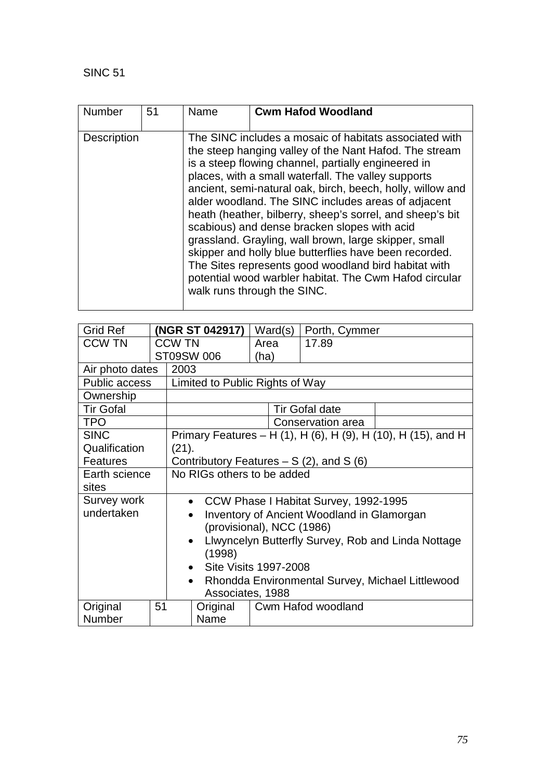| Number             | 51 | Name | <b>Cwm Hafod Woodland</b>                                                                                                                                                                                                                                                                                                                                                                                                                                                                                                                                                                                                                                                                                                            |
|--------------------|----|------|--------------------------------------------------------------------------------------------------------------------------------------------------------------------------------------------------------------------------------------------------------------------------------------------------------------------------------------------------------------------------------------------------------------------------------------------------------------------------------------------------------------------------------------------------------------------------------------------------------------------------------------------------------------------------------------------------------------------------------------|
| <b>Description</b> |    |      | The SINC includes a mosaic of habitats associated with<br>the steep hanging valley of the Nant Hafod. The stream<br>is a steep flowing channel, partially engineered in<br>places, with a small waterfall. The valley supports<br>ancient, semi-natural oak, birch, beech, holly, willow and<br>alder woodland. The SINC includes areas of adjacent<br>heath (heather, bilberry, sheep's sorrel, and sheep's bit<br>scabious) and dense bracken slopes with acid<br>grassland. Grayling, wall brown, large skipper, small<br>skipper and holly blue butterflies have been recorded.<br>The Sites represents good woodland bird habitat with<br>potential wood warbler habitat. The Cwm Hafod circular<br>walk runs through the SINC. |

| <b>Grid Ref</b>      |                                                               |                                                    | (NGR ST 042917)                 |      | Ward(s) | Porth, Cymmer         |                                                               |
|----------------------|---------------------------------------------------------------|----------------------------------------------------|---------------------------------|------|---------|-----------------------|---------------------------------------------------------------|
| <b>CCW TN</b>        |                                                               | <b>CCW TN</b>                                      |                                 |      | Area    | 17.89                 |                                                               |
|                      |                                                               |                                                    | ST09SW 006                      | (ha) |         |                       |                                                               |
| Air photo dates      |                                                               | 2003                                               |                                 |      |         |                       |                                                               |
| <b>Public access</b> |                                                               |                                                    | Limited to Public Rights of Way |      |         |                       |                                                               |
| Ownership            |                                                               |                                                    |                                 |      |         |                       |                                                               |
| <b>Tir Gofal</b>     |                                                               |                                                    |                                 |      |         | <b>Tir Gofal date</b> |                                                               |
| <b>TPO</b>           |                                                               |                                                    |                                 |      |         | Conservation area     |                                                               |
| <b>SINC</b>          |                                                               |                                                    |                                 |      |         |                       | Primary Features – H (1), H (6), H (9), H (10), H (15), and H |
| Qualification        |                                                               | (21).                                              |                                 |      |         |                       |                                                               |
| <b>Features</b>      |                                                               | Contributory Features $- S(2)$ , and S (6)         |                                 |      |         |                       |                                                               |
| Earth science        |                                                               | No RIGs others to be added                         |                                 |      |         |                       |                                                               |
| sites                |                                                               |                                                    |                                 |      |         |                       |                                                               |
| Survey work          |                                                               | CCW Phase I Habitat Survey, 1992-1995<br>$\bullet$ |                                 |      |         |                       |                                                               |
| undertaken           |                                                               | <b>Inventory of Ancient Woodland in Glamorgan</b>  |                                 |      |         |                       |                                                               |
|                      |                                                               | (provisional), NCC (1986)                          |                                 |      |         |                       |                                                               |
|                      |                                                               | Llwyncelyn Butterfly Survey, Rob and Linda Nottage |                                 |      |         |                       |                                                               |
|                      |                                                               | (1998)                                             |                                 |      |         |                       |                                                               |
|                      |                                                               | Site Visits 1997-2008<br>$\bullet$                 |                                 |      |         |                       |                                                               |
|                      | Rhondda Environmental Survey, Michael Littlewood<br>$\bullet$ |                                                    |                                 |      |         |                       |                                                               |
|                      |                                                               |                                                    | Associates, 1988                |      |         |                       |                                                               |
| Original             | 51                                                            |                                                    | Cwm Hafod woodland<br>Original  |      |         |                       |                                                               |
| <b>Number</b>        |                                                               |                                                    | Name                            |      |         |                       |                                                               |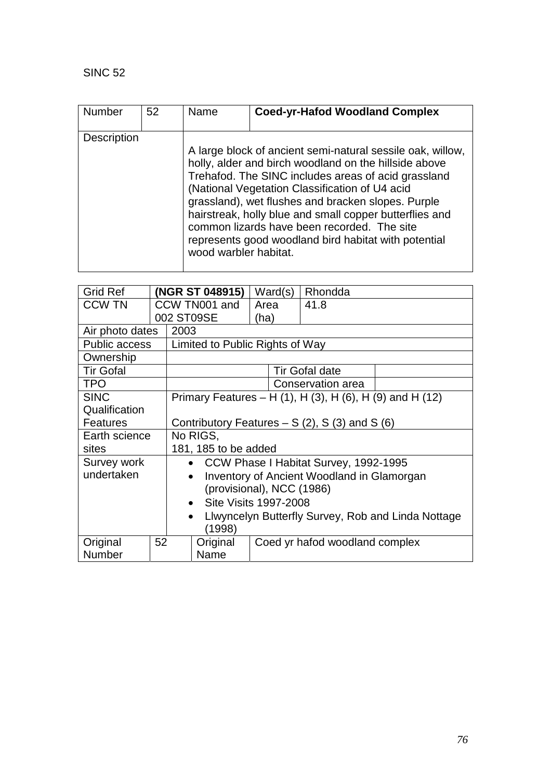| <b>Number</b>      | 52 | Name                  | <b>Coed-yr-Hafod Woodland Complex</b>                                                                                                                                                                                                                                                                                                                                                                                                                |
|--------------------|----|-----------------------|------------------------------------------------------------------------------------------------------------------------------------------------------------------------------------------------------------------------------------------------------------------------------------------------------------------------------------------------------------------------------------------------------------------------------------------------------|
| <b>Description</b> |    | wood warbler habitat. | A large block of ancient semi-natural sessile oak, willow,<br>holly, alder and birch woodland on the hillside above<br>Trehafod. The SINC includes areas of acid grassland<br>(National Vegetation Classification of U4 acid<br>grassland), wet flushes and bracken slopes. Purple<br>hairstreak, holly blue and small copper butterflies and<br>common lizards have been recorded. The site<br>represents good woodland bird habitat with potential |

| <b>Grid Ref</b>      |    |                                                                 | (NGR ST 048915)                 | Ward(s) |  | Rhondda                                                  |  |
|----------------------|----|-----------------------------------------------------------------|---------------------------------|---------|--|----------------------------------------------------------|--|
| <b>CCW TN</b>        |    |                                                                 | CCW TN001 and                   | Area    |  | 41.8                                                     |  |
|                      |    |                                                                 | 002 ST09SE                      | (ha)    |  |                                                          |  |
| Air photo dates      |    | 2003                                                            |                                 |         |  |                                                          |  |
| <b>Public access</b> |    |                                                                 | Limited to Public Rights of Way |         |  |                                                          |  |
| Ownership            |    |                                                                 |                                 |         |  |                                                          |  |
| <b>Tir Gofal</b>     |    |                                                                 |                                 |         |  | <b>Tir Gofal date</b>                                    |  |
| <b>TPO</b>           |    |                                                                 |                                 |         |  | Conservation area                                        |  |
| <b>SINC</b>          |    |                                                                 |                                 |         |  | Primary Features – H (1), H (3), H (6), H (9) and H (12) |  |
| Qualification        |    |                                                                 |                                 |         |  |                                                          |  |
| <b>Features</b>      |    | Contributory Features $- S(2)$ , S(3) and S(6)                  |                                 |         |  |                                                          |  |
| Earth science        |    | No RIGS,                                                        |                                 |         |  |                                                          |  |
| sites                |    | 181, 185 to be added                                            |                                 |         |  |                                                          |  |
| Survey work          |    | CCW Phase I Habitat Survey, 1992-1995<br>$\bullet$              |                                 |         |  |                                                          |  |
| undertaken           |    | <b>Inventory of Ancient Woodland in Glamorgan</b><br>$\bullet$  |                                 |         |  |                                                          |  |
|                      |    | (provisional), NCC (1986)                                       |                                 |         |  |                                                          |  |
|                      |    | Site Visits 1997-2008<br>$\bullet$                              |                                 |         |  |                                                          |  |
|                      |    | Llwyncelyn Butterfly Survey, Rob and Linda Nottage<br>$\bullet$ |                                 |         |  |                                                          |  |
|                      |    |                                                                 | (1998)                          |         |  |                                                          |  |
| Original             | 52 |                                                                 | Original                        |         |  | Coed yr hafod woodland complex                           |  |
| Number               |    |                                                                 | Name                            |         |  |                                                          |  |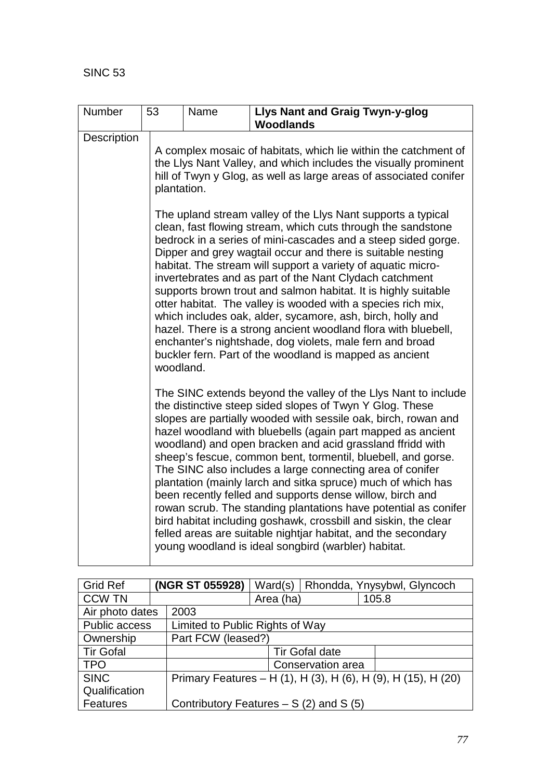| Number      | 53          | Name | <b>Llys Nant and Graig Twyn-y-glog</b><br><b>Woodlands</b>                                                                                                                                                                                                                                                                                                                                                                                                                                                                                                                                                                                                                                                                                                                                                                                       |  |  |  |
|-------------|-------------|------|--------------------------------------------------------------------------------------------------------------------------------------------------------------------------------------------------------------------------------------------------------------------------------------------------------------------------------------------------------------------------------------------------------------------------------------------------------------------------------------------------------------------------------------------------------------------------------------------------------------------------------------------------------------------------------------------------------------------------------------------------------------------------------------------------------------------------------------------------|--|--|--|
| Description | plantation. |      | A complex mosaic of habitats, which lie within the catchment of<br>the Llys Nant Valley, and which includes the visually prominent<br>hill of Twyn y Glog, as well as large areas of associated conifer                                                                                                                                                                                                                                                                                                                                                                                                                                                                                                                                                                                                                                          |  |  |  |
|             | woodland.   |      | The upland stream valley of the Llys Nant supports a typical<br>clean, fast flowing stream, which cuts through the sandstone<br>bedrock in a series of mini-cascades and a steep sided gorge.<br>Dipper and grey wagtail occur and there is suitable nesting<br>habitat. The stream will support a variety of aquatic micro-<br>invertebrates and as part of the Nant Clydach catchment<br>supports brown trout and salmon habitat. It is highly suitable<br>otter habitat. The valley is wooded with a species rich mix,<br>which includes oak, alder, sycamore, ash, birch, holly and<br>hazel. There is a strong ancient woodland flora with bluebell,<br>enchanter's nightshade, dog violets, male fern and broad<br>buckler fern. Part of the woodland is mapped as ancient                                                                 |  |  |  |
|             |             |      | The SINC extends beyond the valley of the Llys Nant to include<br>the distinctive steep sided slopes of Twyn Y Glog. These<br>slopes are partially wooded with sessile oak, birch, rowan and<br>hazel woodland with bluebells (again part mapped as ancient<br>woodland) and open bracken and acid grassland ffridd with<br>sheep's fescue, common bent, tormentil, bluebell, and gorse.<br>The SINC also includes a large connecting area of conifer<br>plantation (mainly larch and sitka spruce) much of which has<br>been recently felled and supports dense willow, birch and<br>rowan scrub. The standing plantations have potential as conifer<br>bird habitat including goshawk, crossbill and siskin, the clear<br>felled areas are suitable nightjar habitat, and the secondary<br>young woodland is ideal songbird (warbler) habitat. |  |  |  |

| <b>Grid Ref</b>         |  | (NGR ST 055928)                         | Ward(s)                                                       |                       | Rhondda, Ynysybwl, Glyncoch |  |  |
|-------------------------|--|-----------------------------------------|---------------------------------------------------------------|-----------------------|-----------------------------|--|--|
| <b>CCW TN</b>           |  |                                         | Area (ha)                                                     |                       | 105.8                       |  |  |
| Air photo dates<br>2003 |  |                                         |                                                               |                       |                             |  |  |
| Public access           |  |                                         | Limited to Public Rights of Way                               |                       |                             |  |  |
| Ownership               |  | Part FCW (leased?)                      |                                                               |                       |                             |  |  |
| <b>Tir Gofal</b>        |  |                                         |                                                               | <b>Tir Gofal date</b> |                             |  |  |
| <b>TPO</b>              |  |                                         |                                                               | Conservation area     |                             |  |  |
| <b>SINC</b>             |  |                                         | Primary Features – H (1), H (3), H (6), H (9), H (15), H (20) |                       |                             |  |  |
| Qualification           |  |                                         |                                                               |                       |                             |  |  |
| <b>Features</b>         |  | Contributory Features $- S(2)$ and S(5) |                                                               |                       |                             |  |  |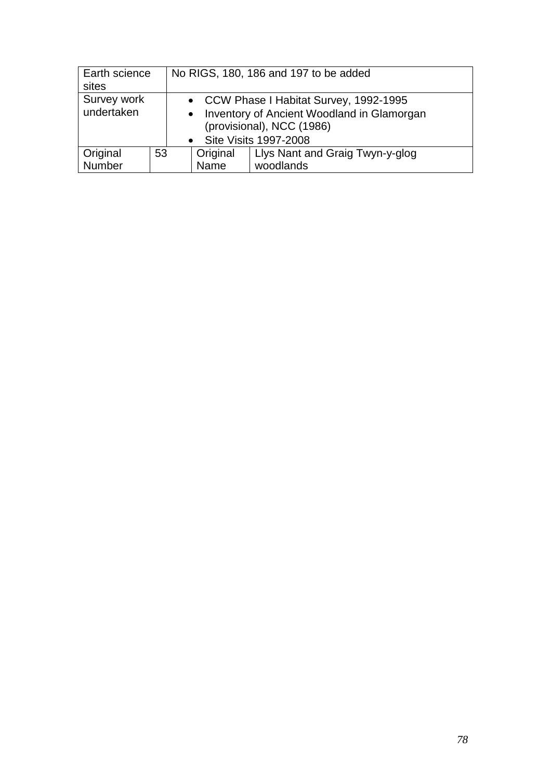| Earth science<br>sites                                                                                                                                                                  |    | No RIGS, 180, 186 and 197 to be added |                  |                                              |  |
|-----------------------------------------------------------------------------------------------------------------------------------------------------------------------------------------|----|---------------------------------------|------------------|----------------------------------------------|--|
| Survey work<br>• CCW Phase I Habitat Survey, 1992-1995<br>undertaken<br>Inventory of Ancient Woodland in Glamorgan<br>$\bullet$<br>(provisional), NCC (1986)<br>• Site Visits 1997-2008 |    |                                       |                  |                                              |  |
| Original<br>Number                                                                                                                                                                      | 53 |                                       | Original<br>Name | Llys Nant and Graig Twyn-y-glog<br>woodlands |  |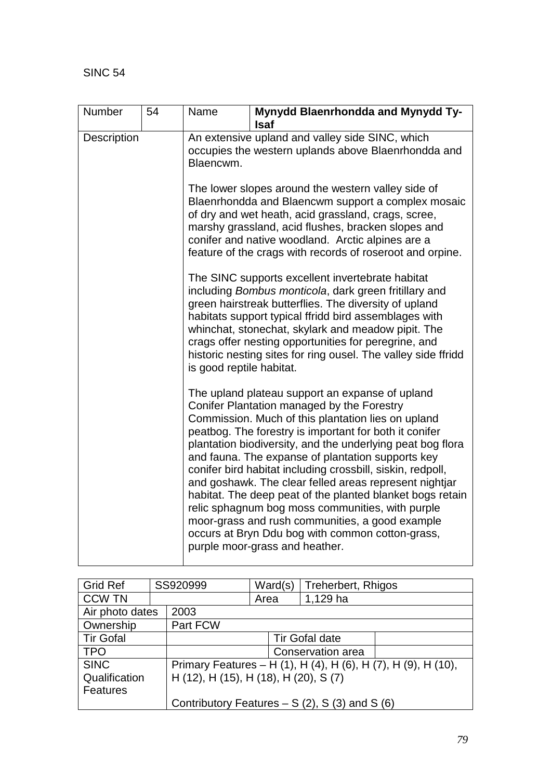| Number      | 54 | Name                                                                                                                | Mynydd Blaenrhondda and Mynydd Ty-<br><b>Isaf</b>                                                                                                                                                                                                                                                                                                                                                                                                                                                                                                                                                                                                                                                                  |  |  |  |  |
|-------------|----|---------------------------------------------------------------------------------------------------------------------|--------------------------------------------------------------------------------------------------------------------------------------------------------------------------------------------------------------------------------------------------------------------------------------------------------------------------------------------------------------------------------------------------------------------------------------------------------------------------------------------------------------------------------------------------------------------------------------------------------------------------------------------------------------------------------------------------------------------|--|--|--|--|
| Description |    | An extensive upland and valley side SINC, which<br>occupies the western uplands above Blaenrhondda and<br>Blaencwm. |                                                                                                                                                                                                                                                                                                                                                                                                                                                                                                                                                                                                                                                                                                                    |  |  |  |  |
|             |    |                                                                                                                     | The lower slopes around the western valley side of<br>Blaenrhondda and Blaencwm support a complex mosaic<br>of dry and wet heath, acid grassland, crags, scree,<br>marshy grassland, acid flushes, bracken slopes and<br>conifer and native woodland. Arctic alpines are a<br>feature of the crags with records of roseroot and orpine.                                                                                                                                                                                                                                                                                                                                                                            |  |  |  |  |
|             |    | is good reptile habitat.                                                                                            | The SINC supports excellent invertebrate habitat<br>including Bombus monticola, dark green fritillary and<br>green hairstreak butterflies. The diversity of upland<br>habitats support typical ffridd bird assemblages with<br>whinchat, stonechat, skylark and meadow pipit. The<br>crags offer nesting opportunities for peregrine, and<br>historic nesting sites for ring ousel. The valley side ffridd                                                                                                                                                                                                                                                                                                         |  |  |  |  |
|             |    |                                                                                                                     | The upland plateau support an expanse of upland<br>Conifer Plantation managed by the Forestry<br>Commission. Much of this plantation lies on upland<br>peatbog. The forestry is important for both it conifer<br>plantation biodiversity, and the underlying peat bog flora<br>and fauna. The expanse of plantation supports key<br>conifer bird habitat including crossbill, siskin, redpoll,<br>and goshawk. The clear felled areas represent nightjar<br>habitat. The deep peat of the planted blanket bogs retain<br>relic sphagnum bog moss communities, with purple<br>moor-grass and rush communities, a good example<br>occurs at Bryn Ddu bog with common cotton-grass,<br>purple moor-grass and heather. |  |  |  |  |

| <b>Grid Ref</b>  |          | SS920999                              | Ward(s)               | Treherbert, Rhigos                                            |  |  |
|------------------|----------|---------------------------------------|-----------------------|---------------------------------------------------------------|--|--|
| <b>CCW TN</b>    |          |                                       | Area                  | 1,129 ha                                                      |  |  |
| Air photo dates  |          | 2003                                  |                       |                                                               |  |  |
| Ownership        | Part FCW |                                       |                       |                                                               |  |  |
| <b>Tir Gofal</b> |          |                                       | <b>Tir Gofal date</b> |                                                               |  |  |
| <b>TPO</b>       |          |                                       | Conservation area     |                                                               |  |  |
| <b>SINC</b>      |          |                                       |                       | Primary Features – H (1), H (4), H (6), H (7), H (9), H (10), |  |  |
| Qualification    |          | H (12), H (15), H (18), H (20), S (7) |                       |                                                               |  |  |
| <b>Features</b>  |          |                                       |                       |                                                               |  |  |
|                  |          |                                       |                       | Contributory Features $- S(2)$ , S(3) and S(6)                |  |  |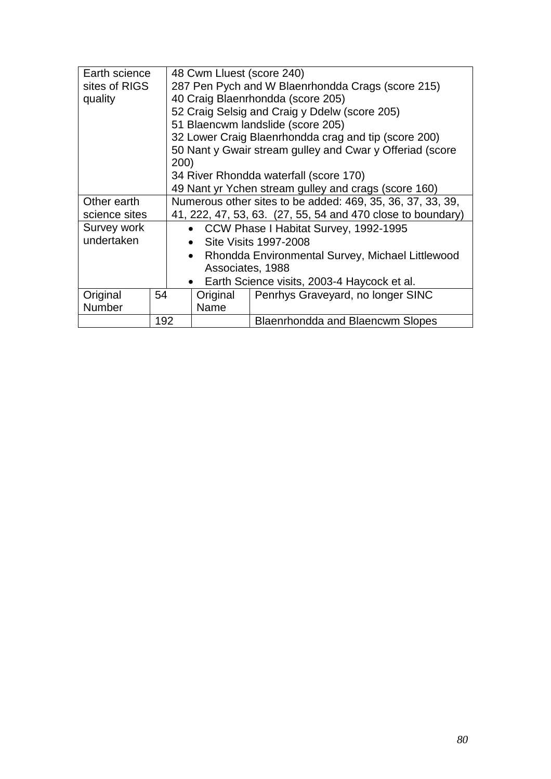| Earth science |     | 48 Cwm Lluest (score 240)                         |           |                                                             |  |
|---------------|-----|---------------------------------------------------|-----------|-------------------------------------------------------------|--|
| sites of RIGS |     | 287 Pen Pych and W Blaenrhondda Crags (score 215) |           |                                                             |  |
| quality       |     |                                                   |           | 40 Craig Blaenrhondda (score 205)                           |  |
|               |     |                                                   |           | 52 Craig Selsig and Craig y Ddelw (score 205)               |  |
|               |     |                                                   |           | 51 Blaencwm landslide (score 205)                           |  |
|               |     |                                                   |           | 32 Lower Craig Blaenrhondda crag and tip (score 200)        |  |
|               |     |                                                   |           | 50 Nant y Gwair stream gulley and Cwar y Offeriad (score    |  |
|               |     | 200)                                              |           |                                                             |  |
|               |     |                                                   |           | 34 River Rhondda waterfall (score 170)                      |  |
|               |     |                                                   |           | 49 Nant yr Ychen stream gulley and crags (score 160)        |  |
| Other earth   |     |                                                   |           | Numerous other sites to be added: 469, 35, 36, 37, 33, 39,  |  |
| science sites |     |                                                   |           | 41, 222, 47, 53, 63. (27, 55, 54 and 470 close to boundary) |  |
| Survey work   |     | $\bullet$                                         |           | CCW Phase I Habitat Survey, 1992-1995                       |  |
| undertaken    |     |                                                   | $\bullet$ | Site Visits 1997-2008                                       |  |
|               |     |                                                   | $\bullet$ | Rhondda Environmental Survey, Michael Littlewood            |  |
|               |     | Associates, 1988                                  |           |                                                             |  |
|               |     | Earth Science visits, 2003-4 Haycock et al.       |           |                                                             |  |
| Original      | 54  | Penrhys Graveyard, no longer SINC<br>Original     |           |                                                             |  |
| Number        |     | Name                                              |           |                                                             |  |
|               | 192 | <b>Blaenrhondda and Blaencwm Slopes</b>           |           |                                                             |  |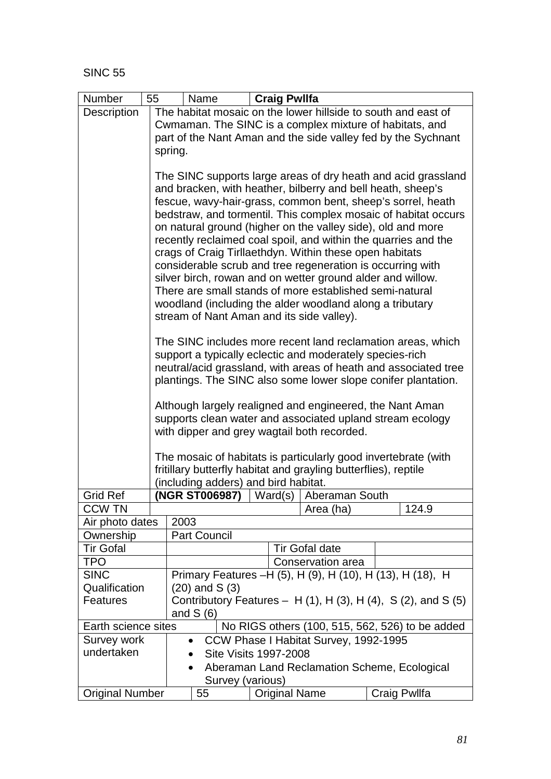| Number                 | <b>Craig Pwllfa</b><br>55<br>Name                                                                                                                                                                                                                                                                                                                                                                                                                                                                                                                                                                                                                                                                            |  |  |  |  |  |
|------------------------|--------------------------------------------------------------------------------------------------------------------------------------------------------------------------------------------------------------------------------------------------------------------------------------------------------------------------------------------------------------------------------------------------------------------------------------------------------------------------------------------------------------------------------------------------------------------------------------------------------------------------------------------------------------------------------------------------------------|--|--|--|--|--|
| Description            | The habitat mosaic on the lower hillside to south and east of                                                                                                                                                                                                                                                                                                                                                                                                                                                                                                                                                                                                                                                |  |  |  |  |  |
|                        | Cwmaman. The SINC is a complex mixture of habitats, and                                                                                                                                                                                                                                                                                                                                                                                                                                                                                                                                                                                                                                                      |  |  |  |  |  |
|                        | part of the Nant Aman and the side valley fed by the Sychnant                                                                                                                                                                                                                                                                                                                                                                                                                                                                                                                                                                                                                                                |  |  |  |  |  |
|                        | spring.                                                                                                                                                                                                                                                                                                                                                                                                                                                                                                                                                                                                                                                                                                      |  |  |  |  |  |
|                        |                                                                                                                                                                                                                                                                                                                                                                                                                                                                                                                                                                                                                                                                                                              |  |  |  |  |  |
|                        | The SINC supports large areas of dry heath and acid grassland<br>and bracken, with heather, bilberry and bell heath, sheep's<br>fescue, wavy-hair-grass, common bent, sheep's sorrel, heath<br>bedstraw, and tormentil. This complex mosaic of habitat occurs<br>on natural ground (higher on the valley side), old and more<br>recently reclaimed coal spoil, and within the quarries and the<br>crags of Craig Tirllaethdyn. Within these open habitats<br>considerable scrub and tree regeneration is occurring with<br>silver birch, rowan and on wetter ground alder and willow.<br>There are small stands of more established semi-natural<br>woodland (including the alder woodland along a tributary |  |  |  |  |  |
|                        | stream of Nant Aman and its side valley).                                                                                                                                                                                                                                                                                                                                                                                                                                                                                                                                                                                                                                                                    |  |  |  |  |  |
|                        | The SINC includes more recent land reclamation areas, which                                                                                                                                                                                                                                                                                                                                                                                                                                                                                                                                                                                                                                                  |  |  |  |  |  |
|                        | support a typically eclectic and moderately species-rich                                                                                                                                                                                                                                                                                                                                                                                                                                                                                                                                                                                                                                                     |  |  |  |  |  |
|                        | neutral/acid grassland, with areas of heath and associated tree                                                                                                                                                                                                                                                                                                                                                                                                                                                                                                                                                                                                                                              |  |  |  |  |  |
|                        | plantings. The SINC also some lower slope conifer plantation.                                                                                                                                                                                                                                                                                                                                                                                                                                                                                                                                                                                                                                                |  |  |  |  |  |
|                        | Although largely realigned and engineered, the Nant Aman<br>supports clean water and associated upland stream ecology<br>with dipper and grey wagtail both recorded.                                                                                                                                                                                                                                                                                                                                                                                                                                                                                                                                         |  |  |  |  |  |
|                        | The mosaic of habitats is particularly good invertebrate (with<br>fritillary butterfly habitat and grayling butterflies), reptile                                                                                                                                                                                                                                                                                                                                                                                                                                                                                                                                                                            |  |  |  |  |  |
| <b>Grid Ref</b>        | (including adders) and bird habitat.<br>(NGR ST006987)<br>$\vert$ Ward(s)<br>Aberaman South                                                                                                                                                                                                                                                                                                                                                                                                                                                                                                                                                                                                                  |  |  |  |  |  |
| <b>CCW TN</b>          | 124.9<br>Area (ha)                                                                                                                                                                                                                                                                                                                                                                                                                                                                                                                                                                                                                                                                                           |  |  |  |  |  |
| Air photo dates        | 2003                                                                                                                                                                                                                                                                                                                                                                                                                                                                                                                                                                                                                                                                                                         |  |  |  |  |  |
| Ownership              | <b>Part Council</b>                                                                                                                                                                                                                                                                                                                                                                                                                                                                                                                                                                                                                                                                                          |  |  |  |  |  |
| <b>Tir Gofal</b>       | <b>Tir Gofal date</b>                                                                                                                                                                                                                                                                                                                                                                                                                                                                                                                                                                                                                                                                                        |  |  |  |  |  |
| <b>TPO</b>             | Conservation area                                                                                                                                                                                                                                                                                                                                                                                                                                                                                                                                                                                                                                                                                            |  |  |  |  |  |
| <b>SINC</b>            | Primary Features -H (5), H (9), H (10), H (13), H (18), H                                                                                                                                                                                                                                                                                                                                                                                                                                                                                                                                                                                                                                                    |  |  |  |  |  |
| Qualification          | $(20)$ and S $(3)$                                                                                                                                                                                                                                                                                                                                                                                                                                                                                                                                                                                                                                                                                           |  |  |  |  |  |
| Features               | Contributory Features $- H(1)$ , H $(3)$ , H $(4)$ , S $(2)$ , and S $(5)$<br>and $S(6)$                                                                                                                                                                                                                                                                                                                                                                                                                                                                                                                                                                                                                     |  |  |  |  |  |
| Earth science sites    | No RIGS others (100, 515, 562, 526) to be added                                                                                                                                                                                                                                                                                                                                                                                                                                                                                                                                                                                                                                                              |  |  |  |  |  |
| Survey work            | CCW Phase I Habitat Survey, 1992-1995<br>$\bullet$                                                                                                                                                                                                                                                                                                                                                                                                                                                                                                                                                                                                                                                           |  |  |  |  |  |
| undertaken             | <b>Site Visits 1997-2008</b>                                                                                                                                                                                                                                                                                                                                                                                                                                                                                                                                                                                                                                                                                 |  |  |  |  |  |
|                        | Aberaman Land Reclamation Scheme, Ecological<br>$\bullet$<br>Survey (various)                                                                                                                                                                                                                                                                                                                                                                                                                                                                                                                                                                                                                                |  |  |  |  |  |
| <b>Original Number</b> | 55<br><b>Original Name</b><br>Craig Pwllfa                                                                                                                                                                                                                                                                                                                                                                                                                                                                                                                                                                                                                                                                   |  |  |  |  |  |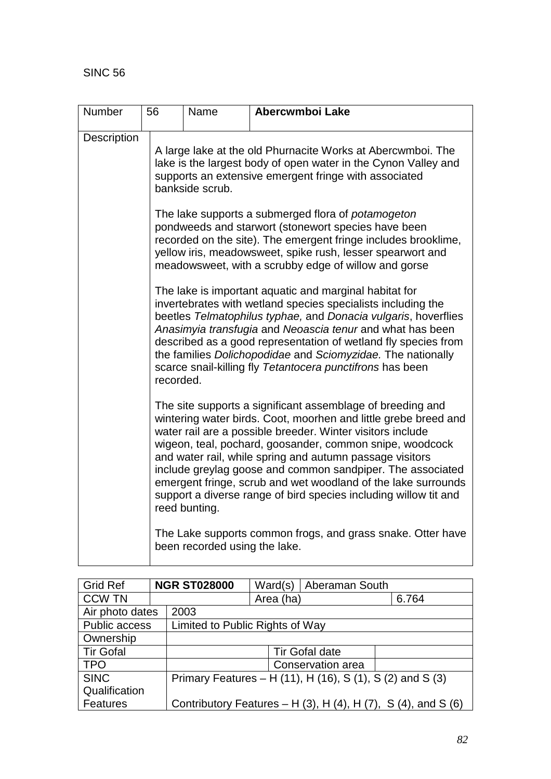| Number      | 56        | Name                                                                                                                                                                                                      | Abercwmboi Lake                                                                                                                                                                                                                                                                                                                                                                                                                                                                                                        |  |  |  |  |
|-------------|-----------|-----------------------------------------------------------------------------------------------------------------------------------------------------------------------------------------------------------|------------------------------------------------------------------------------------------------------------------------------------------------------------------------------------------------------------------------------------------------------------------------------------------------------------------------------------------------------------------------------------------------------------------------------------------------------------------------------------------------------------------------|--|--|--|--|
| Description |           | A large lake at the old Phurnacite Works at Abercwmboi. The<br>lake is the largest body of open water in the Cynon Valley and<br>supports an extensive emergent fringe with associated<br>bankside scrub. |                                                                                                                                                                                                                                                                                                                                                                                                                                                                                                                        |  |  |  |  |
|             |           |                                                                                                                                                                                                           | The lake supports a submerged flora of <i>potamogeton</i><br>pondweeds and starwort (stonewort species have been<br>recorded on the site). The emergent fringe includes brooklime,<br>yellow iris, meadowsweet, spike rush, lesser spearwort and<br>meadowsweet, with a scrubby edge of willow and gorse                                                                                                                                                                                                               |  |  |  |  |
|             | recorded. |                                                                                                                                                                                                           | The lake is important aquatic and marginal habitat for<br>invertebrates with wetland species specialists including the<br>beetles Telmatophilus typhae, and Donacia vulgaris, hoverflies<br>Anasimyia transfugia and Neoascia tenur and what has been<br>described as a good representation of wetland fly species from<br>the families Dolichopodidae and Sciomyzidae. The nationally<br>scarce snail-killing fly Tetantocera punctifrons has been                                                                    |  |  |  |  |
|             |           | reed bunting.                                                                                                                                                                                             | The site supports a significant assemblage of breeding and<br>wintering water birds. Coot, moorhen and little grebe breed and<br>water rail are a possible breeder. Winter visitors include<br>wigeon, teal, pochard, goosander, common snipe, woodcock<br>and water rail, while spring and autumn passage visitors<br>include greylag goose and common sandpiper. The associated<br>emergent fringe, scrub and wet woodland of the lake surrounds<br>support a diverse range of bird species including willow tit and |  |  |  |  |
|             |           | been recorded using the lake.                                                                                                                                                                             | The Lake supports common frogs, and grass snake. Otter have                                                                                                                                                                                                                                                                                                                                                                                                                                                            |  |  |  |  |

| <b>Grid Ref</b>      | <b>NGR ST028000</b> |                                                           | Ward(s)                         | Aberaman South                                                |  |  |  |
|----------------------|---------------------|-----------------------------------------------------------|---------------------------------|---------------------------------------------------------------|--|--|--|
| <b>CCW TN</b>        |                     |                                                           | Area (ha)                       | 6.764                                                         |  |  |  |
| Air photo dates      |                     | 2003                                                      |                                 |                                                               |  |  |  |
| <b>Public access</b> |                     |                                                           | Limited to Public Rights of Way |                                                               |  |  |  |
| Ownership            |                     |                                                           |                                 |                                                               |  |  |  |
| <b>Tir Gofal</b>     |                     |                                                           | <b>Tir Gofal date</b>           |                                                               |  |  |  |
| <b>TPO</b>           |                     |                                                           | Conservation area               |                                                               |  |  |  |
| <b>SINC</b>          |                     | Primary Features – H (11), H (16), S (1), S (2) and S (3) |                                 |                                                               |  |  |  |
| Qualification        |                     |                                                           |                                 |                                                               |  |  |  |
| Features             |                     |                                                           |                                 | Contributory Features – H (3), H (4), H (7), S (4), and S (6) |  |  |  |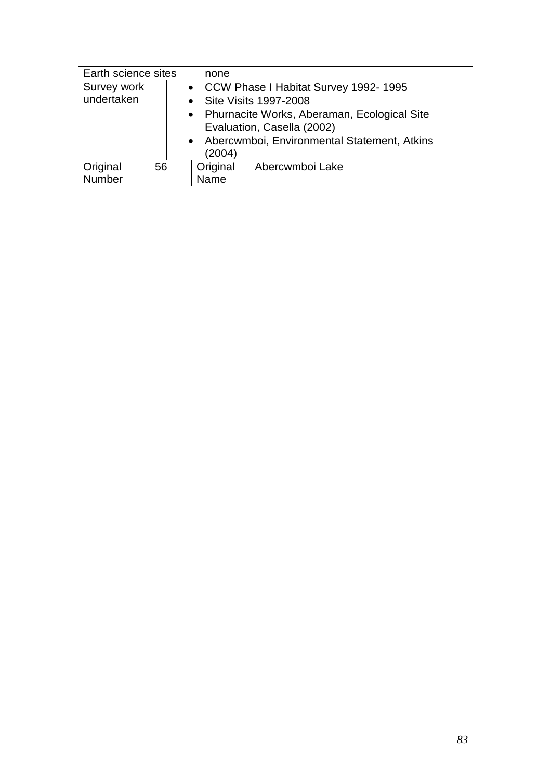| Earth science sites |    |  | none                        |                                                                                                                              |  |  |  |  |
|---------------------|----|--|-----------------------------|------------------------------------------------------------------------------------------------------------------------------|--|--|--|--|
| Survey work         |    |  |                             | • CCW Phase I Habitat Survey 1992-1995                                                                                       |  |  |  |  |
| undertaken          |    |  |                             | • Site Visits 1997-2008                                                                                                      |  |  |  |  |
|                     |    |  | (2004)                      | • Phurnacite Works, Aberaman, Ecological Site<br>Evaluation, Casella (2002)<br>• Abercwmboi, Environmental Statement, Atkins |  |  |  |  |
| Original            | 56 |  | Original<br>Abercwmboi Lake |                                                                                                                              |  |  |  |  |
| Number              |    |  | Name                        |                                                                                                                              |  |  |  |  |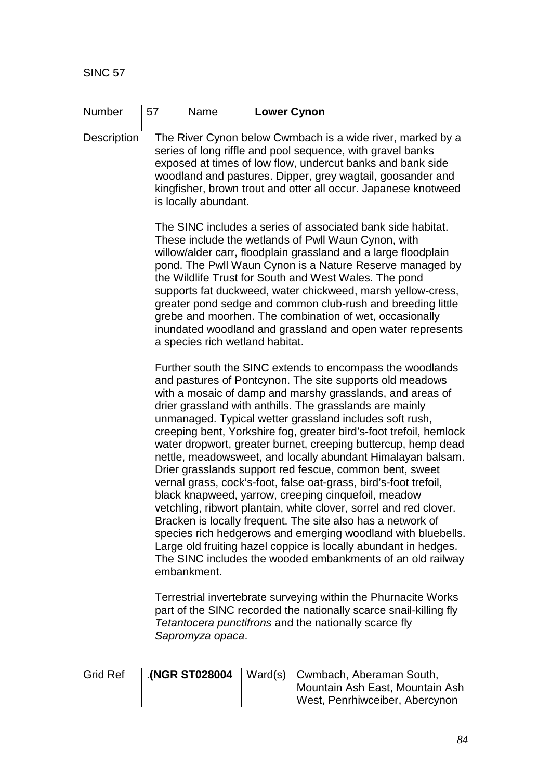| Number      | 57 | Name<br><b>Lower Cynon</b>                                                                                                                                                                                                                                                                                                                                                                                                                                                                                                                                                                                                                                                                                                                                                                                                                                                                                                                                                                                                                                                                                                  |                                                                                                                                                                                                                                                                                                                                                                                                                                                                                                                                                                  |  |  |  |  |  |
|-------------|----|-----------------------------------------------------------------------------------------------------------------------------------------------------------------------------------------------------------------------------------------------------------------------------------------------------------------------------------------------------------------------------------------------------------------------------------------------------------------------------------------------------------------------------------------------------------------------------------------------------------------------------------------------------------------------------------------------------------------------------------------------------------------------------------------------------------------------------------------------------------------------------------------------------------------------------------------------------------------------------------------------------------------------------------------------------------------------------------------------------------------------------|------------------------------------------------------------------------------------------------------------------------------------------------------------------------------------------------------------------------------------------------------------------------------------------------------------------------------------------------------------------------------------------------------------------------------------------------------------------------------------------------------------------------------------------------------------------|--|--|--|--|--|
| Description |    | is locally abundant.                                                                                                                                                                                                                                                                                                                                                                                                                                                                                                                                                                                                                                                                                                                                                                                                                                                                                                                                                                                                                                                                                                        | The River Cynon below Cwmbach is a wide river, marked by a<br>series of long riffle and pool sequence, with gravel banks<br>exposed at times of low flow, undercut banks and bank side<br>woodland and pastures. Dipper, grey wagtail, goosander and<br>kingfisher, brown trout and otter all occur. Japanese knotweed                                                                                                                                                                                                                                           |  |  |  |  |  |
|             |    | a species rich wetland habitat.                                                                                                                                                                                                                                                                                                                                                                                                                                                                                                                                                                                                                                                                                                                                                                                                                                                                                                                                                                                                                                                                                             | The SINC includes a series of associated bank side habitat.<br>These include the wetlands of Pwll Waun Cynon, with<br>willow/alder carr, floodplain grassland and a large floodplain<br>pond. The Pwll Waun Cynon is a Nature Reserve managed by<br>the Wildlife Trust for South and West Wales. The pond<br>supports fat duckweed, water chickweed, marsh yellow-cress,<br>greater pond sedge and common club-rush and breeding little<br>grebe and moorhen. The combination of wet, occasionally<br>inundated woodland and grassland and open water represents |  |  |  |  |  |
|             |    | Further south the SINC extends to encompass the woodlands<br>and pastures of Pontcynon. The site supports old meadows<br>with a mosaic of damp and marshy grasslands, and areas of<br>drier grassland with anthills. The grasslands are mainly<br>unmanaged. Typical wetter grassland includes soft rush,<br>creeping bent, Yorkshire fog, greater bird's-foot trefoil, hemlock<br>water dropwort, greater burnet, creeping buttercup, hemp dead<br>nettle, meadowsweet, and locally abundant Himalayan balsam.<br>Drier grasslands support red fescue, common bent, sweet<br>vernal grass, cock's-foot, false oat-grass, bird's-foot trefoil,<br>black knapweed, yarrow, creeping cinquefoil, meadow<br>vetchling, ribwort plantain, white clover, sorrel and red clover.<br>Bracken is locally frequent. The site also has a network of<br>species rich hedgerows and emerging woodland with bluebells.<br>Large old fruiting hazel coppice is locally abundant in hedges.<br>The SINC includes the wooded embankments of an old railway<br>embankment.<br>Terrestrial invertebrate surveying within the Phurnacite Works |                                                                                                                                                                                                                                                                                                                                                                                                                                                                                                                                                                  |  |  |  |  |  |
|             |    | Sapromyza opaca.                                                                                                                                                                                                                                                                                                                                                                                                                                                                                                                                                                                                                                                                                                                                                                                                                                                                                                                                                                                                                                                                                                            | part of the SINC recorded the nationally scarce snail-killing fly<br>Tetantocera punctifrons and the nationally scarce fly                                                                                                                                                                                                                                                                                                                                                                                                                                       |  |  |  |  |  |

| Grid Ref |  | $\cdot$ (NGR ST028004   Ward(s)   Cwmbach, Aberaman South, |
|----------|--|------------------------------------------------------------|
|          |  | Mountain Ash East, Mountain Ash                            |
|          |  | West, Penrhiwceiber, Abercynon                             |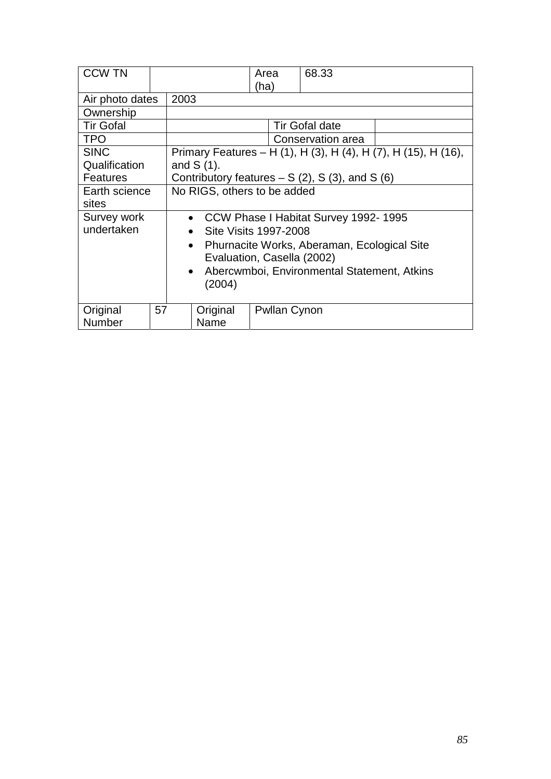| <b>CCW TN</b>    |    |                                                          |                                        | Area<br>(ha)                       | 68.33                 |                                                                |  |  |
|------------------|----|----------------------------------------------------------|----------------------------------------|------------------------------------|-----------------------|----------------------------------------------------------------|--|--|
| Air photo dates  |    | 2003                                                     |                                        |                                    |                       |                                                                |  |  |
| Ownership        |    |                                                          |                                        |                                    |                       |                                                                |  |  |
| <b>Tir Gofal</b> |    |                                                          |                                        |                                    | <b>Tir Gofal date</b> |                                                                |  |  |
| <b>TPO</b>       |    |                                                          |                                        |                                    | Conservation area     |                                                                |  |  |
| <b>SINC</b>      |    |                                                          |                                        |                                    |                       | Primary Features – H (1), H (3), H (4), H (7), H (15), H (16), |  |  |
| Qualification    |    | and $S(1)$ .                                             |                                        |                                    |                       |                                                                |  |  |
| <b>Features</b>  |    | Contributory features $- S(2)$ , S(3), and S(6)          |                                        |                                    |                       |                                                                |  |  |
| Earth science    |    |                                                          | No RIGS, others to be added            |                                    |                       |                                                                |  |  |
| sites            |    |                                                          |                                        |                                    |                       |                                                                |  |  |
| Survey work      |    |                                                          | • CCW Phase I Habitat Survey 1992-1995 |                                    |                       |                                                                |  |  |
| undertaken       |    |                                                          |                                        | Site Visits 1997-2008<br>$\bullet$ |                       |                                                                |  |  |
|                  |    | Phurnacite Works, Aberaman, Ecological Site<br>$\bullet$ |                                        |                                    |                       |                                                                |  |  |
|                  |    | Evaluation, Casella (2002)                               |                                        |                                    |                       |                                                                |  |  |
|                  |    | Abercwmboi, Environmental Statement, Atkins<br>$\bullet$ |                                        |                                    |                       |                                                                |  |  |
|                  |    |                                                          | (2004)                                 |                                    |                       |                                                                |  |  |
|                  |    |                                                          |                                        |                                    |                       |                                                                |  |  |
| Original         | 57 |                                                          | Original                               | <b>Pwllan Cynon</b>                |                       |                                                                |  |  |
| Number           |    |                                                          | Name                                   |                                    |                       |                                                                |  |  |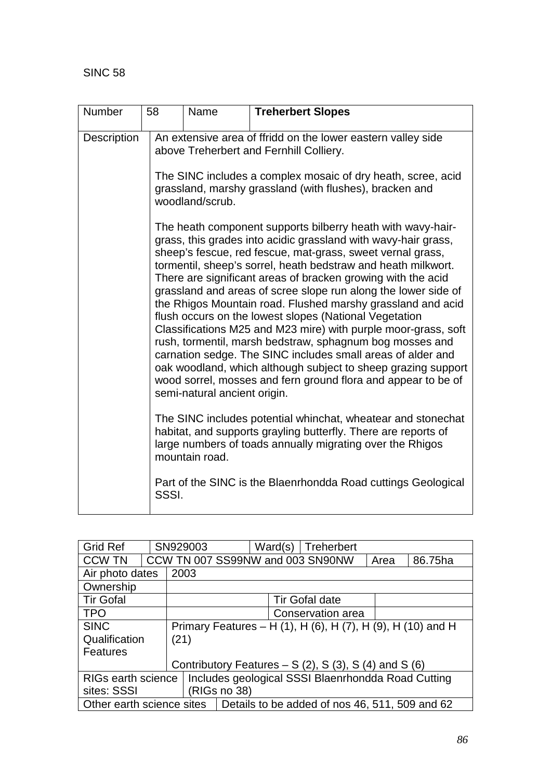| <b>Number</b> | 58    | Name                                                                                                                                                                                                                                                                                                                                                                                                                                                                                                                                                                                                                                                                                                                                                                                                                                                                                   | <b>Treherbert Slopes</b>                                                                                                                                                                    |  |  |  |  |
|---------------|-------|----------------------------------------------------------------------------------------------------------------------------------------------------------------------------------------------------------------------------------------------------------------------------------------------------------------------------------------------------------------------------------------------------------------------------------------------------------------------------------------------------------------------------------------------------------------------------------------------------------------------------------------------------------------------------------------------------------------------------------------------------------------------------------------------------------------------------------------------------------------------------------------|---------------------------------------------------------------------------------------------------------------------------------------------------------------------------------------------|--|--|--|--|
| Description   |       | An extensive area of ffridd on the lower eastern valley side<br>above Treherbert and Fernhill Colliery.<br>The SINC includes a complex mosaic of dry heath, scree, acid<br>grassland, marshy grassland (with flushes), bracken and<br>woodland/scrub.                                                                                                                                                                                                                                                                                                                                                                                                                                                                                                                                                                                                                                  |                                                                                                                                                                                             |  |  |  |  |
|               |       | The heath component supports bilberry heath with wavy-hair-<br>grass, this grades into acidic grassland with wavy-hair grass,<br>sheep's fescue, red fescue, mat-grass, sweet vernal grass,<br>tormentil, sheep's sorrel, heath bedstraw and heath milkwort.<br>There are significant areas of bracken growing with the acid<br>grassland and areas of scree slope run along the lower side of<br>the Rhigos Mountain road. Flushed marshy grassland and acid<br>flush occurs on the lowest slopes (National Vegetation<br>Classifications M25 and M23 mire) with purple moor-grass, soft<br>rush, tormentil, marsh bedstraw, sphagnum bog mosses and<br>carnation sedge. The SINC includes small areas of alder and<br>oak woodland, which although subject to sheep grazing support<br>wood sorrel, mosses and fern ground flora and appear to be of<br>semi-natural ancient origin. |                                                                                                                                                                                             |  |  |  |  |
|               |       | mountain road.                                                                                                                                                                                                                                                                                                                                                                                                                                                                                                                                                                                                                                                                                                                                                                                                                                                                         | The SINC includes potential whinchat, wheatear and stonechat<br>habitat, and supports grayling butterfly. There are reports of<br>large numbers of toads annually migrating over the Rhigos |  |  |  |  |
|               | SSSI. |                                                                                                                                                                                                                                                                                                                                                                                                                                                                                                                                                                                                                                                                                                                                                                                                                                                                                        | Part of the SINC is the Blaenrhondda Road cuttings Geological                                                                                                                               |  |  |  |  |

| <b>Grid Ref</b>           |  | SN929003                                             |                                                     | Ward(s) | Treherbert                                                  |  |  |
|---------------------------|--|------------------------------------------------------|-----------------------------------------------------|---------|-------------------------------------------------------------|--|--|
| <b>CCW TN</b>             |  |                                                      | CCW TN 007 SS99NW and 003 SN90NW<br>86.75ha<br>Area |         |                                                             |  |  |
| Air photo dates           |  | 2003                                                 |                                                     |         |                                                             |  |  |
| Ownership                 |  |                                                      |                                                     |         |                                                             |  |  |
| <b>Tir Gofal</b>          |  | <b>Tir Gofal date</b>                                |                                                     |         |                                                             |  |  |
| <b>TPO</b>                |  | Conservation area                                    |                                                     |         |                                                             |  |  |
| <b>SINC</b>               |  |                                                      |                                                     |         | Primary Features – H (1), H (6), H (7), H (9), H (10) and H |  |  |
| Qualification             |  | (21)                                                 |                                                     |         |                                                             |  |  |
| Features                  |  |                                                      |                                                     |         |                                                             |  |  |
|                           |  | Contributory Features $- S(2)$ , S(3), S(4) and S(6) |                                                     |         |                                                             |  |  |
| RIGs earth science        |  | Includes geological SSSI Blaenrhondda Road Cutting   |                                                     |         |                                                             |  |  |
| sites: SSSI               |  |                                                      | (RIGs no 38)                                        |         |                                                             |  |  |
| Other earth science sites |  |                                                      |                                                     |         | Details to be added of nos 46, 511, 509 and 62              |  |  |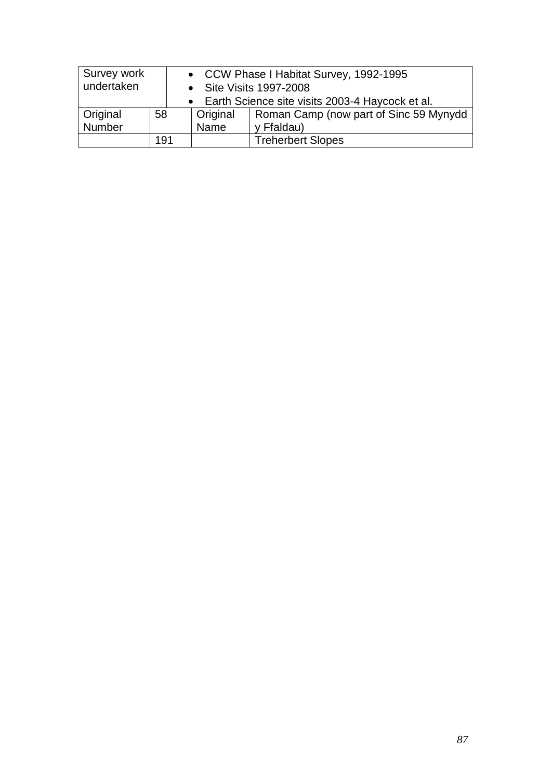| Survey work<br>undertaken |     | • CCW Phase I Habitat Survey, 1992-1995<br>• Site Visits 1997-2008<br>• Earth Science site visits 2003-4 Haycock et al. |                                        |  |
|---------------------------|-----|-------------------------------------------------------------------------------------------------------------------------|----------------------------------------|--|
| Original                  | 58  | <b>Original</b>                                                                                                         | Roman Camp (now part of Sinc 59 Mynydd |  |
| Number                    |     | Name<br>y Ffaldau)                                                                                                      |                                        |  |
|                           | 191 | <b>Treherbert Slopes</b>                                                                                                |                                        |  |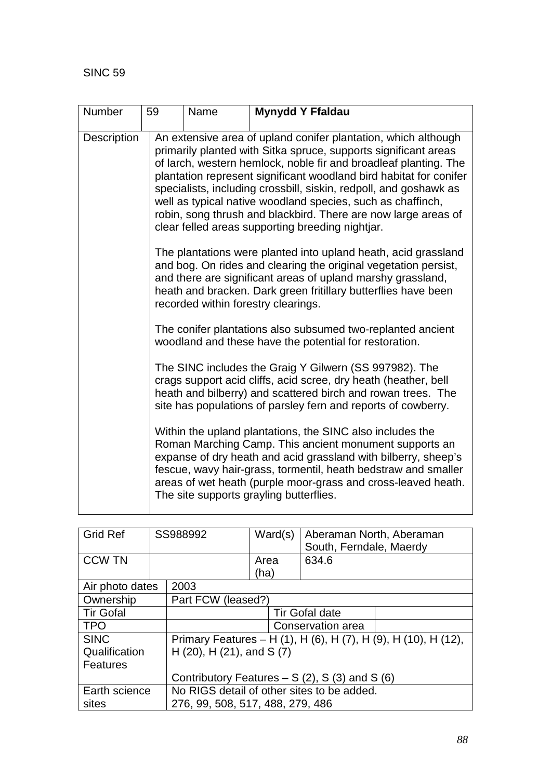| Number      | 59 | Name | <b>Mynydd Y Ffaldau</b>                                                                                                                                                                                                                                                                                                                                                                                                                                                                                                               |
|-------------|----|------|---------------------------------------------------------------------------------------------------------------------------------------------------------------------------------------------------------------------------------------------------------------------------------------------------------------------------------------------------------------------------------------------------------------------------------------------------------------------------------------------------------------------------------------|
| Description |    |      | An extensive area of upland conifer plantation, which although<br>primarily planted with Sitka spruce, supports significant areas<br>of larch, western hemlock, noble fir and broadleaf planting. The<br>plantation represent significant woodland bird habitat for conifer<br>specialists, including crossbill, siskin, redpoll, and goshawk as<br>well as typical native woodland species, such as chaffinch,<br>robin, song thrush and blackbird. There are now large areas of<br>clear felled areas supporting breeding nightjar. |
|             |    |      | The plantations were planted into upland heath, acid grassland<br>and bog. On rides and clearing the original vegetation persist,<br>and there are significant areas of upland marshy grassland,<br>heath and bracken. Dark green fritillary butterflies have been<br>recorded within forestry clearings.                                                                                                                                                                                                                             |
|             |    |      | The conifer plantations also subsumed two-replanted ancient<br>woodland and these have the potential for restoration.                                                                                                                                                                                                                                                                                                                                                                                                                 |
|             |    |      | The SINC includes the Graig Y Gilwern (SS 997982). The<br>crags support acid cliffs, acid scree, dry heath (heather, bell<br>heath and bilberry) and scattered birch and rowan trees. The<br>site has populations of parsley fern and reports of cowberry.                                                                                                                                                                                                                                                                            |
|             |    |      | Within the upland plantations, the SINC also includes the<br>Roman Marching Camp. This ancient monument supports an<br>expanse of dry heath and acid grassland with bilberry, sheep's<br>fescue, wavy hair-grass, tormentil, heath bedstraw and smaller<br>areas of wet heath (purple moor-grass and cross-leaved heath.<br>The site supports grayling butterflies.                                                                                                                                                                   |

| <b>Grid Ref</b>  |  | SS988992                                                       | Ward(s) | Aberaman North, Aberaman<br>South, Ferndale, Maerdy |  |  |  |
|------------------|--|----------------------------------------------------------------|---------|-----------------------------------------------------|--|--|--|
| <b>CCW TN</b>    |  |                                                                | Area    | 634.6                                               |  |  |  |
|                  |  |                                                                | (ha)    |                                                     |  |  |  |
| Air photo dates  |  | 2003                                                           |         |                                                     |  |  |  |
| Ownership        |  | Part FCW (leased?)                                             |         |                                                     |  |  |  |
| <b>Tir Gofal</b> |  | <b>Tir Gofal date</b>                                          |         |                                                     |  |  |  |
| <b>TPO</b>       |  | Conservation area                                              |         |                                                     |  |  |  |
| <b>SINC</b>      |  | Primary Features - H (1), H (6), H (7), H (9), H (10), H (12), |         |                                                     |  |  |  |
| Qualification    |  | $H(20)$ , $H(21)$ , and S(7)                                   |         |                                                     |  |  |  |
| Features         |  |                                                                |         |                                                     |  |  |  |
|                  |  | Contributory Features $- S(2)$ , S(3) and S(6)                 |         |                                                     |  |  |  |
| Earth science    |  | No RIGS detail of other sites to be added.                     |         |                                                     |  |  |  |
| sites            |  | 276, 99, 508, 517, 488, 279, 486                               |         |                                                     |  |  |  |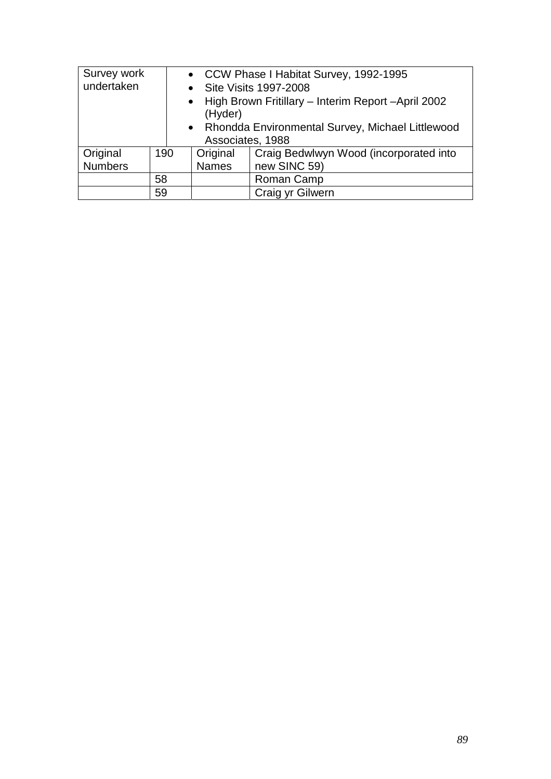| Survey work                                        |     |                  | • CCW Phase I Habitat Survey, 1992-1995               |  |  |
|----------------------------------------------------|-----|------------------|-------------------------------------------------------|--|--|
| undertaken<br>$\bullet$                            |     |                  | <b>Site Visits 1997-2008</b>                          |  |  |
|                                                    |     |                  | • High Brown Fritillary - Interim Report - April 2002 |  |  |
|                                                    |     | (Hyder)          |                                                       |  |  |
| • Rhondda Environmental Survey, Michael Littlewood |     |                  |                                                       |  |  |
|                                                    |     | Associates, 1988 |                                                       |  |  |
| Original                                           | 190 | Original         | Craig Bedwlwyn Wood (incorporated into                |  |  |
| <b>Numbers</b>                                     |     | <b>Names</b>     | new SINC 59)                                          |  |  |
|                                                    | 58  |                  | Roman Camp                                            |  |  |
|                                                    | 59  |                  | Craig yr Gilwern                                      |  |  |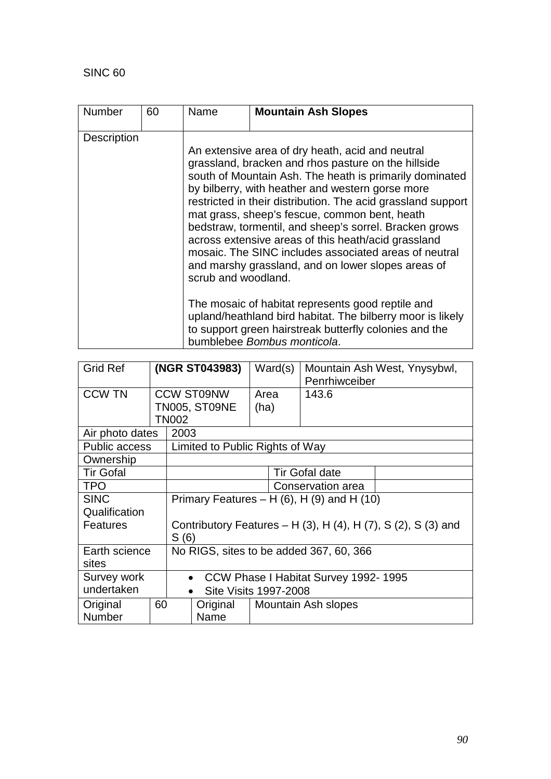| <b>Number</b>      | 60 | Name                | <b>Mountain Ash Slopes</b>                                                                                                                                                                                                                                                                                                                                                                                                                                                                                                                                              |
|--------------------|----|---------------------|-------------------------------------------------------------------------------------------------------------------------------------------------------------------------------------------------------------------------------------------------------------------------------------------------------------------------------------------------------------------------------------------------------------------------------------------------------------------------------------------------------------------------------------------------------------------------|
| <b>Description</b> |    | scrub and woodland. | An extensive area of dry heath, acid and neutral<br>grassland, bracken and rhos pasture on the hillside<br>south of Mountain Ash. The heath is primarily dominated<br>by bilberry, with heather and western gorse more<br>restricted in their distribution. The acid grassland support<br>mat grass, sheep's fescue, common bent, heath<br>bedstraw, tormentil, and sheep's sorrel. Bracken grows<br>across extensive areas of this heath/acid grassland<br>mosaic. The SINC includes associated areas of neutral<br>and marshy grassland, and on lower slopes areas of |
|                    |    |                     | The mosaic of habitat represents good reptile and<br>upland/heathland bird habitat. The bilberry moor is likely<br>to support green hairstreak butterfly colonies and the<br>bumblebee Bombus monticola.                                                                                                                                                                                                                                                                                                                                                                |

| <b>Grid Ref</b>      |    | (NGR ST043983)                                                              |                                 |      | Ward(s) | Mountain Ash West, Ynysybwl,<br>Penrhiwceiber |  |
|----------------------|----|-----------------------------------------------------------------------------|---------------------------------|------|---------|-----------------------------------------------|--|
| <b>CCW TN</b>        |    |                                                                             | <b>CCW ST09NW</b>               | Area |         | 143.6                                         |  |
|                      |    |                                                                             | TN005, ST09NE                   | (ha) |         |                                               |  |
|                      |    | TN002                                                                       |                                 |      |         |                                               |  |
| Air photo dates      |    | 2003                                                                        |                                 |      |         |                                               |  |
| <b>Public access</b> |    |                                                                             | Limited to Public Rights of Way |      |         |                                               |  |
| Ownership            |    |                                                                             |                                 |      |         |                                               |  |
| <b>Tir Gofal</b>     |    |                                                                             | <b>Tir Gofal date</b>           |      |         |                                               |  |
| <b>TPO</b>           |    | Conservation area                                                           |                                 |      |         |                                               |  |
| <b>SINC</b>          |    | Primary Features – H $(6)$ , H $(9)$ and H $(10)$                           |                                 |      |         |                                               |  |
| Qualification        |    |                                                                             |                                 |      |         |                                               |  |
| <b>Features</b>      |    | Contributory Features – H $(3)$ , H $(4)$ , H $(7)$ , S $(2)$ , S $(3)$ and |                                 |      |         |                                               |  |
|                      |    | S(6)                                                                        |                                 |      |         |                                               |  |
| Earth science        |    | No RIGS, sites to be added 367, 60, 366                                     |                                 |      |         |                                               |  |
| sites                |    |                                                                             |                                 |      |         |                                               |  |
| Survey work          |    | CCW Phase I Habitat Survey 1992-1995<br>$\bullet$                           |                                 |      |         |                                               |  |
| undertaken           |    |                                                                             | <b>Site Visits 1997-2008</b>    |      |         |                                               |  |
| Original             | 60 |                                                                             | Original                        |      |         | Mountain Ash slopes                           |  |
| <b>Number</b>        |    |                                                                             | Name                            |      |         |                                               |  |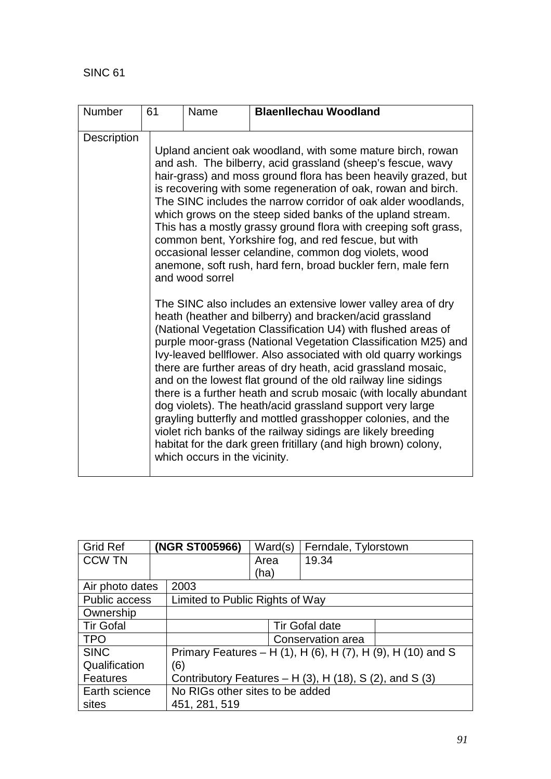| Number      | 61 | Name                                             | <b>Blaenllechau Woodland</b>                                                                                                                                                                                                                                                                                                                                                                                                                                                                                                                                                                                                                                                                                                                                                                                                                                                                                                                                                                                                                                                                                                                                                                                                                                                                                                                                                                                                                         |
|-------------|----|--------------------------------------------------|------------------------------------------------------------------------------------------------------------------------------------------------------------------------------------------------------------------------------------------------------------------------------------------------------------------------------------------------------------------------------------------------------------------------------------------------------------------------------------------------------------------------------------------------------------------------------------------------------------------------------------------------------------------------------------------------------------------------------------------------------------------------------------------------------------------------------------------------------------------------------------------------------------------------------------------------------------------------------------------------------------------------------------------------------------------------------------------------------------------------------------------------------------------------------------------------------------------------------------------------------------------------------------------------------------------------------------------------------------------------------------------------------------------------------------------------------|
| Description |    | and wood sorrel<br>which occurs in the vicinity. | Upland ancient oak woodland, with some mature birch, rowan<br>and ash. The bilberry, acid grassland (sheep's fescue, wavy<br>hair-grass) and moss ground flora has been heavily grazed, but<br>is recovering with some regeneration of oak, rowan and birch.<br>The SINC includes the narrow corridor of oak alder woodlands,<br>which grows on the steep sided banks of the upland stream.<br>This has a mostly grassy ground flora with creeping soft grass,<br>common bent, Yorkshire fog, and red fescue, but with<br>occasional lesser celandine, common dog violets, wood<br>anemone, soft rush, hard fern, broad buckler fern, male fern<br>The SINC also includes an extensive lower valley area of dry<br>heath (heather and bilberry) and bracken/acid grassland<br>(National Vegetation Classification U4) with flushed areas of<br>purple moor-grass (National Vegetation Classification M25) and<br>Ivy-leaved bellflower. Also associated with old quarry workings<br>there are further areas of dry heath, acid grassland mosaic,<br>and on the lowest flat ground of the old railway line sidings<br>there is a further heath and scrub mosaic (with locally abundant<br>dog violets). The heath/acid grassland support very large<br>grayling butterfly and mottled grasshopper colonies, and the<br>violet rich banks of the railway sidings are likely breeding<br>habitat for the dark green fritillary (and high brown) colony, |

| <b>Grid Ref</b>      |                                 | (NGR ST005966)                                                    | Ward(s) | Ferndale, Tylorstown  |  |  |
|----------------------|---------------------------------|-------------------------------------------------------------------|---------|-----------------------|--|--|
| <b>CCW TN</b>        |                                 |                                                                   | Area    | 19.34                 |  |  |
|                      |                                 |                                                                   | (ha)    |                       |  |  |
| Air photo dates      |                                 | 2003                                                              |         |                       |  |  |
| Public access        |                                 | Limited to Public Rights of Way                                   |         |                       |  |  |
| Ownership            |                                 |                                                                   |         |                       |  |  |
| <b>Tir Gofal</b>     |                                 |                                                                   |         | <b>Tir Gofal date</b> |  |  |
| <b>TPO</b>           |                                 |                                                                   |         | Conservation area     |  |  |
| <b>SINC</b>          |                                 | Primary Features – H (1), H (6), H (7), H (9), H (10) and S       |         |                       |  |  |
| Qualification<br>(6) |                                 |                                                                   |         |                       |  |  |
| Features             |                                 | Contributory Features $- H(3)$ , H $(18)$ , S $(2)$ , and S $(3)$ |         |                       |  |  |
| Earth science        | No RIGs other sites to be added |                                                                   |         |                       |  |  |
| sites                |                                 | 451, 281, 519                                                     |         |                       |  |  |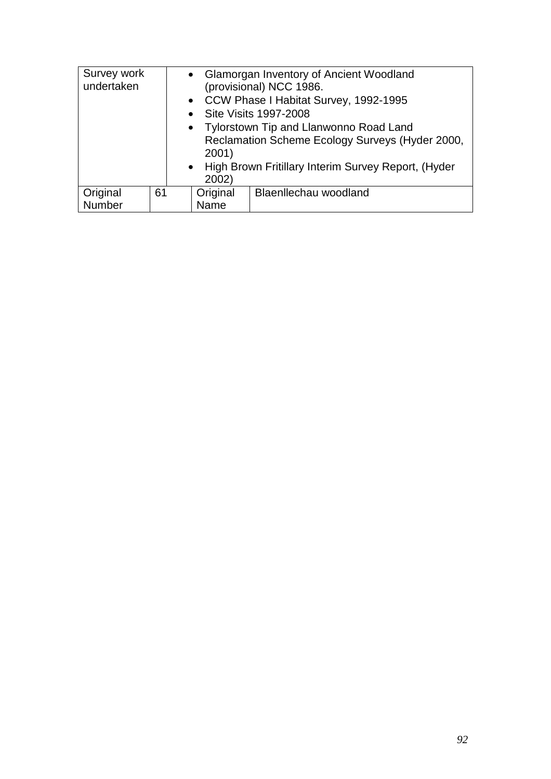| Survey work<br>undertaken |    | $\bullet$<br>$\bullet$<br>2001)<br>$\bullet$<br>2002) | • Glamorgan Inventory of Ancient Woodland<br>(provisional) NCC 1986.<br>CCW Phase I Habitat Survey, 1992-1995<br><b>Site Visits 1997-2008</b><br>• Tylorstown Tip and Llanwonno Road Land<br>Reclamation Scheme Ecology Surveys (Hyder 2000,<br>High Brown Fritillary Interim Survey Report, (Hyder |
|---------------------------|----|-------------------------------------------------------|-----------------------------------------------------------------------------------------------------------------------------------------------------------------------------------------------------------------------------------------------------------------------------------------------------|
| Original<br>Number        | 61 | Original<br>Name                                      | Blaenllechau woodland                                                                                                                                                                                                                                                                               |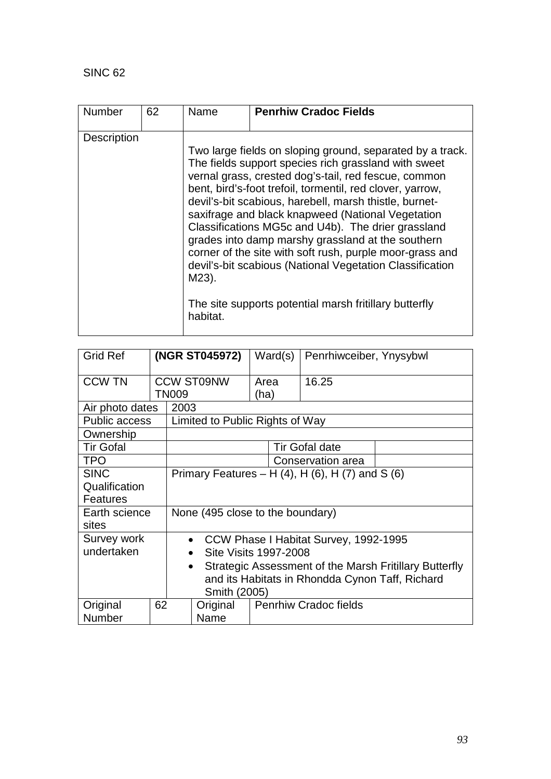| <b>Number</b>      | 62 | Name              | <b>Penrhiw Cradoc Fields</b>                                                                                                                                                                                                                                                                                                                                                                                                                                                                                                                                                                                                                       |
|--------------------|----|-------------------|----------------------------------------------------------------------------------------------------------------------------------------------------------------------------------------------------------------------------------------------------------------------------------------------------------------------------------------------------------------------------------------------------------------------------------------------------------------------------------------------------------------------------------------------------------------------------------------------------------------------------------------------------|
| <b>Description</b> |    | M23).<br>habitat. | Two large fields on sloping ground, separated by a track.<br>The fields support species rich grassland with sweet<br>vernal grass, crested dog's-tail, red fescue, common<br>bent, bird's-foot trefoil, tormentil, red clover, yarrow,<br>devil's-bit scabious, harebell, marsh thistle, burnet-<br>saxifrage and black knapweed (National Vegetation<br>Classifications MG5c and U4b). The drier grassland<br>grades into damp marshy grassland at the southern<br>corner of the site with soft rush, purple moor-grass and<br>devil's-bit scabious (National Vegetation Classification<br>The site supports potential marsh fritillary butterfly |

| <b>Grid Ref</b>      |    | (NGR ST045972)                                                      |                                 |      | Ward(s) | Penrhiwceiber, Ynysybwl      |  |
|----------------------|----|---------------------------------------------------------------------|---------------------------------|------|---------|------------------------------|--|
| <b>CCW TN</b>        |    |                                                                     | <b>CCW ST09NW</b>               | Area |         | 16.25                        |  |
|                      |    | <b>TN009</b>                                                        |                                 | (ha) |         |                              |  |
| Air photo dates      |    | 2003                                                                |                                 |      |         |                              |  |
| <b>Public access</b> |    |                                                                     | Limited to Public Rights of Way |      |         |                              |  |
| Ownership            |    |                                                                     |                                 |      |         |                              |  |
| <b>Tir Gofal</b>     |    |                                                                     |                                 |      |         | <b>Tir Gofal date</b>        |  |
| <b>TPO</b>           |    |                                                                     | Conservation area               |      |         |                              |  |
| <b>SINC</b>          |    | Primary Features – H $(4)$ , H $(6)$ , H $(7)$ and S $(6)$          |                                 |      |         |                              |  |
| Qualification        |    |                                                                     |                                 |      |         |                              |  |
| <b>Features</b>      |    |                                                                     |                                 |      |         |                              |  |
| Earth science        |    | None (495 close to the boundary)                                    |                                 |      |         |                              |  |
| sites                |    |                                                                     |                                 |      |         |                              |  |
| Survey work          |    | CCW Phase I Habitat Survey, 1992-1995<br>$\bullet$                  |                                 |      |         |                              |  |
| undertaken           |    | Site Visits 1997-2008<br>$\bullet$                                  |                                 |      |         |                              |  |
|                      |    | Strategic Assessment of the Marsh Fritillary Butterfly<br>$\bullet$ |                                 |      |         |                              |  |
|                      |    | and its Habitats in Rhondda Cynon Taff, Richard                     |                                 |      |         |                              |  |
|                      |    |                                                                     | Smith (2005)                    |      |         |                              |  |
| Original             | 62 |                                                                     | Original                        |      |         | <b>Penrhiw Cradoc fields</b> |  |
| Number               |    |                                                                     | Name                            |      |         |                              |  |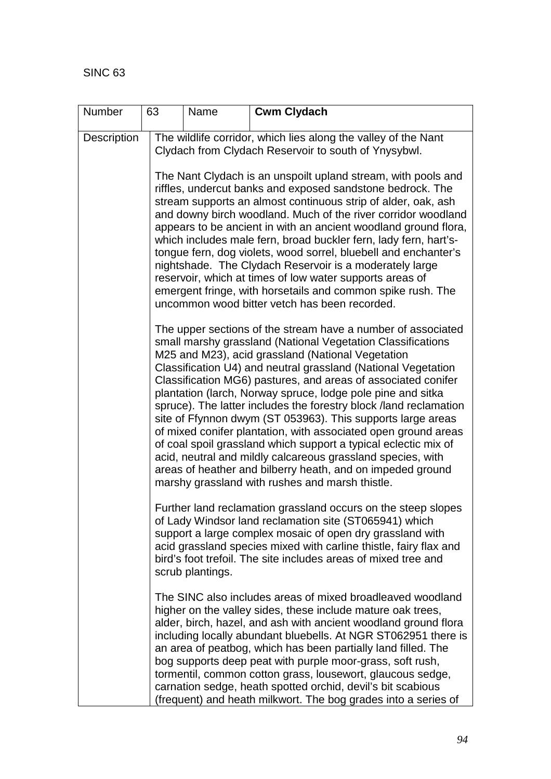| Number      | 63 | Name             | <b>Cwm Clydach</b>                                                                                                                                                                                                                                                                                                                                                                                                                                                                                                                                                                                                                                                                                                                                                                                                                         |
|-------------|----|------------------|--------------------------------------------------------------------------------------------------------------------------------------------------------------------------------------------------------------------------------------------------------------------------------------------------------------------------------------------------------------------------------------------------------------------------------------------------------------------------------------------------------------------------------------------------------------------------------------------------------------------------------------------------------------------------------------------------------------------------------------------------------------------------------------------------------------------------------------------|
| Description |    |                  | The wildlife corridor, which lies along the valley of the Nant<br>Clydach from Clydach Reservoir to south of Ynysybwl.                                                                                                                                                                                                                                                                                                                                                                                                                                                                                                                                                                                                                                                                                                                     |
|             |    |                  | The Nant Clydach is an unspoilt upland stream, with pools and<br>riffles, undercut banks and exposed sandstone bedrock. The<br>stream supports an almost continuous strip of alder, oak, ash<br>and downy birch woodland. Much of the river corridor woodland<br>appears to be ancient in with an ancient woodland ground flora,<br>which includes male fern, broad buckler fern, lady fern, hart's-<br>tongue fern, dog violets, wood sorrel, bluebell and enchanter's<br>nightshade. The Clydach Reservoir is a moderately large<br>reservoir, which at times of low water supports areas of<br>emergent fringe, with horsetails and common spike rush. The<br>uncommon wood bitter vetch has been recorded.                                                                                                                             |
|             |    |                  | The upper sections of the stream have a number of associated<br>small marshy grassland (National Vegetation Classifications<br>M25 and M23), acid grassland (National Vegetation<br>Classification U4) and neutral grassland (National Vegetation<br>Classification MG6) pastures, and areas of associated conifer<br>plantation (larch, Norway spruce, lodge pole pine and sitka<br>spruce). The latter includes the forestry block /land reclamation<br>site of Ffynnon dwym (ST 053963). This supports large areas<br>of mixed conifer plantation, with associated open ground areas<br>of coal spoil grassland which support a typical eclectic mix of<br>acid, neutral and mildly calcareous grassland species, with<br>areas of heather and bilberry heath, and on impeded ground<br>marshy grassland with rushes and marsh thistle. |
|             |    | scrub plantings. | Further land reclamation grassland occurs on the steep slopes<br>of Lady Windsor land reclamation site (ST065941) which<br>support a large complex mosaic of open dry grassland with<br>acid grassland species mixed with carline thistle, fairy flax and<br>bird's foot trefoil. The site includes areas of mixed tree and                                                                                                                                                                                                                                                                                                                                                                                                                                                                                                                |
|             |    |                  | The SINC also includes areas of mixed broadleaved woodland<br>higher on the valley sides, these include mature oak trees,<br>alder, birch, hazel, and ash with ancient woodland ground flora<br>including locally abundant bluebells. At NGR ST062951 there is<br>an area of peatbog, which has been partially land filled. The<br>bog supports deep peat with purple moor-grass, soft rush,<br>tormentil, common cotton grass, lousewort, glaucous sedge,<br>carnation sedge, heath spotted orchid, devil's bit scabious<br>(frequent) and heath milkwort. The bog grades into a series of                                                                                                                                                                                                                                                |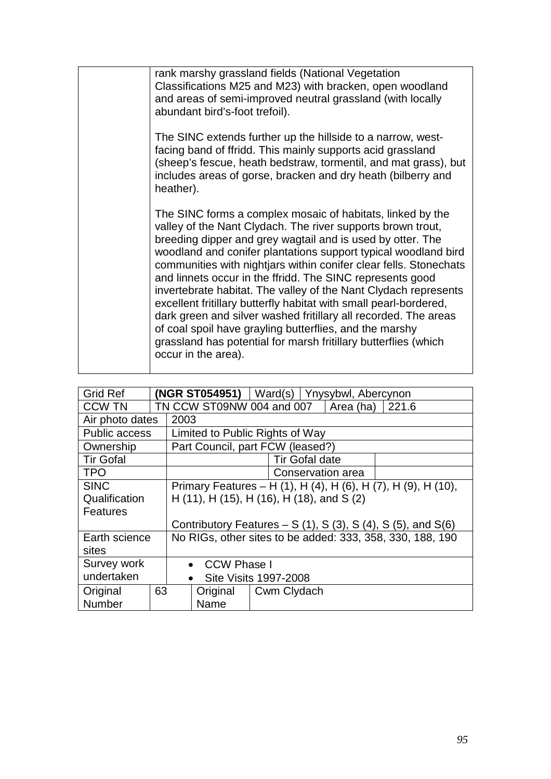| rank marshy grassland fields (National Vegetation<br>Classifications M25 and M23) with bracken, open woodland<br>and areas of semi-improved neutral grassland (with locally<br>abundant bird's-foot trefoil).                                                                                                                                                                                                                                                                                                                                                                                                                                                                                                                                               |
|-------------------------------------------------------------------------------------------------------------------------------------------------------------------------------------------------------------------------------------------------------------------------------------------------------------------------------------------------------------------------------------------------------------------------------------------------------------------------------------------------------------------------------------------------------------------------------------------------------------------------------------------------------------------------------------------------------------------------------------------------------------|
| The SINC extends further up the hillside to a narrow, west-<br>facing band of ffridd. This mainly supports acid grassland<br>(sheep's fescue, heath bedstraw, tormentil, and mat grass), but<br>includes areas of gorse, bracken and dry heath (bilberry and<br>heather).                                                                                                                                                                                                                                                                                                                                                                                                                                                                                   |
| The SINC forms a complex mosaic of habitats, linked by the<br>valley of the Nant Clydach. The river supports brown trout,<br>breeding dipper and grey wagtail and is used by otter. The<br>woodland and conifer plantations support typical woodland bird<br>communities with nightjars within conifer clear fells. Stonechats<br>and linnets occur in the ffridd. The SINC represents good<br>invertebrate habitat. The valley of the Nant Clydach represents<br>excellent fritillary butterfly habitat with small pearl-bordered,<br>dark green and silver washed fritillary all recorded. The areas<br>of coal spoil have grayling butterflies, and the marshy<br>grassland has potential for marsh fritillary butterflies (which<br>occur in the area). |

| <b>Grid Ref</b>                         |                                                               |                                                           | (NGR ST054951) $ $ Ward(s)   Ynysybwl, Abercynon |                       |  |  |  |  |  |
|-----------------------------------------|---------------------------------------------------------------|-----------------------------------------------------------|--------------------------------------------------|-----------------------|--|--|--|--|--|
| <b>CCW TN</b>                           |                                                               |                                                           | TN CCW ST09NW 004 and 007<br>Area (ha)<br>221.6  |                       |  |  |  |  |  |
| Air photo dates                         |                                                               | 2003                                                      |                                                  |                       |  |  |  |  |  |
| <b>Public access</b>                    |                                                               |                                                           | Limited to Public Rights of Way                  |                       |  |  |  |  |  |
| Ownership                               |                                                               |                                                           | Part Council, part FCW (leased?)                 |                       |  |  |  |  |  |
| <b>Tir Gofal</b>                        |                                                               |                                                           |                                                  | <b>Tir Gofal date</b> |  |  |  |  |  |
| <b>TPO</b>                              | Conservation area                                             |                                                           |                                                  |                       |  |  |  |  |  |
| <b>SINC</b>                             | Primary Features – H (1), H (4), H (6), H (7), H (9), H (10), |                                                           |                                                  |                       |  |  |  |  |  |
| Qualification                           | H (11), H (15), H (16), H (18), and S (2)                     |                                                           |                                                  |                       |  |  |  |  |  |
| Features                                |                                                               |                                                           |                                                  |                       |  |  |  |  |  |
|                                         | Contributory Features $- S(1)$ , S(3), S(4), S(5), and S(6)   |                                                           |                                                  |                       |  |  |  |  |  |
| Earth science                           |                                                               | No RIGs, other sites to be added: 333, 358, 330, 188, 190 |                                                  |                       |  |  |  |  |  |
| sites                                   |                                                               |                                                           |                                                  |                       |  |  |  |  |  |
| Survey work<br>CCW Phase I<br>$\bullet$ |                                                               |                                                           |                                                  |                       |  |  |  |  |  |
| undertaken                              |                                                               | <b>Site Visits 1997-2008</b><br>$\bullet$                 |                                                  |                       |  |  |  |  |  |
| Original                                | 63                                                            |                                                           | Original                                         | Cwm Clydach           |  |  |  |  |  |
| Number                                  |                                                               |                                                           | Name                                             |                       |  |  |  |  |  |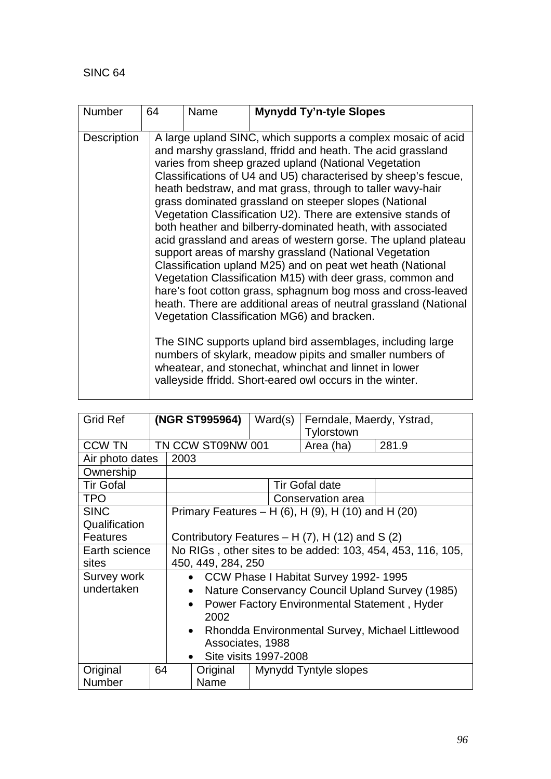| <b>Number</b>      | 64 | Name | <b>Mynydd Ty'n-tyle Slopes</b>                                                                                                                                                                                                                                                                                                                                                                                                                                                                                                                                                                                                                                                                                                                                                                                                                                                                                                                                                                                                                                                                                                                                                                     |
|--------------------|----|------|----------------------------------------------------------------------------------------------------------------------------------------------------------------------------------------------------------------------------------------------------------------------------------------------------------------------------------------------------------------------------------------------------------------------------------------------------------------------------------------------------------------------------------------------------------------------------------------------------------------------------------------------------------------------------------------------------------------------------------------------------------------------------------------------------------------------------------------------------------------------------------------------------------------------------------------------------------------------------------------------------------------------------------------------------------------------------------------------------------------------------------------------------------------------------------------------------|
| <b>Description</b> |    |      | A large upland SINC, which supports a complex mosaic of acid<br>and marshy grassland, ffridd and heath. The acid grassland<br>varies from sheep grazed upland (National Vegetation<br>Classifications of U4 and U5) characterised by sheep's fescue,<br>heath bedstraw, and mat grass, through to taller wavy-hair<br>grass dominated grassland on steeper slopes (National<br>Vegetation Classification U2). There are extensive stands of<br>both heather and bilberry-dominated heath, with associated<br>acid grassland and areas of western gorse. The upland plateau<br>support areas of marshy grassland (National Vegetation<br>Classification upland M25) and on peat wet heath (National<br>Vegetation Classification M15) with deer grass, common and<br>hare's foot cotton grass, sphagnum bog moss and cross-leaved<br>heath. There are additional areas of neutral grassland (National<br>Vegetation Classification MG6) and bracken.<br>The SINC supports upland bird assemblages, including large<br>numbers of skylark, meadow pipits and smaller numbers of<br>wheatear, and stonechat, whinchat and linnet in lower<br>valleyside ffridd. Short-eared owl occurs in the winter. |

| <b>Grid Ref</b>                                                          |                                                               | (NGR ST995964)                                               |                       | Ward(s) | Ferndale, Maerdy, Ystrad,<br>Tylorstown |       |  |  |
|--------------------------------------------------------------------------|---------------------------------------------------------------|--------------------------------------------------------------|-----------------------|---------|-----------------------------------------|-------|--|--|
| <b>CCW TN</b>                                                            |                                                               |                                                              | TN CCW ST09NW 001     |         | Area (ha)                               | 281.9 |  |  |
| Air photo dates                                                          |                                                               | 2003                                                         |                       |         |                                         |       |  |  |
| Ownership                                                                |                                                               |                                                              |                       |         |                                         |       |  |  |
| <b>Tir Gofal</b>                                                         |                                                               |                                                              |                       |         | <b>Tir Gofal date</b>                   |       |  |  |
| <b>TPO</b>                                                               |                                                               |                                                              |                       |         | Conservation area                       |       |  |  |
| <b>SINC</b>                                                              |                                                               | Primary Features – H (6), H (9), H (10) and H (20)           |                       |         |                                         |       |  |  |
| Qualification                                                            |                                                               |                                                              |                       |         |                                         |       |  |  |
| <b>Features</b><br>Contributory Features $- H(7)$ , H $(12)$ and S $(2)$ |                                                               |                                                              |                       |         |                                         |       |  |  |
| Earth science                                                            | No RIGs, other sites to be added: 103, 454, 453, 116, 105,    |                                                              |                       |         |                                         |       |  |  |
| sites                                                                    |                                                               | 450, 449, 284, 250                                           |                       |         |                                         |       |  |  |
| Survey work                                                              | • CCW Phase I Habitat Survey 1992-1995                        |                                                              |                       |         |                                         |       |  |  |
| undertaken                                                               |                                                               | Nature Conservancy Council Upland Survey (1985)<br>$\bullet$ |                       |         |                                         |       |  |  |
|                                                                          |                                                               | Power Factory Environmental Statement, Hyder<br>$\bullet$    |                       |         |                                         |       |  |  |
|                                                                          |                                                               | 2002                                                         |                       |         |                                         |       |  |  |
|                                                                          | Rhondda Environmental Survey, Michael Littlewood<br>$\bullet$ |                                                              |                       |         |                                         |       |  |  |
|                                                                          | Associates, 1988                                              |                                                              |                       |         |                                         |       |  |  |
|                                                                          |                                                               |                                                              | Site visits 1997-2008 |         |                                         |       |  |  |
| Original                                                                 | 64                                                            |                                                              | Original              |         | Mynydd Tyntyle slopes                   |       |  |  |
| Number                                                                   |                                                               |                                                              | Name                  |         |                                         |       |  |  |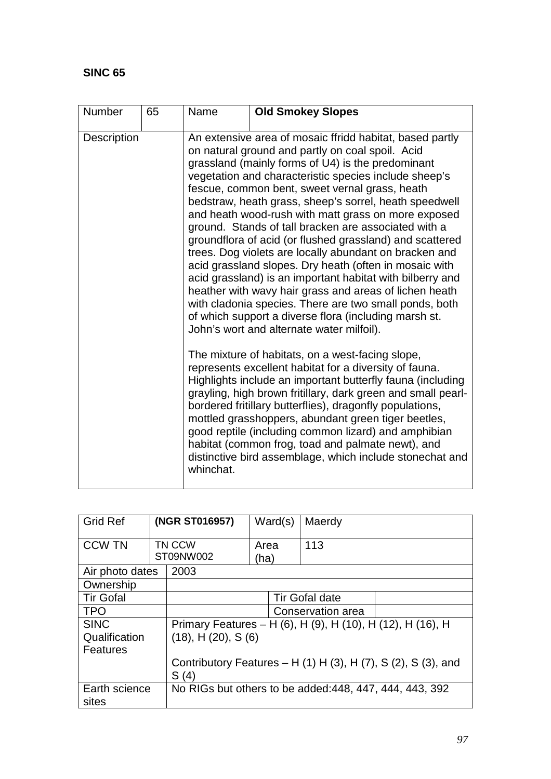| <b>Number</b> | 65 | Name                                                                                                                                                                                                                                                                                                  | <b>Old Smokey Slopes</b>                                                                                                                                                                                                                                                                                                                                                                                                                                                                                                                                                                                                                                                                                                                                                                                                                                                                                                                                                                                                                                                                                                                                                 |  |  |
|---------------|----|-------------------------------------------------------------------------------------------------------------------------------------------------------------------------------------------------------------------------------------------------------------------------------------------------------|--------------------------------------------------------------------------------------------------------------------------------------------------------------------------------------------------------------------------------------------------------------------------------------------------------------------------------------------------------------------------------------------------------------------------------------------------------------------------------------------------------------------------------------------------------------------------------------------------------------------------------------------------------------------------------------------------------------------------------------------------------------------------------------------------------------------------------------------------------------------------------------------------------------------------------------------------------------------------------------------------------------------------------------------------------------------------------------------------------------------------------------------------------------------------|--|--|
| Description   |    |                                                                                                                                                                                                                                                                                                       | An extensive area of mosaic ffridd habitat, based partly<br>on natural ground and partly on coal spoil. Acid<br>grassland (mainly forms of U4) is the predominant<br>vegetation and characteristic species include sheep's<br>fescue, common bent, sweet vernal grass, heath<br>bedstraw, heath grass, sheep's sorrel, heath speedwell<br>and heath wood-rush with matt grass on more exposed<br>ground. Stands of tall bracken are associated with a<br>groundflora of acid (or flushed grassland) and scattered<br>trees. Dog violets are locally abundant on bracken and<br>acid grassland slopes. Dry heath (often in mosaic with<br>acid grassland) is an important habitat with bilberry and<br>heather with wavy hair grass and areas of lichen heath<br>with cladonia species. There are two small ponds, both<br>of which support a diverse flora (including marsh st.<br>John's wort and alternate water milfoil).<br>The mixture of habitats, on a west-facing slope,<br>represents excellent habitat for a diversity of fauna.<br>Highlights include an important butterfly fauna (including<br>grayling, high brown fritillary, dark green and small pearl- |  |  |
|               |    | bordered fritillary butterflies), dragonfly populations,<br>mottled grasshoppers, abundant green tiger beetles,<br>good reptile (including common lizard) and amphibian<br>habitat (common frog, toad and palmate newt), and<br>distinctive bird assemblage, which include stonechat and<br>whinchat. |                                                                                                                                                                                                                                                                                                                                                                                                                                                                                                                                                                                                                                                                                                                                                                                                                                                                                                                                                                                                                                                                                                                                                                          |  |  |

| <b>Grid Ref</b>                                 | (NGR ST016957)                                                                            | Ward(s)           |  | Maerdy |  |  |  |
|-------------------------------------------------|-------------------------------------------------------------------------------------------|-------------------|--|--------|--|--|--|
| <b>CCW TN</b>                                   | TN CCW<br>ST09NW002                                                                       | Area<br>(ha)      |  | 113    |  |  |  |
| Air photo dates                                 | 2003                                                                                      |                   |  |        |  |  |  |
| Ownership                                       |                                                                                           |                   |  |        |  |  |  |
| <b>Tir Gofal</b>                                | <b>Tir Gofal date</b>                                                                     |                   |  |        |  |  |  |
| <b>TPO</b>                                      |                                                                                           | Conservation area |  |        |  |  |  |
| <b>SINC</b><br>Qualification<br><b>Features</b> | Primary Features – H (6), H (9), H (10), H (12), H (16), H<br>$(18)$ , H $(20)$ , S $(6)$ |                   |  |        |  |  |  |
|                                                 | Contributory Features $- H(1) H(3)$ , H $(7)$ , S $(2)$ , S $(3)$ , and<br>S(4)           |                   |  |        |  |  |  |
| Earth science<br>sites                          | No RIGs but others to be added: 448, 447, 444, 443, 392                                   |                   |  |        |  |  |  |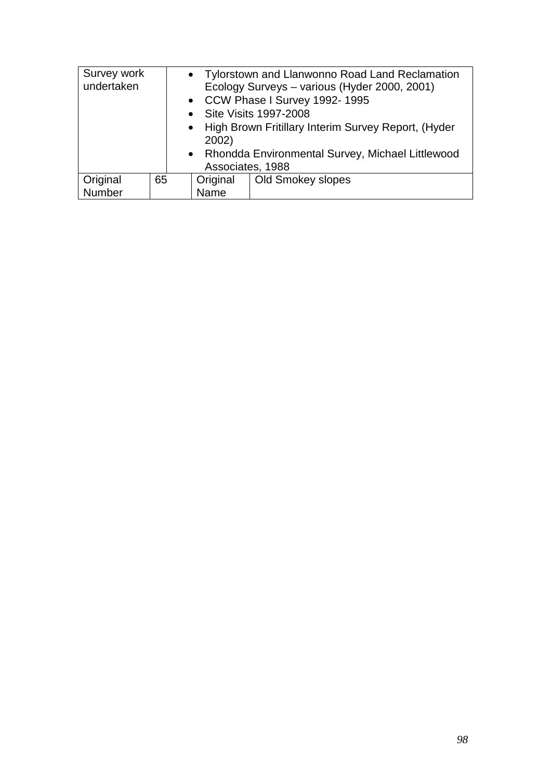| Survey work<br>undertaken |    | 2002)<br>Associates, 1988 | • Tylorstown and Llanwonno Road Land Reclamation<br>Ecology Surveys - various (Hyder 2000, 2001)<br>• CCW Phase I Survey 1992-1995<br>• Site Visits 1997-2008<br>• High Brown Fritillary Interim Survey Report, (Hyder<br>• Rhondda Environmental Survey, Michael Littlewood |
|---------------------------|----|---------------------------|------------------------------------------------------------------------------------------------------------------------------------------------------------------------------------------------------------------------------------------------------------------------------|
| Original                  | 65 | Original                  | Old Smokey slopes                                                                                                                                                                                                                                                            |
| Number                    |    | Name                      |                                                                                                                                                                                                                                                                              |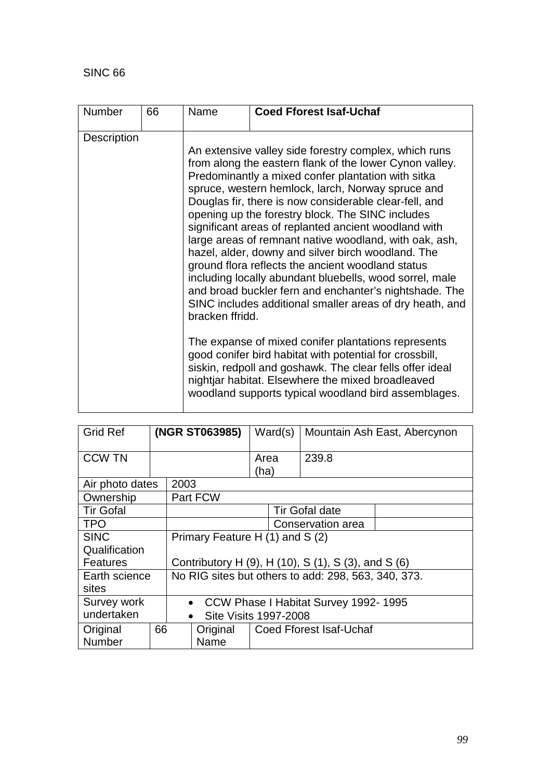| <b>Description</b><br>An extensive valley side forestry complex, which runs<br>from along the eastern flank of the lower Cynon valley.<br>Predominantly a mixed confer plantation with sitka<br>spruce, western hemlock, larch, Norway spruce and<br>Douglas fir, there is now considerable clear-fell, and<br>opening up the forestry block. The SINC includes<br>significant areas of replanted ancient woodland with                                                                                                                                                                                                                                          | <b>Number</b> | 66 | Name | <b>Coed Fforest Isaf-Uchaf</b> |
|------------------------------------------------------------------------------------------------------------------------------------------------------------------------------------------------------------------------------------------------------------------------------------------------------------------------------------------------------------------------------------------------------------------------------------------------------------------------------------------------------------------------------------------------------------------------------------------------------------------------------------------------------------------|---------------|----|------|--------------------------------|
| large areas of remnant native woodland, with oak, ash,<br>hazel, alder, downy and silver birch woodland. The<br>ground flora reflects the ancient woodland status<br>including locally abundant bluebells, wood sorrel, male<br>and broad buckler fern and enchanter's nightshade. The<br>SINC includes additional smaller areas of dry heath, and<br>bracken ffridd.<br>The expanse of mixed conifer plantations represents<br>good conifer bird habitat with potential for crossbill,<br>siskin, redpoll and goshawk. The clear fells offer ideal<br>nightjar habitat. Elsewhere the mixed broadleaved<br>woodland supports typical woodland bird assemblages. |               |    |      |                                |

| <b>Grid Ref</b>          |    | (NGR ST063985)                                      |          |                                      | Ward(s) |                                | Mountain Ash East, Abercynon |  |
|--------------------------|----|-----------------------------------------------------|----------|--------------------------------------|---------|--------------------------------|------------------------------|--|
| <b>CCW TN</b>            |    |                                                     |          | Area<br>(ha)                         |         | 239.8                          |                              |  |
| Air photo dates          |    | 2003                                                |          |                                      |         |                                |                              |  |
| Ownership                |    |                                                     | Part FCW |                                      |         |                                |                              |  |
| <b>Tir Gofal</b>         |    |                                                     |          |                                      |         | <b>Tir Gofal date</b>          |                              |  |
| <b>TPO</b>               |    |                                                     |          | Conservation area                    |         |                                |                              |  |
| <b>SINC</b>              |    | Primary Feature H (1) and S (2)                     |          |                                      |         |                                |                              |  |
| Qualification            |    |                                                     |          |                                      |         |                                |                              |  |
| Features                 |    | Contributory H (9), H (10), S (1), S (3), and S (6) |          |                                      |         |                                |                              |  |
| Earth science            |    | No RIG sites but others to add: 298, 563, 340, 373. |          |                                      |         |                                |                              |  |
| sites                    |    |                                                     |          |                                      |         |                                |                              |  |
| Survey work<br>$\bullet$ |    |                                                     |          | CCW Phase I Habitat Survey 1992-1995 |         |                                |                              |  |
| undertaken               |    | <b>Site Visits 1997-2008</b><br>$\bullet$           |          |                                      |         |                                |                              |  |
| Original                 | 66 |                                                     | Original |                                      |         | <b>Coed Fforest Isaf-Uchaf</b> |                              |  |
| <b>Number</b>            |    |                                                     | Name     |                                      |         |                                |                              |  |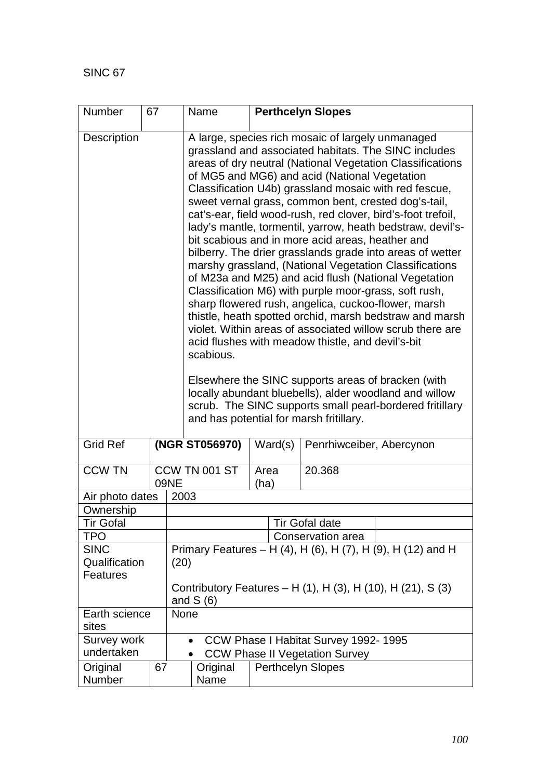| Number                         | 67 |                                                                           | Name                                                                                                                                                                                                                                                                                                                                                                                                                                                                                                                                                                                                                                                                                                                                                                                                                                                                                                                                                                                                                                                                                                                                                                                                                                       |              | <b>Perthcelyn Slopes</b>                                          |                                      |                                                             |  |  |
|--------------------------------|----|---------------------------------------------------------------------------|--------------------------------------------------------------------------------------------------------------------------------------------------------------------------------------------------------------------------------------------------------------------------------------------------------------------------------------------------------------------------------------------------------------------------------------------------------------------------------------------------------------------------------------------------------------------------------------------------------------------------------------------------------------------------------------------------------------------------------------------------------------------------------------------------------------------------------------------------------------------------------------------------------------------------------------------------------------------------------------------------------------------------------------------------------------------------------------------------------------------------------------------------------------------------------------------------------------------------------------------|--------------|-------------------------------------------------------------------|--------------------------------------|-------------------------------------------------------------|--|--|
| <b>Description</b>             |    |                                                                           | A large, species rich mosaic of largely unmanaged<br>grassland and associated habitats. The SINC includes<br>areas of dry neutral (National Vegetation Classifications<br>of MG5 and MG6) and acid (National Vegetation<br>Classification U4b) grassland mosaic with red fescue,<br>sweet vernal grass, common bent, crested dog's-tail,<br>cat's-ear, field wood-rush, red clover, bird's-foot trefoil,<br>lady's mantle, tormentil, yarrow, heath bedstraw, devil's-<br>bit scabious and in more acid areas, heather and<br>bilberry. The drier grasslands grade into areas of wetter<br>marshy grassland, (National Vegetation Classifications<br>of M23a and M25) and acid flush (National Vegetation<br>Classification M6) with purple moor-grass, soft rush,<br>sharp flowered rush, angelica, cuckoo-flower, marsh<br>thistle, heath spotted orchid, marsh bedstraw and marsh<br>violet. Within areas of associated willow scrub there are<br>acid flushes with meadow thistle, and devil's-bit<br>scabious.<br>Elsewhere the SINC supports areas of bracken (with<br>locally abundant bluebells), alder woodland and willow<br>scrub. The SINC supports small pearl-bordered fritillary<br>and has potential for marsh fritillary. |              |                                                                   |                                      |                                                             |  |  |
| <b>Grid Ref</b>                |    |                                                                           | (NGR ST056970)                                                                                                                                                                                                                                                                                                                                                                                                                                                                                                                                                                                                                                                                                                                                                                                                                                                                                                                                                                                                                                                                                                                                                                                                                             |              | Ward(s)                                                           | Penrhiwceiber, Abercynon             |                                                             |  |  |
| <b>CCW TN</b>                  |    | 09NE                                                                      | CCW TN 001 ST                                                                                                                                                                                                                                                                                                                                                                                                                                                                                                                                                                                                                                                                                                                                                                                                                                                                                                                                                                                                                                                                                                                                                                                                                              | Area<br>(ha) |                                                                   | 20.368                               |                                                             |  |  |
| Air photo dates                |    | 2003                                                                      |                                                                                                                                                                                                                                                                                                                                                                                                                                                                                                                                                                                                                                                                                                                                                                                                                                                                                                                                                                                                                                                                                                                                                                                                                                            |              |                                                                   |                                      |                                                             |  |  |
| Ownership                      |    |                                                                           |                                                                                                                                                                                                                                                                                                                                                                                                                                                                                                                                                                                                                                                                                                                                                                                                                                                                                                                                                                                                                                                                                                                                                                                                                                            |              |                                                                   |                                      |                                                             |  |  |
| <b>Tir Gofal</b>               |    |                                                                           |                                                                                                                                                                                                                                                                                                                                                                                                                                                                                                                                                                                                                                                                                                                                                                                                                                                                                                                                                                                                                                                                                                                                                                                                                                            |              |                                                                   | <b>Tir Gofal date</b>                |                                                             |  |  |
| TPO                            |    |                                                                           |                                                                                                                                                                                                                                                                                                                                                                                                                                                                                                                                                                                                                                                                                                                                                                                                                                                                                                                                                                                                                                                                                                                                                                                                                                            |              |                                                                   | Conservation area                    |                                                             |  |  |
| <b>SINC</b>                    |    |                                                                           |                                                                                                                                                                                                                                                                                                                                                                                                                                                                                                                                                                                                                                                                                                                                                                                                                                                                                                                                                                                                                                                                                                                                                                                                                                            |              |                                                                   |                                      | Primary Features - H (4), H (6), H (7), H (9), H (12) and H |  |  |
| Qualification                  |    | (20)                                                                      |                                                                                                                                                                                                                                                                                                                                                                                                                                                                                                                                                                                                                                                                                                                                                                                                                                                                                                                                                                                                                                                                                                                                                                                                                                            |              |                                                                   |                                      |                                                             |  |  |
| <b>Features</b>                |    |                                                                           |                                                                                                                                                                                                                                                                                                                                                                                                                                                                                                                                                                                                                                                                                                                                                                                                                                                                                                                                                                                                                                                                                                                                                                                                                                            |              |                                                                   |                                      |                                                             |  |  |
|                                |    | Contributory Features – H (1), H (3), H (10), H (21), S (3)<br>and $S(6)$ |                                                                                                                                                                                                                                                                                                                                                                                                                                                                                                                                                                                                                                                                                                                                                                                                                                                                                                                                                                                                                                                                                                                                                                                                                                            |              |                                                                   |                                      |                                                             |  |  |
| Earth science<br>None<br>sites |    |                                                                           |                                                                                                                                                                                                                                                                                                                                                                                                                                                                                                                                                                                                                                                                                                                                                                                                                                                                                                                                                                                                                                                                                                                                                                                                                                            |              |                                                                   |                                      |                                                             |  |  |
|                                |    |                                                                           |                                                                                                                                                                                                                                                                                                                                                                                                                                                                                                                                                                                                                                                                                                                                                                                                                                                                                                                                                                                                                                                                                                                                                                                                                                            |              |                                                                   |                                      |                                                             |  |  |
| Survey work<br>undertaken      |    |                                                                           |                                                                                                                                                                                                                                                                                                                                                                                                                                                                                                                                                                                                                                                                                                                                                                                                                                                                                                                                                                                                                                                                                                                                                                                                                                            |              |                                                                   | CCW Phase I Habitat Survey 1992-1995 |                                                             |  |  |
|                                |    |                                                                           |                                                                                                                                                                                                                                                                                                                                                                                                                                                                                                                                                                                                                                                                                                                                                                                                                                                                                                                                                                                                                                                                                                                                                                                                                                            |              | <b>CCW Phase II Vegetation Survey</b><br><b>Perthcelyn Slopes</b> |                                      |                                                             |  |  |
| Original<br>Number             | 67 |                                                                           | Original<br>Name                                                                                                                                                                                                                                                                                                                                                                                                                                                                                                                                                                                                                                                                                                                                                                                                                                                                                                                                                                                                                                                                                                                                                                                                                           |              |                                                                   |                                      |                                                             |  |  |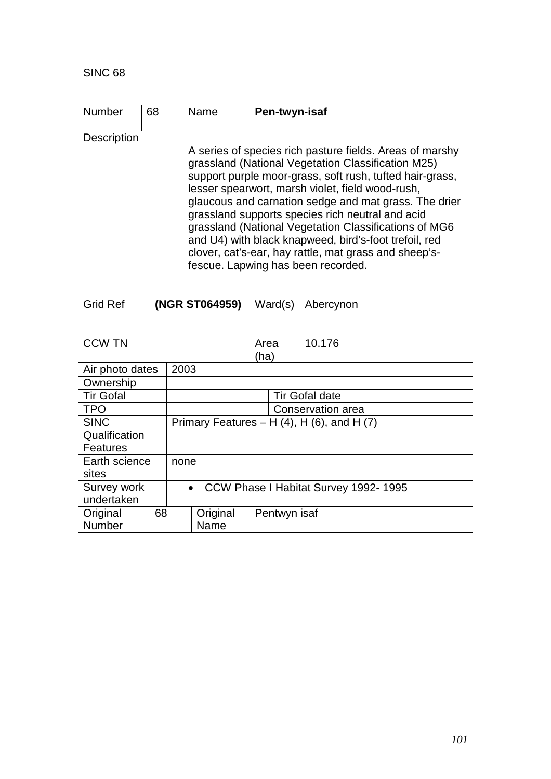| <b>Number</b>      | 68 | Name | Pen-twyn-isaf                                                                                                                                                                                                                                                                                                                                                                                                                                                                                                                                                |
|--------------------|----|------|--------------------------------------------------------------------------------------------------------------------------------------------------------------------------------------------------------------------------------------------------------------------------------------------------------------------------------------------------------------------------------------------------------------------------------------------------------------------------------------------------------------------------------------------------------------|
|                    |    |      |                                                                                                                                                                                                                                                                                                                                                                                                                                                                                                                                                              |
| <b>Description</b> |    |      |                                                                                                                                                                                                                                                                                                                                                                                                                                                                                                                                                              |
|                    |    |      | A series of species rich pasture fields. Areas of marshy<br>grassland (National Vegetation Classification M25)<br>support purple moor-grass, soft rush, tufted hair-grass,<br>lesser spearwort, marsh violet, field wood-rush,<br>glaucous and carnation sedge and mat grass. The drier<br>grassland supports species rich neutral and acid<br>grassland (National Vegetation Classifications of MG6<br>and U4) with black knapweed, bird's-foot trefoil, red<br>clover, cat's-ear, hay rattle, mat grass and sheep's-<br>fescue. Lapwing has been recorded. |

| <b>Grid Ref</b>  |    | (NGR ST064959) |                                                   | Ward(s)           |                       | Abercynon                                          |  |
|------------------|----|----------------|---------------------------------------------------|-------------------|-----------------------|----------------------------------------------------|--|
|                  |    |                |                                                   |                   |                       |                                                    |  |
| <b>CCW TN</b>    |    |                |                                                   | Area              |                       | 10.176                                             |  |
|                  |    |                |                                                   | (ha)              |                       |                                                    |  |
| Air photo dates  |    | 2003           |                                                   |                   |                       |                                                    |  |
| Ownership        |    |                |                                                   |                   |                       |                                                    |  |
| <b>Tir Gofal</b> |    |                |                                                   |                   | <b>Tir Gofal date</b> |                                                    |  |
| <b>TPO</b>       |    |                |                                                   | Conservation area |                       |                                                    |  |
| <b>SINC</b>      |    |                |                                                   |                   |                       | Primary Features – H $(4)$ , H $(6)$ , and H $(7)$ |  |
| Qualification    |    |                |                                                   |                   |                       |                                                    |  |
| <b>Features</b>  |    |                |                                                   |                   |                       |                                                    |  |
| Earth science    |    | none           |                                                   |                   |                       |                                                    |  |
| sites            |    |                |                                                   |                   |                       |                                                    |  |
| Survey work      |    |                | CCW Phase I Habitat Survey 1992-1995<br>$\bullet$ |                   |                       |                                                    |  |
| undertaken       |    |                |                                                   |                   |                       |                                                    |  |
| Original         | 68 |                | Original                                          | Pentwyn isaf      |                       |                                                    |  |
| Number           |    |                | Name                                              |                   |                       |                                                    |  |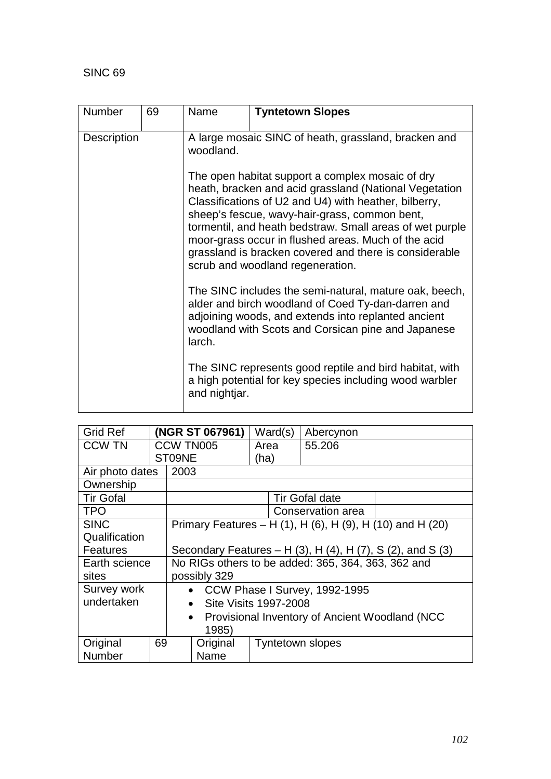| <b>Number</b> | 69 | Name                                                                                                                                                                                                                                                                                                                                                                                                                                  | <b>Tyntetown Slopes</b>                                                                                                                                                                                                   |  |  |  |
|---------------|----|---------------------------------------------------------------------------------------------------------------------------------------------------------------------------------------------------------------------------------------------------------------------------------------------------------------------------------------------------------------------------------------------------------------------------------------|---------------------------------------------------------------------------------------------------------------------------------------------------------------------------------------------------------------------------|--|--|--|
| Description   |    | A large mosaic SINC of heath, grassland, bracken and<br>woodland.                                                                                                                                                                                                                                                                                                                                                                     |                                                                                                                                                                                                                           |  |  |  |
|               |    | The open habitat support a complex mosaic of dry<br>heath, bracken and acid grassland (National Vegetation<br>Classifications of U2 and U4) with heather, bilberry,<br>sheep's fescue, wavy-hair-grass, common bent,<br>tormentil, and heath bedstraw. Small areas of wet purple<br>moor-grass occur in flushed areas. Much of the acid<br>grassland is bracken covered and there is considerable<br>scrub and woodland regeneration. |                                                                                                                                                                                                                           |  |  |  |
|               |    | larch.                                                                                                                                                                                                                                                                                                                                                                                                                                | The SINC includes the semi-natural, mature oak, beech,<br>alder and birch woodland of Coed Ty-dan-darren and<br>adjoining woods, and extends into replanted ancient<br>woodland with Scots and Corsican pine and Japanese |  |  |  |
|               |    | and nightjar.                                                                                                                                                                                                                                                                                                                                                                                                                         | The SINC represents good reptile and bird habitat, with<br>a high potential for key species including wood warbler                                                                                                        |  |  |  |

| <b>Grid Ref</b>  |    | (NGR ST 067961)                                                          |                                                           | Ward(s) | Abercynon                     |  |
|------------------|----|--------------------------------------------------------------------------|-----------------------------------------------------------|---------|-------------------------------|--|
| <b>CCW TN</b>    |    | CCW TN005                                                                |                                                           | Area    | 55.206                        |  |
|                  |    | ST09NE                                                                   | (ha)                                                      |         |                               |  |
| Air photo dates  |    | 2003                                                                     |                                                           |         |                               |  |
| Ownership        |    |                                                                          |                                                           |         |                               |  |
| <b>Tir Gofal</b> |    |                                                                          |                                                           |         | <b>Tir Gofal date</b>         |  |
| <b>TPO</b>       |    |                                                                          |                                                           |         | Conservation area             |  |
| <b>SINC</b>      |    |                                                                          | Primary Features – H (1), H (6), H (9), H (10) and H (20) |         |                               |  |
| Qualification    |    |                                                                          |                                                           |         |                               |  |
| <b>Features</b>  |    | Secondary Features – H $(3)$ , H $(4)$ , H $(7)$ , S $(2)$ , and S $(3)$ |                                                           |         |                               |  |
| Earth science    |    | No RIGs others to be added: 365, 364, 363, 362 and                       |                                                           |         |                               |  |
| sites            |    | possibly 329                                                             |                                                           |         |                               |  |
| Survey work      |    | $\bullet$                                                                |                                                           |         | CCW Phase I Survey, 1992-1995 |  |
| undertaken       |    | Site Visits 1997-2008<br>$\bullet$                                       |                                                           |         |                               |  |
|                  |    | Provisional Inventory of Ancient Woodland (NCC<br>$\bullet$              |                                                           |         |                               |  |
|                  |    | 1985)                                                                    |                                                           |         |                               |  |
| Original         | 69 | Original                                                                 |                                                           |         | <b>Tyntetown slopes</b>       |  |
| <b>Number</b>    |    | Name                                                                     |                                                           |         |                               |  |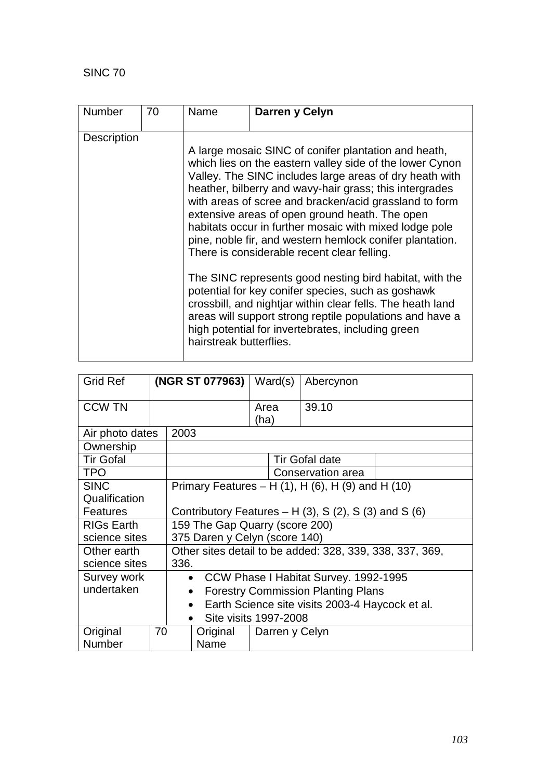| Number             | 70 | Name                                                                                                                                                                                                                                                                                                                                                                                                                                                                                                                                                                               | Darren y Celyn |  |  |
|--------------------|----|------------------------------------------------------------------------------------------------------------------------------------------------------------------------------------------------------------------------------------------------------------------------------------------------------------------------------------------------------------------------------------------------------------------------------------------------------------------------------------------------------------------------------------------------------------------------------------|----------------|--|--|
| <b>Description</b> |    | A large mosaic SINC of conifer plantation and heath,<br>which lies on the eastern valley side of the lower Cynon<br>Valley. The SINC includes large areas of dry heath with<br>heather, bilberry and wavy-hair grass; this intergrades<br>with areas of scree and bracken/acid grassland to form<br>extensive areas of open ground heath. The open<br>habitats occur in further mosaic with mixed lodge pole<br>pine, noble fir, and western hemlock conifer plantation.<br>There is considerable recent clear felling.<br>The SINC represents good nesting bird habitat, with the |                |  |  |
|                    |    | potential for key conifer species, such as goshawk<br>crossbill, and nightjar within clear fells. The heath land<br>areas will support strong reptile populations and have a<br>high potential for invertebrates, including green<br>hairstreak butterflies.                                                                                                                                                                                                                                                                                                                       |                |  |  |

| <b>Grid Ref</b>   |                                                      | (NGR ST 077963)                                              |                               |              | Ward(s)        | Abercynon             |  |
|-------------------|------------------------------------------------------|--------------------------------------------------------------|-------------------------------|--------------|----------------|-----------------------|--|
| <b>CCW TN</b>     |                                                      |                                                              |                               | Area<br>(ha) |                | 39.10                 |  |
| Air photo dates   |                                                      | 2003                                                         |                               |              |                |                       |  |
| Ownership         |                                                      |                                                              |                               |              |                |                       |  |
| <b>Tir Gofal</b>  |                                                      |                                                              |                               |              |                | <b>Tir Gofal date</b> |  |
| <b>TPO</b>        |                                                      |                                                              |                               |              |                | Conservation area     |  |
| <b>SINC</b>       |                                                      | Primary Features – H $(1)$ , H $(6)$ , H $(9)$ and H $(10)$  |                               |              |                |                       |  |
| Qualification     |                                                      |                                                              |                               |              |                |                       |  |
| <b>Features</b>   | Contributory Features $- H(3)$ , S(2), S(3) and S(6) |                                                              |                               |              |                |                       |  |
| <b>RIGs Earth</b> | 159 The Gap Quarry (score 200)                       |                                                              |                               |              |                |                       |  |
| science sites     |                                                      |                                                              | 375 Daren y Celyn (score 140) |              |                |                       |  |
| Other earth       |                                                      | Other sites detail to be added: 328, 339, 338, 337, 369,     |                               |              |                |                       |  |
| science sites     |                                                      | 336.                                                         |                               |              |                |                       |  |
| Survey work       |                                                      | • CCW Phase I Habitat Survey. 1992-1995                      |                               |              |                |                       |  |
| undertaken        |                                                      | <b>Forestry Commission Planting Plans</b><br>$\bullet$       |                               |              |                |                       |  |
|                   |                                                      | Earth Science site visits 2003-4 Haycock et al.<br>$\bullet$ |                               |              |                |                       |  |
|                   |                                                      | Site visits 1997-2008                                        |                               |              |                |                       |  |
| Original          | 70                                                   |                                                              | Original                      |              | Darren y Celyn |                       |  |
| <b>Number</b>     |                                                      |                                                              | Name                          |              |                |                       |  |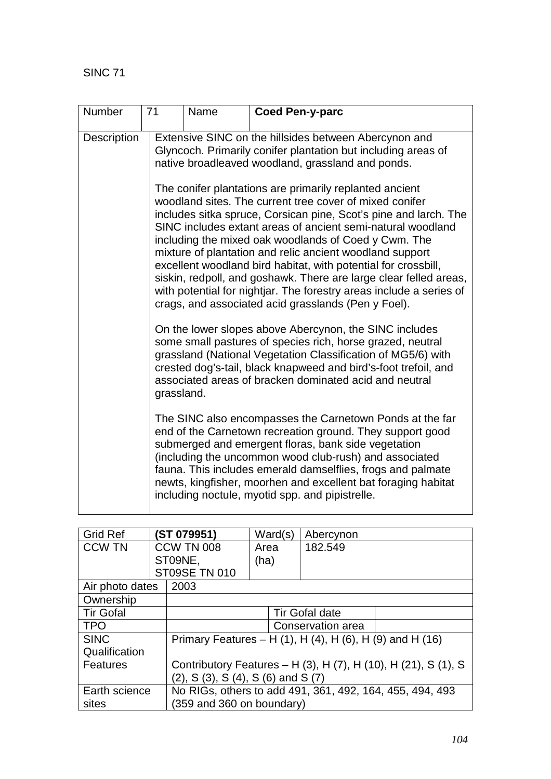| Number             | 71 | Name                                                                                                                                                                                                                                                                                                                                                                                                                                                                                                                                                                                                                                                                                                                                                                                                                                                                                                                                                                              | <b>Coed Pen-y-parc</b>                                                                                                                                                      |  |  |  |  |  |
|--------------------|----|-----------------------------------------------------------------------------------------------------------------------------------------------------------------------------------------------------------------------------------------------------------------------------------------------------------------------------------------------------------------------------------------------------------------------------------------------------------------------------------------------------------------------------------------------------------------------------------------------------------------------------------------------------------------------------------------------------------------------------------------------------------------------------------------------------------------------------------------------------------------------------------------------------------------------------------------------------------------------------------|-----------------------------------------------------------------------------------------------------------------------------------------------------------------------------|--|--|--|--|--|
| <b>Description</b> |    |                                                                                                                                                                                                                                                                                                                                                                                                                                                                                                                                                                                                                                                                                                                                                                                                                                                                                                                                                                                   | Extensive SINC on the hillsides between Abercynon and<br>Glyncoch. Primarily conifer plantation but including areas of<br>native broadleaved woodland, grassland and ponds. |  |  |  |  |  |
|                    |    | The conifer plantations are primarily replanted ancient<br>woodland sites. The current tree cover of mixed conifer<br>includes sitka spruce, Corsican pine, Scot's pine and larch. The<br>SINC includes extant areas of ancient semi-natural woodland<br>including the mixed oak woodlands of Coed y Cwm. The<br>mixture of plantation and relic ancient woodland support<br>excellent woodland bird habitat, with potential for crossbill,<br>siskin, redpoll, and goshawk. There are large clear felled areas,<br>with potential for nightiar. The forestry areas include a series of<br>crags, and associated acid grasslands (Pen y Foel).<br>On the lower slopes above Abercynon, the SINC includes<br>some small pastures of species rich, horse grazed, neutral<br>grassland (National Vegetation Classification of MG5/6) with<br>crested dog's-tail, black knapweed and bird's-foot trefoil, and<br>associated areas of bracken dominated acid and neutral<br>grassland. |                                                                                                                                                                             |  |  |  |  |  |
|                    |    |                                                                                                                                                                                                                                                                                                                                                                                                                                                                                                                                                                                                                                                                                                                                                                                                                                                                                                                                                                                   |                                                                                                                                                                             |  |  |  |  |  |
|                    |    | The SINC also encompasses the Carnetown Ponds at the far<br>end of the Carnetown recreation ground. They support good<br>submerged and emergent floras, bank side vegetation<br>(including the uncommon wood club-rush) and associated<br>fauna. This includes emerald damselflies, frogs and palmate<br>newts, kingfisher, moorhen and excellent bat foraging habitat<br>including noctule, myotid spp. and pipistrelle.                                                                                                                                                                                                                                                                                                                                                                                                                                                                                                                                                         |                                                                                                                                                                             |  |  |  |  |  |

| <b>Grid Ref</b>  |                   | (ST 079951)                                                    | Ward(s)        | Abercynon                                                |  |  |
|------------------|-------------------|----------------------------------------------------------------|----------------|----------------------------------------------------------|--|--|
| <b>CCW TN</b>    | <b>CCW TN 008</b> |                                                                | Area           | 182.549                                                  |  |  |
|                  |                   | ST09NE,                                                        | (ha)           |                                                          |  |  |
|                  |                   | <b>ST09SE TN 010</b>                                           |                |                                                          |  |  |
| Air photo dates  |                   | 2003                                                           |                |                                                          |  |  |
| Ownership        |                   |                                                                |                |                                                          |  |  |
| <b>Tir Gofal</b> |                   |                                                                | Tir Gofal date |                                                          |  |  |
| <b>TPO</b>       |                   |                                                                |                | Conservation area                                        |  |  |
| <b>SINC</b>      |                   |                                                                |                | Primary Features – H (1), H (4), H (6), H (9) and H (16) |  |  |
| Qualification    |                   |                                                                |                |                                                          |  |  |
| Features         |                   | Contributory Features - H (3), H (7), H (10), H (21), S (1), S |                |                                                          |  |  |
|                  |                   | $(2)$ , S $(3)$ , S $(4)$ , S $(6)$ and S $(7)$                |                |                                                          |  |  |
| Earth science    |                   |                                                                |                | No RIGs, others to add 491, 361, 492, 164, 455, 494, 493 |  |  |
| sites            |                   | $(359$ and $360$ on boundary)                                  |                |                                                          |  |  |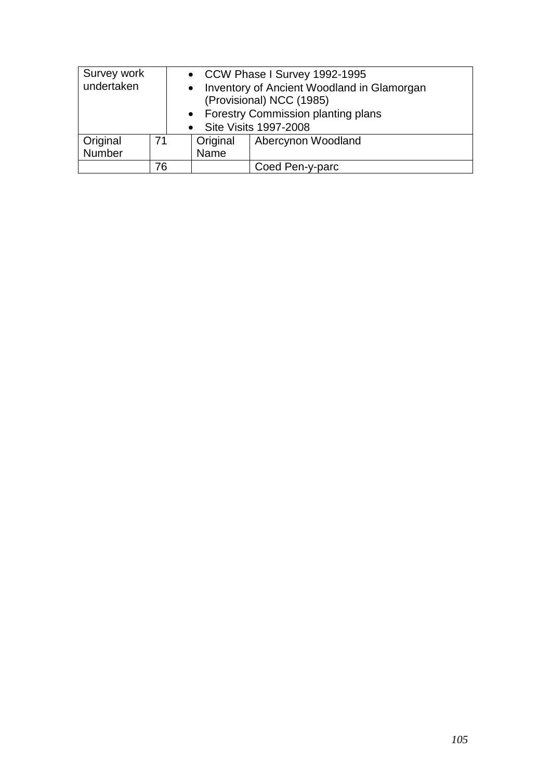| Survey work             |    |                                      |                          | • CCW Phase I Survey 1992-1995             |  |  |
|-------------------------|----|--------------------------------------|--------------------------|--------------------------------------------|--|--|
| undertaken<br>$\bullet$ |    |                                      |                          | Inventory of Ancient Woodland in Glamorgan |  |  |
|                         |    |                                      | (Provisional) NCC (1985) |                                            |  |  |
|                         |    | • Forestry Commission planting plans |                          |                                            |  |  |
|                         |    |                                      |                          | • Site Visits 1997-2008                    |  |  |
| Original                | 71 |                                      | Original                 | Abercynon Woodland                         |  |  |
| Number                  |    | Name                                 |                          |                                            |  |  |
|                         | 76 |                                      |                          | Coed Pen-y-parc                            |  |  |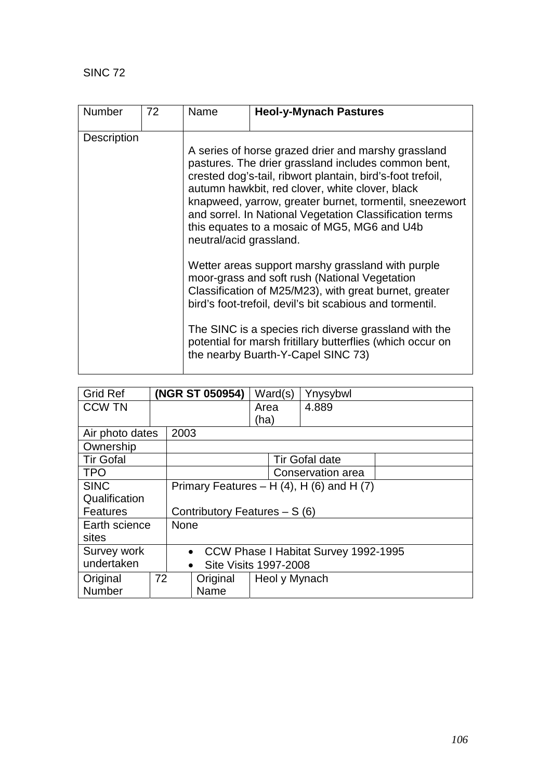| <b>Number</b>      | 72 | Name                                                                                                                                                                                                                                                                                                                                                                                                                         | <b>Heol-y-Mynach Pastures</b>                                                                                                                                                                                                                                                                                                                                                         |  |  |  |
|--------------------|----|------------------------------------------------------------------------------------------------------------------------------------------------------------------------------------------------------------------------------------------------------------------------------------------------------------------------------------------------------------------------------------------------------------------------------|---------------------------------------------------------------------------------------------------------------------------------------------------------------------------------------------------------------------------------------------------------------------------------------------------------------------------------------------------------------------------------------|--|--|--|
|                    |    |                                                                                                                                                                                                                                                                                                                                                                                                                              |                                                                                                                                                                                                                                                                                                                                                                                       |  |  |  |
| <b>Description</b> |    | A series of horse grazed drier and marshy grassland<br>pastures. The drier grassland includes common bent,<br>crested dog's-tail, ribwort plantain, bird's-foot trefoil,<br>autumn hawkbit, red clover, white clover, black<br>knapweed, yarrow, greater burnet, tormentil, sneezewort<br>and sorrel. In National Vegetation Classification terms<br>this equates to a mosaic of MG5, MG6 and U4b<br>neutral/acid grassland. |                                                                                                                                                                                                                                                                                                                                                                                       |  |  |  |
|                    |    |                                                                                                                                                                                                                                                                                                                                                                                                                              | Wetter areas support marshy grassland with purple<br>moor-grass and soft rush (National Vegetation<br>Classification of M25/M23), with great burnet, greater<br>bird's foot-trefoil, devil's bit scabious and tormentil.<br>The SINC is a species rich diverse grassland with the<br>potential for marsh fritillary butterflies (which occur on<br>the nearby Buarth-Y-Capel SINC 73) |  |  |  |

| <b>Grid Ref</b>  |                                                   | (NGR ST 050954) |                                    | Ward(s) | Ynysybwl              |  |
|------------------|---------------------------------------------------|-----------------|------------------------------------|---------|-----------------------|--|
| <b>CCW TN</b>    |                                                   |                 |                                    | Area    | 4.889                 |  |
|                  |                                                   |                 |                                    | (ha)    |                       |  |
| Air photo dates  |                                                   | 2003            |                                    |         |                       |  |
| Ownership        |                                                   |                 |                                    |         |                       |  |
| <b>Tir Gofal</b> |                                                   |                 |                                    |         | <b>Tir Gofal date</b> |  |
| <b>TPO</b>       |                                                   |                 |                                    |         | Conservation area     |  |
| <b>SINC</b>      | Primary Features – H $(4)$ , H $(6)$ and H $(7)$  |                 |                                    |         |                       |  |
| Qualification    |                                                   |                 |                                    |         |                       |  |
| <b>Features</b>  |                                                   |                 | Contributory Features - S (6)      |         |                       |  |
| Earth science    |                                                   | <b>None</b>     |                                    |         |                       |  |
| sites            |                                                   |                 |                                    |         |                       |  |
| Survey work      | CCW Phase I Habitat Survey 1992-1995<br>$\bullet$ |                 |                                    |         |                       |  |
| undertaken       |                                                   |                 | Site Visits 1997-2008<br>$\bullet$ |         |                       |  |
| Original         | 72                                                |                 | Heol y Mynach<br>Original          |         |                       |  |
| Number           |                                                   |                 | Name                               |         |                       |  |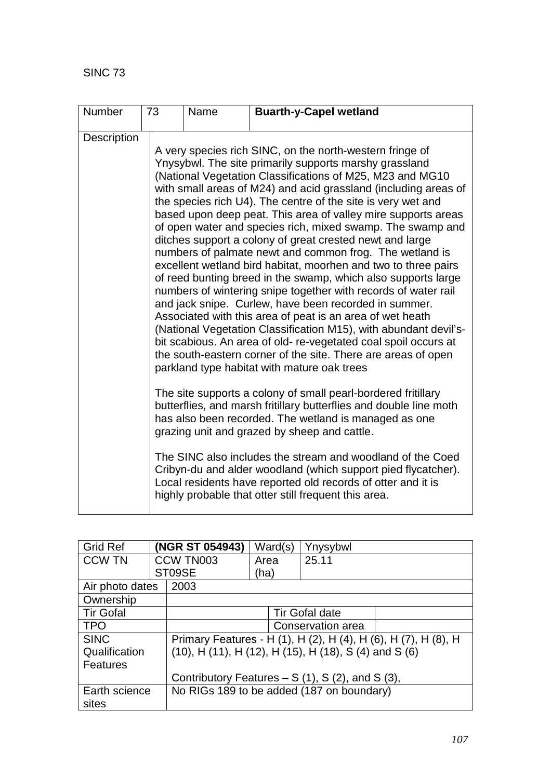| <b>Number</b> | 73 | Name | <b>Buarth-y-Capel wetland</b>                                                                                                                                                                                                                                                                                                                                                                                                                                                                                                                                                                                                                                                                                                                                                                                                                                                                                                                                                                                                                                                                                                                                                                                                                                                                                                                                                                                                                                                                                                                                                                                                                                     |
|---------------|----|------|-------------------------------------------------------------------------------------------------------------------------------------------------------------------------------------------------------------------------------------------------------------------------------------------------------------------------------------------------------------------------------------------------------------------------------------------------------------------------------------------------------------------------------------------------------------------------------------------------------------------------------------------------------------------------------------------------------------------------------------------------------------------------------------------------------------------------------------------------------------------------------------------------------------------------------------------------------------------------------------------------------------------------------------------------------------------------------------------------------------------------------------------------------------------------------------------------------------------------------------------------------------------------------------------------------------------------------------------------------------------------------------------------------------------------------------------------------------------------------------------------------------------------------------------------------------------------------------------------------------------------------------------------------------------|
| Description   |    |      | A very species rich SINC, on the north-western fringe of<br>Ynysybwl. The site primarily supports marshy grassland<br>(National Vegetation Classifications of M25, M23 and MG10<br>with small areas of M24) and acid grassland (including areas of<br>the species rich U4). The centre of the site is very wet and<br>based upon deep peat. This area of valley mire supports areas<br>of open water and species rich, mixed swamp. The swamp and<br>ditches support a colony of great crested newt and large<br>numbers of palmate newt and common frog. The wetland is<br>excellent wetland bird habitat, moorhen and two to three pairs<br>of reed bunting breed in the swamp, which also supports large<br>numbers of wintering snipe together with records of water rail<br>and jack snipe. Curlew, have been recorded in summer.<br>Associated with this area of peat is an area of wet heath<br>(National Vegetation Classification M15), with abundant devil's-<br>bit scabious. An area of old- re-vegetated coal spoil occurs at<br>the south-eastern corner of the site. There are areas of open<br>parkland type habitat with mature oak trees<br>The site supports a colony of small pearl-bordered fritillary<br>butterflies, and marsh fritillary butterflies and double line moth<br>has also been recorded. The wetland is managed as one<br>grazing unit and grazed by sheep and cattle.<br>The SINC also includes the stream and woodland of the Coed<br>Cribyn-du and alder woodland (which support pied flycatcher).<br>Local residents have reported old records of otter and it is<br>highly probable that otter still frequent this area. |

| <b>Grid Ref</b>  |  | (NGR ST 054943)                                  | Ward(s)                                                                  | Ynysybwl                                                       |  |  |
|------------------|--|--------------------------------------------------|--------------------------------------------------------------------------|----------------------------------------------------------------|--|--|
| <b>CCW TN</b>    |  | CCW TN003                                        | Area                                                                     | 25.11                                                          |  |  |
|                  |  | ST09SE                                           | (ha)                                                                     |                                                                |  |  |
| Air photo dates  |  | 2003                                             |                                                                          |                                                                |  |  |
| Ownership        |  |                                                  |                                                                          |                                                                |  |  |
| <b>Tir Gofal</b> |  |                                                  |                                                                          | <b>Tir Gofal date</b>                                          |  |  |
| <b>TPO</b>       |  |                                                  |                                                                          | Conservation area                                              |  |  |
| <b>SINC</b>      |  |                                                  |                                                                          | Primary Features - H (1), H (2), H (4), H (6), H (7), H (8), H |  |  |
| Qualification    |  |                                                  | $(10)$ , H $(11)$ , H $(12)$ , H $(15)$ , H $(18)$ , S $(4)$ and S $(6)$ |                                                                |  |  |
| <b>Features</b>  |  |                                                  |                                                                          |                                                                |  |  |
|                  |  | Contributory Features $- S(1)$ , S(2), and S(3), |                                                                          |                                                                |  |  |
| Earth science    |  |                                                  |                                                                          | No RIGs 189 to be added (187 on boundary)                      |  |  |
| sites            |  |                                                  |                                                                          |                                                                |  |  |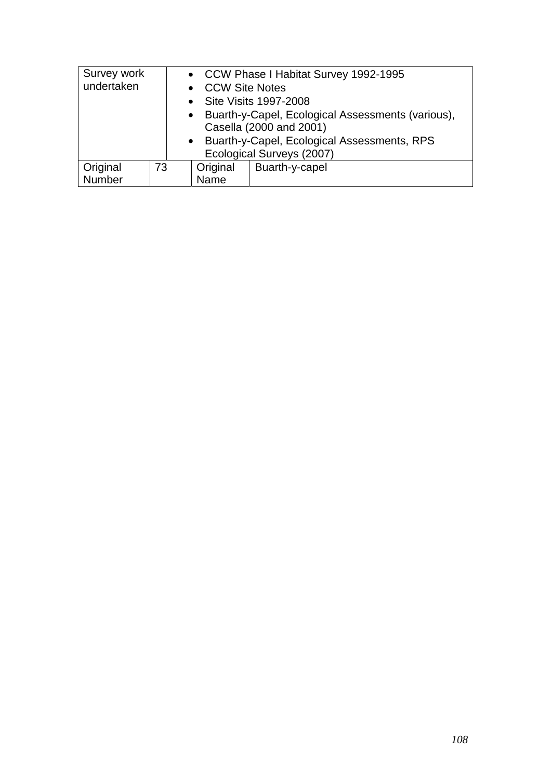| Survey work |                                               | • CCW Phase I Habitat Survey 1992-1995 |                                                     |                         |  |  |
|-------------|-----------------------------------------------|----------------------------------------|-----------------------------------------------------|-------------------------|--|--|
| undertaken  |                                               |                                        | • CCW Site Notes                                    |                         |  |  |
|             |                                               |                                        |                                                     | • Site Visits 1997-2008 |  |  |
|             |                                               |                                        | • Buarth-y-Capel, Ecological Assessments (various), |                         |  |  |
|             |                                               |                                        | Casella (2000 and 2001)                             |                         |  |  |
|             | • Buarth-y-Capel, Ecological Assessments, RPS |                                        |                                                     |                         |  |  |
|             | Ecological Surveys (2007)                     |                                        |                                                     |                         |  |  |
| Original    | 73                                            |                                        | Original                                            | Buarth-y-capel          |  |  |
| Number      |                                               |                                        | Name                                                |                         |  |  |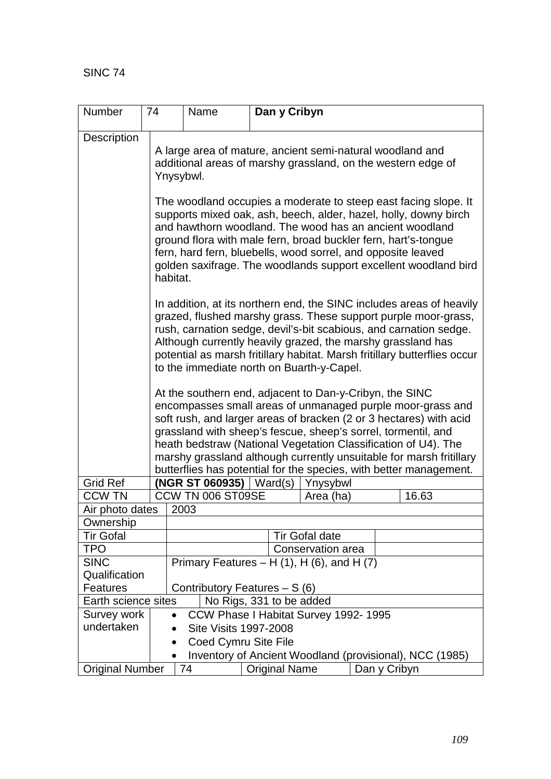| <b>Number</b>                  | 74                                                |                                                                                                                                                                                                                                                                                                                                                                                                                                                                             | Name                        |  | Dan y Cribyn         |                                                         |              |       |
|--------------------------------|---------------------------------------------------|-----------------------------------------------------------------------------------------------------------------------------------------------------------------------------------------------------------------------------------------------------------------------------------------------------------------------------------------------------------------------------------------------------------------------------------------------------------------------------|-----------------------------|--|----------------------|---------------------------------------------------------|--------------|-------|
| Description                    |                                                   | A large area of mature, ancient semi-natural woodland and<br>additional areas of marshy grassland, on the western edge of<br>Ynysybwl.                                                                                                                                                                                                                                                                                                                                      |                             |  |                      |                                                         |              |       |
|                                |                                                   | The woodland occupies a moderate to steep east facing slope. It<br>supports mixed oak, ash, beech, alder, hazel, holly, downy birch<br>and hawthorn woodland. The wood has an ancient woodland<br>ground flora with male fern, broad buckler fern, hart's-tongue<br>fern, hard fern, bluebells, wood sorrel, and opposite leaved<br>golden saxifrage. The woodlands support excellent woodland bird<br>habitat.                                                             |                             |  |                      |                                                         |              |       |
|                                |                                                   | In addition, at its northern end, the SINC includes areas of heavily<br>grazed, flushed marshy grass. These support purple moor-grass,<br>rush, carnation sedge, devil's-bit scabious, and carnation sedge.<br>Although currently heavily grazed, the marshy grassland has<br>potential as marsh fritillary habitat. Marsh fritillary butterflies occur<br>to the immediate north on Buarth-y-Capel.                                                                        |                             |  |                      |                                                         |              |       |
|                                |                                                   | At the southern end, adjacent to Dan-y-Cribyn, the SINC<br>encompasses small areas of unmanaged purple moor-grass and<br>soft rush, and larger areas of bracken (2 or 3 hectares) with acid<br>grassland with sheep's fescue, sheep's sorrel, tormentil, and<br>heath bedstraw (National Vegetation Classification of U4). The<br>marshy grassland although currently unsuitable for marsh fritillary<br>butterflies has potential for the species, with better management. |                             |  |                      |                                                         |              |       |
| <b>Grid Ref</b>                |                                                   |                                                                                                                                                                                                                                                                                                                                                                                                                                                                             | (NGR ST 060935)   $Ward(s)$ |  |                      | Ynysybwl                                                |              |       |
| <b>CCW TN</b>                  |                                                   |                                                                                                                                                                                                                                                                                                                                                                                                                                                                             | CCW TN 006 ST09SE           |  |                      | Area (ha)                                               |              | 16.63 |
| Air photo dates                |                                                   |                                                                                                                                                                                                                                                                                                                                                                                                                                                                             | 2003                        |  |                      |                                                         |              |       |
| Ownership                      |                                                   |                                                                                                                                                                                                                                                                                                                                                                                                                                                                             |                             |  |                      |                                                         |              |       |
| <b>Tir Gofal</b><br><b>TPO</b> |                                                   |                                                                                                                                                                                                                                                                                                                                                                                                                                                                             |                             |  |                      | <b>Tir Gofal date</b>                                   |              |       |
| <b>SINC</b>                    |                                                   | Conservation area                                                                                                                                                                                                                                                                                                                                                                                                                                                           |                             |  |                      |                                                         |              |       |
| Qualification                  |                                                   | Primary Features $- H(1)$ , H $(6)$ , and H $(7)$                                                                                                                                                                                                                                                                                                                                                                                                                           |                             |  |                      |                                                         |              |       |
| Features                       | Contributory Features - S (6)                     |                                                                                                                                                                                                                                                                                                                                                                                                                                                                             |                             |  |                      |                                                         |              |       |
|                                | No Rigs, 331 to be added<br>Earth science sites   |                                                                                                                                                                                                                                                                                                                                                                                                                                                                             |                             |  |                      |                                                         |              |       |
| Survey work                    | CCW Phase I Habitat Survey 1992-1995<br>$\bullet$ |                                                                                                                                                                                                                                                                                                                                                                                                                                                                             |                             |  |                      |                                                         |              |       |
| undertaken                     |                                                   | <b>Site Visits 1997-2008</b>                                                                                                                                                                                                                                                                                                                                                                                                                                                |                             |  |                      |                                                         |              |       |
|                                |                                                   | Coed Cymru Site File                                                                                                                                                                                                                                                                                                                                                                                                                                                        |                             |  |                      |                                                         |              |       |
|                                |                                                   |                                                                                                                                                                                                                                                                                                                                                                                                                                                                             |                             |  |                      | Inventory of Ancient Woodland (provisional), NCC (1985) |              |       |
| <b>Original Number</b>         |                                                   |                                                                                                                                                                                                                                                                                                                                                                                                                                                                             | 74                          |  | <b>Original Name</b> |                                                         | Dan y Cribyn |       |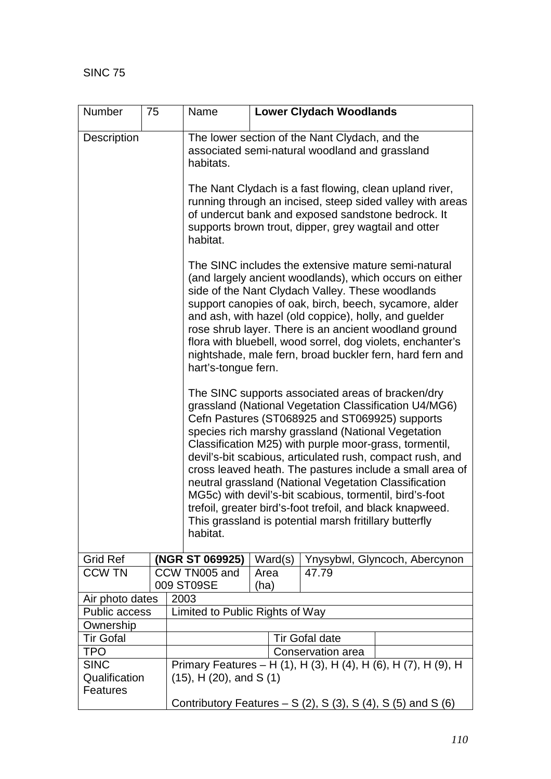| <b>Number</b>                            | 75                                                                                                                                                                                                                                                                                                                                                                                                                                                                                                                                                                                                                                                           | Name                                                       |                                                                                                                                                                                                                                                                                                                                                                                                                                                                                                 |                                 | <b>Lower Clydach Woodlands</b>                                                                             |                                                                                                                      |  |  |
|------------------------------------------|--------------------------------------------------------------------------------------------------------------------------------------------------------------------------------------------------------------------------------------------------------------------------------------------------------------------------------------------------------------------------------------------------------------------------------------------------------------------------------------------------------------------------------------------------------------------------------------------------------------------------------------------------------------|------------------------------------------------------------|-------------------------------------------------------------------------------------------------------------------------------------------------------------------------------------------------------------------------------------------------------------------------------------------------------------------------------------------------------------------------------------------------------------------------------------------------------------------------------------------------|---------------------------------|------------------------------------------------------------------------------------------------------------|----------------------------------------------------------------------------------------------------------------------|--|--|
| <b>Description</b>                       |                                                                                                                                                                                                                                                                                                                                                                                                                                                                                                                                                                                                                                                              |                                                            | The lower section of the Nant Clydach, and the<br>associated semi-natural woodland and grassland<br>habitats.                                                                                                                                                                                                                                                                                                                                                                                   |                                 |                                                                                                            |                                                                                                                      |  |  |
|                                          |                                                                                                                                                                                                                                                                                                                                                                                                                                                                                                                                                                                                                                                              | habitat.                                                   |                                                                                                                                                                                                                                                                                                                                                                                                                                                                                                 |                                 | of undercut bank and exposed sandstone bedrock. It<br>supports brown trout, dipper, grey wagtail and otter | The Nant Clydach is a fast flowing, clean upland river,<br>running through an incised, steep sided valley with areas |  |  |
|                                          |                                                                                                                                                                                                                                                                                                                                                                                                                                                                                                                                                                                                                                                              |                                                            | The SINC includes the extensive mature semi-natural<br>(and largely ancient woodlands), which occurs on either<br>side of the Nant Clydach Valley. These woodlands<br>support canopies of oak, birch, beech, sycamore, alder<br>and ash, with hazel (old coppice), holly, and guelder<br>rose shrub layer. There is an ancient woodland ground<br>flora with bluebell, wood sorrel, dog violets, enchanter's<br>nightshade, male fern, broad buckler fern, hard fern and<br>hart's-tongue fern. |                                 |                                                                                                            |                                                                                                                      |  |  |
|                                          | The SINC supports associated areas of bracken/dry<br>grassland (National Vegetation Classification U4/MG6)<br>Cefn Pastures (ST068925 and ST069925) supports<br>species rich marshy grassland (National Vegetation<br>Classification M25) with purple moor-grass, tormentil,<br>devil's-bit scabious, articulated rush, compact rush, and<br>cross leaved heath. The pastures include a small area of<br>neutral grassland (National Vegetation Classification<br>MG5c) with devil's-bit scabious, tormentil, bird's-foot<br>trefoil, greater bird's-foot trefoil, and black knapweed.<br>This grassland is potential marsh fritillary butterfly<br>habitat. |                                                            |                                                                                                                                                                                                                                                                                                                                                                                                                                                                                                 |                                 |                                                                                                            |                                                                                                                      |  |  |
| <b>Grid Ref</b>                          |                                                                                                                                                                                                                                                                                                                                                                                                                                                                                                                                                                                                                                                              | (NGR ST 069925)                                            |                                                                                                                                                                                                                                                                                                                                                                                                                                                                                                 | Ward(s)                         |                                                                                                            | Ynysybwl, Glyncoch, Abercynon                                                                                        |  |  |
| <b>CCW TN</b>                            |                                                                                                                                                                                                                                                                                                                                                                                                                                                                                                                                                                                                                                                              | CCW TN005 and<br>009 ST09SE                                |                                                                                                                                                                                                                                                                                                                                                                                                                                                                                                 | Area<br>(ha)                    | 47.79                                                                                                      |                                                                                                                      |  |  |
|                                          | Air photo dates<br>2003                                                                                                                                                                                                                                                                                                                                                                                                                                                                                                                                                                                                                                      |                                                            |                                                                                                                                                                                                                                                                                                                                                                                                                                                                                                 |                                 |                                                                                                            |                                                                                                                      |  |  |
|                                          | Public access                                                                                                                                                                                                                                                                                                                                                                                                                                                                                                                                                                                                                                                |                                                            |                                                                                                                                                                                                                                                                                                                                                                                                                                                                                                 | Limited to Public Rights of Way |                                                                                                            |                                                                                                                      |  |  |
| Ownership                                |                                                                                                                                                                                                                                                                                                                                                                                                                                                                                                                                                                                                                                                              |                                                            |                                                                                                                                                                                                                                                                                                                                                                                                                                                                                                 |                                 |                                                                                                            |                                                                                                                      |  |  |
| <b>Tir Gofal</b>                         |                                                                                                                                                                                                                                                                                                                                                                                                                                                                                                                                                                                                                                                              |                                                            |                                                                                                                                                                                                                                                                                                                                                                                                                                                                                                 |                                 | <b>Tir Gofal date</b>                                                                                      |                                                                                                                      |  |  |
| <b>TPO</b>                               |                                                                                                                                                                                                                                                                                                                                                                                                                                                                                                                                                                                                                                                              |                                                            |                                                                                                                                                                                                                                                                                                                                                                                                                                                                                                 |                                 | Conservation area                                                                                          |                                                                                                                      |  |  |
| <b>SINC</b><br>Qualification<br>Features |                                                                                                                                                                                                                                                                                                                                                                                                                                                                                                                                                                                                                                                              | $(15)$ , H $(20)$ , and S $(1)$                            |                                                                                                                                                                                                                                                                                                                                                                                                                                                                                                 |                                 |                                                                                                            | Primary Features – H (1), H (3), H (4), H (6), H (7), H (9), H                                                       |  |  |
|                                          |                                                                                                                                                                                                                                                                                                                                                                                                                                                                                                                                                                                                                                                              | Contributory Features $- S(2)$ , S(3), S(4), S(5) and S(6) |                                                                                                                                                                                                                                                                                                                                                                                                                                                                                                 |                                 |                                                                                                            |                                                                                                                      |  |  |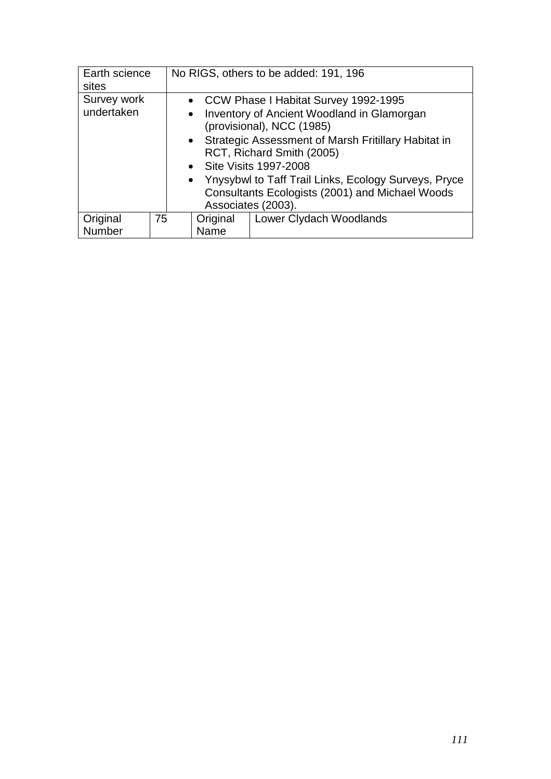| Earth science<br>sites    |    | No RIGS, others to be added: 191, 196 |                                                                                                                                                                                                                                                                                                                                                                       |  |  |
|---------------------------|----|---------------------------------------|-----------------------------------------------------------------------------------------------------------------------------------------------------------------------------------------------------------------------------------------------------------------------------------------------------------------------------------------------------------------------|--|--|
| Survey work<br>undertaken |    | $\bullet$                             | • CCW Phase I Habitat Survey 1992-1995<br>Inventory of Ancient Woodland in Glamorgan<br>(provisional), NCC (1985)<br>• Strategic Assessment of Marsh Fritillary Habitat in<br>RCT, Richard Smith (2005)<br>• Site Visits 1997-2008<br>• Ynysybwl to Taff Trail Links, Ecology Surveys, Pryce<br>Consultants Ecologists (2001) and Michael Woods<br>Associates (2003). |  |  |
| Original                  | 75 | Original                              | Lower Clydach Woodlands                                                                                                                                                                                                                                                                                                                                               |  |  |
| Number                    |    | Name                                  |                                                                                                                                                                                                                                                                                                                                                                       |  |  |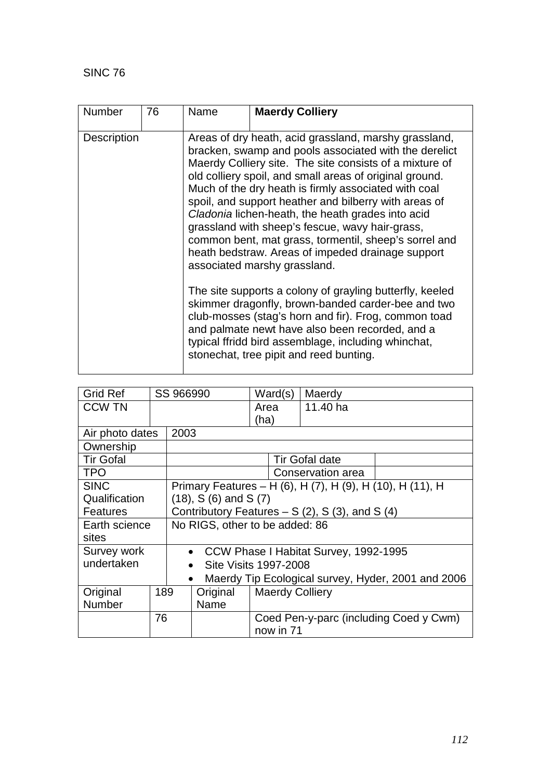| <b>Number</b>      | 76 | Name | <b>Maerdy Colliery</b>                                                                                                                                                                                                                                                                                                                                                                                                                                                                                                                                                                                                                                                                                                                                                                                                                                                                                                                     |  |  |  |
|--------------------|----|------|--------------------------------------------------------------------------------------------------------------------------------------------------------------------------------------------------------------------------------------------------------------------------------------------------------------------------------------------------------------------------------------------------------------------------------------------------------------------------------------------------------------------------------------------------------------------------------------------------------------------------------------------------------------------------------------------------------------------------------------------------------------------------------------------------------------------------------------------------------------------------------------------------------------------------------------------|--|--|--|
| <b>Description</b> |    |      | Areas of dry heath, acid grassland, marshy grassland,<br>bracken, swamp and pools associated with the derelict<br>Maerdy Colliery site. The site consists of a mixture of<br>old colliery spoil, and small areas of original ground.<br>Much of the dry heath is firmly associated with coal<br>spoil, and support heather and bilberry with areas of<br>Cladonia lichen-heath, the heath grades into acid<br>grassland with sheep's fescue, wavy hair-grass,<br>common bent, mat grass, tormentil, sheep's sorrel and<br>heath bedstraw. Areas of impeded drainage support<br>associated marshy grassland.<br>The site supports a colony of grayling butterfly, keeled<br>skimmer dragonfly, brown-banded carder-bee and two<br>club-mosses (stag's horn and fir). Frog, common toad<br>and palmate newt have also been recorded, and a<br>typical ffridd bird assemblage, including whinchat,<br>stonechat, tree pipit and reed bunting. |  |  |  |

| <b>Grid Ref</b>  |     | SS 966990 |                                                 | Ward(s)                | Maerdy                                                    |                                                    |
|------------------|-----|-----------|-------------------------------------------------|------------------------|-----------------------------------------------------------|----------------------------------------------------|
| <b>CCW TN</b>    |     |           |                                                 | Area                   | 11.40 ha                                                  |                                                    |
|                  |     |           |                                                 | (ha)                   |                                                           |                                                    |
| Air photo dates  |     | 2003      |                                                 |                        |                                                           |                                                    |
| Ownership        |     |           |                                                 |                        |                                                           |                                                    |
| <b>Tir Gofal</b> |     |           |                                                 |                        | <b>Tir Gofal date</b>                                     |                                                    |
| <b>TPO</b>       |     |           |                                                 |                        | Conservation area                                         |                                                    |
| <b>SINC</b>      |     |           |                                                 |                        | Primary Features – H (6), H (7), H (9), H (10), H (11), H |                                                    |
| Qualification    |     |           | $(18)$ , S $(6)$ and S $(7)$                    |                        |                                                           |                                                    |
| <b>Features</b>  |     |           | Contributory Features $- S(2)$ , S(3), and S(4) |                        |                                                           |                                                    |
| Earth science    |     |           | No RIGS, other to be added: 86                  |                        |                                                           |                                                    |
| sites            |     |           |                                                 |                        |                                                           |                                                    |
| Survey work      |     |           | • CCW Phase I Habitat Survey, 1992-1995         |                        |                                                           |                                                    |
| undertaken       |     |           | $\bullet$                                       | Site Visits 1997-2008  |                                                           |                                                    |
|                  |     | $\bullet$ |                                                 |                        |                                                           | Maerdy Tip Ecological survey, Hyder, 2001 and 2006 |
| Original         | 189 |           | Original                                        | <b>Maerdy Colliery</b> |                                                           |                                                    |
| <b>Number</b>    |     |           | Name                                            |                        |                                                           |                                                    |
|                  | 76  |           |                                                 |                        |                                                           | Coed Pen-y-parc (including Coed y Cwm)             |
|                  |     |           |                                                 | now in 71              |                                                           |                                                    |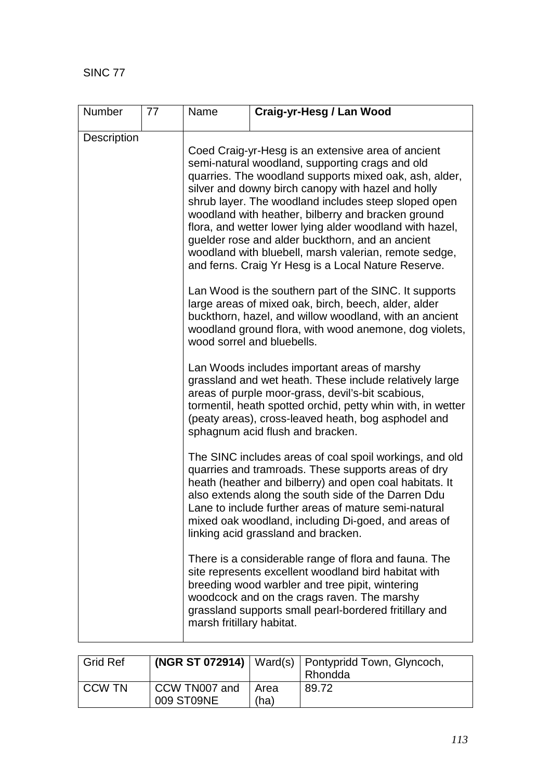SINC 77

| <b>Number</b> | 77 | Name                                                                                                                                                                                                                                                                                                                                                                                                                                                                                                                                                                | Craig-yr-Hesg / Lan Wood                                                                                                                                                                                                                                                                                                                                                               |  |  |  |  |
|---------------|----|---------------------------------------------------------------------------------------------------------------------------------------------------------------------------------------------------------------------------------------------------------------------------------------------------------------------------------------------------------------------------------------------------------------------------------------------------------------------------------------------------------------------------------------------------------------------|----------------------------------------------------------------------------------------------------------------------------------------------------------------------------------------------------------------------------------------------------------------------------------------------------------------------------------------------------------------------------------------|--|--|--|--|
| Description   |    |                                                                                                                                                                                                                                                                                                                                                                                                                                                                                                                                                                     |                                                                                                                                                                                                                                                                                                                                                                                        |  |  |  |  |
|               |    | Coed Craig-yr-Hesg is an extensive area of ancient<br>semi-natural woodland, supporting crags and old<br>quarries. The woodland supports mixed oak, ash, alder,<br>silver and downy birch canopy with hazel and holly<br>shrub layer. The woodland includes steep sloped open<br>woodland with heather, bilberry and bracken ground<br>flora, and wetter lower lying alder woodland with hazel,<br>guelder rose and alder buckthorn, and an ancient<br>woodland with bluebell, marsh valerian, remote sedge,<br>and ferns. Craig Yr Hesg is a Local Nature Reserve. |                                                                                                                                                                                                                                                                                                                                                                                        |  |  |  |  |
|               |    | Lan Wood is the southern part of the SINC. It supports<br>large areas of mixed oak, birch, beech, alder, alder<br>buckthorn, hazel, and willow woodland, with an ancient<br>woodland ground flora, with wood anemone, dog violets,<br>wood sorrel and bluebells.                                                                                                                                                                                                                                                                                                    |                                                                                                                                                                                                                                                                                                                                                                                        |  |  |  |  |
|               |    | Lan Woods includes important areas of marshy<br>grassland and wet heath. These include relatively large<br>areas of purple moor-grass, devil's-bit scabious,<br>tormentil, heath spotted orchid, petty whin with, in wetter<br>(peaty areas), cross-leaved heath, bog asphodel and<br>sphagnum acid flush and bracken.                                                                                                                                                                                                                                              |                                                                                                                                                                                                                                                                                                                                                                                        |  |  |  |  |
|               |    |                                                                                                                                                                                                                                                                                                                                                                                                                                                                                                                                                                     | The SINC includes areas of coal spoil workings, and old<br>quarries and tramroads. These supports areas of dry<br>heath (heather and bilberry) and open coal habitats. It<br>also extends along the south side of the Darren Ddu<br>Lane to include further areas of mature semi-natural<br>mixed oak woodland, including Di-goed, and areas of<br>linking acid grassland and bracken. |  |  |  |  |
|               |    | marsh fritillary habitat.                                                                                                                                                                                                                                                                                                                                                                                                                                                                                                                                           | There is a considerable range of flora and fauna. The<br>site represents excellent woodland bird habitat with<br>breeding wood warbler and tree pipit, wintering<br>woodcock and on the crags raven. The marshy<br>grassland supports small pearl-bordered fritillary and                                                                                                              |  |  |  |  |

| <b>Grid Ref</b> |                             |                     | (NGR ST 072914)   Ward(s)   Pontypridd Town, Glyncoch,<br>Rhondda |
|-----------------|-----------------------------|---------------------|-------------------------------------------------------------------|
| l CCW TN        | CCW TN007 and<br>009 ST09NE | <b>Area</b><br>(ha) | 89.72                                                             |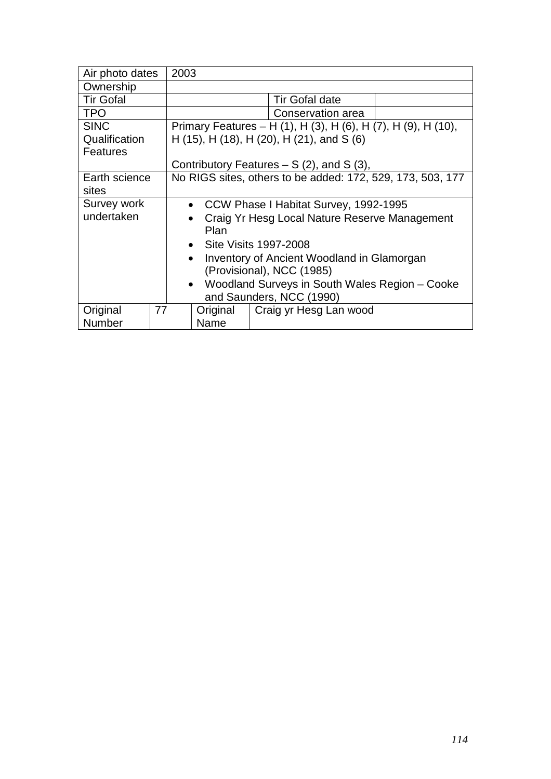| Air photo dates          |    | 2003                                                       |          |                                                               |  |  |
|--------------------------|----|------------------------------------------------------------|----------|---------------------------------------------------------------|--|--|
| Ownership                |    |                                                            |          |                                                               |  |  |
| <b>Tir Gofal</b>         |    | Tir Gofal date                                             |          |                                                               |  |  |
| <b>TPO</b>               |    | Conservation area                                          |          |                                                               |  |  |
| <b>SINC</b>              |    |                                                            |          | Primary Features – H (1), H (3), H (6), H (7), H (9), H (10), |  |  |
| Qualification            |    |                                                            |          | H (15), H (18), H (20), H (21), and S (6)                     |  |  |
| <b>Features</b>          |    |                                                            |          |                                                               |  |  |
|                          |    | Contributory Features $- S(2)$ , and S(3),                 |          |                                                               |  |  |
| Earth science            |    | No RIGS sites, others to be added: 172, 529, 173, 503, 177 |          |                                                               |  |  |
| sites                    |    |                                                            |          |                                                               |  |  |
| Survey work              |    | • CCW Phase I Habitat Survey, 1992-1995                    |          |                                                               |  |  |
| undertaken               |    |                                                            |          | Craig Yr Hesg Local Nature Reserve Management                 |  |  |
|                          |    | Plan                                                       |          |                                                               |  |  |
|                          |    | • Site Visits 1997-2008                                    |          |                                                               |  |  |
|                          |    | Inventory of Ancient Woodland in Glamorgan<br>$\bullet$    |          |                                                               |  |  |
|                          |    | (Provisional), NCC (1985)                                  |          |                                                               |  |  |
| $\bullet$                |    |                                                            |          | Woodland Surveys in South Wales Region - Cooke                |  |  |
| and Saunders, NCC (1990) |    |                                                            |          |                                                               |  |  |
| Original                 | 77 |                                                            | Original | Craig yr Hesg Lan wood                                        |  |  |
| <b>Number</b>            |    | Name                                                       |          |                                                               |  |  |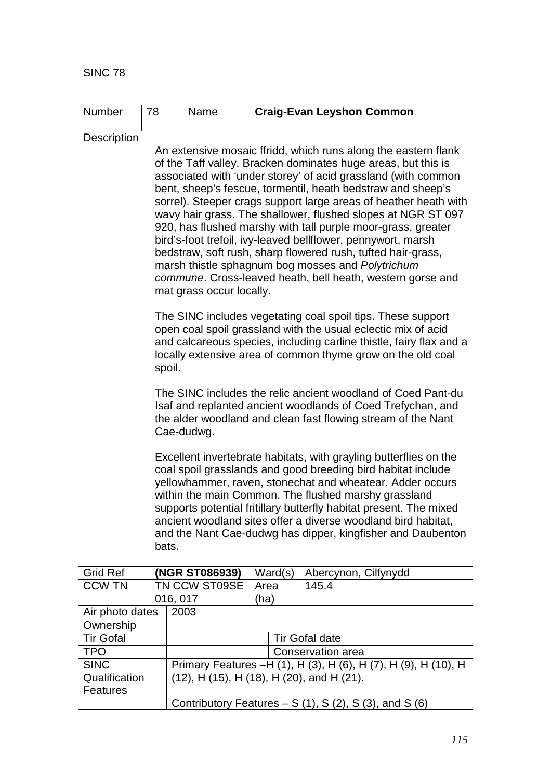| Number      | 78    | Name                                                                                                                                                                                                                                                                                                                                                                                                                                                                                                                                                                                                                                                                                                                                                                                                                                                                                                                                                                                                                                                                                                                                                                                                                                            | <b>Craig-Evan Leyshon Common</b>                                                                                                                                                                                                                                                                                                                                                                                                                             |  |  |  |  |
|-------------|-------|-------------------------------------------------------------------------------------------------------------------------------------------------------------------------------------------------------------------------------------------------------------------------------------------------------------------------------------------------------------------------------------------------------------------------------------------------------------------------------------------------------------------------------------------------------------------------------------------------------------------------------------------------------------------------------------------------------------------------------------------------------------------------------------------------------------------------------------------------------------------------------------------------------------------------------------------------------------------------------------------------------------------------------------------------------------------------------------------------------------------------------------------------------------------------------------------------------------------------------------------------|--------------------------------------------------------------------------------------------------------------------------------------------------------------------------------------------------------------------------------------------------------------------------------------------------------------------------------------------------------------------------------------------------------------------------------------------------------------|--|--|--|--|
| Description |       | An extensive mosaic ffridd, which runs along the eastern flank<br>of the Taff valley. Bracken dominates huge areas, but this is<br>associated with 'under storey' of acid grassland (with common<br>bent, sheep's fescue, tormentil, heath bedstraw and sheep's<br>sorrel). Steeper crags support large areas of heather heath with<br>wavy hair grass. The shallower, flushed slopes at NGR ST 097<br>920, has flushed marshy with tall purple moor-grass, greater<br>bird's-foot trefoil, ivy-leaved bellflower, pennywort, marsh<br>bedstraw, soft rush, sharp flowered rush, tufted hair-grass,<br>marsh thistle sphagnum bog mosses and Polytrichum<br>commune. Cross-leaved heath, bell heath, western gorse and<br>mat grass occur locally.<br>The SINC includes vegetating coal spoil tips. These support<br>open coal spoil grassland with the usual eclectic mix of acid<br>and calcareous species, including carline thistle, fairy flax and a<br>locally extensive area of common thyme grow on the old coal<br>spoil.<br>The SINC includes the relic ancient woodland of Coed Pant-du<br>Isaf and replanted ancient woodlands of Coed Trefychan, and<br>the alder woodland and clean fast flowing stream of the Nant<br>Cae-dudwg. |                                                                                                                                                                                                                                                                                                                                                                                                                                                              |  |  |  |  |
|             |       |                                                                                                                                                                                                                                                                                                                                                                                                                                                                                                                                                                                                                                                                                                                                                                                                                                                                                                                                                                                                                                                                                                                                                                                                                                                 |                                                                                                                                                                                                                                                                                                                                                                                                                                                              |  |  |  |  |
|             |       |                                                                                                                                                                                                                                                                                                                                                                                                                                                                                                                                                                                                                                                                                                                                                                                                                                                                                                                                                                                                                                                                                                                                                                                                                                                 |                                                                                                                                                                                                                                                                                                                                                                                                                                                              |  |  |  |  |
|             | bats. |                                                                                                                                                                                                                                                                                                                                                                                                                                                                                                                                                                                                                                                                                                                                                                                                                                                                                                                                                                                                                                                                                                                                                                                                                                                 | Excellent invertebrate habitats, with grayling butterflies on the<br>coal spoil grasslands and good breeding bird habitat include<br>yellowhammer, raven, stonechat and wheatear. Adder occurs<br>within the main Common. The flushed marshy grassland<br>supports potential fritillary butterfly habitat present. The mixed<br>ancient woodland sites offer a diverse woodland bird habitat,<br>and the Nant Cae-dudwg has dipper, kingfisher and Daubenton |  |  |  |  |

| <b>Grid Ref</b>  |  | (NGR ST086939)                                           | Ward(s) | Abercynon, Cilfynydd                                           |  |  |
|------------------|--|----------------------------------------------------------|---------|----------------------------------------------------------------|--|--|
| <b>CCW TN</b>    |  | TN CCW ST09SE                                            | Area    | 145.4                                                          |  |  |
|                  |  | 016, 017                                                 | (ha)    |                                                                |  |  |
| Air photo dates  |  | 2003                                                     |         |                                                                |  |  |
| Ownership        |  |                                                          |         |                                                                |  |  |
| <b>Tir Gofal</b> |  | <b>Tir Gofal date</b>                                    |         |                                                                |  |  |
| <b>TPO</b>       |  |                                                          |         | Conservation area                                              |  |  |
| <b>SINC</b>      |  |                                                          |         | Primary Features -H (1), H (3), H (6), H (7), H (9), H (10), H |  |  |
| Qualification    |  | $(12)$ , H $(15)$ , H $(18)$ , H $(20)$ , and H $(21)$ . |         |                                                                |  |  |
| <b>Features</b>  |  |                                                          |         |                                                                |  |  |
|                  |  | Contributory Features $- S(1)$ , S(2), S(3), and S(6)    |         |                                                                |  |  |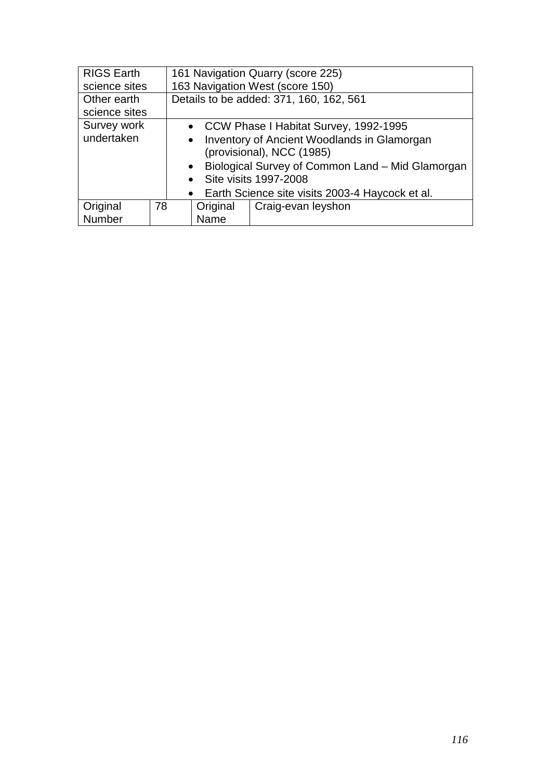| <b>RIGS Earth</b>            |                                                   | 161 Navigation Quarry (score 225)                                                     |           |                                                  |  |
|------------------------------|---------------------------------------------------|---------------------------------------------------------------------------------------|-----------|--------------------------------------------------|--|
| science sites                |                                                   |                                                                                       |           | 163 Navigation West (score 150)                  |  |
| Other earth<br>science sites |                                                   | Details to be added: 371, 160, 162, 561                                               |           |                                                  |  |
| Survey work                  |                                                   | • CCW Phase I Habitat Survey, 1992-1995                                               |           |                                                  |  |
| undertaken                   |                                                   | Inventory of Ancient Woodlands in Glamorgan<br>$\bullet$<br>(provisional), NCC (1985) |           |                                                  |  |
|                              |                                                   |                                                                                       | $\bullet$ | Biological Survey of Common Land - Mid Glamorgan |  |
|                              |                                                   |                                                                                       |           | • Site visits 1997-2008                          |  |
|                              | • Earth Science site visits 2003-4 Haycock et al. |                                                                                       |           |                                                  |  |
| Original                     | 78                                                |                                                                                       | Original  | Craig-evan leyshon                               |  |
| Number                       |                                                   |                                                                                       | Name      |                                                  |  |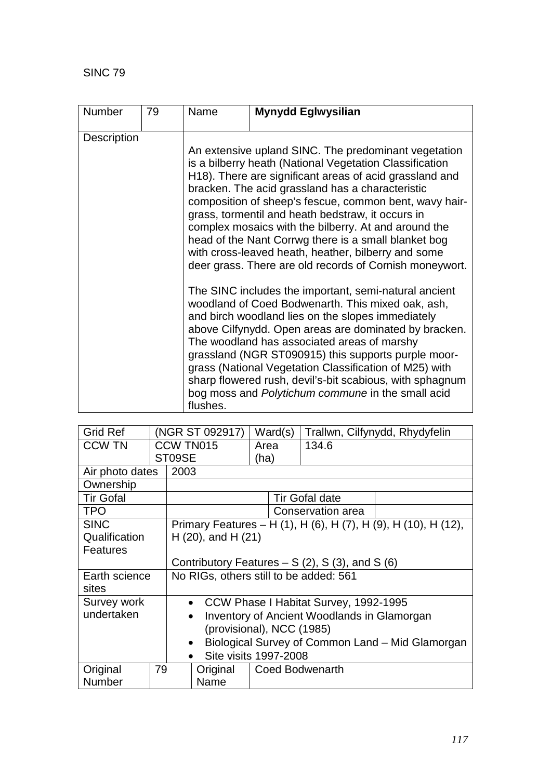SINC 79

| Number             | 79 | Name                                                                                                                                                                                                                                                                                                                                                                                              | <b>Mynydd Eglwysilian</b>                                                                                                                                                                                                                                                                                                                                                                                                                                                                                 |  |  |  |  |
|--------------------|----|---------------------------------------------------------------------------------------------------------------------------------------------------------------------------------------------------------------------------------------------------------------------------------------------------------------------------------------------------------------------------------------------------|-----------------------------------------------------------------------------------------------------------------------------------------------------------------------------------------------------------------------------------------------------------------------------------------------------------------------------------------------------------------------------------------------------------------------------------------------------------------------------------------------------------|--|--|--|--|
| <b>Description</b> |    | An extensive upland SINC. The predominant vegetation<br>is a bilberry heath (National Vegetation Classification<br>H18). There are significant areas of acid grassland and                                                                                                                                                                                                                        |                                                                                                                                                                                                                                                                                                                                                                                                                                                                                                           |  |  |  |  |
|                    |    | bracken. The acid grassland has a characteristic<br>composition of sheep's fescue, common bent, wavy hair-<br>grass, tormentil and heath bedstraw, it occurs in<br>complex mosaics with the bilberry. At and around the<br>head of the Nant Corrwg there is a small blanket bog<br>with cross-leaved heath, heather, bilberry and some<br>deer grass. There are old records of Cornish moneywort. |                                                                                                                                                                                                                                                                                                                                                                                                                                                                                                           |  |  |  |  |
|                    |    | flushes.                                                                                                                                                                                                                                                                                                                                                                                          | The SINC includes the important, semi-natural ancient<br>woodland of Coed Bodwenarth. This mixed oak, ash,<br>and birch woodland lies on the slopes immediately<br>above Cilfynydd. Open areas are dominated by bracken.<br>The woodland has associated areas of marshy<br>grassland (NGR ST090915) this supports purple moor-<br>grass (National Vegetation Classification of M25) with<br>sharp flowered rush, devil's-bit scabious, with sphagnum<br>bog moss and Polytichum commune in the small acid |  |  |  |  |

| <b>Grid Ref</b>  |    | (NGR ST 092917)                                          | Ward(s)               | Trallwn, Cilfynydd, Rhydyfelin |                                                                |  |  |
|------------------|----|----------------------------------------------------------|-----------------------|--------------------------------|----------------------------------------------------------------|--|--|
| <b>CCW TN</b>    |    | CCW TN015                                                | Area                  | 134.6                          |                                                                |  |  |
|                  |    | ST09SE                                                   | (ha)                  |                                |                                                                |  |  |
| Air photo dates  |    | 2003                                                     |                       |                                |                                                                |  |  |
| Ownership        |    |                                                          |                       |                                |                                                                |  |  |
| <b>Tir Gofal</b> |    |                                                          |                       | <b>Tir Gofal date</b>          |                                                                |  |  |
| <b>TPO</b>       |    |                                                          |                       | Conservation area              |                                                                |  |  |
| <b>SINC</b>      |    |                                                          |                       |                                | Primary Features - H (1), H (6), H (7), H (9), H (10), H (12), |  |  |
| Qualification    |    | $H(20)$ , and $H(21)$                                    |                       |                                |                                                                |  |  |
| <b>Features</b>  |    |                                                          |                       |                                |                                                                |  |  |
|                  |    | Contributory Features $- S(2)$ , S(3), and S(6)          |                       |                                |                                                                |  |  |
| Earth science    |    | No RIGs, others still to be added: 561                   |                       |                                |                                                                |  |  |
| sites            |    |                                                          |                       |                                |                                                                |  |  |
| Survey work      |    | CCW Phase I Habitat Survey, 1992-1995<br>$\bullet$       |                       |                                |                                                                |  |  |
| undertaken       |    | Inventory of Ancient Woodlands in Glamorgan<br>$\bullet$ |                       |                                |                                                                |  |  |
|                  |    | (provisional), NCC (1985)                                |                       |                                |                                                                |  |  |
|                  |    |                                                          |                       |                                |                                                                |  |  |
|                  |    | $\bullet$                                                |                       |                                | Biological Survey of Common Land - Mid Glamorgan               |  |  |
|                  |    |                                                          | Site visits 1997-2008 |                                |                                                                |  |  |
| Original         | 79 | Original                                                 | Coed Bodwenarth       |                                |                                                                |  |  |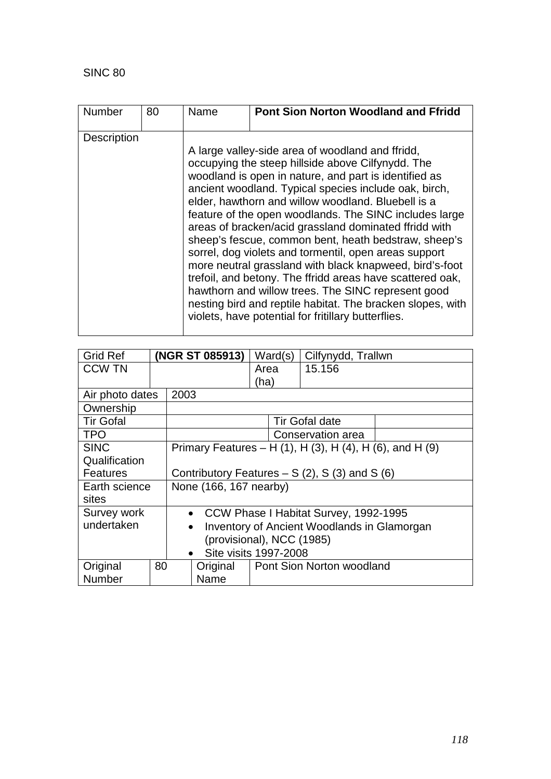| <b>Number</b>      | 80 | Name | <b>Pont Sion Norton Woodland and Ffridd</b>                                                                                                                                                                                                                                                                                                                                                                                                                                                                                                                                                                                                                                                                                                                                                                          |
|--------------------|----|------|----------------------------------------------------------------------------------------------------------------------------------------------------------------------------------------------------------------------------------------------------------------------------------------------------------------------------------------------------------------------------------------------------------------------------------------------------------------------------------------------------------------------------------------------------------------------------------------------------------------------------------------------------------------------------------------------------------------------------------------------------------------------------------------------------------------------|
| <b>Description</b> |    |      | A large valley-side area of woodland and ffridd,<br>occupying the steep hillside above Cilfynydd. The<br>woodland is open in nature, and part is identified as<br>ancient woodland. Typical species include oak, birch,<br>elder, hawthorn and willow woodland. Bluebell is a<br>feature of the open woodlands. The SINC includes large<br>areas of bracken/acid grassland dominated ffridd with<br>sheep's fescue, common bent, heath bedstraw, sheep's<br>sorrel, dog violets and tormentil, open areas support<br>more neutral grassland with black knapweed, bird's-foot<br>trefoil, and betony. The ffridd areas have scattered oak,<br>hawthorn and willow trees. The SINC represent good<br>nesting bird and reptile habitat. The bracken slopes, with<br>violets, have potential for fritillary butterflies. |

| <b>Grid Ref</b>  | (NGR ST 085913)           |                                                                 |                                                          | Ward(s) |                           | Cilfynydd, Trallwn |  |  |
|------------------|---------------------------|-----------------------------------------------------------------|----------------------------------------------------------|---------|---------------------------|--------------------|--|--|
| <b>CCW TN</b>    |                           |                                                                 |                                                          | Area    | 15.156                    |                    |  |  |
|                  |                           |                                                                 |                                                          | (ha)    |                           |                    |  |  |
| Air photo dates  |                           | 2003                                                            |                                                          |         |                           |                    |  |  |
| Ownership        |                           |                                                                 |                                                          |         |                           |                    |  |  |
| <b>Tir Gofal</b> |                           |                                                                 |                                                          |         | <b>Tir Gofal date</b>     |                    |  |  |
| <b>TPO</b>       |                           |                                                                 |                                                          |         | Conservation area         |                    |  |  |
| <b>SINC</b>      |                           |                                                                 | Primary Features – H (1), H (3), H (4), H (6), and H (9) |         |                           |                    |  |  |
| Qualification    |                           |                                                                 |                                                          |         |                           |                    |  |  |
| Features         |                           |                                                                 | Contributory Features $- S(2)$ , S(3) and S(6)           |         |                           |                    |  |  |
| Earth science    |                           | None (166, 167 nearby)                                          |                                                          |         |                           |                    |  |  |
| sites            |                           |                                                                 |                                                          |         |                           |                    |  |  |
| Survey work      |                           | CCW Phase I Habitat Survey, 1992-1995<br>$\bullet$              |                                                          |         |                           |                    |  |  |
| undertaken       |                           | <b>Inventory of Ancient Woodlands in Glamorgan</b><br>$\bullet$ |                                                          |         |                           |                    |  |  |
|                  | (provisional), NCC (1985) |                                                                 |                                                          |         |                           |                    |  |  |
|                  |                           |                                                                 | Site visits 1997-2008                                    |         |                           |                    |  |  |
| Original         | 80                        |                                                                 | Original                                                 |         | Pont Sion Norton woodland |                    |  |  |
| Number           |                           |                                                                 | Name                                                     |         |                           |                    |  |  |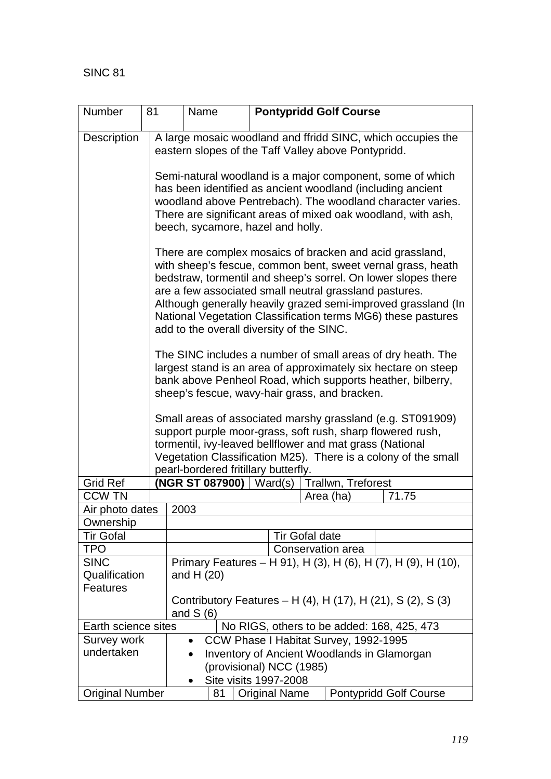| Number                                          | 81                                                                        |                                                                                                                                                                                                                                                                                                                                                                                                                                  | Name |                                       |                       | <b>Pontypridd Golf Course</b> |                                                               |  |  |
|-------------------------------------------------|---------------------------------------------------------------------------|----------------------------------------------------------------------------------------------------------------------------------------------------------------------------------------------------------------------------------------------------------------------------------------------------------------------------------------------------------------------------------------------------------------------------------|------|---------------------------------------|-----------------------|-------------------------------|---------------------------------------------------------------|--|--|
| <b>Description</b>                              |                                                                           | A large mosaic woodland and ffridd SINC, which occupies the<br>eastern slopes of the Taff Valley above Pontypridd.                                                                                                                                                                                                                                                                                                               |      |                                       |                       |                               |                                                               |  |  |
|                                                 |                                                                           | Semi-natural woodland is a major component, some of which<br>has been identified as ancient woodland (including ancient<br>woodland above Pentrebach). The woodland character varies.<br>There are significant areas of mixed oak woodland, with ash,<br>beech, sycamore, hazel and holly.                                                                                                                                       |      |                                       |                       |                               |                                                               |  |  |
|                                                 |                                                                           | There are complex mosaics of bracken and acid grassland,<br>with sheep's fescue, common bent, sweet vernal grass, heath<br>bedstraw, tormentil and sheep's sorrel. On lower slopes there<br>are a few associated small neutral grassland pastures.<br>Although generally heavily grazed semi-improved grassland (In<br>National Vegetation Classification terms MG6) these pastures<br>add to the overall diversity of the SINC. |      |                                       |                       |                               |                                                               |  |  |
|                                                 |                                                                           | The SINC includes a number of small areas of dry heath. The<br>largest stand is an area of approximately six hectare on steep<br>bank above Penheol Road, which supports heather, bilberry,<br>sheep's fescue, wavy-hair grass, and bracken.                                                                                                                                                                                     |      |                                       |                       |                               |                                                               |  |  |
|                                                 |                                                                           | Small areas of associated marshy grassland (e.g. ST091909)<br>support purple moor-grass, soft rush, sharp flowered rush,<br>tormentil, ivy-leaved bellflower and mat grass (National<br>Vegetation Classification M25). There is a colony of the small<br>pearl-bordered fritillary butterfly.                                                                                                                                   |      |                                       |                       |                               |                                                               |  |  |
| <b>Grid Ref</b>                                 |                                                                           |                                                                                                                                                                                                                                                                                                                                                                                                                                  |      | (NGR ST 087900)   Ward(s)             |                       | Trallwn, Treforest            |                                                               |  |  |
| <b>CCW TN</b>                                   |                                                                           |                                                                                                                                                                                                                                                                                                                                                                                                                                  |      |                                       |                       | Area (ha)                     | 71.75                                                         |  |  |
| Air photo dates                                 |                                                                           | 2003                                                                                                                                                                                                                                                                                                                                                                                                                             |      |                                       |                       |                               |                                                               |  |  |
| Ownership                                       |                                                                           |                                                                                                                                                                                                                                                                                                                                                                                                                                  |      |                                       |                       |                               |                                                               |  |  |
| <b>Tir Gofal</b>                                |                                                                           |                                                                                                                                                                                                                                                                                                                                                                                                                                  |      |                                       | <b>Tir Gofal date</b> |                               |                                                               |  |  |
| <b>TPO</b>                                      |                                                                           |                                                                                                                                                                                                                                                                                                                                                                                                                                  |      |                                       |                       | Conservation area             |                                                               |  |  |
| <b>SINC</b><br>Qualification<br><b>Features</b> |                                                                           | and H $(20)$                                                                                                                                                                                                                                                                                                                                                                                                                     |      |                                       |                       |                               | Primary Features - H 91), H (3), H (6), H (7), H (9), H (10), |  |  |
|                                                 | Contributory Features – H (4), H (17), H (21), S (2), S (3)<br>and $S(6)$ |                                                                                                                                                                                                                                                                                                                                                                                                                                  |      |                                       |                       |                               |                                                               |  |  |
| Earth science sites                             |                                                                           | No RIGS, others to be added: 168, 425, 473                                                                                                                                                                                                                                                                                                                                                                                       |      |                                       |                       |                               |                                                               |  |  |
| Survey work                                     |                                                                           | $\bullet$                                                                                                                                                                                                                                                                                                                                                                                                                        |      | CCW Phase I Habitat Survey, 1992-1995 |                       |                               |                                                               |  |  |
| undertaken                                      |                                                                           |                                                                                                                                                                                                                                                                                                                                                                                                                                  |      | (provisional) NCC (1985)              |                       |                               | Inventory of Ancient Woodlands in Glamorgan                   |  |  |
|                                                 |                                                                           |                                                                                                                                                                                                                                                                                                                                                                                                                                  |      | Site visits 1997-2008                 |                       |                               |                                                               |  |  |
| <b>Original Number</b>                          |                                                                           |                                                                                                                                                                                                                                                                                                                                                                                                                                  | 81   | <b>Original Name</b>                  |                       |                               | <b>Pontypridd Golf Course</b>                                 |  |  |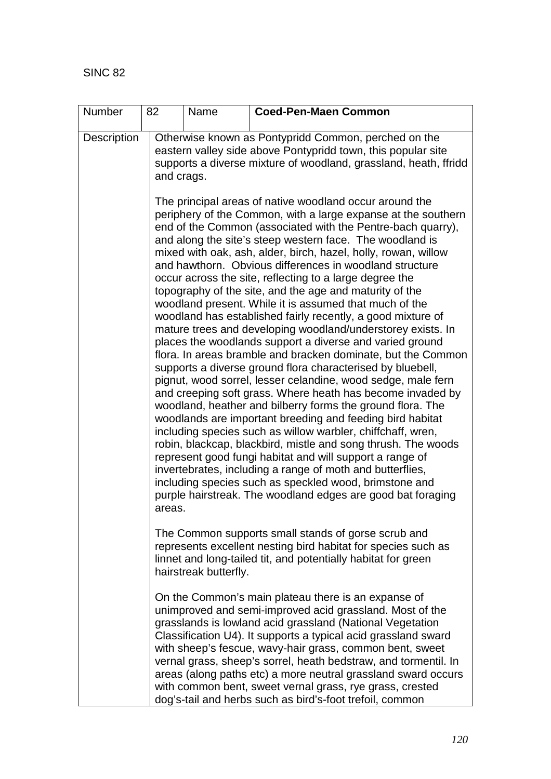| Number             | 82     | Name                                                                                                                                                                                                   | <b>Coed-Pen-Maen Common</b>                                                                                                                                                                                                                                                                                                                                                                                                                                                                                                                                                                                                                                                                                                                                                                                                                                                                                                                                                                                                                                                                                                                                                                                                                                                                                                                                                                                                                                                                                                         |  |  |  |  |  |  |  |
|--------------------|--------|--------------------------------------------------------------------------------------------------------------------------------------------------------------------------------------------------------|-------------------------------------------------------------------------------------------------------------------------------------------------------------------------------------------------------------------------------------------------------------------------------------------------------------------------------------------------------------------------------------------------------------------------------------------------------------------------------------------------------------------------------------------------------------------------------------------------------------------------------------------------------------------------------------------------------------------------------------------------------------------------------------------------------------------------------------------------------------------------------------------------------------------------------------------------------------------------------------------------------------------------------------------------------------------------------------------------------------------------------------------------------------------------------------------------------------------------------------------------------------------------------------------------------------------------------------------------------------------------------------------------------------------------------------------------------------------------------------------------------------------------------------|--|--|--|--|--|--|--|
| <b>Description</b> |        | Otherwise known as Pontypridd Common, perched on the<br>eastern valley side above Pontypridd town, this popular site<br>supports a diverse mixture of woodland, grassland, heath, ffridd<br>and crags. |                                                                                                                                                                                                                                                                                                                                                                                                                                                                                                                                                                                                                                                                                                                                                                                                                                                                                                                                                                                                                                                                                                                                                                                                                                                                                                                                                                                                                                                                                                                                     |  |  |  |  |  |  |  |
|                    | areas. |                                                                                                                                                                                                        | The principal areas of native woodland occur around the<br>periphery of the Common, with a large expanse at the southern<br>end of the Common (associated with the Pentre-bach quarry),<br>and along the site's steep western face. The woodland is<br>mixed with oak, ash, alder, birch, hazel, holly, rowan, willow<br>and hawthorn. Obvious differences in woodland structure<br>occur across the site, reflecting to a large degree the<br>topography of the site, and the age and maturity of the<br>woodland present. While it is assumed that much of the<br>woodland has established fairly recently, a good mixture of<br>mature trees and developing woodland/understorey exists. In<br>places the woodlands support a diverse and varied ground<br>flora. In areas bramble and bracken dominate, but the Common<br>supports a diverse ground flora characterised by bluebell,<br>pignut, wood sorrel, lesser celandine, wood sedge, male fern<br>and creeping soft grass. Where heath has become invaded by<br>woodland, heather and bilberry forms the ground flora. The<br>woodlands are important breeding and feeding bird habitat<br>including species such as willow warbler, chiffchaff, wren,<br>robin, blackcap, blackbird, mistle and song thrush. The woods<br>represent good fungi habitat and will support a range of<br>invertebrates, including a range of moth and butterflies,<br>including species such as speckled wood, brimstone and<br>purple hairstreak. The woodland edges are good bat foraging |  |  |  |  |  |  |  |
|                    |        | hairstreak butterfly.                                                                                                                                                                                  | The Common supports small stands of gorse scrub and<br>represents excellent nesting bird habitat for species such as<br>linnet and long-tailed tit, and potentially habitat for green                                                                                                                                                                                                                                                                                                                                                                                                                                                                                                                                                                                                                                                                                                                                                                                                                                                                                                                                                                                                                                                                                                                                                                                                                                                                                                                                               |  |  |  |  |  |  |  |
|                    |        |                                                                                                                                                                                                        | On the Common's main plateau there is an expanse of<br>unimproved and semi-improved acid grassland. Most of the<br>grasslands is lowland acid grassland (National Vegetation<br>Classification U4). It supports a typical acid grassland sward<br>with sheep's fescue, wavy-hair grass, common bent, sweet<br>vernal grass, sheep's sorrel, heath bedstraw, and tormentil. In<br>areas (along paths etc) a more neutral grassland sward occurs<br>with common bent, sweet vernal grass, rye grass, crested<br>dog's-tail and herbs such as bird's-foot trefoil, common                                                                                                                                                                                                                                                                                                                                                                                                                                                                                                                                                                                                                                                                                                                                                                                                                                                                                                                                                              |  |  |  |  |  |  |  |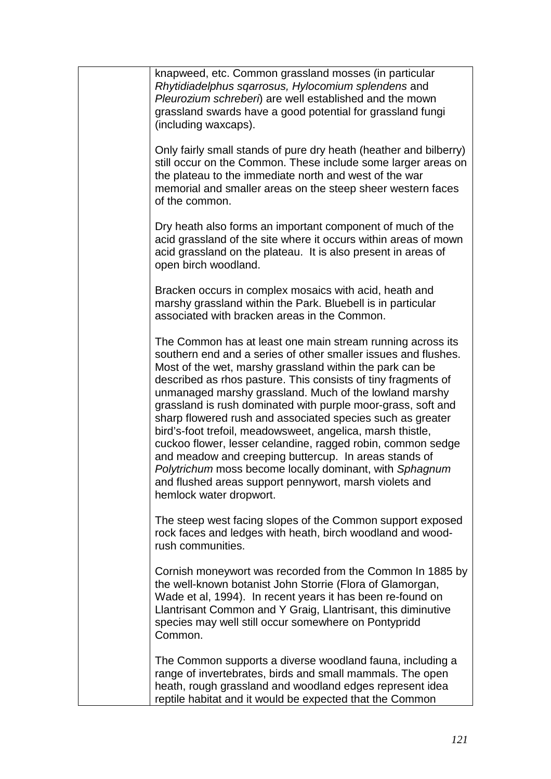| knapweed, etc. Common grassland mosses (in particular<br>Rhytidiadelphus sqarrosus, Hylocomium splendens and<br>Pleurozium schreberi) are well established and the mown<br>grassland swards have a good potential for grassland fungi<br>(including waxcaps).                                                                                                                                                                                                                                                                                                                                                                                                                                                                                                                           |
|-----------------------------------------------------------------------------------------------------------------------------------------------------------------------------------------------------------------------------------------------------------------------------------------------------------------------------------------------------------------------------------------------------------------------------------------------------------------------------------------------------------------------------------------------------------------------------------------------------------------------------------------------------------------------------------------------------------------------------------------------------------------------------------------|
| Only fairly small stands of pure dry heath (heather and bilberry)<br>still occur on the Common. These include some larger areas on<br>the plateau to the immediate north and west of the war<br>memorial and smaller areas on the steep sheer western faces<br>of the common.                                                                                                                                                                                                                                                                                                                                                                                                                                                                                                           |
| Dry heath also forms an important component of much of the<br>acid grassland of the site where it occurs within areas of mown<br>acid grassland on the plateau. It is also present in areas of<br>open birch woodland.                                                                                                                                                                                                                                                                                                                                                                                                                                                                                                                                                                  |
| Bracken occurs in complex mosaics with acid, heath and<br>marshy grassland within the Park. Bluebell is in particular<br>associated with bracken areas in the Common.                                                                                                                                                                                                                                                                                                                                                                                                                                                                                                                                                                                                                   |
| The Common has at least one main stream running across its<br>southern end and a series of other smaller issues and flushes.<br>Most of the wet, marshy grassland within the park can be<br>described as rhos pasture. This consists of tiny fragments of<br>unmanaged marshy grassland. Much of the lowland marshy<br>grassland is rush dominated with purple moor-grass, soft and<br>sharp flowered rush and associated species such as greater<br>bird's-foot trefoil, meadowsweet, angelica, marsh thistle,<br>cuckoo flower, lesser celandine, ragged robin, common sedge<br>and meadow and creeping buttercup. In areas stands of<br>Polytrichum moss become locally dominant, with Sphagnum<br>and flushed areas support pennywort, marsh violets and<br>hemlock water dropwort. |
| The steep west facing slopes of the Common support exposed<br>rock faces and ledges with heath, birch woodland and wood-<br>rush communities.                                                                                                                                                                                                                                                                                                                                                                                                                                                                                                                                                                                                                                           |
| Cornish moneywort was recorded from the Common In 1885 by<br>the well-known botanist John Storrie (Flora of Glamorgan,<br>Wade et al, 1994). In recent years it has been re-found on<br>Llantrisant Common and Y Graig, Llantrisant, this diminutive<br>species may well still occur somewhere on Pontypridd<br>Common.                                                                                                                                                                                                                                                                                                                                                                                                                                                                 |
| The Common supports a diverse woodland fauna, including a<br>range of invertebrates, birds and small mammals. The open<br>heath, rough grassland and woodland edges represent idea<br>reptile habitat and it would be expected that the Common                                                                                                                                                                                                                                                                                                                                                                                                                                                                                                                                          |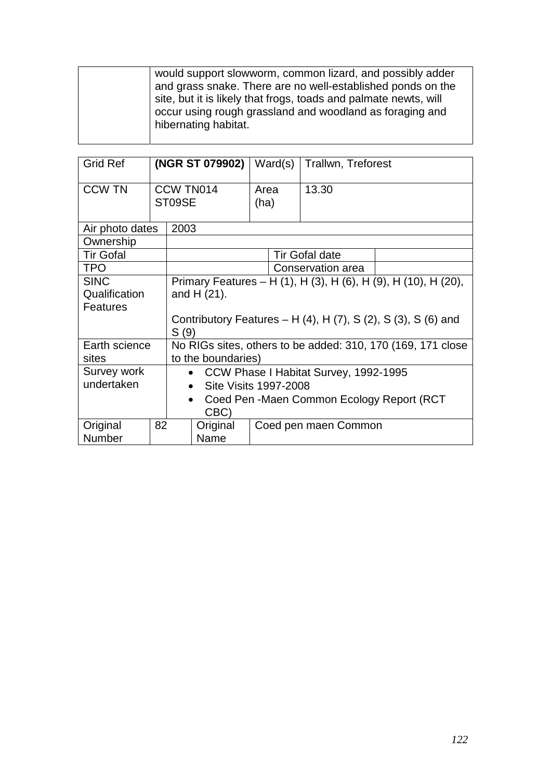would support slowworm, common lizard, and possibly adder and grass snake. There are no well-established ponds on the site, but it is likely that frogs, toads and palmate newts, will occur using rough grassland and woodland as foraging and hibernating habitat.

| <b>Grid Ref</b>                                                                     |    | (NGR ST 079902)                                                                   |                                                                |                       | Ward(s) | <b>Trallwn, Treforest</b> |  |  |
|-------------------------------------------------------------------------------------|----|-----------------------------------------------------------------------------------|----------------------------------------------------------------|-----------------------|---------|---------------------------|--|--|
| <b>CCW TN</b>                                                                       |    | ST09SE                                                                            | CCW TN014                                                      | Area<br>(ha)          |         | 13.30                     |  |  |
| Air photo dates                                                                     |    | 2003                                                                              |                                                                |                       |         |                           |  |  |
| Ownership                                                                           |    |                                                                                   |                                                                |                       |         |                           |  |  |
| <b>Tir Gofal</b>                                                                    |    |                                                                                   |                                                                |                       |         | <b>Tir Gofal date</b>     |  |  |
| <b>TPO</b>                                                                          |    |                                                                                   |                                                                |                       |         | Conservation area         |  |  |
| <b>SINC</b>                                                                         |    |                                                                                   | Primary Features – H (1), H (3), H (6), H (9), H (10), H (20), |                       |         |                           |  |  |
| Qualification                                                                       |    | and $H(21)$ .                                                                     |                                                                |                       |         |                           |  |  |
| <b>Features</b>                                                                     |    |                                                                                   |                                                                |                       |         |                           |  |  |
| Contributory Features – H $(4)$ , H $(7)$ , S $(2)$ , S $(3)$ , S $(6)$ and<br>S(9) |    |                                                                                   |                                                                |                       |         |                           |  |  |
| Earth science<br>sites                                                              |    | No RIGs sites, others to be added: 310, 170 (169, 171 close<br>to the boundaries) |                                                                |                       |         |                           |  |  |
| Survey work                                                                         |    |                                                                                   | CCW Phase I Habitat Survey, 1992-1995<br>$\bullet$             |                       |         |                           |  |  |
| undertaken<br>$\bullet$                                                             |    |                                                                                   |                                                                | Site Visits 1997-2008 |         |                           |  |  |
|                                                                                     |    |                                                                                   | Coed Pen -Maen Common Ecology Report (RCT<br>$\bullet$         |                       |         |                           |  |  |
| CBC)                                                                                |    |                                                                                   |                                                                |                       |         |                           |  |  |
| Original                                                                            | 82 |                                                                                   | Original                                                       |                       |         | Coed pen maen Common      |  |  |
| Number                                                                              |    | Name                                                                              |                                                                |                       |         |                           |  |  |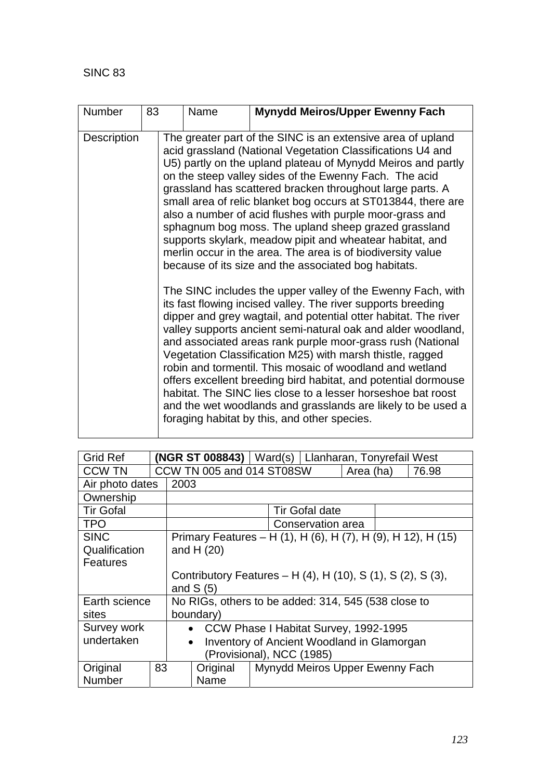| <b>Number</b> | 83 | Name                                                                                                                                                                                                                                                                                                                                                                                                                                                                                                                                                                                                                                                                                     | <b>Mynydd Meiros/Upper Ewenny Fach</b>                                                                                                                                                                                                                                                                                                                                                                                                                                                                                                                                                                                                                                                                  |  |  |  |  |  |
|---------------|----|------------------------------------------------------------------------------------------------------------------------------------------------------------------------------------------------------------------------------------------------------------------------------------------------------------------------------------------------------------------------------------------------------------------------------------------------------------------------------------------------------------------------------------------------------------------------------------------------------------------------------------------------------------------------------------------|---------------------------------------------------------------------------------------------------------------------------------------------------------------------------------------------------------------------------------------------------------------------------------------------------------------------------------------------------------------------------------------------------------------------------------------------------------------------------------------------------------------------------------------------------------------------------------------------------------------------------------------------------------------------------------------------------------|--|--|--|--|--|
| Description   |    | The greater part of the SINC is an extensive area of upland<br>acid grassland (National Vegetation Classifications U4 and<br>U5) partly on the upland plateau of Mynydd Meiros and partly<br>on the steep valley sides of the Ewenny Fach. The acid<br>grassland has scattered bracken throughout large parts. A<br>small area of relic blanket bog occurs at ST013844, there are<br>also a number of acid flushes with purple moor-grass and<br>sphagnum bog moss. The upland sheep grazed grassland<br>supports skylark, meadow pipit and wheatear habitat, and<br>merlin occur in the area. The area is of biodiversity value<br>because of its size and the associated bog habitats. |                                                                                                                                                                                                                                                                                                                                                                                                                                                                                                                                                                                                                                                                                                         |  |  |  |  |  |
|               |    |                                                                                                                                                                                                                                                                                                                                                                                                                                                                                                                                                                                                                                                                                          | The SINC includes the upper valley of the Ewenny Fach, with<br>its fast flowing incised valley. The river supports breeding<br>dipper and grey wagtail, and potential otter habitat. The river<br>valley supports ancient semi-natural oak and alder woodland,<br>and associated areas rank purple moor-grass rush (National<br>Vegetation Classification M25) with marsh thistle, ragged<br>robin and tormentil. This mosaic of woodland and wetland<br>offers excellent breeding bird habitat, and potential dormouse<br>habitat. The SINC lies close to a lesser horseshoe bat roost<br>and the wet woodlands and grasslands are likely to be used a<br>foraging habitat by this, and other species. |  |  |  |  |  |

| <b>Grid Ref</b>           |                                                                |                                                             | $(NGR ST 008843)$   Ward(s)   Llanharan, Tonyrefail West     |                                       |                       |  |  |  |  |
|---------------------------|----------------------------------------------------------------|-------------------------------------------------------------|--------------------------------------------------------------|---------------------------------------|-----------------------|--|--|--|--|
| <b>CCW TN</b>             |                                                                |                                                             | CCW TN 005 and 014 ST08SW<br>Area (ha)<br>76.98              |                                       |                       |  |  |  |  |
| Air photo dates           |                                                                | 2003                                                        |                                                              |                                       |                       |  |  |  |  |
| Ownership                 |                                                                |                                                             |                                                              |                                       |                       |  |  |  |  |
| <b>Tir Gofal</b>          |                                                                |                                                             |                                                              |                                       | <b>Tir Gofal date</b> |  |  |  |  |
| <b>TPO</b>                |                                                                |                                                             |                                                              |                                       | Conservation area     |  |  |  |  |
| <b>SINC</b>               |                                                                |                                                             | Primary Features - H (1), H (6), H (7), H (9), H 12), H (15) |                                       |                       |  |  |  |  |
| Qualification             | and H $(20)$                                                   |                                                             |                                                              |                                       |                       |  |  |  |  |
| Features                  |                                                                |                                                             |                                                              |                                       |                       |  |  |  |  |
|                           |                                                                | Contributory Features - H (4), H (10), S (1), S (2), S (3), |                                                              |                                       |                       |  |  |  |  |
|                           |                                                                |                                                             | and $S(5)$                                                   |                                       |                       |  |  |  |  |
| Earth science             |                                                                | No RIGs, others to be added: 314, 545 (538 close to         |                                                              |                                       |                       |  |  |  |  |
| sites                     |                                                                | boundary)                                                   |                                                              |                                       |                       |  |  |  |  |
| Survey work               |                                                                |                                                             | $\bullet$                                                    | CCW Phase I Habitat Survey, 1992-1995 |                       |  |  |  |  |
| undertaken                | <b>Inventory of Ancient Woodland in Glamorgan</b><br>$\bullet$ |                                                             |                                                              |                                       |                       |  |  |  |  |
| (Provisional), NCC (1985) |                                                                |                                                             |                                                              |                                       |                       |  |  |  |  |
| Original                  | 83                                                             |                                                             | Original                                                     | Mynydd Meiros Upper Ewenny Fach       |                       |  |  |  |  |
| Number                    |                                                                |                                                             | Name                                                         |                                       |                       |  |  |  |  |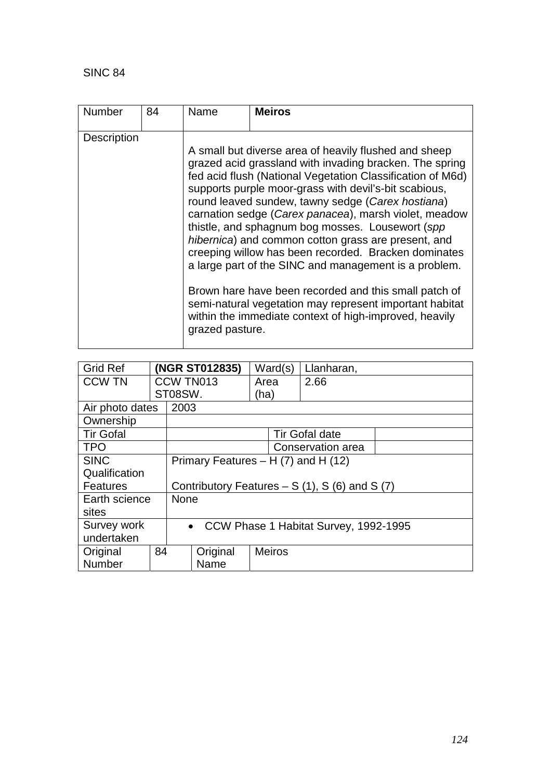## SINC 84

| Number             | 84 | Name            | <b>Meiros</b>                                                                                                                                                                                                                                                                                                                                                                                                                                                                                                                                                                                                                                                                                                                                                    |
|--------------------|----|-----------------|------------------------------------------------------------------------------------------------------------------------------------------------------------------------------------------------------------------------------------------------------------------------------------------------------------------------------------------------------------------------------------------------------------------------------------------------------------------------------------------------------------------------------------------------------------------------------------------------------------------------------------------------------------------------------------------------------------------------------------------------------------------|
| <b>Description</b> |    | grazed pasture. | A small but diverse area of heavily flushed and sheep<br>grazed acid grassland with invading bracken. The spring<br>fed acid flush (National Vegetation Classification of M6d)<br>supports purple moor-grass with devil's-bit scabious,<br>round leaved sundew, tawny sedge (Carex hostiana)<br>carnation sedge (Carex panacea), marsh violet, meadow<br>thistle, and sphagnum bog mosses. Lousewort (spp)<br>hibernica) and common cotton grass are present, and<br>creeping willow has been recorded. Bracken dominates<br>a large part of the SINC and management is a problem.<br>Brown hare have been recorded and this small patch of<br>semi-natural vegetation may represent important habitat<br>within the immediate context of high-improved, heavily |

| <b>Grid Ref</b>                                    |      |                                                  | (NGR ST012835)                                     | Ward(s)       | Llanharan,            |  |  |
|----------------------------------------------------|------|--------------------------------------------------|----------------------------------------------------|---------------|-----------------------|--|--|
| <b>CCW TN</b>                                      |      |                                                  | CCW TN013                                          | Area          | 2.66                  |  |  |
|                                                    |      | ST08SW.                                          |                                                    | (ha)          |                       |  |  |
| Air photo dates                                    |      | 2003                                             |                                                    |               |                       |  |  |
| Ownership                                          |      |                                                  |                                                    |               |                       |  |  |
| <b>Tir Gofal</b>                                   |      |                                                  |                                                    |               | <b>Tir Gofal date</b> |  |  |
| <b>TPO</b>                                         |      |                                                  |                                                    |               | Conservation area     |  |  |
| <b>SINC</b><br>Primary Features - H (7) and H (12) |      |                                                  |                                                    |               |                       |  |  |
| Qualification                                      |      |                                                  |                                                    |               |                       |  |  |
| <b>Features</b>                                    |      | Contributory Features $- S(1)$ , S (6) and S (7) |                                                    |               |                       |  |  |
| Earth science                                      |      | <b>None</b>                                      |                                                    |               |                       |  |  |
| sites                                              |      |                                                  |                                                    |               |                       |  |  |
| Survey work                                        |      |                                                  | CCW Phase 1 Habitat Survey, 1992-1995<br>$\bullet$ |               |                       |  |  |
| undertaken                                         |      |                                                  |                                                    |               |                       |  |  |
| Original                                           | 84   |                                                  | Original                                           | <b>Meiros</b> |                       |  |  |
| <b>Number</b>                                      | Name |                                                  |                                                    |               |                       |  |  |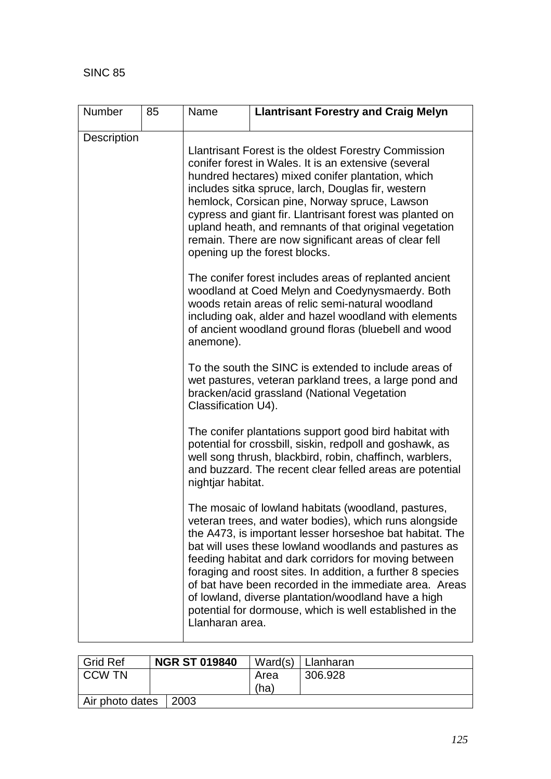$\mathsf{l}$ 

| <b>Number</b>      | 85 | Name                | <b>Llantrisant Forestry and Craig Melyn</b>                                                                                                                                                                                                                                                                                                                                                                                                                                                                                            |
|--------------------|----|---------------------|----------------------------------------------------------------------------------------------------------------------------------------------------------------------------------------------------------------------------------------------------------------------------------------------------------------------------------------------------------------------------------------------------------------------------------------------------------------------------------------------------------------------------------------|
| <b>Description</b> |    |                     | Llantrisant Forest is the oldest Forestry Commission<br>conifer forest in Wales. It is an extensive (several<br>hundred hectares) mixed conifer plantation, which<br>includes sitka spruce, larch, Douglas fir, western<br>hemlock, Corsican pine, Norway spruce, Lawson<br>cypress and giant fir. Llantrisant forest was planted on<br>upland heath, and remnants of that original vegetation<br>remain. There are now significant areas of clear fell<br>opening up the forest blocks.                                               |
|                    |    | anemone).           | The conifer forest includes areas of replanted ancient<br>woodland at Coed Melyn and Coedynysmaerdy. Both<br>woods retain areas of relic semi-natural woodland<br>including oak, alder and hazel woodland with elements<br>of ancient woodland ground floras (bluebell and wood                                                                                                                                                                                                                                                        |
|                    |    | Classification U4). | To the south the SINC is extended to include areas of<br>wet pastures, veteran parkland trees, a large pond and<br>bracken/acid grassland (National Vegetation                                                                                                                                                                                                                                                                                                                                                                         |
|                    |    | nightjar habitat.   | The conifer plantations support good bird habitat with<br>potential for crossbill, siskin, redpoll and goshawk, as<br>well song thrush, blackbird, robin, chaffinch, warblers,<br>and buzzard. The recent clear felled areas are potential                                                                                                                                                                                                                                                                                             |
|                    |    | Llanharan area.     | The mosaic of lowland habitats (woodland, pastures,<br>veteran trees, and water bodies), which runs alongside<br>the A473, is important lesser horseshoe bat habitat. The<br>bat will uses these lowland woodlands and pastures as<br>feeding habitat and dark corridors for moving between<br>foraging and roost sites. In addition, a further 8 species<br>of bat have been recorded in the immediate area. Areas<br>of lowland, diverse plantation/woodland have a high<br>potential for dormouse, which is well established in the |

| <b>Grid Ref</b> | <b>NGR ST 019840</b> | Ward(s) | l Llanharan |
|-----------------|----------------------|---------|-------------|
| <b>CCW TN</b>   |                      | Area    | 306.928     |
|                 |                      | 'ha)    |             |
| Air photo dates | 2003                 |         |             |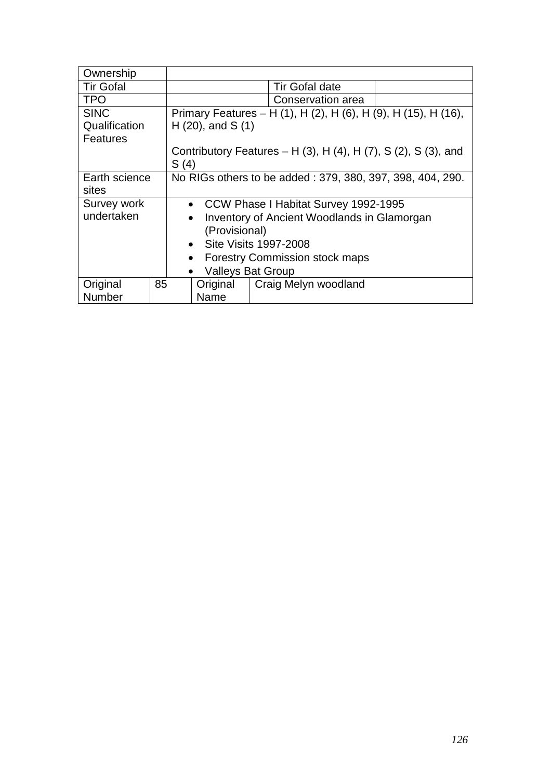| Ownership        |    |                                                           |                       |                                                                               |  |  |
|------------------|----|-----------------------------------------------------------|-----------------------|-------------------------------------------------------------------------------|--|--|
| <b>Tir Gofal</b> |    | <b>Tir Gofal date</b>                                     |                       |                                                                               |  |  |
| <b>TPO</b>       |    |                                                           |                       | Conservation area                                                             |  |  |
| <b>SINC</b>      |    |                                                           |                       | Primary Features - H (1), H (2), H (6), H (9), H (15), H (16),                |  |  |
| Qualification    |    |                                                           | $H(20)$ , and S $(1)$ |                                                                               |  |  |
| <b>Features</b>  |    |                                                           |                       |                                                                               |  |  |
|                  |    |                                                           |                       | Contributory Features – H $(3)$ , H $(4)$ , H $(7)$ , S $(2)$ , S $(3)$ , and |  |  |
|                  |    | S(4)                                                      |                       |                                                                               |  |  |
| Earth science    |    | No RIGs others to be added: 379, 380, 397, 398, 404, 290. |                       |                                                                               |  |  |
| sites            |    |                                                           |                       |                                                                               |  |  |
| Survey work      |    | • CCW Phase I Habitat Survey 1992-1995                    |                       |                                                                               |  |  |
| undertaken       |    | Inventory of Ancient Woodlands in Glamorgan<br>$\bullet$  |                       |                                                                               |  |  |
|                  |    | (Provisional)                                             |                       |                                                                               |  |  |
|                  |    | • Site Visits 1997-2008                                   |                       |                                                                               |  |  |
|                  |    | <b>Forestry Commission stock maps</b><br>$\bullet$        |                       |                                                                               |  |  |
|                  |    | <b>Valleys Bat Group</b>                                  |                       |                                                                               |  |  |
| Original         | 85 |                                                           | Original              | Craig Melyn woodland                                                          |  |  |
| Number           |    | Name                                                      |                       |                                                                               |  |  |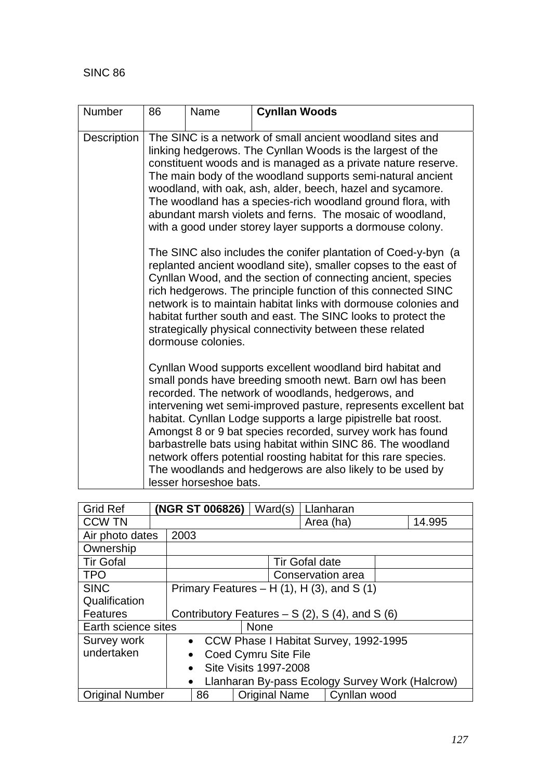| Number      | 86                                                                                                                                                                                                                                                                                                                                                                                                                                                                                                                                                                                                        | Name | <b>Cynllan Woods</b> |  |  |  |  |
|-------------|-----------------------------------------------------------------------------------------------------------------------------------------------------------------------------------------------------------------------------------------------------------------------------------------------------------------------------------------------------------------------------------------------------------------------------------------------------------------------------------------------------------------------------------------------------------------------------------------------------------|------|----------------------|--|--|--|--|
| Description | The SINC is a network of small ancient woodland sites and<br>linking hedgerows. The Cynllan Woods is the largest of the<br>constituent woods and is managed as a private nature reserve.<br>The main body of the woodland supports semi-natural ancient<br>woodland, with oak, ash, alder, beech, hazel and sycamore.<br>The woodland has a species-rich woodland ground flora, with<br>abundant marsh violets and ferns. The mosaic of woodland,<br>with a good under storey layer supports a dormouse colony.                                                                                           |      |                      |  |  |  |  |
|             | The SINC also includes the conifer plantation of Coed-y-byn (a<br>replanted ancient woodland site), smaller copses to the east of<br>Cynllan Wood, and the section of connecting ancient, species<br>rich hedgerows. The principle function of this connected SINC<br>network is to maintain habitat links with dormouse colonies and<br>habitat further south and east. The SINC looks to protect the<br>strategically physical connectivity between these related<br>dormouse colonies.                                                                                                                 |      |                      |  |  |  |  |
|             | Cynllan Wood supports excellent woodland bird habitat and<br>small ponds have breeding smooth newt. Barn owl has been<br>recorded. The network of woodlands, hedgerows, and<br>intervening wet semi-improved pasture, represents excellent bat<br>habitat. Cynllan Lodge supports a large pipistrelle bat roost.<br>Amongst 8 or 9 bat species recorded, survey work has found<br>barbastrelle bats using habitat within SINC 86. The woodland<br>network offers potential roosting habitat for this rare species.<br>The woodlands and hedgerows are also likely to be used by<br>lesser horseshoe bats. |      |                      |  |  |  |  |

| <b>Grid Ref</b>        |                                   | (NGR ST 006826)                                   |                                                 | Ward(s)              | Llanharan             |                                       |  |                                                 |
|------------------------|-----------------------------------|---------------------------------------------------|-------------------------------------------------|----------------------|-----------------------|---------------------------------------|--|-------------------------------------------------|
| <b>CCW TN</b>          |                                   |                                                   |                                                 |                      | Area (ha)             |                                       |  | 14.995                                          |
| Air photo dates        |                                   | 2003                                              |                                                 |                      |                       |                                       |  |                                                 |
| Ownership              |                                   |                                                   |                                                 |                      |                       |                                       |  |                                                 |
| <b>Tir Gofal</b>       |                                   |                                                   |                                                 |                      | <b>Tir Gofal date</b> |                                       |  |                                                 |
| <b>TPO</b>             |                                   |                                                   |                                                 |                      | Conservation area     |                                       |  |                                                 |
| <b>SINC</b>            |                                   | Primary Features $- H(1)$ , H $(3)$ , and S $(1)$ |                                                 |                      |                       |                                       |  |                                                 |
| Qualification          |                                   |                                                   |                                                 |                      |                       |                                       |  |                                                 |
| Features               |                                   |                                                   | Contributory Features $- S(2)$ , S(4), and S(6) |                      |                       |                                       |  |                                                 |
| Earth science sites    |                                   |                                                   | <b>None</b>                                     |                      |                       |                                       |  |                                                 |
| Survey work            |                                   | $\bullet$                                         |                                                 |                      |                       | CCW Phase I Habitat Survey, 1992-1995 |  |                                                 |
| undertaken             | Coed Cymru Site File<br>$\bullet$ |                                                   |                                                 |                      |                       |                                       |  |                                                 |
|                        |                                   | Site Visits 1997-2008<br>$\bullet$                |                                                 |                      |                       |                                       |  |                                                 |
|                        |                                   | $\bullet$                                         |                                                 |                      |                       |                                       |  | Llanharan By-pass Ecology Survey Work (Halcrow) |
| <b>Original Number</b> |                                   | 86                                                |                                                 | <b>Original Name</b> |                       | Cynllan wood                          |  |                                                 |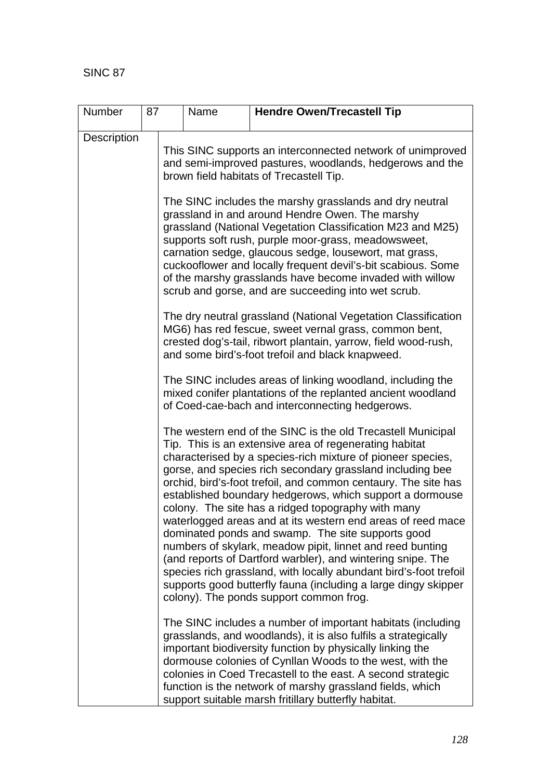| <b>Number</b> | 87 | <b>Hendre Owen/Trecastell Tip</b><br>Name                                                                                                                                                                                                                                                                                                                                                                                                                                                                                                                                                                                                         |                                                                                                                                                                              |                                                                                                                                                                                                                                                                                                                                                                                                                                                                                                                                                                                                                                                                                                                                                                                                                                                                         |  |  |  |  |  |
|---------------|----|---------------------------------------------------------------------------------------------------------------------------------------------------------------------------------------------------------------------------------------------------------------------------------------------------------------------------------------------------------------------------------------------------------------------------------------------------------------------------------------------------------------------------------------------------------------------------------------------------------------------------------------------------|------------------------------------------------------------------------------------------------------------------------------------------------------------------------------|-------------------------------------------------------------------------------------------------------------------------------------------------------------------------------------------------------------------------------------------------------------------------------------------------------------------------------------------------------------------------------------------------------------------------------------------------------------------------------------------------------------------------------------------------------------------------------------------------------------------------------------------------------------------------------------------------------------------------------------------------------------------------------------------------------------------------------------------------------------------------|--|--|--|--|--|
| Description   |    |                                                                                                                                                                                                                                                                                                                                                                                                                                                                                                                                                                                                                                                   |                                                                                                                                                                              |                                                                                                                                                                                                                                                                                                                                                                                                                                                                                                                                                                                                                                                                                                                                                                                                                                                                         |  |  |  |  |  |
|               |    | This SINC supports an interconnected network of unimproved<br>and semi-improved pastures, woodlands, hedgerows and the<br>brown field habitats of Trecastell Tip.<br>The SINC includes the marshy grasslands and dry neutral<br>grassland in and around Hendre Owen. The marshy<br>grassland (National Vegetation Classification M23 and M25)<br>supports soft rush, purple moor-grass, meadowsweet,<br>carnation sedge, glaucous sedge, lousewort, mat grass,<br>cuckooflower and locally frequent devil's-bit scabious. Some<br>of the marshy grasslands have become invaded with willow<br>scrub and gorse, and are succeeding into wet scrub. |                                                                                                                                                                              |                                                                                                                                                                                                                                                                                                                                                                                                                                                                                                                                                                                                                                                                                                                                                                                                                                                                         |  |  |  |  |  |
|               |    |                                                                                                                                                                                                                                                                                                                                                                                                                                                                                                                                                                                                                                                   |                                                                                                                                                                              |                                                                                                                                                                                                                                                                                                                                                                                                                                                                                                                                                                                                                                                                                                                                                                                                                                                                         |  |  |  |  |  |
|               |    | The dry neutral grassland (National Vegetation Classification<br>MG6) has red fescue, sweet vernal grass, common bent,<br>crested dog's-tail, ribwort plantain, yarrow, field wood-rush,<br>and some bird's-foot trefoil and black knapweed.                                                                                                                                                                                                                                                                                                                                                                                                      |                                                                                                                                                                              |                                                                                                                                                                                                                                                                                                                                                                                                                                                                                                                                                                                                                                                                                                                                                                                                                                                                         |  |  |  |  |  |
|               |    |                                                                                                                                                                                                                                                                                                                                                                                                                                                                                                                                                                                                                                                   | The SINC includes areas of linking woodland, including the<br>mixed conifer plantations of the replanted ancient woodland<br>of Coed-cae-bach and interconnecting hedgerows. |                                                                                                                                                                                                                                                                                                                                                                                                                                                                                                                                                                                                                                                                                                                                                                                                                                                                         |  |  |  |  |  |
|               |    |                                                                                                                                                                                                                                                                                                                                                                                                                                                                                                                                                                                                                                                   |                                                                                                                                                                              | The western end of the SINC is the old Trecastell Municipal<br>Tip. This is an extensive area of regenerating habitat<br>characterised by a species-rich mixture of pioneer species,<br>gorse, and species rich secondary grassland including bee<br>orchid, bird's-foot trefoil, and common centaury. The site has<br>established boundary hedgerows, which support a dormouse<br>colony. The site has a ridged topography with many<br>waterlogged areas and at its western end areas of reed mace<br>dominated ponds and swamp. The site supports good<br>numbers of skylark, meadow pipit, linnet and reed bunting<br>(and reports of Dartford warbler), and wintering snipe. The<br>species rich grassland, with locally abundant bird's-foot trefoil<br>supports good butterfly fauna (including a large dingy skipper<br>colony). The ponds support common frog. |  |  |  |  |  |
|               |    |                                                                                                                                                                                                                                                                                                                                                                                                                                                                                                                                                                                                                                                   |                                                                                                                                                                              | The SINC includes a number of important habitats (including<br>grasslands, and woodlands), it is also fulfils a strategically<br>important biodiversity function by physically linking the<br>dormouse colonies of Cynllan Woods to the west, with the<br>colonies in Coed Trecastell to the east. A second strategic<br>function is the network of marshy grassland fields, which<br>support suitable marsh fritillary butterfly habitat.                                                                                                                                                                                                                                                                                                                                                                                                                              |  |  |  |  |  |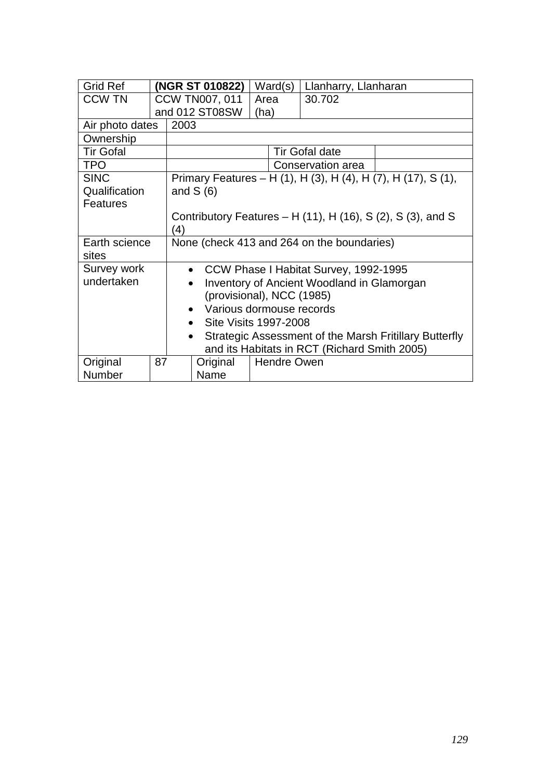| <b>Grid Ref</b>  |                                                                     |                                                               | (NGR ST 010822)       |      | Ward(s)            | Llanharry, Llanharan  |                                                               |  |
|------------------|---------------------------------------------------------------------|---------------------------------------------------------------|-----------------------|------|--------------------|-----------------------|---------------------------------------------------------------|--|
| <b>CCW TN</b>    |                                                                     |                                                               | <b>CCW TN007, 011</b> | Area |                    | 30.702                |                                                               |  |
|                  |                                                                     |                                                               | and 012 ST08SW        | (ha) |                    |                       |                                                               |  |
| Air photo dates  |                                                                     | 2003                                                          |                       |      |                    |                       |                                                               |  |
| Ownership        |                                                                     |                                                               |                       |      |                    |                       |                                                               |  |
| <b>Tir Gofal</b> |                                                                     |                                                               |                       |      |                    | <b>Tir Gofal date</b> |                                                               |  |
| <b>TPO</b>       |                                                                     |                                                               |                       |      |                    | Conservation area     |                                                               |  |
| <b>SINC</b>      |                                                                     |                                                               |                       |      |                    |                       | Primary Features – H (1), H (3), H (4), H (7), H (17), S (1), |  |
| Qualification    |                                                                     |                                                               | and $S(6)$            |      |                    |                       |                                                               |  |
| <b>Features</b>  |                                                                     |                                                               |                       |      |                    |                       |                                                               |  |
|                  |                                                                     | Contributory Features $-$ H (11), H (16), S (2), S (3), and S |                       |      |                    |                       |                                                               |  |
|                  |                                                                     | (4)                                                           |                       |      |                    |                       |                                                               |  |
| Earth science    |                                                                     | None (check 413 and 264 on the boundaries)                    |                       |      |                    |                       |                                                               |  |
| sites            |                                                                     |                                                               |                       |      |                    |                       |                                                               |  |
| Survey work      |                                                                     | • CCW Phase I Habitat Survey, 1992-1995                       |                       |      |                    |                       |                                                               |  |
| undertaken       |                                                                     | <b>Inventory of Ancient Woodland in Glamorgan</b>             |                       |      |                    |                       |                                                               |  |
|                  |                                                                     | (provisional), NCC (1985)                                     |                       |      |                    |                       |                                                               |  |
|                  | Various dormouse records                                            |                                                               |                       |      |                    |                       |                                                               |  |
|                  | Site Visits 1997-2008<br>$\bullet$                                  |                                                               |                       |      |                    |                       |                                                               |  |
|                  | Strategic Assessment of the Marsh Fritillary Butterfly<br>$\bullet$ |                                                               |                       |      |                    |                       |                                                               |  |
|                  | and its Habitats in RCT (Richard Smith 2005)                        |                                                               |                       |      |                    |                       |                                                               |  |
| Original         | 87                                                                  |                                                               | Original              |      | <b>Hendre Owen</b> |                       |                                                               |  |
| Number           |                                                                     |                                                               | Name                  |      |                    |                       |                                                               |  |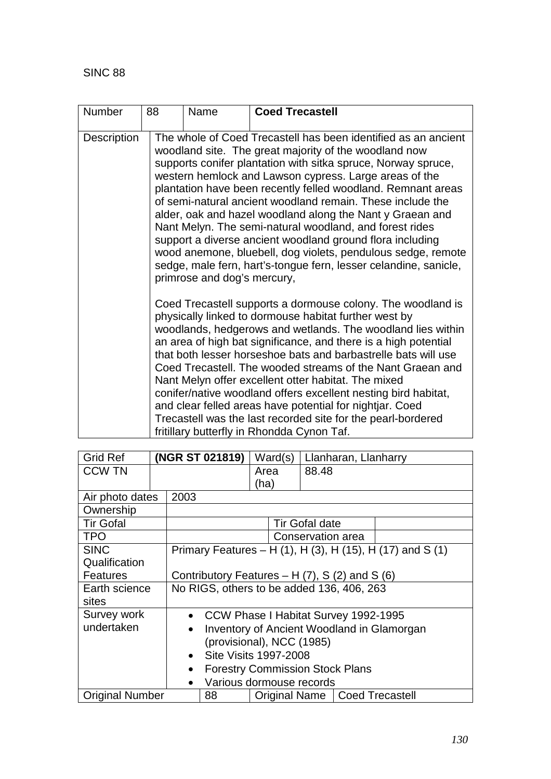| Number             | 88 | Name                                                                                                                                                                                                                                                                                                                                                                                                                                                                                                                                                                                                                                                                                      | <b>Coed Trecastell</b>                                                                                                                                                                                                                                                                                                                                                                                                                                                                                                                                                                                                                                                                                    |  |  |  |
|--------------------|----|-------------------------------------------------------------------------------------------------------------------------------------------------------------------------------------------------------------------------------------------------------------------------------------------------------------------------------------------------------------------------------------------------------------------------------------------------------------------------------------------------------------------------------------------------------------------------------------------------------------------------------------------------------------------------------------------|-----------------------------------------------------------------------------------------------------------------------------------------------------------------------------------------------------------------------------------------------------------------------------------------------------------------------------------------------------------------------------------------------------------------------------------------------------------------------------------------------------------------------------------------------------------------------------------------------------------------------------------------------------------------------------------------------------------|--|--|--|
| <b>Description</b> |    | primrose and dog's mercury,                                                                                                                                                                                                                                                                                                                                                                                                                                                                                                                                                                                                                                                               | The whole of Coed Trecastell has been identified as an ancient<br>woodland site. The great majority of the woodland now<br>supports conifer plantation with sitka spruce, Norway spruce,<br>western hemlock and Lawson cypress. Large areas of the<br>plantation have been recently felled woodland. Remnant areas<br>of semi-natural ancient woodland remain. These include the<br>alder, oak and hazel woodland along the Nant y Graean and<br>Nant Melyn. The semi-natural woodland, and forest rides<br>support a diverse ancient woodland ground flora including<br>wood anemone, bluebell, dog violets, pendulous sedge, remote<br>sedge, male fern, hart's-tongue fern, lesser celandine, sanicle, |  |  |  |
|                    |    | Coed Trecastell supports a dormouse colony. The woodland is<br>physically linked to dormouse habitat further west by<br>woodlands, hedgerows and wetlands. The woodland lies within<br>an area of high bat significance, and there is a high potential<br>that both lesser horseshoe bats and barbastrelle bats will use<br>Coed Trecastell. The wooded streams of the Nant Graean and<br>Nant Melyn offer excellent otter habitat. The mixed<br>conifer/native woodland offers excellent nesting bird habitat,<br>and clear felled areas have potential for nightjar. Coed<br>Trecastell was the last recorded site for the pearl-bordered<br>fritillary butterfly in Rhondda Cynon Taf. |                                                                                                                                                                                                                                                                                                                                                                                                                                                                                                                                                                                                                                                                                                           |  |  |  |

| <b>Grid Ref</b>        |                                                     |                                                         | (NGR ST 021819)                        | Ward(s) |                       | Llanharan, Llanharry            |                                                           |  |
|------------------------|-----------------------------------------------------|---------------------------------------------------------|----------------------------------------|---------|-----------------------|---------------------------------|-----------------------------------------------------------|--|
| <b>CCW TN</b>          |                                                     |                                                         |                                        | Area    |                       | 88.48                           |                                                           |  |
|                        |                                                     |                                                         |                                        | (ha)    |                       |                                 |                                                           |  |
| Air photo dates        |                                                     | 2003                                                    |                                        |         |                       |                                 |                                                           |  |
| Ownership              |                                                     |                                                         |                                        |         |                       |                                 |                                                           |  |
| <b>Tir Gofal</b>       |                                                     |                                                         |                                        |         | <b>Tir Gofal date</b> |                                 |                                                           |  |
| <b>TPO</b>             |                                                     |                                                         |                                        |         | Conservation area     |                                 |                                                           |  |
| <b>SINC</b>            |                                                     |                                                         |                                        |         |                       |                                 | Primary Features – H (1), H (3), H (15), H (17) and S (1) |  |
| Qualification          |                                                     |                                                         |                                        |         |                       |                                 |                                                           |  |
| <b>Features</b>        |                                                     | Contributory Features $- H(7)$ , S (2) and S (6)        |                                        |         |                       |                                 |                                                           |  |
| Earth science          |                                                     | No RIGS, others to be added 136, 406, 263               |                                        |         |                       |                                 |                                                           |  |
| sites                  |                                                     |                                                         |                                        |         |                       |                                 |                                                           |  |
| Survey work            |                                                     |                                                         | • CCW Phase I Habitat Survey 1992-1995 |         |                       |                                 |                                                           |  |
| undertaken             |                                                     | Inventory of Ancient Woodland in Glamorgan<br>$\bullet$ |                                        |         |                       |                                 |                                                           |  |
|                        |                                                     |                                                         | (provisional), NCC (1985)              |         |                       |                                 |                                                           |  |
|                        |                                                     | <b>Site Visits 1997-2008</b><br>$\bullet$               |                                        |         |                       |                                 |                                                           |  |
|                        | <b>Forestry Commission Stock Plans</b><br>$\bullet$ |                                                         |                                        |         |                       |                                 |                                                           |  |
|                        | $\bullet$                                           | Various dormouse records                                |                                        |         |                       |                                 |                                                           |  |
| <b>Original Number</b> |                                                     |                                                         | 88                                     |         |                       | Original Name   Coed Trecastell |                                                           |  |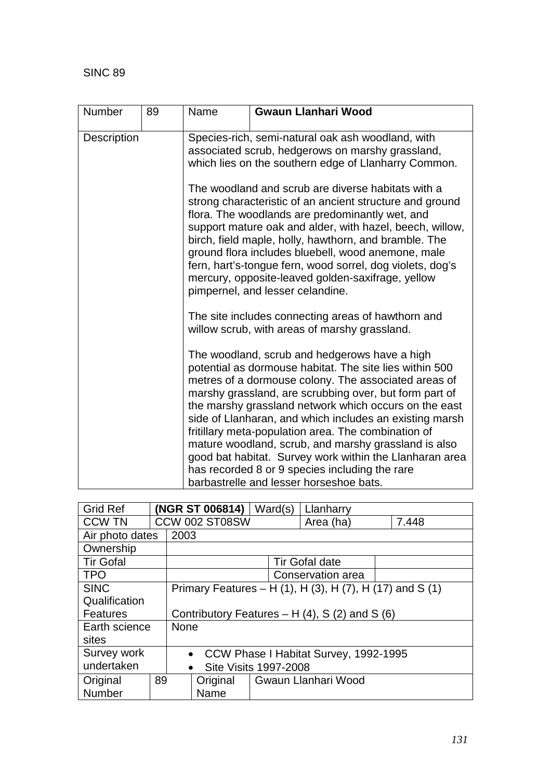| <b>Number</b> | 89 | Name                                                                                                                                                                                                                                                                                                                                                                                                                                                                                               | <b>Gwaun Llanhari Wood</b>                                                                                                                                                                                                                                                                                                                                                                                                                                                                                                                                                                                            |  |  |  |  |
|---------------|----|----------------------------------------------------------------------------------------------------------------------------------------------------------------------------------------------------------------------------------------------------------------------------------------------------------------------------------------------------------------------------------------------------------------------------------------------------------------------------------------------------|-----------------------------------------------------------------------------------------------------------------------------------------------------------------------------------------------------------------------------------------------------------------------------------------------------------------------------------------------------------------------------------------------------------------------------------------------------------------------------------------------------------------------------------------------------------------------------------------------------------------------|--|--|--|--|
| Description   |    |                                                                                                                                                                                                                                                                                                                                                                                                                                                                                                    | Species-rich, semi-natural oak ash woodland, with<br>associated scrub, hedgerows on marshy grassland,<br>which lies on the southern edge of Llanharry Common.                                                                                                                                                                                                                                                                                                                                                                                                                                                         |  |  |  |  |
|               |    | The woodland and scrub are diverse habitats with a<br>strong characteristic of an ancient structure and ground<br>flora. The woodlands are predominantly wet, and<br>support mature oak and alder, with hazel, beech, willow,<br>birch, field maple, holly, hawthorn, and bramble. The<br>ground flora includes bluebell, wood anemone, male<br>fern, hart's-tongue fern, wood sorrel, dog violets, dog's<br>mercury, opposite-leaved golden-saxifrage, yellow<br>pimpernel, and lesser celandine. |                                                                                                                                                                                                                                                                                                                                                                                                                                                                                                                                                                                                                       |  |  |  |  |
|               |    |                                                                                                                                                                                                                                                                                                                                                                                                                                                                                                    | The site includes connecting areas of hawthorn and<br>willow scrub, with areas of marshy grassland.                                                                                                                                                                                                                                                                                                                                                                                                                                                                                                                   |  |  |  |  |
|               |    |                                                                                                                                                                                                                                                                                                                                                                                                                                                                                                    | The woodland, scrub and hedgerows have a high<br>potential as dormouse habitat. The site lies within 500<br>metres of a dormouse colony. The associated areas of<br>marshy grassland, are scrubbing over, but form part of<br>the marshy grassland network which occurs on the east<br>side of Llanharan, and which includes an existing marsh<br>fritillary meta-population area. The combination of<br>mature woodland, scrub, and marshy grassland is also<br>good bat habitat. Survey work within the Llanharan area<br>has recorded 8 or 9 species including the rare<br>barbastrelle and lesser horseshoe bats. |  |  |  |  |

| <b>Grid Ref</b>  |    |             | (NGR ST 006814)                                  |                                                    |                                                          |  |       |  |
|------------------|----|-------------|--------------------------------------------------|----------------------------------------------------|----------------------------------------------------------|--|-------|--|
| <b>CCW TN</b>    |    |             | CCW 002 ST08SW                                   |                                                    | Area (ha)                                                |  | 7.448 |  |
| Air photo dates  |    | 2003        |                                                  |                                                    |                                                          |  |       |  |
| Ownership        |    |             |                                                  |                                                    |                                                          |  |       |  |
| <b>Tir Gofal</b> |    |             |                                                  |                                                    | <b>Tir Gofal date</b>                                    |  |       |  |
| <b>TPO</b>       |    |             |                                                  |                                                    | Conservation area                                        |  |       |  |
| <b>SINC</b>      |    |             |                                                  |                                                    | Primary Features – H (1), H (3), H (7), H (17) and S (1) |  |       |  |
| Qualification    |    |             |                                                  |                                                    |                                                          |  |       |  |
| <b>Features</b>  |    |             | Contributory Features $- H(4)$ , S (2) and S (6) |                                                    |                                                          |  |       |  |
| Earth science    |    | <b>None</b> |                                                  |                                                    |                                                          |  |       |  |
| sites            |    |             |                                                  |                                                    |                                                          |  |       |  |
| Survey work      |    |             |                                                  | CCW Phase I Habitat Survey, 1992-1995<br>$\bullet$ |                                                          |  |       |  |
| undertaken       |    |             | <b>Site Visits 1997-2008</b><br>$\bullet$        |                                                    |                                                          |  |       |  |
| Original         | 89 |             | Original                                         |                                                    | Gwaun Llanhari Wood                                      |  |       |  |
| <b>Number</b>    |    |             | Name                                             |                                                    |                                                          |  |       |  |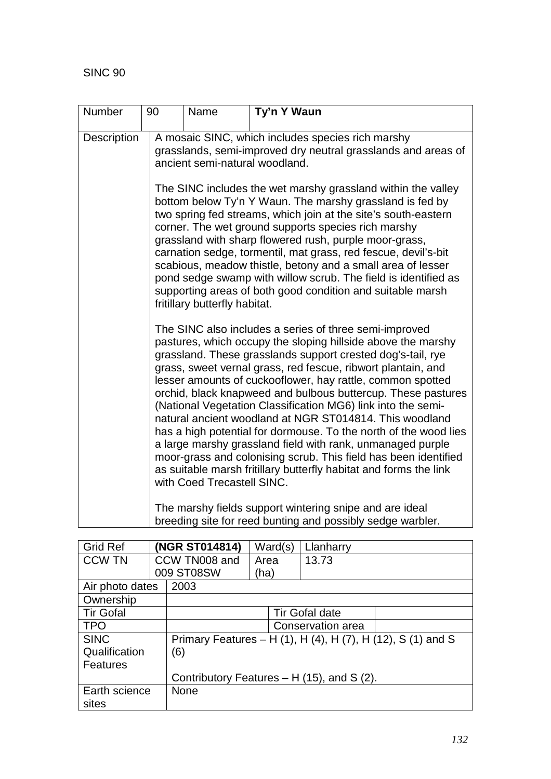| Number      | 90                            | Name                                                                                                                                                                                                                                                                                                                                                                                                                                                                                                                                                                                                                                                                                                                                                                                                                   | Ty'n Y Waun                                                                                                           |  |  |
|-------------|-------------------------------|------------------------------------------------------------------------------------------------------------------------------------------------------------------------------------------------------------------------------------------------------------------------------------------------------------------------------------------------------------------------------------------------------------------------------------------------------------------------------------------------------------------------------------------------------------------------------------------------------------------------------------------------------------------------------------------------------------------------------------------------------------------------------------------------------------------------|-----------------------------------------------------------------------------------------------------------------------|--|--|
| Description |                               | ancient semi-natural woodland.                                                                                                                                                                                                                                                                                                                                                                                                                                                                                                                                                                                                                                                                                                                                                                                         | A mosaic SINC, which includes species rich marshy<br>grasslands, semi-improved dry neutral grasslands and areas of    |  |  |
|             | fritillary butterfly habitat. | The SINC includes the wet marshy grassland within the valley<br>bottom below Ty'n Y Waun. The marshy grassland is fed by<br>two spring fed streams, which join at the site's south-eastern<br>corner. The wet ground supports species rich marshy<br>grassland with sharp flowered rush, purple moor-grass,<br>carnation sedge, tormentil, mat grass, red fescue, devil's-bit<br>scabious, meadow thistle, betony and a small area of lesser<br>pond sedge swamp with willow scrub. The field is identified as<br>supporting areas of both good condition and suitable marsh                                                                                                                                                                                                                                           |                                                                                                                       |  |  |
|             |                               | The SINC also includes a series of three semi-improved<br>pastures, which occupy the sloping hillside above the marshy<br>grassland. These grasslands support crested dog's-tail, rye<br>grass, sweet vernal grass, red fescue, ribwort plantain, and<br>lesser amounts of cuckooflower, hay rattle, common spotted<br>orchid, black knapweed and bulbous buttercup. These pastures<br>(National Vegetation Classification MG6) link into the semi-<br>natural ancient woodland at NGR ST014814. This woodland<br>has a high potential for dormouse. To the north of the wood lies<br>a large marshy grassland field with rank, unmanaged purple<br>moor-grass and colonising scrub. This field has been identified<br>as suitable marsh fritillary butterfly habitat and forms the link<br>with Coed Trecastell SINC. |                                                                                                                       |  |  |
|             |                               |                                                                                                                                                                                                                                                                                                                                                                                                                                                                                                                                                                                                                                                                                                                                                                                                                        | The marshy fields support wintering snipe and are ideal<br>breeding site for reed bunting and possibly sedge warbler. |  |  |

| <b>Grid Ref</b>  |  | (NGR ST014814)                              | Ward(s) | Llanharry             |                                                             |  |  |
|------------------|--|---------------------------------------------|---------|-----------------------|-------------------------------------------------------------|--|--|
| <b>CCW TN</b>    |  | CCW TN008 and                               | Area    | 13.73                 |                                                             |  |  |
|                  |  | 009 ST08SW                                  | (ha)    |                       |                                                             |  |  |
| Air photo dates  |  | 2003                                        |         |                       |                                                             |  |  |
| Ownership        |  |                                             |         |                       |                                                             |  |  |
| <b>Tir Gofal</b> |  |                                             |         | <b>Tir Gofal date</b> |                                                             |  |  |
| <b>TPO</b>       |  |                                             |         | Conservation area     |                                                             |  |  |
| <b>SINC</b>      |  |                                             |         |                       | Primary Features - H (1), H (4), H (7), H (12), S (1) and S |  |  |
| Qualification    |  | (6)                                         |         |                       |                                                             |  |  |
| Features         |  |                                             |         |                       |                                                             |  |  |
|                  |  | Contributory Features $- H(15)$ , and S(2). |         |                       |                                                             |  |  |
| Earth science    |  | <b>None</b>                                 |         |                       |                                                             |  |  |
| sites            |  |                                             |         |                       |                                                             |  |  |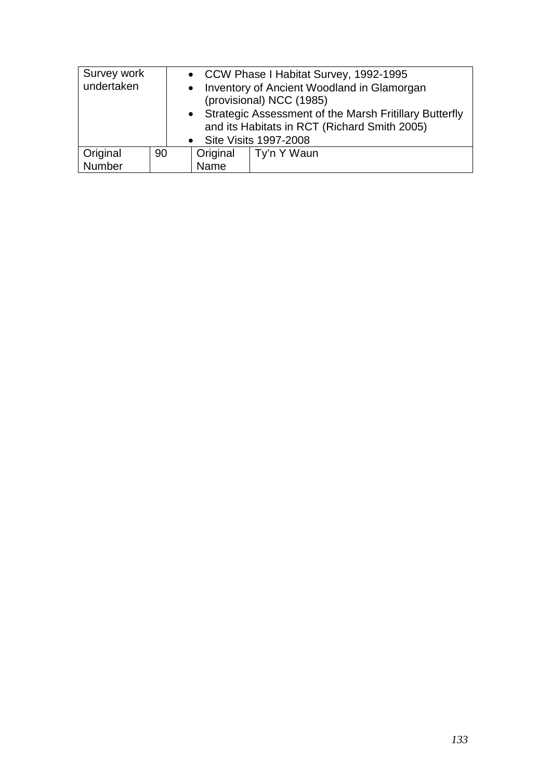| Survey work<br>undertaken |    | • CCW Phase I Habitat Survey, 1992-1995<br>• Inventory of Ancient Woodland in Glamorgan<br>(provisional) NCC (1985) |                                                                                                                                     |             |  |
|---------------------------|----|---------------------------------------------------------------------------------------------------------------------|-------------------------------------------------------------------------------------------------------------------------------------|-------------|--|
|                           |    |                                                                                                                     | • Strategic Assessment of the Marsh Fritillary Butterfly<br>and its Habitats in RCT (Richard Smith 2005)<br>• Site Visits 1997-2008 |             |  |
| Original                  | 90 |                                                                                                                     | Original                                                                                                                            | Ty'n Y Waun |  |
| Number                    |    |                                                                                                                     | Name                                                                                                                                |             |  |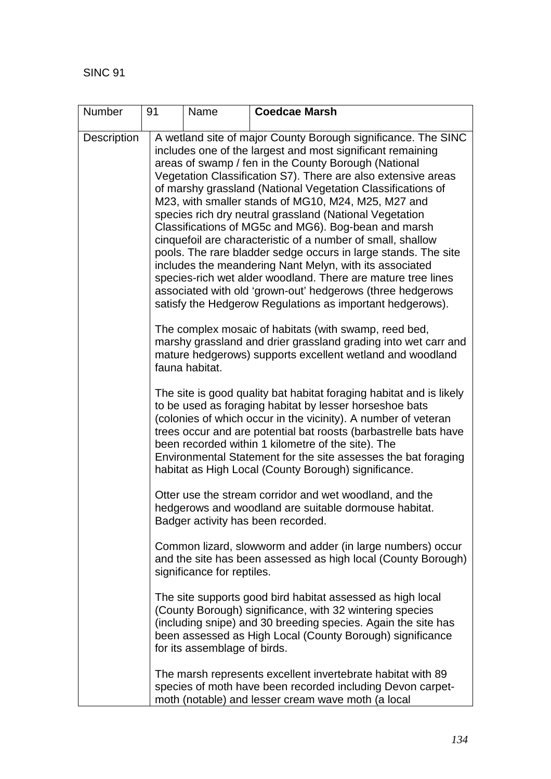| Number             | 91 | Name                         | <b>Coedcae Marsh</b>                                                                                                                                                                                                                                                                                                                                                                                                                                                                                                                                                                                                                                                                                                                                                                                                                                                                 |
|--------------------|----|------------------------------|--------------------------------------------------------------------------------------------------------------------------------------------------------------------------------------------------------------------------------------------------------------------------------------------------------------------------------------------------------------------------------------------------------------------------------------------------------------------------------------------------------------------------------------------------------------------------------------------------------------------------------------------------------------------------------------------------------------------------------------------------------------------------------------------------------------------------------------------------------------------------------------|
| <b>Description</b> |    |                              | A wetland site of major County Borough significance. The SINC<br>includes one of the largest and most significant remaining<br>areas of swamp / fen in the County Borough (National<br>Vegetation Classification S7). There are also extensive areas<br>of marshy grassland (National Vegetation Classifications of<br>M23, with smaller stands of MG10, M24, M25, M27 and<br>species rich dry neutral grassland (National Vegetation<br>Classifications of MG5c and MG6). Bog-bean and marsh<br>cinquefoil are characteristic of a number of small, shallow<br>pools. The rare bladder sedge occurs in large stands. The site<br>includes the meandering Nant Melyn, with its associated<br>species-rich wet alder woodland. There are mature tree lines<br>associated with old 'grown-out' hedgerows (three hedgerows<br>satisfy the Hedgerow Regulations as important hedgerows). |
|                    |    | fauna habitat.               | The complex mosaic of habitats (with swamp, reed bed,<br>marshy grassland and drier grassland grading into wet carr and<br>mature hedgerows) supports excellent wetland and woodland                                                                                                                                                                                                                                                                                                                                                                                                                                                                                                                                                                                                                                                                                                 |
|                    |    |                              | The site is good quality bat habitat foraging habitat and is likely<br>to be used as foraging habitat by lesser horseshoe bats<br>(colonies of which occur in the vicinity). A number of veteran<br>trees occur and are potential bat roosts (barbastrelle bats have<br>been recorded within 1 kilometre of the site). The<br>Environmental Statement for the site assesses the bat foraging<br>habitat as High Local (County Borough) significance.                                                                                                                                                                                                                                                                                                                                                                                                                                 |
|                    |    |                              | Otter use the stream corridor and wet woodland, and the<br>hedgerows and woodland are suitable dormouse habitat.<br>Badger activity has been recorded.                                                                                                                                                                                                                                                                                                                                                                                                                                                                                                                                                                                                                                                                                                                               |
|                    |    | significance for reptiles.   | Common lizard, slowworm and adder (in large numbers) occur<br>and the site has been assessed as high local (County Borough)                                                                                                                                                                                                                                                                                                                                                                                                                                                                                                                                                                                                                                                                                                                                                          |
|                    |    | for its assemblage of birds. | The site supports good bird habitat assessed as high local<br>(County Borough) significance, with 32 wintering species<br>(including snipe) and 30 breeding species. Again the site has<br>been assessed as High Local (County Borough) significance                                                                                                                                                                                                                                                                                                                                                                                                                                                                                                                                                                                                                                 |
|                    |    |                              | The marsh represents excellent invertebrate habitat with 89<br>species of moth have been recorded including Devon carpet-<br>moth (notable) and lesser cream wave moth (a local                                                                                                                                                                                                                                                                                                                                                                                                                                                                                                                                                                                                                                                                                                      |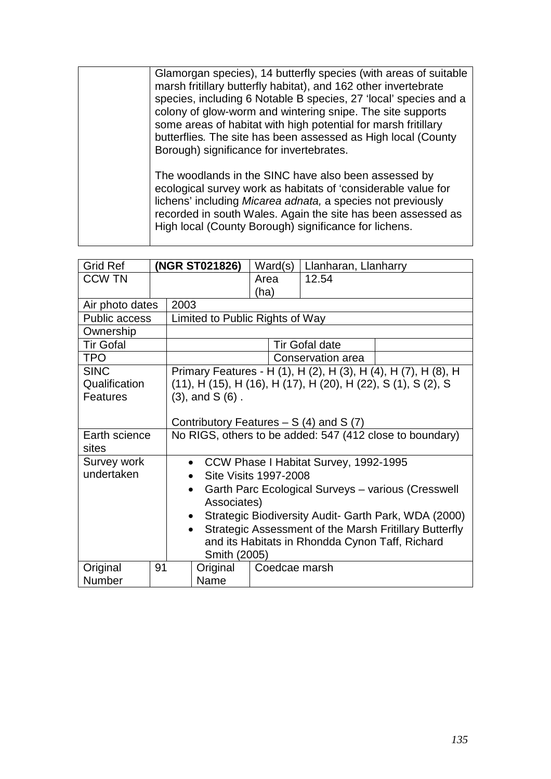| Glamorgan species), 14 butterfly species (with areas of suitable<br>marsh fritillary butterfly habitat), and 162 other invertebrate<br>species, including 6 Notable B species, 27 'local' species and a<br>colony of glow-worm and wintering snipe. The site supports<br>some areas of habitat with high potential for marsh fritillary<br>butterflies. The site has been assessed as High local (County<br>Borough) significance for invertebrates. |
|------------------------------------------------------------------------------------------------------------------------------------------------------------------------------------------------------------------------------------------------------------------------------------------------------------------------------------------------------------------------------------------------------------------------------------------------------|
| The woodlands in the SINC have also been assessed by<br>ecological survey work as habitats of 'considerable value for<br>lichens' including Micarea adnata, a species not previously<br>recorded in south Wales. Again the site has been assessed as<br>High local (County Borough) significance for lichens.                                                                                                                                        |

| <b>Grid Ref</b>  |    | (NGR ST021826)                                                      | Ward(s)               | Llanharan, Llanharry |                                                                |  |  |
|------------------|----|---------------------------------------------------------------------|-----------------------|----------------------|----------------------------------------------------------------|--|--|
| <b>CCW TN</b>    |    |                                                                     | Area                  | 12.54                |                                                                |  |  |
|                  |    |                                                                     | (ha)                  |                      |                                                                |  |  |
| Air photo dates  |    | 2003                                                                |                       |                      |                                                                |  |  |
| Public access    |    | Limited to Public Rights of Way                                     |                       |                      |                                                                |  |  |
| Ownership        |    |                                                                     |                       |                      |                                                                |  |  |
| <b>Tir Gofal</b> |    |                                                                     | <b>Tir Gofal date</b> |                      |                                                                |  |  |
| <b>TPO</b>       |    |                                                                     |                       | Conservation area    |                                                                |  |  |
| <b>SINC</b>      |    |                                                                     |                       |                      | Primary Features - H (1), H (2), H (3), H (4), H (7), H (8), H |  |  |
| Qualification    |    |                                                                     |                       |                      | (11), H (15), H (16), H (17), H (20), H (22), S (1), S (2), S  |  |  |
| <b>Features</b>  |    | $(3)$ , and $S(6)$ .                                                |                       |                      |                                                                |  |  |
|                  |    |                                                                     |                       |                      |                                                                |  |  |
|                  |    | Contributory Features $- S(4)$ and S(7)                             |                       |                      |                                                                |  |  |
| Earth science    |    | No RIGS, others to be added: 547 (412 close to boundary)            |                       |                      |                                                                |  |  |
| sites            |    |                                                                     |                       |                      |                                                                |  |  |
| Survey work      |    | • CCW Phase I Habitat Survey, 1992-1995                             |                       |                      |                                                                |  |  |
| undertaken       |    | Site Visits 1997-2008<br>$\bullet$                                  |                       |                      |                                                                |  |  |
|                  |    | Garth Parc Ecological Surveys - various (Cresswell<br>$\bullet$     |                       |                      |                                                                |  |  |
|                  |    | Associates)                                                         |                       |                      |                                                                |  |  |
|                  |    | Strategic Biodiversity Audit- Garth Park, WDA (2000)<br>$\bullet$   |                       |                      |                                                                |  |  |
|                  |    | Strategic Assessment of the Marsh Fritillary Butterfly<br>$\bullet$ |                       |                      |                                                                |  |  |
|                  |    | and its Habitats in Rhondda Cynon Taff, Richard                     |                       |                      |                                                                |  |  |
|                  |    | Smith (2005)                                                        |                       |                      |                                                                |  |  |
| Original         | 91 | Original                                                            | Coedcae marsh         |                      |                                                                |  |  |
| Number           |    | Name                                                                |                       |                      |                                                                |  |  |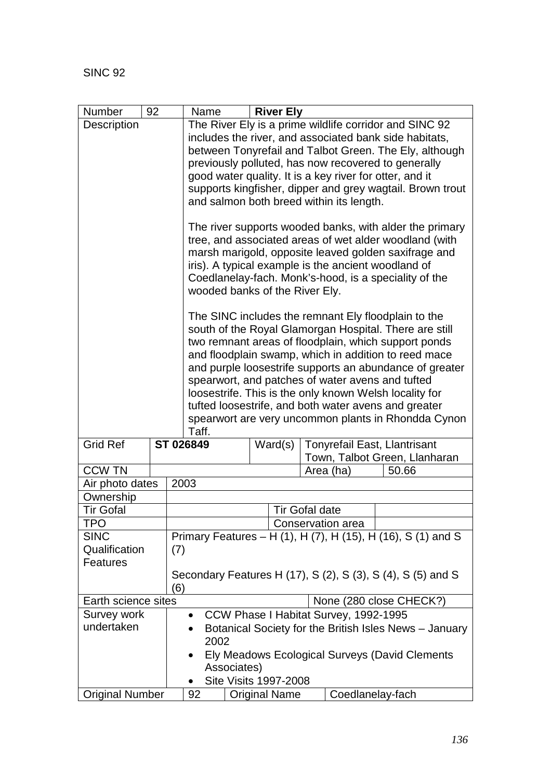| Number                 | 92 | <b>River Ely</b><br>Name                                                    |
|------------------------|----|-----------------------------------------------------------------------------|
| Description            |    | The River Ely is a prime wildlife corridor and SINC 92                      |
|                        |    | includes the river, and associated bank side habitats,                      |
|                        |    | between Tonyrefail and Talbot Green. The Ely, although                      |
|                        |    | previously polluted, has now recovered to generally                         |
|                        |    | good water quality. It is a key river for otter, and it                     |
|                        |    | supports kingfisher, dipper and grey wagtail. Brown trout                   |
|                        |    | and salmon both breed within its length.                                    |
|                        |    | The river supports wooded banks, with alder the primary                     |
|                        |    | tree, and associated areas of wet alder woodland (with                      |
|                        |    | marsh marigold, opposite leaved golden saxifrage and                        |
|                        |    | iris). A typical example is the ancient woodland of                         |
|                        |    | Coedlanelay-fach. Monk's-hood, is a speciality of the                       |
|                        |    | wooded banks of the River Ely.                                              |
|                        |    | The SINC includes the remnant Ely floodplain to the                         |
|                        |    | south of the Royal Glamorgan Hospital. There are still                      |
|                        |    | two remnant areas of floodplain, which support ponds                        |
|                        |    | and floodplain swamp, which in addition to reed mace                        |
|                        |    | and purple loosestrife supports an abundance of greater                     |
|                        |    | spearwort, and patches of water avens and tufted                            |
|                        |    | loosestrife. This is the only known Welsh locality for                      |
|                        |    | tufted loosestrife, and both water avens and greater                        |
|                        |    | spearwort are very uncommon plants in Rhondda Cynon<br>Taff.                |
| <b>Grid Ref</b>        |    | ST 026849<br><b>Tonyrefail East, Llantrisant</b><br>Ward(s)                 |
|                        |    | Town, Talbot Green, Llanharan                                               |
| <b>CCW TN</b>          |    | Area (ha)<br>50.66                                                          |
| Air photo dates        |    | 2003                                                                        |
| Ownership              |    |                                                                             |
| <b>Tir Gofal</b>       |    | <b>Tir Gofal date</b>                                                       |
| TPO                    |    | Conservation area                                                           |
| <b>SINC</b>            |    | Primary Features – H (1), H (7), H (15), H (16), S (1) and S                |
| Qualification          |    | (7)                                                                         |
| <b>Features</b>        |    |                                                                             |
|                        |    | Secondary Features H (17), S (2), S (3), S (4), S (5) and S                 |
|                        |    | (6)                                                                         |
| Earth science sites    |    | None (280 close CHECK?)                                                     |
| Survey work            |    | CCW Phase I Habitat Survey, 1992-1995<br>$\bullet$                          |
| undertaken             |    | Botanical Society for the British Isles News - January<br>$\bullet$<br>2002 |
|                        |    | Ely Meadows Ecological Surveys (David Clements<br>$\bullet$                 |
|                        |    | Associates)                                                                 |
|                        |    | <b>Site Visits 1997-2008</b>                                                |
| <b>Original Number</b> |    | Coedlanelay-fach<br>92<br><b>Original Name</b>                              |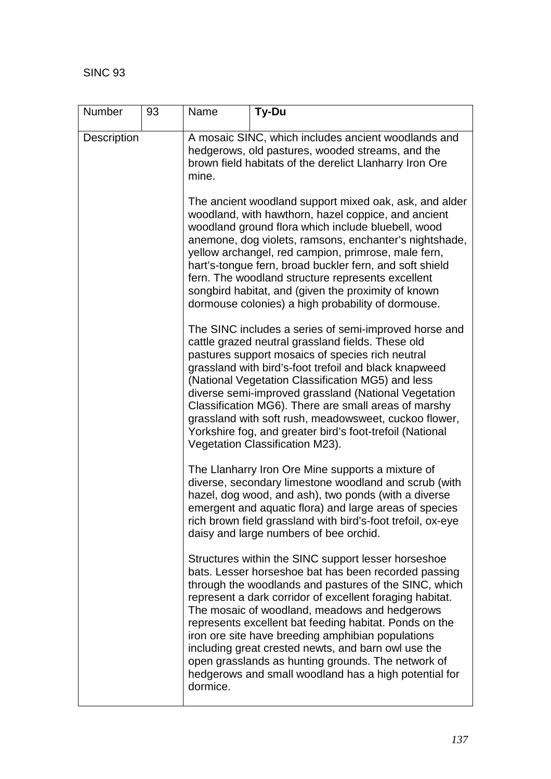| <b>Number</b>      | 93 | Name     | Ty-Du                                                                                                                                                                                                                                                                                                                                                                                                                                                                                                                                                                  |
|--------------------|----|----------|------------------------------------------------------------------------------------------------------------------------------------------------------------------------------------------------------------------------------------------------------------------------------------------------------------------------------------------------------------------------------------------------------------------------------------------------------------------------------------------------------------------------------------------------------------------------|
| <b>Description</b> |    | mine.    | A mosaic SINC, which includes ancient woodlands and<br>hedgerows, old pastures, wooded streams, and the<br>brown field habitats of the derelict Llanharry Iron Ore                                                                                                                                                                                                                                                                                                                                                                                                     |
|                    |    |          | The ancient woodland support mixed oak, ask, and alder<br>woodland, with hawthorn, hazel coppice, and ancient<br>woodland ground flora which include bluebell, wood<br>anemone, dog violets, ramsons, enchanter's nightshade,<br>yellow archangel, red campion, primrose, male fern,<br>hart's-tongue fern, broad buckler fern, and soft shield<br>fern. The woodland structure represents excellent<br>songbird habitat, and (given the proximity of known<br>dormouse colonies) a high probability of dormouse.                                                      |
|                    |    |          | The SINC includes a series of semi-improved horse and<br>cattle grazed neutral grassland fields. These old<br>pastures support mosaics of species rich neutral<br>grassland with bird's-foot trefoil and black knapweed<br>(National Vegetation Classification MG5) and less<br>diverse semi-improved grassland (National Vegetation<br>Classification MG6). There are small areas of marshy<br>grassland with soft rush, meadowsweet, cuckoo flower,<br>Yorkshire fog, and greater bird's foot-trefoil (National<br>Vegetation Classification M23).                   |
|                    |    |          | The Llanharry Iron Ore Mine supports a mixture of<br>diverse, secondary limestone woodland and scrub (with<br>hazel, dog wood, and ash), two ponds (with a diverse<br>emergent and aquatic flora) and large areas of species<br>rich brown field grassland with bird's-foot trefoil, ox-eye<br>daisy and large numbers of bee orchid.                                                                                                                                                                                                                                  |
|                    |    | dormice. | Structures within the SINC support lesser horseshoe<br>bats. Lesser horseshoe bat has been recorded passing<br>through the woodlands and pastures of the SINC, which<br>represent a dark corridor of excellent foraging habitat.<br>The mosaic of woodland, meadows and hedgerows<br>represents excellent bat feeding habitat. Ponds on the<br>iron ore site have breeding amphibian populations<br>including great crested newts, and barn owl use the<br>open grasslands as hunting grounds. The network of<br>hedgerows and small woodland has a high potential for |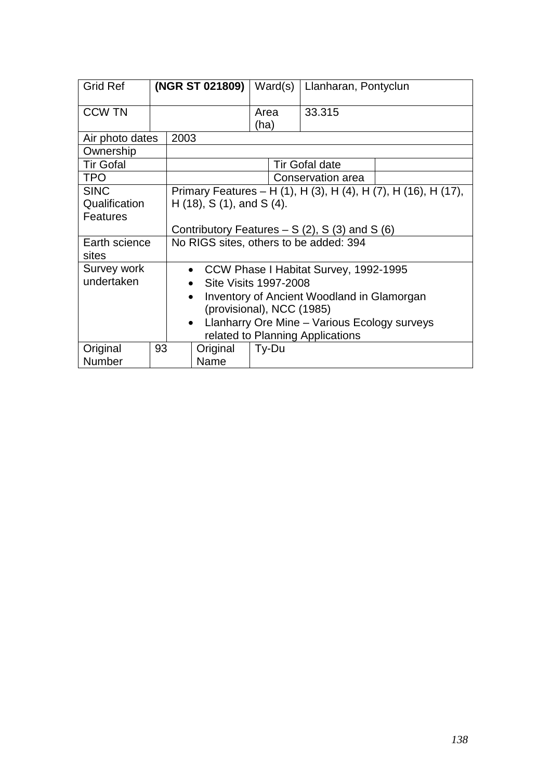| <b>Grid Ref</b>        |    |                                                           | (NGR ST 021809) |              | Ward(s) | Llanharan, Pontyclun             |                                                                |
|------------------------|----|-----------------------------------------------------------|-----------------|--------------|---------|----------------------------------|----------------------------------------------------------------|
| <b>CCW TN</b>          |    |                                                           |                 | Area<br>(ha) |         | 33.315                           |                                                                |
| Air photo dates        |    | 2003                                                      |                 |              |         |                                  |                                                                |
| Ownership              |    |                                                           |                 |              |         |                                  |                                                                |
| <b>Tir Gofal</b>       |    |                                                           |                 |              |         | <b>Tir Gofal date</b>            |                                                                |
| <b>TPO</b>             |    |                                                           |                 |              |         | Conservation area                |                                                                |
| <b>SINC</b>            |    |                                                           |                 |              |         |                                  | Primary Features – H (1), H (3), H (4), H (7), H (16), H (17), |
| Qualification          |    | $H(18)$ , S $(1)$ , and S $(4)$ .                         |                 |              |         |                                  |                                                                |
| <b>Features</b>        |    |                                                           |                 |              |         |                                  |                                                                |
|                        |    | Contributory Features $- S(2)$ , S(3) and S(6)            |                 |              |         |                                  |                                                                |
| Earth science<br>sites |    | No RIGS sites, others to be added: 394                    |                 |              |         |                                  |                                                                |
| Survey work            |    | • CCW Phase I Habitat Survey, 1992-1995                   |                 |              |         |                                  |                                                                |
| undertaken             |    | <b>Site Visits 1997-2008</b>                              |                 |              |         |                                  |                                                                |
|                        |    | Inventory of Ancient Woodland in Glamorgan<br>$\bullet$   |                 |              |         |                                  |                                                                |
|                        |    | (provisional), NCC (1985)                                 |                 |              |         |                                  |                                                                |
|                        |    | Llanharry Ore Mine - Various Ecology surveys<br>$\bullet$ |                 |              |         |                                  |                                                                |
|                        |    |                                                           |                 |              |         | related to Planning Applications |                                                                |
| Original               | 93 |                                                           | Original        |              | Ty-Du   |                                  |                                                                |
| Number                 |    |                                                           | Name            |              |         |                                  |                                                                |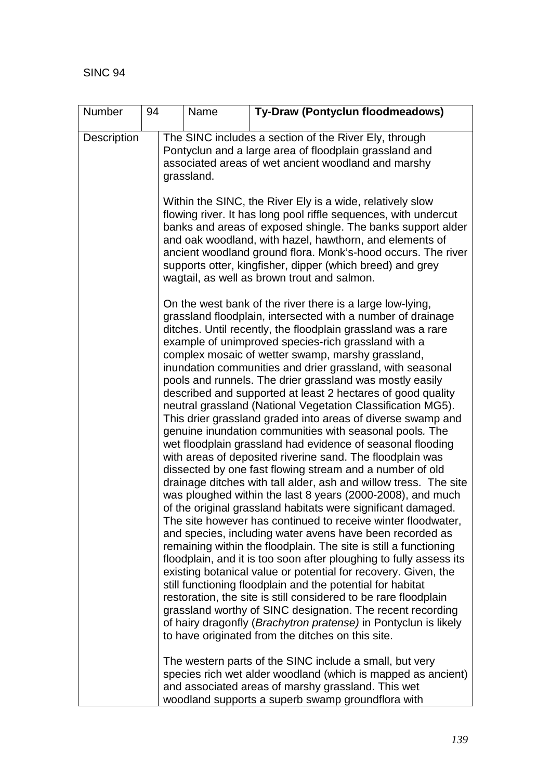| Number      | 94                                                         | Name                                                                                                                                                                                                                                                                                                                                                                                                                                                                                                                                                                                                                                                                                                                                                                                                                                                                                                                                                                                                                                                                                                                                                                                                                                                                                                                                                                                                                                                                                                                                                    | Ty-Draw (Pontyclun floodmeadows)                                                                                                                                                                                                    |  |  |  |  |
|-------------|------------------------------------------------------------|---------------------------------------------------------------------------------------------------------------------------------------------------------------------------------------------------------------------------------------------------------------------------------------------------------------------------------------------------------------------------------------------------------------------------------------------------------------------------------------------------------------------------------------------------------------------------------------------------------------------------------------------------------------------------------------------------------------------------------------------------------------------------------------------------------------------------------------------------------------------------------------------------------------------------------------------------------------------------------------------------------------------------------------------------------------------------------------------------------------------------------------------------------------------------------------------------------------------------------------------------------------------------------------------------------------------------------------------------------------------------------------------------------------------------------------------------------------------------------------------------------------------------------------------------------|-------------------------------------------------------------------------------------------------------------------------------------------------------------------------------------------------------------------------------------|--|--|--|--|
| Description |                                                            | grassland.                                                                                                                                                                                                                                                                                                                                                                                                                                                                                                                                                                                                                                                                                                                                                                                                                                                                                                                                                                                                                                                                                                                                                                                                                                                                                                                                                                                                                                                                                                                                              | The SINC includes a section of the River Ely, through<br>Pontyclun and a large area of floodplain grassland and<br>associated areas of wet ancient woodland and marshy<br>Within the SINC, the River Ely is a wide, relatively slow |  |  |  |  |
|             |                                                            | flowing river. It has long pool riffle sequences, with undercut<br>banks and areas of exposed shingle. The banks support alder<br>and oak woodland, with hazel, hawthorn, and elements of<br>ancient woodland ground flora. Monk's-hood occurs. The river<br>supports otter, kingfisher, dipper (which breed) and grey<br>wagtail, as well as brown trout and salmon.                                                                                                                                                                                                                                                                                                                                                                                                                                                                                                                                                                                                                                                                                                                                                                                                                                                                                                                                                                                                                                                                                                                                                                                   |                                                                                                                                                                                                                                     |  |  |  |  |
|             | grassland worthy of SINC designation. The recent recording | On the west bank of the river there is a large low-lying,<br>grassland floodplain, intersected with a number of drainage<br>ditches. Until recently, the floodplain grassland was a rare<br>example of unimproved species-rich grassland with a<br>complex mosaic of wetter swamp, marshy grassland,<br>inundation communities and drier grassland, with seasonal<br>pools and runnels. The drier grassland was mostly easily<br>described and supported at least 2 hectares of good quality<br>neutral grassland (National Vegetation Classification MG5).<br>This drier grassland graded into areas of diverse swamp and<br>genuine inundation communities with seasonal pools. The<br>wet floodplain grassland had evidence of seasonal flooding<br>with areas of deposited riverine sand. The floodplain was<br>dissected by one fast flowing stream and a number of old<br>drainage ditches with tall alder, ash and willow tress. The site<br>was ploughed within the last 8 years (2000-2008), and much<br>of the original grassland habitats were significant damaged.<br>The site however has continued to receive winter floodwater,<br>and species, including water avens have been recorded as<br>remaining within the floodplain. The site is still a functioning<br>floodplain, and it is too soon after ploughing to fully assess its<br>existing botanical value or potential for recovery. Given, the<br>still functioning floodplain and the potential for habitat<br>restoration, the site is still considered to be rare floodplain |                                                                                                                                                                                                                                     |  |  |  |  |
|             |                                                            |                                                                                                                                                                                                                                                                                                                                                                                                                                                                                                                                                                                                                                                                                                                                                                                                                                                                                                                                                                                                                                                                                                                                                                                                                                                                                                                                                                                                                                                                                                                                                         | of hairy dragonfly (Brachytron pratense) in Pontyclun is likely<br>to have originated from the ditches on this site.                                                                                                                |  |  |  |  |
|             |                                                            |                                                                                                                                                                                                                                                                                                                                                                                                                                                                                                                                                                                                                                                                                                                                                                                                                                                                                                                                                                                                                                                                                                                                                                                                                                                                                                                                                                                                                                                                                                                                                         | The western parts of the SINC include a small, but very<br>species rich wet alder woodland (which is mapped as ancient)<br>and associated areas of marshy grassland. This wet<br>woodland supports a superb swamp groundflora with  |  |  |  |  |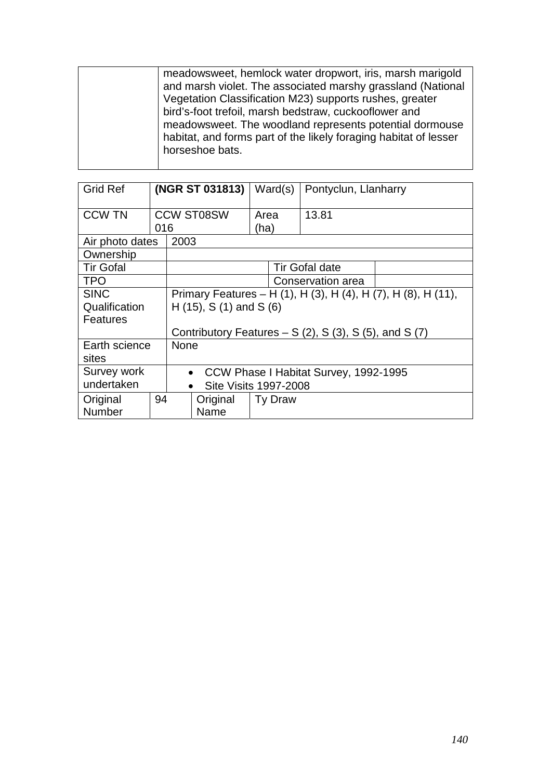| meadowsweet, hemlock water dropwort, iris, marsh marigold        |
|------------------------------------------------------------------|
| and marsh violet. The associated marshy grassland (National      |
| Vegetation Classification M23) supports rushes, greater          |
| bird's-foot trefoil, marsh bedstraw, cuckooflower and            |
| meadows weet. The woodland represents potential dormouse         |
| habitat, and forms part of the likely foraging habitat of lesser |
| horseshoe bats.                                                  |
|                                                                  |
|                                                                  |

| <b>Grid Ref</b>        |     | (NGR ST 031813)                                               |                       | Ward(s)      | Pontyclun, Llanharry |  |  |
|------------------------|-----|---------------------------------------------------------------|-----------------------|--------------|----------------------|--|--|
| <b>CCW TN</b>          | 016 |                                                               | <b>CCW ST08SW</b>     | Area<br>(ha) | 13.81                |  |  |
| Air photo dates        |     | 2003                                                          |                       |              |                      |  |  |
| Ownership              |     |                                                               |                       |              |                      |  |  |
| <b>Tir Gofal</b>       |     |                                                               | <b>Tir Gofal date</b> |              |                      |  |  |
| <b>TPO</b>             |     |                                                               | Conservation area     |              |                      |  |  |
| <b>SINC</b>            |     | Primary Features – H (1), H (3), H (4), H (7), H (8), H (11), |                       |              |                      |  |  |
| Qualification          |     | H $(15)$ , S $(1)$ and S $(6)$                                |                       |              |                      |  |  |
| <b>Features</b>        |     |                                                               |                       |              |                      |  |  |
|                        |     | Contributory Features $- S(2)$ , S(3), S(5), and S(7)         |                       |              |                      |  |  |
| Earth science<br>sites |     | <b>None</b>                                                   |                       |              |                      |  |  |
| Survey work            |     | CCW Phase I Habitat Survey, 1992-1995<br>$\bullet$            |                       |              |                      |  |  |
| undertaken             |     | <b>Site Visits 1997-2008</b><br>$\bullet$                     |                       |              |                      |  |  |
| Original               | 94  |                                                               | Original              | Ty Draw      |                      |  |  |
| Number                 |     |                                                               | Name                  |              |                      |  |  |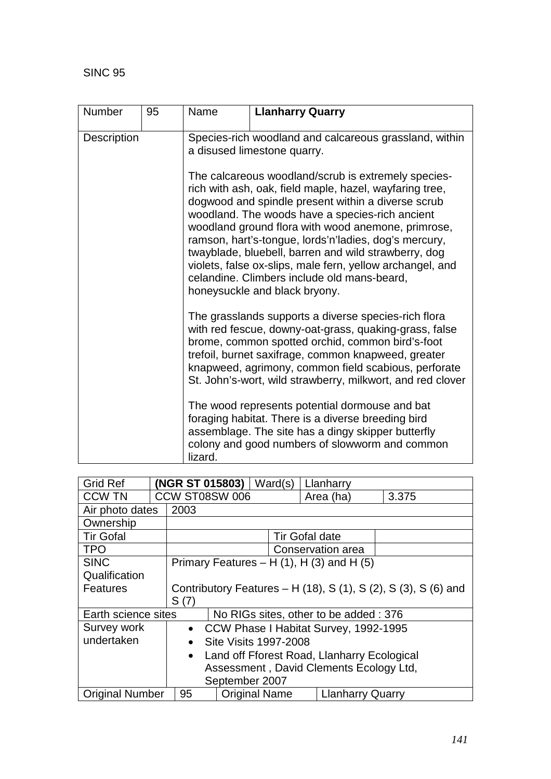| Number             | 95 | Name    | <b>Llanharry Quarry</b>                                                                                                                                                                                                                                                                                                                                                                                                   |
|--------------------|----|---------|---------------------------------------------------------------------------------------------------------------------------------------------------------------------------------------------------------------------------------------------------------------------------------------------------------------------------------------------------------------------------------------------------------------------------|
| <b>Description</b> |    |         | Species-rich woodland and calcareous grassland, within<br>a disused limestone quarry.<br>The calcareous woodland/scrub is extremely species-<br>rich with ash, oak, field maple, hazel, wayfaring tree,                                                                                                                                                                                                                   |
|                    |    |         | dogwood and spindle present within a diverse scrub<br>woodland. The woods have a species-rich ancient<br>woodland ground flora with wood anemone, primrose,<br>ramson, hart's-tongue, lords'n'ladies, dog's mercury,<br>twayblade, bluebell, barren and wild strawberry, dog<br>violets, false ox-slips, male fern, yellow archangel, and<br>celandine. Climbers include old mans-beard,<br>honeysuckle and black bryony. |
|                    |    |         | The grasslands supports a diverse species-rich flora<br>with red fescue, downy-oat-grass, quaking-grass, false<br>brome, common spotted orchid, common bird's-foot<br>trefoil, burnet saxifrage, common knapweed, greater<br>knapweed, agrimony, common field scabious, perforate<br>St. John's-wort, wild strawberry, milkwort, and red clover                                                                           |
|                    |    | lizard. | The wood represents potential dormouse and bat<br>foraging habitat. There is a diverse breeding bird<br>assemblage. The site has a dingy skipper butterfly<br>colony and good numbers of slowworm and common                                                                                                                                                                                                              |

| <b>Grid Ref</b>        |                                       | (NGR ST 015803)                                                |  | Ward(s)              |  | Llanharry                                   |       |
|------------------------|---------------------------------------|----------------------------------------------------------------|--|----------------------|--|---------------------------------------------|-------|
| <b>CCW TN</b>          |                                       | CCW ST08SW 006                                                 |  |                      |  | Area (ha)                                   | 3.375 |
| Air photo dates        |                                       | 2003                                                           |  |                      |  |                                             |       |
| Ownership              |                                       |                                                                |  |                      |  |                                             |       |
| <b>Tir Gofal</b>       |                                       | <b>Tir Gofal date</b>                                          |  |                      |  |                                             |       |
| <b>TPO</b>             |                                       | Conservation area                                              |  |                      |  |                                             |       |
| <b>SINC</b>            |                                       | Primary Features $- H(1)$ , H $(3)$ and H $(5)$                |  |                      |  |                                             |       |
| Qualification          |                                       |                                                                |  |                      |  |                                             |       |
| Features               |                                       | Contributory Features - H (18), S (1), S (2), S (3), S (6) and |  |                      |  |                                             |       |
|                        |                                       | S(7)                                                           |  |                      |  |                                             |       |
| Earth science sites    | No RIGs sites, other to be added: 376 |                                                                |  |                      |  |                                             |       |
| Survey work            |                                       | $\bullet$                                                      |  |                      |  | CCW Phase I Habitat Survey, 1992-1995       |       |
| undertaken             |                                       | <b>Site Visits 1997-2008</b><br>$\bullet$                      |  |                      |  |                                             |       |
|                        |                                       | $\bullet$                                                      |  |                      |  | Land off Fforest Road, Llanharry Ecological |       |
|                        |                                       | Assessment, David Clements Ecology Ltd,                        |  |                      |  |                                             |       |
|                        |                                       | September 2007                                                 |  |                      |  |                                             |       |
| <b>Original Number</b> |                                       | 95                                                             |  | <b>Original Name</b> |  | <b>Llanharry Quarry</b>                     |       |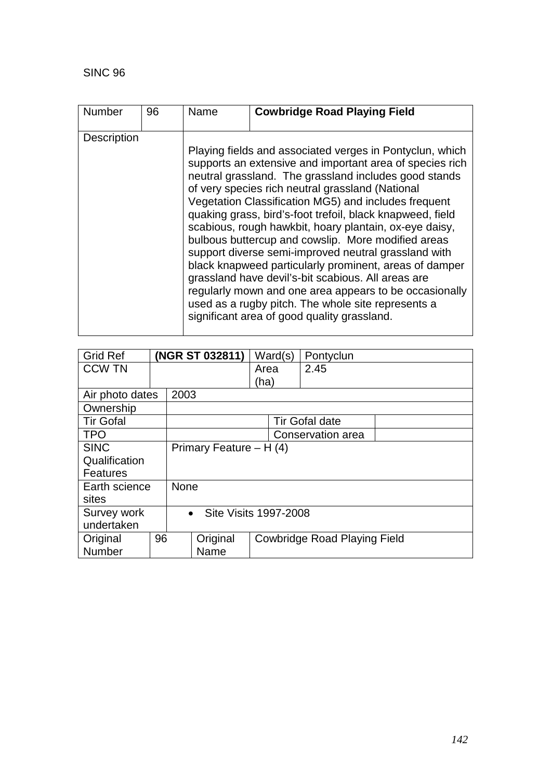| <b>Number</b>      | 96 | Name | <b>Cowbridge Road Playing Field</b>                                                                                                                                                                                                                                                                                                                                                                                                                                                                                                                                                                                                                                                                                                                                                                           |
|--------------------|----|------|---------------------------------------------------------------------------------------------------------------------------------------------------------------------------------------------------------------------------------------------------------------------------------------------------------------------------------------------------------------------------------------------------------------------------------------------------------------------------------------------------------------------------------------------------------------------------------------------------------------------------------------------------------------------------------------------------------------------------------------------------------------------------------------------------------------|
| <b>Description</b> |    |      | Playing fields and associated verges in Pontyclun, which<br>supports an extensive and important area of species rich<br>neutral grassland. The grassland includes good stands<br>of very species rich neutral grassland (National<br>Vegetation Classification MG5) and includes frequent<br>quaking grass, bird's-foot trefoil, black knapweed, field<br>scabious, rough hawkbit, hoary plantain, ox-eye daisy.<br>bulbous buttercup and cowslip. More modified areas<br>support diverse semi-improved neutral grassland with<br>black knapweed particularly prominent, areas of damper<br>grassland have devil's-bit scabious. All areas are<br>regularly mown and one area appears to be occasionally<br>used as a rugby pitch. The whole site represents a<br>significant area of good quality grassland. |

| <b>Grid Ref</b>  |    | (NGR ST 032811)                    |                                                 | Ward(s) | Pontyclun |  |
|------------------|----|------------------------------------|-------------------------------------------------|---------|-----------|--|
| <b>CCW TN</b>    |    |                                    |                                                 | Area    | 2.45      |  |
|                  |    |                                    |                                                 | (ha)    |           |  |
| Air photo dates  |    | 2003                               |                                                 |         |           |  |
| Ownership        |    |                                    |                                                 |         |           |  |
| <b>Tir Gofal</b> |    | <b>Tir Gofal date</b>              |                                                 |         |           |  |
| <b>TPO</b>       |    | Conservation area                  |                                                 |         |           |  |
| <b>SINC</b>      |    | Primary Feature $- H(4)$           |                                                 |         |           |  |
| Qualification    |    |                                    |                                                 |         |           |  |
| <b>Features</b>  |    |                                    |                                                 |         |           |  |
| Earth science    |    | <b>None</b>                        |                                                 |         |           |  |
| sites            |    |                                    |                                                 |         |           |  |
| Survey work      |    | Site Visits 1997-2008<br>$\bullet$ |                                                 |         |           |  |
| undertaken       |    |                                    |                                                 |         |           |  |
| Original         | 96 |                                    | Original<br><b>Cowbridge Road Playing Field</b> |         |           |  |
| Number           |    |                                    | Name                                            |         |           |  |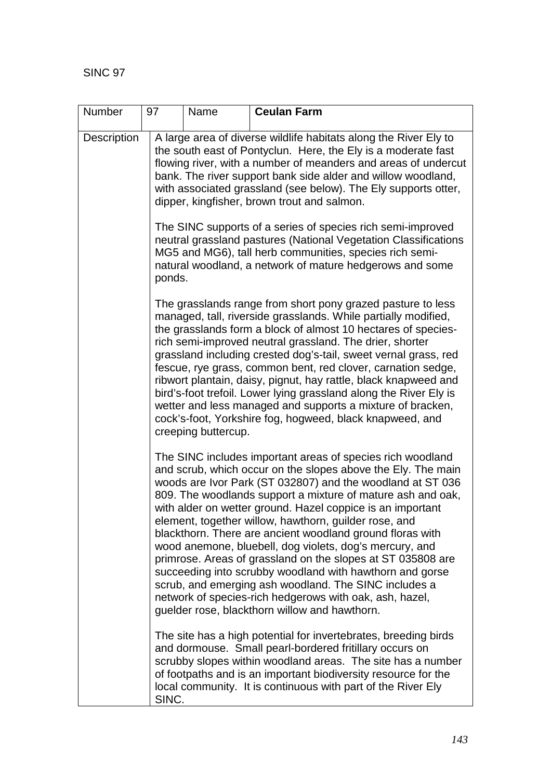| Number      | 97    | Name                                                                                                                                                                                                                                                                                                                                                                                                                                                                                                                                                                                                                                                                                   | <b>Ceulan Farm</b>                                                                                                                                                                                                                                                                                                                                                                                                                                                                                                                                                                                                                                                                                                                                                                                     |  |  |  |  |
|-------------|-------|----------------------------------------------------------------------------------------------------------------------------------------------------------------------------------------------------------------------------------------------------------------------------------------------------------------------------------------------------------------------------------------------------------------------------------------------------------------------------------------------------------------------------------------------------------------------------------------------------------------------------------------------------------------------------------------|--------------------------------------------------------------------------------------------------------------------------------------------------------------------------------------------------------------------------------------------------------------------------------------------------------------------------------------------------------------------------------------------------------------------------------------------------------------------------------------------------------------------------------------------------------------------------------------------------------------------------------------------------------------------------------------------------------------------------------------------------------------------------------------------------------|--|--|--|--|
| Description |       | A large area of diverse wildlife habitats along the River Ely to<br>the south east of Pontyclun. Here, the Ely is a moderate fast<br>flowing river, with a number of meanders and areas of undercut<br>bank. The river support bank side alder and willow woodland,<br>with associated grassland (see below). The Ely supports otter,<br>dipper, kingfisher, brown trout and salmon.<br>The SINC supports of a series of species rich semi-improved<br>neutral grassland pastures (National Vegetation Classifications<br>MG5 and MG6), tall herb communities, species rich semi-<br>natural woodland, a network of mature hedgerows and some<br>ponds.                                |                                                                                                                                                                                                                                                                                                                                                                                                                                                                                                                                                                                                                                                                                                                                                                                                        |  |  |  |  |
|             |       |                                                                                                                                                                                                                                                                                                                                                                                                                                                                                                                                                                                                                                                                                        |                                                                                                                                                                                                                                                                                                                                                                                                                                                                                                                                                                                                                                                                                                                                                                                                        |  |  |  |  |
|             |       | The grasslands range from short pony grazed pasture to less<br>managed, tall, riverside grasslands. While partially modified,<br>the grasslands form a block of almost 10 hectares of species-<br>rich semi-improved neutral grassland. The drier, shorter<br>grassland including crested dog's-tail, sweet vernal grass, red<br>fescue, rye grass, common bent, red clover, carnation sedge,<br>ribwort plantain, daisy, pignut, hay rattle, black knapweed and<br>bird's-foot trefoil. Lower lying grassland along the River Ely is<br>wetter and less managed and supports a mixture of bracken,<br>cock's-foot, Yorkshire fog, hogweed, black knapweed, and<br>creeping buttercup. |                                                                                                                                                                                                                                                                                                                                                                                                                                                                                                                                                                                                                                                                                                                                                                                                        |  |  |  |  |
|             |       |                                                                                                                                                                                                                                                                                                                                                                                                                                                                                                                                                                                                                                                                                        | The SINC includes important areas of species rich woodland<br>and scrub, which occur on the slopes above the Ely. The main<br>woods are Ivor Park (ST 032807) and the woodland at ST 036<br>809. The woodlands support a mixture of mature ash and oak,<br>with alder on wetter ground. Hazel coppice is an important<br>element, together willow, hawthorn, guilder rose, and<br>blackthorn. There are ancient woodland ground floras with<br>wood anemone, bluebell, dog violets, dog's mercury, and<br>primrose. Areas of grassland on the slopes at ST 035808 are<br>succeeding into scrubby woodland with hawthorn and gorse<br>scrub, and emerging ash woodland. The SINC includes a<br>network of species-rich hedgerows with oak, ash, hazel,<br>guelder rose, blackthorn willow and hawthorn. |  |  |  |  |
|             | SINC. |                                                                                                                                                                                                                                                                                                                                                                                                                                                                                                                                                                                                                                                                                        | The site has a high potential for invertebrates, breeding birds<br>and dormouse. Small pearl-bordered fritillary occurs on<br>scrubby slopes within woodland areas. The site has a number<br>of footpaths and is an important biodiversity resource for the<br>local community. It is continuous with part of the River Ely                                                                                                                                                                                                                                                                                                                                                                                                                                                                            |  |  |  |  |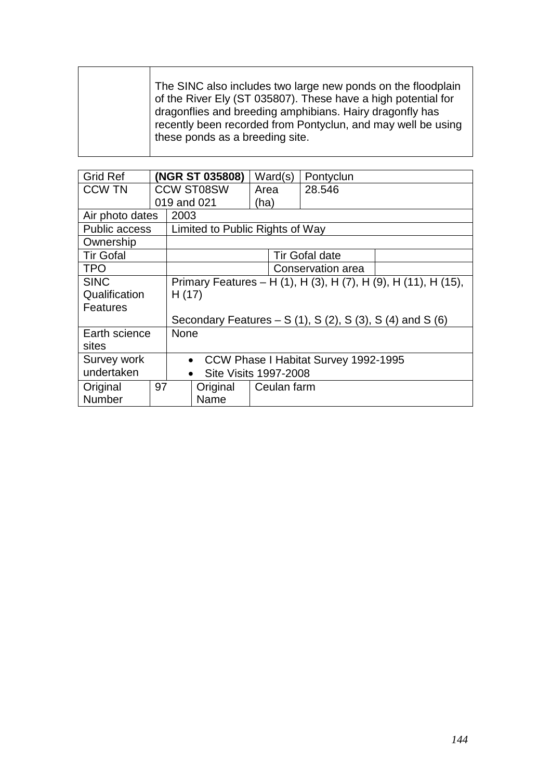| The SINC also includes two large new ponds on the floodplain<br>of the River Ely (ST 035807). These have a high potential for<br>dragonflies and breeding amphibians. Hairy dragonfly has<br>recently been recorded from Pontyclun, and may well be using<br>these ponds as a breeding site. |
|----------------------------------------------------------------------------------------------------------------------------------------------------------------------------------------------------------------------------------------------------------------------------------------------|
|----------------------------------------------------------------------------------------------------------------------------------------------------------------------------------------------------------------------------------------------------------------------------------------------|

| <b>Grid Ref</b>         |    |                                                                        | (NGR ST 035808)                                   | Ward(s)     | Pontyclun             |  |
|-------------------------|----|------------------------------------------------------------------------|---------------------------------------------------|-------------|-----------------------|--|
| <b>CCW TN</b>           |    | <b>CCW ST08SW</b>                                                      |                                                   | Area        | 28.546                |  |
|                         |    |                                                                        | 019 and 021                                       | (ha)        |                       |  |
| Air photo dates         |    | 2003                                                                   |                                                   |             |                       |  |
| Public access           |    |                                                                        | Limited to Public Rights of Way                   |             |                       |  |
| Ownership               |    |                                                                        |                                                   |             |                       |  |
| <b>Tir Gofal</b>        |    |                                                                        |                                                   |             | <b>Tir Gofal date</b> |  |
| <b>TPO</b>              |    |                                                                        |                                                   |             | Conservation area     |  |
| <b>SINC</b>             |    | Primary Features – H (1), H (3), H (7), H (9), H (11), H (15),         |                                                   |             |                       |  |
| Qualification           |    | H(17)                                                                  |                                                   |             |                       |  |
| <b>Features</b>         |    |                                                                        |                                                   |             |                       |  |
|                         |    | Secondary Features – S $(1)$ , S $(2)$ , S $(3)$ , S $(4)$ and S $(6)$ |                                                   |             |                       |  |
| Earth science           |    | <b>None</b>                                                            |                                                   |             |                       |  |
| sites                   |    |                                                                        |                                                   |             |                       |  |
| Survey work             |    |                                                                        | CCW Phase I Habitat Survey 1992-1995<br>$\bullet$ |             |                       |  |
| undertaken<br>$\bullet$ |    |                                                                        | <b>Site Visits 1997-2008</b>                      |             |                       |  |
| Original                | 97 |                                                                        | Original                                          | Ceulan farm |                       |  |
| Number                  |    |                                                                        | Name                                              |             |                       |  |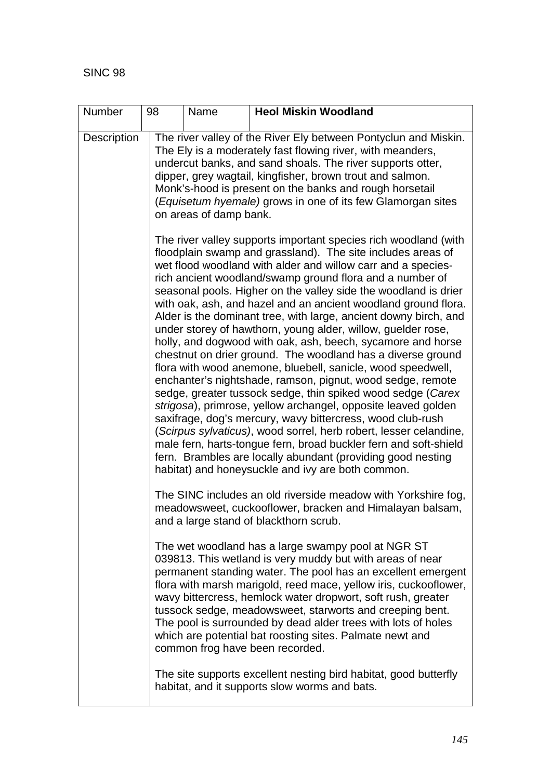| Number      | 98                                                                                                                                                                  | Name                                                                                                                                                                                                                                                                                                                                                                                                                                                                                                                                                                                                                                                                                                                                                                                                                                                                                                                                                                                                                                                                                                                                                                                                                                                      | <b>Heol Miskin Woodland</b>                                                                                                                                                                                                                                                                                                                                                                                                                                                                                                                     |  |  |  |  |  |  |
|-------------|---------------------------------------------------------------------------------------------------------------------------------------------------------------------|-----------------------------------------------------------------------------------------------------------------------------------------------------------------------------------------------------------------------------------------------------------------------------------------------------------------------------------------------------------------------------------------------------------------------------------------------------------------------------------------------------------------------------------------------------------------------------------------------------------------------------------------------------------------------------------------------------------------------------------------------------------------------------------------------------------------------------------------------------------------------------------------------------------------------------------------------------------------------------------------------------------------------------------------------------------------------------------------------------------------------------------------------------------------------------------------------------------------------------------------------------------|-------------------------------------------------------------------------------------------------------------------------------------------------------------------------------------------------------------------------------------------------------------------------------------------------------------------------------------------------------------------------------------------------------------------------------------------------------------------------------------------------------------------------------------------------|--|--|--|--|--|--|
| Description |                                                                                                                                                                     | The river valley of the River Ely between Pontyclun and Miskin.<br>The Ely is a moderately fast flowing river, with meanders,<br>undercut banks, and sand shoals. The river supports otter,<br>dipper, grey wagtail, kingfisher, brown trout and salmon.<br>Monk's-hood is present on the banks and rough horsetail<br>(Equisetum hyemale) grows in one of its few Glamorgan sites<br>on areas of damp bank.                                                                                                                                                                                                                                                                                                                                                                                                                                                                                                                                                                                                                                                                                                                                                                                                                                              |                                                                                                                                                                                                                                                                                                                                                                                                                                                                                                                                                 |  |  |  |  |  |  |
|             |                                                                                                                                                                     | The river valley supports important species rich woodland (with<br>floodplain swamp and grassland). The site includes areas of<br>wet flood woodland with alder and willow carr and a species-<br>rich ancient woodland/swamp ground flora and a number of<br>seasonal pools. Higher on the valley side the woodland is drier<br>with oak, ash, and hazel and an ancient woodland ground flora.<br>Alder is the dominant tree, with large, ancient downy birch, and<br>under storey of hawthorn, young alder, willow, guelder rose,<br>holly, and dogwood with oak, ash, beech, sycamore and horse<br>chestnut on drier ground. The woodland has a diverse ground<br>flora with wood anemone, bluebell, sanicle, wood speedwell,<br>enchanter's nightshade, ramson, pignut, wood sedge, remote<br>sedge, greater tussock sedge, thin spiked wood sedge (Carex<br>strigosa), primrose, yellow archangel, opposite leaved golden<br>saxifrage, dog's mercury, wavy bittercress, wood club-rush<br>(Scirpus sylvaticus), wood sorrel, herb robert, lesser celandine,<br>male fern, harts-tongue fern, broad buckler fern and soft-shield<br>fern. Brambles are locally abundant (providing good nesting<br>habitat) and honeysuckle and ivy are both common. |                                                                                                                                                                                                                                                                                                                                                                                                                                                                                                                                                 |  |  |  |  |  |  |
|             | The SINC includes an old riverside meadow with Yorkshire fog,<br>meadowsweet, cuckooflower, bracken and Himalayan balsam,<br>and a large stand of blackthorn scrub. |                                                                                                                                                                                                                                                                                                                                                                                                                                                                                                                                                                                                                                                                                                                                                                                                                                                                                                                                                                                                                                                                                                                                                                                                                                                           |                                                                                                                                                                                                                                                                                                                                                                                                                                                                                                                                                 |  |  |  |  |  |  |
|             |                                                                                                                                                                     |                                                                                                                                                                                                                                                                                                                                                                                                                                                                                                                                                                                                                                                                                                                                                                                                                                                                                                                                                                                                                                                                                                                                                                                                                                                           | The wet woodland has a large swampy pool at NGR ST<br>039813. This wetland is very muddy but with areas of near<br>permanent standing water. The pool has an excellent emergent<br>flora with marsh marigold, reed mace, yellow iris, cuckooflower,<br>wavy bittercress, hemlock water dropwort, soft rush, greater<br>tussock sedge, meadowsweet, starworts and creeping bent.<br>The pool is surrounded by dead alder trees with lots of holes<br>which are potential bat roosting sites. Palmate newt and<br>common frog have been recorded. |  |  |  |  |  |  |
|             |                                                                                                                                                                     |                                                                                                                                                                                                                                                                                                                                                                                                                                                                                                                                                                                                                                                                                                                                                                                                                                                                                                                                                                                                                                                                                                                                                                                                                                                           | The site supports excellent nesting bird habitat, good butterfly<br>habitat, and it supports slow worms and bats.                                                                                                                                                                                                                                                                                                                                                                                                                               |  |  |  |  |  |  |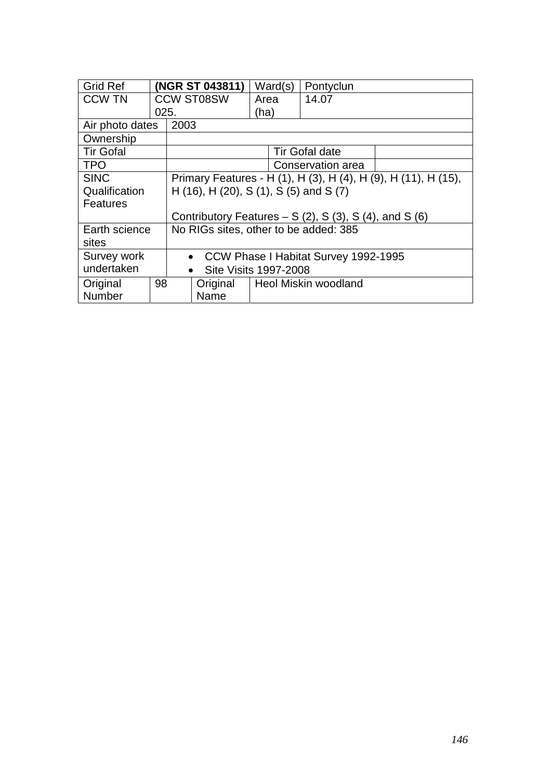| <b>Grid Ref</b>                                         |      | (NGR ST 043811)                        |                   |      | Ward(s) | Pontyclun                                             |                                                                |
|---------------------------------------------------------|------|----------------------------------------|-------------------|------|---------|-------------------------------------------------------|----------------------------------------------------------------|
| <b>CCW TN</b>                                           |      |                                        | <b>CCW ST08SW</b> | Area |         | 14.07                                                 |                                                                |
|                                                         | 025. |                                        |                   | (ha) |         |                                                       |                                                                |
| Air photo dates                                         |      | 2003                                   |                   |      |         |                                                       |                                                                |
| Ownership                                               |      |                                        |                   |      |         |                                                       |                                                                |
| <b>Tir Gofal</b>                                        |      |                                        |                   |      |         | <b>Tir Gofal date</b>                                 |                                                                |
| <b>TPO</b>                                              |      |                                        |                   |      |         | Conservation area                                     |                                                                |
| <b>SINC</b>                                             |      |                                        |                   |      |         |                                                       | Primary Features - H (1), H (3), H (4), H (9), H (11), H (15), |
| Qualification                                           |      | H (16), H (20), S (1), S (5) and S (7) |                   |      |         |                                                       |                                                                |
| <b>Features</b>                                         |      |                                        |                   |      |         |                                                       |                                                                |
|                                                         |      |                                        |                   |      |         | Contributory Features $- S(2)$ , S(3), S(4), and S(6) |                                                                |
| Earth science                                           |      |                                        |                   |      |         | No RIGs sites, other to be added: 385                 |                                                                |
| sites                                                   |      |                                        |                   |      |         |                                                       |                                                                |
| Survey work                                             |      |                                        |                   |      |         | • CCW Phase I Habitat Survey 1992-1995                |                                                                |
| undertaken<br><b>Site Visits 1997-2008</b><br>$\bullet$ |      |                                        |                   |      |         |                                                       |                                                                |
| Original                                                | 98   |                                        | Original          |      |         | Heol Miskin woodland                                  |                                                                |
| Number                                                  |      |                                        | Name              |      |         |                                                       |                                                                |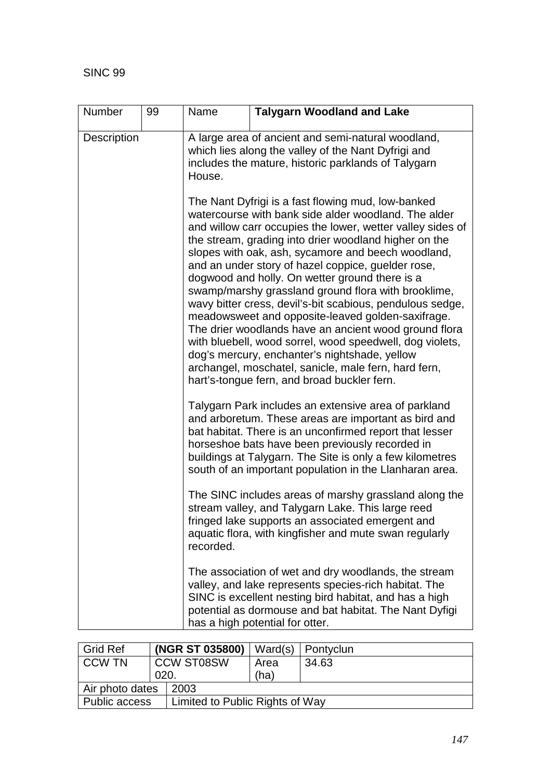| <b>Number</b> | 99 | Name                                                                                                                                                                                                                                                                                                                                                                                                                                                                                                                                                                                                                                                                                                                                                                                                                                                  | <b>Talygarn Woodland and Lake</b>                                                                                                                                                                                        |  |  |  |
|---------------|----|-------------------------------------------------------------------------------------------------------------------------------------------------------------------------------------------------------------------------------------------------------------------------------------------------------------------------------------------------------------------------------------------------------------------------------------------------------------------------------------------------------------------------------------------------------------------------------------------------------------------------------------------------------------------------------------------------------------------------------------------------------------------------------------------------------------------------------------------------------|--------------------------------------------------------------------------------------------------------------------------------------------------------------------------------------------------------------------------|--|--|--|
| Description   |    | A large area of ancient and semi-natural woodland,<br>which lies along the valley of the Nant Dyfrigi and<br>includes the mature, historic parklands of Talygarn<br>House.                                                                                                                                                                                                                                                                                                                                                                                                                                                                                                                                                                                                                                                                            |                                                                                                                                                                                                                          |  |  |  |
|               |    | The Nant Dyfrigi is a fast flowing mud, low-banked<br>watercourse with bank side alder woodland. The alder<br>and willow carr occupies the lower, wetter valley sides of<br>the stream, grading into drier woodland higher on the<br>slopes with oak, ash, sycamore and beech woodland,<br>and an under story of hazel coppice, guelder rose,<br>dogwood and holly. On wetter ground there is a<br>swamp/marshy grassland ground flora with brooklime,<br>wavy bitter cress, devil's-bit scabious, pendulous sedge,<br>meadowsweet and opposite-leaved golden-saxifrage.<br>The drier woodlands have an ancient wood ground flora<br>with bluebell, wood sorrel, wood speedwell, dog violets,<br>dog's mercury, enchanter's nightshade, yellow<br>archangel, moschatel, sanicle, male fern, hard fern,<br>hart's-tongue fern, and broad buckler fern. |                                                                                                                                                                                                                          |  |  |  |
|               |    | Talygarn Park includes an extensive area of parkland<br>and arboretum. These areas are important as bird and<br>bat habitat. There is an unconfirmed report that lesser<br>horseshoe bats have been previously recorded in<br>buildings at Talygarn. The Site is only a few kilometres<br>south of an important population in the Llanharan area.                                                                                                                                                                                                                                                                                                                                                                                                                                                                                                     |                                                                                                                                                                                                                          |  |  |  |
|               |    | recorded.                                                                                                                                                                                                                                                                                                                                                                                                                                                                                                                                                                                                                                                                                                                                                                                                                                             | The SINC includes areas of marshy grassland along the<br>stream valley, and Talygarn Lake. This large reed<br>fringed lake supports an associated emergent and<br>aquatic flora, with kingfisher and mute swan regularly |  |  |  |
|               |    | The association of wet and dry woodlands, the stream<br>valley, and lake represents species-rich habitat. The<br>SINC is excellent nesting bird habitat, and has a high<br>potential as dormouse and bat habitat. The Nant Dyfigi<br>has a high potential for otter.                                                                                                                                                                                                                                                                                                                                                                                                                                                                                                                                                                                  |                                                                                                                                                                                                                          |  |  |  |

| <b>Grid Ref</b>                                         |                         | (NGR ST 035800) | Ward(s) | Pontyclun |
|---------------------------------------------------------|-------------------------|-----------------|---------|-----------|
| <b>CCW TN</b>                                           | <b>CCW ST08SW</b>       |                 | Area    | 34.63     |
|                                                         | 020.                    |                 | (ha)    |           |
|                                                         | Air photo dates<br>2003 |                 |         |           |
| <b>Public access</b><br>Limited to Public Rights of Way |                         |                 |         |           |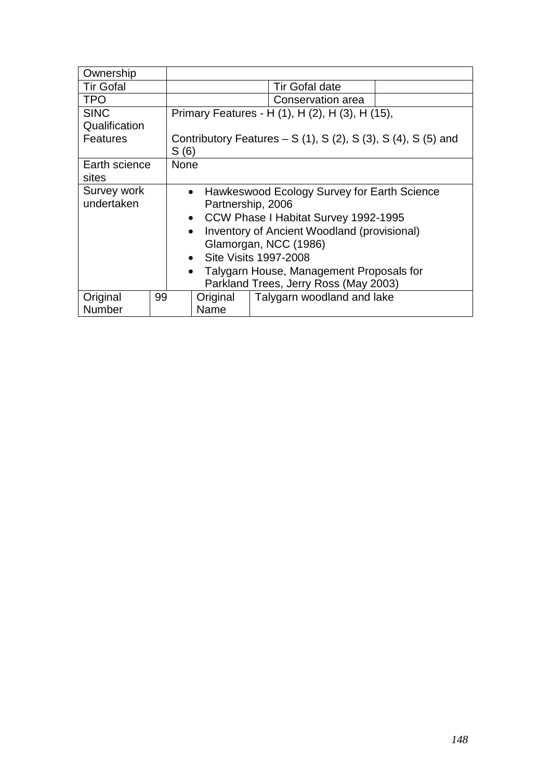| Ownership        |    |                                                       |          |                                                             |  |
|------------------|----|-------------------------------------------------------|----------|-------------------------------------------------------------|--|
| <b>Tir Gofal</b> |    | <b>Tir Gofal date</b>                                 |          |                                                             |  |
| <b>TPO</b>       |    |                                                       |          | Conservation area                                           |  |
| <b>SINC</b>      |    |                                                       |          | Primary Features - H (1), H (2), H (3), H (15),             |  |
| Qualification    |    |                                                       |          |                                                             |  |
| Features         |    |                                                       |          | Contributory Features $- S(1)$ , S(2), S(3), S(4), S(5) and |  |
|                  |    | S(6)                                                  |          |                                                             |  |
| Earth science    |    | <b>None</b>                                           |          |                                                             |  |
| sites            |    |                                                       |          |                                                             |  |
| Survey work      |    |                                                       |          | • Hawkeswood Ecology Survey for Earth Science               |  |
| undertaken       |    |                                                       |          | Partnership, 2006                                           |  |
|                  |    | $\bullet$                                             |          | CCW Phase I Habitat Survey 1992-1995                        |  |
|                  |    | $\bullet$                                             |          | Inventory of Ancient Woodland (provisional)                 |  |
|                  |    |                                                       |          | Glamorgan, NCC (1986)                                       |  |
|                  |    | Site Visits 1997-2008<br>$\bullet$                    |          |                                                             |  |
|                  |    | Talygarn House, Management Proposals for<br>$\bullet$ |          |                                                             |  |
|                  |    | Parkland Trees, Jerry Ross (May 2003)                 |          |                                                             |  |
| Original         | 99 |                                                       | Original | Talygarn woodland and lake                                  |  |
| <b>Number</b>    |    | Name                                                  |          |                                                             |  |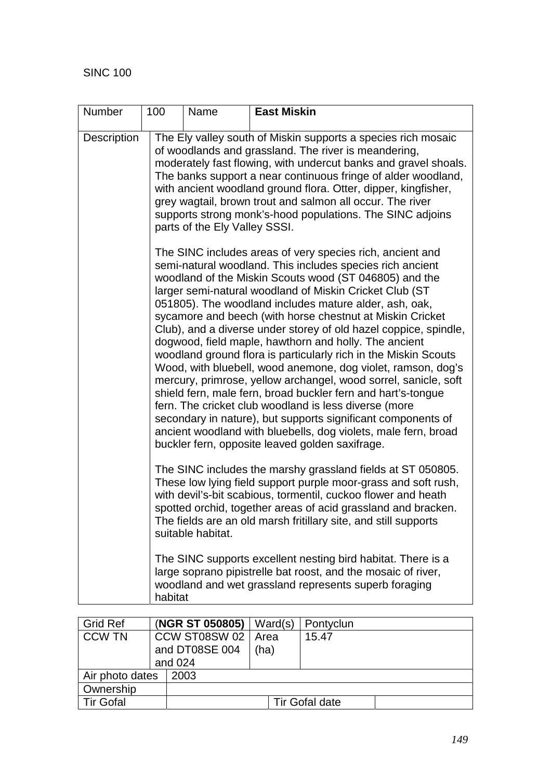| <b>Number</b> | 100                                                                                                                                                                                                                                                                                                                                                                                                                                                                                                                                                                                                                                                                                                                                                                                                                                                                                                                                                              | Name                                                                                                                                                                                                                                                                                                                                                                                                                                                                                   | <b>East Miskin</b>                                                                                                                                                                                                                                                                                                                 |  |  |  |  |  |  |
|---------------|------------------------------------------------------------------------------------------------------------------------------------------------------------------------------------------------------------------------------------------------------------------------------------------------------------------------------------------------------------------------------------------------------------------------------------------------------------------------------------------------------------------------------------------------------------------------------------------------------------------------------------------------------------------------------------------------------------------------------------------------------------------------------------------------------------------------------------------------------------------------------------------------------------------------------------------------------------------|----------------------------------------------------------------------------------------------------------------------------------------------------------------------------------------------------------------------------------------------------------------------------------------------------------------------------------------------------------------------------------------------------------------------------------------------------------------------------------------|------------------------------------------------------------------------------------------------------------------------------------------------------------------------------------------------------------------------------------------------------------------------------------------------------------------------------------|--|--|--|--|--|--|
| Description   |                                                                                                                                                                                                                                                                                                                                                                                                                                                                                                                                                                                                                                                                                                                                                                                                                                                                                                                                                                  | The Ely valley south of Miskin supports a species rich mosaic<br>of woodlands and grassland. The river is meandering,<br>moderately fast flowing, with undercut banks and gravel shoals.<br>The banks support a near continuous fringe of alder woodland,<br>with ancient woodland ground flora. Otter, dipper, kingfisher,<br>grey wagtail, brown trout and salmon all occur. The river<br>supports strong monk's-hood populations. The SINC adjoins<br>parts of the Ely Valley SSSI. |                                                                                                                                                                                                                                                                                                                                    |  |  |  |  |  |  |
|               | The SINC includes areas of very species rich, ancient and<br>semi-natural woodland. This includes species rich ancient<br>woodland of the Miskin Scouts wood (ST 046805) and the<br>larger semi-natural woodland of Miskin Cricket Club (ST<br>051805). The woodland includes mature alder, ash, oak,<br>sycamore and beech (with horse chestnut at Miskin Cricket<br>Club), and a diverse under storey of old hazel coppice, spindle,<br>dogwood, field maple, hawthorn and holly. The ancient<br>woodland ground flora is particularly rich in the Miskin Scouts<br>Wood, with bluebell, wood anemone, dog violet, ramson, dog's<br>mercury, primrose, yellow archangel, wood sorrel, sanicle, soft<br>shield fern, male fern, broad buckler fern and hart's-tongue<br>fern. The cricket club woodland is less diverse (more<br>secondary in nature), but supports significant components of<br>ancient woodland with bluebells, dog violets, male fern, broad |                                                                                                                                                                                                                                                                                                                                                                                                                                                                                        |                                                                                                                                                                                                                                                                                                                                    |  |  |  |  |  |  |
|               |                                                                                                                                                                                                                                                                                                                                                                                                                                                                                                                                                                                                                                                                                                                                                                                                                                                                                                                                                                  | suitable habitat.                                                                                                                                                                                                                                                                                                                                                                                                                                                                      | The SINC includes the marshy grassland fields at ST 050805.<br>These low lying field support purple moor-grass and soft rush,<br>with devil's-bit scabious, tormentil, cuckoo flower and heath<br>spotted orchid, together areas of acid grassland and bracken.<br>The fields are an old marsh fritillary site, and still supports |  |  |  |  |  |  |
|               | habitat                                                                                                                                                                                                                                                                                                                                                                                                                                                                                                                                                                                                                                                                                                                                                                                                                                                                                                                                                          |                                                                                                                                                                                                                                                                                                                                                                                                                                                                                        | The SINC supports excellent nesting bird habitat. There is a<br>large soprano pipistrelle bat roost, and the mosaic of river,<br>woodland and wet grassland represents superb foraging                                                                                                                                             |  |  |  |  |  |  |

| Grid Ref                |  | (NGR ST 050805) | Ward(s) | Pontyclun             |
|-------------------------|--|-----------------|---------|-----------------------|
| <b>CCW TN</b>           |  | CCW ST08SW 02   | l Area  | 15.47                 |
|                         |  | and DT08SE 004  | (ha)    |                       |
|                         |  | and 024         |         |                       |
| Air photo dates<br>2003 |  |                 |         |                       |
| Ownership               |  |                 |         |                       |
| <b>Tir Gofal</b>        |  |                 |         | <b>Tir Gofal date</b> |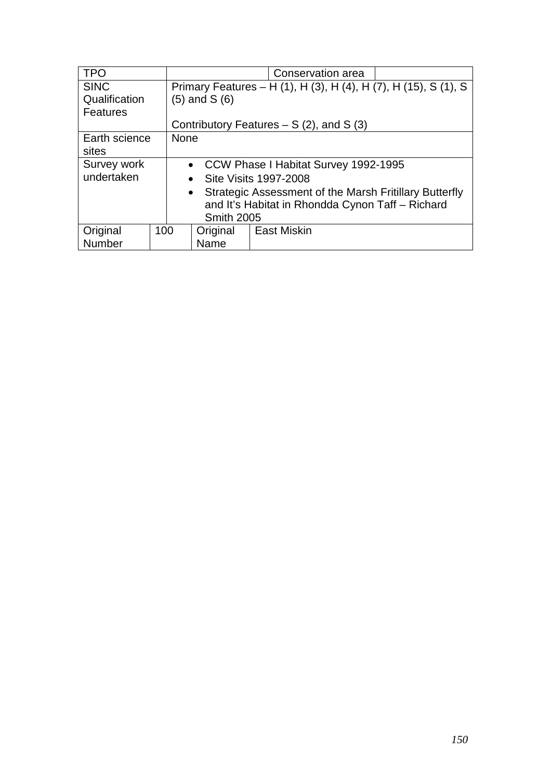| <b>TPO</b>      |                   | Conservation area                                                   |                                                                 |  |  |  |
|-----------------|-------------------|---------------------------------------------------------------------|-----------------------------------------------------------------|--|--|--|
| <b>SINC</b>     |                   |                                                                     | Primary Features – H (1), H (3), H (4), H (7), H (15), S (1), S |  |  |  |
| Qualification   |                   | $(5)$ and S $(6)$                                                   |                                                                 |  |  |  |
| <b>Features</b> |                   |                                                                     |                                                                 |  |  |  |
|                 |                   |                                                                     | Contributory Features $- S(2)$ , and S(3)                       |  |  |  |
| Earth science   | <b>None</b>       |                                                                     |                                                                 |  |  |  |
| sites           |                   |                                                                     |                                                                 |  |  |  |
| Survey work     |                   | • CCW Phase I Habitat Survey 1992-1995                              |                                                                 |  |  |  |
| undertaken      |                   |                                                                     | • Site Visits 1997-2008                                         |  |  |  |
|                 |                   | Strategic Assessment of the Marsh Fritillary Butterfly<br>$\bullet$ |                                                                 |  |  |  |
|                 |                   | and It's Habitat in Rhondda Cynon Taff - Richard                    |                                                                 |  |  |  |
|                 | <b>Smith 2005</b> |                                                                     |                                                                 |  |  |  |
| Original        | 100               | <b>East Miskin</b><br>Original                                      |                                                                 |  |  |  |
| Number          |                   | Name                                                                |                                                                 |  |  |  |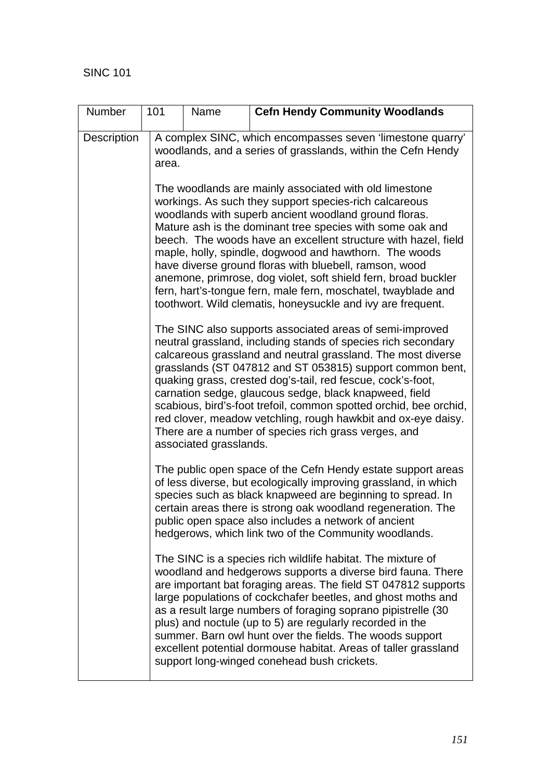| Number      | 101   | Name                                                                                                                                                                                                                                                                                                                                                                                                                                                                                                                                                                                                    | <b>Cefn Hendy Community Woodlands</b>                                                                                                                                                                                                                                                                                                                                                                                                                                                                                                                                                                                          |  |  |  |  |  |  |  |
|-------------|-------|---------------------------------------------------------------------------------------------------------------------------------------------------------------------------------------------------------------------------------------------------------------------------------------------------------------------------------------------------------------------------------------------------------------------------------------------------------------------------------------------------------------------------------------------------------------------------------------------------------|--------------------------------------------------------------------------------------------------------------------------------------------------------------------------------------------------------------------------------------------------------------------------------------------------------------------------------------------------------------------------------------------------------------------------------------------------------------------------------------------------------------------------------------------------------------------------------------------------------------------------------|--|--|--|--|--|--|--|
| Description | area. | A complex SINC, which encompasses seven 'limestone quarry'<br>woodlands, and a series of grasslands, within the Cefn Hendy                                                                                                                                                                                                                                                                                                                                                                                                                                                                              |                                                                                                                                                                                                                                                                                                                                                                                                                                                                                                                                                                                                                                |  |  |  |  |  |  |  |
|             |       |                                                                                                                                                                                                                                                                                                                                                                                                                                                                                                                                                                                                         | The woodlands are mainly associated with old limestone<br>workings. As such they support species-rich calcareous<br>woodlands with superb ancient woodland ground floras.<br>Mature ash is the dominant tree species with some oak and<br>beech. The woods have an excellent structure with hazel, field<br>maple, holly, spindle, dogwood and hawthorn. The woods<br>have diverse ground floras with bluebell, ramson, wood<br>anemone, primrose, dog violet, soft shield fern, broad buckler<br>fern, hart's-tongue fern, male fern, moschatel, twayblade and<br>toothwort. Wild clematis, honeysuckle and ivy are frequent. |  |  |  |  |  |  |  |
|             |       | The SINC also supports associated areas of semi-improved<br>neutral grassland, including stands of species rich secondary<br>calcareous grassland and neutral grassland. The most diverse<br>grasslands (ST 047812 and ST 053815) support common bent,<br>quaking grass, crested dog's-tail, red fescue, cock's-foot,<br>carnation sedge, glaucous sedge, black knapweed, field<br>scabious, bird's-foot trefoil, common spotted orchid, bee orchid,<br>red clover, meadow vetchling, rough hawkbit and ox-eye daisy.<br>There are a number of species rich grass verges, and<br>associated grasslands. |                                                                                                                                                                                                                                                                                                                                                                                                                                                                                                                                                                                                                                |  |  |  |  |  |  |  |
|             |       |                                                                                                                                                                                                                                                                                                                                                                                                                                                                                                                                                                                                         | The public open space of the Cefn Hendy estate support areas<br>of less diverse, but ecologically improving grassland, in which<br>species such as black knapweed are beginning to spread. In<br>certain areas there is strong oak woodland regeneration. The<br>public open space also includes a network of ancient<br>hedgerows, which link two of the Community woodlands.                                                                                                                                                                                                                                                 |  |  |  |  |  |  |  |
|             |       |                                                                                                                                                                                                                                                                                                                                                                                                                                                                                                                                                                                                         | The SINC is a species rich wildlife habitat. The mixture of<br>woodland and hedgerows supports a diverse bird fauna. There<br>are important bat foraging areas. The field ST 047812 supports<br>large populations of cockchafer beetles, and ghost moths and<br>as a result large numbers of foraging soprano pipistrelle (30<br>plus) and noctule (up to 5) are regularly recorded in the<br>summer. Barn owl hunt over the fields. The woods support<br>excellent potential dormouse habitat. Areas of taller grassland<br>support long-winged conehead bush crickets.                                                       |  |  |  |  |  |  |  |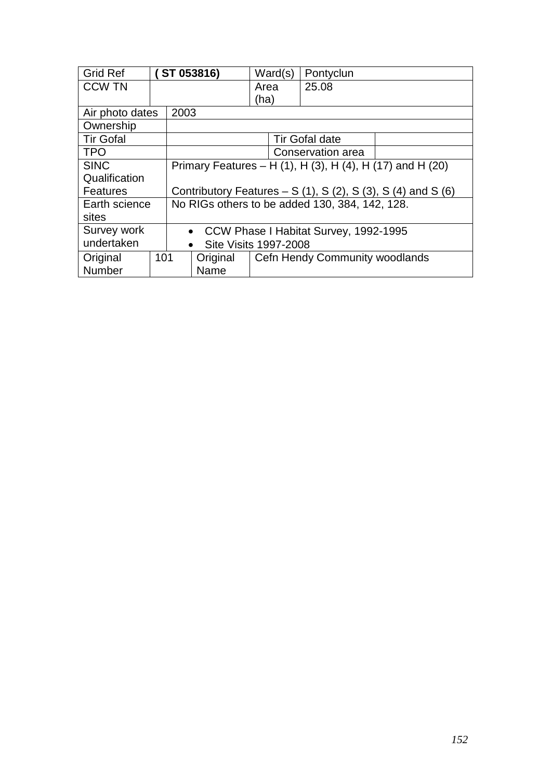| <b>Grid Ref</b>          |     |                                                                           | ST 053816)                                | Ward(s) | Pontyclun                      |  |
|--------------------------|-----|---------------------------------------------------------------------------|-------------------------------------------|---------|--------------------------------|--|
| <b>CCW TN</b>            |     |                                                                           |                                           | Area    | 25.08                          |  |
|                          |     |                                                                           |                                           | (ha)    |                                |  |
| Air photo dates          |     | 2003                                                                      |                                           |         |                                |  |
| Ownership                |     |                                                                           |                                           |         |                                |  |
| <b>Tir Gofal</b>         |     |                                                                           |                                           |         | Tir Gofal date                 |  |
| <b>TPO</b>               |     |                                                                           |                                           |         | Conservation area              |  |
| <b>SINC</b>              |     | Primary Features – H (1), H (3), H (4), H (17) and H (20)                 |                                           |         |                                |  |
| Qualification            |     |                                                                           |                                           |         |                                |  |
| <b>Features</b>          |     | Contributory Features – S $(1)$ , S $(2)$ , S $(3)$ , S $(4)$ and S $(6)$ |                                           |         |                                |  |
| Earth science            |     | No RIGs others to be added 130, 384, 142, 128.                            |                                           |         |                                |  |
| sites                    |     |                                                                           |                                           |         |                                |  |
| Survey work<br>$\bullet$ |     |                                                                           | CCW Phase I Habitat Survey, 1992-1995     |         |                                |  |
| undertaken               |     |                                                                           | <b>Site Visits 1997-2008</b><br>$\bullet$ |         |                                |  |
| Original                 | 101 |                                                                           | Original                                  |         | Cefn Hendy Community woodlands |  |
| Number                   |     |                                                                           | Name                                      |         |                                |  |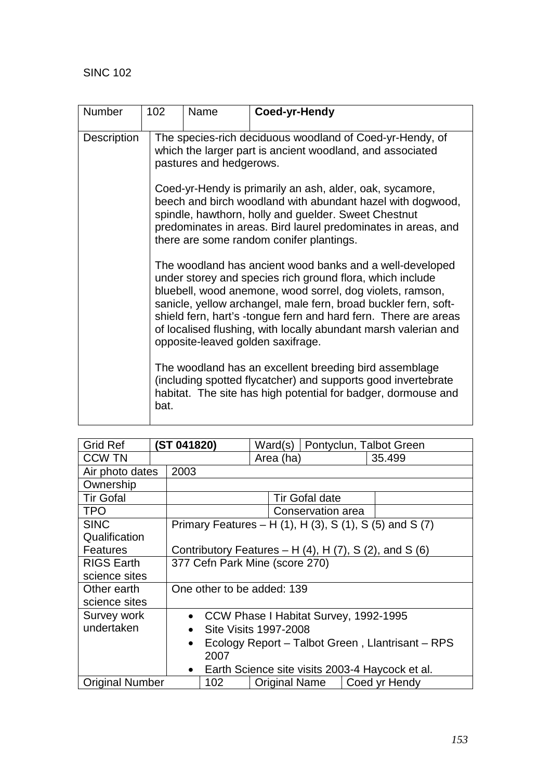| <b>Number</b>      | 102  | Name                                                                                                                                                                                                                                                                                                                                                                                                                                            | Coed-yr-Hendy |  |  |  |  |
|--------------------|------|-------------------------------------------------------------------------------------------------------------------------------------------------------------------------------------------------------------------------------------------------------------------------------------------------------------------------------------------------------------------------------------------------------------------------------------------------|---------------|--|--|--|--|
| <b>Description</b> |      | The species-rich deciduous woodland of Coed-yr-Hendy, of<br>which the larger part is ancient woodland, and associated<br>pastures and hedgerows.<br>Coed-yr-Hendy is primarily an ash, alder, oak, sycamore,<br>beech and birch woodland with abundant hazel with dogwood,<br>spindle, hawthorn, holly and guelder. Sweet Chestnut<br>predominates in areas. Bird laurel predominates in areas, and<br>there are some random conifer plantings. |               |  |  |  |  |
|                    |      |                                                                                                                                                                                                                                                                                                                                                                                                                                                 |               |  |  |  |  |
|                    |      | The woodland has ancient wood banks and a well-developed<br>under storey and species rich ground flora, which include<br>bluebell, wood anemone, wood sorrel, dog violets, ramson,<br>sanicle, yellow archangel, male fern, broad buckler fern, soft-<br>shield fern, hart's -tongue fern and hard fern. There are areas<br>of localised flushing, with locally abundant marsh valerian and<br>opposite-leaved golden saxifrage.                |               |  |  |  |  |
|                    | bat. | The woodland has an excellent breeding bird assemblage<br>(including spotted flycatcher) and supports good invertebrate<br>habitat. The site has high potential for badger, dormouse and                                                                                                                                                                                                                                                        |               |  |  |  |  |

| <b>Grid Ref</b>        |                                                               | (ST 041820) |                                                                   |  |           |                       |  | Ward(s)   Pontyclun, Talbot Green                       |
|------------------------|---------------------------------------------------------------|-------------|-------------------------------------------------------------------|--|-----------|-----------------------|--|---------------------------------------------------------|
| <b>CCW TN</b>          |                                                               |             |                                                                   |  | Area (ha) |                       |  | 35.499                                                  |
| Air photo dates        |                                                               | 2003        |                                                                   |  |           |                       |  |                                                         |
| Ownership              |                                                               |             |                                                                   |  |           |                       |  |                                                         |
| <b>Tir Gofal</b>       |                                                               |             |                                                                   |  |           | <b>Tir Gofal date</b> |  |                                                         |
| <b>TPO</b>             |                                                               |             |                                                                   |  |           | Conservation area     |  |                                                         |
| <b>SINC</b>            |                                                               |             |                                                                   |  |           |                       |  | Primary Features – H (1), H (3), S (1), S (5) and S (7) |
| Qualification          |                                                               |             |                                                                   |  |           |                       |  |                                                         |
| Features               |                                                               |             | Contributory Features - H $(4)$ , H $(7)$ , S $(2)$ , and S $(6)$ |  |           |                       |  |                                                         |
| <b>RIGS Earth</b>      |                                                               |             | 377 Cefn Park Mine (score 270)                                    |  |           |                       |  |                                                         |
| science sites          |                                                               |             |                                                                   |  |           |                       |  |                                                         |
| Other earth            |                                                               |             | One other to be added: 139                                        |  |           |                       |  |                                                         |
| science sites          |                                                               |             |                                                                   |  |           |                       |  |                                                         |
| Survey work            |                                                               |             | • CCW Phase I Habitat Survey, 1992-1995                           |  |           |                       |  |                                                         |
| undertaken             |                                                               | $\bullet$   | Site Visits 1997-2008                                             |  |           |                       |  |                                                         |
|                        | Ecology Report – Talbot Green, Llantrisant – RPS<br>$\bullet$ |             |                                                                   |  |           |                       |  |                                                         |
|                        |                                                               |             | 2007                                                              |  |           |                       |  |                                                         |
|                        | Earth Science site visits 2003-4 Haycock et al.<br>$\bullet$  |             |                                                                   |  |           |                       |  |                                                         |
| <b>Original Number</b> |                                                               |             | 102                                                               |  |           | Original Name         |  | Coed yr Hendy                                           |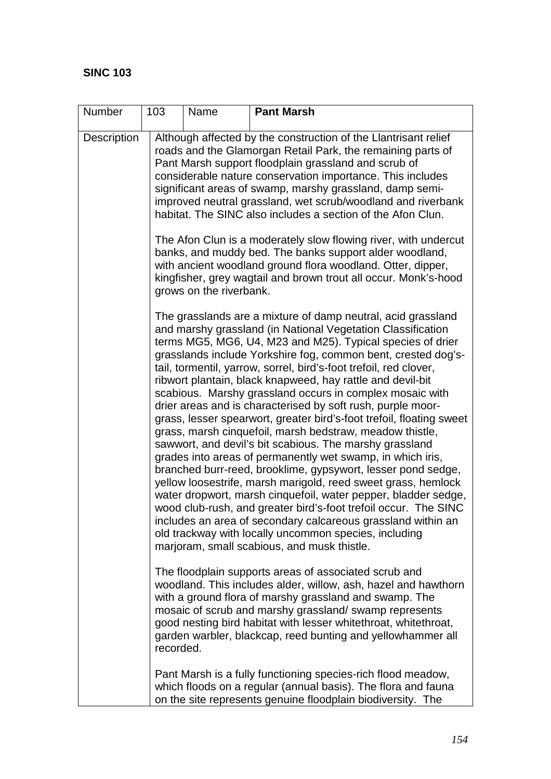| Number             | 103       | Name                    | <b>Pant Marsh</b>                                                                                                                                                                                                                                                                                                                                                                                                                                                                                                                                                                                                                                                                                                                                                                                                                                                                                                                                                                                                                                                                                                                                                                                                                   |
|--------------------|-----------|-------------------------|-------------------------------------------------------------------------------------------------------------------------------------------------------------------------------------------------------------------------------------------------------------------------------------------------------------------------------------------------------------------------------------------------------------------------------------------------------------------------------------------------------------------------------------------------------------------------------------------------------------------------------------------------------------------------------------------------------------------------------------------------------------------------------------------------------------------------------------------------------------------------------------------------------------------------------------------------------------------------------------------------------------------------------------------------------------------------------------------------------------------------------------------------------------------------------------------------------------------------------------|
| <b>Description</b> |           | grows on the riverbank. | Although affected by the construction of the Llantrisant relief<br>roads and the Glamorgan Retail Park, the remaining parts of<br>Pant Marsh support floodplain grassland and scrub of<br>considerable nature conservation importance. This includes<br>significant areas of swamp, marshy grassland, damp semi-<br>improved neutral grassland, wet scrub/woodland and riverbank<br>habitat. The SINC also includes a section of the Afon Clun.<br>The Afon Clun is a moderately slow flowing river, with undercut<br>banks, and muddy bed. The banks support alder woodland,<br>with ancient woodland ground flora woodland. Otter, dipper,<br>kingfisher, grey wagtail and brown trout all occur. Monk's-hood                                                                                                                                                                                                                                                                                                                                                                                                                                                                                                                     |
|                    |           |                         | The grasslands are a mixture of damp neutral, acid grassland<br>and marshy grassland (in National Vegetation Classification<br>terms MG5, MG6, U4, M23 and M25). Typical species of drier<br>grasslands include Yorkshire fog, common bent, crested dog's-<br>tail, tormentil, yarrow, sorrel, bird's-foot trefoil, red clover,<br>ribwort plantain, black knapweed, hay rattle and devil-bit<br>scabious. Marshy grassland occurs in complex mosaic with<br>drier areas and is characterised by soft rush, purple moor-<br>grass, lesser spearwort, greater bird's-foot trefoil, floating sweet<br>grass, marsh cinquefoil, marsh bedstraw, meadow thistle,<br>sawwort, and devil's bit scabious. The marshy grassland<br>grades into areas of permanently wet swamp, in which iris,<br>branched burr-reed, brooklime, gypsywort, lesser pond sedge,<br>yellow loosestrife, marsh marigold, reed sweet grass, hemlock<br>water dropwort, marsh cinquefoil, water pepper, bladder sedge,<br>wood club-rush, and greater bird's-foot trefoil occur. The SINC<br>includes an area of secondary calcareous grassland within an<br>old trackway with locally uncommon species, including<br>marjoram, small scabious, and musk thistle. |
|                    | recorded. |                         | The floodplain supports areas of associated scrub and<br>woodland. This includes alder, willow, ash, hazel and hawthorn<br>with a ground flora of marshy grassland and swamp. The<br>mosaic of scrub and marshy grassland/ swamp represents<br>good nesting bird habitat with lesser whitethroat, whitethroat,<br>garden warbler, blackcap, reed bunting and yellowhammer all                                                                                                                                                                                                                                                                                                                                                                                                                                                                                                                                                                                                                                                                                                                                                                                                                                                       |
|                    |           |                         | Pant Marsh is a fully functioning species-rich flood meadow,<br>which floods on a regular (annual basis). The flora and fauna<br>on the site represents genuine floodplain biodiversity. The                                                                                                                                                                                                                                                                                                                                                                                                                                                                                                                                                                                                                                                                                                                                                                                                                                                                                                                                                                                                                                        |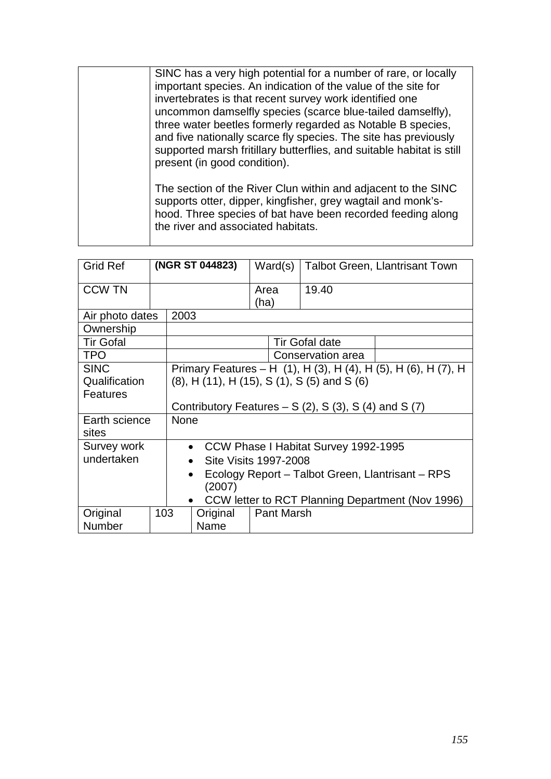| SINC has a very high potential for a number of rare, or locally<br>important species. An indication of the value of the site for<br>invertebrates is that recent survey work identified one<br>uncommon damselfly species (scarce blue-tailed damselfly),<br>three water beetles formerly regarded as Notable B species,<br>and five nationally scarce fly species. The site has previously<br>supported marsh fritillary butterflies, and suitable habitat is still<br>present (in good condition). |
|------------------------------------------------------------------------------------------------------------------------------------------------------------------------------------------------------------------------------------------------------------------------------------------------------------------------------------------------------------------------------------------------------------------------------------------------------------------------------------------------------|
| The section of the River Clun within and adjacent to the SINC<br>supports otter, dipper, kingfisher, grey wagtail and monk's-<br>hood. Three species of bat have been recorded feeding along<br>the river and associated habitats.                                                                                                                                                                                                                                                                   |

| <b>Grid Ref</b>        | (NGR ST 044823) |                                                             |          | Ward(s)           | <b>Talbot Green, Llantrisant Town</b> |                                                                |
|------------------------|-----------------|-------------------------------------------------------------|----------|-------------------|---------------------------------------|----------------------------------------------------------------|
| <b>CCW TN</b>          |                 |                                                             |          | Area<br>(ha)      | 19.40                                 |                                                                |
| Air photo dates        |                 | 2003                                                        |          |                   |                                       |                                                                |
| Ownership              |                 |                                                             |          |                   |                                       |                                                                |
| <b>Tir Gofal</b>       |                 |                                                             |          |                   | <b>Tir Gofal date</b>                 |                                                                |
| <b>TPO</b>             |                 |                                                             |          |                   | Conservation area                     |                                                                |
| <b>SINC</b>            |                 |                                                             |          |                   |                                       | Primary Features – H (1), H (3), H (4), H (5), H (6), H (7), H |
| Qualification          |                 | $(8)$ , H $(11)$ , H $(15)$ , S $(1)$ , S $(5)$ and S $(6)$ |          |                   |                                       |                                                                |
| Features               |                 |                                                             |          |                   |                                       |                                                                |
|                        |                 | Contributory Features $- S(2)$ , S(3), S(4) and S(7)        |          |                   |                                       |                                                                |
| Earth science<br>sites |                 | <b>None</b>                                                 |          |                   |                                       |                                                                |
| Survey work            |                 | CCW Phase I Habitat Survey 1992-1995<br>$\bullet$           |          |                   |                                       |                                                                |
| undertaken             |                 | Site Visits 1997-2008                                       |          |                   |                                       |                                                                |
|                        |                 | Ecology Report – Talbot Green, Llantrisant – RPS<br>(2007)  |          |                   |                                       |                                                                |
|                        |                 | $\bullet$                                                   |          |                   |                                       | CCW letter to RCT Planning Department (Nov 1996)               |
| Original               | 103             |                                                             | Original | <b>Pant Marsh</b> |                                       |                                                                |
| <b>Number</b>          |                 |                                                             | Name     |                   |                                       |                                                                |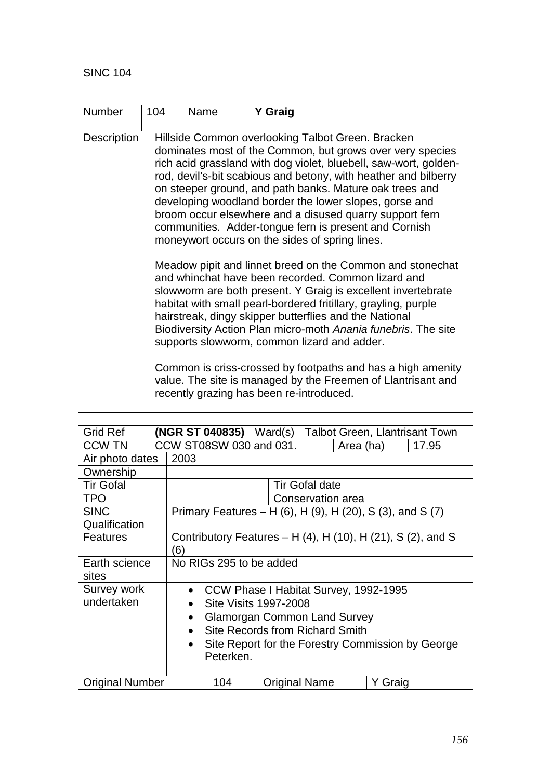| <b>Number</b> | 104 | Name                                                                                                                                                                                                                                                                                                                                                                                                                                                                                                                                             | Y Graig                                                                                                                                                                                                                                                                                                                                                                                                                                                                                                                                                                                                |  |  |  |  |
|---------------|-----|--------------------------------------------------------------------------------------------------------------------------------------------------------------------------------------------------------------------------------------------------------------------------------------------------------------------------------------------------------------------------------------------------------------------------------------------------------------------------------------------------------------------------------------------------|--------------------------------------------------------------------------------------------------------------------------------------------------------------------------------------------------------------------------------------------------------------------------------------------------------------------------------------------------------------------------------------------------------------------------------------------------------------------------------------------------------------------------------------------------------------------------------------------------------|--|--|--|--|
| Description   |     | Hillside Common overlooking Talbot Green. Bracken<br>dominates most of the Common, but grows over very species<br>rich acid grassland with dog violet, bluebell, saw-wort, golden-<br>rod, devil's-bit scabious and betony, with heather and bilberry<br>on steeper ground, and path banks. Mature oak trees and<br>developing woodland border the lower slopes, gorse and<br>broom occur elsewhere and a disused quarry support fern<br>communities. Adder-tongue fern is present and Cornish<br>moneywort occurs on the sides of spring lines. |                                                                                                                                                                                                                                                                                                                                                                                                                                                                                                                                                                                                        |  |  |  |  |
|               |     |                                                                                                                                                                                                                                                                                                                                                                                                                                                                                                                                                  | Meadow pipit and linnet breed on the Common and stonechat<br>and whinchat have been recorded. Common lizard and<br>slowworm are both present. Y Graig is excellent invertebrate<br>habitat with small pearl-bordered fritillary, grayling, purple<br>hairstreak, dingy skipper butterflies and the National<br>Biodiversity Action Plan micro-moth Anania funebris. The site<br>supports slowworm, common lizard and adder.<br>Common is criss-crossed by footpaths and has a high amenity<br>value. The site is managed by the Freemen of Llantrisant and<br>recently grazing has been re-introduced. |  |  |  |  |

| Grid Ref               |           | (NGR ST 040835)                                           | Ward(s) |  |                       |  |         | <b>Talbot Green, Llantrisant Town</b>                                   |
|------------------------|-----------|-----------------------------------------------------------|---------|--|-----------------------|--|---------|-------------------------------------------------------------------------|
| CCW TN                 |           | CCW ST08SW 030 and 031.<br>17.95<br>Area (ha)             |         |  |                       |  |         |                                                                         |
| Air photo dates        | 2003      |                                                           |         |  |                       |  |         |                                                                         |
| Ownership              |           |                                                           |         |  |                       |  |         |                                                                         |
| <b>Tir Gofal</b>       |           |                                                           |         |  | <b>Tir Gofal date</b> |  |         |                                                                         |
| <b>TPO</b>             |           | Conservation area                                         |         |  |                       |  |         |                                                                         |
| <b>SINC</b>            |           | Primary Features – H (6), H (9), H (20), S (3), and S (7) |         |  |                       |  |         |                                                                         |
| Qualification          |           |                                                           |         |  |                       |  |         |                                                                         |
| <b>Features</b>        |           |                                                           |         |  |                       |  |         | Contributory Features – H $(4)$ , H $(10)$ , H $(21)$ , S $(2)$ , and S |
|                        | (6)       |                                                           |         |  |                       |  |         |                                                                         |
| Earth science          |           | No RIGs 295 to be added                                   |         |  |                       |  |         |                                                                         |
| sites                  |           |                                                           |         |  |                       |  |         |                                                                         |
| Survey work            | $\bullet$ | CCW Phase I Habitat Survey, 1992-1995                     |         |  |                       |  |         |                                                                         |
| undertaken             |           | Site Visits 1997-2008                                     |         |  |                       |  |         |                                                                         |
|                        | $\bullet$ | <b>Glamorgan Common Land Survey</b>                       |         |  |                       |  |         |                                                                         |
|                        | $\bullet$ | Site Records from Richard Smith                           |         |  |                       |  |         |                                                                         |
|                        | $\bullet$ |                                                           |         |  |                       |  |         | Site Report for the Forestry Commission by George                       |
|                        |           | Peterken.                                                 |         |  |                       |  |         |                                                                         |
|                        |           |                                                           |         |  |                       |  |         |                                                                         |
| <b>Original Number</b> |           | 104                                                       |         |  | <b>Original Name</b>  |  | Y Graig |                                                                         |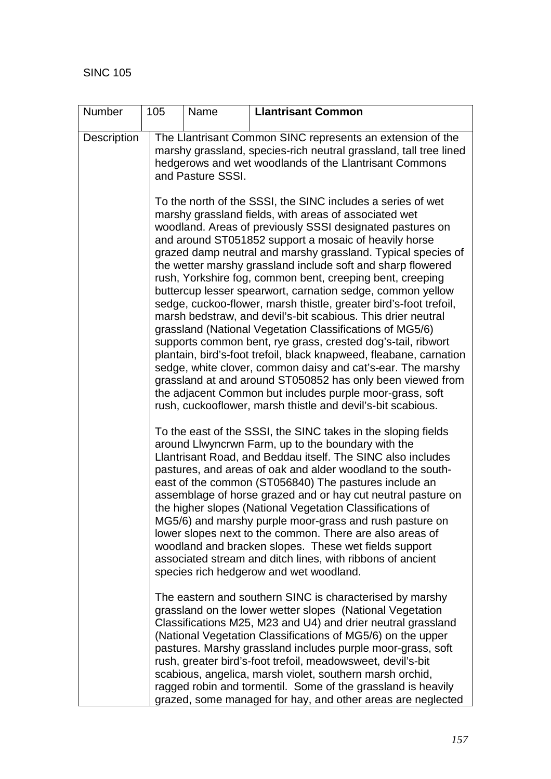| Number             | 105                                                                                                                                                                                                                                                                                                                                                                                                                                                                                                                                                                                                                                                                                                                                                                                                                                                                                                                                                                                                                                                                                                 | Name                                                                                                                                                                                                                                                                                                                                                                                                                                                                                                                                                                                                                                                                                                                             | <b>Llantrisant Common</b>                                                                                                                                                                                                                                                                                                                                                                                                                                                                                                                                                     |  |  |  |  |  |
|--------------------|-----------------------------------------------------------------------------------------------------------------------------------------------------------------------------------------------------------------------------------------------------------------------------------------------------------------------------------------------------------------------------------------------------------------------------------------------------------------------------------------------------------------------------------------------------------------------------------------------------------------------------------------------------------------------------------------------------------------------------------------------------------------------------------------------------------------------------------------------------------------------------------------------------------------------------------------------------------------------------------------------------------------------------------------------------------------------------------------------------|----------------------------------------------------------------------------------------------------------------------------------------------------------------------------------------------------------------------------------------------------------------------------------------------------------------------------------------------------------------------------------------------------------------------------------------------------------------------------------------------------------------------------------------------------------------------------------------------------------------------------------------------------------------------------------------------------------------------------------|-------------------------------------------------------------------------------------------------------------------------------------------------------------------------------------------------------------------------------------------------------------------------------------------------------------------------------------------------------------------------------------------------------------------------------------------------------------------------------------------------------------------------------------------------------------------------------|--|--|--|--|--|
| <b>Description</b> |                                                                                                                                                                                                                                                                                                                                                                                                                                                                                                                                                                                                                                                                                                                                                                                                                                                                                                                                                                                                                                                                                                     | The Llantrisant Common SINC represents an extension of the<br>marshy grassland, species-rich neutral grassland, tall tree lined<br>hedgerows and wet woodlands of the Llantrisant Commons<br>and Pasture SSSI.                                                                                                                                                                                                                                                                                                                                                                                                                                                                                                                   |                                                                                                                                                                                                                                                                                                                                                                                                                                                                                                                                                                               |  |  |  |  |  |
|                    | To the north of the SSSI, the SINC includes a series of wet<br>marshy grassland fields, with areas of associated wet<br>woodland. Areas of previously SSSI designated pastures on<br>and around ST051852 support a mosaic of heavily horse<br>grazed damp neutral and marshy grassland. Typical species of<br>the wetter marshy grassland include soft and sharp flowered<br>rush, Yorkshire fog, common bent, creeping bent, creeping<br>buttercup lesser spearwort, carnation sedge, common yellow<br>sedge, cuckoo-flower, marsh thistle, greater bird's-foot trefoil,<br>marsh bedstraw, and devil's-bit scabious. This drier neutral<br>grassland (National Vegetation Classifications of MG5/6)<br>supports common bent, rye grass, crested dog's-tail, ribwort<br>plantain, bird's-foot trefoil, black knapweed, fleabane, carnation<br>sedge, white clover, common daisy and cat's-ear. The marshy<br>grassland at and around ST050852 has only been viewed from<br>the adjacent Common but includes purple moor-grass, soft<br>rush, cuckooflower, marsh thistle and devil's-bit scabious. |                                                                                                                                                                                                                                                                                                                                                                                                                                                                                                                                                                                                                                                                                                                                  |                                                                                                                                                                                                                                                                                                                                                                                                                                                                                                                                                                               |  |  |  |  |  |
|                    |                                                                                                                                                                                                                                                                                                                                                                                                                                                                                                                                                                                                                                                                                                                                                                                                                                                                                                                                                                                                                                                                                                     | To the east of the SSSI, the SINC takes in the sloping fields<br>around Llwyncrwn Farm, up to the boundary with the<br>Llantrisant Road, and Beddau itself. The SINC also includes<br>pastures, and areas of oak and alder woodland to the south-<br>east of the common (ST056840) The pastures include an<br>assemblage of horse grazed and or hay cut neutral pasture on<br>the higher slopes (National Vegetation Classifications of<br>MG5/6) and marshy purple moor-grass and rush pasture on<br>lower slopes next to the common. There are also areas of<br>woodland and bracken slopes. These wet fields support<br>associated stream and ditch lines, with ribbons of ancient<br>species rich hedgerow and wet woodland. |                                                                                                                                                                                                                                                                                                                                                                                                                                                                                                                                                                               |  |  |  |  |  |
|                    |                                                                                                                                                                                                                                                                                                                                                                                                                                                                                                                                                                                                                                                                                                                                                                                                                                                                                                                                                                                                                                                                                                     |                                                                                                                                                                                                                                                                                                                                                                                                                                                                                                                                                                                                                                                                                                                                  | The eastern and southern SINC is characterised by marshy<br>grassland on the lower wetter slopes (National Vegetation<br>Classifications M25, M23 and U4) and drier neutral grassland<br>(National Vegetation Classifications of MG5/6) on the upper<br>pastures. Marshy grassland includes purple moor-grass, soft<br>rush, greater bird's-foot trefoil, meadowsweet, devil's-bit<br>scabious, angelica, marsh violet, southern marsh orchid,<br>ragged robin and tormentil. Some of the grassland is heavily<br>grazed, some managed for hay, and other areas are neglected |  |  |  |  |  |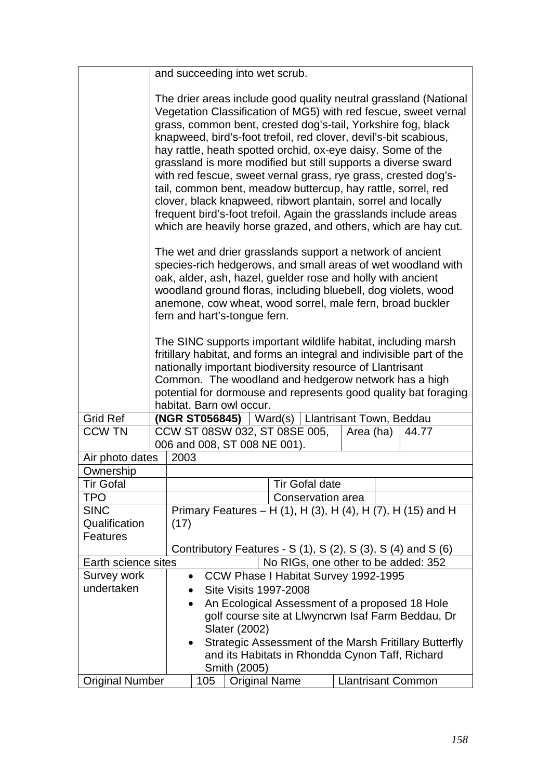|                        | and succeeding into wet scrub.                                                                                                                                                                                                                                                                                                                                                                                                                                                                                                                                                                                                                                                                                                                  |                                                    |                           |                                                        |  |  |
|------------------------|-------------------------------------------------------------------------------------------------------------------------------------------------------------------------------------------------------------------------------------------------------------------------------------------------------------------------------------------------------------------------------------------------------------------------------------------------------------------------------------------------------------------------------------------------------------------------------------------------------------------------------------------------------------------------------------------------------------------------------------------------|----------------------------------------------------|---------------------------|--------------------------------------------------------|--|--|
|                        | The drier areas include good quality neutral grassland (National<br>Vegetation Classification of MG5) with red fescue, sweet vernal<br>grass, common bent, crested dog's-tail, Yorkshire fog, black<br>knapweed, bird's-foot trefoil, red clover, devil's-bit scabious,<br>hay rattle, heath spotted orchid, ox-eye daisy. Some of the<br>grassland is more modified but still supports a diverse sward<br>with red fescue, sweet vernal grass, rye grass, crested dog's-<br>tail, common bent, meadow buttercup, hay rattle, sorrel, red<br>clover, black knapweed, ribwort plantain, sorrel and locally<br>frequent bird's-foot trefoil. Again the grasslands include areas<br>which are heavily horse grazed, and others, which are hay cut. |                                                    |                           |                                                        |  |  |
|                        | The wet and drier grasslands support a network of ancient<br>species-rich hedgerows, and small areas of wet woodland with<br>oak, alder, ash, hazel, guelder rose and holly with ancient<br>woodland ground floras, including bluebell, dog violets, wood<br>anemone, cow wheat, wood sorrel, male fern, broad buckler<br>fern and hart's-tonque fern.                                                                                                                                                                                                                                                                                                                                                                                          |                                                    |                           |                                                        |  |  |
|                        | The SINC supports important wildlife habitat, including marsh<br>fritillary habitat, and forms an integral and indivisible part of the<br>nationally important biodiversity resource of Llantrisant<br>Common. The woodland and hedgerow network has a high<br>potential for dormouse and represents good quality bat foraging<br>habitat. Barn owl occur.                                                                                                                                                                                                                                                                                                                                                                                      |                                                    |                           |                                                        |  |  |
| <b>Grid Ref</b>        | (NGR ST056845)                                                                                                                                                                                                                                                                                                                                                                                                                                                                                                                                                                                                                                                                                                                                  | Ward(s)   Llantrisant Town, Beddau                 |                           |                                                        |  |  |
| <b>CCW TN</b>          | CCW ST 08SW 032, ST 08SE 005,                                                                                                                                                                                                                                                                                                                                                                                                                                                                                                                                                                                                                                                                                                                   |                                                    | Area (ha)                 | 44.77                                                  |  |  |
|                        | 006 and 008, ST 008 NE 001).                                                                                                                                                                                                                                                                                                                                                                                                                                                                                                                                                                                                                                                                                                                    |                                                    |                           |                                                        |  |  |
| Air photo dates        | 2003                                                                                                                                                                                                                                                                                                                                                                                                                                                                                                                                                                                                                                                                                                                                            |                                                    |                           |                                                        |  |  |
|                        |                                                                                                                                                                                                                                                                                                                                                                                                                                                                                                                                                                                                                                                                                                                                                 |                                                    |                           |                                                        |  |  |
| Ownership              |                                                                                                                                                                                                                                                                                                                                                                                                                                                                                                                                                                                                                                                                                                                                                 |                                                    |                           |                                                        |  |  |
| <b>Tir Gofal</b>       |                                                                                                                                                                                                                                                                                                                                                                                                                                                                                                                                                                                                                                                                                                                                                 | <b>Tir Gofal date</b>                              |                           |                                                        |  |  |
| <b>TPO</b>             |                                                                                                                                                                                                                                                                                                                                                                                                                                                                                                                                                                                                                                                                                                                                                 | Conservation area                                  |                           |                                                        |  |  |
| <b>SINC</b>            | Primary Features – H (1), H (3), H (4), H (7), H (15) and H                                                                                                                                                                                                                                                                                                                                                                                                                                                                                                                                                                                                                                                                                     |                                                    |                           |                                                        |  |  |
| Qualification          | (17)                                                                                                                                                                                                                                                                                                                                                                                                                                                                                                                                                                                                                                                                                                                                            |                                                    |                           |                                                        |  |  |
| <b>Features</b>        |                                                                                                                                                                                                                                                                                                                                                                                                                                                                                                                                                                                                                                                                                                                                                 |                                                    |                           |                                                        |  |  |
|                        | Contributory Features - $S(1)$ , $S(2)$ , $S(3)$ , $S(4)$ and $S(6)$                                                                                                                                                                                                                                                                                                                                                                                                                                                                                                                                                                                                                                                                            |                                                    |                           |                                                        |  |  |
| Earth science sites    |                                                                                                                                                                                                                                                                                                                                                                                                                                                                                                                                                                                                                                                                                                                                                 | No RIGs, one other to be added: 352                |                           |                                                        |  |  |
| <b>Survey work</b>     | CCW Phase I Habitat Survey 1992-1995                                                                                                                                                                                                                                                                                                                                                                                                                                                                                                                                                                                                                                                                                                            |                                                    |                           |                                                        |  |  |
| undertaken             | <b>Site Visits 1997-2008</b>                                                                                                                                                                                                                                                                                                                                                                                                                                                                                                                                                                                                                                                                                                                    |                                                    |                           |                                                        |  |  |
|                        | An Ecological Assessment of a proposed 18 Hole<br>$\bullet$                                                                                                                                                                                                                                                                                                                                                                                                                                                                                                                                                                                                                                                                                     |                                                    |                           |                                                        |  |  |
|                        |                                                                                                                                                                                                                                                                                                                                                                                                                                                                                                                                                                                                                                                                                                                                                 | golf course site at Llwyncrwn Isaf Farm Beddau, Dr |                           |                                                        |  |  |
|                        | Slater (2002)                                                                                                                                                                                                                                                                                                                                                                                                                                                                                                                                                                                                                                                                                                                                   |                                                    |                           |                                                        |  |  |
|                        |                                                                                                                                                                                                                                                                                                                                                                                                                                                                                                                                                                                                                                                                                                                                                 |                                                    |                           | Strategic Assessment of the Marsh Fritillary Butterfly |  |  |
|                        |                                                                                                                                                                                                                                                                                                                                                                                                                                                                                                                                                                                                                                                                                                                                                 | and its Habitats in Rhondda Cynon Taff, Richard    |                           |                                                        |  |  |
|                        | Smith (2005)                                                                                                                                                                                                                                                                                                                                                                                                                                                                                                                                                                                                                                                                                                                                    |                                                    |                           |                                                        |  |  |
| <b>Original Number</b> | <b>Original Name</b><br>105                                                                                                                                                                                                                                                                                                                                                                                                                                                                                                                                                                                                                                                                                                                     |                                                    | <b>Llantrisant Common</b> |                                                        |  |  |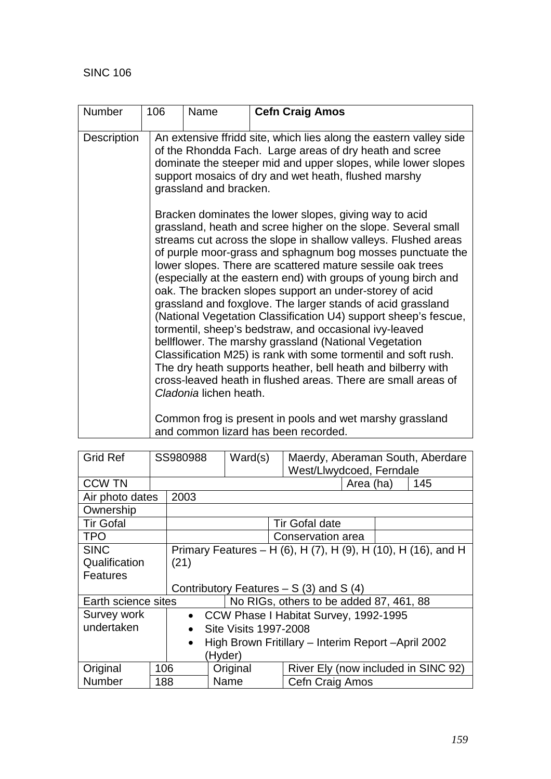| <b>Number</b> | 106                                                                                                                                                                                                                                                                                                                                          | Name                   | <b>Cefn Craig Amos</b>                                                                                                                                                                                                                                                                                                                                                                                                                                                                                                                                                                                                                                                                                                                                                                                                                         |  |  |  |
|---------------|----------------------------------------------------------------------------------------------------------------------------------------------------------------------------------------------------------------------------------------------------------------------------------------------------------------------------------------------|------------------------|------------------------------------------------------------------------------------------------------------------------------------------------------------------------------------------------------------------------------------------------------------------------------------------------------------------------------------------------------------------------------------------------------------------------------------------------------------------------------------------------------------------------------------------------------------------------------------------------------------------------------------------------------------------------------------------------------------------------------------------------------------------------------------------------------------------------------------------------|--|--|--|
| Description   |                                                                                                                                                                                                                                                                                                                                              | grassland and bracken. | An extensive ffridd site, which lies along the eastern valley side<br>of the Rhondda Fach. Large areas of dry heath and scree<br>dominate the steeper mid and upper slopes, while lower slopes<br>support mosaics of dry and wet heath, flushed marshy<br>Bracken dominates the lower slopes, giving way to acid<br>grassland, heath and scree higher on the slope. Several small<br>streams cut across the slope in shallow valleys. Flushed areas<br>of purple moor-grass and sphagnum bog mosses punctuate the<br>lower slopes. There are scattered mature sessile oak trees<br>(especially at the eastern end) with groups of young birch and<br>oak. The bracken slopes support an under-storey of acid<br>grassland and foxglove. The larger stands of acid grassland<br>(National Vegetation Classification U4) support sheep's fescue, |  |  |  |
|               | tormentil, sheep's bedstraw, and occasional ivy-leaved<br>bellflower. The marshy grassland (National Vegetation<br>Classification M25) is rank with some tormentil and soft rush.<br>The dry heath supports heather, bell heath and bilberry with<br>cross-leaved heath in flushed areas. There are small areas of<br>Cladonia lichen heath. |                        |                                                                                                                                                                                                                                                                                                                                                                                                                                                                                                                                                                                                                                                                                                                                                                                                                                                |  |  |  |
|               | Common frog is present in pools and wet marshy grassland<br>and common lizard has been recorded.                                                                                                                                                                                                                                             |                        |                                                                                                                                                                                                                                                                                                                                                                                                                                                                                                                                                                                                                                                                                                                                                                                                                                                |  |  |  |

| <b>Grid Ref</b>     |     | SS980988<br>Ward(s) |                                                     | Maerdy, Aberaman South, Aberdare<br>West/Llwydcoed, Ferndale  |  |  |  |
|---------------------|-----|---------------------|-----------------------------------------------------|---------------------------------------------------------------|--|--|--|
| <b>CCW TN</b>       |     |                     | 145<br>Area (ha)                                    |                                                               |  |  |  |
| Air photo dates     |     | 2003                |                                                     |                                                               |  |  |  |
| Ownership           |     |                     |                                                     |                                                               |  |  |  |
| <b>Tir Gofal</b>    |     |                     |                                                     | <b>Tir Gofal date</b>                                         |  |  |  |
| <b>TPO</b>          |     |                     |                                                     | Conservation area                                             |  |  |  |
| <b>SINC</b>         |     |                     |                                                     | Primary Features - H (6), H (7), H (9), H (10), H (16), and H |  |  |  |
| Qualification       |     | (21)                |                                                     |                                                               |  |  |  |
| Features            |     |                     |                                                     |                                                               |  |  |  |
|                     |     |                     |                                                     | Contributory Features $- S(3)$ and S(4)                       |  |  |  |
| Earth science sites |     |                     |                                                     | No RIGs, others to be added 87, 461, 88                       |  |  |  |
| Survey work         |     |                     |                                                     | • CCW Phase I Habitat Survey, 1992-1995                       |  |  |  |
| undertaken          |     | $\bullet$           | Site Visits 1997-2008                               |                                                               |  |  |  |
| $\bullet$           |     |                     | High Brown Fritillary - Interim Report - April 2002 |                                                               |  |  |  |
|                     |     |                     | (Hyder)                                             |                                                               |  |  |  |
| Original            | 106 |                     | Original                                            | River Ely (now included in SINC 92)                           |  |  |  |
| Number              | 188 |                     | Name                                                | Cefn Craig Amos                                               |  |  |  |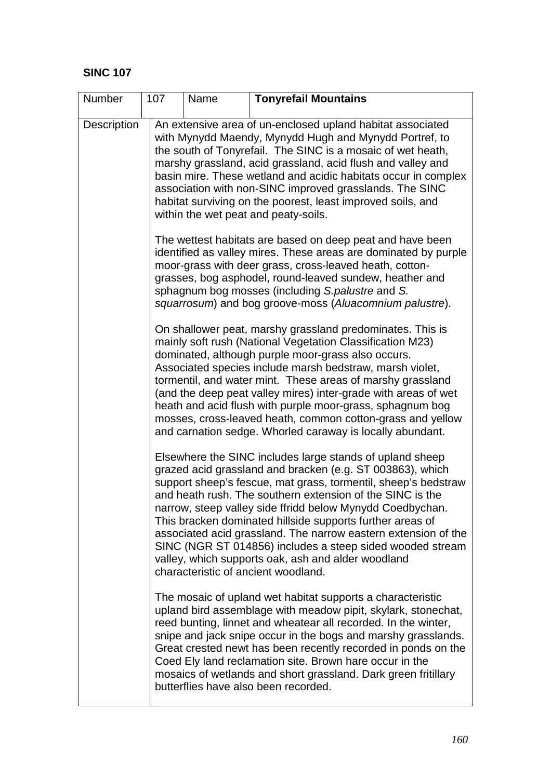| Number      | 107 | Name | <b>Tonyrefail Mountains</b>                                                                                                                                                                                                                                                                                                                                                                                                                                                                                                                                                                                |
|-------------|-----|------|------------------------------------------------------------------------------------------------------------------------------------------------------------------------------------------------------------------------------------------------------------------------------------------------------------------------------------------------------------------------------------------------------------------------------------------------------------------------------------------------------------------------------------------------------------------------------------------------------------|
| Description |     |      | An extensive area of un-enclosed upland habitat associated<br>with Mynydd Maendy, Mynydd Hugh and Mynydd Portref, to<br>the south of Tonyrefail. The SINC is a mosaic of wet heath,<br>marshy grassland, acid grassland, acid flush and valley and<br>basin mire. These wetland and acidic habitats occur in complex<br>association with non-SINC improved grasslands. The SINC<br>habitat surviving on the poorest, least improved soils, and<br>within the wet peat and peaty-soils.                                                                                                                     |
|             |     |      | The wettest habitats are based on deep peat and have been<br>identified as valley mires. These areas are dominated by purple<br>moor-grass with deer grass, cross-leaved heath, cotton-<br>grasses, bog asphodel, round-leaved sundew, heather and<br>sphagnum bog mosses (including S.palustre and S.<br>squarrosum) and bog groove-moss (Aluacomnium palustre).                                                                                                                                                                                                                                          |
|             |     |      | On shallower peat, marshy grassland predominates. This is<br>mainly soft rush (National Vegetation Classification M23)<br>dominated, although purple moor-grass also occurs.<br>Associated species include marsh bedstraw, marsh violet,<br>tormentil, and water mint. These areas of marshy grassland<br>(and the deep peat valley mires) inter-grade with areas of wet<br>heath and acid flush with purple moor-grass, sphagnum bog<br>mosses, cross-leaved heath, common cotton-grass and yellow<br>and carnation sedge. Whorled caraway is locally abundant.                                           |
|             |     |      | Elsewhere the SINC includes large stands of upland sheep<br>grazed acid grassland and bracken (e.g. ST 003863), which<br>support sheep's fescue, mat grass, tormentil, sheep's bedstraw<br>and heath rush. The southern extension of the SINC is the<br>narrow, steep valley side ffridd below Mynydd Coedbychan.<br>This bracken dominated hillside supports further areas of<br>associated acid grassland. The narrow eastern extension of the<br>SINC (NGR ST 014856) includes a steep sided wooded stream<br>valley, which supports oak, ash and alder woodland<br>characteristic of ancient woodland. |
|             |     |      | The mosaic of upland wet habitat supports a characteristic<br>upland bird assemblage with meadow pipit, skylark, stonechat,<br>reed bunting, linnet and wheatear all recorded. In the winter,<br>snipe and jack snipe occur in the bogs and marshy grasslands.<br>Great crested newt has been recently recorded in ponds on the<br>Coed Ely land reclamation site. Brown hare occur in the<br>mosaics of wetlands and short grassland. Dark green fritillary<br>butterflies have also been recorded.                                                                                                       |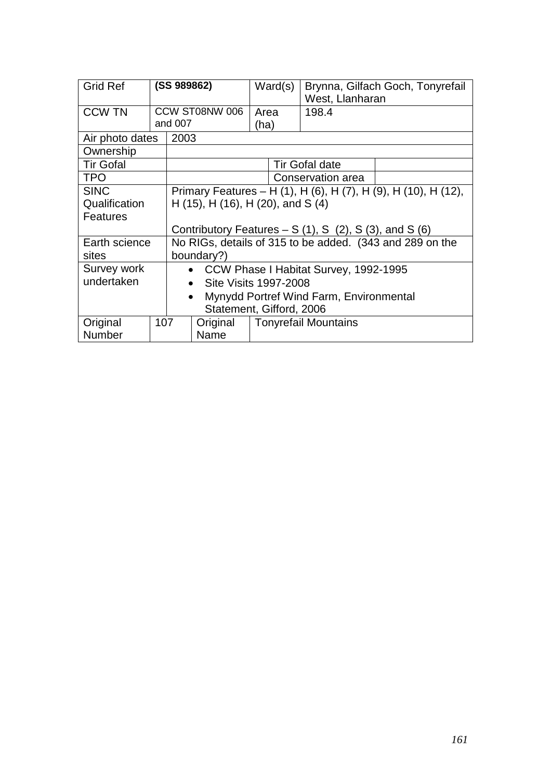| <b>Grid Ref</b>          |                                   | (SS 989862)                                                    |                                                    | Ward(s)                                 |  | Brynna, Gilfach Goch, Tonyrefail<br>West, Llanharan      |  |
|--------------------------|-----------------------------------|----------------------------------------------------------------|----------------------------------------------------|-----------------------------------------|--|----------------------------------------------------------|--|
| <b>CCW TN</b>            |                                   |                                                                | CCW ST08NW 006                                     | Area                                    |  | 198.4                                                    |  |
|                          |                                   | and 007                                                        |                                                    | (ha)                                    |  |                                                          |  |
| Air photo dates          |                                   | 2003                                                           |                                                    |                                         |  |                                                          |  |
| Ownership                |                                   |                                                                |                                                    |                                         |  |                                                          |  |
| <b>Tir Gofal</b>         |                                   |                                                                |                                                    |                                         |  | <b>Tir Gofal date</b>                                    |  |
| <b>TPO</b>               |                                   |                                                                |                                                    |                                         |  | Conservation area                                        |  |
| <b>SINC</b>              |                                   | Primary Features - H (1), H (6), H (7), H (9), H (10), H (12), |                                                    |                                         |  |                                                          |  |
| Qualification            | H (15), H (16), H (20), and S (4) |                                                                |                                                    |                                         |  |                                                          |  |
| <b>Features</b>          |                                   |                                                                |                                                    |                                         |  |                                                          |  |
|                          |                                   |                                                                |                                                    |                                         |  | Contributory Features $- S(1)$ , S (2), S (3), and S (6) |  |
| Earth science            |                                   | No RIGs, details of 315 to be added. (343 and 289 on the       |                                                    |                                         |  |                                                          |  |
| sites                    |                                   | boundary?)                                                     |                                                    |                                         |  |                                                          |  |
| Survey work              |                                   |                                                                | CCW Phase I Habitat Survey, 1992-1995<br>$\bullet$ |                                         |  |                                                          |  |
| undertaken<br>$\bullet$  |                                   |                                                                |                                                    | <b>Site Visits 1997-2008</b>            |  |                                                          |  |
| $\bullet$                |                                   |                                                                |                                                    | Mynydd Portref Wind Farm, Environmental |  |                                                          |  |
| Statement, Gifford, 2006 |                                   |                                                                |                                                    |                                         |  |                                                          |  |
| Original                 | 107                               |                                                                | Original                                           | <b>Tonyrefail Mountains</b>             |  |                                                          |  |
| <b>Number</b>            |                                   |                                                                | Name                                               |                                         |  |                                                          |  |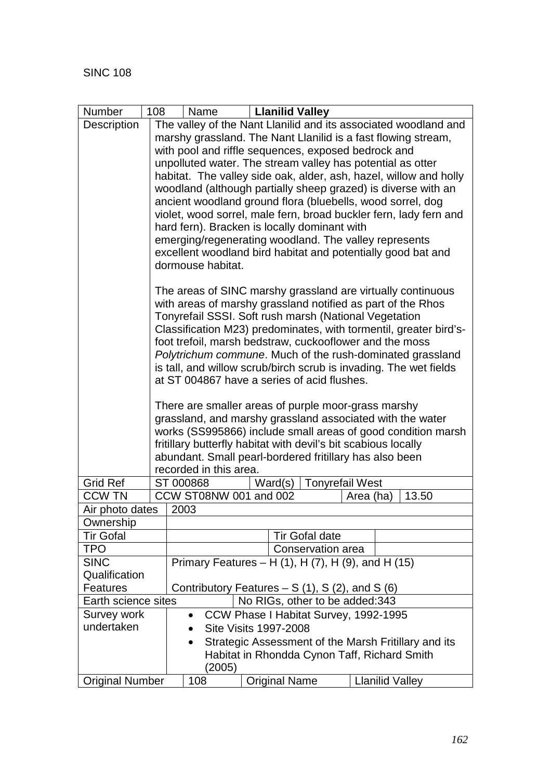| Number                                                 | 108                                            | Name                                                          | <b>Llanilid Valley</b>                                         |                                                                                                                                |  |  |  |  |  |
|--------------------------------------------------------|------------------------------------------------|---------------------------------------------------------------|----------------------------------------------------------------|--------------------------------------------------------------------------------------------------------------------------------|--|--|--|--|--|
| Description                                            |                                                |                                                               |                                                                | The valley of the Nant Llanilid and its associated woodland and                                                                |  |  |  |  |  |
|                                                        |                                                | marshy grassland. The Nant Llanilid is a fast flowing stream, |                                                                |                                                                                                                                |  |  |  |  |  |
|                                                        |                                                | with pool and riffle sequences, exposed bedrock and           |                                                                |                                                                                                                                |  |  |  |  |  |
|                                                        |                                                | unpolluted water. The stream valley has potential as otter    |                                                                |                                                                                                                                |  |  |  |  |  |
|                                                        |                                                |                                                               |                                                                | habitat. The valley side oak, alder, ash, hazel, willow and holly                                                              |  |  |  |  |  |
|                                                        |                                                |                                                               |                                                                | woodland (although partially sheep grazed) is diverse with an                                                                  |  |  |  |  |  |
|                                                        |                                                |                                                               |                                                                | ancient woodland ground flora (bluebells, wood sorrel, dog                                                                     |  |  |  |  |  |
|                                                        |                                                |                                                               | hard fern). Bracken is locally dominant with                   | violet, wood sorrel, male fern, broad buckler fern, lady fern and                                                              |  |  |  |  |  |
|                                                        |                                                |                                                               | emerging/regenerating woodland. The valley represents          |                                                                                                                                |  |  |  |  |  |
|                                                        |                                                |                                                               |                                                                | excellent woodland bird habitat and potentially good bat and                                                                   |  |  |  |  |  |
|                                                        |                                                | dormouse habitat.                                             |                                                                |                                                                                                                                |  |  |  |  |  |
|                                                        |                                                |                                                               |                                                                |                                                                                                                                |  |  |  |  |  |
|                                                        |                                                |                                                               |                                                                | The areas of SINC marshy grassland are virtually continuous                                                                    |  |  |  |  |  |
|                                                        |                                                |                                                               |                                                                | with areas of marshy grassland notified as part of the Rhos                                                                    |  |  |  |  |  |
|                                                        |                                                |                                                               | Tonyrefail SSSI. Soft rush marsh (National Vegetation          |                                                                                                                                |  |  |  |  |  |
|                                                        |                                                |                                                               |                                                                | Classification M23) predominates, with tormentil, greater bird's-                                                              |  |  |  |  |  |
|                                                        |                                                |                                                               | foot trefoil, marsh bedstraw, cuckooflower and the moss        |                                                                                                                                |  |  |  |  |  |
|                                                        |                                                |                                                               |                                                                | Polytrichum commune. Much of the rush-dominated grassland<br>is tall, and willow scrub/birch scrub is invading. The wet fields |  |  |  |  |  |
|                                                        |                                                |                                                               |                                                                |                                                                                                                                |  |  |  |  |  |
|                                                        |                                                | at ST 004867 have a series of acid flushes.                   |                                                                |                                                                                                                                |  |  |  |  |  |
|                                                        |                                                | There are smaller areas of purple moor-grass marshy           |                                                                |                                                                                                                                |  |  |  |  |  |
|                                                        |                                                | grassland, and marshy grassland associated with the water     |                                                                |                                                                                                                                |  |  |  |  |  |
|                                                        |                                                |                                                               |                                                                | works (SS995866) include small areas of good condition marsh                                                                   |  |  |  |  |  |
|                                                        |                                                |                                                               | fritillary butterfly habitat with devil's bit scabious locally |                                                                                                                                |  |  |  |  |  |
|                                                        |                                                |                                                               | abundant. Small pearl-bordered fritillary has also been        |                                                                                                                                |  |  |  |  |  |
| <b>Grid Ref</b>                                        |                                                | recorded in this area.                                        |                                                                |                                                                                                                                |  |  |  |  |  |
| <b>CCW TN</b>                                          |                                                | ST 000868<br>CCW ST08NW 001 and 002                           | Ward(s)                                                        | <b>Tonyrefail West</b><br>13.50<br>Area (ha)                                                                                   |  |  |  |  |  |
| Air photo dates                                        |                                                | 2003                                                          |                                                                |                                                                                                                                |  |  |  |  |  |
| Ownership                                              |                                                |                                                               |                                                                |                                                                                                                                |  |  |  |  |  |
| <b>Tir Gofal</b>                                       |                                                |                                                               | <b>Tir Gofal date</b>                                          |                                                                                                                                |  |  |  |  |  |
| <b>TPO</b>                                             |                                                |                                                               | Conservation area                                              |                                                                                                                                |  |  |  |  |  |
| <b>SINC</b>                                            |                                                |                                                               | Primary Features – H $(1)$ , H $(7)$ , H $(9)$ , and H $(15)$  |                                                                                                                                |  |  |  |  |  |
| Qualification                                          |                                                |                                                               |                                                                |                                                                                                                                |  |  |  |  |  |
| <b>Features</b>                                        | Contributory Features $- S(1), S(2),$ and S(6) |                                                               |                                                                |                                                                                                                                |  |  |  |  |  |
| No RIGs, other to be added: 343<br>Earth science sites |                                                |                                                               |                                                                |                                                                                                                                |  |  |  |  |  |
| Survey work                                            |                                                | $\bullet$                                                     | CCW Phase I Habitat Survey, 1992-1995                          |                                                                                                                                |  |  |  |  |  |
| undertaken                                             | <b>Site Visits 1997-2008</b>                   |                                                               |                                                                |                                                                                                                                |  |  |  |  |  |
|                                                        |                                                | $\bullet$                                                     |                                                                | Strategic Assessment of the Marsh Fritillary and its                                                                           |  |  |  |  |  |
|                                                        |                                                |                                                               | Habitat in Rhondda Cynon Taff, Richard Smith                   |                                                                                                                                |  |  |  |  |  |
|                                                        |                                                | (2005)                                                        |                                                                |                                                                                                                                |  |  |  |  |  |
| <b>Original Number</b>                                 |                                                | 108                                                           | <b>Original Name</b>                                           | <b>Llanilid Valley</b>                                                                                                         |  |  |  |  |  |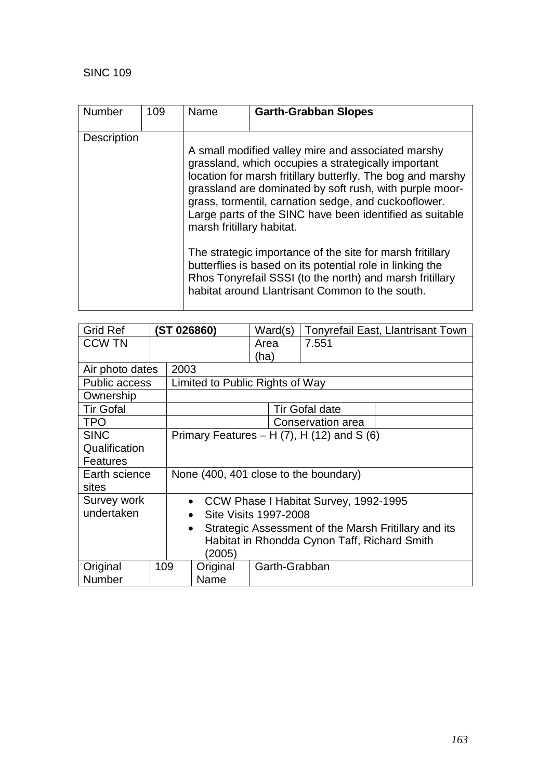| <b>Number</b>      | 109 | Name                      | <b>Garth-Grabban Slopes</b>                                                                                                                                                                                                                                                                                                                                                                                                                                                                                                                                                                      |
|--------------------|-----|---------------------------|--------------------------------------------------------------------------------------------------------------------------------------------------------------------------------------------------------------------------------------------------------------------------------------------------------------------------------------------------------------------------------------------------------------------------------------------------------------------------------------------------------------------------------------------------------------------------------------------------|
| <b>Description</b> |     | marsh fritillary habitat. | A small modified valley mire and associated marshy<br>grassland, which occupies a strategically important<br>location for marsh fritillary butterfly. The bog and marshy<br>grassland are dominated by soft rush, with purple moor-<br>grass, tormentil, carnation sedge, and cuckooflower.<br>Large parts of the SINC have been identified as suitable<br>The strategic importance of the site for marsh fritillary<br>butterflies is based on its potential role in linking the<br>Rhos Tonyrefail SSSI (to the north) and marsh fritillary<br>habitat around Llantrisant Common to the south. |

| <b>Grid Ref</b>      |                                                                   | ST 026860)                                         |                                    | Ward(s)       |  | <b>Tonyrefail East, Llantrisant Town</b> |  |  |
|----------------------|-------------------------------------------------------------------|----------------------------------------------------|------------------------------------|---------------|--|------------------------------------------|--|--|
| <b>CCW TN</b>        |                                                                   |                                                    |                                    | Area          |  | 7.551                                    |  |  |
|                      |                                                                   |                                                    |                                    | (ha)          |  |                                          |  |  |
| Air photo dates      |                                                                   |                                                    | 2003                               |               |  |                                          |  |  |
| <b>Public access</b> |                                                                   |                                                    | Limited to Public Rights of Way    |               |  |                                          |  |  |
| Ownership            |                                                                   |                                                    |                                    |               |  |                                          |  |  |
| <b>Tir Gofal</b>     |                                                                   |                                                    |                                    |               |  | <b>Tir Gofal date</b>                    |  |  |
| <b>TPO</b>           |                                                                   | Conservation area                                  |                                    |               |  |                                          |  |  |
| <b>SINC</b>          |                                                                   | Primary Features $- H(7)$ , H $(12)$ and S $(6)$   |                                    |               |  |                                          |  |  |
| Qualification        |                                                                   |                                                    |                                    |               |  |                                          |  |  |
| Features             |                                                                   |                                                    |                                    |               |  |                                          |  |  |
| Earth science        |                                                                   | None (400, 401 close to the boundary)              |                                    |               |  |                                          |  |  |
| sites                |                                                                   |                                                    |                                    |               |  |                                          |  |  |
| Survey work          |                                                                   | CCW Phase I Habitat Survey, 1992-1995<br>$\bullet$ |                                    |               |  |                                          |  |  |
| undertaken           |                                                                   |                                                    | Site Visits 1997-2008<br>$\bullet$ |               |  |                                          |  |  |
|                      | Strategic Assessment of the Marsh Fritillary and its<br>$\bullet$ |                                                    |                                    |               |  |                                          |  |  |
|                      | Habitat in Rhondda Cynon Taff, Richard Smith                      |                                                    |                                    |               |  |                                          |  |  |
|                      |                                                                   |                                                    | (2005)                             |               |  |                                          |  |  |
| Original             | 109                                                               |                                                    | Original                           | Garth-Grabban |  |                                          |  |  |
| Number               |                                                                   |                                                    | Name                               |               |  |                                          |  |  |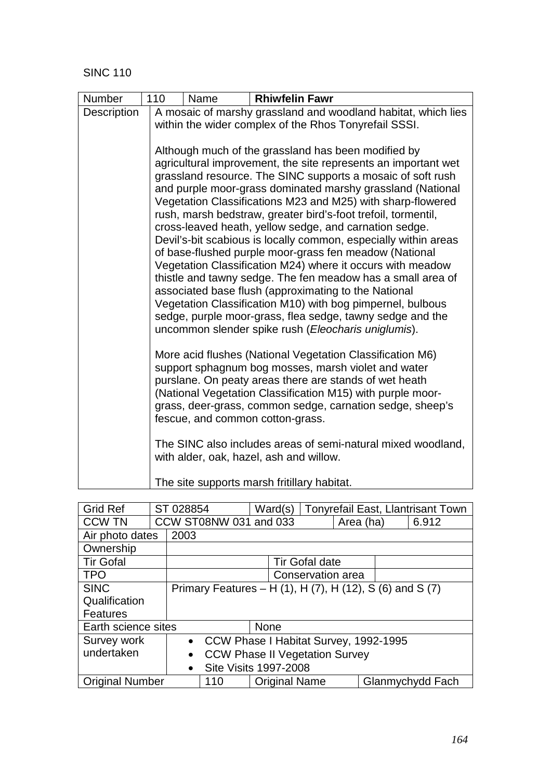| <b>Number</b> | 110<br><b>Rhiwfelin Fawr</b><br>Name                                                                                                                                                                                                                                                                                                                                                                                                                                                                                                                                                                                                                                                                                                                                                                                                                                                                                                             |  |  |  |  |  |  |
|---------------|--------------------------------------------------------------------------------------------------------------------------------------------------------------------------------------------------------------------------------------------------------------------------------------------------------------------------------------------------------------------------------------------------------------------------------------------------------------------------------------------------------------------------------------------------------------------------------------------------------------------------------------------------------------------------------------------------------------------------------------------------------------------------------------------------------------------------------------------------------------------------------------------------------------------------------------------------|--|--|--|--|--|--|
| Description   | A mosaic of marshy grassland and woodland habitat, which lies<br>within the wider complex of the Rhos Tonyrefail SSSI.                                                                                                                                                                                                                                                                                                                                                                                                                                                                                                                                                                                                                                                                                                                                                                                                                           |  |  |  |  |  |  |
|               | Although much of the grassland has been modified by<br>agricultural improvement, the site represents an important wet<br>grassland resource. The SINC supports a mosaic of soft rush<br>and purple moor-grass dominated marshy grassland (National<br>Vegetation Classifications M23 and M25) with sharp-flowered<br>rush, marsh bedstraw, greater bird's-foot trefoil, tormentil,<br>cross-leaved heath, yellow sedge, and carnation sedge.<br>Devil's-bit scabious is locally common, especially within areas<br>of base-flushed purple moor-grass fen meadow (National<br>Vegetation Classification M24) where it occurs with meadow<br>thistle and tawny sedge. The fen meadow has a small area of<br>associated base flush (approximating to the National<br>Vegetation Classification M10) with bog pimpernel, bulbous<br>sedge, purple moor-grass, flea sedge, tawny sedge and the<br>uncommon slender spike rush (Eleocharis uniglumis). |  |  |  |  |  |  |
|               | More acid flushes (National Vegetation Classification M6)<br>support sphagnum bog mosses, marsh violet and water<br>purslane. On peaty areas there are stands of wet heath<br>(National Vegetation Classification M15) with purple moor-<br>grass, deer-grass, common sedge, carnation sedge, sheep's<br>fescue, and common cotton-grass.<br>The SINC also includes areas of semi-natural mixed woodland,<br>with alder, oak, hazel, ash and willow.                                                                                                                                                                                                                                                                                                                                                                                                                                                                                             |  |  |  |  |  |  |
|               | The site supports marsh fritillary habitat.                                                                                                                                                                                                                                                                                                                                                                                                                                                                                                                                                                                                                                                                                                                                                                                                                                                                                                      |  |  |  |  |  |  |

| <b>Grid Ref</b>        | ST 028854                                                |                                              | Ward(s)              |                       |  | <b>Tonyrefail East, Llantrisant Town</b> |                  |
|------------------------|----------------------------------------------------------|----------------------------------------------|----------------------|-----------------------|--|------------------------------------------|------------------|
| <b>CCW TN</b>          |                                                          | CCW ST08NW 031 and 033<br>6.912<br>Area (ha) |                      |                       |  |                                          |                  |
| Air photo dates        | 2003                                                     |                                              |                      |                       |  |                                          |                  |
| Ownership              |                                                          |                                              |                      |                       |  |                                          |                  |
| <b>Tir Gofal</b>       |                                                          |                                              |                      | <b>Tir Gofal date</b> |  |                                          |                  |
| <b>TPO</b>             | Conservation area                                        |                                              |                      |                       |  |                                          |                  |
| <b>SINC</b>            | Primary Features – H (1), H (7), H (12), S (6) and S (7) |                                              |                      |                       |  |                                          |                  |
| Qualification          |                                                          |                                              |                      |                       |  |                                          |                  |
| <b>Features</b>        |                                                          |                                              |                      |                       |  |                                          |                  |
| Earth science sites    |                                                          |                                              | None                 |                       |  |                                          |                  |
| Survey work            |                                                          | • CCW Phase I Habitat Survey, 1992-1995      |                      |                       |  |                                          |                  |
| undertaken             | <b>CCW Phase II Vegetation Survey</b><br>$\bullet$       |                                              |                      |                       |  |                                          |                  |
|                        | <b>Site Visits 1997-2008</b><br>$\bullet$                |                                              |                      |                       |  |                                          |                  |
| <b>Original Number</b> |                                                          | 110                                          | <b>Original Name</b> |                       |  |                                          | Glanmychydd Fach |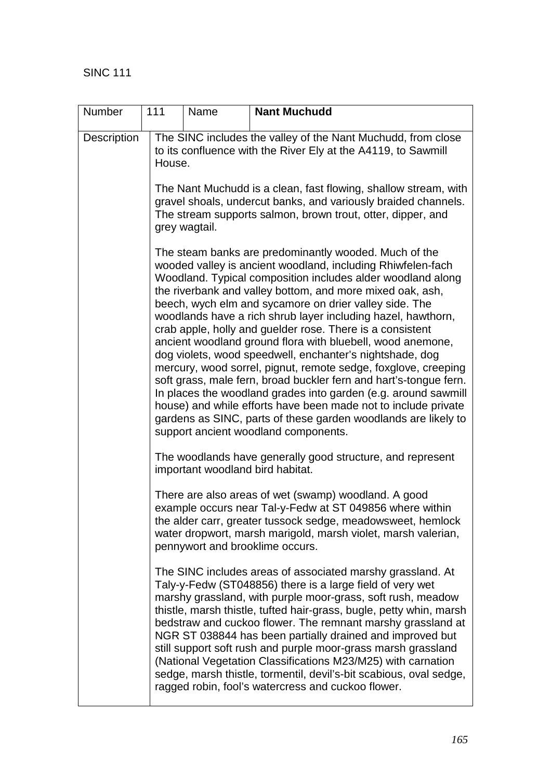| Number             | 111 | Name                                                                                                                                                                                                              | <b>Nant Muchudd</b>                                                                                                                                                                                                                                                                                                                                                                                                                                                                                                                                                                                                                                                                                                                                                                                                                                                                                                                                    |  |  |  |  |  |  |
|--------------------|-----|-------------------------------------------------------------------------------------------------------------------------------------------------------------------------------------------------------------------|--------------------------------------------------------------------------------------------------------------------------------------------------------------------------------------------------------------------------------------------------------------------------------------------------------------------------------------------------------------------------------------------------------------------------------------------------------------------------------------------------------------------------------------------------------------------------------------------------------------------------------------------------------------------------------------------------------------------------------------------------------------------------------------------------------------------------------------------------------------------------------------------------------------------------------------------------------|--|--|--|--|--|--|
| <b>Description</b> |     | The SINC includes the valley of the Nant Muchudd, from close<br>to its confluence with the River Ely at the A4119, to Sawmill<br>House.                                                                           |                                                                                                                                                                                                                                                                                                                                                                                                                                                                                                                                                                                                                                                                                                                                                                                                                                                                                                                                                        |  |  |  |  |  |  |
|                    |     | The Nant Muchudd is a clean, fast flowing, shallow stream, with<br>gravel shoals, undercut banks, and variously braided channels.<br>The stream supports salmon, brown trout, otter, dipper, and<br>grey wagtail. |                                                                                                                                                                                                                                                                                                                                                                                                                                                                                                                                                                                                                                                                                                                                                                                                                                                                                                                                                        |  |  |  |  |  |  |
|                    |     |                                                                                                                                                                                                                   | The steam banks are predominantly wooded. Much of the<br>wooded valley is ancient woodland, including Rhiwfelen-fach<br>Woodland. Typical composition includes alder woodland along<br>the riverbank and valley bottom, and more mixed oak, ash,<br>beech, wych elm and sycamore on drier valley side. The<br>woodlands have a rich shrub layer including hazel, hawthorn,<br>crab apple, holly and guelder rose. There is a consistent<br>ancient woodland ground flora with bluebell, wood anemone,<br>dog violets, wood speedwell, enchanter's nightshade, dog<br>mercury, wood sorrel, pignut, remote sedge, foxglove, creeping<br>soft grass, male fern, broad buckler fern and hart's-tongue fern.<br>In places the woodland grades into garden (e.g. around sawmill<br>house) and while efforts have been made not to include private<br>gardens as SINC, parts of these garden woodlands are likely to<br>support ancient woodland components. |  |  |  |  |  |  |
|                    |     |                                                                                                                                                                                                                   | The woodlands have generally good structure, and represent<br>important woodland bird habitat.                                                                                                                                                                                                                                                                                                                                                                                                                                                                                                                                                                                                                                                                                                                                                                                                                                                         |  |  |  |  |  |  |
|                    |     |                                                                                                                                                                                                                   | There are also areas of wet (swamp) woodland. A good<br>example occurs near Tal-y-Fedw at ST 049856 where within<br>the alder carr, greater tussock sedge, meadowsweet, hemlock<br>water dropwort, marsh marigold, marsh violet, marsh valerian,<br>pennywort and brooklime occurs.                                                                                                                                                                                                                                                                                                                                                                                                                                                                                                                                                                                                                                                                    |  |  |  |  |  |  |
|                    |     |                                                                                                                                                                                                                   | The SINC includes areas of associated marshy grassland. At<br>Taly-y-Fedw (ST048856) there is a large field of very wet<br>marshy grassland, with purple moor-grass, soft rush, meadow<br>thistle, marsh thistle, tufted hair-grass, bugle, petty whin, marsh<br>bedstraw and cuckoo flower. The remnant marshy grassland at<br>NGR ST 038844 has been partially drained and improved but<br>still support soft rush and purple moor-grass marsh grassland<br>(National Vegetation Classifications M23/M25) with carnation<br>sedge, marsh thistle, tormentil, devil's-bit scabious, oval sedge,<br>ragged robin, fool's watercress and cuckoo flower.                                                                                                                                                                                                                                                                                                 |  |  |  |  |  |  |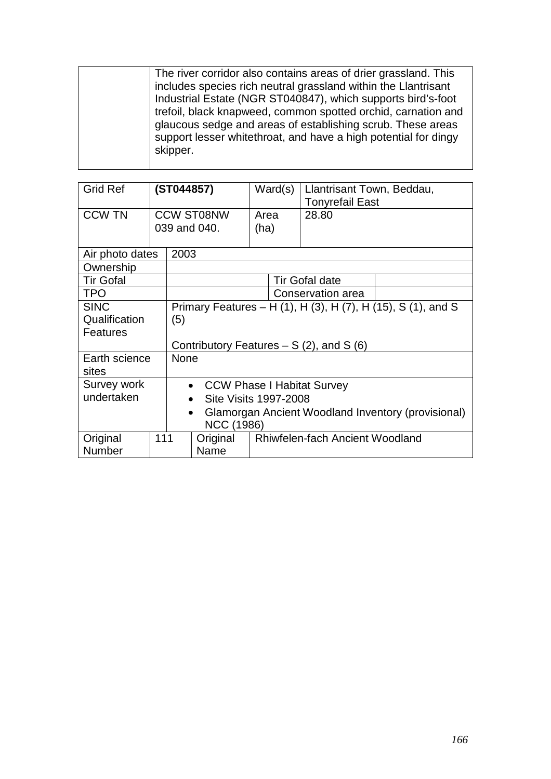| The river corridor also contains areas of drier grassland. This<br>includes species rich neutral grassland within the Llantrisant<br>Industrial Estate (NGR ST040847), which supports bird's-foot<br>trefoil, black knapweed, common spotted orchid, carnation and<br>glaucous sedge and areas of establishing scrub. These areas<br>support lesser whitethroat, and have a high potential for dingy<br>skipper. |
|------------------------------------------------------------------------------------------------------------------------------------------------------------------------------------------------------------------------------------------------------------------------------------------------------------------------------------------------------------------------------------------------------------------|
|                                                                                                                                                                                                                                                                                                                                                                                                                  |

| <b>Grid Ref</b>                                                             |                              | (ST044857)                                     |                                                                 | Ward(s) |                                        | Llantrisant Town, Beddau,<br><b>Tonyrefail East</b> |  |  |
|-----------------------------------------------------------------------------|------------------------------|------------------------------------------------|-----------------------------------------------------------------|---------|----------------------------------------|-----------------------------------------------------|--|--|
| <b>CCW TN</b>                                                               |                              |                                                | <b>CCW ST08NW</b>                                               | Area    |                                        | 28.80                                               |  |  |
|                                                                             |                              |                                                | 039 and 040.                                                    | (ha)    |                                        |                                                     |  |  |
| Air photo dates                                                             |                              | 2003                                           |                                                                 |         |                                        |                                                     |  |  |
| Ownership                                                                   |                              |                                                |                                                                 |         |                                        |                                                     |  |  |
| <b>Tir Gofal</b>                                                            |                              |                                                |                                                                 |         |                                        | <b>Tir Gofal date</b>                               |  |  |
| <b>TPO</b>                                                                  |                              |                                                |                                                                 |         |                                        | Conservation area                                   |  |  |
| <b>SINC</b><br>Primary Features – H (1), H (3), H (7), H (15), S (1), and S |                              |                                                |                                                                 |         |                                        |                                                     |  |  |
| Qualification                                                               | (5)                          |                                                |                                                                 |         |                                        |                                                     |  |  |
| <b>Features</b>                                                             |                              |                                                |                                                                 |         |                                        |                                                     |  |  |
| Contributory Features $- S(2)$ , and S(6)                                   |                              |                                                |                                                                 |         |                                        |                                                     |  |  |
| Earth science                                                               |                              | <b>None</b>                                    |                                                                 |         |                                        |                                                     |  |  |
| sites                                                                       |                              |                                                |                                                                 |         |                                        |                                                     |  |  |
| Survey work                                                                 |                              | <b>CCW Phase I Habitat Survey</b><br>$\bullet$ |                                                                 |         |                                        |                                                     |  |  |
| undertaken                                                                  | <b>Site Visits 1997-2008</b> |                                                |                                                                 |         |                                        |                                                     |  |  |
|                                                                             |                              |                                                | Glamorgan Ancient Woodland Inventory (provisional)<br>$\bullet$ |         |                                        |                                                     |  |  |
| NCC (1986)                                                                  |                              |                                                |                                                                 |         |                                        |                                                     |  |  |
| Original                                                                    | 111<br>Original              |                                                |                                                                 |         | <b>Rhiwfelen-fach Ancient Woodland</b> |                                                     |  |  |
| <b>Number</b>                                                               |                              | Name                                           |                                                                 |         |                                        |                                                     |  |  |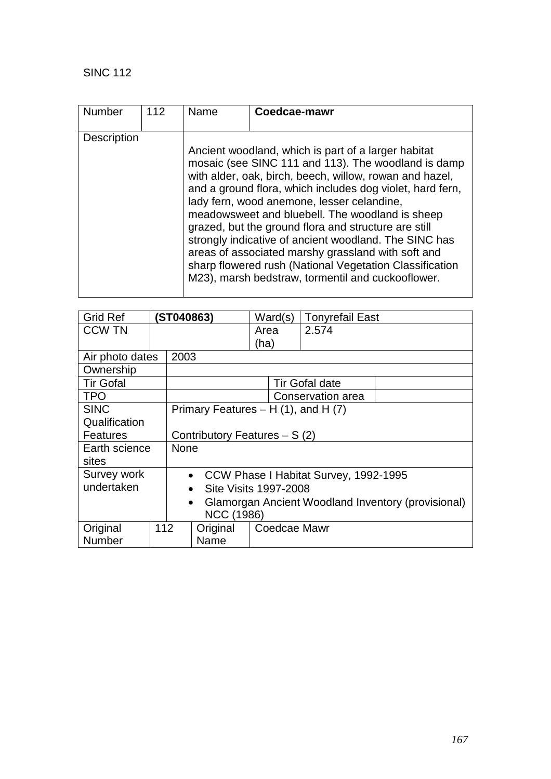| Number             | 112 | Name | Coedcae-mawr                                                                                                                                                                                                                                                                                                                                                                                                                                                                                                                                                                                                               |
|--------------------|-----|------|----------------------------------------------------------------------------------------------------------------------------------------------------------------------------------------------------------------------------------------------------------------------------------------------------------------------------------------------------------------------------------------------------------------------------------------------------------------------------------------------------------------------------------------------------------------------------------------------------------------------------|
|                    |     |      |                                                                                                                                                                                                                                                                                                                                                                                                                                                                                                                                                                                                                            |
| <b>Description</b> |     |      |                                                                                                                                                                                                                                                                                                                                                                                                                                                                                                                                                                                                                            |
|                    |     |      | Ancient woodland, which is part of a larger habitat<br>mosaic (see SINC 111 and 113). The woodland is damp<br>with alder, oak, birch, beech, willow, rowan and hazel,<br>and a ground flora, which includes dog violet, hard fern,<br>lady fern, wood anemone, lesser celandine,<br>meadowsweet and bluebell. The woodland is sheep<br>grazed, but the ground flora and structure are still<br>strongly indicative of ancient woodland. The SINC has<br>areas of associated marshy grassland with soft and<br>sharp flowered rush (National Vegetation Classification<br>M23), marsh bedstraw, tormentil and cuckooflower. |

| <b>Grid Ref</b>         |                                         | (ST040863)                     |                                                    | Ward(s)                                            |              | <b>Tonyrefail East</b> |  |
|-------------------------|-----------------------------------------|--------------------------------|----------------------------------------------------|----------------------------------------------------|--------------|------------------------|--|
| <b>CCW TN</b>           |                                         |                                |                                                    | Area                                               |              | 2.574                  |  |
|                         |                                         |                                |                                                    | (ha)                                               |              |                        |  |
| Air photo dates         |                                         | 2003                           |                                                    |                                                    |              |                        |  |
| Ownership               |                                         |                                |                                                    |                                                    |              |                        |  |
| <b>Tir Gofal</b>        |                                         |                                |                                                    |                                                    |              | <b>Tir Gofal date</b>  |  |
| <b>TPO</b>              |                                         |                                |                                                    |                                                    |              | Conservation area      |  |
| <b>SINC</b>             | Primary Features $- H(1)$ , and H $(7)$ |                                |                                                    |                                                    |              |                        |  |
| Qualification           |                                         |                                |                                                    |                                                    |              |                        |  |
| <b>Features</b>         |                                         | Contributory Features $- S(2)$ |                                                    |                                                    |              |                        |  |
| Earth science           |                                         | <b>None</b>                    |                                                    |                                                    |              |                        |  |
| sites                   |                                         |                                |                                                    |                                                    |              |                        |  |
| Survey work             |                                         |                                | CCW Phase I Habitat Survey, 1992-1995<br>$\bullet$ |                                                    |              |                        |  |
| undertaken<br>$\bullet$ |                                         |                                | <b>Site Visits 1997-2008</b>                       |                                                    |              |                        |  |
| $\bullet$               |                                         |                                |                                                    | Glamorgan Ancient Woodland Inventory (provisional) |              |                        |  |
| <b>NCC (1986)</b>       |                                         |                                |                                                    |                                                    |              |                        |  |
| Original                | 112                                     |                                | Original                                           |                                                    | Coedcae Mawr |                        |  |
| Number                  |                                         |                                | Name                                               |                                                    |              |                        |  |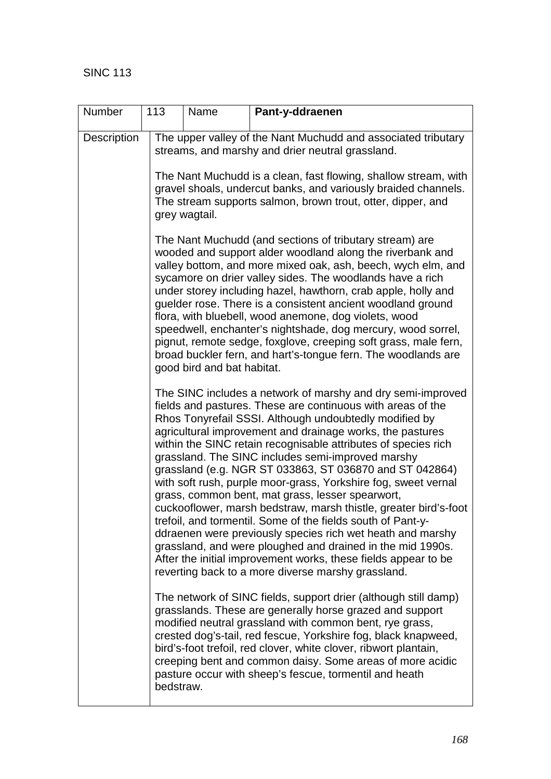| Number      | 113       | Name                                                                                                                                                                                                                                                                                                                                                                                                                                                                                                                                                                                                                                                                         | Pant-y-ddraenen                                                                                                                                                                                                                                                                                                                                                                                                                                                                                                                                                                                                                                                                                                                                                                                                                                                                                                                                  |  |  |  |  |  |
|-------------|-----------|------------------------------------------------------------------------------------------------------------------------------------------------------------------------------------------------------------------------------------------------------------------------------------------------------------------------------------------------------------------------------------------------------------------------------------------------------------------------------------------------------------------------------------------------------------------------------------------------------------------------------------------------------------------------------|--------------------------------------------------------------------------------------------------------------------------------------------------------------------------------------------------------------------------------------------------------------------------------------------------------------------------------------------------------------------------------------------------------------------------------------------------------------------------------------------------------------------------------------------------------------------------------------------------------------------------------------------------------------------------------------------------------------------------------------------------------------------------------------------------------------------------------------------------------------------------------------------------------------------------------------------------|--|--|--|--|--|
| Description |           | The upper valley of the Nant Muchudd and associated tributary<br>streams, and marshy and drier neutral grassland.<br>The Nant Muchudd is a clean, fast flowing, shallow stream, with<br>gravel shoals, undercut banks, and variously braided channels.<br>The stream supports salmon, brown trout, otter, dipper, and<br>grey wagtail.                                                                                                                                                                                                                                                                                                                                       |                                                                                                                                                                                                                                                                                                                                                                                                                                                                                                                                                                                                                                                                                                                                                                                                                                                                                                                                                  |  |  |  |  |  |
|             |           |                                                                                                                                                                                                                                                                                                                                                                                                                                                                                                                                                                                                                                                                              |                                                                                                                                                                                                                                                                                                                                                                                                                                                                                                                                                                                                                                                                                                                                                                                                                                                                                                                                                  |  |  |  |  |  |
|             |           | The Nant Muchudd (and sections of tributary stream) are<br>wooded and support alder woodland along the riverbank and<br>valley bottom, and more mixed oak, ash, beech, wych elm, and<br>sycamore on drier valley sides. The woodlands have a rich<br>under storey including hazel, hawthorn, crab apple, holly and<br>guelder rose. There is a consistent ancient woodland ground<br>flora, with bluebell, wood anemone, dog violets, wood<br>speedwell, enchanter's nightshade, dog mercury, wood sorrel,<br>pignut, remote sedge, foxglove, creeping soft grass, male fern,<br>broad buckler fern, and hart's-tongue fern. The woodlands are<br>good bird and bat habitat. |                                                                                                                                                                                                                                                                                                                                                                                                                                                                                                                                                                                                                                                                                                                                                                                                                                                                                                                                                  |  |  |  |  |  |
|             |           |                                                                                                                                                                                                                                                                                                                                                                                                                                                                                                                                                                                                                                                                              | The SINC includes a network of marshy and dry semi-improved<br>fields and pastures. These are continuous with areas of the<br>Rhos Tonyrefail SSSI. Although undoubtedly modified by<br>agricultural improvement and drainage works, the pastures<br>within the SINC retain recognisable attributes of species rich<br>grassland. The SINC includes semi-improved marshy<br>grassland (e.g. NGR ST 033863, ST 036870 and ST 042864)<br>with soft rush, purple moor-grass, Yorkshire fog, sweet vernal<br>grass, common bent, mat grass, lesser spearwort,<br>cuckooflower, marsh bedstraw, marsh thistle, greater bird's-foot<br>trefoil, and tormentil. Some of the fields south of Pant-y-<br>ddraenen were previously species rich wet heath and marshy<br>grassland, and were ploughed and drained in the mid 1990s.<br>After the initial improvement works, these fields appear to be<br>reverting back to a more diverse marshy grassland. |  |  |  |  |  |
|             | bedstraw. |                                                                                                                                                                                                                                                                                                                                                                                                                                                                                                                                                                                                                                                                              | The network of SINC fields, support drier (although still damp)<br>grasslands. These are generally horse grazed and support<br>modified neutral grassland with common bent, rye grass,<br>crested dog's-tail, red fescue, Yorkshire fog, black knapweed,<br>bird's-foot trefoil, red clover, white clover, ribwort plantain,<br>creeping bent and common daisy. Some areas of more acidic<br>pasture occur with sheep's fescue, tormentil and heath                                                                                                                                                                                                                                                                                                                                                                                                                                                                                              |  |  |  |  |  |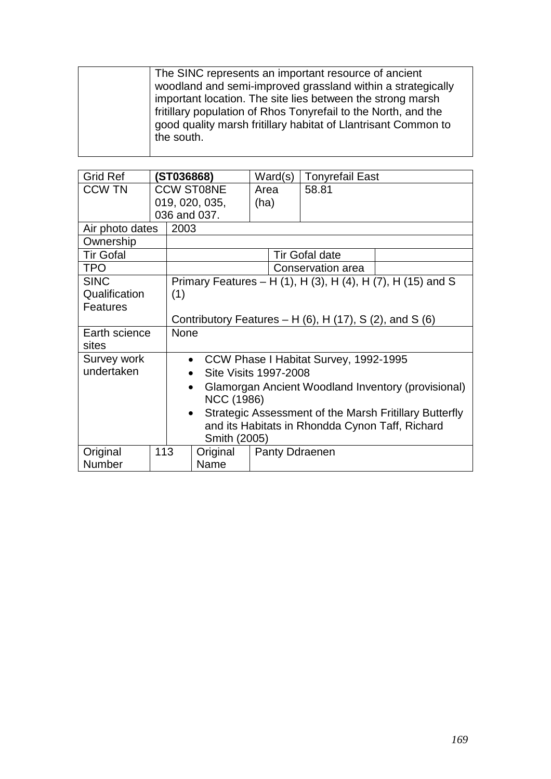| The SINC represents an important resource of ancient           |
|----------------------------------------------------------------|
| woodland and semi-improved grassland within a strategically    |
| important location. The site lies between the strong marsh     |
| fritillary population of Rhos Tonyrefail to the North, and the |
| good quality marsh fritillary habitat of Llantrisant Common to |
| the south.                                                     |
|                                                                |

| <b>Grid Ref</b>  |                                                 | ST036868)                                                           |                   | Ward(s)               | <b>Tonyrefail East</b>                |                                                             |  |  |
|------------------|-------------------------------------------------|---------------------------------------------------------------------|-------------------|-----------------------|---------------------------------------|-------------------------------------------------------------|--|--|
| <b>CCW TN</b>    |                                                 |                                                                     | <b>CCW ST08NE</b> | Area                  | 58.81                                 |                                                             |  |  |
|                  |                                                 |                                                                     | 019, 020, 035,    | (ha)                  |                                       |                                                             |  |  |
|                  |                                                 |                                                                     | 036 and 037.      |                       |                                       |                                                             |  |  |
| Air photo dates  |                                                 | 2003                                                                |                   |                       |                                       |                                                             |  |  |
| Ownership        |                                                 |                                                                     |                   |                       |                                       |                                                             |  |  |
| <b>Tir Gofal</b> |                                                 |                                                                     |                   |                       | <b>Tir Gofal date</b>                 |                                                             |  |  |
| <b>TPO</b>       |                                                 |                                                                     |                   |                       | Conservation area                     |                                                             |  |  |
| <b>SINC</b>      |                                                 |                                                                     |                   |                       |                                       | Primary Features – H (1), H (3), H (4), H (7), H (15) and S |  |  |
| Qualification    |                                                 | (1)                                                                 |                   |                       |                                       |                                                             |  |  |
| <b>Features</b>  |                                                 |                                                                     |                   |                       |                                       |                                                             |  |  |
|                  |                                                 | Contributory Features – H $(6)$ , H $(17)$ , S $(2)$ , and S $(6)$  |                   |                       |                                       |                                                             |  |  |
| Earth science    |                                                 | None                                                                |                   |                       |                                       |                                                             |  |  |
| sites            |                                                 |                                                                     |                   |                       |                                       |                                                             |  |  |
| Survey work      |                                                 | $\bullet$                                                           |                   |                       | CCW Phase I Habitat Survey, 1992-1995 |                                                             |  |  |
| undertaken       |                                                 | $\bullet$                                                           |                   | Site Visits 1997-2008 |                                       |                                                             |  |  |
|                  |                                                 | Glamorgan Ancient Woodland Inventory (provisional)<br>$\bullet$     |                   |                       |                                       |                                                             |  |  |
|                  |                                                 |                                                                     | <b>NCC (1986)</b> |                       |                                       |                                                             |  |  |
|                  |                                                 | Strategic Assessment of the Marsh Fritillary Butterfly<br>$\bullet$ |                   |                       |                                       |                                                             |  |  |
|                  | and its Habitats in Rhondda Cynon Taff, Richard |                                                                     |                   |                       |                                       |                                                             |  |  |
|                  |                                                 |                                                                     | Smith (2005)      |                       |                                       |                                                             |  |  |
| Original         | 113                                             |                                                                     | Original          | <b>Panty Ddraenen</b> |                                       |                                                             |  |  |
| Number           |                                                 |                                                                     | Name              |                       |                                       |                                                             |  |  |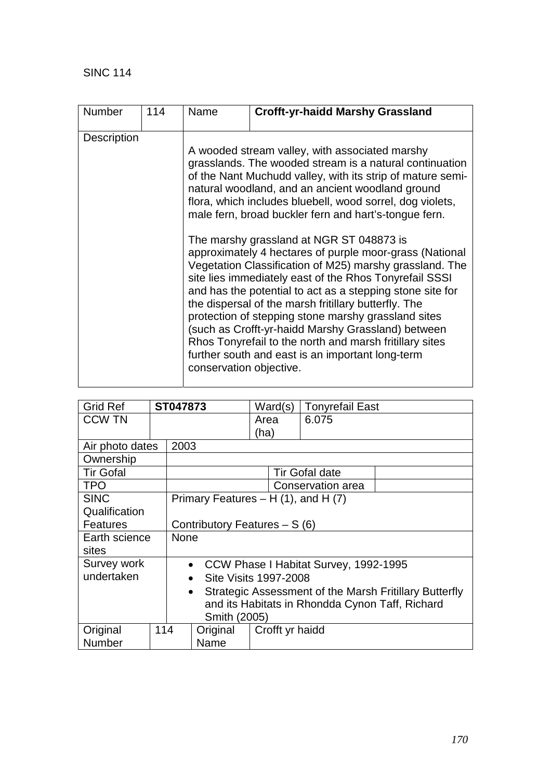| <b>Number</b>      | 114 | Name                    | <b>Crofft-yr-haidd Marshy Grassland</b>                                                                                                                                                                                                                                                                                                                                                                                                                                                                                                                                                                                                                                                                                                                                                                                                                                                                                        |
|--------------------|-----|-------------------------|--------------------------------------------------------------------------------------------------------------------------------------------------------------------------------------------------------------------------------------------------------------------------------------------------------------------------------------------------------------------------------------------------------------------------------------------------------------------------------------------------------------------------------------------------------------------------------------------------------------------------------------------------------------------------------------------------------------------------------------------------------------------------------------------------------------------------------------------------------------------------------------------------------------------------------|
| <b>Description</b> |     | conservation objective. | A wooded stream valley, with associated marshy<br>grasslands. The wooded stream is a natural continuation<br>of the Nant Muchudd valley, with its strip of mature semi-<br>natural woodland, and an ancient woodland ground<br>flora, which includes bluebell, wood sorrel, dog violets,<br>male fern, broad buckler fern and hart's-tongue fern.<br>The marshy grassland at NGR ST 048873 is<br>approximately 4 hectares of purple moor-grass (National<br>Vegetation Classification of M25) marshy grassland. The<br>site lies immediately east of the Rhos Tonyrefail SSSI<br>and has the potential to act as a stepping stone site for<br>the dispersal of the marsh fritillary butterfly. The<br>protection of stepping stone marshy grassland sites<br>(such as Crofft-yr-haidd Marshy Grassland) between<br>Rhos Tonyrefail to the north and marsh fritillary sites<br>further south and east is an important long-term |
|                    |     |                         |                                                                                                                                                                                                                                                                                                                                                                                                                                                                                                                                                                                                                                                                                                                                                                                                                                                                                                                                |

| <b>Grid Ref</b>  |     | ST047873    |                                                 | Ward(s)                                                |  | <b>Tonyrefail East</b>                  |  |  |
|------------------|-----|-------------|-------------------------------------------------|--------------------------------------------------------|--|-----------------------------------------|--|--|
| <b>CCW TN</b>    |     |             |                                                 | Area                                                   |  | 6.075                                   |  |  |
|                  |     |             |                                                 | (ha)                                                   |  |                                         |  |  |
| Air photo dates  |     | 2003        |                                                 |                                                        |  |                                         |  |  |
| Ownership        |     |             |                                                 |                                                        |  |                                         |  |  |
| <b>Tir Gofal</b> |     |             |                                                 |                                                        |  | <b>Tir Gofal date</b>                   |  |  |
| <b>TPO</b>       |     |             |                                                 |                                                        |  | Conservation area                       |  |  |
| <b>SINC</b>      |     |             | Primary Features $- H(1)$ , and H $(7)$         |                                                        |  |                                         |  |  |
| Qualification    |     |             |                                                 |                                                        |  |                                         |  |  |
| <b>Features</b>  |     |             | Contributory Features – S (6)                   |                                                        |  |                                         |  |  |
| Earth science    |     | <b>None</b> |                                                 |                                                        |  |                                         |  |  |
| sites            |     |             |                                                 |                                                        |  |                                         |  |  |
| Survey work      |     |             |                                                 |                                                        |  | • CCW Phase I Habitat Survey, 1992-1995 |  |  |
| undertaken       |     | $\bullet$   | Site Visits 1997-2008                           |                                                        |  |                                         |  |  |
|                  |     | $\bullet$   |                                                 | Strategic Assessment of the Marsh Fritillary Butterfly |  |                                         |  |  |
|                  |     |             | and its Habitats in Rhondda Cynon Taff, Richard |                                                        |  |                                         |  |  |
| Smith (2005)     |     |             |                                                 |                                                        |  |                                         |  |  |
| Original         | 114 |             | Original                                        | Crofft yr haidd                                        |  |                                         |  |  |
| Number           |     |             | Name                                            |                                                        |  |                                         |  |  |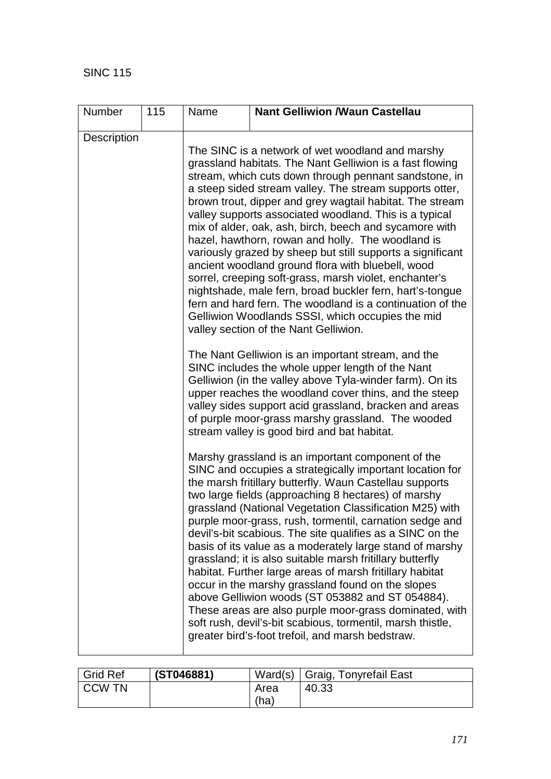| <b>Number</b> | 115 | Name | <b>Nant Gelliwion /Waun Castellau</b>                                                                                                                                                                                                                                                                                                                                                                                                                                                                                                                                                                                                                                                                                                                                                                                                                                                                                                                                                                                                                                                                   |  |  |  |  |
|---------------|-----|------|---------------------------------------------------------------------------------------------------------------------------------------------------------------------------------------------------------------------------------------------------------------------------------------------------------------------------------------------------------------------------------------------------------------------------------------------------------------------------------------------------------------------------------------------------------------------------------------------------------------------------------------------------------------------------------------------------------------------------------------------------------------------------------------------------------------------------------------------------------------------------------------------------------------------------------------------------------------------------------------------------------------------------------------------------------------------------------------------------------|--|--|--|--|
| Description   |     |      | The SINC is a network of wet woodland and marshy<br>grassland habitats. The Nant Gelliwion is a fast flowing<br>stream, which cuts down through pennant sandstone, in<br>a steep sided stream valley. The stream supports otter,<br>brown trout, dipper and grey wagtail habitat. The stream<br>valley supports associated woodland. This is a typical<br>mix of alder, oak, ash, birch, beech and sycamore with<br>hazel, hawthorn, rowan and holly. The woodland is<br>variously grazed by sheep but still supports a significant<br>ancient woodland ground flora with bluebell, wood<br>sorrel, creeping soft-grass, marsh violet, enchanter's<br>nightshade, male fern, broad buckler fern, hart's-tongue<br>fern and hard fern. The woodland is a continuation of the<br>Gelliwion Woodlands SSSI, which occupies the mid<br>valley section of the Nant Gelliwion.<br>The Nant Gelliwion is an important stream, and the<br>SINC includes the whole upper length of the Nant<br>Gelliwion (in the valley above Tyla-winder farm). On its<br>upper reaches the woodland cover thins, and the steep |  |  |  |  |
|               |     |      | valley sides support acid grassland, bracken and areas<br>of purple moor-grass marshy grassland. The wooded<br>stream valley is good bird and bat habitat.<br>Marshy grassland is an important component of the<br>SINC and occupies a strategically important location for<br>the marsh fritillary butterfly. Waun Castellau supports<br>two large fields (approaching 8 hectares) of marshy<br>grassland (National Vegetation Classification M25) with<br>purple moor-grass, rush, tormentil, carnation sedge and<br>devil's-bit scabious. The site qualifies as a SINC on the<br>basis of its value as a moderately large stand of marshy<br>grassland; it is also suitable marsh fritillary butterfly<br>habitat. Further large areas of marsh fritillary habitat<br>occur in the marshy grassland found on the slopes<br>above Gelliwion woods (ST 053882 and ST 054884).<br>These areas are also purple moor-grass dominated, with<br>soft rush, devil's-bit scabious, tormentil, marsh thistle,<br>greater bird's-foot trefoil, and marsh bedstraw.                                              |  |  |  |  |

| <b>Grid Ref</b> | (ST046881) |      | Ward(s)   Graig, Tonyrefail East |
|-----------------|------------|------|----------------------------------|
| I CCW TN        |            | Area | 40.33                            |
|                 |            | (ha) |                                  |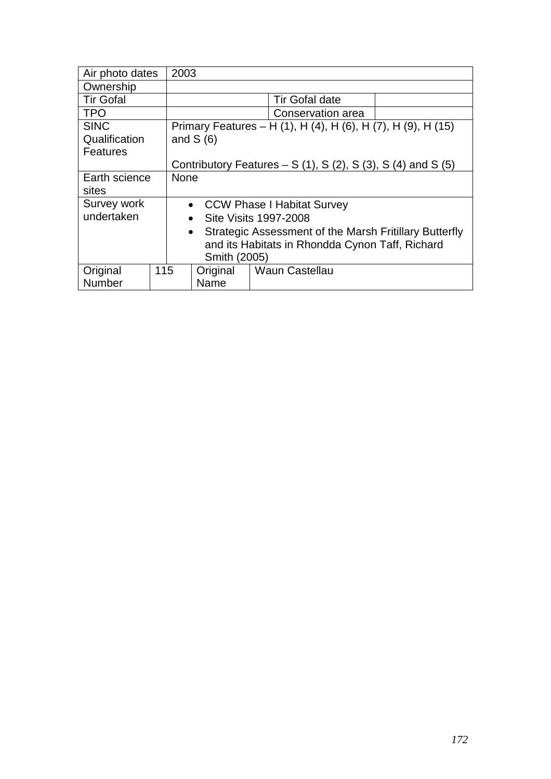| Air photo dates                                                           |  | 2003                               |            |                                                              |  |  |
|---------------------------------------------------------------------------|--|------------------------------------|------------|--------------------------------------------------------------|--|--|
| Ownership                                                                 |  |                                    |            |                                                              |  |  |
| <b>Tir Gofal</b>                                                          |  |                                    |            | <b>Tir Gofal date</b>                                        |  |  |
| <b>TPO</b>                                                                |  |                                    |            | Conservation area                                            |  |  |
| <b>SINC</b>                                                               |  |                                    |            | Primary Features - H (1), H (4), H (6), H (7), H (9), H (15) |  |  |
| Qualification                                                             |  |                                    | and $S(6)$ |                                                              |  |  |
| Features                                                                  |  |                                    |            |                                                              |  |  |
| Contributory Features – S $(1)$ , S $(2)$ , S $(3)$ , S $(4)$ and S $(5)$ |  |                                    |            |                                                              |  |  |
| Earth science                                                             |  | <b>None</b>                        |            |                                                              |  |  |
| sites                                                                     |  |                                    |            |                                                              |  |  |
| Survey work                                                               |  | • CCW Phase I Habitat Survey       |            |                                                              |  |  |
| undertaken                                                                |  | Site Visits 1997-2008<br>$\bullet$ |            |                                                              |  |  |
|                                                                           |  |                                    | $\bullet$  | Strategic Assessment of the Marsh Fritillary Butterfly       |  |  |
|                                                                           |  |                                    |            | and its Habitats in Rhondda Cynon Taff, Richard              |  |  |
| Smith (2005)                                                              |  |                                    |            |                                                              |  |  |
| Original<br>115                                                           |  |                                    | Original   | <b>Waun Castellau</b>                                        |  |  |
| Number                                                                    |  |                                    | Name       |                                                              |  |  |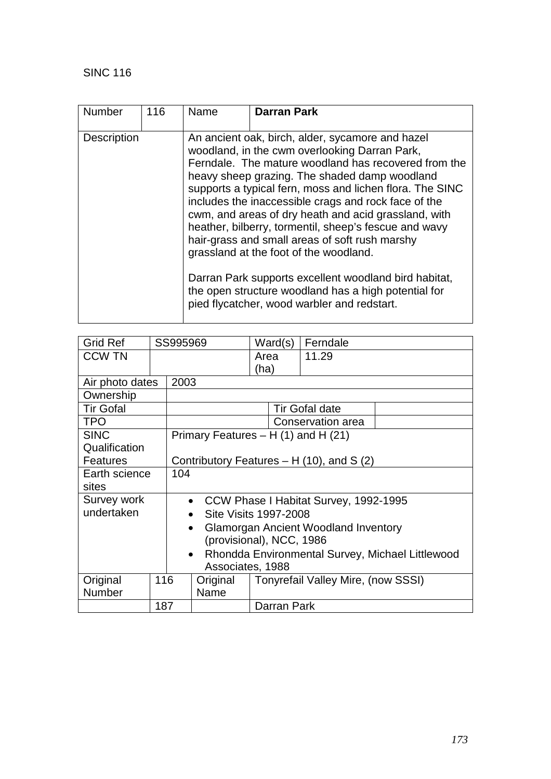| <b>Number</b>      | 116 | Name | <b>Darran Park</b>                                                                                                                                                                                                                                                                                                                                                                                                                                                                                                                                                                                                                                                                                          |
|--------------------|-----|------|-------------------------------------------------------------------------------------------------------------------------------------------------------------------------------------------------------------------------------------------------------------------------------------------------------------------------------------------------------------------------------------------------------------------------------------------------------------------------------------------------------------------------------------------------------------------------------------------------------------------------------------------------------------------------------------------------------------|
| <b>Description</b> |     |      | An ancient oak, birch, alder, sycamore and hazel<br>woodland, in the cwm overlooking Darran Park,<br>Ferndale. The mature woodland has recovered from the<br>heavy sheep grazing. The shaded damp woodland<br>supports a typical fern, moss and lichen flora. The SINC<br>includes the inaccessible crags and rock face of the<br>cwm, and areas of dry heath and acid grassland, with<br>heather, bilberry, tormentil, sheep's fescue and wavy<br>hair-grass and small areas of soft rush marshy<br>grassland at the foot of the woodland.<br>Darran Park supports excellent woodland bird habitat,<br>the open structure woodland has a high potential for<br>pied flycatcher, wood warbler and redstart. |

| Grid Ref             |     | SS995969                                                      |                                        |      | Ward(s)     | Ferndale                                   |  |
|----------------------|-----|---------------------------------------------------------------|----------------------------------------|------|-------------|--------------------------------------------|--|
| <b>CCW TN</b>        |     |                                                               |                                        | Area |             | 11.29                                      |  |
|                      |     |                                                               |                                        | (ha) |             |                                            |  |
| Air photo dates      |     | 2003                                                          |                                        |      |             |                                            |  |
| Ownership            |     |                                                               |                                        |      |             |                                            |  |
| <b>Tir Gofal</b>     |     |                                                               |                                        |      |             | <b>Tir Gofal date</b>                      |  |
| TPO                  |     |                                                               |                                        |      |             | Conservation area                          |  |
| <b>SINC</b>          |     |                                                               | Primary Features $- H(1)$ and H $(21)$ |      |             |                                            |  |
| Qualification        |     |                                                               |                                        |      |             |                                            |  |
| <b>Features</b>      |     |                                                               |                                        |      |             | Contributory Features $- H(10)$ , and S(2) |  |
| 104<br>Earth science |     |                                                               |                                        |      |             |                                            |  |
| sites                |     |                                                               |                                        |      |             |                                            |  |
| <b>Survey work</b>   |     |                                                               |                                        |      |             | • CCW Phase I Habitat Survey, 1992-1995    |  |
| undertaken           |     | Site Visits 1997-2008                                         |                                        |      |             |                                            |  |
|                      |     | <b>Glamorgan Ancient Woodland Inventory</b>                   |                                        |      |             |                                            |  |
|                      |     | (provisional), NCC, 1986                                      |                                        |      |             |                                            |  |
|                      |     | Rhondda Environmental Survey, Michael Littlewood<br>$\bullet$ |                                        |      |             |                                            |  |
|                      |     |                                                               | Associates, 1988                       |      |             |                                            |  |
| Original             | 116 | Original<br>Tonyrefail Valley Mire, (now SSSI)                |                                        |      |             |                                            |  |
| Number               |     |                                                               | Name                                   |      |             |                                            |  |
|                      | 187 |                                                               |                                        |      | Darran Park |                                            |  |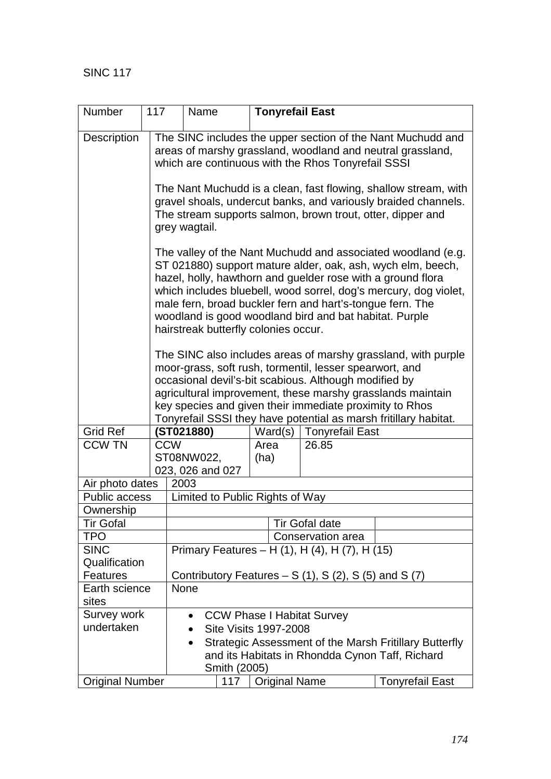| Number                 | 117                                            | Name                                                                                                                                                                                                                                                                                                                                                                                                                          |                              |               | <b>Tonyrefail East</b>                                      |                                                        |  |  |
|------------------------|------------------------------------------------|-------------------------------------------------------------------------------------------------------------------------------------------------------------------------------------------------------------------------------------------------------------------------------------------------------------------------------------------------------------------------------------------------------------------------------|------------------------------|---------------|-------------------------------------------------------------|--------------------------------------------------------|--|--|
| <b>Description</b>     |                                                | The SINC includes the upper section of the Nant Muchudd and<br>areas of marshy grassland, woodland and neutral grassland,<br>which are continuous with the Rhos Tonyrefail SSSI                                                                                                                                                                                                                                               |                              |               |                                                             |                                                        |  |  |
|                        |                                                | The Nant Muchudd is a clean, fast flowing, shallow stream, with<br>gravel shoals, undercut banks, and variously braided channels.<br>The stream supports salmon, brown trout, otter, dipper and<br>grey wagtail.                                                                                                                                                                                                              |                              |               |                                                             |                                                        |  |  |
|                        |                                                | The valley of the Nant Muchudd and associated woodland (e.g.<br>ST 021880) support mature alder, oak, ash, wych elm, beech,<br>hazel, holly, hawthorn and guelder rose with a ground flora<br>which includes bluebell, wood sorrel, dog's mercury, dog violet,<br>male fern, broad buckler fern and hart's-tongue fern. The<br>woodland is good woodland bird and bat habitat. Purple<br>hairstreak butterfly colonies occur. |                              |               |                                                             |                                                        |  |  |
|                        |                                                | The SINC also includes areas of marshy grassland, with purple<br>moor-grass, soft rush, tormentil, lesser spearwort, and<br>occasional devil's-bit scabious. Although modified by<br>agricultural improvement, these marshy grasslands maintain<br>key species and given their immediate proximity to Rhos<br>Tonyrefail SSSI they have potential as marsh fritillary habitat.                                                |                              |               |                                                             |                                                        |  |  |
| <b>Grid Ref</b>        |                                                | (ST021880)                                                                                                                                                                                                                                                                                                                                                                                                                    |                              | Ward(s)       | <b>Tonyrefail East</b>                                      |                                                        |  |  |
| <b>CCW TN</b>          |                                                | <b>CCW</b>                                                                                                                                                                                                                                                                                                                                                                                                                    |                              | Area          | 26.85                                                       |                                                        |  |  |
|                        |                                                | ST08NW022,<br>023, 026 and 027                                                                                                                                                                                                                                                                                                                                                                                                | (ha)                         |               |                                                             |                                                        |  |  |
| Air photo dates        |                                                | 2003                                                                                                                                                                                                                                                                                                                                                                                                                          |                              |               |                                                             |                                                        |  |  |
| <b>Public access</b>   |                                                | Limited to Public Rights of Way                                                                                                                                                                                                                                                                                                                                                                                               |                              |               |                                                             |                                                        |  |  |
| Ownership              |                                                |                                                                                                                                                                                                                                                                                                                                                                                                                               |                              |               |                                                             |                                                        |  |  |
| Tir Gofal              |                                                |                                                                                                                                                                                                                                                                                                                                                                                                                               |                              |               | <b>Tir Gofal date</b>                                       |                                                        |  |  |
| TPO                    |                                                |                                                                                                                                                                                                                                                                                                                                                                                                                               |                              |               | Conservation area                                           |                                                        |  |  |
| <b>SINC</b>            |                                                |                                                                                                                                                                                                                                                                                                                                                                                                                               |                              |               | Primary Features - H (1), H (4), H (7), H (15)              |                                                        |  |  |
| Qualification          |                                                |                                                                                                                                                                                                                                                                                                                                                                                                                               |                              |               |                                                             |                                                        |  |  |
| Features               |                                                |                                                                                                                                                                                                                                                                                                                                                                                                                               |                              |               | Contributory Features – $S(1)$ , $S(2)$ , $S(5)$ and $S(7)$ |                                                        |  |  |
| Earth science          | None                                           |                                                                                                                                                                                                                                                                                                                                                                                                                               |                              |               |                                                             |                                                        |  |  |
| sites                  |                                                |                                                                                                                                                                                                                                                                                                                                                                                                                               |                              |               |                                                             |                                                        |  |  |
| Survey work            | <b>CCW Phase I Habitat Survey</b><br>$\bullet$ |                                                                                                                                                                                                                                                                                                                                                                                                                               |                              |               |                                                             |                                                        |  |  |
| undertaken             |                                                | $\bullet$                                                                                                                                                                                                                                                                                                                                                                                                                     | <b>Site Visits 1997-2008</b> |               |                                                             |                                                        |  |  |
|                        |                                                | $\bullet$                                                                                                                                                                                                                                                                                                                                                                                                                     | Smith (2005)                 |               | and its Habitats in Rhondda Cynon Taff, Richard             | Strategic Assessment of the Marsh Fritillary Butterfly |  |  |
| <b>Original Number</b> |                                                |                                                                                                                                                                                                                                                                                                                                                                                                                               | 117                          | Original Name |                                                             | <b>Tonyrefail East</b>                                 |  |  |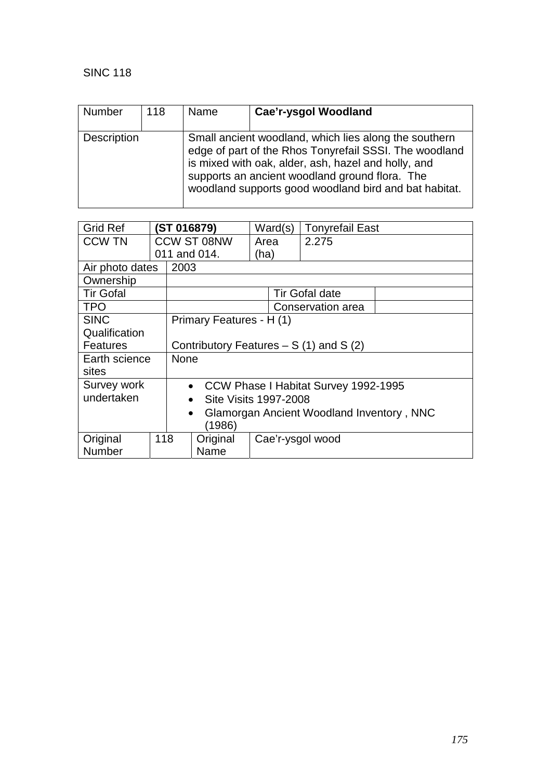| Number             | 118 | Name | Cae'r-ysgol Woodland                                                                                                                                                                                                                                                              |
|--------------------|-----|------|-----------------------------------------------------------------------------------------------------------------------------------------------------------------------------------------------------------------------------------------------------------------------------------|
| <b>Description</b> |     |      | Small ancient woodland, which lies along the southern<br>edge of part of the Rhos Tonyrefail SSSI. The woodland<br>is mixed with oak, alder, ash, hazel and holly, and<br>supports an ancient woodland ground flora. The<br>woodland supports good woodland bird and bat habitat. |

| <b>Grid Ref</b>  |        | (ST 016879)     |                          |                                           | Ward(s)          | <b>Tonyrefail East</b>                  |  |
|------------------|--------|-----------------|--------------------------|-------------------------------------------|------------------|-----------------------------------------|--|
| <b>CCW TN</b>    |        |                 | CCW ST 08NW              | Area                                      |                  | 2.275                                   |  |
|                  |        |                 | 011 and 014.             | (ha)                                      |                  |                                         |  |
| Air photo dates  |        | 2003            |                          |                                           |                  |                                         |  |
| Ownership        |        |                 |                          |                                           |                  |                                         |  |
| <b>Tir Gofal</b> |        |                 |                          |                                           |                  | <b>Tir Gofal date</b>                   |  |
| TPO              |        |                 |                          |                                           |                  | Conservation area                       |  |
| <b>SINC</b>      |        |                 | Primary Features - H (1) |                                           |                  |                                         |  |
| Qualification    |        |                 |                          |                                           |                  |                                         |  |
| Features         |        |                 |                          |                                           |                  | Contributory Features $- S(1)$ and S(2) |  |
| Earth science    |        | <b>None</b>     |                          |                                           |                  |                                         |  |
| sites            |        |                 |                          |                                           |                  |                                         |  |
| Survey work      |        | $\bullet$       |                          |                                           |                  | CCW Phase I Habitat Survey 1992-1995    |  |
| undertaken       |        | $\bullet$       | Site Visits 1997-2008    |                                           |                  |                                         |  |
| $\bullet$        |        |                 |                          | Glamorgan Ancient Woodland Inventory, NNC |                  |                                         |  |
|                  | (1986) |                 |                          |                                           |                  |                                         |  |
| Original         |        | 118<br>Original |                          |                                           | Cae'r-ysgol wood |                                         |  |
| Number           |        | Name            |                          |                                           |                  |                                         |  |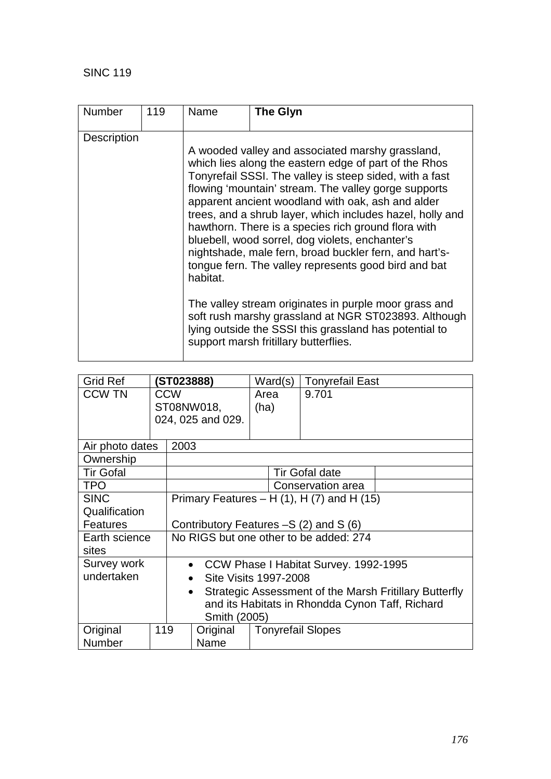| <b>Number</b>      | 119 | Name     | <b>The Glyn</b>                                                                                                                                                                                                                                                                                                                                                                                                                                                                                                                                                                                                                                                                                                                                                                                |
|--------------------|-----|----------|------------------------------------------------------------------------------------------------------------------------------------------------------------------------------------------------------------------------------------------------------------------------------------------------------------------------------------------------------------------------------------------------------------------------------------------------------------------------------------------------------------------------------------------------------------------------------------------------------------------------------------------------------------------------------------------------------------------------------------------------------------------------------------------------|
| <b>Description</b> |     | habitat. | A wooded valley and associated marshy grassland,<br>which lies along the eastern edge of part of the Rhos<br>Tonyrefail SSSI. The valley is steep sided, with a fast<br>flowing 'mountain' stream. The valley gorge supports<br>apparent ancient woodland with oak, ash and alder<br>trees, and a shrub layer, which includes hazel, holly and<br>hawthorn. There is a species rich ground flora with<br>bluebell, wood sorrel, dog violets, enchanter's<br>nightshade, male fern, broad buckler fern, and hart's-<br>tongue fern. The valley represents good bird and bat<br>The valley stream originates in purple moor grass and<br>soft rush marshy grassland at NGR ST023893. Although<br>lying outside the SSSI this grassland has potential to<br>support marsh fritillary butterflies. |

| <b>Grid Ref</b>  | <b>(ST023888)</b> |                                                                     | Ward(s)                                | <b>Tonyrefail East</b>   |                                        |  |  |  |
|------------------|-------------------|---------------------------------------------------------------------|----------------------------------------|--------------------------|----------------------------------------|--|--|--|
| <b>CCW TN</b>    | <b>CCW</b>        |                                                                     | Area                                   | 9.701                    |                                        |  |  |  |
|                  |                   |                                                                     | ST08NW018,                             | (ha)                     |                                        |  |  |  |
|                  |                   |                                                                     | 024, 025 and 029.                      |                          |                                        |  |  |  |
|                  |                   |                                                                     |                                        |                          |                                        |  |  |  |
| Air photo dates  |                   | 2003                                                                |                                        |                          |                                        |  |  |  |
| Ownership        |                   |                                                                     |                                        |                          |                                        |  |  |  |
| <b>Tir Gofal</b> |                   |                                                                     |                                        |                          | <b>Tir Gofal date</b>                  |  |  |  |
| <b>TPO</b>       |                   |                                                                     |                                        | <b>Conservation area</b> |                                        |  |  |  |
| <b>SINC</b>      |                   | Primary Features – H $(1)$ , H $(7)$ and H $(15)$                   |                                        |                          |                                        |  |  |  |
| Qualification    |                   |                                                                     |                                        |                          |                                        |  |  |  |
| <b>Features</b>  |                   |                                                                     |                                        |                          | Contributory Features $-S(2)$ and S(6) |  |  |  |
| Earth science    |                   |                                                                     | No RIGS but one other to be added: 274 |                          |                                        |  |  |  |
| sites            |                   |                                                                     |                                        |                          |                                        |  |  |  |
| Survey work      |                   | CCW Phase I Habitat Survey. 1992-1995<br>$\bullet$                  |                                        |                          |                                        |  |  |  |
| undertaken       |                   | Site Visits 1997-2008<br>$\bullet$                                  |                                        |                          |                                        |  |  |  |
|                  |                   | Strategic Assessment of the Marsh Fritillary Butterfly<br>$\bullet$ |                                        |                          |                                        |  |  |  |
|                  |                   | and its Habitats in Rhondda Cynon Taff, Richard                     |                                        |                          |                                        |  |  |  |
|                  | Smith (2005)      |                                                                     |                                        |                          |                                        |  |  |  |
| Original<br>119  |                   |                                                                     | Original                               | <b>Tonyrefail Slopes</b> |                                        |  |  |  |
| Number           |                   |                                                                     | Name                                   |                          |                                        |  |  |  |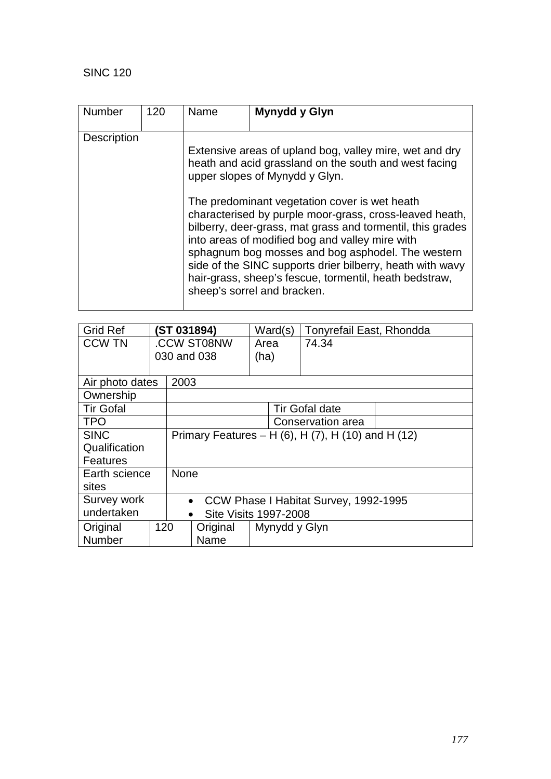| <b>Number</b>      | 120 | Name | Mynydd y Glyn                                                                                                                                                                                                                                                                                                                                                                                                                                                                                                                                                                              |
|--------------------|-----|------|--------------------------------------------------------------------------------------------------------------------------------------------------------------------------------------------------------------------------------------------------------------------------------------------------------------------------------------------------------------------------------------------------------------------------------------------------------------------------------------------------------------------------------------------------------------------------------------------|
| <b>Description</b> |     |      | Extensive areas of upland bog, valley mire, wet and dry<br>heath and acid grassland on the south and west facing<br>upper slopes of Mynydd y Glyn.<br>The predominant vegetation cover is wet heath<br>characterised by purple moor-grass, cross-leaved heath,<br>bilberry, deer-grass, mat grass and tormentil, this grades<br>into areas of modified bog and valley mire with<br>sphagnum bog mosses and bog asphodel. The western<br>side of the SINC supports drier bilberry, heath with wavy<br>hair-grass, sheep's fescue, tormentil, heath bedstraw,<br>sheep's sorrel and bracken. |

| <b>Grid Ref</b>  | (ST 031894) |                                                    | Ward(s)               | Tonyrefail East, Rhondda |  |  |  |  |
|------------------|-------------|----------------------------------------------------|-----------------------|--------------------------|--|--|--|--|
| <b>CCW TN</b>    | .CCW ST08NW |                                                    | Area                  | 74.34                    |  |  |  |  |
|                  |             |                                                    | 030 and 038           | (ha)                     |  |  |  |  |
|                  |             |                                                    |                       |                          |  |  |  |  |
| Air photo dates  |             | 2003                                               |                       |                          |  |  |  |  |
| Ownership        |             |                                                    |                       |                          |  |  |  |  |
| <b>Tir Gofal</b> |             |                                                    | <b>Tir Gofal date</b> |                          |  |  |  |  |
| <b>TPO</b>       |             |                                                    | Conservation area     |                          |  |  |  |  |
| <b>SINC</b>      |             | Primary Features – H (6), H (7), H (10) and H (12) |                       |                          |  |  |  |  |
| Qualification    |             |                                                    |                       |                          |  |  |  |  |
| <b>Features</b>  |             |                                                    |                       |                          |  |  |  |  |
| Earth science    |             | <b>None</b>                                        |                       |                          |  |  |  |  |
| sites            |             |                                                    |                       |                          |  |  |  |  |
| Survey work      |             | CCW Phase I Habitat Survey, 1992-1995<br>$\bullet$ |                       |                          |  |  |  |  |
| undertaken       |             | <b>Site Visits 1997-2008</b><br>$\bullet$          |                       |                          |  |  |  |  |
| Original         | 120         |                                                    | Original              | Mynydd y Glyn            |  |  |  |  |
| Number           |             |                                                    | Name                  |                          |  |  |  |  |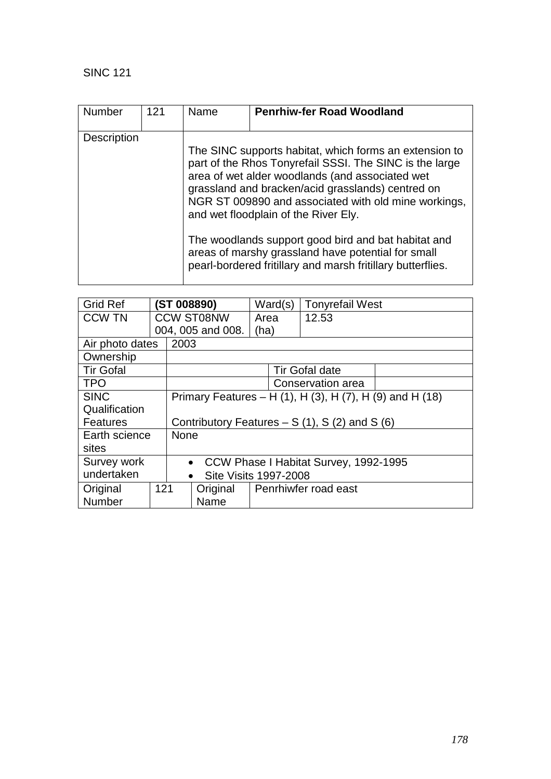| <b>Number</b>      | 121 | Name | <b>Penrhiw-fer Road Woodland</b>                                                                                                                                                                                                                                                                                                                                                                                                                                                                      |
|--------------------|-----|------|-------------------------------------------------------------------------------------------------------------------------------------------------------------------------------------------------------------------------------------------------------------------------------------------------------------------------------------------------------------------------------------------------------------------------------------------------------------------------------------------------------|
| <b>Description</b> |     |      | The SINC supports habitat, which forms an extension to<br>part of the Rhos Tonyrefail SSSI. The SINC is the large<br>area of wet alder woodlands (and associated wet<br>grassland and bracken/acid grasslands) centred on<br>NGR ST 009890 and associated with old mine workings,<br>and wet floodplain of the River Ely.<br>The woodlands support good bird and bat habitat and<br>areas of marshy grassland have potential for small<br>pearl-bordered fritillary and marsh fritillary butterflies. |

| <b>Grid Ref</b>  | (ST 008890)       |                                                          |                                                | Ward(s)              | <b>Tonyrefail West</b> |  |  |  |
|------------------|-------------------|----------------------------------------------------------|------------------------------------------------|----------------------|------------------------|--|--|--|
| <b>CCW TN</b>    | <b>CCW ST08NW</b> |                                                          |                                                | Area                 | 12.53                  |  |  |  |
|                  |                   |                                                          | 004, 005 and 008.                              | (ha)                 |                        |  |  |  |
| Air photo dates  |                   |                                                          | 2003                                           |                      |                        |  |  |  |
| Ownership        |                   |                                                          |                                                |                      |                        |  |  |  |
| <b>Tir Gofal</b> |                   |                                                          |                                                |                      | <b>Tir Gofal date</b>  |  |  |  |
| <b>TPO</b>       |                   |                                                          | Conservation area                              |                      |                        |  |  |  |
| <b>SINC</b>      |                   | Primary Features – H (1), H (3), H (7), H (9) and H (18) |                                                |                      |                        |  |  |  |
| Qualification    |                   |                                                          |                                                |                      |                        |  |  |  |
| <b>Features</b>  |                   |                                                          | Contributory Features $- S(1)$ , S(2) and S(6) |                      |                        |  |  |  |
| Earth science    |                   | None                                                     |                                                |                      |                        |  |  |  |
| sites            |                   |                                                          |                                                |                      |                        |  |  |  |
| Survey work      |                   | CCW Phase I Habitat Survey, 1992-1995<br>$\bullet$       |                                                |                      |                        |  |  |  |
| undertaken       |                   | <b>Site Visits 1997-2008</b><br>$\bullet$                |                                                |                      |                        |  |  |  |
| Original         | 121               |                                                          | Original                                       | Penrhiwfer road east |                        |  |  |  |
| <b>Number</b>    |                   |                                                          | Name                                           |                      |                        |  |  |  |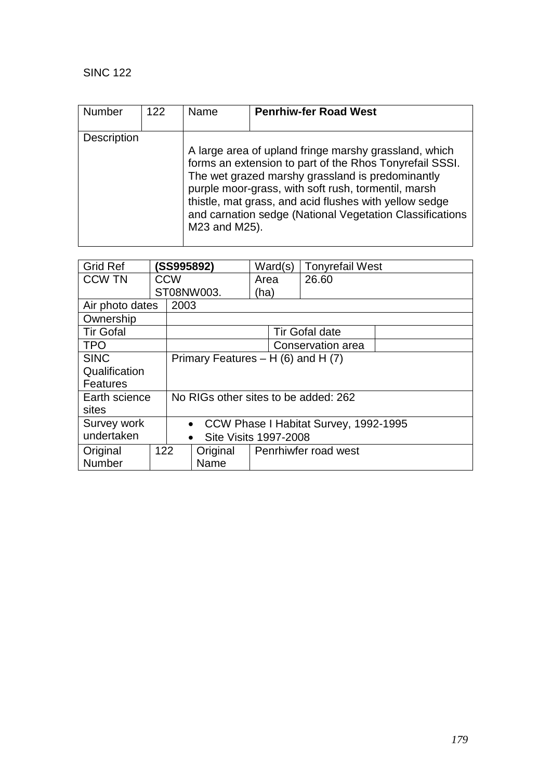| <b>Number</b> | 122 | Name          | <b>Penrhiw-fer Road West</b>                                                                                                                                                                                                                                                                                                                      |
|---------------|-----|---------------|---------------------------------------------------------------------------------------------------------------------------------------------------------------------------------------------------------------------------------------------------------------------------------------------------------------------------------------------------|
| Description   |     | M23 and M25). | A large area of upland fringe marshy grassland, which<br>forms an extension to part of the Rhos Tonyrefail SSSI.<br>The wet grazed marshy grassland is predominantly<br>purple moor-grass, with soft rush, tormentil, marsh<br>thistle, mat grass, and acid flushes with yellow sedge<br>and carnation sedge (National Vegetation Classifications |

| <b>Grid Ref</b>  |     | (SS995892)                                         |                   | Ward(s)              |  | <b>Tonyrefail West</b> |  |  |
|------------------|-----|----------------------------------------------------|-------------------|----------------------|--|------------------------|--|--|
| <b>CCW TN</b>    |     | <b>CCW</b>                                         |                   | Area                 |  | 26.60                  |  |  |
|                  |     |                                                    | ST08NW003.        | (ha)                 |  |                        |  |  |
| Air photo dates  |     |                                                    | 2003              |                      |  |                        |  |  |
| Ownership        |     |                                                    |                   |                      |  |                        |  |  |
| <b>Tir Gofal</b> |     |                                                    |                   |                      |  | <b>Tir Gofal date</b>  |  |  |
| <b>TPO</b>       |     |                                                    | Conservation area |                      |  |                        |  |  |
| <b>SINC</b>      |     | Primary Features $- H(6)$ and H $(7)$              |                   |                      |  |                        |  |  |
| Qualification    |     |                                                    |                   |                      |  |                        |  |  |
| <b>Features</b>  |     |                                                    |                   |                      |  |                        |  |  |
| Earth science    |     | No RIGs other sites to be added: 262               |                   |                      |  |                        |  |  |
| sites            |     |                                                    |                   |                      |  |                        |  |  |
| Survey work      |     | CCW Phase I Habitat Survey, 1992-1995<br>$\bullet$ |                   |                      |  |                        |  |  |
| undertaken       |     | <b>Site Visits 1997-2008</b><br>$\bullet$          |                   |                      |  |                        |  |  |
| Original         | 122 |                                                    | Original          | Penrhiwfer road west |  |                        |  |  |
| <b>Number</b>    |     |                                                    | Name              |                      |  |                        |  |  |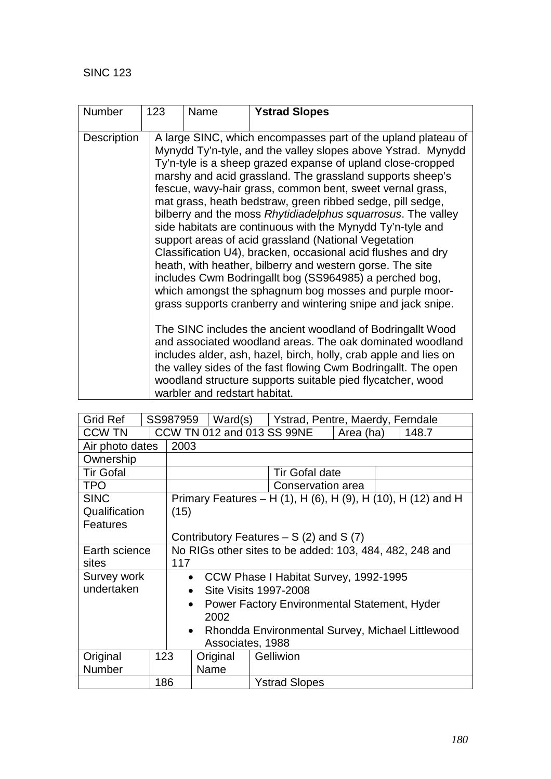| <b>Number</b> | 123 | Name                          | <b>Ystrad Slopes</b>                                                                                                                                                                                                                                                                                                                                                                                                                                                                                                                                                                                                                                                                                                                                                                                                                                                                                                                                                                                                                                                                                                                                                                                                       |
|---------------|-----|-------------------------------|----------------------------------------------------------------------------------------------------------------------------------------------------------------------------------------------------------------------------------------------------------------------------------------------------------------------------------------------------------------------------------------------------------------------------------------------------------------------------------------------------------------------------------------------------------------------------------------------------------------------------------------------------------------------------------------------------------------------------------------------------------------------------------------------------------------------------------------------------------------------------------------------------------------------------------------------------------------------------------------------------------------------------------------------------------------------------------------------------------------------------------------------------------------------------------------------------------------------------|
| Description   |     | warbler and redstart habitat. | A large SINC, which encompasses part of the upland plateau of<br>Mynydd Ty'n-tyle, and the valley slopes above Ystrad. Mynydd<br>Ty'n-tyle is a sheep grazed expanse of upland close-cropped<br>marshy and acid grassland. The grassland supports sheep's<br>fescue, wavy-hair grass, common bent, sweet vernal grass,<br>mat grass, heath bedstraw, green ribbed sedge, pill sedge,<br>bilberry and the moss Rhytidiadelphus squarrosus. The valley<br>side habitats are continuous with the Mynydd Ty'n-tyle and<br>support areas of acid grassland (National Vegetation<br>Classification U4), bracken, occasional acid flushes and dry<br>heath, with heather, bilberry and western gorse. The site<br>includes Cwm Bodringallt bog (SS964985) a perched bog,<br>which amongst the sphagnum bog mosses and purple moor-<br>grass supports cranberry and wintering snipe and jack snipe.<br>The SINC includes the ancient woodland of Bodringallt Wood<br>and associated woodland areas. The oak dominated woodland<br>includes alder, ash, hazel, birch, holly, crab apple and lies on<br>the valley sides of the fast flowing Cwm Bodringallt. The open<br>woodland structure supports suitable pied flycatcher, wood |

| <b>Grid Ref</b>  |     | SS987959                                                         | Ward(s)                                 |  | Ystrad, Pentre, Maerdy, Ferndale                             |           |  |       |
|------------------|-----|------------------------------------------------------------------|-----------------------------------------|--|--------------------------------------------------------------|-----------|--|-------|
| <b>CCW TN</b>    |     |                                                                  | CCW TN 012 and 013 SS 99NE              |  |                                                              | Area (ha) |  | 148.7 |
| Air photo dates  |     | 2003                                                             |                                         |  |                                                              |           |  |       |
| Ownership        |     |                                                                  |                                         |  |                                                              |           |  |       |
| <b>Tir Gofal</b> |     |                                                                  |                                         |  | <b>Tir Gofal date</b>                                        |           |  |       |
| <b>TPO</b>       |     |                                                                  |                                         |  | Conservation area                                            |           |  |       |
| <b>SINC</b>      |     |                                                                  |                                         |  | Primary Features – H (1), H (6), H (9), H (10), H (12) and H |           |  |       |
| Qualification    |     | (15)                                                             |                                         |  |                                                              |           |  |       |
| <b>Features</b>  |     |                                                                  |                                         |  |                                                              |           |  |       |
|                  |     | Contributory Features $- S(2)$ and S(7)                          |                                         |  |                                                              |           |  |       |
| Earth science    |     | No RIGs other sites to be added: 103, 484, 482, 248 and          |                                         |  |                                                              |           |  |       |
| sites            |     | 117                                                              |                                         |  |                                                              |           |  |       |
| Survey work      |     |                                                                  | • CCW Phase I Habitat Survey, 1992-1995 |  |                                                              |           |  |       |
| undertaken       |     | Site Visits 1997-2008<br>$\bullet$                               |                                         |  |                                                              |           |  |       |
|                  |     | <b>Power Factory Environmental Statement, Hyder</b><br>$\bullet$ |                                         |  |                                                              |           |  |       |
|                  |     | 2002                                                             |                                         |  |                                                              |           |  |       |
|                  |     | Rhondda Environmental Survey, Michael Littlewood<br>$\bullet$    |                                         |  |                                                              |           |  |       |
|                  |     |                                                                  | Associates, 1988                        |  |                                                              |           |  |       |
| Original         | 123 |                                                                  | Original                                |  | Gelliwion                                                    |           |  |       |
| Number           |     |                                                                  | Name                                    |  |                                                              |           |  |       |
|                  | 186 |                                                                  |                                         |  | <b>Ystrad Slopes</b>                                         |           |  |       |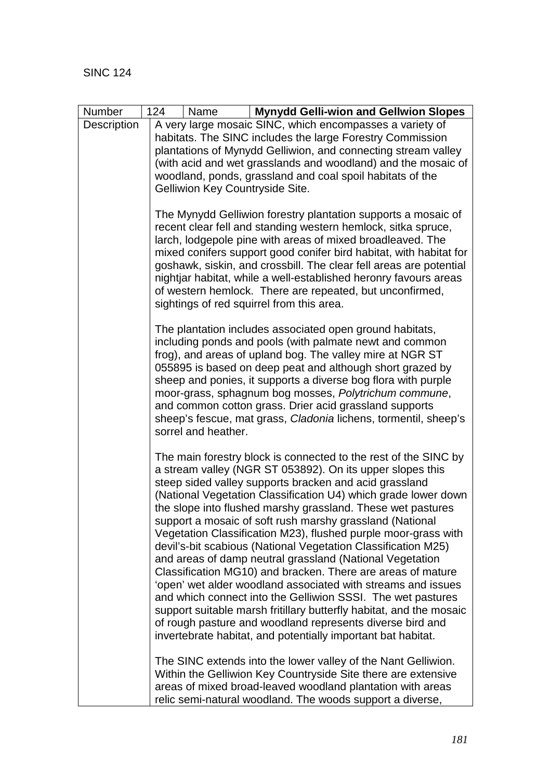| Number      | 124<br><b>Mynydd Gelli-wion and Gellwion Slopes</b><br>Name                                                                                                                                                                                                                                                                                                                                                                                                                                                                                                                                                                                                                                                                                                                                                                                                                                                                                                                                                                                                                                                            |
|-------------|------------------------------------------------------------------------------------------------------------------------------------------------------------------------------------------------------------------------------------------------------------------------------------------------------------------------------------------------------------------------------------------------------------------------------------------------------------------------------------------------------------------------------------------------------------------------------------------------------------------------------------------------------------------------------------------------------------------------------------------------------------------------------------------------------------------------------------------------------------------------------------------------------------------------------------------------------------------------------------------------------------------------------------------------------------------------------------------------------------------------|
| Description | A very large mosaic SINC, which encompasses a variety of                                                                                                                                                                                                                                                                                                                                                                                                                                                                                                                                                                                                                                                                                                                                                                                                                                                                                                                                                                                                                                                               |
|             | habitats. The SINC includes the large Forestry Commission                                                                                                                                                                                                                                                                                                                                                                                                                                                                                                                                                                                                                                                                                                                                                                                                                                                                                                                                                                                                                                                              |
|             | plantations of Mynydd Gelliwion, and connecting stream valley                                                                                                                                                                                                                                                                                                                                                                                                                                                                                                                                                                                                                                                                                                                                                                                                                                                                                                                                                                                                                                                          |
|             | (with acid and wet grasslands and woodland) and the mosaic of<br>woodland, ponds, grassland and coal spoil habitats of the                                                                                                                                                                                                                                                                                                                                                                                                                                                                                                                                                                                                                                                                                                                                                                                                                                                                                                                                                                                             |
|             | Gelliwion Key Countryside Site.                                                                                                                                                                                                                                                                                                                                                                                                                                                                                                                                                                                                                                                                                                                                                                                                                                                                                                                                                                                                                                                                                        |
|             |                                                                                                                                                                                                                                                                                                                                                                                                                                                                                                                                                                                                                                                                                                                                                                                                                                                                                                                                                                                                                                                                                                                        |
|             | The Mynydd Gelliwion forestry plantation supports a mosaic of<br>recent clear fell and standing western hemlock, sitka spruce,<br>larch, lodgepole pine with areas of mixed broadleaved. The<br>mixed conifers support good conifer bird habitat, with habitat for<br>goshawk, siskin, and crossbill. The clear fell areas are potential<br>nightjar habitat, while a well-established heronry favours areas<br>of western hemlock. There are repeated, but unconfirmed,<br>sightings of red squirrel from this area.                                                                                                                                                                                                                                                                                                                                                                                                                                                                                                                                                                                                  |
|             | The plantation includes associated open ground habitats,<br>including ponds and pools (with palmate newt and common<br>frog), and areas of upland bog. The valley mire at NGR ST<br>055895 is based on deep peat and although short grazed by<br>sheep and ponies, it supports a diverse bog flora with purple<br>moor-grass, sphagnum bog mosses, Polytrichum commune,<br>and common cotton grass. Drier acid grassland supports<br>sheep's fescue, mat grass, Cladonia lichens, tormentil, sheep's<br>sorrel and heather.                                                                                                                                                                                                                                                                                                                                                                                                                                                                                                                                                                                            |
|             | The main forestry block is connected to the rest of the SINC by<br>a stream valley (NGR ST 053892). On its upper slopes this<br>steep sided valley supports bracken and acid grassland<br>(National Vegetation Classification U4) which grade lower down<br>the slope into flushed marshy grassland. These wet pastures<br>support a mosaic of soft rush marshy grassland (National<br>Vegetation Classification M23), flushed purple moor-grass with<br>devil's-bit scabious (National Vegetation Classification M25)<br>and areas of damp neutral grassland (National Vegetation<br>Classification MG10) and bracken. There are areas of mature<br>'open' wet alder woodland associated with streams and issues<br>and which connect into the Gelliwion SSSI. The wet pastures<br>support suitable marsh fritillary butterfly habitat, and the mosaic<br>of rough pasture and woodland represents diverse bird and<br>invertebrate habitat, and potentially important bat habitat.<br>The SINC extends into the lower valley of the Nant Gelliwion.<br>Within the Gelliwion Key Countryside Site there are extensive |
|             | areas of mixed broad-leaved woodland plantation with areas                                                                                                                                                                                                                                                                                                                                                                                                                                                                                                                                                                                                                                                                                                                                                                                                                                                                                                                                                                                                                                                             |
|             | relic semi-natural woodland. The woods support a diverse,                                                                                                                                                                                                                                                                                                                                                                                                                                                                                                                                                                                                                                                                                                                                                                                                                                                                                                                                                                                                                                                              |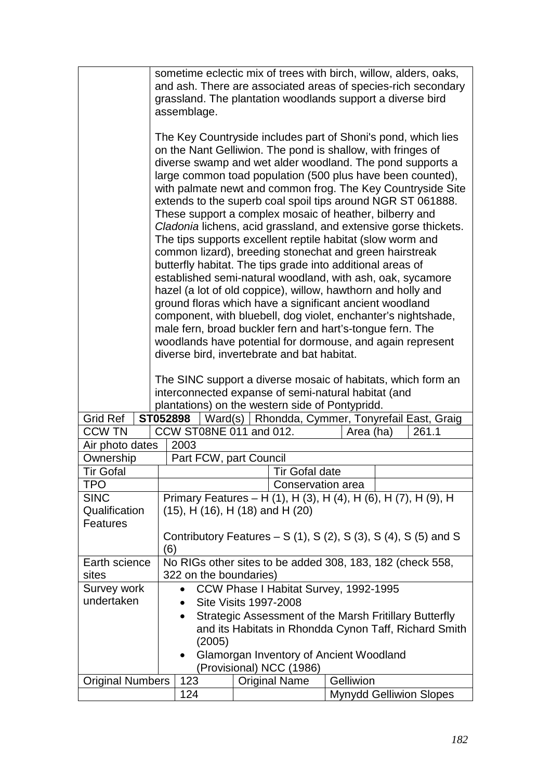|                                                                     | sometime eclectic mix of trees with birch, willow, alders, oaks,<br>and ash. There are associated areas of species-rich secondary                                                                                                                                                                                                                                                                                                                                                                                                                                                                                                                                                                                                                                                                                                                                                                                                                                                                                                                                                                                                                             |                                                                |  |                          |                                                                         |  |
|---------------------------------------------------------------------|---------------------------------------------------------------------------------------------------------------------------------------------------------------------------------------------------------------------------------------------------------------------------------------------------------------------------------------------------------------------------------------------------------------------------------------------------------------------------------------------------------------------------------------------------------------------------------------------------------------------------------------------------------------------------------------------------------------------------------------------------------------------------------------------------------------------------------------------------------------------------------------------------------------------------------------------------------------------------------------------------------------------------------------------------------------------------------------------------------------------------------------------------------------|----------------------------------------------------------------|--|--------------------------|-------------------------------------------------------------------------|--|
|                                                                     | grassland. The plantation woodlands support a diverse bird                                                                                                                                                                                                                                                                                                                                                                                                                                                                                                                                                                                                                                                                                                                                                                                                                                                                                                                                                                                                                                                                                                    |                                                                |  |                          |                                                                         |  |
|                                                                     |                                                                                                                                                                                                                                                                                                                                                                                                                                                                                                                                                                                                                                                                                                                                                                                                                                                                                                                                                                                                                                                                                                                                                               |                                                                |  |                          |                                                                         |  |
|                                                                     | assemblage.<br>The Key Countryside includes part of Shoni's pond, which lies<br>on the Nant Gelliwion. The pond is shallow, with fringes of<br>diverse swamp and wet alder woodland. The pond supports a<br>large common toad population (500 plus have been counted),<br>with palmate newt and common frog. The Key Countryside Site<br>extends to the superb coal spoil tips around NGR ST 061888.<br>These support a complex mosaic of heather, bilberry and<br>Cladonia lichens, acid grassland, and extensive gorse thickets.<br>The tips supports excellent reptile habitat (slow worm and<br>common lizard), breeding stonechat and green hairstreak<br>butterfly habitat. The tips grade into additional areas of<br>established semi-natural woodland, with ash, oak, sycamore<br>hazel (a lot of old coppice), willow, hawthorn and holly and<br>ground floras which have a significant ancient woodland<br>component, with bluebell, dog violet, enchanter's nightshade,<br>male fern, broad buckler fern and hart's-tongue fern. The<br>woodlands have potential for dormouse, and again represent<br>diverse bird, invertebrate and bat habitat. |                                                                |  |                          |                                                                         |  |
|                                                                     |                                                                                                                                                                                                                                                                                                                                                                                                                                                                                                                                                                                                                                                                                                                                                                                                                                                                                                                                                                                                                                                                                                                                                               |                                                                |  |                          | The SINC support a diverse mosaic of habitats, which form an            |  |
|                                                                     |                                                                                                                                                                                                                                                                                                                                                                                                                                                                                                                                                                                                                                                                                                                                                                                                                                                                                                                                                                                                                                                                                                                                                               |                                                                |  |                          | interconnected expanse of semi-natural habitat (and                     |  |
| <b>Grid Ref</b>                                                     |                                                                                                                                                                                                                                                                                                                                                                                                                                                                                                                                                                                                                                                                                                                                                                                                                                                                                                                                                                                                                                                                                                                                                               |                                                                |  |                          | plantations) on the western side of Pontypridd.                         |  |
| <b>CCW TN</b>                                                       | ST052898                                                                                                                                                                                                                                                                                                                                                                                                                                                                                                                                                                                                                                                                                                                                                                                                                                                                                                                                                                                                                                                                                                                                                      | CCW ST08NE 011 and 012.                                        |  |                          | Ward(s)   Rhondda, Cymmer, Tonyrefail East, Graig<br>261.1<br>Area (ha) |  |
| Air photo dates                                                     |                                                                                                                                                                                                                                                                                                                                                                                                                                                                                                                                                                                                                                                                                                                                                                                                                                                                                                                                                                                                                                                                                                                                                               | 2003                                                           |  |                          |                                                                         |  |
| Ownership                                                           |                                                                                                                                                                                                                                                                                                                                                                                                                                                                                                                                                                                                                                                                                                                                                                                                                                                                                                                                                                                                                                                                                                                                                               | Part FCW, part Council                                         |  |                          |                                                                         |  |
| Tir Gofal                                                           |                                                                                                                                                                                                                                                                                                                                                                                                                                                                                                                                                                                                                                                                                                                                                                                                                                                                                                                                                                                                                                                                                                                                                               |                                                                |  | <b>Tir Gofal date</b>    |                                                                         |  |
| TPO                                                                 |                                                                                                                                                                                                                                                                                                                                                                                                                                                                                                                                                                                                                                                                                                                                                                                                                                                                                                                                                                                                                                                                                                                                                               | Conservation area                                              |  |                          |                                                                         |  |
| <b>SINC</b>                                                         |                                                                                                                                                                                                                                                                                                                                                                                                                                                                                                                                                                                                                                                                                                                                                                                                                                                                                                                                                                                                                                                                                                                                                               | Primary Features - H (1), H (3), H (4), H (6), H (7), H (9), H |  |                          |                                                                         |  |
| Qualification<br>Features                                           |                                                                                                                                                                                                                                                                                                                                                                                                                                                                                                                                                                                                                                                                                                                                                                                                                                                                                                                                                                                                                                                                                                                                                               | $(15)$ , H $(16)$ , H $(18)$ and H $(20)$                      |  |                          |                                                                         |  |
|                                                                     |                                                                                                                                                                                                                                                                                                                                                                                                                                                                                                                                                                                                                                                                                                                                                                                                                                                                                                                                                                                                                                                                                                                                                               |                                                                |  |                          | Contributory Features $- S(1)$ , S(2), S(3), S(4), S(5) and S           |  |
|                                                                     | (6)                                                                                                                                                                                                                                                                                                                                                                                                                                                                                                                                                                                                                                                                                                                                                                                                                                                                                                                                                                                                                                                                                                                                                           |                                                                |  |                          |                                                                         |  |
| Earth science                                                       |                                                                                                                                                                                                                                                                                                                                                                                                                                                                                                                                                                                                                                                                                                                                                                                                                                                                                                                                                                                                                                                                                                                                                               |                                                                |  |                          | No RIGs other sites to be added 308, 183, 182 (check 558,               |  |
| sites                                                               |                                                                                                                                                                                                                                                                                                                                                                                                                                                                                                                                                                                                                                                                                                                                                                                                                                                                                                                                                                                                                                                                                                                                                               | 322 on the boundaries)                                         |  |                          |                                                                         |  |
| Survey work                                                         |                                                                                                                                                                                                                                                                                                                                                                                                                                                                                                                                                                                                                                                                                                                                                                                                                                                                                                                                                                                                                                                                                                                                                               |                                                                |  |                          | CCW Phase I Habitat Survey, 1992-1995                                   |  |
| undertaken                                                          |                                                                                                                                                                                                                                                                                                                                                                                                                                                                                                                                                                                                                                                                                                                                                                                                                                                                                                                                                                                                                                                                                                                                                               | <b>Site Visits 1997-2008</b><br>$\bullet$                      |  |                          |                                                                         |  |
| Strategic Assessment of the Marsh Fritillary Butterfly<br>$\bullet$ |                                                                                                                                                                                                                                                                                                                                                                                                                                                                                                                                                                                                                                                                                                                                                                                                                                                                                                                                                                                                                                                                                                                                                               |                                                                |  |                          |                                                                         |  |
|                                                                     |                                                                                                                                                                                                                                                                                                                                                                                                                                                                                                                                                                                                                                                                                                                                                                                                                                                                                                                                                                                                                                                                                                                                                               | and its Habitats in Rhondda Cynon Taff, Richard Smith          |  |                          |                                                                         |  |
|                                                                     |                                                                                                                                                                                                                                                                                                                                                                                                                                                                                                                                                                                                                                                                                                                                                                                                                                                                                                                                                                                                                                                                                                                                                               | (2005)                                                         |  |                          |                                                                         |  |
|                                                                     |                                                                                                                                                                                                                                                                                                                                                                                                                                                                                                                                                                                                                                                                                                                                                                                                                                                                                                                                                                                                                                                                                                                                                               |                                                                |  | (Provisional) NCC (1986) | Glamorgan Inventory of Ancient Woodland                                 |  |
| <b>Original Numbers</b>                                             |                                                                                                                                                                                                                                                                                                                                                                                                                                                                                                                                                                                                                                                                                                                                                                                                                                                                                                                                                                                                                                                                                                                                                               | 123                                                            |  | <b>Original Name</b>     | Gelliwion                                                               |  |
|                                                                     |                                                                                                                                                                                                                                                                                                                                                                                                                                                                                                                                                                                                                                                                                                                                                                                                                                                                                                                                                                                                                                                                                                                                                               | 124                                                            |  |                          | <b>Mynydd Gelliwion Slopes</b>                                          |  |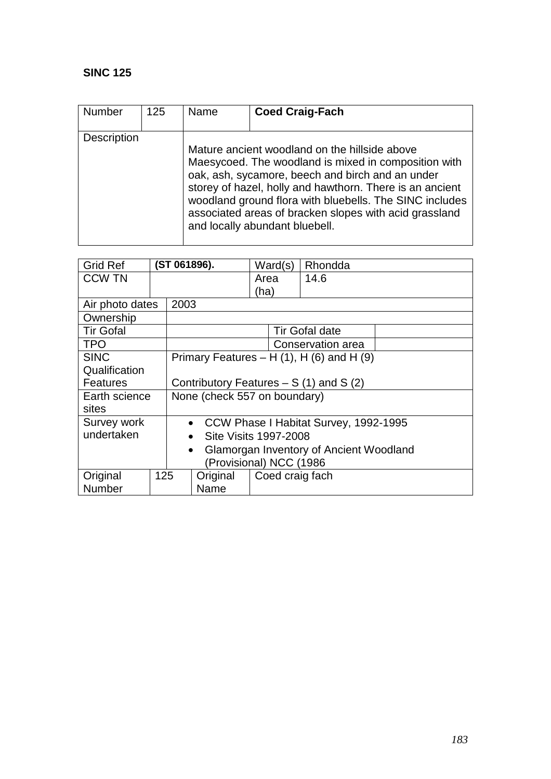| <b>Number</b> | 125 | Name | <b>Coed Craig-Fach</b>                                                                                                                                                                                                                                                                                                                                                       |
|---------------|-----|------|------------------------------------------------------------------------------------------------------------------------------------------------------------------------------------------------------------------------------------------------------------------------------------------------------------------------------------------------------------------------------|
| Description   |     |      | Mature ancient woodland on the hillside above<br>Maesycoed. The woodland is mixed in composition with<br>oak, ash, sycamore, beech and birch and an under<br>storey of hazel, holly and hawthorn. There is an ancient<br>woodland ground flora with bluebells. The SINC includes<br>associated areas of bracken slopes with acid grassland<br>and locally abundant bluebell. |

| <b>Grid Ref</b>  |     |                                                    | (ST 061896).                                         | Ward(s)         | Rhondda                                          |  |  |
|------------------|-----|----------------------------------------------------|------------------------------------------------------|-----------------|--------------------------------------------------|--|--|
| <b>CCW TN</b>    |     |                                                    |                                                      | Area            | 14.6                                             |  |  |
|                  |     |                                                    |                                                      | (ha)            |                                                  |  |  |
| Air photo dates  |     | 2003                                               |                                                      |                 |                                                  |  |  |
| Ownership        |     |                                                    |                                                      |                 |                                                  |  |  |
| <b>Tir Gofal</b> |     |                                                    |                                                      |                 | <b>Tir Gofal date</b>                            |  |  |
| <b>TPO</b>       |     |                                                    |                                                      |                 | Conservation area                                |  |  |
| <b>SINC</b>      |     |                                                    |                                                      |                 | Primary Features – H $(1)$ , H $(6)$ and H $(9)$ |  |  |
| Qualification    |     |                                                    |                                                      |                 |                                                  |  |  |
| <b>Features</b>  |     |                                                    | Contributory Features $- S(1)$ and S(2)              |                 |                                                  |  |  |
| Earth science    |     | None (check 557 on boundary)                       |                                                      |                 |                                                  |  |  |
| sites            |     |                                                    |                                                      |                 |                                                  |  |  |
| Survey work      |     | CCW Phase I Habitat Survey, 1992-1995<br>$\bullet$ |                                                      |                 |                                                  |  |  |
| undertaken       |     | <b>Site Visits 1997-2008</b><br>$\bullet$          |                                                      |                 |                                                  |  |  |
|                  |     |                                                    | Glamorgan Inventory of Ancient Woodland<br>$\bullet$ |                 |                                                  |  |  |
|                  |     | (Provisional) NCC (1986                            |                                                      |                 |                                                  |  |  |
| Original         | 125 |                                                    | Original                                             | Coed craig fach |                                                  |  |  |
| Number           |     |                                                    | Name                                                 |                 |                                                  |  |  |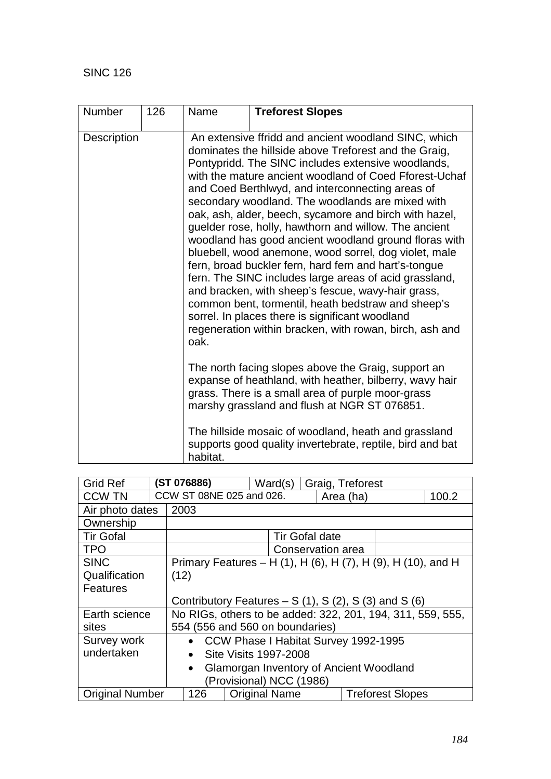| <b>Number</b>      | 126 | Name                                                                                                                                                                                                                | <b>Treforest Slopes</b>                                                                                                                                                                                                                                                                                                                                                                                                                                                                                                                                                                                                                                                                                                                                                                                                                                                                                                 |  |  |
|--------------------|-----|---------------------------------------------------------------------------------------------------------------------------------------------------------------------------------------------------------------------|-------------------------------------------------------------------------------------------------------------------------------------------------------------------------------------------------------------------------------------------------------------------------------------------------------------------------------------------------------------------------------------------------------------------------------------------------------------------------------------------------------------------------------------------------------------------------------------------------------------------------------------------------------------------------------------------------------------------------------------------------------------------------------------------------------------------------------------------------------------------------------------------------------------------------|--|--|
| <b>Description</b> |     | oak.                                                                                                                                                                                                                | An extensive ffridd and ancient woodland SINC, which<br>dominates the hillside above Treforest and the Graig,<br>Pontypridd. The SINC includes extensive woodlands,<br>with the mature ancient woodland of Coed Fforest-Uchaf<br>and Coed Berthlwyd, and interconnecting areas of<br>secondary woodland. The woodlands are mixed with<br>oak, ash, alder, beech, sycamore and birch with hazel,<br>guelder rose, holly, hawthorn and willow. The ancient<br>woodland has good ancient woodland ground floras with<br>bluebell, wood anemone, wood sorrel, dog violet, male<br>fern, broad buckler fern, hard fern and hart's-tongue<br>fern. The SINC includes large areas of acid grassland,<br>and bracken, with sheep's fescue, wavy-hair grass,<br>common bent, tormentil, heath bedstraw and sheep's<br>sorrel. In places there is significant woodland<br>regeneration within bracken, with rowan, birch, ash and |  |  |
|                    |     | The north facing slopes above the Graig, support an<br>expanse of heathland, with heather, bilberry, wavy hair<br>grass. There is a small area of purple moor-grass<br>marshy grassland and flush at NGR ST 076851. |                                                                                                                                                                                                                                                                                                                                                                                                                                                                                                                                                                                                                                                                                                                                                                                                                                                                                                                         |  |  |
|                    |     | The hillside mosaic of woodland, heath and grassland<br>supports good quality invertebrate, reptile, bird and bat<br>habitat.                                                                                       |                                                                                                                                                                                                                                                                                                                                                                                                                                                                                                                                                                                                                                                                                                                                                                                                                                                                                                                         |  |  |

| <b>Grid Ref</b>          |                                                              | (ST 076886)<br>Ward(s)<br>Graig, Treforest           |                      |                       |  |                                                            |       |
|--------------------------|--------------------------------------------------------------|------------------------------------------------------|----------------------|-----------------------|--|------------------------------------------------------------|-------|
| <b>CCW TN</b>            |                                                              | CCW ST 08NE 025 and 026.                             |                      |                       |  | Area (ha)                                                  | 100.2 |
| Air photo dates          |                                                              | 2003                                                 |                      |                       |  |                                                            |       |
| Ownership                |                                                              |                                                      |                      |                       |  |                                                            |       |
| <b>Tir Gofal</b>         |                                                              |                                                      |                      | <b>Tir Gofal date</b> |  |                                                            |       |
| <b>TPO</b>               |                                                              |                                                      |                      | Conservation area     |  |                                                            |       |
| <b>SINC</b>              | Primary Features - H (1), H (6), H (7), H (9), H (10), and H |                                                      |                      |                       |  |                                                            |       |
| Qualification            |                                                              | (12)                                                 |                      |                       |  |                                                            |       |
| Features                 |                                                              |                                                      |                      |                       |  |                                                            |       |
|                          |                                                              | Contributory Features $- S(1)$ , S(2), S(3) and S(6) |                      |                       |  |                                                            |       |
| Earth science            |                                                              |                                                      |                      |                       |  | No RIGs, others to be added: 322, 201, 194, 311, 559, 555, |       |
| sites                    |                                                              | 554 (556 and 560 on boundaries)                      |                      |                       |  |                                                            |       |
| Survey work              |                                                              |                                                      |                      |                       |  | • CCW Phase I Habitat Survey 1992-1995                     |       |
| undertaken               |                                                              | Site Visits 1997-2008<br>$\bullet$                   |                      |                       |  |                                                            |       |
|                          | Glamorgan Inventory of Ancient Woodland<br>$\bullet$         |                                                      |                      |                       |  |                                                            |       |
| (Provisional) NCC (1986) |                                                              |                                                      |                      |                       |  |                                                            |       |
| <b>Original Number</b>   |                                                              | 126                                                  | <b>Original Name</b> |                       |  | <b>Treforest Slopes</b>                                    |       |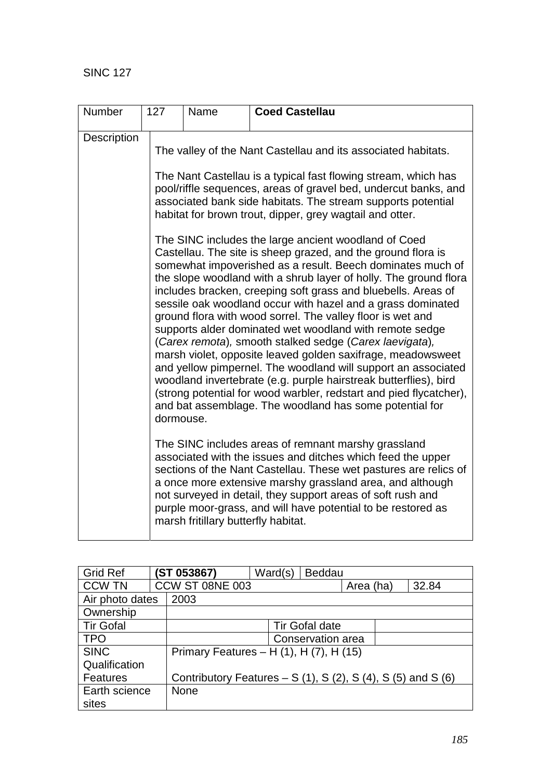| Number      | 127       | Name                                | <b>Coed Castellau</b>                                                                                                                                                                                                                                                                                                                                                                                                                                                                                                                                                                                                                                                                                                                                                                                                                                                                                                                                                                                                                                                                                                                                                                                                                             |
|-------------|-----------|-------------------------------------|---------------------------------------------------------------------------------------------------------------------------------------------------------------------------------------------------------------------------------------------------------------------------------------------------------------------------------------------------------------------------------------------------------------------------------------------------------------------------------------------------------------------------------------------------------------------------------------------------------------------------------------------------------------------------------------------------------------------------------------------------------------------------------------------------------------------------------------------------------------------------------------------------------------------------------------------------------------------------------------------------------------------------------------------------------------------------------------------------------------------------------------------------------------------------------------------------------------------------------------------------|
| Description | dormouse. |                                     | The valley of the Nant Castellau and its associated habitats.<br>The Nant Castellau is a typical fast flowing stream, which has<br>pool/riffle sequences, areas of gravel bed, undercut banks, and<br>associated bank side habitats. The stream supports potential<br>habitat for brown trout, dipper, grey wagtail and otter.<br>The SINC includes the large ancient woodland of Coed<br>Castellau. The site is sheep grazed, and the ground flora is<br>somewhat impoverished as a result. Beech dominates much of<br>the slope woodland with a shrub layer of holly. The ground flora<br>includes bracken, creeping soft grass and bluebells. Areas of<br>sessile oak woodland occur with hazel and a grass dominated<br>ground flora with wood sorrel. The valley floor is wet and<br>supports alder dominated wet woodland with remote sedge<br>(Carex remota), smooth stalked sedge (Carex laevigata),<br>marsh violet, opposite leaved golden saxifrage, meadowsweet<br>and yellow pimpernel. The woodland will support an associated<br>woodland invertebrate (e.g. purple hairstreak butterflies), bird<br>(strong potential for wood warbler, redstart and pied flycatcher),<br>and bat assemblage. The woodland has some potential for |
|             |           | marsh fritillary butterfly habitat. | The SINC includes areas of remnant marshy grassland<br>associated with the issues and ditches which feed the upper<br>sections of the Nant Castellau. These wet pastures are relics of<br>a once more extensive marshy grassland area, and although<br>not surveyed in detail, they support areas of soft rush and<br>purple moor-grass, and will have potential to be restored as                                                                                                                                                                                                                                                                                                                                                                                                                                                                                                                                                                                                                                                                                                                                                                                                                                                                |

| <b>Grid Ref</b>         |  | (ST 053867)                             | Ward(s) | <b>Beddau</b>                                                             |  |  |
|-------------------------|--|-----------------------------------------|---------|---------------------------------------------------------------------------|--|--|
| <b>CCW TN</b>           |  | CCW ST 08NE 003                         |         | 32.84<br>Area (ha)                                                        |  |  |
| 2003<br>Air photo dates |  |                                         |         |                                                                           |  |  |
| Ownership               |  |                                         |         |                                                                           |  |  |
| <b>Tir Gofal</b>        |  |                                         |         | <b>Tir Gofal date</b>                                                     |  |  |
| <b>TPO</b>              |  |                                         |         | Conservation area                                                         |  |  |
| <b>SINC</b>             |  | Primary Features - H (1), H (7), H (15) |         |                                                                           |  |  |
| Qualification           |  |                                         |         |                                                                           |  |  |
| <b>Features</b>         |  |                                         |         | Contributory Features – S $(1)$ , S $(2)$ , S $(4)$ , S $(5)$ and S $(6)$ |  |  |
| Earth science           |  | <b>None</b>                             |         |                                                                           |  |  |
| sites                   |  |                                         |         |                                                                           |  |  |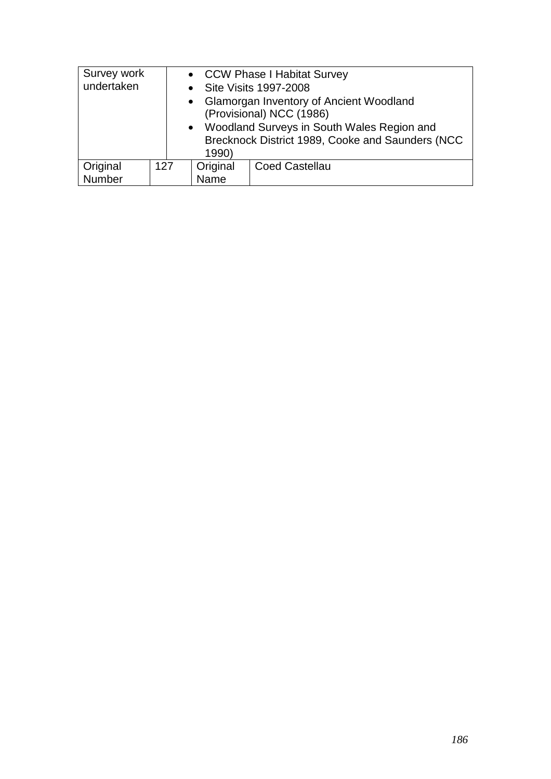| Survey work                                                 |     | • CCW Phase I Habitat Survey |                         |  |
|-------------------------------------------------------------|-----|------------------------------|-------------------------|--|
| undertaken                                                  |     |                              | • Site Visits 1997-2008 |  |
| <b>Glamorgan Inventory of Ancient Woodland</b><br>$\bullet$ |     |                              |                         |  |
| (Provisional) NCC (1986)                                    |     |                              |                         |  |
| • Woodland Surveys in South Wales Region and                |     |                              |                         |  |
| Brecknock District 1989, Cooke and Saunders (NCC            |     |                              |                         |  |
|                                                             |     | 1990)                        |                         |  |
| Original                                                    | 127 | Original                     | <b>Coed Castellau</b>   |  |
| Number                                                      |     | Name                         |                         |  |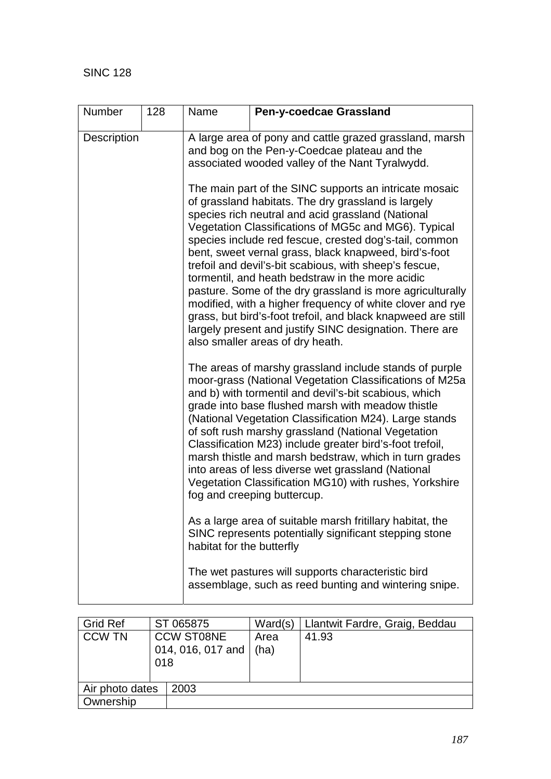| <b>Number</b>      | 128 | Name                                                                                                                                                                                                                                                                                                                                                                                                                                                                                                                                                                                                                                                                                                                                                 | Pen-y-coedcae Grassland                                                                                                                                                                                                                                                                                                                                                                                                                                                                                                                                                                                              |  |  |  |
|--------------------|-----|------------------------------------------------------------------------------------------------------------------------------------------------------------------------------------------------------------------------------------------------------------------------------------------------------------------------------------------------------------------------------------------------------------------------------------------------------------------------------------------------------------------------------------------------------------------------------------------------------------------------------------------------------------------------------------------------------------------------------------------------------|----------------------------------------------------------------------------------------------------------------------------------------------------------------------------------------------------------------------------------------------------------------------------------------------------------------------------------------------------------------------------------------------------------------------------------------------------------------------------------------------------------------------------------------------------------------------------------------------------------------------|--|--|--|
| <b>Description</b> |     | A large area of pony and cattle grazed grassland, marsh<br>and bog on the Pen-y-Coedcae plateau and the<br>associated wooded valley of the Nant Tyralwydd.                                                                                                                                                                                                                                                                                                                                                                                                                                                                                                                                                                                           |                                                                                                                                                                                                                                                                                                                                                                                                                                                                                                                                                                                                                      |  |  |  |
|                    |     | The main part of the SINC supports an intricate mosaic<br>of grassland habitats. The dry grassland is largely<br>species rich neutral and acid grassland (National<br>Vegetation Classifications of MG5c and MG6). Typical<br>species include red fescue, crested dog's-tail, common<br>bent, sweet vernal grass, black knapweed, bird's-foot<br>trefoil and devil's-bit scabious, with sheep's fescue,<br>tormentil, and heath bedstraw in the more acidic<br>pasture. Some of the dry grassland is more agriculturally<br>modified, with a higher frequency of white clover and rye<br>grass, but bird's-foot trefoil, and black knapweed are still<br>largely present and justify SINC designation. There are<br>also smaller areas of dry heath. |                                                                                                                                                                                                                                                                                                                                                                                                                                                                                                                                                                                                                      |  |  |  |
|                    |     |                                                                                                                                                                                                                                                                                                                                                                                                                                                                                                                                                                                                                                                                                                                                                      | The areas of marshy grassland include stands of purple<br>moor-grass (National Vegetation Classifications of M25a<br>and b) with tormentil and devil's-bit scabious, which<br>grade into base flushed marsh with meadow thistle<br>(National Vegetation Classification M24). Large stands<br>of soft rush marshy grassland (National Vegetation<br>Classification M23) include greater bird's-foot trefoil,<br>marsh thistle and marsh bedstraw, which in turn grades<br>into areas of less diverse wet grassland (National<br>Vegetation Classification MG10) with rushes, Yorkshire<br>fog and creeping buttercup. |  |  |  |
|                    |     | habitat for the butterfly                                                                                                                                                                                                                                                                                                                                                                                                                                                                                                                                                                                                                                                                                                                            | As a large area of suitable marsh fritillary habitat, the<br>SINC represents potentially significant stepping stone                                                                                                                                                                                                                                                                                                                                                                                                                                                                                                  |  |  |  |
|                    |     |                                                                                                                                                                                                                                                                                                                                                                                                                                                                                                                                                                                                                                                                                                                                                      | The wet pastures will supports characteristic bird<br>assemblage, such as reed bunting and wintering snipe.                                                                                                                                                                                                                                                                                                                                                                                                                                                                                                          |  |  |  |

| <b>Grid Ref</b> |     | ST 065875         | Ward(s) | Llantwit Fardre, Graig, Beddau |
|-----------------|-----|-------------------|---------|--------------------------------|
| <b>CCW TN</b>   |     | <b>CCW ST08NE</b> | Area    | 41.93                          |
|                 |     | 014, 016, 017 and | (ha)    |                                |
|                 | 018 |                   |         |                                |
|                 |     |                   |         |                                |
| Air photo dates |     | 2003              |         |                                |
| Ownership       |     |                   |         |                                |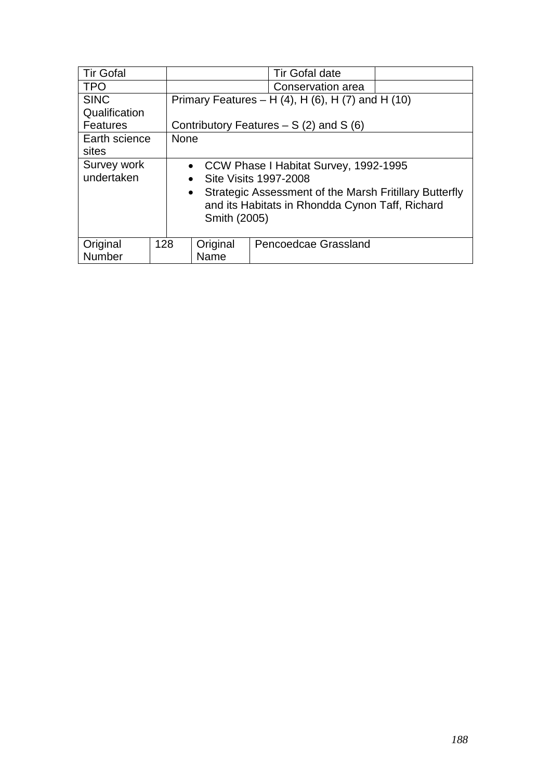| <b>Tir Gofal</b> |     | <b>Tir Gofal date</b>                                                                                                                  |                   |                                                             |  |  |  |  |
|------------------|-----|----------------------------------------------------------------------------------------------------------------------------------------|-------------------|-------------------------------------------------------------|--|--|--|--|
| <b>TPO</b>       |     |                                                                                                                                        | Conservation area |                                                             |  |  |  |  |
| <b>SINC</b>      |     |                                                                                                                                        |                   | Primary Features – H $(4)$ , H $(6)$ , H $(7)$ and H $(10)$ |  |  |  |  |
| Qualification    |     |                                                                                                                                        |                   |                                                             |  |  |  |  |
| <b>Features</b>  |     |                                                                                                                                        |                   | Contributory Features $- S(2)$ and S(6)                     |  |  |  |  |
| Earth science    |     | <b>None</b>                                                                                                                            |                   |                                                             |  |  |  |  |
| sites            |     |                                                                                                                                        |                   |                                                             |  |  |  |  |
| Survey work      |     |                                                                                                                                        |                   | • CCW Phase I Habitat Survey, 1992-1995                     |  |  |  |  |
| undertaken       |     | $\bullet$                                                                                                                              |                   | Site Visits 1997-2008                                       |  |  |  |  |
|                  |     | Strategic Assessment of the Marsh Fritillary Butterfly<br>$\bullet$<br>and its Habitats in Rhondda Cynon Taff, Richard<br>Smith (2005) |                   |                                                             |  |  |  |  |
| Original         | 128 | Pencoedcae Grassland                                                                                                                   |                   |                                                             |  |  |  |  |
| Number           |     |                                                                                                                                        | Original<br>Name  |                                                             |  |  |  |  |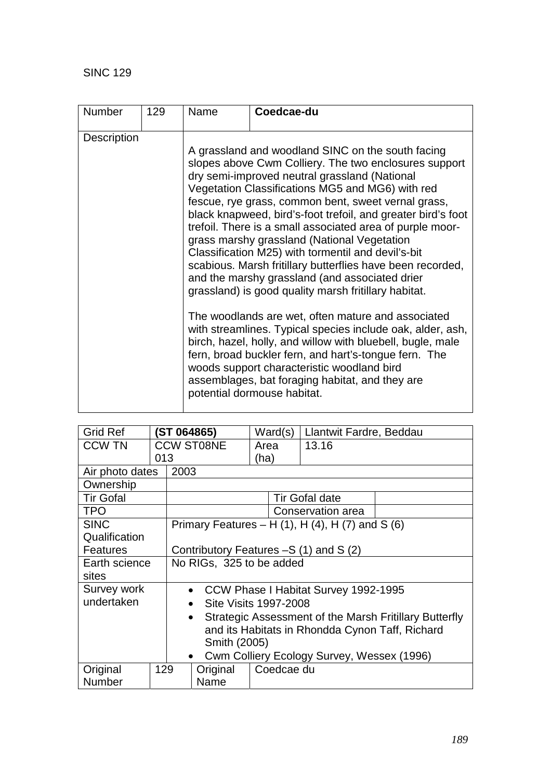| <b>Number</b>      | 129 | Name | Coedcae-du                                                                                                                                                                                                                                                                                                                                                                                                                                                                                                                                                                                                                                                                                                                                                                                                                                                                                                                                                                                                                                                  |
|--------------------|-----|------|-------------------------------------------------------------------------------------------------------------------------------------------------------------------------------------------------------------------------------------------------------------------------------------------------------------------------------------------------------------------------------------------------------------------------------------------------------------------------------------------------------------------------------------------------------------------------------------------------------------------------------------------------------------------------------------------------------------------------------------------------------------------------------------------------------------------------------------------------------------------------------------------------------------------------------------------------------------------------------------------------------------------------------------------------------------|
| <b>Description</b> |     |      | A grassland and woodland SINC on the south facing<br>slopes above Cwm Colliery. The two enclosures support<br>dry semi-improved neutral grassland (National<br>Vegetation Classifications MG5 and MG6) with red<br>fescue, rye grass, common bent, sweet vernal grass,<br>black knapweed, bird's-foot trefoil, and greater bird's foot<br>trefoil. There is a small associated area of purple moor-<br>grass marshy grassland (National Vegetation<br>Classification M25) with tormentil and devil's-bit<br>scabious. Marsh fritillary butterflies have been recorded,<br>and the marshy grassland (and associated drier<br>grassland) is good quality marsh fritillary habitat.<br>The woodlands are wet, often mature and associated<br>with streamlines. Typical species include oak, alder, ash,<br>birch, hazel, holly, and willow with bluebell, bugle, male<br>fern, broad buckler fern, and hart's-tongue fern. The<br>woods support characteristic woodland bird<br>assemblages, bat foraging habitat, and they are<br>potential dormouse habitat. |

| <b>Grid Ref</b>  |     | ST 064865)        |                              |      | Ward(s)    | Llantwit Fardre, Beddau                                    |                                                        |  |
|------------------|-----|-------------------|------------------------------|------|------------|------------------------------------------------------------|--------------------------------------------------------|--|
| <b>CCW TN</b>    |     | <b>CCW ST08NE</b> |                              | Area |            | 13.16                                                      |                                                        |  |
|                  | 013 |                   |                              | (ha) |            |                                                            |                                                        |  |
| Air photo dates  |     | 2003              |                              |      |            |                                                            |                                                        |  |
| Ownership        |     |                   |                              |      |            |                                                            |                                                        |  |
| <b>Tir Gofal</b> |     |                   |                              |      |            | Tir Gofal date                                             |                                                        |  |
| <b>TPO</b>       |     |                   |                              |      |            | Conservation area                                          |                                                        |  |
| <b>SINC</b>      |     |                   |                              |      |            | Primary Features – H $(1)$ , H $(4)$ , H $(7)$ and S $(6)$ |                                                        |  |
| Qualification    |     |                   |                              |      |            |                                                            |                                                        |  |
| <b>Features</b>  |     |                   |                              |      |            | Contributory Features -S (1) and S (2)                     |                                                        |  |
| Earth science    |     |                   | No RIGs, 325 to be added     |      |            |                                                            |                                                        |  |
| sites            |     |                   |                              |      |            |                                                            |                                                        |  |
| Survey work      |     |                   |                              |      |            | • CCW Phase I Habitat Survey 1992-1995                     |                                                        |  |
| undertaken       |     |                   | <b>Site Visits 1997-2008</b> |      |            |                                                            |                                                        |  |
| $\bullet$        |     |                   |                              |      |            |                                                            | Strategic Assessment of the Marsh Fritillary Butterfly |  |
|                  |     |                   |                              |      |            | and its Habitats in Rhondda Cynon Taff, Richard            |                                                        |  |
|                  |     |                   | Smith (2005)                 |      |            |                                                            |                                                        |  |
|                  |     |                   | $\bullet$                    |      |            | Cwm Colliery Ecology Survey, Wessex (1996)                 |                                                        |  |
| Original         | 129 |                   | Original                     |      | Coedcae du |                                                            |                                                        |  |
| <b>Number</b>    |     |                   | Name                         |      |            |                                                            |                                                        |  |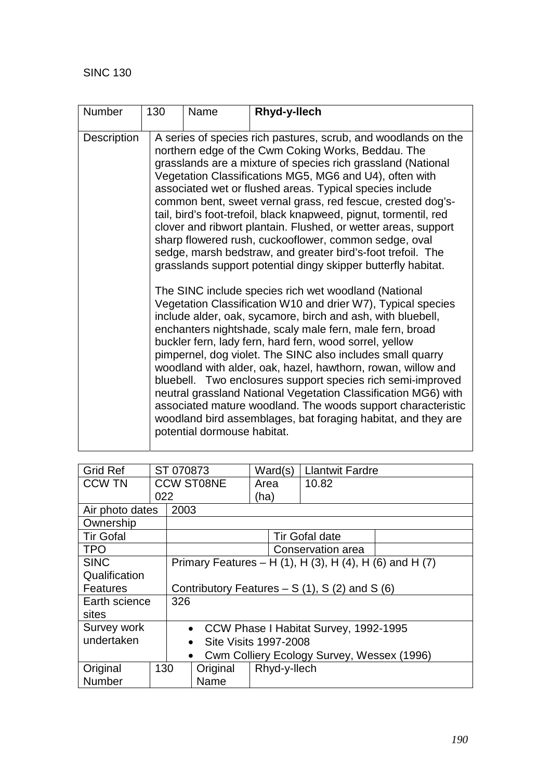| <b>Number</b> | 130 | Name<br>Rhyd-y-llech        |                                                                                                                                                                                                                                                                                                                                                                                                                                                                                                                                                                                                                                                                                                            |  |  |  |  |  |
|---------------|-----|-----------------------------|------------------------------------------------------------------------------------------------------------------------------------------------------------------------------------------------------------------------------------------------------------------------------------------------------------------------------------------------------------------------------------------------------------------------------------------------------------------------------------------------------------------------------------------------------------------------------------------------------------------------------------------------------------------------------------------------------------|--|--|--|--|--|
| Description   |     |                             | A series of species rich pastures, scrub, and woodlands on the<br>northern edge of the Cwm Coking Works, Beddau. The<br>grasslands are a mixture of species rich grassland (National<br>Vegetation Classifications MG5, MG6 and U4), often with<br>associated wet or flushed areas. Typical species include<br>common bent, sweet vernal grass, red fescue, crested dog's-<br>tail, bird's foot-trefoil, black knapweed, pignut, tormentil, red<br>clover and ribwort plantain. Flushed, or wetter areas, support<br>sharp flowered rush, cuckooflower, common sedge, oval<br>sedge, marsh bedstraw, and greater bird's-foot trefoil. The<br>grasslands support potential dingy skipper butterfly habitat. |  |  |  |  |  |
|               |     | potential dormouse habitat. | The SINC include species rich wet woodland (National<br>Vegetation Classification W10 and drier W7), Typical species<br>include alder, oak, sycamore, birch and ash, with bluebell,<br>enchanters nightshade, scaly male fern, male fern, broad<br>buckler fern, lady fern, hard fern, wood sorrel, yellow<br>pimpernel, dog violet. The SINC also includes small quarry<br>woodland with alder, oak, hazel, hawthorn, rowan, willow and<br>bluebell. Two enclosures support species rich semi-improved<br>neutral grassland National Vegetation Classification MG6) with<br>associated mature woodland. The woods support characteristic<br>woodland bird assemblages, bat foraging habitat, and they are |  |  |  |  |  |

| <b>Grid Ref</b>         |     | ST 070873 |                                                |      | Ward(s)      | <b>Llantwit Fardre</b>                                  |  |
|-------------------------|-----|-----------|------------------------------------------------|------|--------------|---------------------------------------------------------|--|
| <b>CCW TN</b>           |     |           | <b>CCW ST08NE</b>                              |      | Area         | 10.82                                                   |  |
|                         | 022 |           |                                                | (ha) |              |                                                         |  |
| Air photo dates         |     | 2003      |                                                |      |              |                                                         |  |
| Ownership               |     |           |                                                |      |              |                                                         |  |
| <b>Tir Gofal</b>        |     |           |                                                |      |              | <b>Tir Gofal date</b>                                   |  |
| <b>TPO</b>              |     |           |                                                |      |              | Conservation area                                       |  |
| <b>SINC</b>             |     |           |                                                |      |              | Primary Features – H (1), H (3), H (4), H (6) and H (7) |  |
| Qualification           |     |           |                                                |      |              |                                                         |  |
| <b>Features</b>         |     |           | Contributory Features $- S(1)$ , S(2) and S(6) |      |              |                                                         |  |
| Earth science           |     | 326       |                                                |      |              |                                                         |  |
| sites                   |     |           |                                                |      |              |                                                         |  |
| Survey work             |     |           |                                                |      |              | • CCW Phase I Habitat Survey, 1992-1995                 |  |
| undertaken<br>$\bullet$ |     |           | Site Visits 1997-2008                          |      |              |                                                         |  |
| $\bullet$               |     |           |                                                |      |              | Cwm Colliery Ecology Survey, Wessex (1996)              |  |
| Original                | 130 |           | Original                                       |      | Rhyd-y-llech |                                                         |  |
| <b>Number</b>           |     |           | Name                                           |      |              |                                                         |  |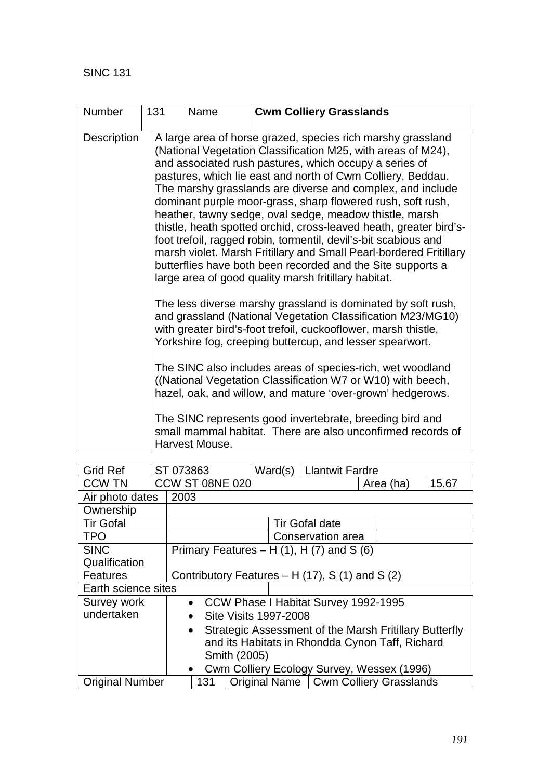| <b>Number</b> | 131                                                                                                                                                                                                                                                                                                                                                                                                                                                                                                                                                                                               | Name                                                                                                                                                                                                                                                                                                                                                                                                                                                                                                                                                                                                                                                                                                                                                                               | <b>Cwm Colliery Grasslands</b> |  |  |  |
|---------------|---------------------------------------------------------------------------------------------------------------------------------------------------------------------------------------------------------------------------------------------------------------------------------------------------------------------------------------------------------------------------------------------------------------------------------------------------------------------------------------------------------------------------------------------------------------------------------------------------|------------------------------------------------------------------------------------------------------------------------------------------------------------------------------------------------------------------------------------------------------------------------------------------------------------------------------------------------------------------------------------------------------------------------------------------------------------------------------------------------------------------------------------------------------------------------------------------------------------------------------------------------------------------------------------------------------------------------------------------------------------------------------------|--------------------------------|--|--|--|
| Description   |                                                                                                                                                                                                                                                                                                                                                                                                                                                                                                                                                                                                   | A large area of horse grazed, species rich marshy grassland<br>(National Vegetation Classification M25, with areas of M24),<br>and associated rush pastures, which occupy a series of<br>pastures, which lie east and north of Cwm Colliery, Beddau.<br>The marshy grasslands are diverse and complex, and include<br>dominant purple moor-grass, sharp flowered rush, soft rush,<br>heather, tawny sedge, oval sedge, meadow thistle, marsh<br>thistle, heath spotted orchid, cross-leaved heath, greater bird's-<br>foot trefoil, ragged robin, tormentil, devil's-bit scabious and<br>marsh violet. Marsh Fritillary and Small Pearl-bordered Fritillary<br>butterflies have both been recorded and the Site supports a<br>large area of good quality marsh fritillary habitat. |                                |  |  |  |
|               | The less diverse marshy grassland is dominated by soft rush,<br>and grassland (National Vegetation Classification M23/MG10)<br>with greater bird's-foot trefoil, cuckooflower, marsh thistle,<br>Yorkshire fog, creeping buttercup, and lesser spearwort.<br>The SINC also includes areas of species-rich, wet woodland<br>((National Vegetation Classification W7 or W10) with beech,<br>hazel, oak, and willow, and mature 'over-grown' hedgerows.<br>The SINC represents good invertebrate, breeding bird and<br>small mammal habitat. There are also unconfirmed records of<br>Harvest Mouse. |                                                                                                                                                                                                                                                                                                                                                                                                                                                                                                                                                                                                                                                                                                                                                                                    |                                |  |  |  |
|               |                                                                                                                                                                                                                                                                                                                                                                                                                                                                                                                                                                                                   |                                                                                                                                                                                                                                                                                                                                                                                                                                                                                                                                                                                                                                                                                                                                                                                    |                                |  |  |  |

| <b>Grid Ref</b>        | ST 073863                                               |     |  |  | Ward(s)                      |  | <b>Llantwit Fardre</b>                                 |           |  |       |
|------------------------|---------------------------------------------------------|-----|--|--|------------------------------|--|--------------------------------------------------------|-----------|--|-------|
| <b>CCW TN</b>          | <b>CCW ST 08NE 020</b>                                  |     |  |  |                              |  |                                                        | Area (ha) |  | 15.67 |
| Air photo dates        | 2003                                                    |     |  |  |                              |  |                                                        |           |  |       |
| Ownership              |                                                         |     |  |  |                              |  |                                                        |           |  |       |
| <b>Tir Gofal</b>       |                                                         |     |  |  |                              |  | <b>Tir Gofal date</b>                                  |           |  |       |
| <b>TPO</b>             |                                                         |     |  |  |                              |  | Conservation area                                      |           |  |       |
| <b>SINC</b>            |                                                         |     |  |  |                              |  | Primary Features – H $(1)$ , H $(7)$ and S $(6)$       |           |  |       |
| Qualification          |                                                         |     |  |  |                              |  |                                                        |           |  |       |
| <b>Features</b>        |                                                         |     |  |  |                              |  | Contributory Features - H (17), S (1) and S (2)        |           |  |       |
| Earth science sites    |                                                         |     |  |  |                              |  |                                                        |           |  |       |
| Survey work            | $\bullet$                                               |     |  |  |                              |  | CCW Phase I Habitat Survey 1992-1995                   |           |  |       |
| undertaken             | $\bullet$                                               |     |  |  | <b>Site Visits 1997-2008</b> |  |                                                        |           |  |       |
|                        | $\bullet$                                               |     |  |  |                              |  | Strategic Assessment of the Marsh Fritillary Butterfly |           |  |       |
|                        | and its Habitats in Rhondda Cynon Taff, Richard         |     |  |  |                              |  |                                                        |           |  |       |
|                        | Smith (2005)                                            |     |  |  |                              |  |                                                        |           |  |       |
|                        | Cwm Colliery Ecology Survey, Wessex (1996)<br>$\bullet$ |     |  |  |                              |  |                                                        |           |  |       |
| <b>Original Number</b> |                                                         | 131 |  |  |                              |  | Original Name   Cwm Colliery Grasslands                |           |  |       |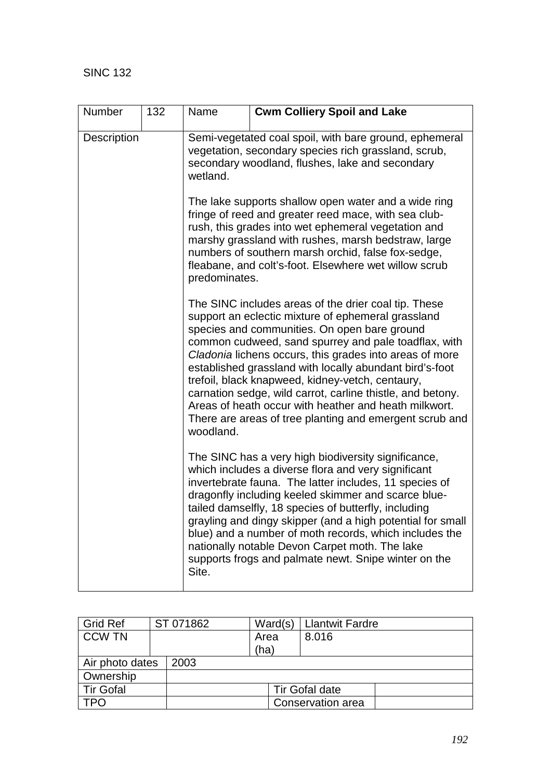| Number      | 132 | Name                                                                                                                                                                          | <b>Cwm Colliery Spoil and Lake</b>                                                                                                                                                                                                                                                                                                                                                                                                                                                                                                                                             |  |  |  |  |
|-------------|-----|-------------------------------------------------------------------------------------------------------------------------------------------------------------------------------|--------------------------------------------------------------------------------------------------------------------------------------------------------------------------------------------------------------------------------------------------------------------------------------------------------------------------------------------------------------------------------------------------------------------------------------------------------------------------------------------------------------------------------------------------------------------------------|--|--|--|--|
| Description |     | Semi-vegetated coal spoil, with bare ground, ephemeral<br>vegetation, secondary species rich grassland, scrub,<br>secondary woodland, flushes, lake and secondary<br>wetland. |                                                                                                                                                                                                                                                                                                                                                                                                                                                                                                                                                                                |  |  |  |  |
|             |     | predominates.                                                                                                                                                                 | The lake supports shallow open water and a wide ring<br>fringe of reed and greater reed mace, with sea club-<br>rush, this grades into wet ephemeral vegetation and<br>marshy grassland with rushes, marsh bedstraw, large<br>numbers of southern marsh orchid, false fox-sedge,<br>fleabane, and colt's-foot. Elsewhere wet willow scrub                                                                                                                                                                                                                                      |  |  |  |  |
|             |     | woodland.                                                                                                                                                                     | The SINC includes areas of the drier coal tip. These<br>support an eclectic mixture of ephemeral grassland<br>species and communities. On open bare ground<br>common cudweed, sand spurrey and pale toadflax, with<br>Cladonia lichens occurs, this grades into areas of more<br>established grassland with locally abundant bird's-foot<br>trefoil, black knapweed, kidney-vetch, centaury,<br>carnation sedge, wild carrot, carline thistle, and betony.<br>Areas of heath occur with heather and heath milkwort.<br>There are areas of tree planting and emergent scrub and |  |  |  |  |
|             |     | Site.                                                                                                                                                                         | The SINC has a very high biodiversity significance,<br>which includes a diverse flora and very significant<br>invertebrate fauna. The latter includes, 11 species of<br>dragonfly including keeled skimmer and scarce blue-<br>tailed damselfly, 18 species of butterfly, including<br>grayling and dingy skipper (and a high potential for small<br>blue) and a number of moth records, which includes the<br>nationally notable Devon Carpet moth. The lake<br>supports frogs and palmate newt. Snipe winter on the                                                          |  |  |  |  |

| <b>Grid Ref</b>  | ST 071862             | Ward(s) | <b>Llantwit Fardre</b> |  |  |
|------------------|-----------------------|---------|------------------------|--|--|
| <b>CCW TN</b>    |                       | Area    | 8.016                  |  |  |
|                  |                       | (ha)    |                        |  |  |
| Air photo dates  | 2003                  |         |                        |  |  |
| Ownership        |                       |         |                        |  |  |
| <b>Tir Gofal</b> | <b>Tir Gofal date</b> |         |                        |  |  |
|                  | Conservation area     |         |                        |  |  |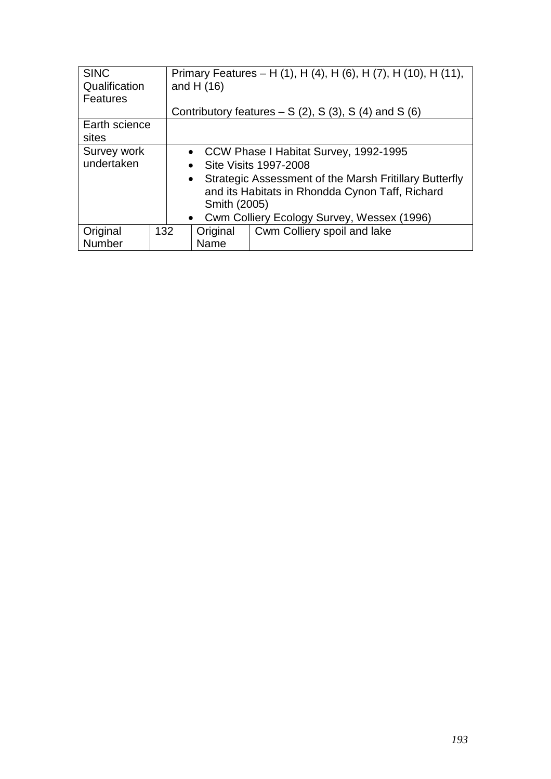| <b>SINC</b><br>Qualification<br><b>Features</b> |                                              | Primary Features – H (1), H (4), H (6), H (7), H (10), H (11),<br>and H $(16)$                                              |                                                      |  |  |  |
|-------------------------------------------------|----------------------------------------------|-----------------------------------------------------------------------------------------------------------------------------|------------------------------------------------------|--|--|--|
|                                                 |                                              |                                                                                                                             | Contributory features $- S(2)$ , S(3), S(4) and S(6) |  |  |  |
| Earth science<br>sites                          |                                              |                                                                                                                             |                                                      |  |  |  |
| Survey work                                     |                                              | • CCW Phase I Habitat Survey, 1992-1995                                                                                     |                                                      |  |  |  |
| undertaken                                      |                                              | • Site Visits 1997-2008                                                                                                     |                                                      |  |  |  |
|                                                 |                                              | • Strategic Assessment of the Marsh Fritillary Butterfly<br>and its Habitats in Rhondda Cynon Taff, Richard<br>Smith (2005) |                                                      |  |  |  |
|                                                 | • Cwm Colliery Ecology Survey, Wessex (1996) |                                                                                                                             |                                                      |  |  |  |
| Original                                        | 132                                          | Original                                                                                                                    | Cwm Colliery spoil and lake                          |  |  |  |
| Number                                          |                                              | Name                                                                                                                        |                                                      |  |  |  |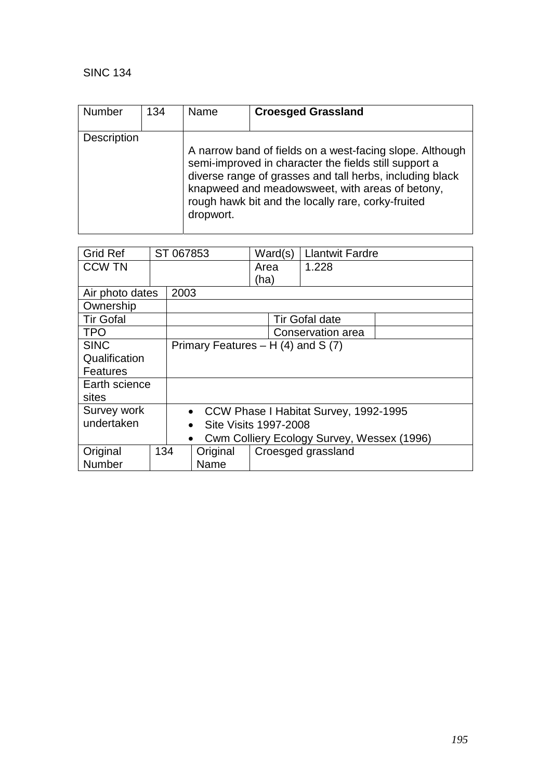| <b>Number</b> | 134 | Name      | <b>Croesged Grassland</b>                                                                                                                                                                                                                                                              |
|---------------|-----|-----------|----------------------------------------------------------------------------------------------------------------------------------------------------------------------------------------------------------------------------------------------------------------------------------------|
| Description   |     | dropwort. | A narrow band of fields on a west-facing slope. Although<br>semi-improved in character the fields still support a<br>diverse range of grasses and tall herbs, including black<br>knapweed and meadowsweet, with areas of betony,<br>rough hawk bit and the locally rare, corky-fruited |

| <b>Grid Ref</b>  |     | ST 067853                                          |                                                         | Ward(s)                             | <b>Llantwit Fardre</b> |  |  |
|------------------|-----|----------------------------------------------------|---------------------------------------------------------|-------------------------------------|------------------------|--|--|
| <b>CCW TN</b>    |     |                                                    |                                                         | Area                                | 1.228                  |  |  |
|                  |     |                                                    |                                                         | (ha)                                |                        |  |  |
|                  |     |                                                    |                                                         |                                     |                        |  |  |
| Air photo dates  |     | 2003                                               |                                                         |                                     |                        |  |  |
| Ownership        |     |                                                    |                                                         |                                     |                        |  |  |
| <b>Tir Gofal</b> |     |                                                    |                                                         |                                     | <b>Tir Gofal date</b>  |  |  |
| <b>TPO</b>       |     |                                                    |                                                         |                                     | Conservation area      |  |  |
| <b>SINC</b>      |     |                                                    |                                                         | Primary Features $- H(4)$ and S (7) |                        |  |  |
| Qualification    |     |                                                    |                                                         |                                     |                        |  |  |
| <b>Features</b>  |     |                                                    |                                                         |                                     |                        |  |  |
| Earth science    |     |                                                    |                                                         |                                     |                        |  |  |
| sites            |     |                                                    |                                                         |                                     |                        |  |  |
| Survey work      |     | CCW Phase I Habitat Survey, 1992-1995<br>$\bullet$ |                                                         |                                     |                        |  |  |
| undertaken       |     | Site Visits 1997-2008<br>$\bullet$                 |                                                         |                                     |                        |  |  |
|                  |     |                                                    | Cwm Colliery Ecology Survey, Wessex (1996)<br>$\bullet$ |                                     |                        |  |  |
| Original         | 134 |                                                    | Original                                                |                                     | Croesged grassland     |  |  |
| Number           |     |                                                    | Name                                                    |                                     |                        |  |  |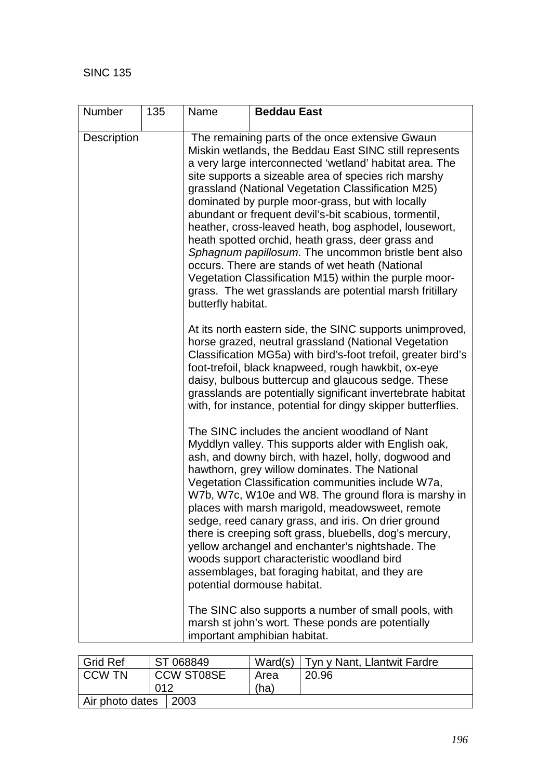| <b>Number</b>      | 135 | Name               | <b>Beddau East</b>                                                                                                                                                                                                                                                                                                                                                                                                                                                                                                                                                                                                                                                                                                                            |
|--------------------|-----|--------------------|-----------------------------------------------------------------------------------------------------------------------------------------------------------------------------------------------------------------------------------------------------------------------------------------------------------------------------------------------------------------------------------------------------------------------------------------------------------------------------------------------------------------------------------------------------------------------------------------------------------------------------------------------------------------------------------------------------------------------------------------------|
| <b>Description</b> |     | butterfly habitat. | The remaining parts of the once extensive Gwaun<br>Miskin wetlands, the Beddau East SINC still represents<br>a very large interconnected 'wetland' habitat area. The<br>site supports a sizeable area of species rich marshy<br>grassland (National Vegetation Classification M25)<br>dominated by purple moor-grass, but with locally<br>abundant or frequent devil's-bit scabious, tormentil,<br>heather, cross-leaved heath, bog asphodel, lousewort,<br>heath spotted orchid, heath grass, deer grass and<br>Sphagnum papillosum. The uncommon bristle bent also<br>occurs. There are stands of wet heath (National<br>Vegetation Classification M15) within the purple moor-<br>grass. The wet grasslands are potential marsh fritillary |
|                    |     |                    | At its north eastern side, the SINC supports unimproved,<br>horse grazed, neutral grassland (National Vegetation<br>Classification MG5a) with bird's-foot trefoil, greater bird's<br>foot-trefoil, black knapweed, rough hawkbit, ox-eye<br>daisy, bulbous buttercup and glaucous sedge. These<br>grasslands are potentially significant invertebrate habitat<br>with, for instance, potential for dingy skipper butterflies.                                                                                                                                                                                                                                                                                                                 |
|                    |     |                    | The SINC includes the ancient woodland of Nant<br>Myddlyn valley. This supports alder with English oak,<br>ash, and downy birch, with hazel, holly, dogwood and<br>hawthorn, grey willow dominates. The National<br>Vegetation Classification communities include W7a,<br>W7b, W7c, W10e and W8. The ground flora is marshy in<br>places with marsh marigold, meadowsweet, remote<br>sedge, reed canary grass, and iris. On drier ground<br>there is creeping soft grass, bluebells, dog's mercury,<br>yellow archangel and enchanter's nightshade. The<br>woods support characteristic woodland bird<br>assemblages, bat foraging habitat, and they are<br>potential dormouse habitat.                                                       |
|                    |     |                    | The SINC also supports a number of small pools, with<br>marsh st john's wort. These ponds are potentially<br>important amphibian habitat.                                                                                                                                                                                                                                                                                                                                                                                                                                                                                                                                                                                                     |

| <b>Grid Ref</b> |     | ST 068849         | Ward(s) | Tyn y Nant, Llantwit Fardre |
|-----------------|-----|-------------------|---------|-----------------------------|
| I CCW TN        |     | <b>CCW ST08SE</b> | Area    | 20.96                       |
|                 | 012 |                   | (ha)    |                             |
| Air photo dates |     | $\mid$ 2003       |         |                             |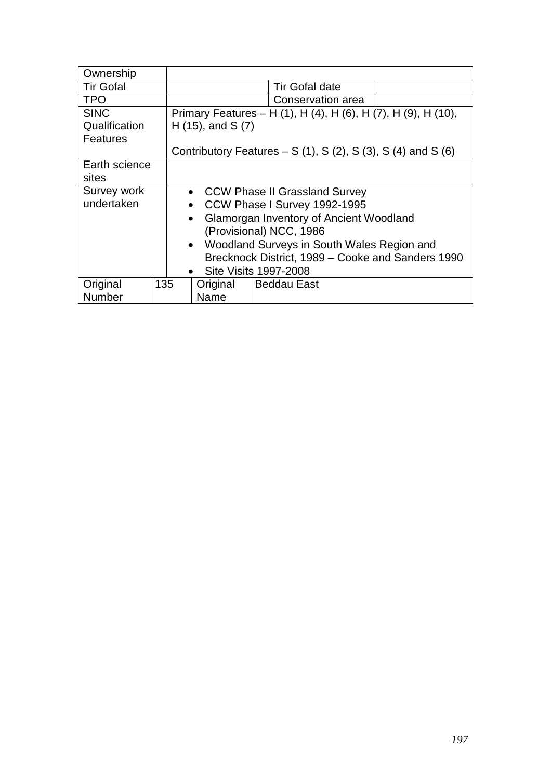| Ownership        |                                                   |                                                                           |                                                               |  |  |
|------------------|---------------------------------------------------|---------------------------------------------------------------------------|---------------------------------------------------------------|--|--|
| <b>Tir Gofal</b> |                                                   |                                                                           | <b>Tir Gofal date</b>                                         |  |  |
| <b>TPO</b>       |                                                   | Conservation area                                                         |                                                               |  |  |
| <b>SINC</b>      |                                                   |                                                                           | Primary Features – H (1), H (4), H (6), H (7), H (9), H (10), |  |  |
| Qualification    |                                                   | $H(15)$ , and S $(7)$                                                     |                                                               |  |  |
| Features         |                                                   |                                                                           |                                                               |  |  |
|                  |                                                   | Contributory Features – S $(1)$ , S $(2)$ , S $(3)$ , S $(4)$ and S $(6)$ |                                                               |  |  |
| Earth science    |                                                   |                                                                           |                                                               |  |  |
| sites            |                                                   |                                                                           |                                                               |  |  |
| Survey work      |                                                   | • CCW Phase II Grassland Survey                                           |                                                               |  |  |
| undertaken       |                                                   | CCW Phase I Survey 1992-1995<br>$\bullet$                                 |                                                               |  |  |
|                  |                                                   | $\bullet$                                                                 | Glamorgan Inventory of Ancient Woodland                       |  |  |
|                  |                                                   |                                                                           | (Provisional) NCC, 1986                                       |  |  |
|                  |                                                   | $\bullet$                                                                 | Woodland Surveys in South Wales Region and                    |  |  |
|                  | Brecknock District, 1989 - Cooke and Sanders 1990 |                                                                           |                                                               |  |  |
|                  | <b>Site Visits 1997-2008</b><br>$\bullet$         |                                                                           |                                                               |  |  |
| Original         | 135                                               | Original                                                                  | <b>Beddau East</b>                                            |  |  |
| <b>Number</b>    |                                                   | Name                                                                      |                                                               |  |  |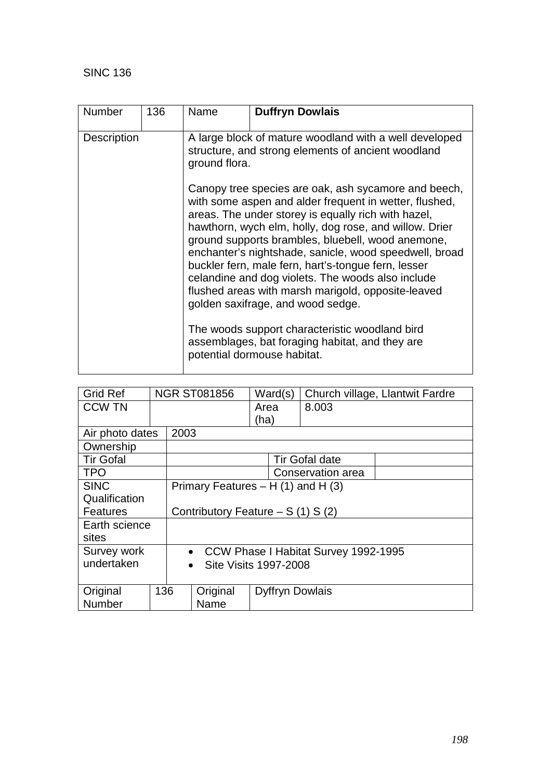| <b>Number</b>      | 136 | Name          | <b>Duffryn Dowlais</b>                                                                                                                                                                                                                                                                                                                                                                                                                                                                                                                                                                                                                                                                    |  |  |  |  |
|--------------------|-----|---------------|-------------------------------------------------------------------------------------------------------------------------------------------------------------------------------------------------------------------------------------------------------------------------------------------------------------------------------------------------------------------------------------------------------------------------------------------------------------------------------------------------------------------------------------------------------------------------------------------------------------------------------------------------------------------------------------------|--|--|--|--|
| <b>Description</b> |     | ground flora. | A large block of mature woodland with a well developed<br>structure, and strong elements of ancient woodland                                                                                                                                                                                                                                                                                                                                                                                                                                                                                                                                                                              |  |  |  |  |
|                    |     |               | Canopy tree species are oak, ash sycamore and beech,<br>with some aspen and alder frequent in wetter, flushed,<br>areas. The under storey is equally rich with hazel,<br>hawthorn, wych elm, holly, dog rose, and willow. Drier<br>ground supports brambles, bluebell, wood anemone,<br>enchanter's nightshade, sanicle, wood speedwell, broad<br>buckler fern, male fern, hart's-tongue fern, lesser<br>celandine and dog violets. The woods also include<br>flushed areas with marsh marigold, opposite-leaved<br>golden saxifrage, and wood sedge.<br>The woods support characteristic woodland bird<br>assemblages, bat foraging habitat, and they are<br>potential dormouse habitat. |  |  |  |  |

| <b>Grid Ref</b>  |                                    |      | <b>NGR ST081856</b>                       |                        | Ward(s) | Church village, Llantwit Fardre |  |
|------------------|------------------------------------|------|-------------------------------------------|------------------------|---------|---------------------------------|--|
| <b>CCW TN</b>    |                                    |      |                                           | Area                   |         | 8.003                           |  |
|                  |                                    |      |                                           | (ha)                   |         |                                 |  |
| Air photo dates  |                                    | 2003 |                                           |                        |         |                                 |  |
| Ownership        |                                    |      |                                           |                        |         |                                 |  |
| <b>Tir Gofal</b> |                                    |      |                                           |                        |         | <b>Tir Gofal date</b>           |  |
| <b>TPO</b>       |                                    |      |                                           |                        |         | Conservation area               |  |
| <b>SINC</b>      |                                    |      | Primary Features $- H(1)$ and H $(3)$     |                        |         |                                 |  |
| Qualification    |                                    |      |                                           |                        |         |                                 |  |
| <b>Features</b>  | Contributory Feature $- S(1) S(2)$ |      |                                           |                        |         |                                 |  |
| Earth science    |                                    |      |                                           |                        |         |                                 |  |
| sites            |                                    |      |                                           |                        |         |                                 |  |
| Survey work      |                                    |      | • CCW Phase I Habitat Survey 1992-1995    |                        |         |                                 |  |
| undertaken       |                                    |      | <b>Site Visits 1997-2008</b><br>$\bullet$ |                        |         |                                 |  |
|                  |                                    |      |                                           |                        |         |                                 |  |
| Original         | 136                                |      | Original                                  | <b>Dyffryn Dowlais</b> |         |                                 |  |
| <b>Number</b>    |                                    |      | Name                                      |                        |         |                                 |  |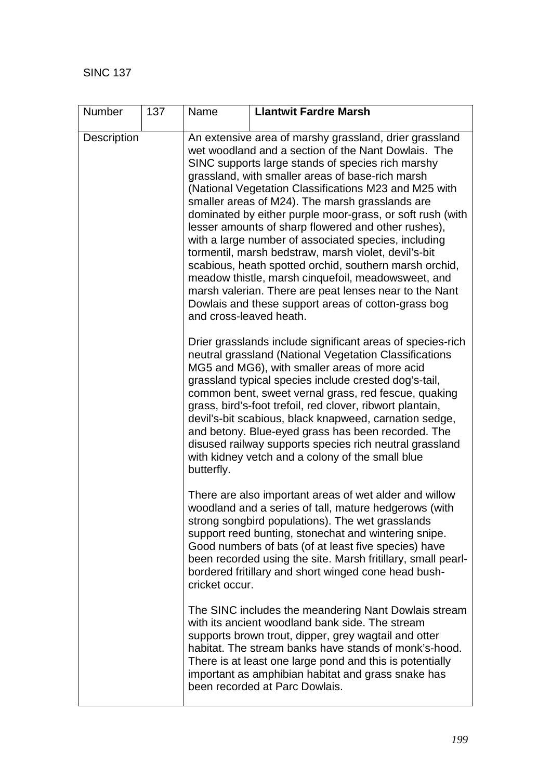| Number             | 137 | Name                    | <b>Llantwit Fardre Marsh</b>                                                                                                                                                                                                                                                                                                                                                                                                                                                                                                                                                                                                                                                                                                                                                                            |
|--------------------|-----|-------------------------|---------------------------------------------------------------------------------------------------------------------------------------------------------------------------------------------------------------------------------------------------------------------------------------------------------------------------------------------------------------------------------------------------------------------------------------------------------------------------------------------------------------------------------------------------------------------------------------------------------------------------------------------------------------------------------------------------------------------------------------------------------------------------------------------------------|
| <b>Description</b> |     | and cross-leaved heath. | An extensive area of marshy grassland, drier grassland<br>wet woodland and a section of the Nant Dowlais. The<br>SINC supports large stands of species rich marshy<br>grassland, with smaller areas of base-rich marsh<br>(National Vegetation Classifications M23 and M25 with<br>smaller areas of M24). The marsh grasslands are<br>dominated by either purple moor-grass, or soft rush (with<br>lesser amounts of sharp flowered and other rushes),<br>with a large number of associated species, including<br>tormentil, marsh bedstraw, marsh violet, devil's-bit<br>scabious, heath spotted orchid, southern marsh orchid,<br>meadow thistle, marsh cinquefoil, meadowsweet, and<br>marsh valerian. There are peat lenses near to the Nant<br>Dowlais and these support areas of cotton-grass bog |
|                    |     | butterfly.              | Drier grasslands include significant areas of species-rich<br>neutral grassland (National Vegetation Classifications<br>MG5 and MG6), with smaller areas of more acid<br>grassland typical species include crested dog's-tail,<br>common bent, sweet vernal grass, red fescue, quaking<br>grass, bird's-foot trefoil, red clover, ribwort plantain,<br>devil's-bit scabious, black knapweed, carnation sedge,<br>and betony. Blue-eyed grass has been recorded. The<br>disused railway supports species rich neutral grassland<br>with kidney vetch and a colony of the small blue                                                                                                                                                                                                                      |
|                    |     | cricket occur.          | There are also important areas of wet alder and willow<br>woodland and a series of tall, mature hedgerows (with<br>strong songbird populations). The wet grasslands<br>support reed bunting, stonechat and wintering snipe.<br>Good numbers of bats (of at least five species) have<br>been recorded using the site. Marsh fritillary, small pearl-<br>bordered fritillary and short winged cone head bush-                                                                                                                                                                                                                                                                                                                                                                                             |
|                    |     |                         | The SINC includes the meandering Nant Dowlais stream<br>with its ancient woodland bank side. The stream<br>supports brown trout, dipper, grey wagtail and otter<br>habitat. The stream banks have stands of monk's-hood.<br>There is at least one large pond and this is potentially<br>important as amphibian habitat and grass snake has<br>been recorded at Parc Dowlais.                                                                                                                                                                                                                                                                                                                                                                                                                            |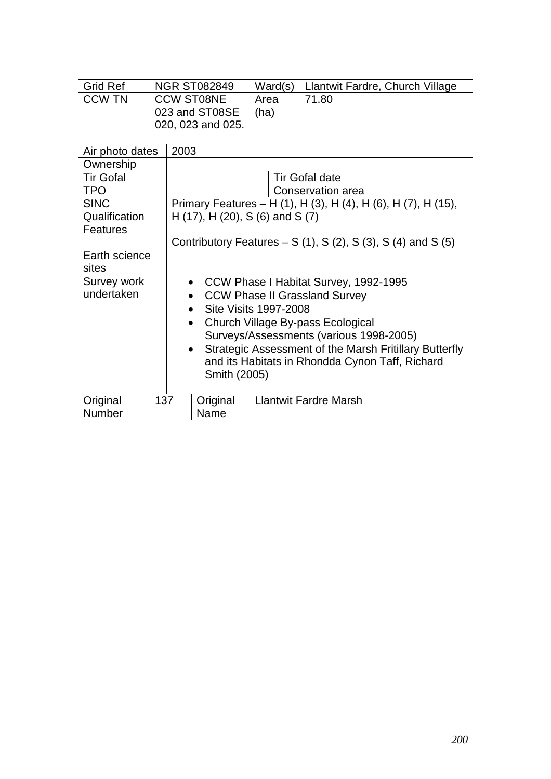| <b>Grid Ref</b>  |                                     | <b>NGR ST082849</b>                                        |                                           | Ward(s) | Llantwit Fardre, Church Village         |                                                               |  |
|------------------|-------------------------------------|------------------------------------------------------------|-------------------------------------------|---------|-----------------------------------------|---------------------------------------------------------------|--|
| <b>CCW TN</b>    | <b>CCW ST08NE</b><br>023 and ST08SE |                                                            | Area                                      |         | 71.80                                   |                                                               |  |
|                  |                                     | 020, 023 and 025.                                          | (ha)                                      |         |                                         |                                                               |  |
|                  |                                     |                                                            |                                           |         |                                         |                                                               |  |
| Air photo dates  |                                     | 2003                                                       |                                           |         |                                         |                                                               |  |
| Ownership        |                                     |                                                            |                                           |         |                                         |                                                               |  |
| <b>Tir Gofal</b> |                                     |                                                            | <b>Tir Gofal date</b>                     |         |                                         |                                                               |  |
| <b>TPO</b>       |                                     |                                                            |                                           |         | Conservation area                       |                                                               |  |
| <b>SINC</b>      |                                     |                                                            |                                           |         |                                         | Primary Features – H (1), H (3), H (4), H (6), H (7), H (15), |  |
| Qualification    |                                     |                                                            | H $(17)$ , H $(20)$ , S $(6)$ and S $(7)$ |         |                                         |                                                               |  |
| <b>Features</b>  |                                     |                                                            |                                           |         |                                         |                                                               |  |
|                  |                                     | Contributory Features $- S(1)$ , S(2), S(3), S(4) and S(5) |                                           |         |                                         |                                                               |  |
| Earth science    |                                     |                                                            |                                           |         |                                         |                                                               |  |
| sites            |                                     |                                                            |                                           |         |                                         |                                                               |  |
| Survey work      |                                     | • CCW Phase I Habitat Survey, 1992-1995                    |                                           |         |                                         |                                                               |  |
| undertaken       |                                     | <b>CCW Phase II Grassland Survey</b>                       |                                           |         |                                         |                                                               |  |
|                  |                                     | Site Visits 1997-2008<br>$\bullet$                         |                                           |         |                                         |                                                               |  |
|                  |                                     | $\bullet$                                                  |                                           |         | Church Village By-pass Ecological       |                                                               |  |
|                  |                                     |                                                            |                                           |         | Surveys/Assessments (various 1998-2005) |                                                               |  |
|                  |                                     | $\bullet$                                                  |                                           |         |                                         | Strategic Assessment of the Marsh Fritillary Butterfly        |  |
|                  |                                     | and its Habitats in Rhondda Cynon Taff, Richard            |                                           |         |                                         |                                                               |  |
|                  |                                     | Smith (2005)                                               |                                           |         |                                         |                                                               |  |
|                  |                                     |                                                            |                                           |         |                                         |                                                               |  |
| Original         | 137                                 | Original                                                   |                                           |         | <b>Llantwit Fardre Marsh</b>            |                                                               |  |
| Number           |                                     | Name                                                       |                                           |         |                                         |                                                               |  |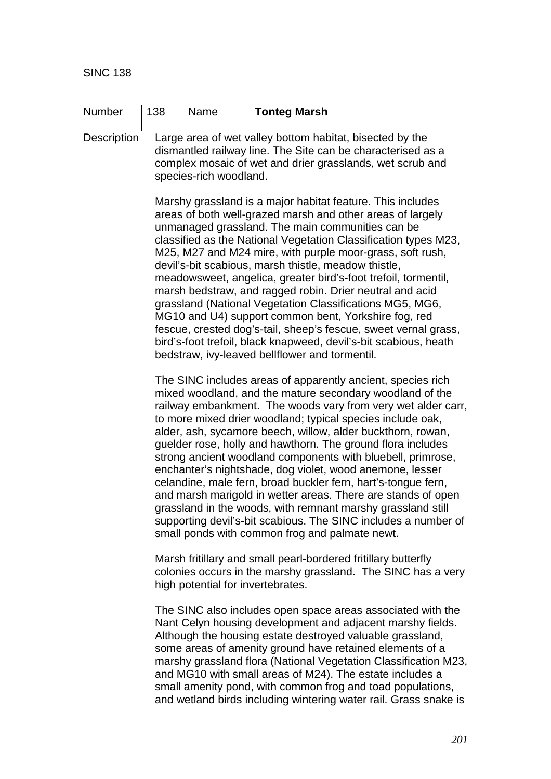| Number             | 138 | Name                   | <b>Tonteg Marsh</b>                                                                                                                                                                                                                                                                                                                                                                                                                                                                                                                                                                                                                                                                                                                                                                                                                |
|--------------------|-----|------------------------|------------------------------------------------------------------------------------------------------------------------------------------------------------------------------------------------------------------------------------------------------------------------------------------------------------------------------------------------------------------------------------------------------------------------------------------------------------------------------------------------------------------------------------------------------------------------------------------------------------------------------------------------------------------------------------------------------------------------------------------------------------------------------------------------------------------------------------|
| <b>Description</b> |     | species-rich woodland. | Large area of wet valley bottom habitat, bisected by the<br>dismantled railway line. The Site can be characterised as a<br>complex mosaic of wet and drier grasslands, wet scrub and                                                                                                                                                                                                                                                                                                                                                                                                                                                                                                                                                                                                                                               |
|                    |     |                        | Marshy grassland is a major habitat feature. This includes<br>areas of both well-grazed marsh and other areas of largely<br>unmanaged grassland. The main communities can be<br>classified as the National Vegetation Classification types M23,<br>M25, M27 and M24 mire, with purple moor-grass, soft rush,<br>devil's-bit scabious, marsh thistle, meadow thistle,<br>meadowsweet, angelica, greater bird's-foot trefoil, tormentil,<br>marsh bedstraw, and ragged robin. Drier neutral and acid<br>grassland (National Vegetation Classifications MG5, MG6,<br>MG10 and U4) support common bent, Yorkshire fog, red<br>fescue, crested dog's-tail, sheep's fescue, sweet vernal grass,<br>bird's-foot trefoil, black knapweed, devil's-bit scabious, heath<br>bedstraw, ivy-leaved bellflower and tormentil.                    |
|                    |     |                        | The SINC includes areas of apparently ancient, species rich<br>mixed woodland, and the mature secondary woodland of the<br>railway embankment. The woods vary from very wet alder carr,<br>to more mixed drier woodland; typical species include oak,<br>alder, ash, sycamore beech, willow, alder buckthorn, rowan,<br>guelder rose, holly and hawthorn. The ground flora includes<br>strong ancient woodland components with bluebell, primrose,<br>enchanter's nightshade, dog violet, wood anemone, lesser<br>celandine, male fern, broad buckler fern, hart's-tongue fern,<br>and marsh marigold in wetter areas. There are stands of open<br>grassland in the woods, with remnant marshy grassland still<br>supporting devil's-bit scabious. The SINC includes a number of<br>small ponds with common frog and palmate newt. |
|                    |     |                        | Marsh fritillary and small pearl-bordered fritillary butterfly<br>colonies occurs in the marshy grassland. The SINC has a very<br>high potential for invertebrates.                                                                                                                                                                                                                                                                                                                                                                                                                                                                                                                                                                                                                                                                |
|                    |     |                        | The SINC also includes open space areas associated with the<br>Nant Celyn housing development and adjacent marshy fields.<br>Although the housing estate destroyed valuable grassland,<br>some areas of amenity ground have retained elements of a<br>marshy grassland flora (National Vegetation Classification M23,<br>and MG10 with small areas of M24). The estate includes a<br>small amenity pond, with common frog and toad populations,<br>and wetland birds including wintering water rail. Grass snake is                                                                                                                                                                                                                                                                                                                |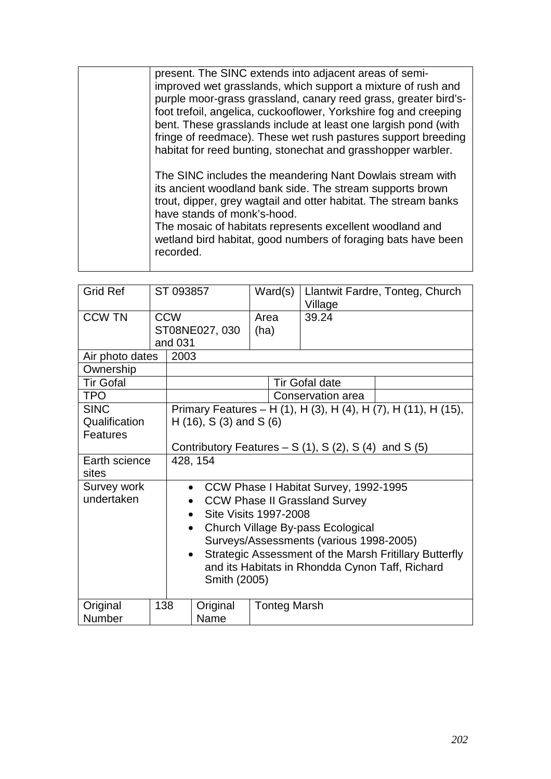| present. The SINC extends into adjacent areas of semi-<br>improved wet grasslands, which support a mixture of rush and<br>purple moor-grass grassland, canary reed grass, greater bird's-<br>foot trefoil, angelica, cuckooflower, Yorkshire fog and creeping<br>bent. These grasslands include at least one largish pond (with<br>fringe of reedmace). These wet rush pastures support breeding<br>habitat for reed bunting, stonechat and grasshopper warbler. |
|------------------------------------------------------------------------------------------------------------------------------------------------------------------------------------------------------------------------------------------------------------------------------------------------------------------------------------------------------------------------------------------------------------------------------------------------------------------|
| The SINC includes the meandering Nant Dowlais stream with<br>its ancient woodland bank side. The stream supports brown<br>trout, dipper, grey wagtail and otter habitat. The stream banks<br>have stands of monk's-hood.<br>The mosaic of habitats represents excellent woodland and<br>wetland bird habitat, good numbers of foraging bats have been<br>recorded.                                                                                               |

| <b>Grid Ref</b>  |               | ST 093857                                                           | Ward(s)                       | Llantwit Fardre, Tonteg, Church<br>Village      |                                                                |  |  |
|------------------|---------------|---------------------------------------------------------------------|-------------------------------|-------------------------------------------------|----------------------------------------------------------------|--|--|
| <b>CCW TN</b>    |               | <b>CCW</b>                                                          | Area                          | 39.24                                           |                                                                |  |  |
|                  |               | ST08NE027, 030                                                      | (ha)                          |                                                 |                                                                |  |  |
|                  |               | and 031                                                             |                               |                                                 |                                                                |  |  |
| Air photo dates  |               |                                                                     | 2003                          |                                                 |                                                                |  |  |
| Ownership        |               |                                                                     |                               |                                                 |                                                                |  |  |
| <b>Tir Gofal</b> |               |                                                                     |                               | <b>Tir Gofal date</b>                           |                                                                |  |  |
| <b>TPO</b>       |               |                                                                     |                               | Conservation area                               |                                                                |  |  |
| <b>SINC</b>      |               |                                                                     |                               |                                                 | Primary Features - H (1), H (3), H (4), H (7), H (11), H (15), |  |  |
| Qualification    |               |                                                                     | $H(16)$ , S $(3)$ and S $(6)$ |                                                 |                                                                |  |  |
| Features         |               |                                                                     |                               |                                                 |                                                                |  |  |
|                  |               | Contributory Features $- S(1)$ , S(2), S(4) and S(5)                |                               |                                                 |                                                                |  |  |
|                  | Earth science |                                                                     | 428, 154                      |                                                 |                                                                |  |  |
| sites            |               |                                                                     |                               |                                                 |                                                                |  |  |
| Survey work      |               | CCW Phase I Habitat Survey, 1992-1995<br>$\bullet$                  |                               |                                                 |                                                                |  |  |
| undertaken       |               | <b>CCW Phase II Grassland Survey</b>                                |                               |                                                 |                                                                |  |  |
|                  |               | Site Visits 1997-2008<br>$\bullet$                                  |                               |                                                 |                                                                |  |  |
|                  |               | Church Village By-pass Ecological<br>$\bullet$                      |                               |                                                 |                                                                |  |  |
|                  |               | Surveys/Assessments (various 1998-2005)                             |                               |                                                 |                                                                |  |  |
|                  |               | Strategic Assessment of the Marsh Fritillary Butterfly<br>$\bullet$ |                               |                                                 |                                                                |  |  |
|                  |               |                                                                     |                               | and its Habitats in Rhondda Cynon Taff, Richard |                                                                |  |  |
|                  |               | Smith (2005)                                                        |                               |                                                 |                                                                |  |  |
|                  |               |                                                                     |                               |                                                 |                                                                |  |  |
| Original         | 138           | Original                                                            | <b>Tonteg Marsh</b>           |                                                 |                                                                |  |  |
| Number           |               |                                                                     | Name                          |                                                 |                                                                |  |  |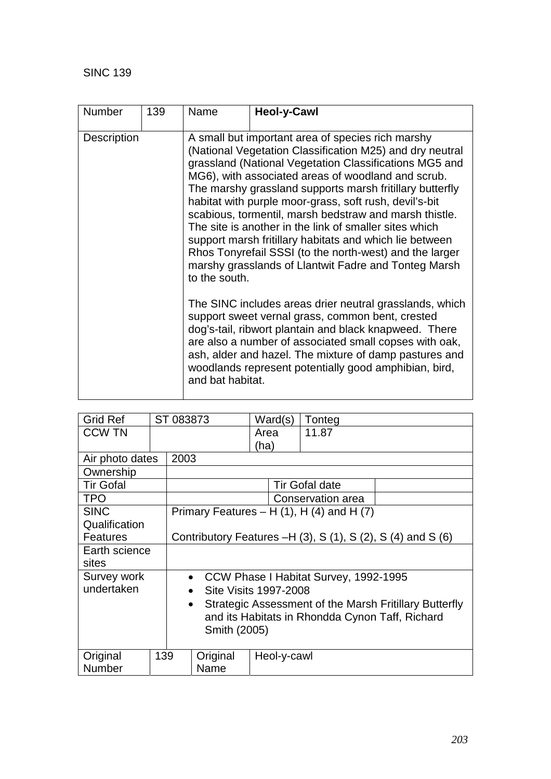| <b>Number</b>      | 139 | Name                                                                                                                                                                                                                                                                                                                                                                                                                                                                                                                                                                                                                                                                   | <b>Heol-y-Cawl</b>                                                                                                                                                                                                                                                                                                                                 |  |  |
|--------------------|-----|------------------------------------------------------------------------------------------------------------------------------------------------------------------------------------------------------------------------------------------------------------------------------------------------------------------------------------------------------------------------------------------------------------------------------------------------------------------------------------------------------------------------------------------------------------------------------------------------------------------------------------------------------------------------|----------------------------------------------------------------------------------------------------------------------------------------------------------------------------------------------------------------------------------------------------------------------------------------------------------------------------------------------------|--|--|
| <b>Description</b> |     | A small but important area of species rich marshy<br>(National Vegetation Classification M25) and dry neutral<br>grassland (National Vegetation Classifications MG5 and<br>MG6), with associated areas of woodland and scrub.<br>The marshy grassland supports marsh fritillary butterfly<br>habitat with purple moor-grass, soft rush, devil's-bit<br>scabious, tormentil, marsh bedstraw and marsh thistle.<br>The site is another in the link of smaller sites which<br>support marsh fritillary habitats and which lie between<br>Rhos Tonyrefail SSSI (to the north-west) and the larger<br>marshy grasslands of Llantwit Fadre and Tonteg Marsh<br>to the south. |                                                                                                                                                                                                                                                                                                                                                    |  |  |
|                    |     | and bat habitat.                                                                                                                                                                                                                                                                                                                                                                                                                                                                                                                                                                                                                                                       | The SINC includes areas drier neutral grasslands, which<br>support sweet vernal grass, common bent, crested<br>dog's-tail, ribwort plantain and black knapweed. There<br>are also a number of associated small copses with oak,<br>ash, alder and hazel. The mixture of damp pastures and<br>woodlands represent potentially good amphibian, bird, |  |  |

| <b>Grid Ref</b>  |     | ST 083873                                                               |                       | Ward(s)     | Tonteg                                           |  |  |
|------------------|-----|-------------------------------------------------------------------------|-----------------------|-------------|--------------------------------------------------|--|--|
| <b>CCW TN</b>    |     |                                                                         |                       | Area        | 11.87                                            |  |  |
|                  |     |                                                                         |                       | (ha)        |                                                  |  |  |
| Air photo dates  |     | 2003                                                                    |                       |             |                                                  |  |  |
| Ownership        |     |                                                                         |                       |             |                                                  |  |  |
| <b>Tir Gofal</b> |     |                                                                         | <b>Tir Gofal date</b> |             |                                                  |  |  |
| <b>TPO</b>       |     |                                                                         |                       |             | Conservation area                                |  |  |
| <b>SINC</b>      |     |                                                                         |                       |             | Primary Features – H $(1)$ , H $(4)$ and H $(7)$ |  |  |
| Qualification    |     |                                                                         |                       |             |                                                  |  |  |
| <b>Features</b>  |     | Contributory Features $-H(3)$ , S $(1)$ , S $(2)$ , S $(4)$ and S $(6)$ |                       |             |                                                  |  |  |
| Earth science    |     |                                                                         |                       |             |                                                  |  |  |
| sites            |     |                                                                         |                       |             |                                                  |  |  |
| Survey work      |     | CCW Phase I Habitat Survey, 1992-1995<br>$\bullet$                      |                       |             |                                                  |  |  |
| undertaken       |     | <b>Site Visits 1997-2008</b><br>$\bullet$                               |                       |             |                                                  |  |  |
|                  |     | Strategic Assessment of the Marsh Fritillary Butterfly<br>$\bullet$     |                       |             |                                                  |  |  |
|                  |     | and its Habitats in Rhondda Cynon Taff, Richard                         |                       |             |                                                  |  |  |
|                  |     | Smith (2005)                                                            |                       |             |                                                  |  |  |
|                  |     |                                                                         |                       |             |                                                  |  |  |
| Original         | 139 |                                                                         | Original              | Heol-y-cawl |                                                  |  |  |
| <b>Number</b>    |     |                                                                         | Name                  |             |                                                  |  |  |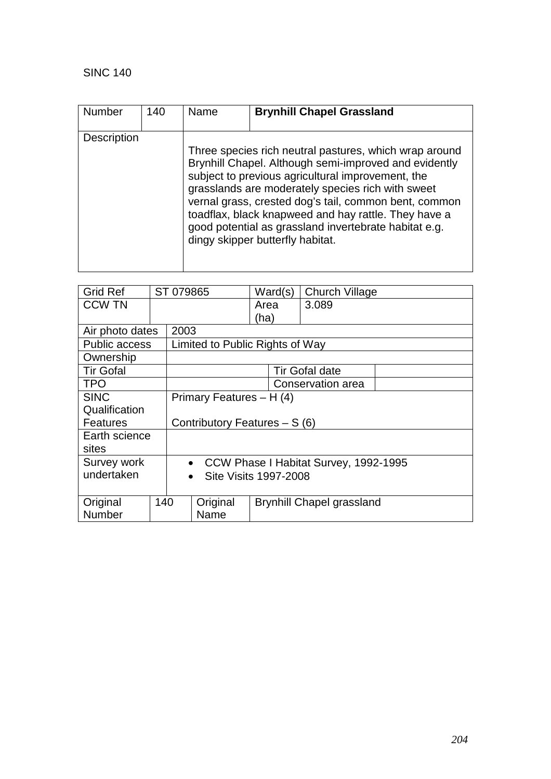| <b>Number</b>      | 140 | Name | <b>Brynhill Chapel Grassland</b>                                                                                                                                                                                                                                                                                                                                                                                                        |
|--------------------|-----|------|-----------------------------------------------------------------------------------------------------------------------------------------------------------------------------------------------------------------------------------------------------------------------------------------------------------------------------------------------------------------------------------------------------------------------------------------|
| <b>Description</b> |     |      | Three species rich neutral pastures, which wrap around<br>Brynhill Chapel. Although semi-improved and evidently<br>subject to previous agricultural improvement, the<br>grasslands are moderately species rich with sweet<br>vernal grass, crested dog's tail, common bent, common<br>toadflax, black knapweed and hay rattle. They have a<br>good potential as grassland invertebrate habitat e.g.<br>dingy skipper butterfly habitat. |

| <b>Grid Ref</b>      |           | ST 079865 |                                 | Ward(s)                       | <b>Church Village</b>                   |  |  |
|----------------------|-----------|-----------|---------------------------------|-------------------------------|-----------------------------------------|--|--|
| <b>CCW TN</b>        |           |           |                                 | Area                          | 3.089                                   |  |  |
|                      |           |           |                                 | (ha)                          |                                         |  |  |
| Air photo dates      |           | 2003      |                                 |                               |                                         |  |  |
| <b>Public access</b> |           |           | Limited to Public Rights of Way |                               |                                         |  |  |
| Ownership            |           |           |                                 |                               |                                         |  |  |
| <b>Tir Gofal</b>     |           |           |                                 |                               | <b>Tir Gofal date</b>                   |  |  |
| <b>TPO</b>           |           |           |                                 |                               | Conservation area                       |  |  |
| <b>SINC</b>          |           |           | Primary Features - H (4)        |                               |                                         |  |  |
| Qualification        |           |           |                                 |                               |                                         |  |  |
| Features             |           |           |                                 | Contributory Features - S (6) |                                         |  |  |
| Earth science        |           |           |                                 |                               |                                         |  |  |
| sites                |           |           |                                 |                               |                                         |  |  |
| Survey work          |           |           |                                 |                               | • CCW Phase I Habitat Survey, 1992-1995 |  |  |
| undertaken           | $\bullet$ |           |                                 | Site Visits 1997-2008         |                                         |  |  |
|                      |           |           |                                 |                               |                                         |  |  |
| Original             | 140       |           | Original                        |                               | <b>Brynhill Chapel grassland</b>        |  |  |
| Number               |           |           | Name                            |                               |                                         |  |  |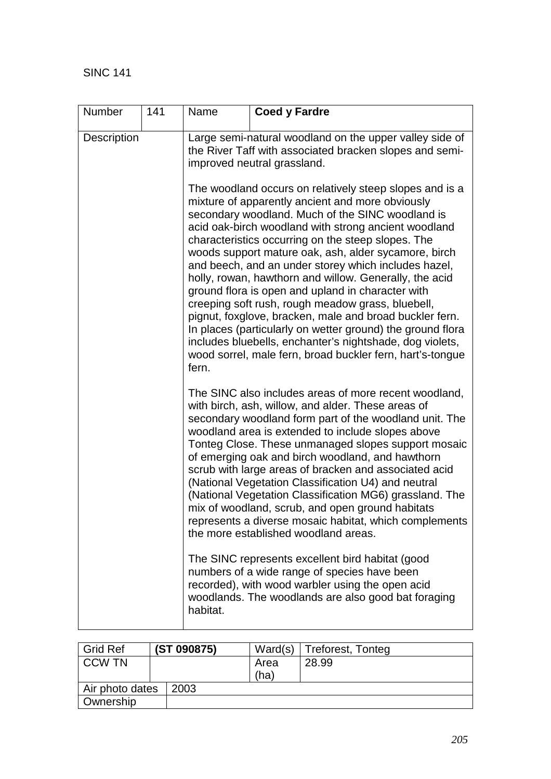| Number             | 141 | Name                                                                                                                                                                                                                                                                                                                                                                                                                                                                                                                                                                                                                                                                   | <b>Coed y Fardre</b>                                                                                                                                                                                                                                                                                                                                                                                                                                                                                                                                                                                                                                                                                                                                                                                                |  |  |  |
|--------------------|-----|------------------------------------------------------------------------------------------------------------------------------------------------------------------------------------------------------------------------------------------------------------------------------------------------------------------------------------------------------------------------------------------------------------------------------------------------------------------------------------------------------------------------------------------------------------------------------------------------------------------------------------------------------------------------|---------------------------------------------------------------------------------------------------------------------------------------------------------------------------------------------------------------------------------------------------------------------------------------------------------------------------------------------------------------------------------------------------------------------------------------------------------------------------------------------------------------------------------------------------------------------------------------------------------------------------------------------------------------------------------------------------------------------------------------------------------------------------------------------------------------------|--|--|--|
| <b>Description</b> |     | Large semi-natural woodland on the upper valley side of<br>the River Taff with associated bracken slopes and semi-<br>improved neutral grassland.                                                                                                                                                                                                                                                                                                                                                                                                                                                                                                                      |                                                                                                                                                                                                                                                                                                                                                                                                                                                                                                                                                                                                                                                                                                                                                                                                                     |  |  |  |
|                    |     | fern.                                                                                                                                                                                                                                                                                                                                                                                                                                                                                                                                                                                                                                                                  | The woodland occurs on relatively steep slopes and is a<br>mixture of apparently ancient and more obviously<br>secondary woodland. Much of the SINC woodland is<br>acid oak-birch woodland with strong ancient woodland<br>characteristics occurring on the steep slopes. The<br>woods support mature oak, ash, alder sycamore, birch<br>and beech, and an under storey which includes hazel,<br>holly, rowan, hawthorn and willow. Generally, the acid<br>ground flora is open and upland in character with<br>creeping soft rush, rough meadow grass, bluebell,<br>pignut, foxglove, bracken, male and broad buckler fern.<br>In places (particularly on wetter ground) the ground flora<br>includes bluebells, enchanter's nightshade, dog violets,<br>wood sorrel, male fern, broad buckler fern, hart's-tongue |  |  |  |
|                    |     | The SINC also includes areas of more recent woodland,<br>with birch, ash, willow, and alder. These areas of<br>secondary woodland form part of the woodland unit. The<br>woodland area is extended to include slopes above<br>Tonteg Close. These unmanaged slopes support mosaic<br>of emerging oak and birch woodland, and hawthorn<br>scrub with large areas of bracken and associated acid<br>(National Vegetation Classification U4) and neutral<br>(National Vegetation Classification MG6) grassland. The<br>mix of woodland, scrub, and open ground habitats<br>represents a diverse mosaic habitat, which complements<br>the more established woodland areas. |                                                                                                                                                                                                                                                                                                                                                                                                                                                                                                                                                                                                                                                                                                                                                                                                                     |  |  |  |
|                    |     | habitat.                                                                                                                                                                                                                                                                                                                                                                                                                                                                                                                                                                                                                                                               | The SINC represents excellent bird habitat (good<br>numbers of a wide range of species have been<br>recorded), with wood warbler using the open acid<br>woodlands. The woodlands are also good bat foraging                                                                                                                                                                                                                                                                                                                                                                                                                                                                                                                                                                                                         |  |  |  |

| <b>Grid Ref</b> | (ST 090875) | Ward(s) | Treforest, Tonteg |
|-----------------|-------------|---------|-------------------|
| <b>CCW TN</b>   |             | Area    | 28.99             |
|                 |             | (ha)    |                   |
| Air photo dates | 2003        |         |                   |
| Ownership       |             |         |                   |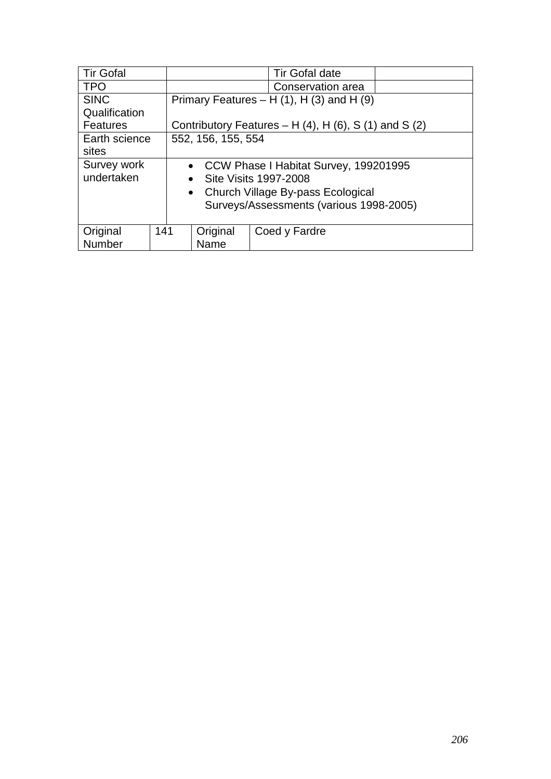| <b>Tir Gofal</b>                        |                         | <b>Tir Gofal date</b> |               |                                                                 |  |  |  |
|-----------------------------------------|-------------------------|-----------------------|---------------|-----------------------------------------------------------------|--|--|--|
| <b>TPO</b>                              |                         | Conservation area     |               |                                                                 |  |  |  |
| <b>SINC</b>                             |                         |                       |               | Primary Features $- H(1)$ , H $(3)$ and H $(9)$                 |  |  |  |
| Qualification                           |                         |                       |               |                                                                 |  |  |  |
| <b>Features</b>                         |                         |                       |               | Contributory Features – H $(4)$ , H $(6)$ , S $(1)$ and S $(2)$ |  |  |  |
| Earth science                           |                         | 552, 156, 155, 554    |               |                                                                 |  |  |  |
| sites                                   |                         |                       |               |                                                                 |  |  |  |
| Survey work                             |                         |                       |               | • CCW Phase I Habitat Survey, 199201995                         |  |  |  |
| undertaken                              | • Site Visits 1997-2008 |                       |               |                                                                 |  |  |  |
| • Church Village By-pass Ecological     |                         |                       |               |                                                                 |  |  |  |
| Surveys/Assessments (various 1998-2005) |                         |                       |               |                                                                 |  |  |  |
|                                         |                         |                       |               |                                                                 |  |  |  |
| Original                                | 141                     |                       | Coed y Fardre |                                                                 |  |  |  |
| Number                                  |                         | Original<br>Name      |               |                                                                 |  |  |  |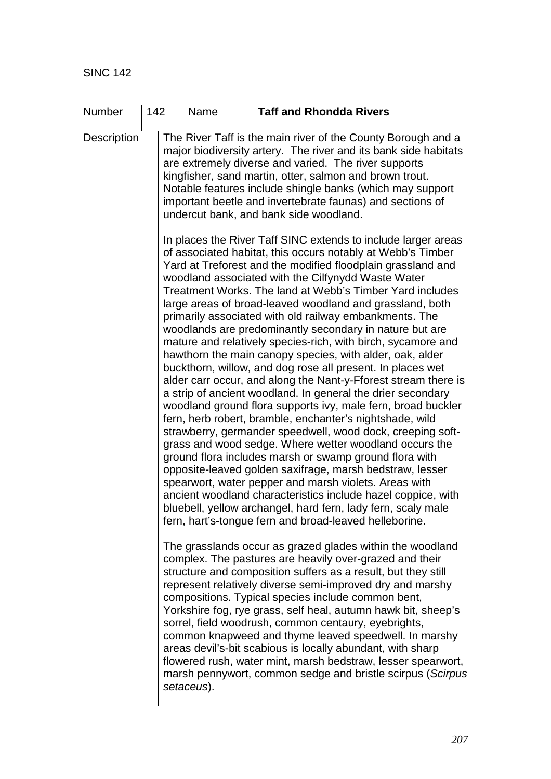| Number             | 142 | Name       | <b>Taff and Rhondda Rivers</b>                                                                                                                                                                                                                                                                                                                                                                                                                                                                                                                                                                                                                                                                                                                                                                                                                                                                                                                                                                                                                                                                                                                                                                                                                                                                                                                                                                                                                         |
|--------------------|-----|------------|--------------------------------------------------------------------------------------------------------------------------------------------------------------------------------------------------------------------------------------------------------------------------------------------------------------------------------------------------------------------------------------------------------------------------------------------------------------------------------------------------------------------------------------------------------------------------------------------------------------------------------------------------------------------------------------------------------------------------------------------------------------------------------------------------------------------------------------------------------------------------------------------------------------------------------------------------------------------------------------------------------------------------------------------------------------------------------------------------------------------------------------------------------------------------------------------------------------------------------------------------------------------------------------------------------------------------------------------------------------------------------------------------------------------------------------------------------|
| <b>Description</b> |     |            | The River Taff is the main river of the County Borough and a<br>major biodiversity artery. The river and its bank side habitats<br>are extremely diverse and varied. The river supports<br>kingfisher, sand martin, otter, salmon and brown trout.<br>Notable features include shingle banks (which may support<br>important beetle and invertebrate faunas) and sections of<br>undercut bank, and bank side woodland.                                                                                                                                                                                                                                                                                                                                                                                                                                                                                                                                                                                                                                                                                                                                                                                                                                                                                                                                                                                                                                 |
|                    |     |            | In places the River Taff SINC extends to include larger areas<br>of associated habitat, this occurs notably at Webb's Timber<br>Yard at Treforest and the modified floodplain grassland and<br>woodland associated with the Cilfynydd Waste Water<br>Treatment Works. The land at Webb's Timber Yard includes<br>large areas of broad-leaved woodland and grassland, both<br>primarily associated with old railway embankments. The<br>woodlands are predominantly secondary in nature but are<br>mature and relatively species-rich, with birch, sycamore and<br>hawthorn the main canopy species, with alder, oak, alder<br>buckthorn, willow, and dog rose all present. In places wet<br>alder carr occur, and along the Nant-y-Fforest stream there is<br>a strip of ancient woodland. In general the drier secondary<br>woodland ground flora supports ivy, male fern, broad buckler<br>fern, herb robert, bramble, enchanter's nightshade, wild<br>strawberry, germander speedwell, wood dock, creeping soft-<br>grass and wood sedge. Where wetter woodland occurs the<br>ground flora includes marsh or swamp ground flora with<br>opposite-leaved golden saxifrage, marsh bedstraw, lesser<br>spearwort, water pepper and marsh violets. Areas with<br>ancient woodland characteristics include hazel coppice, with<br>bluebell, yellow archangel, hard fern, lady fern, scaly male<br>fern, hart's-tongue fern and broad-leaved helleborine. |
|                    |     | setaceus). | The grasslands occur as grazed glades within the woodland<br>complex. The pastures are heavily over-grazed and their<br>structure and composition suffers as a result, but they still<br>represent relatively diverse semi-improved dry and marshy<br>compositions. Typical species include common bent,<br>Yorkshire fog, rye grass, self heal, autumn hawk bit, sheep's<br>sorrel, field woodrush, common centaury, eyebrights,<br>common knapweed and thyme leaved speedwell. In marshy<br>areas devil's-bit scabious is locally abundant, with sharp<br>flowered rush, water mint, marsh bedstraw, lesser spearwort,<br>marsh pennywort, common sedge and bristle scirpus (Scirpus                                                                                                                                                                                                                                                                                                                                                                                                                                                                                                                                                                                                                                                                                                                                                                 |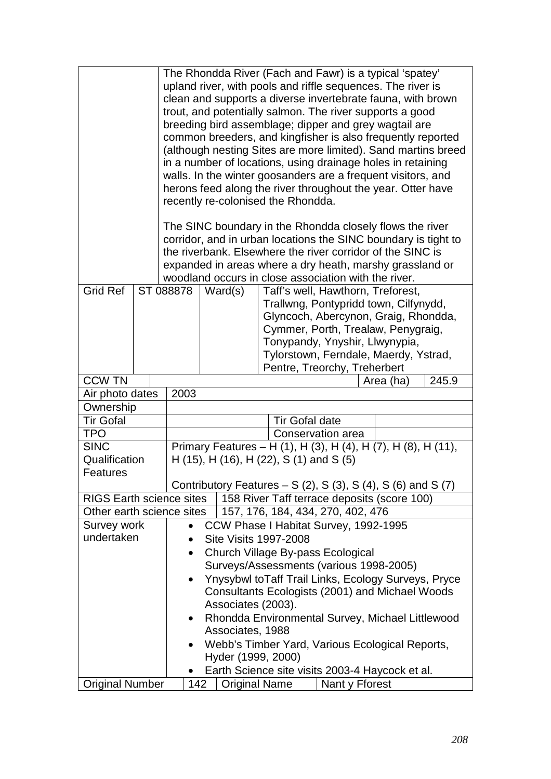|                                 |                                                 | The Rhondda River (Fach and Fawr) is a typical 'spatey'<br>upland river, with pools and riffle sequences. The river is<br>clean and supports a diverse invertebrate fauna, with brown<br>trout, and potentially salmon. The river supports a good<br>breeding bird assemblage; dipper and grey wagtail are<br>common breeders, and kingfisher is also frequently reported<br>(although nesting Sites are more limited). Sand martins breed<br>in a number of locations, using drainage holes in retaining<br>walls. In the winter goosanders are a frequent visitors, and<br>herons feed along the river throughout the year. Otter have<br>recently re-colonised the Rhondda.<br>The SINC boundary in the Rhondda closely flows the river<br>corridor, and in urban locations the SINC boundary is tight to<br>the riverbank. Elsewhere the river corridor of the SINC is<br>expanded in areas where a dry heath, marshy grassland or<br>woodland occurs in close association with the river. |                                                                                                                                                                                                                                                                                             |                                                                                                                                                                                       |                    |                                                 |                                                     |  |
|---------------------------------|-------------------------------------------------|------------------------------------------------------------------------------------------------------------------------------------------------------------------------------------------------------------------------------------------------------------------------------------------------------------------------------------------------------------------------------------------------------------------------------------------------------------------------------------------------------------------------------------------------------------------------------------------------------------------------------------------------------------------------------------------------------------------------------------------------------------------------------------------------------------------------------------------------------------------------------------------------------------------------------------------------------------------------------------------------|---------------------------------------------------------------------------------------------------------------------------------------------------------------------------------------------------------------------------------------------------------------------------------------------|---------------------------------------------------------------------------------------------------------------------------------------------------------------------------------------|--------------------|-------------------------------------------------|-----------------------------------------------------|--|
|                                 |                                                 |                                                                                                                                                                                                                                                                                                                                                                                                                                                                                                                                                                                                                                                                                                                                                                                                                                                                                                                                                                                                |                                                                                                                                                                                                                                                                                             |                                                                                                                                                                                       |                    |                                                 |                                                     |  |
| <b>Grid Ref</b>                 |                                                 |                                                                                                                                                                                                                                                                                                                                                                                                                                                                                                                                                                                                                                                                                                                                                                                                                                                                                                                                                                                                | ST 088878<br>Ward(s)<br>Taff's well, Hawthorn, Treforest,<br>Trallwng, Pontypridd town, Cilfynydd,<br>Glyncoch, Abercynon, Graig, Rhondda,<br>Cymmer, Porth, Trealaw, Penygraig,<br>Tonypandy, Ynyshir, Llwynypia,<br>Tylorstown, Ferndale, Maerdy, Ystrad,<br>Pentre, Treorchy, Treherbert |                                                                                                                                                                                       |                    |                                                 |                                                     |  |
| <b>CCW TN</b>                   |                                                 |                                                                                                                                                                                                                                                                                                                                                                                                                                                                                                                                                                                                                                                                                                                                                                                                                                                                                                                                                                                                |                                                                                                                                                                                                                                                                                             | 245.9<br>Area (ha)                                                                                                                                                                    |                    |                                                 |                                                     |  |
| Air photo dates                 |                                                 | 2003                                                                                                                                                                                                                                                                                                                                                                                                                                                                                                                                                                                                                                                                                                                                                                                                                                                                                                                                                                                           |                                                                                                                                                                                                                                                                                             |                                                                                                                                                                                       |                    |                                                 |                                                     |  |
| Ownership                       |                                                 |                                                                                                                                                                                                                                                                                                                                                                                                                                                                                                                                                                                                                                                                                                                                                                                                                                                                                                                                                                                                |                                                                                                                                                                                                                                                                                             |                                                                                                                                                                                       |                    |                                                 |                                                     |  |
| <b>Tir Gofal</b>                |                                                 | <b>Tir Gofal date</b>                                                                                                                                                                                                                                                                                                                                                                                                                                                                                                                                                                                                                                                                                                                                                                                                                                                                                                                                                                          |                                                                                                                                                                                                                                                                                             |                                                                                                                                                                                       |                    |                                                 |                                                     |  |
| <b>TPO</b>                      |                                                 |                                                                                                                                                                                                                                                                                                                                                                                                                                                                                                                                                                                                                                                                                                                                                                                                                                                                                                                                                                                                | Conservation area                                                                                                                                                                                                                                                                           |                                                                                                                                                                                       |                    |                                                 |                                                     |  |
| <b>SINC</b><br><b>Features</b>  | Qualification                                   |                                                                                                                                                                                                                                                                                                                                                                                                                                                                                                                                                                                                                                                                                                                                                                                                                                                                                                                                                                                                |                                                                                                                                                                                                                                                                                             | Primary Features – H (1), H (3), H (4), H (7), H (8), H (11),<br>H (15), H (16), H (22), S (1) and S (5)<br>Contributory Features – S $(2)$ , S $(3)$ , S $(4)$ , S $(6)$ and S $(7)$ |                    |                                                 |                                                     |  |
| <b>RIGS Earth science sites</b> |                                                 |                                                                                                                                                                                                                                                                                                                                                                                                                                                                                                                                                                                                                                                                                                                                                                                                                                                                                                                                                                                                |                                                                                                                                                                                                                                                                                             |                                                                                                                                                                                       |                    | 158 River Taff terrace deposits (score 100)     |                                                     |  |
| Other earth science sites       |                                                 |                                                                                                                                                                                                                                                                                                                                                                                                                                                                                                                                                                                                                                                                                                                                                                                                                                                                                                                                                                                                |                                                                                                                                                                                                                                                                                             |                                                                                                                                                                                       |                    |                                                 |                                                     |  |
| Survey work                     |                                                 |                                                                                                                                                                                                                                                                                                                                                                                                                                                                                                                                                                                                                                                                                                                                                                                                                                                                                                                                                                                                | 157, 176, 184, 434, 270, 402, 476<br>CCW Phase I Habitat Survey, 1992-1995<br>$\bullet$                                                                                                                                                                                                     |                                                                                                                                                                                       |                    |                                                 |                                                     |  |
| undertaken                      |                                                 |                                                                                                                                                                                                                                                                                                                                                                                                                                                                                                                                                                                                                                                                                                                                                                                                                                                                                                                                                                                                | Site Visits 1997-2008                                                                                                                                                                                                                                                                       |                                                                                                                                                                                       |                    |                                                 |                                                     |  |
|                                 |                                                 |                                                                                                                                                                                                                                                                                                                                                                                                                                                                                                                                                                                                                                                                                                                                                                                                                                                                                                                                                                                                | $\bullet$                                                                                                                                                                                                                                                                                   |                                                                                                                                                                                       |                    | Church Village By-pass Ecological               |                                                     |  |
|                                 |                                                 |                                                                                                                                                                                                                                                                                                                                                                                                                                                                                                                                                                                                                                                                                                                                                                                                                                                                                                                                                                                                |                                                                                                                                                                                                                                                                                             |                                                                                                                                                                                       |                    | Surveys/Assessments (various 1998-2005)         |                                                     |  |
|                                 |                                                 |                                                                                                                                                                                                                                                                                                                                                                                                                                                                                                                                                                                                                                                                                                                                                                                                                                                                                                                                                                                                | $\bullet$                                                                                                                                                                                                                                                                                   |                                                                                                                                                                                       |                    |                                                 | Ynysybwl toTaff Trail Links, Ecology Surveys, Pryce |  |
|                                 | Consultants Ecologists (2001) and Michael Woods |                                                                                                                                                                                                                                                                                                                                                                                                                                                                                                                                                                                                                                                                                                                                                                                                                                                                                                                                                                                                |                                                                                                                                                                                                                                                                                             |                                                                                                                                                                                       |                    |                                                 |                                                     |  |
| Associates (2003).              |                                                 |                                                                                                                                                                                                                                                                                                                                                                                                                                                                                                                                                                                                                                                                                                                                                                                                                                                                                                                                                                                                |                                                                                                                                                                                                                                                                                             |                                                                                                                                                                                       |                    |                                                 |                                                     |  |
|                                 |                                                 |                                                                                                                                                                                                                                                                                                                                                                                                                                                                                                                                                                                                                                                                                                                                                                                                                                                                                                                                                                                                | $\bullet$                                                                                                                                                                                                                                                                                   |                                                                                                                                                                                       |                    |                                                 | Rhondda Environmental Survey, Michael Littlewood    |  |
|                                 |                                                 |                                                                                                                                                                                                                                                                                                                                                                                                                                                                                                                                                                                                                                                                                                                                                                                                                                                                                                                                                                                                |                                                                                                                                                                                                                                                                                             | Associates, 1988                                                                                                                                                                      |                    |                                                 |                                                     |  |
|                                 |                                                 |                                                                                                                                                                                                                                                                                                                                                                                                                                                                                                                                                                                                                                                                                                                                                                                                                                                                                                                                                                                                |                                                                                                                                                                                                                                                                                             |                                                                                                                                                                                       |                    |                                                 | Webb's Timber Yard, Various Ecological Reports,     |  |
|                                 |                                                 |                                                                                                                                                                                                                                                                                                                                                                                                                                                                                                                                                                                                                                                                                                                                                                                                                                                                                                                                                                                                |                                                                                                                                                                                                                                                                                             |                                                                                                                                                                                       | Hyder (1999, 2000) |                                                 |                                                     |  |
|                                 |                                                 |                                                                                                                                                                                                                                                                                                                                                                                                                                                                                                                                                                                                                                                                                                                                                                                                                                                                                                                                                                                                |                                                                                                                                                                                                                                                                                             |                                                                                                                                                                                       |                    | Earth Science site visits 2003-4 Haycock et al. |                                                     |  |
| <b>Original Number</b>          |                                                 |                                                                                                                                                                                                                                                                                                                                                                                                                                                                                                                                                                                                                                                                                                                                                                                                                                                                                                                                                                                                | 142                                                                                                                                                                                                                                                                                         | <b>Original Name</b>                                                                                                                                                                  |                    | Nant y Fforest                                  |                                                     |  |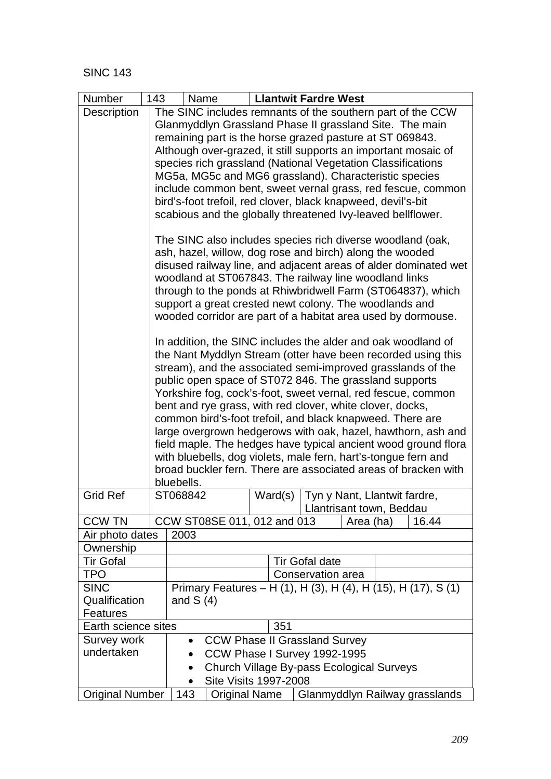| Number                 | 143 | <b>Llantwit Fardre West</b><br>Name                                                                                              |  |  |  |  |  |  |
|------------------------|-----|----------------------------------------------------------------------------------------------------------------------------------|--|--|--|--|--|--|
| Description            |     | The SINC includes remnants of the southern part of the CCW                                                                       |  |  |  |  |  |  |
|                        |     | Glanmyddlyn Grassland Phase II grassland Site. The main                                                                          |  |  |  |  |  |  |
|                        |     | remaining part is the horse grazed pasture at ST 069843.                                                                         |  |  |  |  |  |  |
|                        |     | Although over-grazed, it still supports an important mosaic of                                                                   |  |  |  |  |  |  |
|                        |     | species rich grassland (National Vegetation Classifications                                                                      |  |  |  |  |  |  |
|                        |     | MG5a, MG5c and MG6 grassland). Characteristic species                                                                            |  |  |  |  |  |  |
|                        |     | include common bent, sweet vernal grass, red fescue, common                                                                      |  |  |  |  |  |  |
|                        |     | bird's-foot trefoil, red clover, black knapweed, devil's-bit                                                                     |  |  |  |  |  |  |
|                        |     | scabious and the globally threatened Ivy-leaved beliflower.                                                                      |  |  |  |  |  |  |
|                        |     | The SINC also includes species rich diverse woodland (oak,                                                                       |  |  |  |  |  |  |
|                        |     | ash, hazel, willow, dog rose and birch) along the wooded                                                                         |  |  |  |  |  |  |
|                        |     | disused railway line, and adjacent areas of alder dominated wet                                                                  |  |  |  |  |  |  |
|                        |     | woodland at ST067843. The railway line woodland links                                                                            |  |  |  |  |  |  |
|                        |     | through to the ponds at Rhiwbridwell Farm (ST064837), which                                                                      |  |  |  |  |  |  |
|                        |     | support a great crested newt colony. The woodlands and                                                                           |  |  |  |  |  |  |
|                        |     | wooded corridor are part of a habitat area used by dormouse.                                                                     |  |  |  |  |  |  |
|                        |     | In addition, the SINC includes the alder and oak woodland of                                                                     |  |  |  |  |  |  |
|                        |     | the Nant Myddlyn Stream (otter have been recorded using this                                                                     |  |  |  |  |  |  |
|                        |     | stream), and the associated semi-improved grasslands of the                                                                      |  |  |  |  |  |  |
|                        |     | public open space of ST072 846. The grassland supports                                                                           |  |  |  |  |  |  |
|                        |     | Yorkshire fog, cock's-foot, sweet vernal, red fescue, common                                                                     |  |  |  |  |  |  |
|                        |     | bent and rye grass, with red clover, white clover, docks,                                                                        |  |  |  |  |  |  |
|                        |     | common bird's-foot trefoil, and black knapweed. There are                                                                        |  |  |  |  |  |  |
|                        |     | large overgrown hedgerows with oak, hazel, hawthorn, ash and                                                                     |  |  |  |  |  |  |
|                        |     | field maple. The hedges have typical ancient wood ground flora<br>with bluebells, dog violets, male fern, hart's-tongue fern and |  |  |  |  |  |  |
|                        |     | broad buckler fern. There are associated areas of bracken with                                                                   |  |  |  |  |  |  |
|                        |     | bluebells.                                                                                                                       |  |  |  |  |  |  |
| <b>Grid Ref</b>        |     | ST068842<br>Ward(s)   Tyn y Nant, Llantwit fardre,                                                                               |  |  |  |  |  |  |
|                        |     | Llantrisant town, Beddau                                                                                                         |  |  |  |  |  |  |
| <b>CCW TN</b>          |     | CCW ST08SE 011, 012 and 013<br>16.44<br>Area (ha)                                                                                |  |  |  |  |  |  |
| Air photo dates        |     | 2003                                                                                                                             |  |  |  |  |  |  |
| Ownership              |     |                                                                                                                                  |  |  |  |  |  |  |
| <b>Tir Gofal</b>       |     | <b>Tir Gofal date</b>                                                                                                            |  |  |  |  |  |  |
| <b>TPO</b>             |     | Conservation area                                                                                                                |  |  |  |  |  |  |
| <b>SINC</b>            |     | Primary Features - H (1), H (3), H (4), H (15), H (17), S (1)                                                                    |  |  |  |  |  |  |
| Qualification          |     | and $S(4)$                                                                                                                       |  |  |  |  |  |  |
| <b>Features</b>        |     |                                                                                                                                  |  |  |  |  |  |  |
| Earth science sites    |     | 351                                                                                                                              |  |  |  |  |  |  |
| Survey work            |     | <b>CCW Phase II Grassland Survey</b>                                                                                             |  |  |  |  |  |  |
| undertaken             |     | CCW Phase I Survey 1992-1995                                                                                                     |  |  |  |  |  |  |
|                        |     | Church Village By-pass Ecological Surveys                                                                                        |  |  |  |  |  |  |
|                        |     | <b>Site Visits 1997-2008</b>                                                                                                     |  |  |  |  |  |  |
| <b>Original Number</b> |     | 143<br>Glanmyddlyn Railway grasslands<br><b>Original Name</b>                                                                    |  |  |  |  |  |  |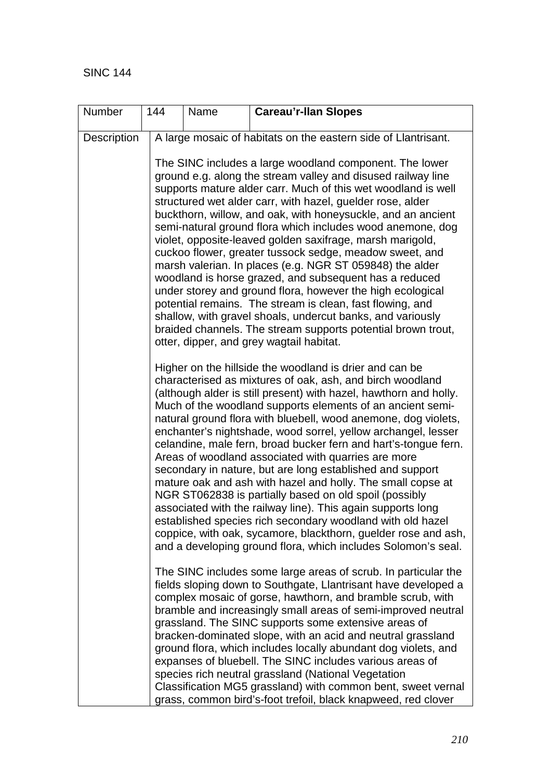| Number             | 144 | Name                                                                                                                                                                                                                                                                                                                                                                                                                                                                                                                                                                                                                                                                                                                                                                                                                                                                                                                                                                       | <b>Careau'r-Ilan Slopes</b>                                                                                                                                                                                                                                                                                                                                                                                                                                                                                                                                                                                                                                                                                                                                                                                                                                                                                                             |  |  |  |  |  |  |
|--------------------|-----|----------------------------------------------------------------------------------------------------------------------------------------------------------------------------------------------------------------------------------------------------------------------------------------------------------------------------------------------------------------------------------------------------------------------------------------------------------------------------------------------------------------------------------------------------------------------------------------------------------------------------------------------------------------------------------------------------------------------------------------------------------------------------------------------------------------------------------------------------------------------------------------------------------------------------------------------------------------------------|-----------------------------------------------------------------------------------------------------------------------------------------------------------------------------------------------------------------------------------------------------------------------------------------------------------------------------------------------------------------------------------------------------------------------------------------------------------------------------------------------------------------------------------------------------------------------------------------------------------------------------------------------------------------------------------------------------------------------------------------------------------------------------------------------------------------------------------------------------------------------------------------------------------------------------------------|--|--|--|--|--|--|
| <b>Description</b> |     |                                                                                                                                                                                                                                                                                                                                                                                                                                                                                                                                                                                                                                                                                                                                                                                                                                                                                                                                                                            | A large mosaic of habitats on the eastern side of Llantrisant.                                                                                                                                                                                                                                                                                                                                                                                                                                                                                                                                                                                                                                                                                                                                                                                                                                                                          |  |  |  |  |  |  |
|                    |     |                                                                                                                                                                                                                                                                                                                                                                                                                                                                                                                                                                                                                                                                                                                                                                                                                                                                                                                                                                            | The SINC includes a large woodland component. The lower<br>ground e.g. along the stream valley and disused railway line<br>supports mature alder carr. Much of this wet woodland is well<br>structured wet alder carr, with hazel, guelder rose, alder<br>buckthorn, willow, and oak, with honeysuckle, and an ancient<br>semi-natural ground flora which includes wood anemone, dog<br>violet, opposite-leaved golden saxifrage, marsh marigold,<br>cuckoo flower, greater tussock sedge, meadow sweet, and<br>marsh valerian. In places (e.g. NGR ST 059848) the alder<br>woodland is horse grazed, and subsequent has a reduced<br>under storey and ground flora, however the high ecological<br>potential remains. The stream is clean, fast flowing, and<br>shallow, with gravel shoals, undercut banks, and variously<br>braided channels. The stream supports potential brown trout,<br>otter, dipper, and grey wagtail habitat. |  |  |  |  |  |  |
|                    |     | Higher on the hillside the woodland is drier and can be<br>characterised as mixtures of oak, ash, and birch woodland<br>(although alder is still present) with hazel, hawthorn and holly.<br>Much of the woodland supports elements of an ancient semi-<br>natural ground flora with bluebell, wood anemone, dog violets,<br>enchanter's nightshade, wood sorrel, yellow archangel, lesser<br>celandine, male fern, broad bucker fern and hart's-tongue fern.<br>Areas of woodland associated with quarries are more<br>secondary in nature, but are long established and support<br>mature oak and ash with hazel and holly. The small copse at<br>NGR ST062838 is partially based on old spoil (possibly<br>associated with the railway line). This again supports long<br>established species rich secondary woodland with old hazel<br>coppice, with oak, sycamore, blackthorn, guelder rose and ash,<br>and a developing ground flora, which includes Solomon's seal. |                                                                                                                                                                                                                                                                                                                                                                                                                                                                                                                                                                                                                                                                                                                                                                                                                                                                                                                                         |  |  |  |  |  |  |
|                    |     |                                                                                                                                                                                                                                                                                                                                                                                                                                                                                                                                                                                                                                                                                                                                                                                                                                                                                                                                                                            | The SINC includes some large areas of scrub. In particular the<br>fields sloping down to Southgate, Llantrisant have developed a<br>complex mosaic of gorse, hawthorn, and bramble scrub, with<br>bramble and increasingly small areas of semi-improved neutral<br>grassland. The SINC supports some extensive areas of<br>bracken-dominated slope, with an acid and neutral grassland<br>ground flora, which includes locally abundant dog violets, and<br>expanses of bluebell. The SINC includes various areas of<br>species rich neutral grassland (National Vegetation<br>Classification MG5 grassland) with common bent, sweet vernal<br>grass, common bird's-foot trefoil, black knapweed, red clover                                                                                                                                                                                                                            |  |  |  |  |  |  |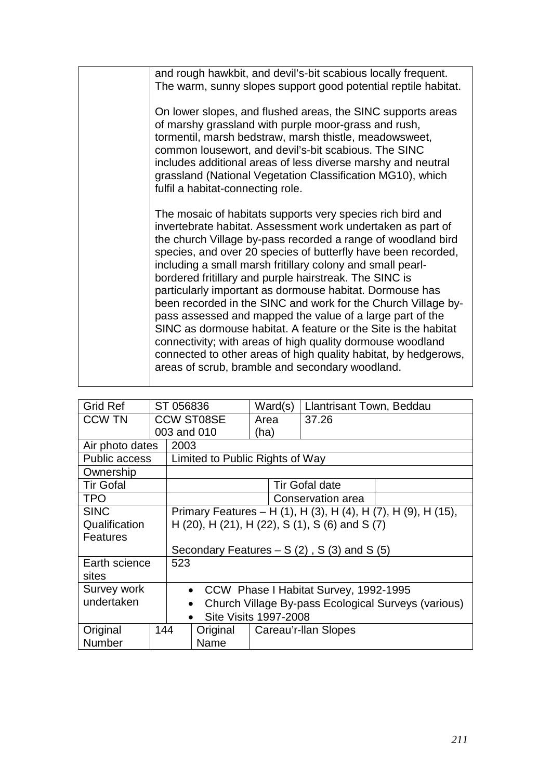| and rough hawkbit, and devil's-bit scabious locally frequent.<br>The warm, sunny slopes support good potential reptile habitat.                                                                                                                                                                                                                                                                                                                                                                                                                                                                                                                                                                                                                                                                                                    |
|------------------------------------------------------------------------------------------------------------------------------------------------------------------------------------------------------------------------------------------------------------------------------------------------------------------------------------------------------------------------------------------------------------------------------------------------------------------------------------------------------------------------------------------------------------------------------------------------------------------------------------------------------------------------------------------------------------------------------------------------------------------------------------------------------------------------------------|
| On lower slopes, and flushed areas, the SINC supports areas<br>of marshy grassland with purple moor-grass and rush,<br>tormentil, marsh bedstraw, marsh thistle, meadowsweet,<br>common lousewort, and devil's-bit scabious. The SINC<br>includes additional areas of less diverse marshy and neutral<br>grassland (National Vegetation Classification MG10), which<br>fulfil a habitat-connecting role.                                                                                                                                                                                                                                                                                                                                                                                                                           |
| The mosaic of habitats supports very species rich bird and<br>invertebrate habitat. Assessment work undertaken as part of<br>the church Village by-pass recorded a range of woodland bird<br>species, and over 20 species of butterfly have been recorded,<br>including a small marsh fritillary colony and small pearl-<br>bordered fritillary and purple hairstreak. The SINC is<br>particularly important as dormouse habitat. Dormouse has<br>been recorded in the SINC and work for the Church Village by-<br>pass assessed and mapped the value of a large part of the<br>SINC as dormouse habitat. A feature or the Site is the habitat<br>connectivity; with areas of high quality dormouse woodland<br>connected to other areas of high quality habitat, by hedgerows,<br>areas of scrub, bramble and secondary woodland. |

| <b>Grid Ref</b>      |     | ST 056836                                           |                   | Ward(s)                                                       | Llantrisant Town, Beddau |  |  |  |
|----------------------|-----|-----------------------------------------------------|-------------------|---------------------------------------------------------------|--------------------------|--|--|--|
| <b>CCW TN</b>        |     |                                                     | <b>CCW ST08SE</b> | Area                                                          | 37.26                    |  |  |  |
|                      |     |                                                     | 003 and 010       | (ha)                                                          |                          |  |  |  |
| Air photo dates      |     | 2003                                                |                   |                                                               |                          |  |  |  |
| <b>Public access</b> |     | Limited to Public Rights of Way                     |                   |                                                               |                          |  |  |  |
| Ownership            |     |                                                     |                   |                                                               |                          |  |  |  |
| <b>Tir Gofal</b>     |     |                                                     |                   |                                                               | <b>Tir Gofal date</b>    |  |  |  |
| <b>TPO</b>           |     |                                                     |                   |                                                               | Conservation area        |  |  |  |
| <b>SINC</b>          |     |                                                     |                   | Primary Features – H (1), H (3), H (4), H (7), H (9), H (15), |                          |  |  |  |
| Qualification        |     | H (20), H (21), H (22), S (1), S (6) and S (7)      |                   |                                                               |                          |  |  |  |
| Features             |     |                                                     |                   |                                                               |                          |  |  |  |
|                      |     | Secondary Features $- S(2)$ , S(3) and S(5)         |                   |                                                               |                          |  |  |  |
| Earth science        |     | 523                                                 |                   |                                                               |                          |  |  |  |
| sites                |     |                                                     |                   |                                                               |                          |  |  |  |
| Survey work          |     | CCW Phase I Habitat Survey, 1992-1995<br>$\bullet$  |                   |                                                               |                          |  |  |  |
| undertaken           |     | Church Village By-pass Ecological Surveys (various) |                   |                                                               |                          |  |  |  |
|                      |     | <b>Site Visits 1997-2008</b>                        |                   |                                                               |                          |  |  |  |
| Original             | 144 |                                                     | Original          | Careau'r-llan Slopes                                          |                          |  |  |  |
| <b>Number</b>        |     |                                                     | Name              |                                                               |                          |  |  |  |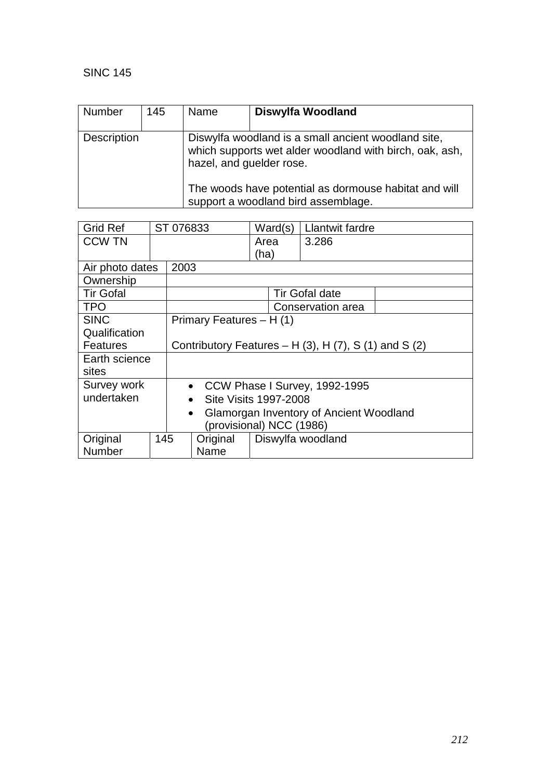| Number             | 145 | <b>Name</b>              | Diswylfa Woodland                                                                                                                                                                                              |
|--------------------|-----|--------------------------|----------------------------------------------------------------------------------------------------------------------------------------------------------------------------------------------------------------|
| <b>Description</b> |     | hazel, and guelder rose. | Diswylfa woodland is a small ancient woodland site,<br>which supports wet alder woodland with birch, oak, ash,<br>The woods have potential as dormouse habitat and will<br>support a woodland bird assemblage. |

| <b>Grid Ref</b>  |                          | ST 076833                                                       |                          |      | Ward(s) | Llantwit fardre   |  |
|------------------|--------------------------|-----------------------------------------------------------------|--------------------------|------|---------|-------------------|--|
| <b>CCW TN</b>    |                          |                                                                 |                          | Area |         | 3.286             |  |
|                  |                          |                                                                 |                          | (ha) |         |                   |  |
| Air photo dates  |                          | 2003                                                            |                          |      |         |                   |  |
| Ownership        |                          |                                                                 |                          |      |         |                   |  |
| <b>Tir Gofal</b> |                          |                                                                 | <b>Tir Gofal date</b>    |      |         |                   |  |
| <b>TPO</b>       |                          |                                                                 | Conservation area        |      |         |                   |  |
| <b>SINC</b>      |                          |                                                                 | Primary Features - H (1) |      |         |                   |  |
| Qualification    |                          |                                                                 |                          |      |         |                   |  |
| <b>Features</b>  |                          | Contributory Features – H $(3)$ , H $(7)$ , S $(1)$ and S $(2)$ |                          |      |         |                   |  |
| Earth science    |                          |                                                                 |                          |      |         |                   |  |
| sites            |                          |                                                                 |                          |      |         |                   |  |
| Survey work      |                          | CCW Phase I Survey, 1992-1995<br>$\bullet$                      |                          |      |         |                   |  |
| undertaken       |                          | Site Visits 1997-2008<br>$\bullet$                              |                          |      |         |                   |  |
|                  |                          | Glamorgan Inventory of Ancient Woodland<br>$\bullet$            |                          |      |         |                   |  |
|                  | (provisional) NCC (1986) |                                                                 |                          |      |         |                   |  |
| Original         | 145                      |                                                                 | Original                 |      |         | Diswylfa woodland |  |
| Number           |                          |                                                                 | Name                     |      |         |                   |  |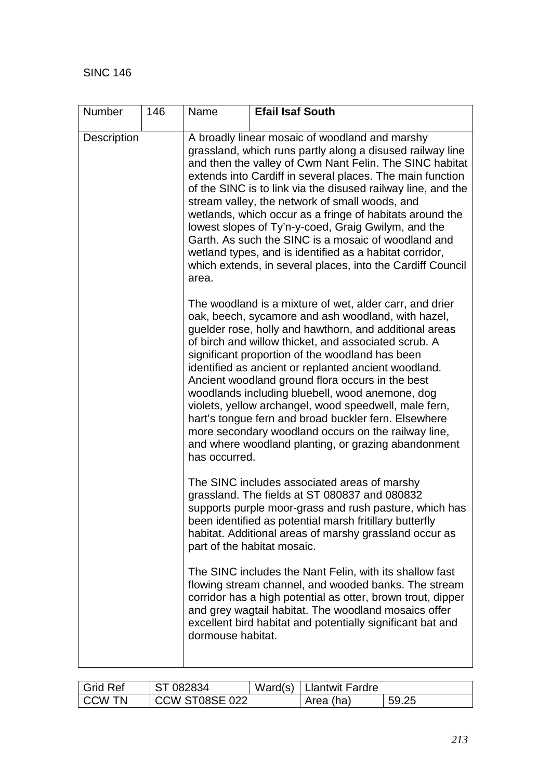| <b>Number</b>      | 146 | Name                                                                                                                                                                                                                                                                                                                                                                                                                                                                                                                                                                                                                                                                                              | <b>Efail Isaf South</b>                                                                                                                                                                                                                                                                                     |  |
|--------------------|-----|---------------------------------------------------------------------------------------------------------------------------------------------------------------------------------------------------------------------------------------------------------------------------------------------------------------------------------------------------------------------------------------------------------------------------------------------------------------------------------------------------------------------------------------------------------------------------------------------------------------------------------------------------------------------------------------------------|-------------------------------------------------------------------------------------------------------------------------------------------------------------------------------------------------------------------------------------------------------------------------------------------------------------|--|
| <b>Description</b> |     | A broadly linear mosaic of woodland and marshy<br>grassland, which runs partly along a disused railway line<br>and then the valley of Cwm Nant Felin. The SINC habitat<br>extends into Cardiff in several places. The main function<br>of the SINC is to link via the disused railway line, and the<br>stream valley, the network of small woods, and<br>wetlands, which occur as a fringe of habitats around the<br>lowest slopes of Ty'n-y-coed, Graig Gwilym, and the<br>Garth. As such the SINC is a mosaic of woodland and<br>wetland types, and is identified as a habitat corridor,<br>which extends, in several places, into the Cardiff Council<br>area.                                 |                                                                                                                                                                                                                                                                                                             |  |
|                    |     | The woodland is a mixture of wet, alder carr, and drier<br>oak, beech, sycamore and ash woodland, with hazel,<br>guelder rose, holly and hawthorn, and additional areas<br>of birch and willow thicket, and associated scrub. A<br>significant proportion of the woodland has been<br>identified as ancient or replanted ancient woodland.<br>Ancient woodland ground flora occurs in the best<br>woodlands including bluebell, wood anemone, dog<br>violets, yellow archangel, wood speedwell, male fern,<br>hart's tongue fern and broad buckler fern. Elsewhere<br>more secondary woodland occurs on the railway line,<br>and where woodland planting, or grazing abandonment<br>has occurred. |                                                                                                                                                                                                                                                                                                             |  |
|                    |     |                                                                                                                                                                                                                                                                                                                                                                                                                                                                                                                                                                                                                                                                                                   | The SINC includes associated areas of marshy<br>grassland. The fields at ST 080837 and 080832<br>supports purple moor-grass and rush pasture, which has<br>been identified as potential marsh fritillary butterfly<br>habitat. Additional areas of marshy grassland occur as<br>part of the habitat mosaic. |  |
|                    |     | dormouse habitat.                                                                                                                                                                                                                                                                                                                                                                                                                                                                                                                                                                                                                                                                                 | The SINC includes the Nant Felin, with its shallow fast<br>flowing stream channel, and wooded banks. The stream<br>corridor has a high potential as otter, brown trout, dipper<br>and grey wagtail habitat. The woodland mosaics offer<br>excellent bird habitat and potentially significant bat and        |  |

| I Grid Ref | ST 082834      | Ward(s)   Llantwit Fardre |       |
|------------|----------------|---------------------------|-------|
| I CCW TN   | CCW ST08SE 022 | Area (ha)                 | 59.25 |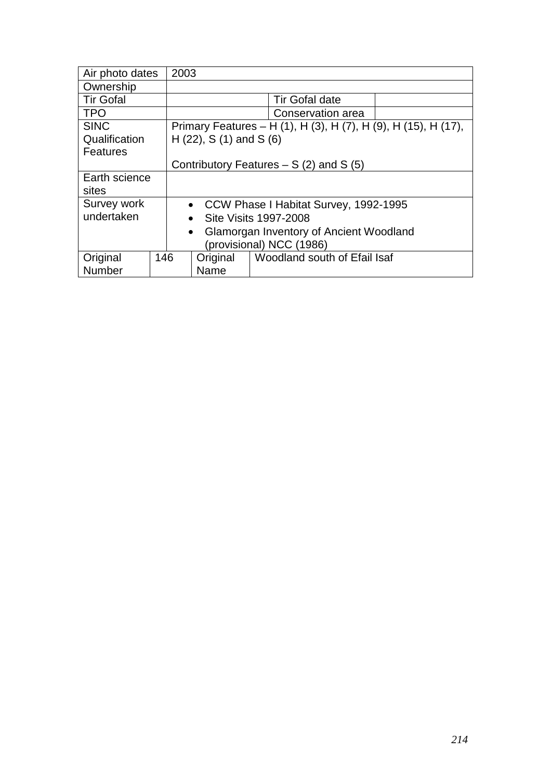| Air photo dates  |     | 2003                                                           |                              |  |  |
|------------------|-----|----------------------------------------------------------------|------------------------------|--|--|
| Ownership        |     |                                                                |                              |  |  |
| <b>Tir Gofal</b> |     |                                                                | <b>Tir Gofal date</b>        |  |  |
| <b>TPO</b>       |     |                                                                | Conservation area            |  |  |
| <b>SINC</b>      |     | Primary Features – H (1), H (3), H (7), H (9), H (15), H (17), |                              |  |  |
| Qualification    |     | $H(22)$ , S (1) and S (6)                                      |                              |  |  |
| <b>Features</b>  |     |                                                                |                              |  |  |
|                  |     | Contributory Features $- S(2)$ and S(5)                        |                              |  |  |
| Earth science    |     |                                                                |                              |  |  |
| sites            |     |                                                                |                              |  |  |
| Survey work      |     | • CCW Phase I Habitat Survey, 1992-1995                        |                              |  |  |
| undertaken       |     | Site Visits 1997-2008<br>$\bullet$                             |                              |  |  |
|                  |     | Glamorgan Inventory of Ancient Woodland<br>$\bullet$           |                              |  |  |
|                  |     | (provisional) NCC (1986)                                       |                              |  |  |
| Original         | 146 | Original                                                       | Woodland south of Efail Isaf |  |  |
| Number           |     | Name                                                           |                              |  |  |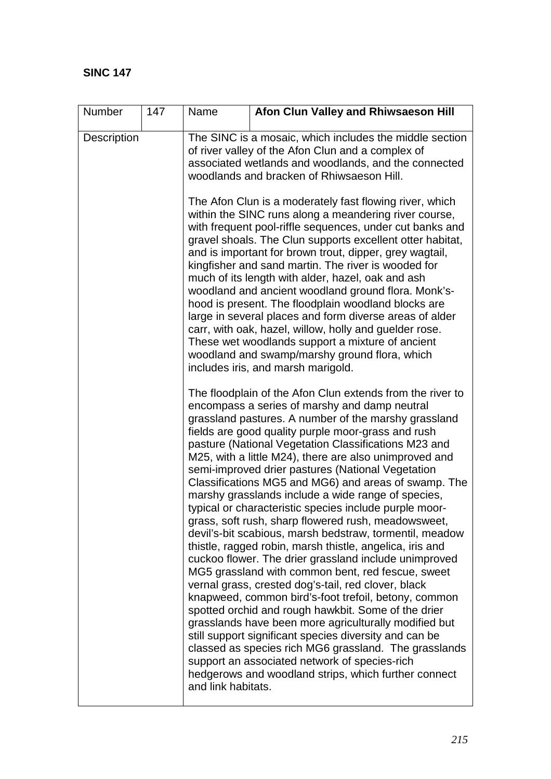| <b>Number</b>      | 147 | Name                                                                                                                                                                                                                                                                                                                                                                                                                                                                                                                                                                                                                                                                                                                                                                                                                                                                                                                                                                                                                                                                                                                                                                                                                                                                                                                                                 | Afon Clun Valley and Rhiwsaeson Hill                                                                                                                                                                                                                                                                                                                                                                                                                                                                                                                                                                                                                                                                                                                                                           |  |  |
|--------------------|-----|------------------------------------------------------------------------------------------------------------------------------------------------------------------------------------------------------------------------------------------------------------------------------------------------------------------------------------------------------------------------------------------------------------------------------------------------------------------------------------------------------------------------------------------------------------------------------------------------------------------------------------------------------------------------------------------------------------------------------------------------------------------------------------------------------------------------------------------------------------------------------------------------------------------------------------------------------------------------------------------------------------------------------------------------------------------------------------------------------------------------------------------------------------------------------------------------------------------------------------------------------------------------------------------------------------------------------------------------------|------------------------------------------------------------------------------------------------------------------------------------------------------------------------------------------------------------------------------------------------------------------------------------------------------------------------------------------------------------------------------------------------------------------------------------------------------------------------------------------------------------------------------------------------------------------------------------------------------------------------------------------------------------------------------------------------------------------------------------------------------------------------------------------------|--|--|
| <b>Description</b> |     | The SINC is a mosaic, which includes the middle section<br>of river valley of the Afon Clun and a complex of<br>associated wetlands and woodlands, and the connected<br>woodlands and bracken of Rhiwsaeson Hill.                                                                                                                                                                                                                                                                                                                                                                                                                                                                                                                                                                                                                                                                                                                                                                                                                                                                                                                                                                                                                                                                                                                                    |                                                                                                                                                                                                                                                                                                                                                                                                                                                                                                                                                                                                                                                                                                                                                                                                |  |  |
|                    |     |                                                                                                                                                                                                                                                                                                                                                                                                                                                                                                                                                                                                                                                                                                                                                                                                                                                                                                                                                                                                                                                                                                                                                                                                                                                                                                                                                      | The Afon Clun is a moderately fast flowing river, which<br>within the SINC runs along a meandering river course,<br>with frequent pool-riffle sequences, under cut banks and<br>gravel shoals. The Clun supports excellent otter habitat,<br>and is important for brown trout, dipper, grey wagtail,<br>kingfisher and sand martin. The river is wooded for<br>much of its length with alder, hazel, oak and ash<br>woodland and ancient woodland ground flora. Monk's-<br>hood is present. The floodplain woodland blocks are<br>large in several places and form diverse areas of alder<br>carr, with oak, hazel, willow, holly and guelder rose.<br>These wet woodlands support a mixture of ancient<br>woodland and swamp/marshy ground flora, which<br>includes iris, and marsh marigold. |  |  |
|                    |     | The floodplain of the Afon Clun extends from the river to<br>encompass a series of marshy and damp neutral<br>grassland pastures. A number of the marshy grassland<br>fields are good quality purple moor-grass and rush<br>pasture (National Vegetation Classifications M23 and<br>M25, with a little M24), there are also unimproved and<br>semi-improved drier pastures (National Vegetation<br>Classifications MG5 and MG6) and areas of swamp. The<br>marshy grasslands include a wide range of species,<br>typical or characteristic species include purple moor-<br>grass, soft rush, sharp flowered rush, meadowsweet,<br>devil's-bit scabious, marsh bedstraw, tormentil, meadow<br>thistle, ragged robin, marsh thistle, angelica, iris and<br>cuckoo flower. The drier grassland include unimproved<br>MG5 grassland with common bent, red fescue, sweet<br>vernal grass, crested dog's-tail, red clover, black<br>knapweed, common bird's-foot trefoil, betony, common<br>spotted orchid and rough hawkbit. Some of the drier<br>grasslands have been more agriculturally modified but<br>still support significant species diversity and can be<br>classed as species rich MG6 grassland. The grasslands<br>support an associated network of species-rich<br>hedgerows and woodland strips, which further connect<br>and link habitats. |                                                                                                                                                                                                                                                                                                                                                                                                                                                                                                                                                                                                                                                                                                                                                                                                |  |  |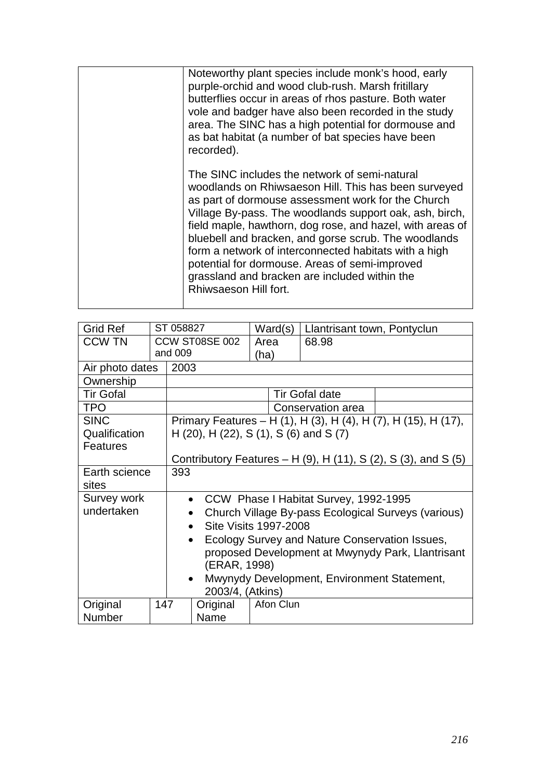| Noteworthy plant species include monk's hood, early<br>purple-orchid and wood club-rush. Marsh fritillary<br>butterflies occur in areas of rhos pasture. Both water<br>vole and badger have also been recorded in the study<br>area. The SINC has a high potential for dormouse and<br>as bat habitat (a number of bat species have been<br>recorded).                                                                                                                                                                           |
|----------------------------------------------------------------------------------------------------------------------------------------------------------------------------------------------------------------------------------------------------------------------------------------------------------------------------------------------------------------------------------------------------------------------------------------------------------------------------------------------------------------------------------|
| The SINC includes the network of semi-natural<br>woodlands on Rhiwsaeson Hill. This has been surveyed<br>as part of dormouse assessment work for the Church<br>Village By-pass. The woodlands support oak, ash, birch,<br>field maple, hawthorn, dog rose, and hazel, with areas of<br>bluebell and bracken, and gorse scrub. The woodlands<br>form a network of interconnected habitats with a high<br>potential for dormouse. Areas of semi-improved<br>grassland and bracken are included within the<br>Rhiwsaeson Hill fort. |

| <b>Grid Ref</b>  |                                             | ST 058827                                                   |           | Ward(s)   |  | Llantrisant town, Pontyclun           |                                                                |
|------------------|---------------------------------------------|-------------------------------------------------------------|-----------|-----------|--|---------------------------------------|----------------------------------------------------------------|
| <b>CCW TN</b>    |                                             | CCW ST08SE 002                                              |           | Area      |  | 68.98                                 |                                                                |
|                  |                                             | and 009                                                     |           | (ha)      |  |                                       |                                                                |
| Air photo dates  |                                             | 2003                                                        |           |           |  |                                       |                                                                |
| Ownership        |                                             |                                                             |           |           |  |                                       |                                                                |
| <b>Tir Gofal</b> |                                             |                                                             |           |           |  | <b>Tir Gofal date</b>                 |                                                                |
| <b>TPO</b>       |                                             |                                                             |           |           |  | Conservation area                     |                                                                |
| <b>SINC</b>      |                                             |                                                             |           |           |  |                                       | Primary Features - H (1), H (3), H (4), H (7), H (15), H (17), |
| Qualification    |                                             | H (20), H (22), S (1), S (6) and S (7)                      |           |           |  |                                       |                                                                |
| <b>Features</b>  |                                             |                                                             |           |           |  |                                       |                                                                |
|                  |                                             |                                                             |           |           |  |                                       | Contributory Features - H (9), H (11), S (2), S (3), and S (5) |
|                  | Earth science<br>393                        |                                                             |           |           |  |                                       |                                                                |
| sites            |                                             |                                                             |           |           |  |                                       |                                                                |
| Survey work      |                                             |                                                             | $\bullet$ |           |  | CCW Phase I Habitat Survey, 1992-1995 |                                                                |
| undertaken       |                                             |                                                             | $\bullet$ |           |  |                                       | Church Village By-pass Ecological Surveys (various)            |
|                  |                                             | <b>Site Visits 1997-2008</b>                                |           |           |  |                                       |                                                                |
|                  |                                             | Ecology Survey and Nature Conservation Issues,<br>$\bullet$ |           |           |  |                                       |                                                                |
|                  |                                             | proposed Development at Mwynydy Park, Llantrisant           |           |           |  |                                       |                                                                |
|                  | (ERAR, 1998)                                |                                                             |           |           |  |                                       |                                                                |
|                  | Mwynydy Development, Environment Statement, |                                                             |           |           |  |                                       |                                                                |
|                  |                                             | 2003/4, (Atkins)                                            |           |           |  |                                       |                                                                |
| Original         | 147                                         |                                                             | Original  | Afon Clun |  |                                       |                                                                |
| Number           |                                             |                                                             | Name      |           |  |                                       |                                                                |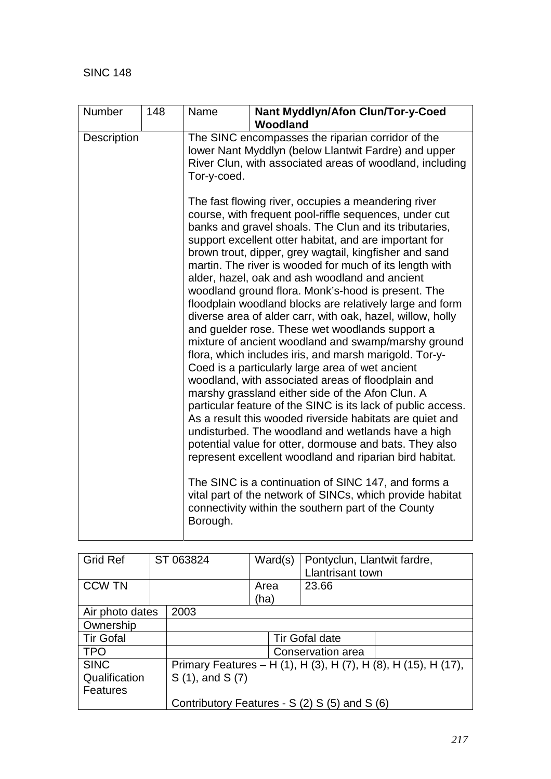| Number      | 148 | Name        | Nant Myddlyn/Afon Clun/Tor-y-Coed<br>Woodland                                                                                                                                                                                                                                                                                                                                                                                                                                                                                                                                                                                                                                                                                                                                                                                                                                                                                                                                                                                                                                                                                                                                                                                                                                                                                                                                                                |
|-------------|-----|-------------|--------------------------------------------------------------------------------------------------------------------------------------------------------------------------------------------------------------------------------------------------------------------------------------------------------------------------------------------------------------------------------------------------------------------------------------------------------------------------------------------------------------------------------------------------------------------------------------------------------------------------------------------------------------------------------------------------------------------------------------------------------------------------------------------------------------------------------------------------------------------------------------------------------------------------------------------------------------------------------------------------------------------------------------------------------------------------------------------------------------------------------------------------------------------------------------------------------------------------------------------------------------------------------------------------------------------------------------------------------------------------------------------------------------|
| Description |     | Tor-y-coed. | The SINC encompasses the riparian corridor of the<br>lower Nant Myddlyn (below Llantwit Fardre) and upper<br>River Clun, with associated areas of woodland, including                                                                                                                                                                                                                                                                                                                                                                                                                                                                                                                                                                                                                                                                                                                                                                                                                                                                                                                                                                                                                                                                                                                                                                                                                                        |
|             |     | Borough.    | The fast flowing river, occupies a meandering river<br>course, with frequent pool-riffle sequences, under cut<br>banks and gravel shoals. The Clun and its tributaries,<br>support excellent otter habitat, and are important for<br>brown trout, dipper, grey wagtail, kingfisher and sand<br>martin. The river is wooded for much of its length with<br>alder, hazel, oak and ash woodland and ancient<br>woodland ground flora. Monk's-hood is present. The<br>floodplain woodland blocks are relatively large and form<br>diverse area of alder carr, with oak, hazel, willow, holly<br>and guelder rose. These wet woodlands support a<br>mixture of ancient woodland and swamp/marshy ground<br>flora, which includes iris, and marsh marigold. Tor-y-<br>Coed is a particularly large area of wet ancient<br>woodland, with associated areas of floodplain and<br>marshy grassland either side of the Afon Clun. A<br>particular feature of the SINC is its lack of public access.<br>As a result this wooded riverside habitats are quiet and<br>undisturbed. The woodland and wetlands have a high<br>potential value for otter, dormouse and bats. They also<br>represent excellent woodland and riparian bird habitat.<br>The SINC is a continuation of SINC 147, and forms a<br>vital part of the network of SINCs, which provide habitat<br>connectivity within the southern part of the County |

| <b>Grid Ref</b>  | ST 063824                                                      | Ward(s) | Pontyclun, Llantwit fardre,                   |  |
|------------------|----------------------------------------------------------------|---------|-----------------------------------------------|--|
|                  |                                                                |         | Llantrisant town                              |  |
| <b>CCW TN</b>    |                                                                | Area    | 23.66                                         |  |
|                  |                                                                | (ha)    |                                               |  |
| Air photo dates  | 2003                                                           |         |                                               |  |
| Ownership        |                                                                |         |                                               |  |
| <b>Tir Gofal</b> |                                                                |         | <b>Tir Gofal date</b>                         |  |
| <b>TPO</b>       | Conservation area                                              |         |                                               |  |
| <b>SINC</b>      | Primary Features - H (1), H (3), H (7), H (8), H (15), H (17), |         |                                               |  |
| Qualification    | S (1), and S (7)                                               |         |                                               |  |
| <b>Features</b>  |                                                                |         |                                               |  |
|                  |                                                                |         | Contributory Features - S (2) S (5) and S (6) |  |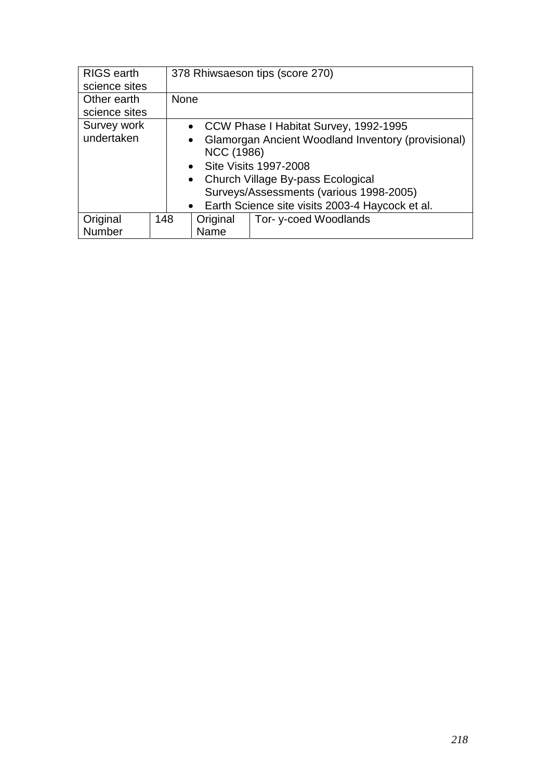| <b>RIGS</b> earth |             |                                                                 | 378 Rhiwsaeson tips (score 270)                   |  |  |
|-------------------|-------------|-----------------------------------------------------------------|---------------------------------------------------|--|--|
| science sites     |             |                                                                 |                                                   |  |  |
| Other earth       | <b>None</b> |                                                                 |                                                   |  |  |
| science sites     |             |                                                                 |                                                   |  |  |
| Survey work       |             |                                                                 | • CCW Phase I Habitat Survey, 1992-1995           |  |  |
| undertaken        |             | Glamorgan Ancient Woodland Inventory (provisional)<br>$\bullet$ |                                                   |  |  |
|                   |             | NCC (1986)                                                      |                                                   |  |  |
|                   |             | • Site Visits 1997-2008                                         |                                                   |  |  |
|                   |             |                                                                 | • Church Village By-pass Ecological               |  |  |
|                   |             | Surveys/Assessments (various 1998-2005)                         |                                                   |  |  |
|                   |             |                                                                 | • Earth Science site visits 2003-4 Haycock et al. |  |  |
| Original          | 148         | Original                                                        | Tor-y-coed Woodlands                              |  |  |
| Number            |             | Name                                                            |                                                   |  |  |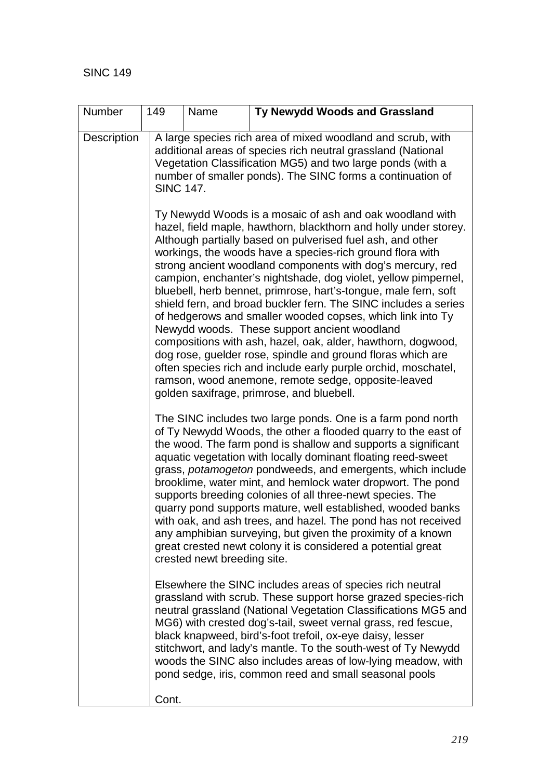| Number      | 149                                                                                                                                                                                                                                                                                                                                                                                                                                                                                                                                                                                                                                                                                                                                                   | Name                                                                                                                                                                                                                                                                        | Ty Newydd Woods and Grassland                                                                                                                                                                                                                                                                                                                                                                                                                                                                                                                                                                                                                                                                                                                                                                                                                                                                                                                    |  |  |  |  |  |  |
|-------------|-------------------------------------------------------------------------------------------------------------------------------------------------------------------------------------------------------------------------------------------------------------------------------------------------------------------------------------------------------------------------------------------------------------------------------------------------------------------------------------------------------------------------------------------------------------------------------------------------------------------------------------------------------------------------------------------------------------------------------------------------------|-----------------------------------------------------------------------------------------------------------------------------------------------------------------------------------------------------------------------------------------------------------------------------|--------------------------------------------------------------------------------------------------------------------------------------------------------------------------------------------------------------------------------------------------------------------------------------------------------------------------------------------------------------------------------------------------------------------------------------------------------------------------------------------------------------------------------------------------------------------------------------------------------------------------------------------------------------------------------------------------------------------------------------------------------------------------------------------------------------------------------------------------------------------------------------------------------------------------------------------------|--|--|--|--|--|--|
| Description |                                                                                                                                                                                                                                                                                                                                                                                                                                                                                                                                                                                                                                                                                                                                                       | A large species rich area of mixed woodland and scrub, with<br>additional areas of species rich neutral grassland (National<br>Vegetation Classification MG5) and two large ponds (with a<br>number of smaller ponds). The SINC forms a continuation of<br><b>SINC 147.</b> |                                                                                                                                                                                                                                                                                                                                                                                                                                                                                                                                                                                                                                                                                                                                                                                                                                                                                                                                                  |  |  |  |  |  |  |
|             |                                                                                                                                                                                                                                                                                                                                                                                                                                                                                                                                                                                                                                                                                                                                                       |                                                                                                                                                                                                                                                                             | Ty Newydd Woods is a mosaic of ash and oak woodland with<br>hazel, field maple, hawthorn, blackthorn and holly under storey.<br>Although partially based on pulverised fuel ash, and other<br>workings, the woods have a species-rich ground flora with<br>strong ancient woodland components with dog's mercury, red<br>campion, enchanter's nightshade, dog violet, yellow pimpernel,<br>bluebell, herb bennet, primrose, hart's-tongue, male fern, soft<br>shield fern, and broad buckler fern. The SINC includes a series<br>of hedgerows and smaller wooded copses, which link into Ty<br>Newydd woods. These support ancient woodland<br>compositions with ash, hazel, oak, alder, hawthorn, dogwood,<br>dog rose, guelder rose, spindle and ground floras which are<br>often species rich and include early purple orchid, moschatel,<br>ramson, wood anemone, remote sedge, opposite-leaved<br>golden saxifrage, primrose, and bluebell. |  |  |  |  |  |  |
|             | The SINC includes two large ponds. One is a farm pond north<br>of Ty Newydd Woods, the other a flooded quarry to the east of<br>the wood. The farm pond is shallow and supports a significant<br>aquatic vegetation with locally dominant floating reed-sweet<br>grass, potamogeton pondweeds, and emergents, which include<br>brooklime, water mint, and hemlock water dropwort. The pond<br>supports breeding colonies of all three-newt species. The<br>quarry pond supports mature, well established, wooded banks<br>with oak, and ash trees, and hazel. The pond has not received<br>any amphibian surveying, but given the proximity of a known<br>great crested newt colony it is considered a potential great<br>crested newt breeding site. |                                                                                                                                                                                                                                                                             |                                                                                                                                                                                                                                                                                                                                                                                                                                                                                                                                                                                                                                                                                                                                                                                                                                                                                                                                                  |  |  |  |  |  |  |
|             |                                                                                                                                                                                                                                                                                                                                                                                                                                                                                                                                                                                                                                                                                                                                                       |                                                                                                                                                                                                                                                                             | Elsewhere the SINC includes areas of species rich neutral<br>grassland with scrub. These support horse grazed species-rich<br>neutral grassland (National Vegetation Classifications MG5 and<br>MG6) with crested dog's-tail, sweet vernal grass, red fescue,<br>black knapweed, bird's-foot trefoil, ox-eye daisy, lesser<br>stitchwort, and lady's mantle. To the south-west of Ty Newydd<br>woods the SINC also includes areas of low-lying meadow, with<br>pond sedge, iris, common reed and small seasonal pools                                                                                                                                                                                                                                                                                                                                                                                                                            |  |  |  |  |  |  |
|             | Cont.                                                                                                                                                                                                                                                                                                                                                                                                                                                                                                                                                                                                                                                                                                                                                 |                                                                                                                                                                                                                                                                             |                                                                                                                                                                                                                                                                                                                                                                                                                                                                                                                                                                                                                                                                                                                                                                                                                                                                                                                                                  |  |  |  |  |  |  |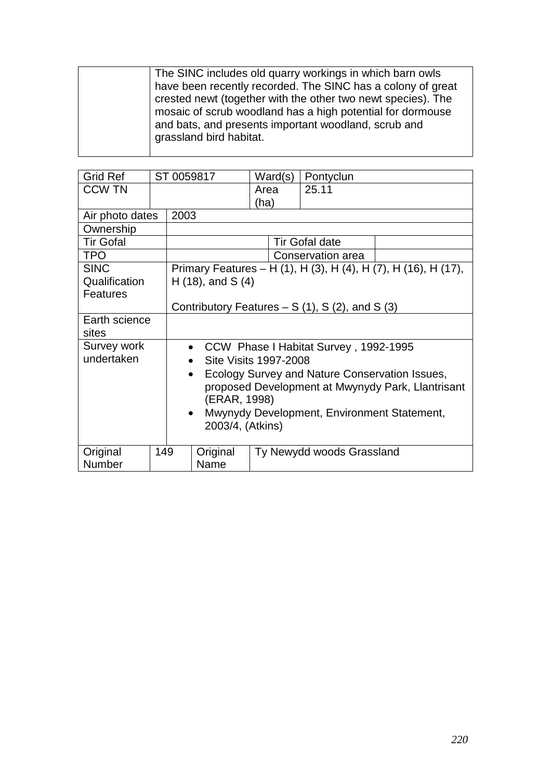|  | The SINC includes old quarry workings in which barn owls<br>have been recently recorded. The SINC has a colony of great<br>crested newt (together with the other two newt species). The<br>mosaic of scrub woodland has a high potential for dormouse<br>and bats, and presents important woodland, scrub and<br>grassland bird habitat. |
|--|------------------------------------------------------------------------------------------------------------------------------------------------------------------------------------------------------------------------------------------------------------------------------------------------------------------------------------------|
|--|------------------------------------------------------------------------------------------------------------------------------------------------------------------------------------------------------------------------------------------------------------------------------------------------------------------------------------------|

| <b>Grid Ref</b>                                          |              |                                                    | ST 0059817            | Ward(s)               | Pontyclun                                       |                                                                |  |  |
|----------------------------------------------------------|--------------|----------------------------------------------------|-----------------------|-----------------------|-------------------------------------------------|----------------------------------------------------------------|--|--|
| <b>CCW TN</b>                                            |              |                                                    |                       | Area                  | 25.11                                           |                                                                |  |  |
|                                                          |              |                                                    |                       | (ha)                  |                                                 |                                                                |  |  |
| Air photo dates                                          |              | 2003                                               |                       |                       |                                                 |                                                                |  |  |
| Ownership                                                |              |                                                    |                       |                       |                                                 |                                                                |  |  |
| <b>Tir Gofal</b>                                         |              |                                                    |                       |                       | <b>Tir Gofal date</b>                           |                                                                |  |  |
| <b>TPO</b>                                               |              |                                                    |                       |                       | Conservation area                               |                                                                |  |  |
| <b>SINC</b>                                              |              |                                                    |                       |                       |                                                 | Primary Features - H (1), H (3), H (4), H (7), H (16), H (17), |  |  |
| Qualification                                            |              |                                                    | $H(18)$ , and S $(4)$ |                       |                                                 |                                                                |  |  |
| <b>Features</b>                                          |              |                                                    |                       |                       |                                                 |                                                                |  |  |
|                                                          |              |                                                    |                       |                       | Contributory Features $- S(1)$ , S(2), and S(3) |                                                                |  |  |
| Earth science                                            |              |                                                    |                       |                       |                                                 |                                                                |  |  |
| sites                                                    |              |                                                    |                       |                       |                                                 |                                                                |  |  |
| Survey work                                              |              | CCW Phase I Habitat Survey, 1992-1995<br>$\bullet$ |                       |                       |                                                 |                                                                |  |  |
| undertaken                                               |              |                                                    |                       | Site Visits 1997-2008 |                                                 |                                                                |  |  |
|                                                          |              | $\bullet$                                          |                       |                       |                                                 | Ecology Survey and Nature Conservation Issues,                 |  |  |
|                                                          |              |                                                    |                       |                       |                                                 | proposed Development at Mwynydy Park, Llantrisant              |  |  |
|                                                          | (ERAR, 1998) |                                                    |                       |                       |                                                 |                                                                |  |  |
| Mwynydy Development, Environment Statement,<br>$\bullet$ |              |                                                    |                       |                       |                                                 |                                                                |  |  |
|                                                          |              | 2003/4, (Atkins)                                   |                       |                       |                                                 |                                                                |  |  |
|                                                          |              |                                                    |                       |                       |                                                 |                                                                |  |  |
| Original                                                 | 149          |                                                    | Original              |                       | Ty Newydd woods Grassland                       |                                                                |  |  |
| Number                                                   |              |                                                    | Name                  |                       |                                                 |                                                                |  |  |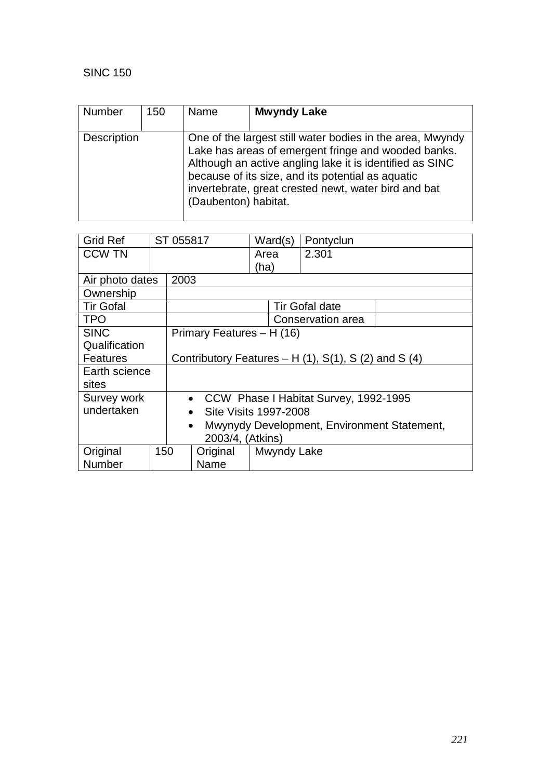| <b>Number</b> | 150 | Name                 | <b>Mwyndy Lake</b>                                                                                                                                                                                                                                                                        |
|---------------|-----|----------------------|-------------------------------------------------------------------------------------------------------------------------------------------------------------------------------------------------------------------------------------------------------------------------------------------|
| Description   |     | (Daubenton) habitat. | One of the largest still water bodies in the area, Mwyndy<br>Lake has areas of emergent fringe and wooded banks.<br>Although an active angling lake it is identified as SINC<br>because of its size, and its potential as aquatic<br>invertebrate, great crested newt, water bird and bat |

| <b>Grid Ref</b>                                          |     | ST 055817 |                                    | Ward(s)     | Pontyclun                                              |  |
|----------------------------------------------------------|-----|-----------|------------------------------------|-------------|--------------------------------------------------------|--|
| <b>CCW TN</b>                                            |     |           |                                    | Area        | 2.301                                                  |  |
|                                                          |     |           |                                    | (ha)        |                                                        |  |
| Air photo dates                                          |     | 2003      |                                    |             |                                                        |  |
| Ownership                                                |     |           |                                    |             |                                                        |  |
| <b>Tir Gofal</b>                                         |     |           |                                    |             | <b>Tir Gofal date</b>                                  |  |
| <b>TPO</b>                                               |     |           |                                    |             | Conservation area                                      |  |
| <b>SINC</b>                                              |     |           | Primary Features - H (16)          |             |                                                        |  |
| Qualification                                            |     |           |                                    |             |                                                        |  |
| Features                                                 |     |           |                                    |             | Contributory Features $- H(1)$ , S(1), S (2) and S (4) |  |
| Earth science                                            |     |           |                                    |             |                                                        |  |
| sites                                                    |     |           |                                    |             |                                                        |  |
| Survey work                                              |     |           | $\bullet$                          |             | CCW Phase I Habitat Survey, 1992-1995                  |  |
| undertaken                                               |     |           | Site Visits 1997-2008<br>$\bullet$ |             |                                                        |  |
| Mwynydy Development, Environment Statement,<br>$\bullet$ |     |           |                                    |             |                                                        |  |
| 2003/4, (Atkins)                                         |     |           |                                    |             |                                                        |  |
| Original                                                 | 150 |           | Original                           | Mwyndy Lake |                                                        |  |
| <b>Number</b>                                            |     |           | Name                               |             |                                                        |  |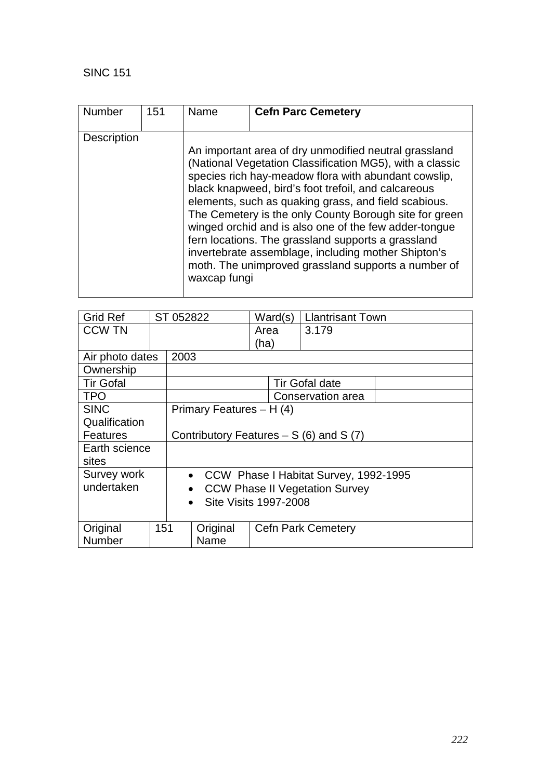| Number             | 151 | Name         | <b>Cefn Parc Cemetery</b>                                                                                                                                                                                                                                                                                                                                                                                                                                                                                                                                                       |
|--------------------|-----|--------------|---------------------------------------------------------------------------------------------------------------------------------------------------------------------------------------------------------------------------------------------------------------------------------------------------------------------------------------------------------------------------------------------------------------------------------------------------------------------------------------------------------------------------------------------------------------------------------|
|                    |     |              |                                                                                                                                                                                                                                                                                                                                                                                                                                                                                                                                                                                 |
| <b>Description</b> |     |              |                                                                                                                                                                                                                                                                                                                                                                                                                                                                                                                                                                                 |
|                    |     | waxcap fungi | An important area of dry unmodified neutral grassland<br>(National Vegetation Classification MG5), with a classic<br>species rich hay-meadow flora with abundant cowslip,<br>black knapweed, bird's foot trefoil, and calcareous<br>elements, such as quaking grass, and field scabious.<br>The Cemetery is the only County Borough site for green<br>winged orchid and is also one of the few adder-tongue<br>fern locations. The grassland supports a grassland<br>invertebrate assemblage, including mother Shipton's<br>moth. The unimproved grassland supports a number of |

| <b>Grid Ref</b>  |                                           | ST 052822 |                          | Ward(s) |  | <b>Llantrisant Town</b>                 |  |
|------------------|-------------------------------------------|-----------|--------------------------|---------|--|-----------------------------------------|--|
| <b>CCW TN</b>    |                                           |           |                          | Area    |  | 3.179                                   |  |
|                  |                                           |           |                          | (ha)    |  |                                         |  |
| Air photo dates  |                                           | 2003      |                          |         |  |                                         |  |
| Ownership        |                                           |           |                          |         |  |                                         |  |
| <b>Tir Gofal</b> |                                           |           |                          |         |  | <b>Tir Gofal date</b>                   |  |
| <b>TPO</b>       |                                           |           |                          |         |  | Conservation area                       |  |
| <b>SINC</b>      |                                           |           | Primary Features - H (4) |         |  |                                         |  |
| Qualification    |                                           |           |                          |         |  |                                         |  |
| <b>Features</b>  |                                           |           |                          |         |  | Contributory Features $- S(6)$ and S(7) |  |
| Earth science    |                                           |           |                          |         |  |                                         |  |
| sites            |                                           |           |                          |         |  |                                         |  |
| Survey work      |                                           |           |                          |         |  | • CCW Phase I Habitat Survey, 1992-1995 |  |
| undertaken       |                                           | $\bullet$ |                          |         |  | <b>CCW Phase II Vegetation Survey</b>   |  |
|                  | <b>Site Visits 1997-2008</b><br>$\bullet$ |           |                          |         |  |                                         |  |
|                  |                                           |           |                          |         |  |                                         |  |
| 151<br>Original  |                                           |           | Original                 |         |  | <b>Cefn Park Cemetery</b>               |  |
| Number           |                                           |           | Name                     |         |  |                                         |  |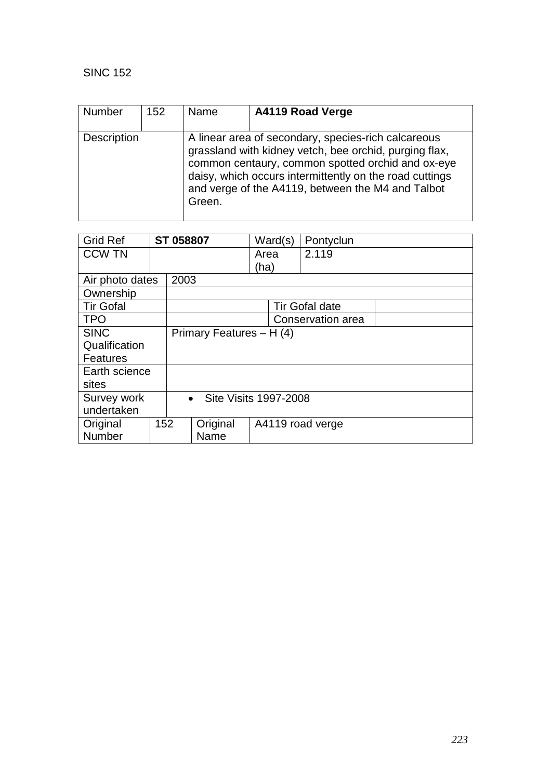| <b>Number</b>      | 152 | Name   | A4119 Road Verge                                                                                                                                                                                                                                                                   |
|--------------------|-----|--------|------------------------------------------------------------------------------------------------------------------------------------------------------------------------------------------------------------------------------------------------------------------------------------|
| <b>Description</b> |     | Green. | A linear area of secondary, species-rich calcareous<br>grassland with kidney vetch, bee orchid, purging flax,<br>common centaury, common spotted orchid and ox-eye<br>daisy, which occurs intermittently on the road cuttings<br>and verge of the A4119, between the M4 and Talbot |

| <b>Grid Ref</b>  |     | ST 058807                          |                          | Ward(s)          | Pontyclun             |
|------------------|-----|------------------------------------|--------------------------|------------------|-----------------------|
| <b>CCW TN</b>    |     |                                    |                          | Area             | 2.119                 |
|                  |     |                                    |                          | (ha)             |                       |
| Air photo dates  |     | 2003                               |                          |                  |                       |
| Ownership        |     |                                    |                          |                  |                       |
| <b>Tir Gofal</b> |     |                                    |                          |                  | <b>Tir Gofal date</b> |
| <b>TPO</b>       |     |                                    |                          |                  | Conservation area     |
| <b>SINC</b>      |     |                                    | Primary Features - H (4) |                  |                       |
| Qualification    |     |                                    |                          |                  |                       |
| <b>Features</b>  |     |                                    |                          |                  |                       |
| Earth science    |     |                                    |                          |                  |                       |
| sites            |     |                                    |                          |                  |                       |
| Survey work      |     | Site Visits 1997-2008<br>$\bullet$ |                          |                  |                       |
| undertaken       |     |                                    |                          |                  |                       |
| Original         | 152 |                                    | Original                 | A4119 road verge |                       |
| Number           |     |                                    | Name                     |                  |                       |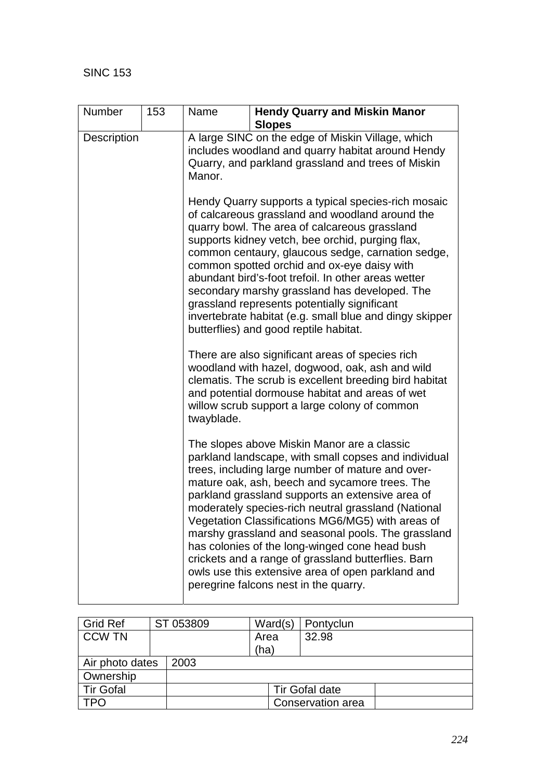| Number      | 153 | Name                                                                                                                                                                   | <b>Hendy Quarry and Miskin Manor</b><br><b>Slopes</b>                                                                                                                                                                                                                                                                                                                                                                                                                                                                                                                                                                                   |  |  |  |  |
|-------------|-----|------------------------------------------------------------------------------------------------------------------------------------------------------------------------|-----------------------------------------------------------------------------------------------------------------------------------------------------------------------------------------------------------------------------------------------------------------------------------------------------------------------------------------------------------------------------------------------------------------------------------------------------------------------------------------------------------------------------------------------------------------------------------------------------------------------------------------|--|--|--|--|
| Description |     | A large SINC on the edge of Miskin Village, which<br>includes woodland and quarry habitat around Hendy<br>Quarry, and parkland grassland and trees of Miskin<br>Manor. |                                                                                                                                                                                                                                                                                                                                                                                                                                                                                                                                                                                                                                         |  |  |  |  |
|             |     |                                                                                                                                                                        | Hendy Quarry supports a typical species-rich mosaic<br>of calcareous grassland and woodland around the<br>quarry bowl. The area of calcareous grassland<br>supports kidney vetch, bee orchid, purging flax,<br>common centaury, glaucous sedge, carnation sedge,<br>common spotted orchid and ox-eye daisy with<br>abundant bird's-foot trefoil. In other areas wetter<br>secondary marshy grassland has developed. The<br>grassland represents potentially significant<br>invertebrate habitat (e.g. small blue and dingy skipper<br>butterflies) and good reptile habitat.                                                            |  |  |  |  |
|             |     | twayblade.                                                                                                                                                             | There are also significant areas of species rich<br>woodland with hazel, dogwood, oak, ash and wild<br>clematis. The scrub is excellent breeding bird habitat<br>and potential dormouse habitat and areas of wet<br>willow scrub support a large colony of common                                                                                                                                                                                                                                                                                                                                                                       |  |  |  |  |
|             |     |                                                                                                                                                                        | The slopes above Miskin Manor are a classic<br>parkland landscape, with small copses and individual<br>trees, including large number of mature and over-<br>mature oak, ash, beech and sycamore trees. The<br>parkland grassland supports an extensive area of<br>moderately species-rich neutral grassland (National<br>Vegetation Classifications MG6/MG5) with areas of<br>marshy grassland and seasonal pools. The grassland<br>has colonies of the long-winged cone head bush<br>crickets and a range of grassland butterflies. Barn<br>owls use this extensive area of open parkland and<br>peregrine falcons nest in the quarry. |  |  |  |  |

| <b>Grid Ref</b>  |  | ST 053809         | Ward(s)      | Pontyclun      |  |  |
|------------------|--|-------------------|--------------|----------------|--|--|
| <b>CCW TN</b>    |  |                   | Area<br>(ha) | 32.98          |  |  |
| Air photo dates  |  | 2003              |              |                |  |  |
| Ownership        |  |                   |              |                |  |  |
| <b>Tir Gofal</b> |  |                   |              | Tir Gofal date |  |  |
| TPO              |  | Conservation area |              |                |  |  |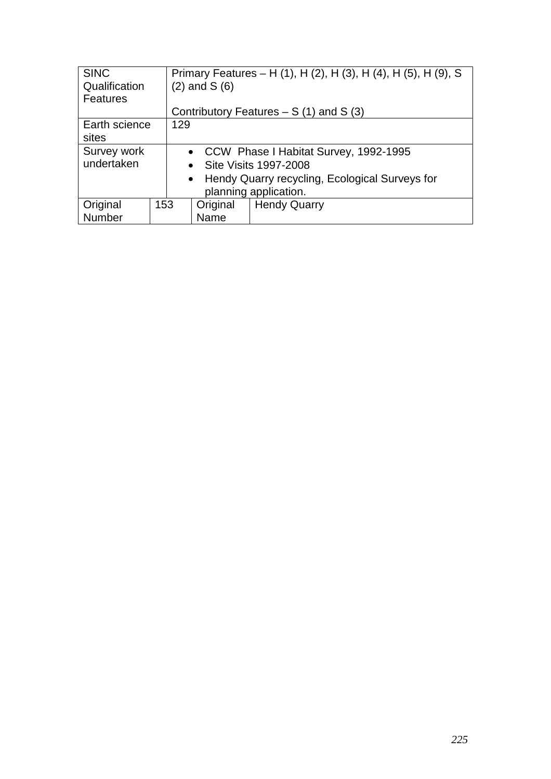| <b>SINC</b>     |                                         | Primary Features – H (1), H (2), H (3), H (4), H (5), H (9), S |                         |  |  |  |
|-----------------|-----------------------------------------|----------------------------------------------------------------|-------------------------|--|--|--|
| Qualification   |                                         | $(2)$ and S $(6)$                                              |                         |  |  |  |
| <b>Features</b> |                                         |                                                                |                         |  |  |  |
|                 |                                         | Contributory Features $- S(1)$ and S(3)                        |                         |  |  |  |
| Earth science   | 129                                     |                                                                |                         |  |  |  |
| sites           |                                         |                                                                |                         |  |  |  |
| Survey work     | • CCW Phase I Habitat Survey, 1992-1995 |                                                                |                         |  |  |  |
| undertaken      |                                         |                                                                | • Site Visits 1997-2008 |  |  |  |
|                 |                                         | • Hendy Quarry recycling, Ecological Surveys for               |                         |  |  |  |
|                 |                                         |                                                                | planning application.   |  |  |  |
| Original        | 153                                     | Original                                                       | <b>Hendy Quarry</b>     |  |  |  |
| Number          |                                         | Name                                                           |                         |  |  |  |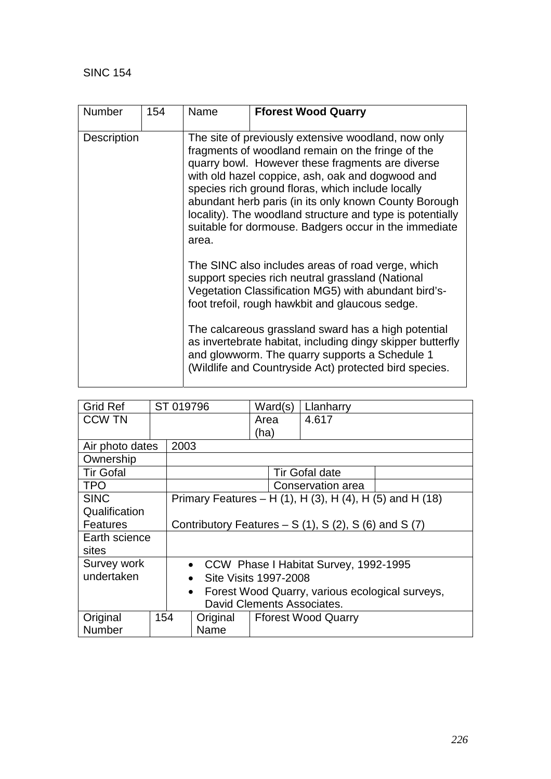| <b>Number</b>      | 154 | Name<br><b>Fforest Wood Quarry</b>                                                                                                                                                                                                                                                                                                                                                                                                                            |                                                                                                          |  |  |  |
|--------------------|-----|---------------------------------------------------------------------------------------------------------------------------------------------------------------------------------------------------------------------------------------------------------------------------------------------------------------------------------------------------------------------------------------------------------------------------------------------------------------|----------------------------------------------------------------------------------------------------------|--|--|--|
| <b>Description</b> |     | The site of previously extensive woodland, now only<br>fragments of woodland remain on the fringe of the<br>quarry bowl. However these fragments are diverse<br>with old hazel coppice, ash, oak and dogwood and<br>species rich ground floras, which include locally<br>abundant herb paris (in its only known County Borough<br>locality). The woodland structure and type is potentially<br>suitable for dormouse. Badgers occur in the immediate<br>area. |                                                                                                          |  |  |  |
|                    |     | The SINC also includes areas of road verge, which<br>support species rich neutral grassland (National<br>Vegetation Classification MG5) with abundant bird's-<br>foot trefoil, rough hawkbit and glaucous sedge.<br>The calcareous grassland sward has a high potential<br>as invertebrate habitat, including dingy skipper butterfly                                                                                                                         |                                                                                                          |  |  |  |
|                    |     |                                                                                                                                                                                                                                                                                                                                                                                                                                                               | and glowworm. The quarry supports a Schedule 1<br>(Wildlife and Countryside Act) protected bird species. |  |  |  |

| <b>Grid Ref</b>  |     | ST 019796                                                    |                                                          | Ward(s) |  | Llanharry                  |  |
|------------------|-----|--------------------------------------------------------------|----------------------------------------------------------|---------|--|----------------------------|--|
| <b>CCW TN</b>    |     |                                                              |                                                          | Area    |  | 4.617                      |  |
|                  |     |                                                              |                                                          | (ha)    |  |                            |  |
| Air photo dates  |     | 2003                                                         |                                                          |         |  |                            |  |
| Ownership        |     |                                                              |                                                          |         |  |                            |  |
| <b>Tir Gofal</b> |     |                                                              |                                                          |         |  | <b>Tir Gofal date</b>      |  |
| <b>TPO</b>       |     |                                                              |                                                          |         |  | Conservation area          |  |
| <b>SINC</b>      |     |                                                              | Primary Features – H (1), H (3), H (4), H (5) and H (18) |         |  |                            |  |
| Qualification    |     |                                                              |                                                          |         |  |                            |  |
| <b>Features</b>  |     | Contributory Features $- S(1)$ , S(2), S(6) and S(7)         |                                                          |         |  |                            |  |
| Earth science    |     |                                                              |                                                          |         |  |                            |  |
| sites            |     |                                                              |                                                          |         |  |                            |  |
| Survey work      |     | • CCW Phase I Habitat Survey, 1992-1995                      |                                                          |         |  |                            |  |
| undertaken       |     | Site Visits 1997-2008<br>$\bullet$                           |                                                          |         |  |                            |  |
|                  |     | Forest Wood Quarry, various ecological surveys,<br>$\bullet$ |                                                          |         |  |                            |  |
|                  |     | David Clements Associates.                                   |                                                          |         |  |                            |  |
| Original         | 154 |                                                              | Original                                                 |         |  | <b>Fforest Wood Quarry</b> |  |
| Number           |     |                                                              | Name                                                     |         |  |                            |  |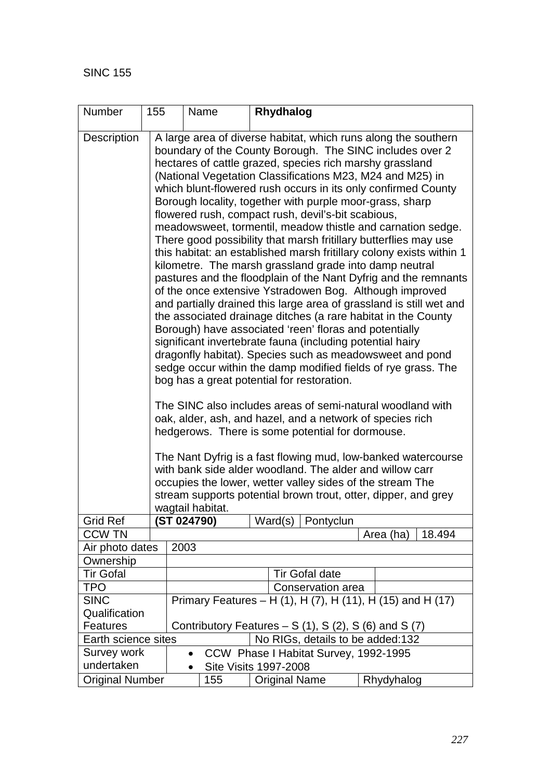| Number                                   | 155                                                                                                                |            | Name                         |                      | Rhydhalog             |                                                                                                                                                                                                                                                                                                                                                                                                                                                                                                                                                                                        |            |                                                                                                                                                                                                                                                                                                                                                                                                                                                                                                                                                                                                                                                                                                                                                                                                                                                                                                                                                                                                                                                                                                                                      |
|------------------------------------------|--------------------------------------------------------------------------------------------------------------------|------------|------------------------------|----------------------|-----------------------|----------------------------------------------------------------------------------------------------------------------------------------------------------------------------------------------------------------------------------------------------------------------------------------------------------------------------------------------------------------------------------------------------------------------------------------------------------------------------------------------------------------------------------------------------------------------------------------|------------|--------------------------------------------------------------------------------------------------------------------------------------------------------------------------------------------------------------------------------------------------------------------------------------------------------------------------------------------------------------------------------------------------------------------------------------------------------------------------------------------------------------------------------------------------------------------------------------------------------------------------------------------------------------------------------------------------------------------------------------------------------------------------------------------------------------------------------------------------------------------------------------------------------------------------------------------------------------------------------------------------------------------------------------------------------------------------------------------------------------------------------------|
| Description                              |                                                                                                                    |            | wagtail habitat.             |                      |                       | hectares of cattle grazed, species rich marshy grassland<br>Borough locality, together with purple moor-grass, sharp<br>flowered rush, compact rush, devil's-bit scabious,<br>kilometre. The marsh grassland grade into damp neutral<br>Borough) have associated 'reen' floras and potentially<br>significant invertebrate fauna (including potential hairy<br>bog has a great potential for restoration.<br>oak, alder, ash, and hazel, and a network of species rich<br>hedgerows. There is some potential for dormouse.<br>with bank side alder woodland. The alder and willow carr |            | A large area of diverse habitat, which runs along the southern<br>boundary of the County Borough. The SINC includes over 2<br>(National Vegetation Classifications M23, M24 and M25) in<br>which blunt-flowered rush occurs in its only confirmed County<br>meadowsweet, tormentil, meadow thistle and carnation sedge.<br>There good possibility that marsh fritillary butterflies may use<br>this habitat: an established marsh fritillary colony exists within 1<br>pastures and the floodplain of the Nant Dyfrig and the remnants<br>of the once extensive Ystradowen Bog. Although improved<br>and partially drained this large area of grassland is still wet and<br>the associated drainage ditches (a rare habitat in the County<br>dragonfly habitat). Species such as meadowsweet and pond<br>sedge occur within the damp modified fields of rye grass. The<br>The SINC also includes areas of semi-natural woodland with<br>The Nant Dyfrig is a fast flowing mud, low-banked watercourse<br>occupies the lower, wetter valley sides of the stream The<br>stream supports potential brown trout, otter, dipper, and grey |
| Grid Ref                                 |                                                                                                                    | ST 024790) |                              |                      |                       | Ward(s) $\sqrt{\frac{Pontyclun}{P}}$                                                                                                                                                                                                                                                                                                                                                                                                                                                                                                                                                   |            |                                                                                                                                                                                                                                                                                                                                                                                                                                                                                                                                                                                                                                                                                                                                                                                                                                                                                                                                                                                                                                                                                                                                      |
| <b>CCW TN</b>                            |                                                                                                                    |            |                              |                      |                       |                                                                                                                                                                                                                                                                                                                                                                                                                                                                                                                                                                                        |            | Area (ha)<br>18.494                                                                                                                                                                                                                                                                                                                                                                                                                                                                                                                                                                                                                                                                                                                                                                                                                                                                                                                                                                                                                                                                                                                  |
| Air photo dates                          |                                                                                                                    | 2003       |                              |                      |                       |                                                                                                                                                                                                                                                                                                                                                                                                                                                                                                                                                                                        |            |                                                                                                                                                                                                                                                                                                                                                                                                                                                                                                                                                                                                                                                                                                                                                                                                                                                                                                                                                                                                                                                                                                                                      |
| Ownership                                |                                                                                                                    |            |                              |                      |                       |                                                                                                                                                                                                                                                                                                                                                                                                                                                                                                                                                                                        |            |                                                                                                                                                                                                                                                                                                                                                                                                                                                                                                                                                                                                                                                                                                                                                                                                                                                                                                                                                                                                                                                                                                                                      |
| <b>Tir Gofal</b>                         |                                                                                                                    |            |                              |                      | <b>Tir Gofal date</b> |                                                                                                                                                                                                                                                                                                                                                                                                                                                                                                                                                                                        |            |                                                                                                                                                                                                                                                                                                                                                                                                                                                                                                                                                                                                                                                                                                                                                                                                                                                                                                                                                                                                                                                                                                                                      |
| <b>TPO</b>                               |                                                                                                                    |            |                              |                      |                       | Conservation area                                                                                                                                                                                                                                                                                                                                                                                                                                                                                                                                                                      |            |                                                                                                                                                                                                                                                                                                                                                                                                                                                                                                                                                                                                                                                                                                                                                                                                                                                                                                                                                                                                                                                                                                                                      |
| <b>SINC</b><br>Qualification<br>Features | Primary Features – H (1), H (7), H (11), H (15) and H (17)<br>Contributory Features $- S(1)$ , S(2), S(6) and S(7) |            |                              |                      |                       |                                                                                                                                                                                                                                                                                                                                                                                                                                                                                                                                                                                        |            |                                                                                                                                                                                                                                                                                                                                                                                                                                                                                                                                                                                                                                                                                                                                                                                                                                                                                                                                                                                                                                                                                                                                      |
|                                          | Earth science sites                                                                                                |            |                              |                      |                       | No RIGs, details to be added:132                                                                                                                                                                                                                                                                                                                                                                                                                                                                                                                                                       |            |                                                                                                                                                                                                                                                                                                                                                                                                                                                                                                                                                                                                                                                                                                                                                                                                                                                                                                                                                                                                                                                                                                                                      |
| Survey work                              |                                                                                                                    |            |                              |                      |                       | CCW Phase I Habitat Survey, 1992-1995                                                                                                                                                                                                                                                                                                                                                                                                                                                                                                                                                  |            |                                                                                                                                                                                                                                                                                                                                                                                                                                                                                                                                                                                                                                                                                                                                                                                                                                                                                                                                                                                                                                                                                                                                      |
| undertaken                               |                                                                                                                    |            | <b>Site Visits 1997-2008</b> |                      |                       |                                                                                                                                                                                                                                                                                                                                                                                                                                                                                                                                                                                        |            |                                                                                                                                                                                                                                                                                                                                                                                                                                                                                                                                                                                                                                                                                                                                                                                                                                                                                                                                                                                                                                                                                                                                      |
| <b>Original Number</b>                   |                                                                                                                    | 155        |                              | <b>Original Name</b> |                       |                                                                                                                                                                                                                                                                                                                                                                                                                                                                                                                                                                                        | Rhydyhalog |                                                                                                                                                                                                                                                                                                                                                                                                                                                                                                                                                                                                                                                                                                                                                                                                                                                                                                                                                                                                                                                                                                                                      |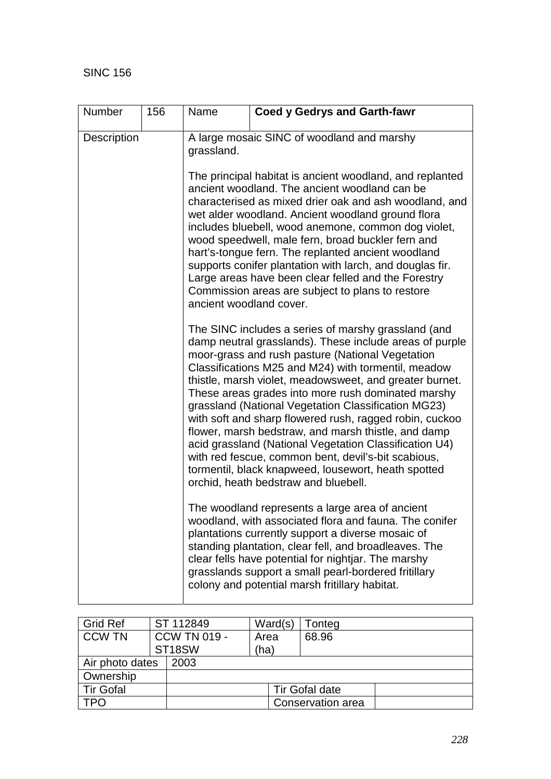| <b>Number</b> | 156 | Name                                                                                                                                                                                                                            | <b>Coed y Gedrys and Garth-fawr</b>                                                                                                                                                                                                                                                                                                                                                                                                                                                                                                                                                                                                                                                                                                 |  |  |  |  |  |
|---------------|-----|---------------------------------------------------------------------------------------------------------------------------------------------------------------------------------------------------------------------------------|-------------------------------------------------------------------------------------------------------------------------------------------------------------------------------------------------------------------------------------------------------------------------------------------------------------------------------------------------------------------------------------------------------------------------------------------------------------------------------------------------------------------------------------------------------------------------------------------------------------------------------------------------------------------------------------------------------------------------------------|--|--|--|--|--|
| Description   |     | A large mosaic SINC of woodland and marshy<br>grassland.<br>The principal habitat is ancient woodland, and replanted<br>ancient woodland. The ancient woodland can be<br>characterised as mixed drier oak and ash woodland, and |                                                                                                                                                                                                                                                                                                                                                                                                                                                                                                                                                                                                                                                                                                                                     |  |  |  |  |  |
|               |     | ancient woodland cover.                                                                                                                                                                                                         | wet alder woodland. Ancient woodland ground flora<br>includes bluebell, wood anemone, common dog violet,<br>wood speedwell, male fern, broad buckler fern and<br>hart's-tongue fern. The replanted ancient woodland<br>supports conifer plantation with larch, and douglas fir.<br>Large areas have been clear felled and the Forestry<br>Commission areas are subject to plans to restore                                                                                                                                                                                                                                                                                                                                          |  |  |  |  |  |
|               |     |                                                                                                                                                                                                                                 | The SINC includes a series of marshy grassland (and<br>damp neutral grasslands). These include areas of purple<br>moor-grass and rush pasture (National Vegetation<br>Classifications M25 and M24) with tormentil, meadow<br>thistle, marsh violet, meadowsweet, and greater burnet.<br>These areas grades into more rush dominated marshy<br>grassland (National Vegetation Classification MG23)<br>with soft and sharp flowered rush, ragged robin, cuckoo<br>flower, marsh bedstraw, and marsh thistle, and damp<br>acid grassland (National Vegetation Classification U4)<br>with red fescue, common bent, devil's-bit scabious,<br>tormentil, black knapweed, lousewort, heath spotted<br>orchid, heath bedstraw and bluebell. |  |  |  |  |  |
|               |     |                                                                                                                                                                                                                                 | The woodland represents a large area of ancient<br>woodland, with associated flora and fauna. The conifer<br>plantations currently support a diverse mosaic of<br>standing plantation, clear fell, and broadleaves. The<br>clear fells have potential for nightjar. The marshy<br>grasslands support a small pearl-bordered fritillary<br>colony and potential marsh fritillary habitat.                                                                                                                                                                                                                                                                                                                                            |  |  |  |  |  |

| <b>Grid Ref</b>  |  | ST 112849           | Ward(s) | Tonteg                |  |
|------------------|--|---------------------|---------|-----------------------|--|
| <b>CCW TN</b>    |  | <b>CCW TN 019 -</b> | Area    | 68.96                 |  |
|                  |  | ST <sub>18</sub> SW | (ha)    |                       |  |
| Air photo dates  |  | 2003                |         |                       |  |
| Ownership        |  |                     |         |                       |  |
| <b>Tir Gofal</b> |  |                     |         | <b>Tir Gofal date</b> |  |
| <b>TPO</b>       |  |                     |         | Conservation area     |  |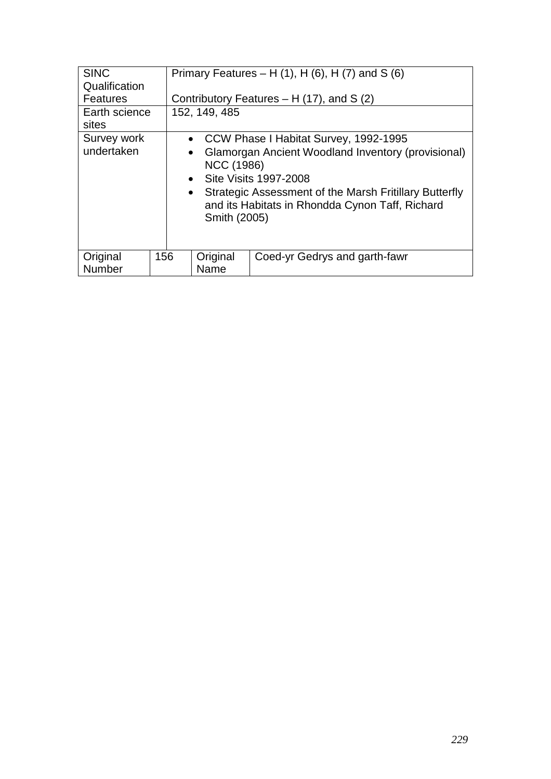| <b>SINC</b>               | Primary Features – H $(1)$ , H $(6)$ , H $(7)$ and S $(6)$                                                                                                                                                                                                                  |                                            |  |  |  |  |
|---------------------------|-----------------------------------------------------------------------------------------------------------------------------------------------------------------------------------------------------------------------------------------------------------------------------|--------------------------------------------|--|--|--|--|
| Qualification             |                                                                                                                                                                                                                                                                             |                                            |  |  |  |  |
| <b>Features</b>           |                                                                                                                                                                                                                                                                             | Contributory Features $- H(17)$ , and S(2) |  |  |  |  |
| Earth science             | 152, 149, 485                                                                                                                                                                                                                                                               |                                            |  |  |  |  |
| sites                     |                                                                                                                                                                                                                                                                             |                                            |  |  |  |  |
| Survey work               |                                                                                                                                                                                                                                                                             | • CCW Phase I Habitat Survey, 1992-1995    |  |  |  |  |
| undertaken                | Glamorgan Ancient Woodland Inventory (provisional)<br>$\bullet$<br><b>NCC (1986)</b><br><b>Site Visits 1997-2008</b><br>$\bullet$<br>Strategic Assessment of the Marsh Fritillary Butterfly<br>$\bullet$<br>and its Habitats in Rhondda Cynon Taff, Richard<br>Smith (2005) |                                            |  |  |  |  |
| Original<br>156<br>Number | Original<br>Name                                                                                                                                                                                                                                                            | Coed-yr Gedrys and garth-fawr              |  |  |  |  |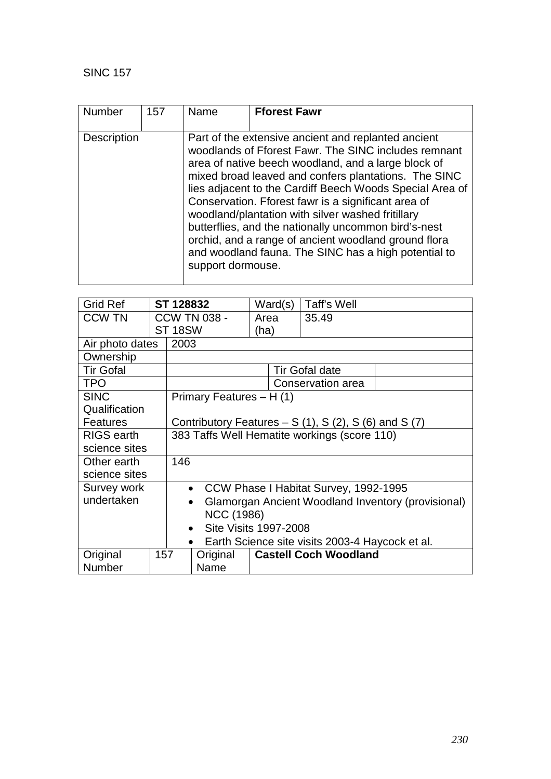| <b>Number</b>      | 157 | Name              | <b>Fforest Fawr</b>                                                                                                                                                                                                                                                                                                                                                                                                                                                                                                                                                        |
|--------------------|-----|-------------------|----------------------------------------------------------------------------------------------------------------------------------------------------------------------------------------------------------------------------------------------------------------------------------------------------------------------------------------------------------------------------------------------------------------------------------------------------------------------------------------------------------------------------------------------------------------------------|
| <b>Description</b> |     | support dormouse. | Part of the extensive ancient and replanted ancient<br>woodlands of Fforest Fawr. The SINC includes remnant<br>area of native beech woodland, and a large block of<br>mixed broad leaved and confers plantations. The SINC<br>lies adjacent to the Cardiff Beech Woods Special Area of<br>Conservation. Fforest fawr is a significant area of<br>woodland/plantation with silver washed fritillary<br>butterflies, and the nationally uncommon bird's-nest<br>orchid, and a range of ancient woodland ground flora<br>and woodland fauna. The SINC has a high potential to |

| <b>Grid Ref</b>   |     | ST 128832                                       |                                                                 |                                                      | Ward(s) | Taff's Well                  |  |  |
|-------------------|-----|-------------------------------------------------|-----------------------------------------------------------------|------------------------------------------------------|---------|------------------------------|--|--|
| <b>CCW TN</b>     |     |                                                 | <b>CCW TN 038 -</b>                                             |                                                      | Area    | 35.49                        |  |  |
|                   |     | <b>ST 18SW</b>                                  |                                                                 | (ha)                                                 |         |                              |  |  |
| Air photo dates   |     | 2003                                            |                                                                 |                                                      |         |                              |  |  |
| Ownership         |     |                                                 |                                                                 |                                                      |         |                              |  |  |
| <b>Tir Gofal</b>  |     |                                                 |                                                                 |                                                      |         | <b>Tir Gofal date</b>        |  |  |
| <b>TPO</b>        |     |                                                 |                                                                 |                                                      |         | Conservation area            |  |  |
| <b>SINC</b>       |     |                                                 | Primary Features - H (1)                                        |                                                      |         |                              |  |  |
| Qualification     |     |                                                 |                                                                 |                                                      |         |                              |  |  |
| <b>Features</b>   |     |                                                 |                                                                 | Contributory Features $- S(1)$ , S(2), S(6) and S(7) |         |                              |  |  |
| <b>RIGS</b> earth |     |                                                 |                                                                 | 383 Taffs Well Hematite workings (score 110)         |         |                              |  |  |
| science sites     |     |                                                 |                                                                 |                                                      |         |                              |  |  |
| Other earth       |     | 146                                             |                                                                 |                                                      |         |                              |  |  |
| science sites     |     |                                                 |                                                                 |                                                      |         |                              |  |  |
| Survey work       |     |                                                 | • CCW Phase I Habitat Survey, 1992-1995                         |                                                      |         |                              |  |  |
| undertaken        |     |                                                 | Glamorgan Ancient Woodland Inventory (provisional)<br>$\bullet$ |                                                      |         |                              |  |  |
|                   |     | <b>NCC (1986)</b>                               |                                                                 |                                                      |         |                              |  |  |
|                   |     | Site Visits 1997-2008<br>$\bullet$              |                                                                 |                                                      |         |                              |  |  |
|                   |     | Earth Science site visits 2003-4 Haycock et al. |                                                                 |                                                      |         |                              |  |  |
| Original          | 157 |                                                 | Original                                                        |                                                      |         | <b>Castell Coch Woodland</b> |  |  |
| <b>Number</b>     |     |                                                 | Name                                                            |                                                      |         |                              |  |  |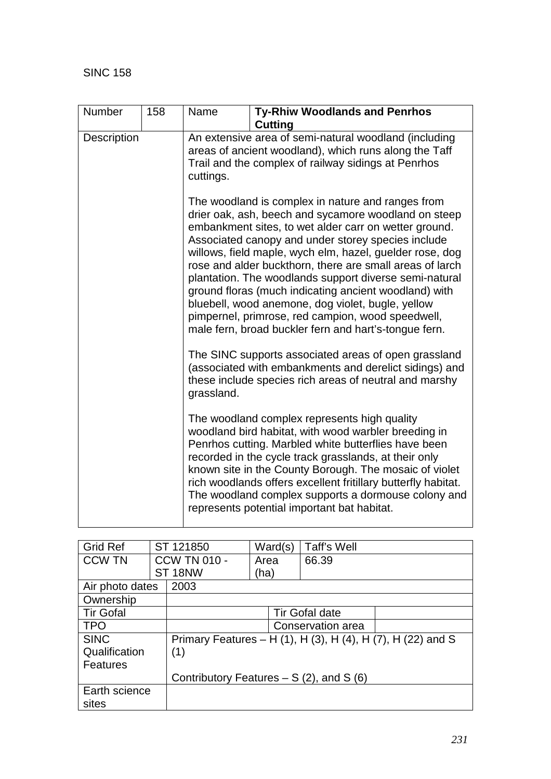| Number             | 158 | Name       | <b>Ty-Rhiw Woodlands and Penrhos</b><br><b>Cutting</b>                                                                                                                                                                                                                                                                                                                                                                                                                                                                                                                                                                                                                                                                                                   |
|--------------------|-----|------------|----------------------------------------------------------------------------------------------------------------------------------------------------------------------------------------------------------------------------------------------------------------------------------------------------------------------------------------------------------------------------------------------------------------------------------------------------------------------------------------------------------------------------------------------------------------------------------------------------------------------------------------------------------------------------------------------------------------------------------------------------------|
| <b>Description</b> |     | cuttings.  | An extensive area of semi-natural woodland (including<br>areas of ancient woodland), which runs along the Taff<br>Trail and the complex of railway sidings at Penrhos                                                                                                                                                                                                                                                                                                                                                                                                                                                                                                                                                                                    |
|                    |     |            | The woodland is complex in nature and ranges from<br>drier oak, ash, beech and sycamore woodland on steep<br>embankment sites, to wet alder carr on wetter ground.<br>Associated canopy and under storey species include<br>willows, field maple, wych elm, hazel, guelder rose, dog<br>rose and alder buckthorn, there are small areas of larch<br>plantation. The woodlands support diverse semi-natural<br>ground floras (much indicating ancient woodland) with<br>bluebell, wood anemone, dog violet, bugle, yellow<br>pimpernel, primrose, red campion, wood speedwell,<br>male fern, broad buckler fern and hart's-tongue fern.<br>The SINC supports associated areas of open grassland<br>(associated with embankments and derelict sidings) and |
|                    |     | grassland. | these include species rich areas of neutral and marshy                                                                                                                                                                                                                                                                                                                                                                                                                                                                                                                                                                                                                                                                                                   |
|                    |     |            | The woodland complex represents high quality<br>woodland bird habitat, with wood warbler breeding in<br>Penrhos cutting. Marbled white butterflies have been<br>recorded in the cycle track grasslands, at their only<br>known site in the County Borough. The mosaic of violet<br>rich woodlands offers excellent fritillary butterfly habitat.<br>The woodland complex supports a dormouse colony and<br>represents potential important bat habitat.                                                                                                                                                                                                                                                                                                   |

| <b>Grid Ref</b>  |  | ST 121850                                 | Ward(s) | Taff's Well           |                                                             |
|------------------|--|-------------------------------------------|---------|-----------------------|-------------------------------------------------------------|
| <b>CCW TN</b>    |  | <b>CCW TN 010 -</b>                       | Area    | 66.39                 |                                                             |
|                  |  | ST <sub>18NW</sub>                        | (ha)    |                       |                                                             |
| Air photo dates  |  | 2003                                      |         |                       |                                                             |
| Ownership        |  |                                           |         |                       |                                                             |
| <b>Tir Gofal</b> |  |                                           |         | <b>Tir Gofal date</b> |                                                             |
| <b>TPO</b>       |  |                                           |         | Conservation area     |                                                             |
| <b>SINC</b>      |  |                                           |         |                       | Primary Features - H (1), H (3), H (4), H (7), H (22) and S |
| Qualification    |  | (1)                                       |         |                       |                                                             |
| Features         |  |                                           |         |                       |                                                             |
|                  |  | Contributory Features $- S(2)$ , and S(6) |         |                       |                                                             |
| Earth science    |  |                                           |         |                       |                                                             |
| sites            |  |                                           |         |                       |                                                             |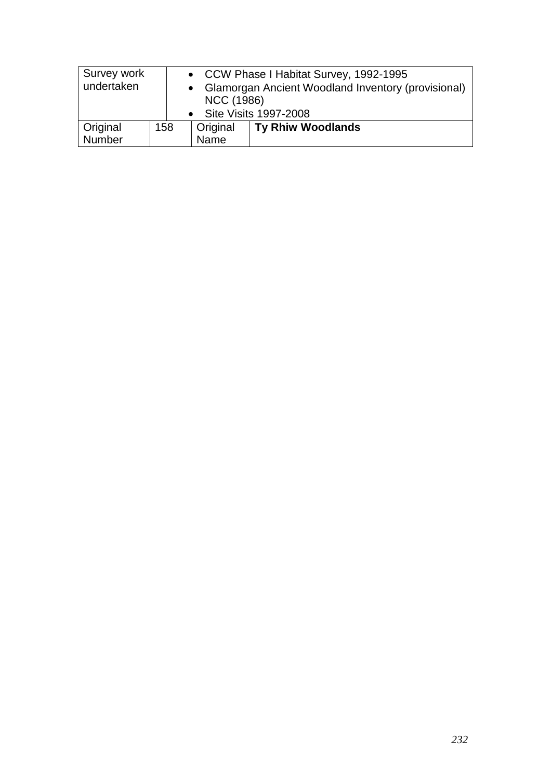| Survey work<br>undertaken |     | <b>NCC (1986)</b>       | • CCW Phase I Habitat Survey, 1992-1995<br>• Glamorgan Ancient Woodland Inventory (provisional)<br>• Site Visits 1997-2008 |
|---------------------------|-----|-------------------------|----------------------------------------------------------------------------------------------------------------------------|
| Original<br>Number        | 158 | Original<br><b>Name</b> | <b>Ty Rhiw Woodlands</b>                                                                                                   |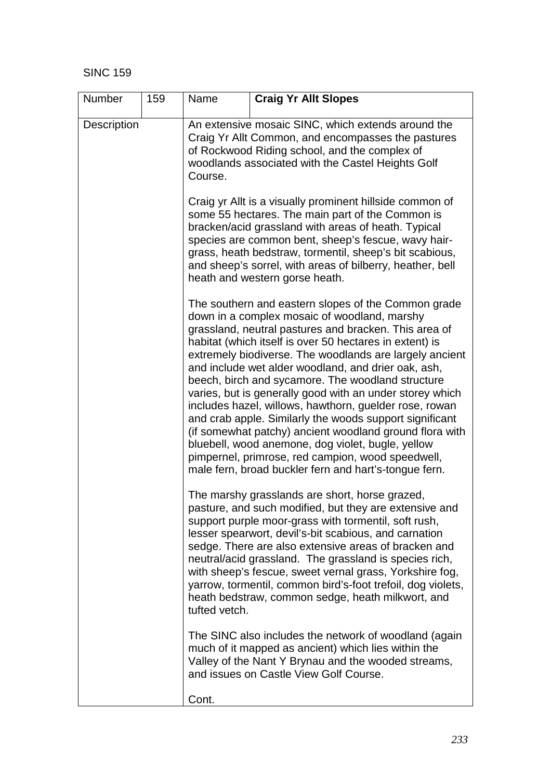| Number             | 159 | Name                                                                                                                                                                                                                                                                                                                                                                                                                                                                                                                                                                                                                                                                                                                                                                                                          | <b>Craig Yr Allt Slopes</b>                                                                                                                                                                                                                                                                                                                                                                                                                                                                                                |  |  |  |  |
|--------------------|-----|---------------------------------------------------------------------------------------------------------------------------------------------------------------------------------------------------------------------------------------------------------------------------------------------------------------------------------------------------------------------------------------------------------------------------------------------------------------------------------------------------------------------------------------------------------------------------------------------------------------------------------------------------------------------------------------------------------------------------------------------------------------------------------------------------------------|----------------------------------------------------------------------------------------------------------------------------------------------------------------------------------------------------------------------------------------------------------------------------------------------------------------------------------------------------------------------------------------------------------------------------------------------------------------------------------------------------------------------------|--|--|--|--|
| <b>Description</b> |     | An extensive mosaic SINC, which extends around the<br>Craig Yr Allt Common, and encompasses the pastures<br>of Rockwood Riding school, and the complex of<br>woodlands associated with the Castel Heights Golf<br>Course.                                                                                                                                                                                                                                                                                                                                                                                                                                                                                                                                                                                     |                                                                                                                                                                                                                                                                                                                                                                                                                                                                                                                            |  |  |  |  |
|                    |     | Craig yr Allt is a visually prominent hillside common of<br>some 55 hectares. The main part of the Common is<br>bracken/acid grassland with areas of heath. Typical<br>species are common bent, sheep's fescue, wavy hair-<br>grass, heath bedstraw, tormentil, sheep's bit scabious,<br>and sheep's sorrel, with areas of bilberry, heather, bell<br>heath and western gorse heath.                                                                                                                                                                                                                                                                                                                                                                                                                          |                                                                                                                                                                                                                                                                                                                                                                                                                                                                                                                            |  |  |  |  |
|                    |     | The southern and eastern slopes of the Common grade<br>down in a complex mosaic of woodland, marshy<br>grassland, neutral pastures and bracken. This area of<br>habitat (which itself is over 50 hectares in extent) is<br>extremely biodiverse. The woodlands are largely ancient<br>and include wet alder woodland, and drier oak, ash,<br>beech, birch and sycamore. The woodland structure<br>varies, but is generally good with an under storey which<br>includes hazel, willows, hawthorn, guelder rose, rowan<br>and crab apple. Similarly the woods support significant<br>(if somewhat patchy) ancient woodland ground flora with<br>bluebell, wood anemone, dog violet, bugle, yellow<br>pimpernel, primrose, red campion, wood speedwell,<br>male fern, broad buckler fern and hart's-tongue fern. |                                                                                                                                                                                                                                                                                                                                                                                                                                                                                                                            |  |  |  |  |
|                    |     | tufted vetch.                                                                                                                                                                                                                                                                                                                                                                                                                                                                                                                                                                                                                                                                                                                                                                                                 | The marshy grasslands are short, horse grazed,<br>pasture, and such modified, but they are extensive and<br>support purple moor-grass with tormentil, soft rush,<br>lesser spearwort, devil's-bit scabious, and carnation<br>sedge. There are also extensive areas of bracken and<br>neutral/acid grassland. The grassland is species rich,<br>with sheep's fescue, sweet vernal grass, Yorkshire fog,<br>yarrow, tormentil, common bird's-foot trefoil, dog violets,<br>heath bedstraw, common sedge, heath milkwort, and |  |  |  |  |
|                    |     |                                                                                                                                                                                                                                                                                                                                                                                                                                                                                                                                                                                                                                                                                                                                                                                                               | The SINC also includes the network of woodland (again<br>much of it mapped as ancient) which lies within the<br>Valley of the Nant Y Brynau and the wooded streams,<br>and issues on Castle View Golf Course.                                                                                                                                                                                                                                                                                                              |  |  |  |  |
|                    |     | Cont.                                                                                                                                                                                                                                                                                                                                                                                                                                                                                                                                                                                                                                                                                                                                                                                                         |                                                                                                                                                                                                                                                                                                                                                                                                                                                                                                                            |  |  |  |  |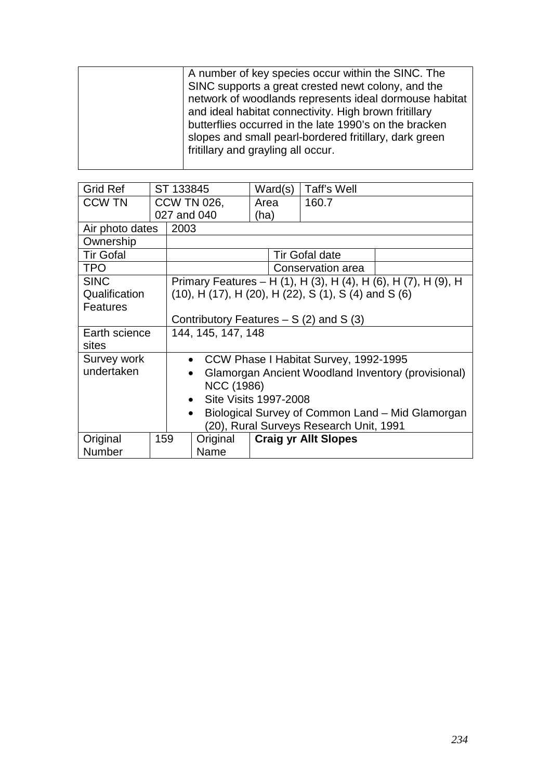|  | A number of key species occur within the SINC. The     |
|--|--------------------------------------------------------|
|  | SINC supports a great crested newt colony, and the     |
|  | network of woodlands represents ideal dormouse habitat |
|  | and ideal habitat connectivity. High brown fritillary  |
|  | butterflies occurred in the late 1990's on the bracken |
|  | slopes and small pearl-bordered fritillary, dark green |
|  | fritillary and grayling all occur.                     |
|  |                                                        |

| <b>Grid Ref</b>  |     | ST 133845                                          |                                                               | Ward(s) | Taff's Well                                                             |                                                                |  |
|------------------|-----|----------------------------------------------------|---------------------------------------------------------------|---------|-------------------------------------------------------------------------|----------------------------------------------------------------|--|
| <b>CCW TN</b>    |     |                                                    | <b>CCW TN 026,</b>                                            | Area    | 160.7                                                                   |                                                                |  |
|                  |     |                                                    | 027 and 040                                                   | (ha)    |                                                                         |                                                                |  |
| Air photo dates  |     | 2003                                               |                                                               |         |                                                                         |                                                                |  |
| Ownership        |     |                                                    |                                                               |         |                                                                         |                                                                |  |
| <b>Tir Gofal</b> |     |                                                    |                                                               |         | <b>Tir Gofal date</b>                                                   |                                                                |  |
| <b>TPO</b>       |     |                                                    |                                                               |         | Conservation area                                                       |                                                                |  |
| <b>SINC</b>      |     |                                                    |                                                               |         |                                                                         | Primary Features – H (1), H (3), H (4), H (6), H (7), H (9), H |  |
| Qualification    |     |                                                    |                                                               |         | $(10)$ , H $(17)$ , H $(20)$ , H $(22)$ , S $(1)$ , S $(4)$ and S $(6)$ |                                                                |  |
| <b>Features</b>  |     |                                                    |                                                               |         |                                                                         |                                                                |  |
|                  |     |                                                    | Contributory Features $- S(2)$ and S(3)                       |         |                                                                         |                                                                |  |
| Earth science    |     | 144, 145, 147, 148                                 |                                                               |         |                                                                         |                                                                |  |
| sites            |     |                                                    |                                                               |         |                                                                         |                                                                |  |
| Survey work      |     | CCW Phase I Habitat Survey, 1992-1995<br>$\bullet$ |                                                               |         |                                                                         |                                                                |  |
| undertaken       |     | Glamorgan Ancient Woodland Inventory (provisional) |                                                               |         |                                                                         |                                                                |  |
|                  |     |                                                    | <b>NCC (1986)</b>                                             |         |                                                                         |                                                                |  |
|                  |     | Site Visits 1997-2008<br>$\bullet$                 |                                                               |         |                                                                         |                                                                |  |
|                  |     |                                                    | Biological Survey of Common Land - Mid Glamorgan<br>$\bullet$ |         |                                                                         |                                                                |  |
|                  |     | (20), Rural Surveys Research Unit, 1991            |                                                               |         |                                                                         |                                                                |  |
| Original         | 159 |                                                    | Original                                                      |         | <b>Craig yr Allt Slopes</b>                                             |                                                                |  |
| <b>Number</b>    |     |                                                    | Name                                                          |         |                                                                         |                                                                |  |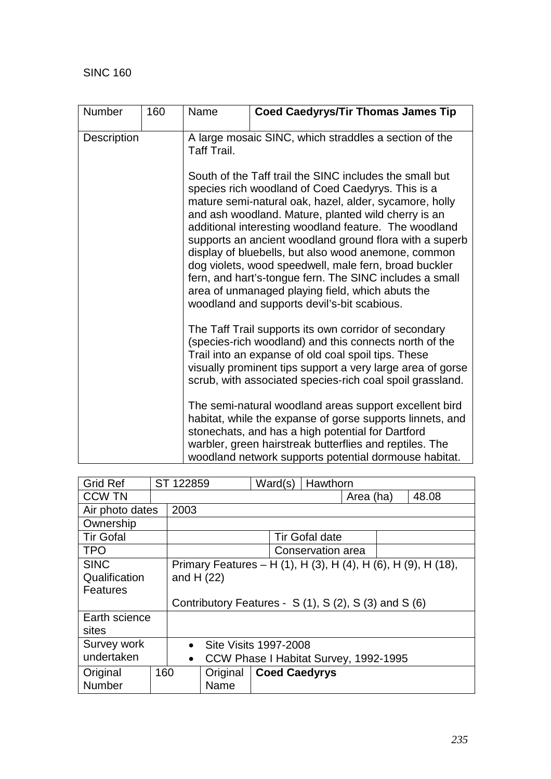| Number             | 160 | Name                                                                                                                                                                                                                                                                                                                                                                                                                                                                                                                                                                                                                            | <b>Coed Caedyrys/Tir Thomas James Tip</b>                                                                                                                                                                                                                                                         |  |  |  |
|--------------------|-----|---------------------------------------------------------------------------------------------------------------------------------------------------------------------------------------------------------------------------------------------------------------------------------------------------------------------------------------------------------------------------------------------------------------------------------------------------------------------------------------------------------------------------------------------------------------------------------------------------------------------------------|---------------------------------------------------------------------------------------------------------------------------------------------------------------------------------------------------------------------------------------------------------------------------------------------------|--|--|--|
| <b>Description</b> |     | Taff Trail.                                                                                                                                                                                                                                                                                                                                                                                                                                                                                                                                                                                                                     | A large mosaic SINC, which straddles a section of the                                                                                                                                                                                                                                             |  |  |  |
|                    |     | South of the Taff trail the SINC includes the small but<br>species rich woodland of Coed Caedyrys. This is a<br>mature semi-natural oak, hazel, alder, sycamore, holly<br>and ash woodland. Mature, planted wild cherry is an<br>additional interesting woodland feature. The woodland<br>supports an ancient woodland ground flora with a superb<br>display of bluebells, but also wood anemone, common<br>dog violets, wood speedwell, male fern, broad buckler<br>fern, and hart's-tongue fern. The SINC includes a small<br>area of unmanaged playing field, which abuts the<br>woodland and supports devil's-bit scabious. |                                                                                                                                                                                                                                                                                                   |  |  |  |
|                    |     |                                                                                                                                                                                                                                                                                                                                                                                                                                                                                                                                                                                                                                 | The Taff Trail supports its own corridor of secondary<br>(species-rich woodland) and this connects north of the<br>Trail into an expanse of old coal spoil tips. These<br>visually prominent tips support a very large area of gorse<br>scrub, with associated species-rich coal spoil grassland. |  |  |  |
|                    |     |                                                                                                                                                                                                                                                                                                                                                                                                                                                                                                                                                                                                                                 | The semi-natural woodland areas support excellent bird<br>habitat, while the expanse of gorse supports linnets, and<br>stonechats, and has a high potential for Dartford<br>warbler, green hairstreak butterflies and reptiles. The<br>woodland network supports potential dormouse habitat.      |  |  |  |

| <b>Grid Ref</b>  |           | ST 122859                                             |             | Ward(s)               | Hawthorn |                                                               |  |
|------------------|-----------|-------------------------------------------------------|-------------|-----------------------|----------|---------------------------------------------------------------|--|
| <b>CCW TN</b>    |           |                                                       |             |                       |          | 48.08<br>Area (ha)                                            |  |
| Air photo dates  |           | 2003                                                  |             |                       |          |                                                               |  |
| Ownership        |           |                                                       |             |                       |          |                                                               |  |
| <b>Tir Gofal</b> |           |                                                       |             | <b>Tir Gofal date</b> |          |                                                               |  |
| <b>TPO</b>       |           | Conservation area                                     |             |                       |          |                                                               |  |
| <b>SINC</b>      |           |                                                       |             |                       |          | Primary Features – H (1), H (3), H (4), H (6), H (9), H (18), |  |
| Qualification    |           |                                                       | and $H(22)$ |                       |          |                                                               |  |
| Features         |           |                                                       |             |                       |          |                                                               |  |
|                  |           | Contributory Features - S (1), S (2), S (3) and S (6) |             |                       |          |                                                               |  |
| Earth science    |           |                                                       |             |                       |          |                                                               |  |
| sites            |           |                                                       |             |                       |          |                                                               |  |
| Survey work      |           | <b>Site Visits 1997-2008</b><br>$\bullet$             |             |                       |          |                                                               |  |
| undertaken       | $\bullet$ | CCW Phase I Habitat Survey, 1992-1995                 |             |                       |          |                                                               |  |
| Original         | 160       |                                                       | Original    | <b>Coed Caedyrys</b>  |          |                                                               |  |
| <b>Number</b>    |           |                                                       | Name        |                       |          |                                                               |  |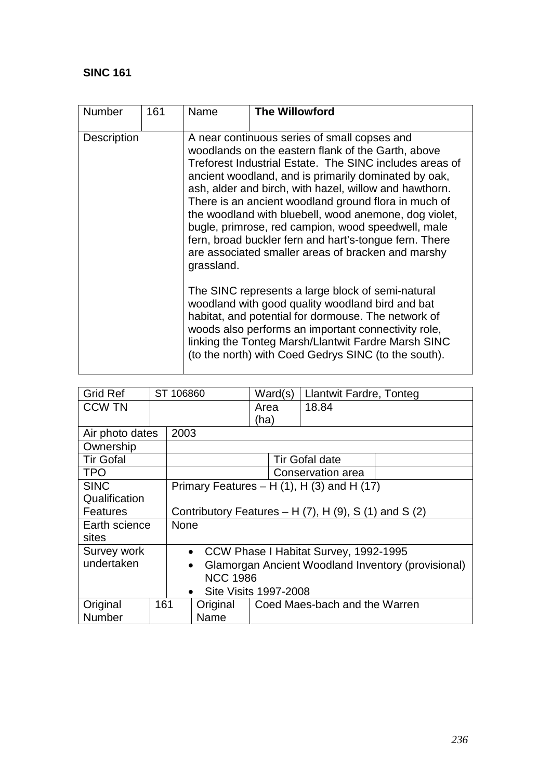| <b>Number</b>      | 161 | Name       | <b>The Willowford</b>                                                                                                                                                                                                                                                                                                                                                                                                                                                                                                                                                                                                                                                                                                                                                                         |  |  |  |
|--------------------|-----|------------|-----------------------------------------------------------------------------------------------------------------------------------------------------------------------------------------------------------------------------------------------------------------------------------------------------------------------------------------------------------------------------------------------------------------------------------------------------------------------------------------------------------------------------------------------------------------------------------------------------------------------------------------------------------------------------------------------------------------------------------------------------------------------------------------------|--|--|--|
| <b>Description</b> |     | grassland. | A near continuous series of small copses and<br>woodlands on the eastern flank of the Garth, above<br>Treforest Industrial Estate. The SINC includes areas of<br>ancient woodland, and is primarily dominated by oak,<br>ash, alder and birch, with hazel, willow and hawthorn.<br>There is an ancient woodland ground flora in much of<br>the woodland with bluebell, wood anemone, dog violet,<br>bugle, primrose, red campion, wood speedwell, male<br>fern, broad buckler fern and hart's-tongue fern. There<br>are associated smaller areas of bracken and marshy<br>The SINC represents a large block of semi-natural<br>woodland with good quality woodland bird and bat<br>habitat, and potential for dormouse. The network of<br>woods also performs an important connectivity role, |  |  |  |
|                    |     |            | linking the Tonteg Marsh/Llantwit Fardre Marsh SINC<br>(to the north) with Coed Gedrys SINC (to the south).                                                                                                                                                                                                                                                                                                                                                                                                                                                                                                                                                                                                                                                                                   |  |  |  |

| <b>Grid Ref</b>  |           | ST 106860   |                                                                 | Ward(s) | <b>Llantwit Fardre, Tonteg</b>                   |  |  |
|------------------|-----------|-------------|-----------------------------------------------------------------|---------|--------------------------------------------------|--|--|
| <b>CCW TN</b>    |           |             |                                                                 | Area    | 18.84                                            |  |  |
|                  |           |             |                                                                 | (ha)    |                                                  |  |  |
| Air photo dates  |           | 2003        |                                                                 |         |                                                  |  |  |
| Ownership        |           |             |                                                                 |         |                                                  |  |  |
| <b>Tir Gofal</b> |           |             |                                                                 |         | <b>Tir Gofal date</b>                            |  |  |
| <b>TPO</b>       |           |             |                                                                 |         | Conservation area                                |  |  |
| <b>SINC</b>      |           |             |                                                                 |         | Primary Features $- H(1)$ , H $(3)$ and H $(17)$ |  |  |
| Qualification    |           |             |                                                                 |         |                                                  |  |  |
| <b>Features</b>  |           |             | Contributory Features – H $(7)$ , H $(9)$ , S $(1)$ and S $(2)$ |         |                                                  |  |  |
| Earth science    |           | <b>None</b> |                                                                 |         |                                                  |  |  |
| sites            |           |             |                                                                 |         |                                                  |  |  |
| Survey work      |           |             | CCW Phase I Habitat Survey, 1992-1995<br>$\bullet$              |         |                                                  |  |  |
| undertaken       |           |             | Glamorgan Ancient Woodland Inventory (provisional)<br>$\bullet$ |         |                                                  |  |  |
|                  |           |             | <b>NCC 1986</b>                                                 |         |                                                  |  |  |
|                  | $\bullet$ |             | <b>Site Visits 1997-2008</b>                                    |         |                                                  |  |  |
| Original         | 161       |             | Original                                                        |         | Coed Maes-bach and the Warren                    |  |  |
| Number           |           |             | Name                                                            |         |                                                  |  |  |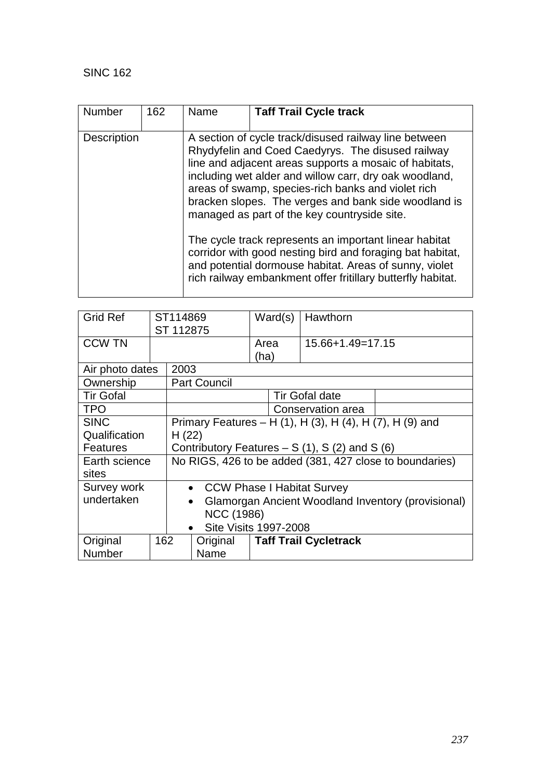| <b>Number</b>      | 162 | Name                                                                                                                                                                                                                                         | <b>Taff Trail Cycle track</b>                                                                                                                                                                                                                                                                                                                                                                |  |  |  |
|--------------------|-----|----------------------------------------------------------------------------------------------------------------------------------------------------------------------------------------------------------------------------------------------|----------------------------------------------------------------------------------------------------------------------------------------------------------------------------------------------------------------------------------------------------------------------------------------------------------------------------------------------------------------------------------------------|--|--|--|
| <b>Description</b> |     |                                                                                                                                                                                                                                              | A section of cycle track/disused railway line between<br>Rhydyfelin and Coed Caedyrys. The disused railway<br>line and adjacent areas supports a mosaic of habitats,<br>including wet alder and willow carr, dry oak woodland,<br>areas of swamp, species-rich banks and violet rich<br>bracken slopes. The verges and bank side woodland is<br>managed as part of the key countryside site. |  |  |  |
|                    |     | The cycle track represents an important linear habitat<br>corridor with good nesting bird and foraging bat habitat,<br>and potential dormouse habitat. Areas of sunny, violet<br>rich railway embankment offer fritillary butterfly habitat. |                                                                                                                                                                                                                                                                                                                                                                                              |  |  |  |

| <b>Grid Ref</b>  |     | ST114869<br>ST 112875                                    |                                                                 | Ward(s)      |  | Hawthorn                     |  |
|------------------|-----|----------------------------------------------------------|-----------------------------------------------------------------|--------------|--|------------------------------|--|
| <b>CCW TN</b>    |     |                                                          |                                                                 | Area<br>(ha) |  | $15.66 + 1.49 = 17.15$       |  |
| Air photo dates  |     | 2003                                                     |                                                                 |              |  |                              |  |
| Ownership        |     |                                                          | <b>Part Council</b>                                             |              |  |                              |  |
| <b>Tir Gofal</b> |     |                                                          |                                                                 |              |  | <b>Tir Gofal date</b>        |  |
| <b>TPO</b>       |     |                                                          |                                                                 |              |  | Conservation area            |  |
| <b>SINC</b>      |     | Primary Features – H (1), H (3), H (4), H (7), H (9) and |                                                                 |              |  |                              |  |
| Qualification    |     |                                                          | H(22)                                                           |              |  |                              |  |
| <b>Features</b>  |     |                                                          | Contributory Features $- S(1)$ , S(2) and S(6)                  |              |  |                              |  |
| Earth science    |     | No RIGS, 426 to be added (381, 427 close to boundaries)  |                                                                 |              |  |                              |  |
| sites            |     |                                                          |                                                                 |              |  |                              |  |
| Survey work      |     |                                                          | • CCW Phase I Habitat Survey                                    |              |  |                              |  |
| undertaken       |     |                                                          | Glamorgan Ancient Woodland Inventory (provisional)<br>$\bullet$ |              |  |                              |  |
|                  |     |                                                          | <b>NCC (1986)</b>                                               |              |  |                              |  |
| $\bullet$        |     |                                                          | Site Visits 1997-2008                                           |              |  |                              |  |
| Original         | 162 |                                                          | Original                                                        |              |  | <b>Taff Trail Cycletrack</b> |  |
| Number           |     |                                                          | Name                                                            |              |  |                              |  |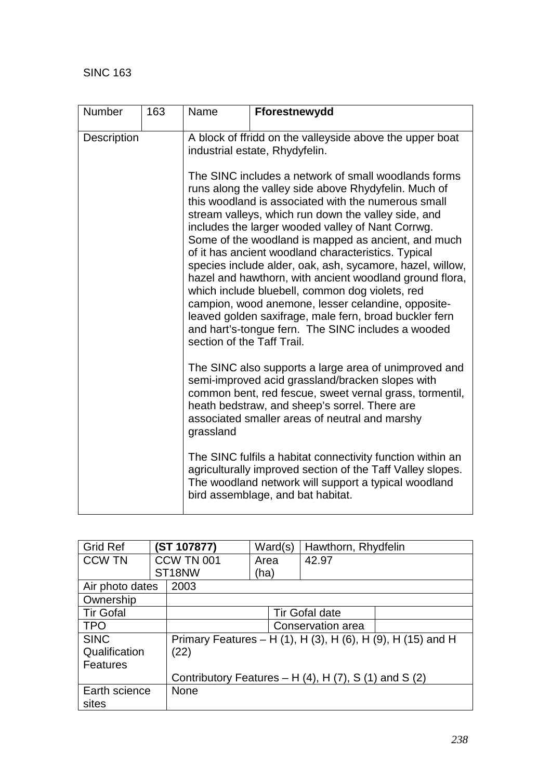| Number      | 163 | Name                                                                                       | Fforestnewydd                                                                                                                                                                                                                                                                                                                                                                                                                                                                                                                                                                                                                                                                                                                                  |  |  |  |  |
|-------------|-----|--------------------------------------------------------------------------------------------|------------------------------------------------------------------------------------------------------------------------------------------------------------------------------------------------------------------------------------------------------------------------------------------------------------------------------------------------------------------------------------------------------------------------------------------------------------------------------------------------------------------------------------------------------------------------------------------------------------------------------------------------------------------------------------------------------------------------------------------------|--|--|--|--|
| Description |     | A block of ffridd on the valleyside above the upper boat<br>industrial estate, Rhydyfelin. |                                                                                                                                                                                                                                                                                                                                                                                                                                                                                                                                                                                                                                                                                                                                                |  |  |  |  |
|             |     | section of the Taff Trail.                                                                 | The SINC includes a network of small woodlands forms<br>runs along the valley side above Rhydyfelin. Much of<br>this woodland is associated with the numerous small<br>stream valleys, which run down the valley side, and<br>includes the larger wooded valley of Nant Corrwg.<br>Some of the woodland is mapped as ancient, and much<br>of it has ancient woodland characteristics. Typical<br>species include alder, oak, ash, sycamore, hazel, willow,<br>hazel and hawthorn, with ancient woodland ground flora,<br>which include bluebell, common dog violets, red<br>campion, wood anemone, lesser celandine, opposite-<br>leaved golden saxifrage, male fern, broad buckler fern<br>and hart's-tongue fern. The SINC includes a wooded |  |  |  |  |
|             |     | grassland                                                                                  | The SINC also supports a large area of unimproved and<br>semi-improved acid grassland/bracken slopes with<br>common bent, red fescue, sweet vernal grass, tormentil,<br>heath bedstraw, and sheep's sorrel. There are<br>associated smaller areas of neutral and marshy                                                                                                                                                                                                                                                                                                                                                                                                                                                                        |  |  |  |  |
|             |     |                                                                                            | The SINC fulfils a habitat connectivity function within an<br>agriculturally improved section of the Taff Valley slopes.<br>The woodland network will support a typical woodland<br>bird assemblage, and bat habitat.                                                                                                                                                                                                                                                                                                                                                                                                                                                                                                                          |  |  |  |  |

| <b>Grid Ref</b>  | (ST 107877)                                                    | Ward(s) | Hawthorn, Rhydfelin   |                                                             |  |
|------------------|----------------------------------------------------------------|---------|-----------------------|-------------------------------------------------------------|--|
| <b>CCW TN</b>    | <b>CCW TN 001</b>                                              | Area    | 42.97                 |                                                             |  |
|                  | ST <sub>18NW</sub>                                             | (ha)    |                       |                                                             |  |
| Air photo dates  | 2003                                                           |         |                       |                                                             |  |
| Ownership        |                                                                |         |                       |                                                             |  |
| <b>Tir Gofal</b> |                                                                |         | <b>Tir Gofal date</b> |                                                             |  |
| <b>TPO</b>       |                                                                |         | Conservation area     |                                                             |  |
| <b>SINC</b>      |                                                                |         |                       | Primary Features – H (1), H (3), H (6), H (9), H (15) and H |  |
| Qualification    | (22)                                                           |         |                       |                                                             |  |
| Features         |                                                                |         |                       |                                                             |  |
|                  | Contributory Features $- H(4)$ , H $(7)$ , S $(1)$ and S $(2)$ |         |                       |                                                             |  |
| Earth science    | <b>None</b>                                                    |         |                       |                                                             |  |
| sites            |                                                                |         |                       |                                                             |  |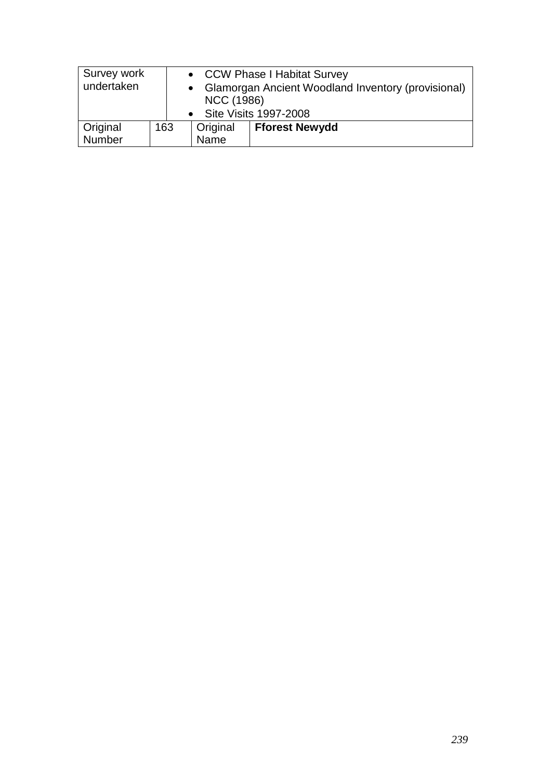| Survey work<br>undertaken |     | <b>NCC (1986)</b> | • CCW Phase I Habitat Survey<br>• Glamorgan Ancient Woodland Inventory (provisional)<br>• Site Visits 1997-2008 |
|---------------------------|-----|-------------------|-----------------------------------------------------------------------------------------------------------------|
| Original                  | 163 | <b>Original</b>   | <b>Fforest Newydd</b>                                                                                           |
| Number                    |     | Name              |                                                                                                                 |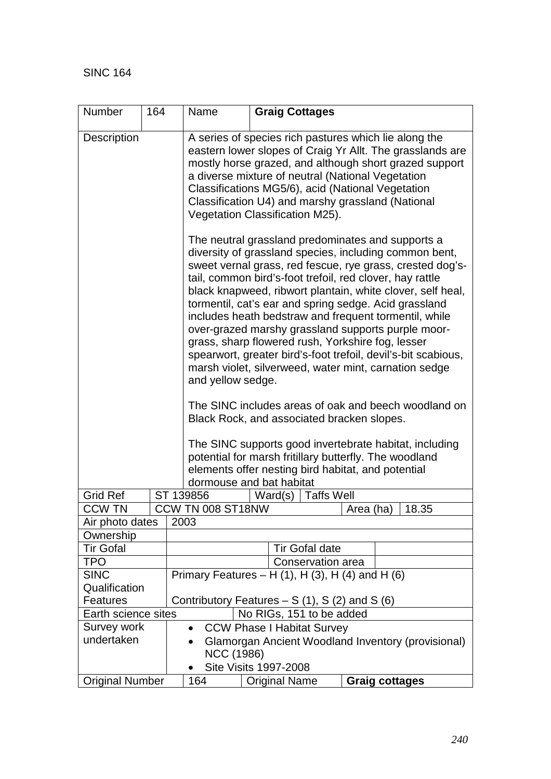| Number                 | 164                                                              | Name                                                   |                                                                                                                                                                                                                                                                                                                                                                                                                                                                                                                                                                                                                                                                                                                                                                                                                                                | <b>Graig Cottages</b>                                                              |                       |  |       |  |
|------------------------|------------------------------------------------------------------|--------------------------------------------------------|------------------------------------------------------------------------------------------------------------------------------------------------------------------------------------------------------------------------------------------------------------------------------------------------------------------------------------------------------------------------------------------------------------------------------------------------------------------------------------------------------------------------------------------------------------------------------------------------------------------------------------------------------------------------------------------------------------------------------------------------------------------------------------------------------------------------------------------------|------------------------------------------------------------------------------------|-----------------------|--|-------|--|
| <b>Description</b>     |                                                                  |                                                        | A series of species rich pastures which lie along the<br>eastern lower slopes of Craig Yr Allt. The grasslands are<br>mostly horse grazed, and although short grazed support<br>a diverse mixture of neutral (National Vegetation<br>Classifications MG5/6), acid (National Vegetation<br>Classification U4) and marshy grassland (National<br>Vegetation Classification M25).                                                                                                                                                                                                                                                                                                                                                                                                                                                                 |                                                                                    |                       |  |       |  |
|                        |                                                                  | potential for marsh fritillary butterfly. The woodland | The neutral grassland predominates and supports a<br>diversity of grassland species, including common bent,<br>sweet vernal grass, red fescue, rye grass, crested dog's-<br>tail, common bird's-foot trefoil, red clover, hay rattle<br>black knapweed, ribwort plantain, white clover, self heal,<br>tormentil, cat's ear and spring sedge. Acid grassland<br>includes heath bedstraw and frequent tormentil, while<br>over-grazed marshy grassland supports purple moor-<br>grass, sharp flowered rush, Yorkshire fog, lesser<br>spearwort, greater bird's-foot trefoil, devil's-bit scabious,<br>marsh violet, silverweed, water mint, carnation sedge<br>and yellow sedge.<br>The SINC includes areas of oak and beech woodland on<br>Black Rock, and associated bracken slopes.<br>The SINC supports good invertebrate habitat, including |                                                                                    |                       |  |       |  |
|                        |                                                                  |                                                        | elements offer nesting bird habitat, and potential<br>dormouse and bat habitat                                                                                                                                                                                                                                                                                                                                                                                                                                                                                                                                                                                                                                                                                                                                                                 |                                                                                    |                       |  |       |  |
| <b>Grid Ref</b>        |                                                                  | ST 139856                                              |                                                                                                                                                                                                                                                                                                                                                                                                                                                                                                                                                                                                                                                                                                                                                                                                                                                | <b>Taffs Well</b><br>Ward(s)                                                       |                       |  |       |  |
| <b>CCW TN</b>          |                                                                  | CCW TN 008 ST18NW                                      |                                                                                                                                                                                                                                                                                                                                                                                                                                                                                                                                                                                                                                                                                                                                                                                                                                                |                                                                                    | Area (ha)             |  | 18.35 |  |
| Air photo dates        |                                                                  | 2003                                                   |                                                                                                                                                                                                                                                                                                                                                                                                                                                                                                                                                                                                                                                                                                                                                                                                                                                |                                                                                    |                       |  |       |  |
| Ownership              |                                                                  |                                                        |                                                                                                                                                                                                                                                                                                                                                                                                                                                                                                                                                                                                                                                                                                                                                                                                                                                |                                                                                    |                       |  |       |  |
| <b>Tir Gofal</b>       |                                                                  |                                                        |                                                                                                                                                                                                                                                                                                                                                                                                                                                                                                                                                                                                                                                                                                                                                                                                                                                | <b>Tir Gofal date</b>                                                              |                       |  |       |  |
| <b>TPO</b>             |                                                                  |                                                        |                                                                                                                                                                                                                                                                                                                                                                                                                                                                                                                                                                                                                                                                                                                                                                                                                                                | Conservation area                                                                  |                       |  |       |  |
| <b>SINC</b>            |                                                                  |                                                        |                                                                                                                                                                                                                                                                                                                                                                                                                                                                                                                                                                                                                                                                                                                                                                                                                                                | Primary Features – H $(1)$ , H $(3)$ , H $(4)$ and H $(6)$                         |                       |  |       |  |
| Qualification          |                                                                  |                                                        |                                                                                                                                                                                                                                                                                                                                                                                                                                                                                                                                                                                                                                                                                                                                                                                                                                                |                                                                                    |                       |  |       |  |
|                        | Contributory Features $- S(1), S(2)$ and S(6)<br><b>Features</b> |                                                        |                                                                                                                                                                                                                                                                                                                                                                                                                                                                                                                                                                                                                                                                                                                                                                                                                                                |                                                                                    |                       |  |       |  |
| Earth science sites    |                                                                  |                                                        |                                                                                                                                                                                                                                                                                                                                                                                                                                                                                                                                                                                                                                                                                                                                                                                                                                                | No RIGs, 151 to be added                                                           |                       |  |       |  |
| Survey work            |                                                                  | $\bullet$                                              |                                                                                                                                                                                                                                                                                                                                                                                                                                                                                                                                                                                                                                                                                                                                                                                                                                                | <b>CCW Phase I Habitat Survey</b>                                                  |                       |  |       |  |
| undertaken             |                                                                  |                                                        | <b>NCC (1986)</b>                                                                                                                                                                                                                                                                                                                                                                                                                                                                                                                                                                                                                                                                                                                                                                                                                              | Glamorgan Ancient Woodland Inventory (provisional)<br><b>Site Visits 1997-2008</b> |                       |  |       |  |
| <b>Original Number</b> |                                                                  | 164                                                    |                                                                                                                                                                                                                                                                                                                                                                                                                                                                                                                                                                                                                                                                                                                                                                                                                                                | <b>Original Name</b>                                                               | <b>Graig cottages</b> |  |       |  |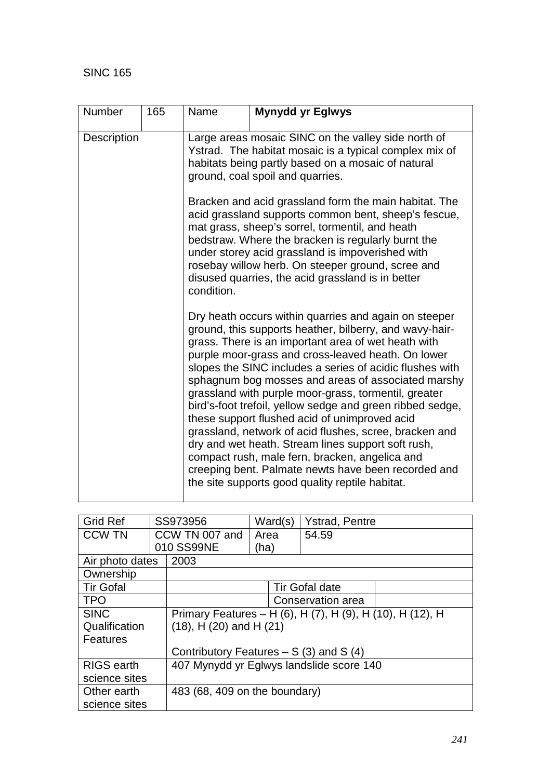| Number      | 165 | Name                                                                                                                                                                                                    | <b>Mynydd yr Eglwys</b>                                                                                                                                                                                                                                                                                                                                                                                                                                                                                                                                                                                                                                                                                                                                                                           |  |  |  |
|-------------|-----|---------------------------------------------------------------------------------------------------------------------------------------------------------------------------------------------------------|---------------------------------------------------------------------------------------------------------------------------------------------------------------------------------------------------------------------------------------------------------------------------------------------------------------------------------------------------------------------------------------------------------------------------------------------------------------------------------------------------------------------------------------------------------------------------------------------------------------------------------------------------------------------------------------------------------------------------------------------------------------------------------------------------|--|--|--|
|             |     |                                                                                                                                                                                                         |                                                                                                                                                                                                                                                                                                                                                                                                                                                                                                                                                                                                                                                                                                                                                                                                   |  |  |  |
| Description |     | Large areas mosaic SINC on the valley side north of<br>Ystrad. The habitat mosaic is a typical complex mix of<br>habitats being partly based on a mosaic of natural<br>ground, coal spoil and quarries. |                                                                                                                                                                                                                                                                                                                                                                                                                                                                                                                                                                                                                                                                                                                                                                                                   |  |  |  |
|             |     | condition.                                                                                                                                                                                              | Bracken and acid grassland form the main habitat. The<br>acid grassland supports common bent, sheep's fescue,<br>mat grass, sheep's sorrel, tormentil, and heath<br>bedstraw. Where the bracken is regularly burnt the<br>under storey acid grassland is impoverished with<br>rosebay willow herb. On steeper ground, scree and<br>disused quarries, the acid grassland is in better                                                                                                                                                                                                                                                                                                                                                                                                              |  |  |  |
|             |     |                                                                                                                                                                                                         | Dry heath occurs within quarries and again on steeper<br>ground, this supports heather, bilberry, and wavy-hair-<br>grass. There is an important area of wet heath with<br>purple moor-grass and cross-leaved heath. On lower<br>slopes the SINC includes a series of acidic flushes with<br>sphagnum bog mosses and areas of associated marshy<br>grassland with purple moor-grass, tormentil, greater<br>bird's-foot trefoil, yellow sedge and green ribbed sedge,<br>these support flushed acid of unimproved acid<br>grassland, network of acid flushes, scree, bracken and<br>dry and wet heath. Stream lines support soft rush,<br>compact rush, male fern, bracken, angelica and<br>creeping bent. Palmate newts have been recorded and<br>the site supports good quality reptile habitat. |  |  |  |

| <b>Grid Ref</b>                              |  | SS973956                       | Ward(s)                                 | <b>Ystrad, Pentre</b>                                     |  |  |  |
|----------------------------------------------|--|--------------------------------|-----------------------------------------|-----------------------------------------------------------|--|--|--|
| <b>CCW TN</b>                                |  | CCW TN 007 and                 | Area                                    | 54.59                                                     |  |  |  |
|                                              |  | 010 SS99NE                     | (ha)                                    |                                                           |  |  |  |
| Air photo dates                              |  | 2003                           |                                         |                                                           |  |  |  |
| Ownership                                    |  |                                |                                         |                                                           |  |  |  |
| <b>Tir Gofal</b>                             |  |                                |                                         | <b>Tir Gofal date</b>                                     |  |  |  |
| <b>TPO</b>                                   |  |                                | Conservation area                       |                                                           |  |  |  |
| <b>SINC</b>                                  |  |                                |                                         | Primary Features – H (6), H (7), H (9), H (10), H (12), H |  |  |  |
| Qualification                                |  | $(18)$ , H $(20)$ and H $(21)$ |                                         |                                                           |  |  |  |
| <b>Features</b>                              |  |                                |                                         |                                                           |  |  |  |
|                                              |  |                                | Contributory Features $- S(3)$ and S(4) |                                                           |  |  |  |
| <b>RIGS</b> earth                            |  |                                |                                         | 407 Mynydd yr Eglwys landslide score 140                  |  |  |  |
| science sites                                |  |                                |                                         |                                                           |  |  |  |
| 483 (68, 409 on the boundary)<br>Other earth |  |                                |                                         |                                                           |  |  |  |
| science sites                                |  |                                |                                         |                                                           |  |  |  |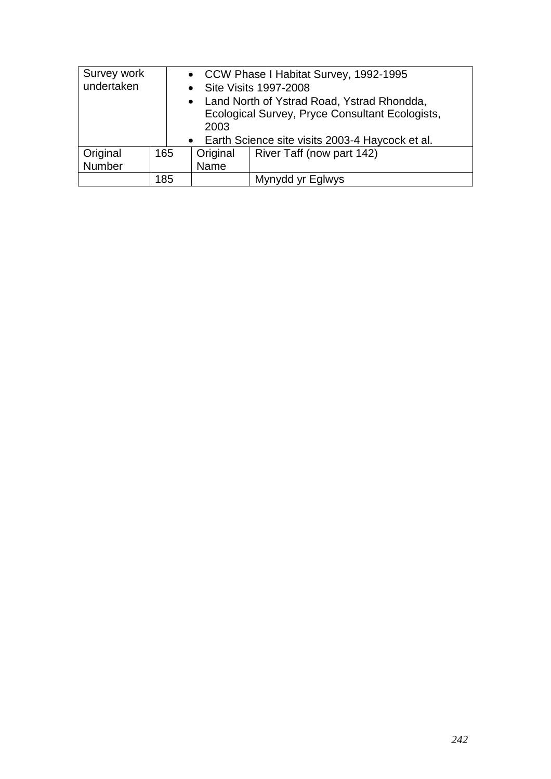| Survey work<br>undertaken<br>• Site Visits 1997-2008 |                                                   | 2003     | • CCW Phase I Habitat Survey, 1992-1995<br>• Land North of Ystrad Road, Ystrad Rhondda,<br>Ecological Survey, Pryce Consultant Ecologists, |  |  |
|------------------------------------------------------|---------------------------------------------------|----------|--------------------------------------------------------------------------------------------------------------------------------------------|--|--|
|                                                      | • Earth Science site visits 2003-4 Haycock et al. |          |                                                                                                                                            |  |  |
| Original                                             | 165                                               | Original | River Taff (now part 142)                                                                                                                  |  |  |
| Number                                               |                                                   | Name     |                                                                                                                                            |  |  |
|                                                      | 185                                               |          | Mynydd yr Eglwys                                                                                                                           |  |  |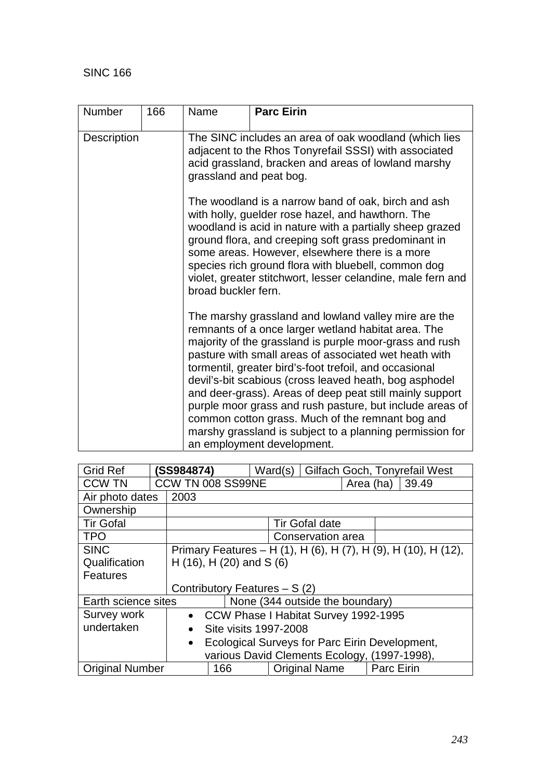| <b>Number</b>      | 166 | Name                                                                                                                                                                                                                                                                                                                                                                                                                                                                                                                                                                                                                      | <b>Parc Eirin</b>                                                                                                                                                     |  |  |  |
|--------------------|-----|---------------------------------------------------------------------------------------------------------------------------------------------------------------------------------------------------------------------------------------------------------------------------------------------------------------------------------------------------------------------------------------------------------------------------------------------------------------------------------------------------------------------------------------------------------------------------------------------------------------------------|-----------------------------------------------------------------------------------------------------------------------------------------------------------------------|--|--|--|
| <b>Description</b> |     | grassland and peat bog.                                                                                                                                                                                                                                                                                                                                                                                                                                                                                                                                                                                                   | The SINC includes an area of oak woodland (which lies<br>adjacent to the Rhos Tonyrefail SSSI) with associated<br>acid grassland, bracken and areas of lowland marshy |  |  |  |
|                    |     | The woodland is a narrow band of oak, birch and ash<br>with holly, guelder rose hazel, and hawthorn. The<br>woodland is acid in nature with a partially sheep grazed<br>ground flora, and creeping soft grass predominant in<br>some areas. However, elsewhere there is a more<br>species rich ground flora with bluebell, common dog<br>violet, greater stitchwort, lesser celandine, male fern and<br>broad buckler fern.                                                                                                                                                                                               |                                                                                                                                                                       |  |  |  |
|                    |     | The marshy grassland and lowland valley mire are the<br>remnants of a once larger wetland habitat area. The<br>majority of the grassland is purple moor-grass and rush<br>pasture with small areas of associated wet heath with<br>tormentil, greater bird's-foot trefoil, and occasional<br>devil's-bit scabious (cross leaved heath, bog asphodel<br>and deer-grass). Areas of deep peat still mainly support<br>purple moor grass and rush pasture, but include areas of<br>common cotton grass. Much of the remnant bog and<br>marshy grassland is subject to a planning permission for<br>an employment development. |                                                                                                                                                                       |  |  |  |

| <b>Grid Ref</b>                                                     |  | (SS984874)                                                     |  | Ward(s) |                                 |           |  | Gilfach Goch, Tonyrefail West |
|---------------------------------------------------------------------|--|----------------------------------------------------------------|--|---------|---------------------------------|-----------|--|-------------------------------|
| <b>CCW TN</b>                                                       |  | CCW TN 008 SS99NE                                              |  |         |                                 | Area (ha) |  | 39.49                         |
| Air photo dates                                                     |  | 2003                                                           |  |         |                                 |           |  |                               |
| Ownership                                                           |  |                                                                |  |         |                                 |           |  |                               |
| <b>Tir Gofal</b>                                                    |  | <b>Tir Gofal date</b>                                          |  |         |                                 |           |  |                               |
| <b>TPO</b>                                                          |  | Conservation area                                              |  |         |                                 |           |  |                               |
| <b>SINC</b>                                                         |  | Primary Features – H (1), H (6), H (7), H (9), H (10), H (12), |  |         |                                 |           |  |                               |
| Qualification                                                       |  | H $(16)$ , H $(20)$ and S $(6)$                                |  |         |                                 |           |  |                               |
| <b>Features</b>                                                     |  |                                                                |  |         |                                 |           |  |                               |
|                                                                     |  | Contributory Features $- S(2)$                                 |  |         |                                 |           |  |                               |
| Earth science sites                                                 |  |                                                                |  |         | None (344 outside the boundary) |           |  |                               |
| Survey work                                                         |  | • CCW Phase I Habitat Survey 1992-1995                         |  |         |                                 |           |  |                               |
| undertaken                                                          |  | Site visits 1997-2008<br>$\bullet$                             |  |         |                                 |           |  |                               |
|                                                                     |  | Ecological Surveys for Parc Eirin Development,<br>$\bullet$    |  |         |                                 |           |  |                               |
|                                                                     |  | various David Clements Ecology, (1997-1998),                   |  |         |                                 |           |  |                               |
| Parc Eirin<br><b>Original Name</b><br><b>Original Number</b><br>166 |  |                                                                |  |         |                                 |           |  |                               |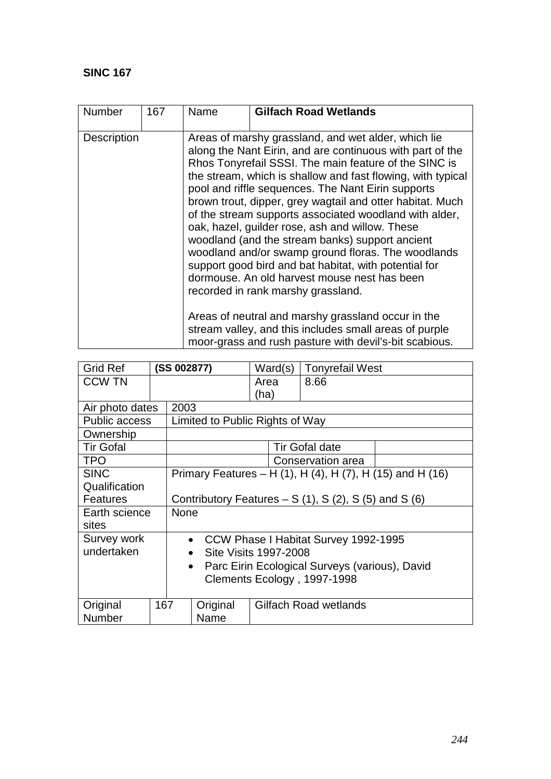| Number             | 167 | Name | <b>Gilfach Road Wetlands</b>                                                                                                                                                                                                                                                                                                                                                                                                                                                                                                                                                                                                                                                                                                                                                                                                                     |  |  |  |
|--------------------|-----|------|--------------------------------------------------------------------------------------------------------------------------------------------------------------------------------------------------------------------------------------------------------------------------------------------------------------------------------------------------------------------------------------------------------------------------------------------------------------------------------------------------------------------------------------------------------------------------------------------------------------------------------------------------------------------------------------------------------------------------------------------------------------------------------------------------------------------------------------------------|--|--|--|
| <b>Description</b> |     |      | Areas of marshy grassland, and wet alder, which lie<br>along the Nant Eirin, and are continuous with part of the<br>Rhos Tonyrefail SSSI. The main feature of the SINC is<br>the stream, which is shallow and fast flowing, with typical<br>pool and riffle sequences. The Nant Eirin supports<br>brown trout, dipper, grey wagtail and otter habitat. Much<br>of the stream supports associated woodland with alder,<br>oak, hazel, guilder rose, ash and willow. These<br>woodland (and the stream banks) support ancient<br>woodland and/or swamp ground floras. The woodlands<br>support good bird and bat habitat, with potential for<br>dormouse. An old harvest mouse nest has been<br>recorded in rank marshy grassland.<br>Areas of neutral and marshy grassland occur in the<br>stream valley, and this includes small areas of purple |  |  |  |
|                    |     |      | moor-grass and rush pasture with devil's-bit scabious.                                                                                                                                                                                                                                                                                                                                                                                                                                                                                                                                                                                                                                                                                                                                                                                           |  |  |  |

| <b>Grid Ref</b>      |                             | (SS 002877)                                                 |                                 | Ward(s) | <b>Tonyrefail West</b>                                    |  |  |
|----------------------|-----------------------------|-------------------------------------------------------------|---------------------------------|---------|-----------------------------------------------------------|--|--|
| <b>CCW TN</b>        |                             |                                                             |                                 | Area    | 8.66                                                      |  |  |
|                      |                             |                                                             |                                 | (ha)    |                                                           |  |  |
| Air photo dates      |                             | 2003                                                        |                                 |         |                                                           |  |  |
| <b>Public access</b> |                             |                                                             | Limited to Public Rights of Way |         |                                                           |  |  |
| Ownership            |                             |                                                             |                                 |         |                                                           |  |  |
| <b>Tir Gofal</b>     |                             |                                                             |                                 |         | <b>Tir Gofal date</b>                                     |  |  |
| <b>TPO</b>           |                             |                                                             |                                 |         | Conservation area                                         |  |  |
| <b>SINC</b>          |                             |                                                             |                                 |         | Primary Features – H (1), H (4), H (7), H (15) and H (16) |  |  |
| Qualification        |                             |                                                             |                                 |         |                                                           |  |  |
| <b>Features</b>      |                             | Contributory Features $- S(1)$ , S(2), S(5) and S(6)        |                                 |         |                                                           |  |  |
| Earth science        |                             | None                                                        |                                 |         |                                                           |  |  |
| sites                |                             |                                                             |                                 |         |                                                           |  |  |
| Survey work          |                             | CCW Phase I Habitat Survey 1992-1995<br>$\bullet$           |                                 |         |                                                           |  |  |
| undertaken           |                             | Site Visits 1997-2008<br>$\bullet$                          |                                 |         |                                                           |  |  |
|                      |                             | Parc Eirin Ecological Surveys (various), David<br>$\bullet$ |                                 |         |                                                           |  |  |
|                      | Clements Ecology, 1997-1998 |                                                             |                                 |         |                                                           |  |  |
|                      |                             |                                                             |                                 |         |                                                           |  |  |
| Original             | 167                         |                                                             | Original                        |         | Gilfach Road wetlands                                     |  |  |
| <b>Number</b>        |                             | Name                                                        |                                 |         |                                                           |  |  |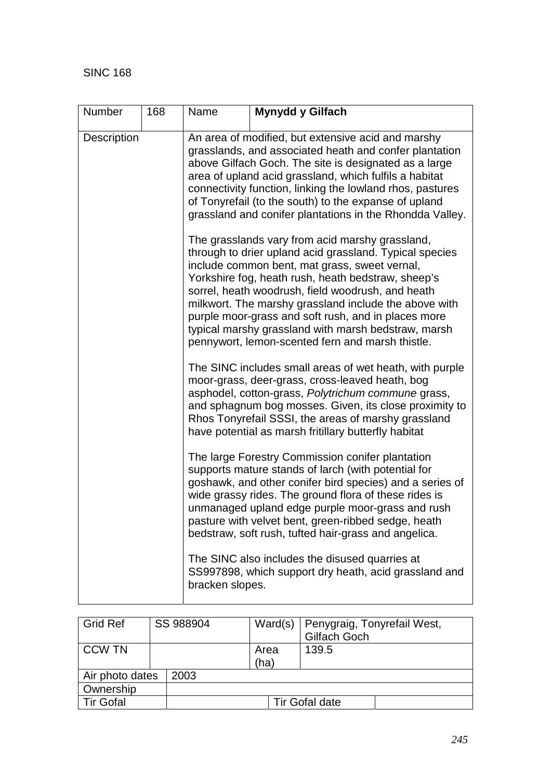| Number      | 168 | Name                                                                                                                                                                                                                                                                                                                                                                                                              | Mynydd y Gilfach                                                                                                                                                                                                                                                                                                                                                                                                                                                                                  |  |  |  |  |
|-------------|-----|-------------------------------------------------------------------------------------------------------------------------------------------------------------------------------------------------------------------------------------------------------------------------------------------------------------------------------------------------------------------------------------------------------------------|---------------------------------------------------------------------------------------------------------------------------------------------------------------------------------------------------------------------------------------------------------------------------------------------------------------------------------------------------------------------------------------------------------------------------------------------------------------------------------------------------|--|--|--|--|
| Description |     | An area of modified, but extensive acid and marshy<br>grasslands, and associated heath and confer plantation<br>above Gilfach Goch. The site is designated as a large<br>area of upland acid grassland, which fulfils a habitat<br>connectivity function, linking the lowland rhos, pastures<br>of Tonyrefail (to the south) to the expanse of upland<br>grassland and conifer plantations in the Rhondda Valley. |                                                                                                                                                                                                                                                                                                                                                                                                                                                                                                   |  |  |  |  |
|             |     |                                                                                                                                                                                                                                                                                                                                                                                                                   | The grasslands vary from acid marshy grassland,<br>through to drier upland acid grassland. Typical species<br>include common bent, mat grass, sweet vernal,<br>Yorkshire fog, heath rush, heath bedstraw, sheep's<br>sorrel, heath woodrush, field woodrush, and heath<br>milkwort. The marshy grassland include the above with<br>purple moor-grass and soft rush, and in places more<br>typical marshy grassland with marsh bedstraw, marsh<br>pennywort, lemon-scented fern and marsh thistle. |  |  |  |  |
|             |     |                                                                                                                                                                                                                                                                                                                                                                                                                   | The SINC includes small areas of wet heath, with purple<br>moor-grass, deer-grass, cross-leaved heath, bog<br>asphodel, cotton-grass, Polytrichum commune grass,<br>and sphagnum bog mosses. Given, its close proximity to<br>Rhos Tonyrefail SSSI, the areas of marshy grassland<br>have potential as marsh fritillary butterfly habitat                                                                                                                                                         |  |  |  |  |
|             |     |                                                                                                                                                                                                                                                                                                                                                                                                                   | The large Forestry Commission conifer plantation<br>supports mature stands of larch (with potential for<br>goshawk, and other conifer bird species) and a series of<br>wide grassy rides. The ground flora of these rides is<br>unmanaged upland edge purple moor-grass and rush<br>pasture with velvet bent, green-ribbed sedge, heath<br>bedstraw, soft rush, tufted hair-grass and angelica.                                                                                                   |  |  |  |  |
|             |     | bracken slopes.                                                                                                                                                                                                                                                                                                                                                                                                   | The SINC also includes the disused quarries at<br>SS997898, which support dry heath, acid grassland and                                                                                                                                                                                                                                                                                                                                                                                           |  |  |  |  |

| <b>Grid Ref</b>  |  | SS 988904 | Ward(s) $ $  | Penygraig, Tonyrefail West,<br>Gilfach Goch |
|------------------|--|-----------|--------------|---------------------------------------------|
| <b>CCW TN</b>    |  |           | Area<br>(ha) | 139.5                                       |
| Air photo dates  |  | 2003      |              |                                             |
| Ownership        |  |           |              |                                             |
| <b>Tir Gofal</b> |  |           |              | <b>Tir Gofal date</b>                       |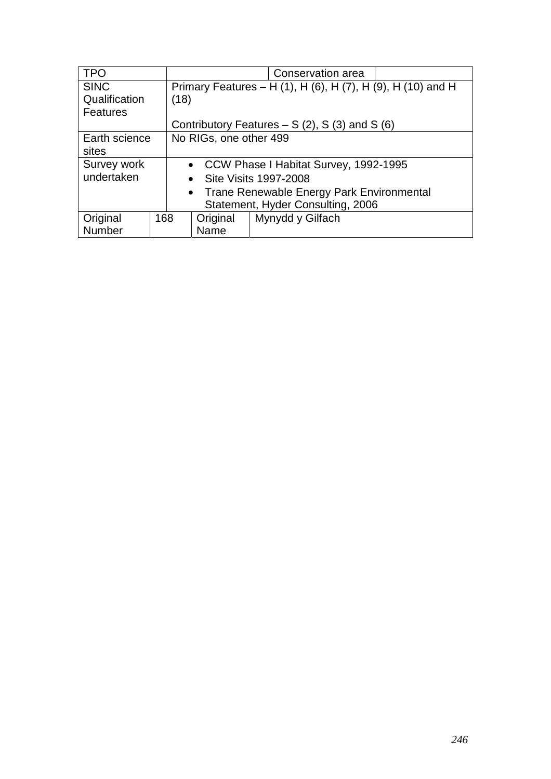| <b>TPO</b>                        |                                             |                                                             |  | Conservation area |  |  |  |
|-----------------------------------|---------------------------------------------|-------------------------------------------------------------|--|-------------------|--|--|--|
| <b>SINC</b>                       |                                             | Primary Features – H (1), H (6), H (7), H (9), H (10) and H |  |                   |  |  |  |
| Qualification                     |                                             | (18)                                                        |  |                   |  |  |  |
| <b>Features</b>                   |                                             |                                                             |  |                   |  |  |  |
|                                   |                                             | Contributory Features $- S(2)$ , S(3) and S(6)              |  |                   |  |  |  |
| Earth science                     |                                             | No RIGs, one other 499                                      |  |                   |  |  |  |
| sites                             |                                             |                                                             |  |                   |  |  |  |
| Survey work                       |                                             | • CCW Phase I Habitat Survey, 1992-1995                     |  |                   |  |  |  |
| undertaken                        |                                             | • Site Visits 1997-2008                                     |  |                   |  |  |  |
|                                   | • Trane Renewable Energy Park Environmental |                                                             |  |                   |  |  |  |
| Statement, Hyder Consulting, 2006 |                                             |                                                             |  |                   |  |  |  |
| Original                          | 168                                         | Mynydd y Gilfach<br>Original                                |  |                   |  |  |  |
| Number                            | Name                                        |                                                             |  |                   |  |  |  |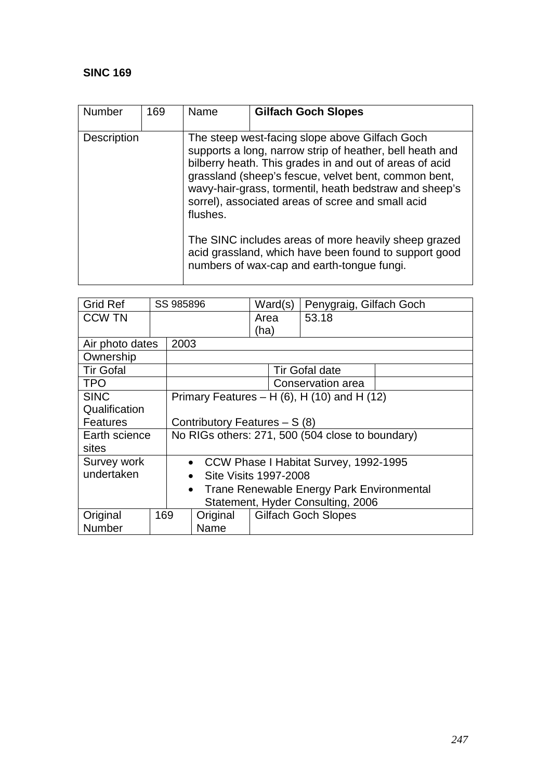| <b>Number</b>      | 169 | Name                                                                                                                                                        | <b>Gilfach Goch Slopes</b>                                                                                                                                                                                                                                                                                                                   |  |  |  |
|--------------------|-----|-------------------------------------------------------------------------------------------------------------------------------------------------------------|----------------------------------------------------------------------------------------------------------------------------------------------------------------------------------------------------------------------------------------------------------------------------------------------------------------------------------------------|--|--|--|
| <b>Description</b> |     | flushes.                                                                                                                                                    | The steep west-facing slope above Gilfach Goch<br>supports a long, narrow strip of heather, bell heath and<br>bilberry heath. This grades in and out of areas of acid<br>grassland (sheep's fescue, velvet bent, common bent,<br>wavy-hair-grass, tormentil, heath bedstraw and sheep's<br>sorrel), associated areas of scree and small acid |  |  |  |
|                    |     | The SINC includes areas of more heavily sheep grazed<br>acid grassland, which have been found to support good<br>numbers of wax-cap and earth-tongue fungi. |                                                                                                                                                                                                                                                                                                                                              |  |  |  |

| <b>Grid Ref</b>  |                                                        | SS 985896                                        |          | Ward(s)                    |  | Penygraig, Gilfach Goch                            |  |
|------------------|--------------------------------------------------------|--------------------------------------------------|----------|----------------------------|--|----------------------------------------------------|--|
| <b>CCW TN</b>    |                                                        |                                                  |          | Area                       |  | 53.18                                              |  |
|                  |                                                        |                                                  |          | (ha)                       |  |                                                    |  |
| Air photo dates  |                                                        | 2003                                             |          |                            |  |                                                    |  |
| Ownership        |                                                        |                                                  |          |                            |  |                                                    |  |
| <b>Tir Gofal</b> |                                                        |                                                  |          |                            |  | <b>Tir Gofal date</b>                              |  |
| <b>TPO</b>       |                                                        |                                                  |          |                            |  | Conservation area                                  |  |
| <b>SINC</b>      |                                                        |                                                  |          |                            |  | Primary Features – H $(6)$ , H $(10)$ and H $(12)$ |  |
| Qualification    |                                                        |                                                  |          |                            |  |                                                    |  |
| <b>Features</b>  |                                                        | Contributory Features $- S(8)$                   |          |                            |  |                                                    |  |
| Earth science    |                                                        | No RIGs others: 271, 500 (504 close to boundary) |          |                            |  |                                                    |  |
| sites            |                                                        |                                                  |          |                            |  |                                                    |  |
| Survey work      |                                                        | • CCW Phase I Habitat Survey, 1992-1995          |          |                            |  |                                                    |  |
| undertaken       | Site Visits 1997-2008<br>$\bullet$                     |                                                  |          |                            |  |                                                    |  |
|                  | Trane Renewable Energy Park Environmental<br>$\bullet$ |                                                  |          |                            |  |                                                    |  |
|                  | Statement, Hyder Consulting, 2006                      |                                                  |          |                            |  |                                                    |  |
| Original         | 169                                                    |                                                  | Original | <b>Gilfach Goch Slopes</b> |  |                                                    |  |
| Number           |                                                        |                                                  | Name     |                            |  |                                                    |  |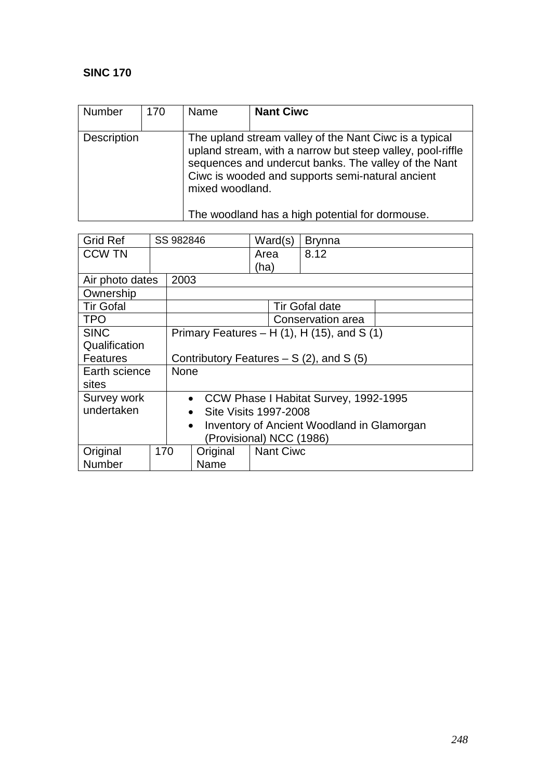| Number             | 170 | Name            | <b>Nant Ciwc</b>                                                                                                                                                                                                                                                                    |
|--------------------|-----|-----------------|-------------------------------------------------------------------------------------------------------------------------------------------------------------------------------------------------------------------------------------------------------------------------------------|
| <b>Description</b> |     | mixed woodland. | The upland stream valley of the Nant Ciwc is a typical<br>upland stream, with a narrow but steep valley, pool-riffle<br>sequences and undercut banks. The valley of the Nant<br>Ciwc is wooded and supports semi-natural ancient<br>The woodland has a high potential for dormouse. |

| <b>Grid Ref</b>  |                          | SS 982846                                               |                                                    | Ward(s)          |  | <b>Brynna</b>         |  |  |
|------------------|--------------------------|---------------------------------------------------------|----------------------------------------------------|------------------|--|-----------------------|--|--|
| <b>CCW TN</b>    |                          |                                                         |                                                    | Area             |  | 8.12                  |  |  |
|                  |                          |                                                         |                                                    | (ha)             |  |                       |  |  |
| Air photo dates  |                          | 2003                                                    |                                                    |                  |  |                       |  |  |
| Ownership        |                          |                                                         |                                                    |                  |  |                       |  |  |
| <b>Tir Gofal</b> |                          |                                                         |                                                    |                  |  | <b>Tir Gofal date</b> |  |  |
| <b>TPO</b>       |                          |                                                         |                                                    |                  |  | Conservation area     |  |  |
| <b>SINC</b>      |                          |                                                         | Primary Features $- H(1)$ , H $(15)$ , and S $(1)$ |                  |  |                       |  |  |
| Qualification    |                          |                                                         |                                                    |                  |  |                       |  |  |
| <b>Features</b>  |                          | Contributory Features $- S(2)$ , and S(5)               |                                                    |                  |  |                       |  |  |
| Earth science    |                          | None                                                    |                                                    |                  |  |                       |  |  |
| sites            |                          |                                                         |                                                    |                  |  |                       |  |  |
| Survey work      |                          | CCW Phase I Habitat Survey, 1992-1995<br>$\bullet$      |                                                    |                  |  |                       |  |  |
| undertaken       |                          | Site Visits 1997-2008<br>$\bullet$                      |                                                    |                  |  |                       |  |  |
|                  |                          | Inventory of Ancient Woodland in Glamorgan<br>$\bullet$ |                                                    |                  |  |                       |  |  |
|                  | (Provisional) NCC (1986) |                                                         |                                                    |                  |  |                       |  |  |
| Original         | 170                      |                                                         | Original                                           | <b>Nant Ciwc</b> |  |                       |  |  |
| Number           |                          | Name                                                    |                                                    |                  |  |                       |  |  |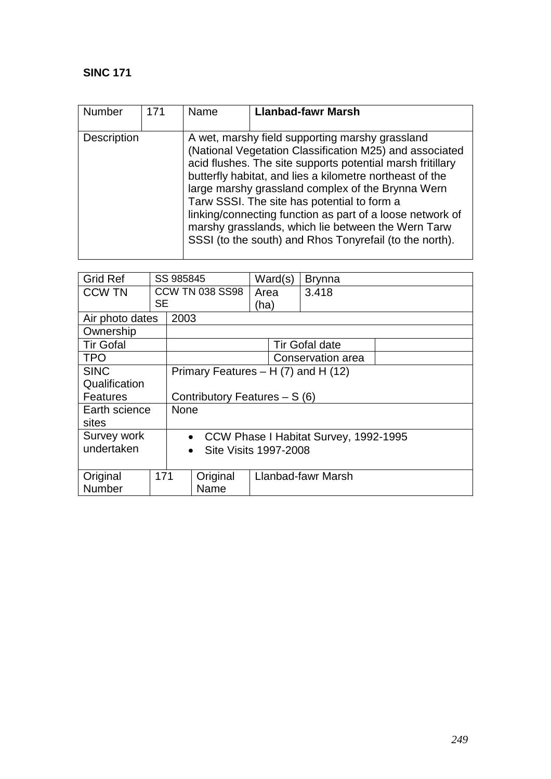| <b>Number</b> | 171 | Name | <b>Llanbad-fawr Marsh</b>                                                                                                                                                                                                                                                                                                                                                                                                                                                                                              |
|---------------|-----|------|------------------------------------------------------------------------------------------------------------------------------------------------------------------------------------------------------------------------------------------------------------------------------------------------------------------------------------------------------------------------------------------------------------------------------------------------------------------------------------------------------------------------|
| Description   |     |      | A wet, marshy field supporting marshy grassland<br>(National Vegetation Classification M25) and associated<br>acid flushes. The site supports potential marsh fritillary<br>butterfly habitat, and lies a kilometre northeast of the<br>large marshy grassland complex of the Brynna Wern<br>Tarw SSSI. The site has potential to form a<br>linking/connecting function as part of a loose network of<br>marshy grasslands, which lie between the Wern Tarw<br>SSSI (to the south) and Rhos Tonyrefail (to the north). |

| <b>Grid Ref</b>  |                                        | SS 985845                                 |                                |      | Ward(s) | <b>Brynna</b>         |  |  |
|------------------|----------------------------------------|-------------------------------------------|--------------------------------|------|---------|-----------------------|--|--|
| <b>CCW TN</b>    |                                        |                                           | <b>CCW TN 038 SS98</b>         | Area |         | 3.418                 |  |  |
|                  | SE                                     |                                           |                                | (ha) |         |                       |  |  |
| Air photo dates  |                                        | 2003                                      |                                |      |         |                       |  |  |
| Ownership        |                                        |                                           |                                |      |         |                       |  |  |
| <b>Tir Gofal</b> |                                        |                                           |                                |      |         | <b>Tir Gofal date</b> |  |  |
| <b>TPO</b>       |                                        |                                           |                                |      |         | Conservation area     |  |  |
| <b>SINC</b>      | Primary Features $- H(7)$ and H $(12)$ |                                           |                                |      |         |                       |  |  |
| Qualification    |                                        |                                           |                                |      |         |                       |  |  |
| <b>Features</b>  |                                        |                                           | Contributory Features $- S(6)$ |      |         |                       |  |  |
| Earth science    |                                        | <b>None</b>                               |                                |      |         |                       |  |  |
| sites            |                                        |                                           |                                |      |         |                       |  |  |
| Survey work      |                                        | • CCW Phase I Habitat Survey, 1992-1995   |                                |      |         |                       |  |  |
| undertaken       |                                        | <b>Site Visits 1997-2008</b><br>$\bullet$ |                                |      |         |                       |  |  |
|                  |                                        |                                           |                                |      |         |                       |  |  |
| Original         | 171                                    |                                           | Original                       |      |         | Llanbad-fawr Marsh    |  |  |
| Number           |                                        |                                           | Name                           |      |         |                       |  |  |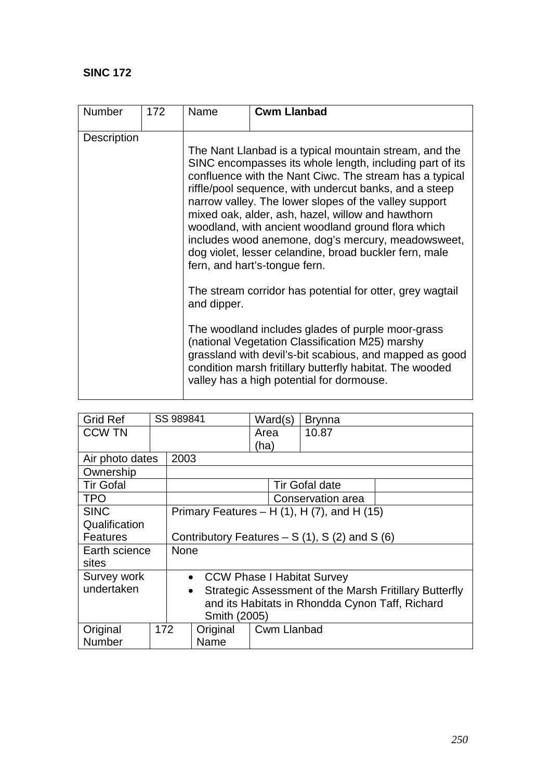| Number             | 172 | Name                                                                                                                                                                                                                                                                                                                                                                                                                                                                                                                                                         | <b>Cwm Llanbad</b>                                                                                                                                                                                                                                                                                                                    |  |  |
|--------------------|-----|--------------------------------------------------------------------------------------------------------------------------------------------------------------------------------------------------------------------------------------------------------------------------------------------------------------------------------------------------------------------------------------------------------------------------------------------------------------------------------------------------------------------------------------------------------------|---------------------------------------------------------------------------------------------------------------------------------------------------------------------------------------------------------------------------------------------------------------------------------------------------------------------------------------|--|--|
| <b>Description</b> |     | The Nant Llanbad is a typical mountain stream, and the<br>SINC encompasses its whole length, including part of its<br>confluence with the Nant Ciwc. The stream has a typical<br>riffle/pool sequence, with undercut banks, and a steep<br>narrow valley. The lower slopes of the valley support<br>mixed oak, alder, ash, hazel, willow and hawthorn<br>woodland, with ancient woodland ground flora which<br>includes wood anemone, dog's mercury, meadowsweet,<br>dog violet, lesser celandine, broad buckler fern, male<br>fern, and hart's-tongue fern. |                                                                                                                                                                                                                                                                                                                                       |  |  |
|                    |     | and dipper.                                                                                                                                                                                                                                                                                                                                                                                                                                                                                                                                                  | The stream corridor has potential for otter, grey wagtail<br>The woodland includes glades of purple moor-grass<br>(national Vegetation Classification M25) marshy<br>grassland with devil's-bit scabious, and mapped as good<br>condition marsh fritillary butterfly habitat. The wooded<br>valley has a high potential for dormouse. |  |  |

| <b>Grid Ref</b>  |                                                 | SS 989841                                                           |      |      | Ward(s) | <b>Brynna</b>                                       |  |
|------------------|-------------------------------------------------|---------------------------------------------------------------------|------|------|---------|-----------------------------------------------------|--|
| <b>CCW TN</b>    |                                                 |                                                                     |      | Area |         | 10.87                                               |  |
|                  |                                                 |                                                                     |      | (ha) |         |                                                     |  |
| Air photo dates  |                                                 | 2003                                                                |      |      |         |                                                     |  |
| Ownership        |                                                 |                                                                     |      |      |         |                                                     |  |
| <b>Tir Gofal</b> |                                                 |                                                                     |      |      |         | <b>Tir Gofal date</b>                               |  |
| <b>TPO</b>       |                                                 |                                                                     |      |      |         | Conservation area                                   |  |
| <b>SINC</b>      |                                                 |                                                                     |      |      |         | Primary Features – H $(1)$ , H $(7)$ , and H $(15)$ |  |
| Qualification    |                                                 |                                                                     |      |      |         |                                                     |  |
| <b>Features</b>  |                                                 | Contributory Features $- S(1)$ , S(2) and S(6)                      |      |      |         |                                                     |  |
| Earth science    |                                                 | <b>None</b>                                                         |      |      |         |                                                     |  |
| sites            |                                                 |                                                                     |      |      |         |                                                     |  |
| Survey work      |                                                 | <b>CCW Phase I Habitat Survey</b><br>$\bullet$                      |      |      |         |                                                     |  |
| undertaken       |                                                 | Strategic Assessment of the Marsh Fritillary Butterfly<br>$\bullet$ |      |      |         |                                                     |  |
|                  | and its Habitats in Rhondda Cynon Taff, Richard |                                                                     |      |      |         |                                                     |  |
|                  |                                                 | Smith (2005)                                                        |      |      |         |                                                     |  |
| Original         | 172                                             | <b>Cwm Llanbad</b><br>Original                                      |      |      |         |                                                     |  |
| <b>Number</b>    |                                                 |                                                                     | Name |      |         |                                                     |  |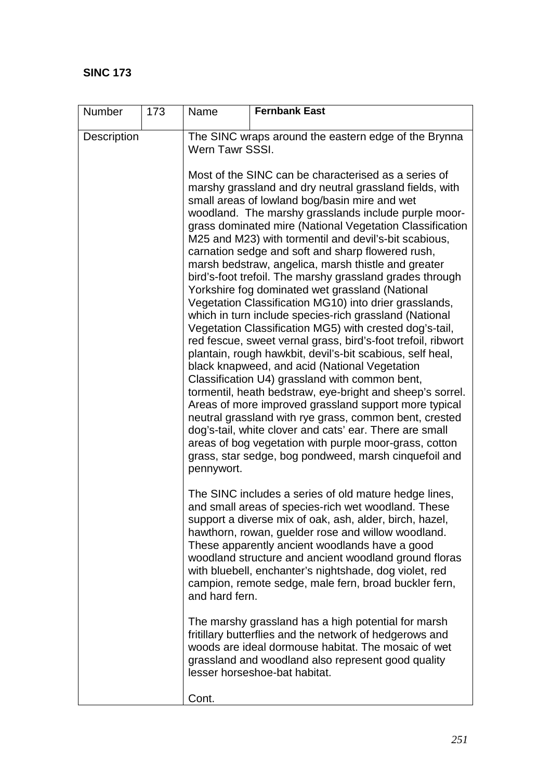| Number      | 173 | Name                                                                    | <b>Fernbank East</b>                                                                                                                                                                                                                                                                                                                                                                                                                                                                                                                                                                                                                                                                                                                                                                                                                                                                                                                                                                                                                                                                                                                                                                                                                                                                                                                                  |  |  |  |  |  |
|-------------|-----|-------------------------------------------------------------------------|-------------------------------------------------------------------------------------------------------------------------------------------------------------------------------------------------------------------------------------------------------------------------------------------------------------------------------------------------------------------------------------------------------------------------------------------------------------------------------------------------------------------------------------------------------------------------------------------------------------------------------------------------------------------------------------------------------------------------------------------------------------------------------------------------------------------------------------------------------------------------------------------------------------------------------------------------------------------------------------------------------------------------------------------------------------------------------------------------------------------------------------------------------------------------------------------------------------------------------------------------------------------------------------------------------------------------------------------------------|--|--|--|--|--|
| Description |     | The SINC wraps around the eastern edge of the Brynna<br>Wern Tawr SSSI. |                                                                                                                                                                                                                                                                                                                                                                                                                                                                                                                                                                                                                                                                                                                                                                                                                                                                                                                                                                                                                                                                                                                                                                                                                                                                                                                                                       |  |  |  |  |  |
|             |     | pennywort.                                                              | Most of the SINC can be characterised as a series of<br>marshy grassland and dry neutral grassland fields, with<br>small areas of lowland bog/basin mire and wet<br>woodland. The marshy grasslands include purple moor-<br>grass dominated mire (National Vegetation Classification<br>M25 and M23) with tormentil and devil's-bit scabious,<br>carnation sedge and soft and sharp flowered rush,<br>marsh bedstraw, angelica, marsh thistle and greater<br>bird's-foot trefoil. The marshy grassland grades through<br>Yorkshire fog dominated wet grassland (National<br>Vegetation Classification MG10) into drier grasslands,<br>which in turn include species-rich grassland (National<br>Vegetation Classification MG5) with crested dog's-tail,<br>red fescue, sweet vernal grass, bird's-foot trefoil, ribwort<br>plantain, rough hawkbit, devil's-bit scabious, self heal,<br>black knapweed, and acid (National Vegetation<br>Classification U4) grassland with common bent,<br>tormentil, heath bedstraw, eye-bright and sheep's sorrel.<br>Areas of more improved grassland support more typical<br>neutral grassland with rye grass, common bent, crested<br>dog's-tail, white clover and cats' ear. There are small<br>areas of bog vegetation with purple moor-grass, cotton<br>grass, star sedge, bog pondweed, marsh cinquefoil and |  |  |  |  |  |
|             |     | and hard fern.                                                          | The SINC includes a series of old mature hedge lines,<br>and small areas of species-rich wet woodland. These<br>support a diverse mix of oak, ash, alder, birch, hazel,<br>hawthorn, rowan, guelder rose and willow woodland.<br>These apparently ancient woodlands have a good<br>woodland structure and ancient woodland ground floras<br>with bluebell, enchanter's nightshade, dog violet, red<br>campion, remote sedge, male fern, broad buckler fern,<br>The marshy grassland has a high potential for marsh<br>fritillary butterflies and the network of hedgerows and<br>woods are ideal dormouse habitat. The mosaic of wet<br>grassland and woodland also represent good quality<br>lesser horseshoe-bat habitat.                                                                                                                                                                                                                                                                                                                                                                                                                                                                                                                                                                                                                           |  |  |  |  |  |
|             |     | Cont.                                                                   |                                                                                                                                                                                                                                                                                                                                                                                                                                                                                                                                                                                                                                                                                                                                                                                                                                                                                                                                                                                                                                                                                                                                                                                                                                                                                                                                                       |  |  |  |  |  |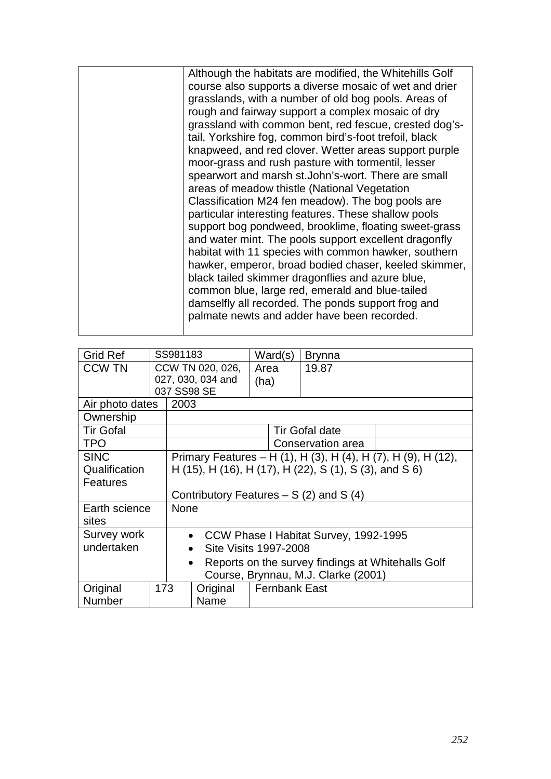|  |  | Although the habitats are modified, the Whitehills Golf<br>course also supports a diverse mosaic of wet and drier<br>grasslands, with a number of old bog pools. Areas of<br>rough and fairway support a complex mosaic of dry<br>grassland with common bent, red fescue, crested dog's-<br>tail, Yorkshire fog, common bird's-foot trefoil, black<br>knapweed, and red clover. Wetter areas support purple<br>moor-grass and rush pasture with tormentil, lesser<br>spearwort and marsh st. John's-wort. There are small<br>areas of meadow thistle (National Vegetation<br>Classification M24 fen meadow). The bog pools are<br>particular interesting features. These shallow pools<br>support bog pondweed, brooklime, floating sweet-grass<br>and water mint. The pools support excellent dragonfly<br>habitat with 11 species with common hawker, southern<br>hawker, emperor, broad bodied chaser, keeled skimmer,<br>black tailed skimmer dragonflies and azure blue,<br>common blue, large red, emerald and blue-tailed<br>damselfly all recorded. The ponds support frog and<br>palmate newts and adder have been recorded. |
|--|--|---------------------------------------------------------------------------------------------------------------------------------------------------------------------------------------------------------------------------------------------------------------------------------------------------------------------------------------------------------------------------------------------------------------------------------------------------------------------------------------------------------------------------------------------------------------------------------------------------------------------------------------------------------------------------------------------------------------------------------------------------------------------------------------------------------------------------------------------------------------------------------------------------------------------------------------------------------------------------------------------------------------------------------------------------------------------------------------------------------------------------------------|
|--|--|---------------------------------------------------------------------------------------------------------------------------------------------------------------------------------------------------------------------------------------------------------------------------------------------------------------------------------------------------------------------------------------------------------------------------------------------------------------------------------------------------------------------------------------------------------------------------------------------------------------------------------------------------------------------------------------------------------------------------------------------------------------------------------------------------------------------------------------------------------------------------------------------------------------------------------------------------------------------------------------------------------------------------------------------------------------------------------------------------------------------------------------|

| <b>Grid Ref</b>                     |     | SS981183                                               |                                         |                                                   | Ward(s)              | <b>Brynna</b>                         |                                                               |
|-------------------------------------|-----|--------------------------------------------------------|-----------------------------------------|---------------------------------------------------|----------------------|---------------------------------------|---------------------------------------------------------------|
| <b>CCW TN</b>                       |     |                                                        | CCW TN 020, 026,                        | Area                                              |                      | 19.87                                 |                                                               |
|                                     |     |                                                        | 027, 030, 034 and                       | (ha)                                              |                      |                                       |                                                               |
|                                     |     | 037 SS98 SE                                            |                                         |                                                   |                      |                                       |                                                               |
| Air photo dates                     |     | 2003                                                   |                                         |                                                   |                      |                                       |                                                               |
| Ownership                           |     |                                                        |                                         |                                                   |                      |                                       |                                                               |
| <b>Tir Gofal</b>                    |     |                                                        |                                         |                                                   |                      | <b>Tir Gofal date</b>                 |                                                               |
| <b>TPO</b>                          |     |                                                        |                                         |                                                   |                      | Conservation area                     |                                                               |
| <b>SINC</b>                         |     |                                                        |                                         |                                                   |                      |                                       | Primary Features – H (1), H (3), H (4), H (7), H (9), H (12), |
| Qualification                       |     | H (15), H (16), H (17), H (22), S (1), S (3), and S 6) |                                         |                                                   |                      |                                       |                                                               |
| Features                            |     |                                                        |                                         |                                                   |                      |                                       |                                                               |
|                                     |     |                                                        | Contributory Features $- S(2)$ and S(4) |                                                   |                      |                                       |                                                               |
| Earth science                       |     | <b>None</b>                                            |                                         |                                                   |                      |                                       |                                                               |
| sites                               |     |                                                        |                                         |                                                   |                      |                                       |                                                               |
| Survey work                         |     | $\bullet$                                              |                                         |                                                   |                      | CCW Phase I Habitat Survey, 1992-1995 |                                                               |
| undertaken                          |     |                                                        | Site Visits 1997-2008<br>$\bullet$      |                                                   |                      |                                       |                                                               |
| $\bullet$                           |     |                                                        |                                         | Reports on the survey findings at Whitehalls Golf |                      |                                       |                                                               |
| Course, Brynnau, M.J. Clarke (2001) |     |                                                        |                                         |                                                   |                      |                                       |                                                               |
| Original                            | 173 |                                                        | Original                                |                                                   | <b>Fernbank East</b> |                                       |                                                               |
| Number                              |     |                                                        | Name                                    |                                                   |                      |                                       |                                                               |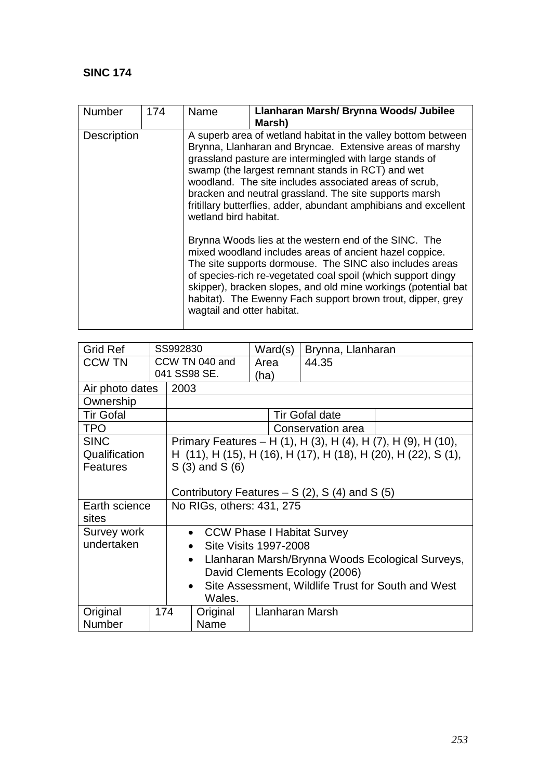| <b>Number</b> | 174 | Name                                                                                                                                                                                                                                                                                                                                                                                                                                                       | Llanharan Marsh/ Brynna Woods/ Jubilee<br>Marsh)                                                                                                                                                                                                                                                                                                                              |  |  |  |
|---------------|-----|------------------------------------------------------------------------------------------------------------------------------------------------------------------------------------------------------------------------------------------------------------------------------------------------------------------------------------------------------------------------------------------------------------------------------------------------------------|-------------------------------------------------------------------------------------------------------------------------------------------------------------------------------------------------------------------------------------------------------------------------------------------------------------------------------------------------------------------------------|--|--|--|
| Description   |     | A superb area of wetland habitat in the valley bottom between<br>Brynna, Llanharan and Bryncae. Extensive areas of marshy<br>grassland pasture are intermingled with large stands of<br>swamp (the largest remnant stands in RCT) and wet<br>woodland. The site includes associated areas of scrub,<br>bracken and neutral grassland. The site supports marsh<br>fritillary butterflies, adder, abundant amphibians and excellent<br>wetland bird habitat. |                                                                                                                                                                                                                                                                                                                                                                               |  |  |  |
|               |     | wagtail and otter habitat.                                                                                                                                                                                                                                                                                                                                                                                                                                 | Brynna Woods lies at the western end of the SINC. The<br>mixed woodland includes areas of ancient hazel coppice.<br>The site supports dormouse. The SINC also includes areas<br>of species-rich re-vegetated coal spoil (which support dingy<br>skipper), bracken slopes, and old mine workings (potential bat<br>habitat). The Ewenny Fach support brown trout, dipper, grey |  |  |  |

| <b>Grid Ref</b>  |  | SS992830                                                        |                                                               | Ward(s)                | Brynna, Llanharan     |                                                                |  |  |
|------------------|--|-----------------------------------------------------------------|---------------------------------------------------------------|------------------------|-----------------------|----------------------------------------------------------------|--|--|
| <b>CCW TN</b>    |  | CCW TN 040 and                                                  |                                                               | Area                   | 44.35                 |                                                                |  |  |
|                  |  |                                                                 | 041 SS98 SE.                                                  | (ha)                   |                       |                                                                |  |  |
| Air photo dates  |  | 2003                                                            |                                                               |                        |                       |                                                                |  |  |
| Ownership        |  |                                                                 |                                                               |                        |                       |                                                                |  |  |
| <b>Tir Gofal</b> |  |                                                                 |                                                               |                        | <b>Tir Gofal date</b> |                                                                |  |  |
| <b>TPO</b>       |  |                                                                 |                                                               |                        | Conservation area     |                                                                |  |  |
| <b>SINC</b>      |  |                                                                 |                                                               |                        |                       | Primary Features – H (1), H (3), H (4), H (7), H (9), H (10),  |  |  |
| Qualification    |  |                                                                 |                                                               |                        |                       | H (11), H (15), H (16), H (17), H (18), H (20), H (22), S (1), |  |  |
| <b>Features</b>  |  |                                                                 | $S(3)$ and $S(6)$                                             |                        |                       |                                                                |  |  |
|                  |  |                                                                 |                                                               |                        |                       |                                                                |  |  |
|                  |  | Contributory Features $- S(2)$ , S(4) and S(5)                  |                                                               |                        |                       |                                                                |  |  |
| Earth science    |  | No RIGs, others: 431, 275                                       |                                                               |                        |                       |                                                                |  |  |
| sites            |  |                                                                 |                                                               |                        |                       |                                                                |  |  |
| Survey work      |  |                                                                 | • CCW Phase I Habitat Survey                                  |                        |                       |                                                                |  |  |
| undertaken       |  |                                                                 | Site Visits 1997-2008                                         |                        |                       |                                                                |  |  |
|                  |  |                                                                 | Llanharan Marsh/Brynna Woods Ecological Surveys,<br>$\bullet$ |                        |                       |                                                                |  |  |
|                  |  | David Clements Ecology (2006)                                   |                                                               |                        |                       |                                                                |  |  |
|                  |  | Site Assessment, Wildlife Trust for South and West<br>$\bullet$ |                                                               |                        |                       |                                                                |  |  |
|                  |  |                                                                 | Wales.                                                        |                        |                       |                                                                |  |  |
| 174<br>Original  |  |                                                                 | Original                                                      | <b>Llanharan Marsh</b> |                       |                                                                |  |  |
| Number           |  |                                                                 | Name                                                          |                        |                       |                                                                |  |  |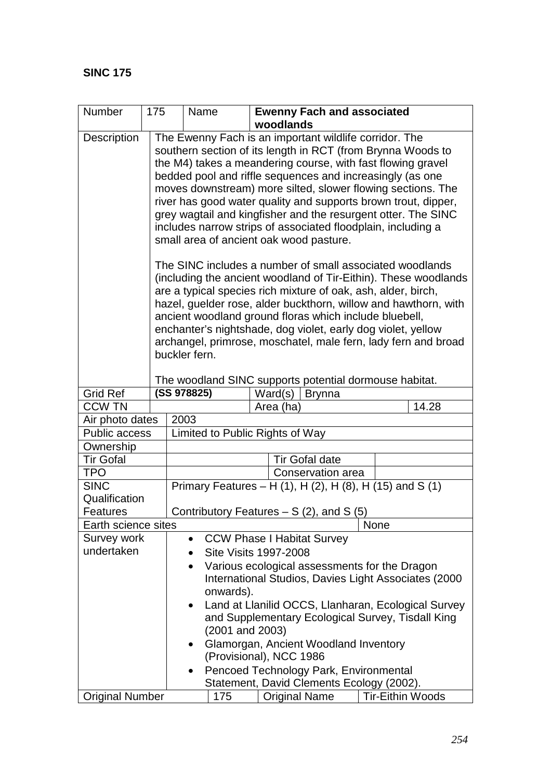| Number                                                           |                                                             | 175<br>Name<br><b>Ewenny Fach and associated</b>            |                                                            |  |                                                                 |                         |  |  |  |
|------------------------------------------------------------------|-------------------------------------------------------------|-------------------------------------------------------------|------------------------------------------------------------|--|-----------------------------------------------------------------|-------------------------|--|--|--|
|                                                                  |                                                             | woodlands                                                   |                                                            |  |                                                                 |                         |  |  |  |
| <b>Description</b>                                               |                                                             | The Ewenny Fach is an important wildlife corridor. The      |                                                            |  |                                                                 |                         |  |  |  |
|                                                                  |                                                             | southern section of its length in RCT (from Brynna Woods to |                                                            |  |                                                                 |                         |  |  |  |
|                                                                  | the M4) takes a meandering course, with fast flowing gravel |                                                             |                                                            |  |                                                                 |                         |  |  |  |
|                                                                  |                                                             |                                                             |                                                            |  | bedded pool and riffle sequences and increasingly (as one       |                         |  |  |  |
|                                                                  |                                                             |                                                             |                                                            |  | moves downstream) more silted, slower flowing sections. The     |                         |  |  |  |
|                                                                  |                                                             |                                                             |                                                            |  | river has good water quality and supports brown trout, dipper,  |                         |  |  |  |
|                                                                  |                                                             |                                                             |                                                            |  | grey wagtail and kingfisher and the resurgent otter. The SINC   |                         |  |  |  |
|                                                                  |                                                             |                                                             |                                                            |  | includes narrow strips of associated floodplain, including a    |                         |  |  |  |
|                                                                  |                                                             |                                                             |                                                            |  | small area of ancient oak wood pasture.                         |                         |  |  |  |
|                                                                  |                                                             |                                                             |                                                            |  | The SINC includes a number of small associated woodlands        |                         |  |  |  |
|                                                                  |                                                             |                                                             |                                                            |  | (including the ancient woodland of Tir-Eithin). These woodlands |                         |  |  |  |
|                                                                  |                                                             |                                                             |                                                            |  | are a typical species rich mixture of oak, ash, alder, birch,   |                         |  |  |  |
|                                                                  |                                                             |                                                             |                                                            |  | hazel, guelder rose, alder buckthorn, willow and hawthorn, with |                         |  |  |  |
|                                                                  |                                                             |                                                             |                                                            |  | ancient woodland ground floras which include bluebell,          |                         |  |  |  |
|                                                                  |                                                             |                                                             |                                                            |  | enchanter's nightshade, dog violet, early dog violet, yellow    |                         |  |  |  |
|                                                                  |                                                             |                                                             |                                                            |  | archangel, primrose, moschatel, male fern, lady fern and broad  |                         |  |  |  |
|                                                                  |                                                             | buckler fern.                                               |                                                            |  |                                                                 |                         |  |  |  |
|                                                                  |                                                             |                                                             |                                                            |  | The woodland SINC supports potential dormouse habitat.          |                         |  |  |  |
| <b>Grid Ref</b>                                                  |                                                             |                                                             | (SS 978825)                                                |  | Ward(s)<br><b>Brynna</b>                                        |                         |  |  |  |
| <b>CCW TN</b>                                                    |                                                             |                                                             |                                                            |  | Area (ha)                                                       | 14.28                   |  |  |  |
| Air photo dates                                                  |                                                             | 2003                                                        |                                                            |  |                                                                 |                         |  |  |  |
| <b>Public access</b>                                             |                                                             | Limited to Public Rights of Way                             |                                                            |  |                                                                 |                         |  |  |  |
| Ownership                                                        |                                                             |                                                             |                                                            |  |                                                                 |                         |  |  |  |
| <b>Tir Gofal</b>                                                 |                                                             |                                                             |                                                            |  | <b>Tir Gofal date</b>                                           |                         |  |  |  |
| <b>TPO</b>                                                       |                                                             | Conservation area                                           |                                                            |  |                                                                 |                         |  |  |  |
| <b>SINC</b>                                                      |                                                             | Primary Features - H (1), H (2), H (8), H (15) and S (1)    |                                                            |  |                                                                 |                         |  |  |  |
| Qualification                                                    |                                                             |                                                             |                                                            |  |                                                                 |                         |  |  |  |
| Features                                                         |                                                             |                                                             |                                                            |  | Contributory Features $- S(2)$ , and S(5)                       |                         |  |  |  |
| Earth science sites                                              |                                                             |                                                             |                                                            |  |                                                                 | None                    |  |  |  |
| Survey work                                                      |                                                             |                                                             | $\bullet$                                                  |  | <b>CCW Phase I Habitat Survey</b>                               |                         |  |  |  |
| undertaken                                                       |                                                             |                                                             |                                                            |  | <b>Site Visits 1997-2008</b>                                    |                         |  |  |  |
|                                                                  |                                                             |                                                             | Various ecological assessments for the Dragon<br>$\bullet$ |  |                                                                 |                         |  |  |  |
| International Studios, Davies Light Associates (2000             |                                                             |                                                             |                                                            |  |                                                                 |                         |  |  |  |
| onwards).                                                        |                                                             |                                                             |                                                            |  |                                                                 |                         |  |  |  |
| Land at Llanilid OCCS, Llanharan, Ecological Survey<br>$\bullet$ |                                                             |                                                             |                                                            |  |                                                                 |                         |  |  |  |
| and Supplementary Ecological Survey, Tisdall King                |                                                             |                                                             |                                                            |  |                                                                 |                         |  |  |  |
| $(2001$ and $2003)$                                              |                                                             |                                                             |                                                            |  |                                                                 |                         |  |  |  |
|                                                                  |                                                             |                                                             |                                                            |  | Glamorgan, Ancient Woodland Inventory                           |                         |  |  |  |
|                                                                  |                                                             |                                                             |                                                            |  | (Provisional), NCC 1986                                         |                         |  |  |  |
|                                                                  |                                                             |                                                             |                                                            |  | Pencoed Technology Park, Environmental                          |                         |  |  |  |
|                                                                  |                                                             |                                                             |                                                            |  | Statement, David Clements Ecology (2002).                       |                         |  |  |  |
| <b>Original Number</b>                                           |                                                             |                                                             | 175                                                        |  | <b>Original Name</b>                                            | <b>Tir-Eithin Woods</b> |  |  |  |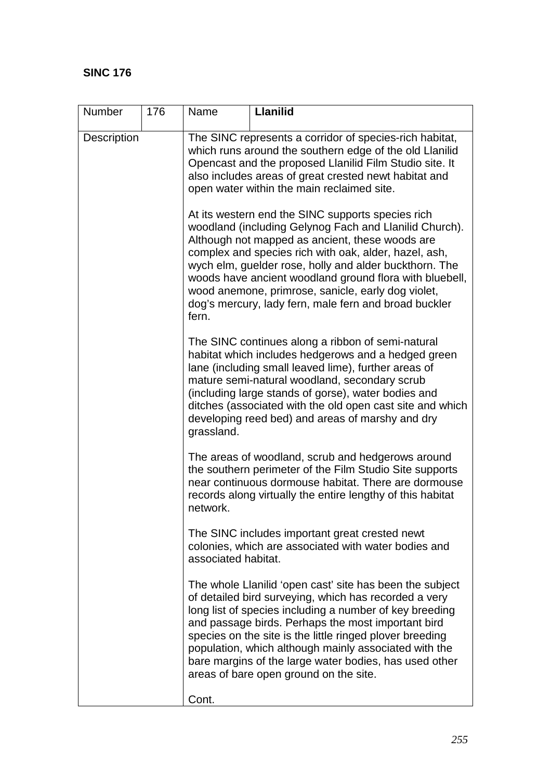| Number             | 176 | Name                | <b>Llanilid</b>                                                                                                                                                                                                                                                                                                                                                                                                                                             |
|--------------------|-----|---------------------|-------------------------------------------------------------------------------------------------------------------------------------------------------------------------------------------------------------------------------------------------------------------------------------------------------------------------------------------------------------------------------------------------------------------------------------------------------------|
| <b>Description</b> |     |                     | The SINC represents a corridor of species-rich habitat,<br>which runs around the southern edge of the old Llanilid<br>Opencast and the proposed Llanilid Film Studio site. It<br>also includes areas of great crested newt habitat and<br>open water within the main reclaimed site.                                                                                                                                                                        |
|                    |     | fern.               | At its western end the SINC supports species rich<br>woodland (including Gelynog Fach and Llanilid Church).<br>Although not mapped as ancient, these woods are<br>complex and species rich with oak, alder, hazel, ash,<br>wych elm, guelder rose, holly and alder buckthorn. The<br>woods have ancient woodland ground flora with bluebell,<br>wood anemone, primrose, sanicle, early dog violet,<br>dog's mercury, lady fern, male fern and broad buckler |
|                    |     | grassland.          | The SINC continues along a ribbon of semi-natural<br>habitat which includes hedgerows and a hedged green<br>lane (including small leaved lime), further areas of<br>mature semi-natural woodland, secondary scrub<br>(including large stands of gorse), water bodies and<br>ditches (associated with the old open cast site and which<br>developing reed bed) and areas of marshy and dry                                                                   |
|                    |     | network.            | The areas of woodland, scrub and hedgerows around<br>the southern perimeter of the Film Studio Site supports<br>near continuous dormouse habitat. There are dormouse<br>records along virtually the entire lengthy of this habitat                                                                                                                                                                                                                          |
|                    |     | associated habitat. | The SINC includes important great crested newt<br>colonies, which are associated with water bodies and                                                                                                                                                                                                                                                                                                                                                      |
|                    |     |                     | The whole Llanilid 'open cast' site has been the subject<br>of detailed bird surveying, which has recorded a very<br>long list of species including a number of key breeding<br>and passage birds. Perhaps the most important bird<br>species on the site is the little ringed plover breeding<br>population, which although mainly associated with the<br>bare margins of the large water bodies, has used other<br>areas of bare open ground on the site. |
|                    |     | Cont.               |                                                                                                                                                                                                                                                                                                                                                                                                                                                             |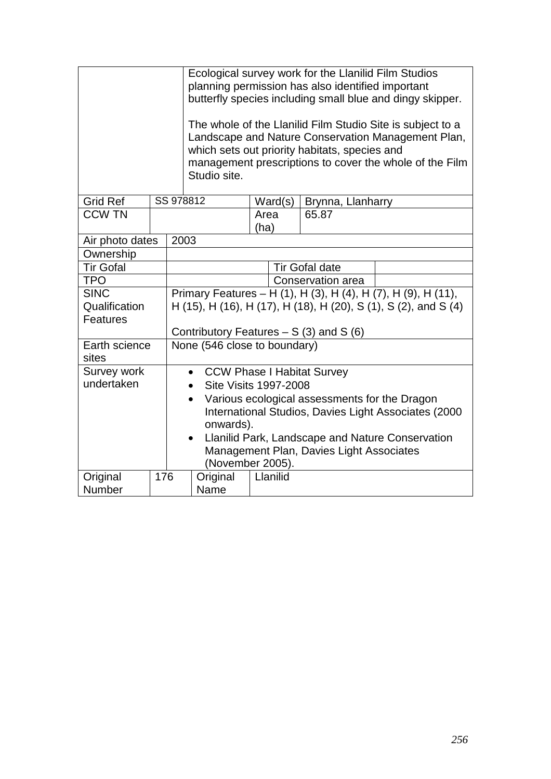|                                  |     |           | Ecological survey work for the Llanilid Film Studios<br>planning permission has also identified important<br>butterfly species including small blue and dingy skipper.<br>The whole of the Llanilid Film Studio Site is subject to a<br>Landscape and Nature Conservation Management Plan,<br>which sets out priority habitats, species and<br>management prescriptions to cover the whole of the Film<br>Studio site. |      |          |                                   |  |
|----------------------------------|-----|-----------|------------------------------------------------------------------------------------------------------------------------------------------------------------------------------------------------------------------------------------------------------------------------------------------------------------------------------------------------------------------------------------------------------------------------|------|----------|-----------------------------------|--|
| <b>Grid Ref</b>                  |     | SS 978812 |                                                                                                                                                                                                                                                                                                                                                                                                                        |      | Ward(s)  | Brynna, Llanharry                 |  |
| <b>CCW TN</b>                    |     |           |                                                                                                                                                                                                                                                                                                                                                                                                                        | Area |          | 65.87                             |  |
|                                  |     |           |                                                                                                                                                                                                                                                                                                                                                                                                                        | (ha) |          |                                   |  |
| Air photo dates                  |     | 2003      |                                                                                                                                                                                                                                                                                                                                                                                                                        |      |          |                                   |  |
| Ownership                        |     |           |                                                                                                                                                                                                                                                                                                                                                                                                                        |      |          |                                   |  |
| <b>Tir Gofal</b>                 |     |           | <b>Tir Gofal date</b>                                                                                                                                                                                                                                                                                                                                                                                                  |      |          |                                   |  |
| <b>TPO</b>                       |     |           | Conservation area                                                                                                                                                                                                                                                                                                                                                                                                      |      |          |                                   |  |
| <b>SINC</b>                      |     |           | Primary Features - H (1), H (3), H (4), H (7), H (9), H (11),                                                                                                                                                                                                                                                                                                                                                          |      |          |                                   |  |
| Qualification<br><b>Features</b> |     |           | H (15), H (16), H (17), H (18), H (20), S (1), S (2), and S (4)                                                                                                                                                                                                                                                                                                                                                        |      |          |                                   |  |
|                                  |     |           | Contributory Features $- S(3)$ and S(6)                                                                                                                                                                                                                                                                                                                                                                                |      |          |                                   |  |
| Earth science<br>sites           |     |           | None (546 close to boundary)                                                                                                                                                                                                                                                                                                                                                                                           |      |          |                                   |  |
| Survey work                      |     |           | $\bullet$                                                                                                                                                                                                                                                                                                                                                                                                              |      |          | <b>CCW Phase I Habitat Survey</b> |  |
| undertaken                       |     |           | <b>Site Visits 1997-2008</b>                                                                                                                                                                                                                                                                                                                                                                                           |      |          |                                   |  |
|                                  |     |           | Various ecological assessments for the Dragon<br>$\bullet$                                                                                                                                                                                                                                                                                                                                                             |      |          |                                   |  |
|                                  |     |           | International Studios, Davies Light Associates (2000                                                                                                                                                                                                                                                                                                                                                                   |      |          |                                   |  |
|                                  |     |           | onwards).                                                                                                                                                                                                                                                                                                                                                                                                              |      |          |                                   |  |
|                                  |     |           | Llanilid Park, Landscape and Nature Conservation<br>$\bullet$                                                                                                                                                                                                                                                                                                                                                          |      |          |                                   |  |
|                                  |     |           | Management Plan, Davies Light Associates<br>(November 2005).                                                                                                                                                                                                                                                                                                                                                           |      |          |                                   |  |
| Original                         | 176 |           | Original                                                                                                                                                                                                                                                                                                                                                                                                               |      | Llanilid |                                   |  |
| Number                           |     |           | Name                                                                                                                                                                                                                                                                                                                                                                                                                   |      |          |                                   |  |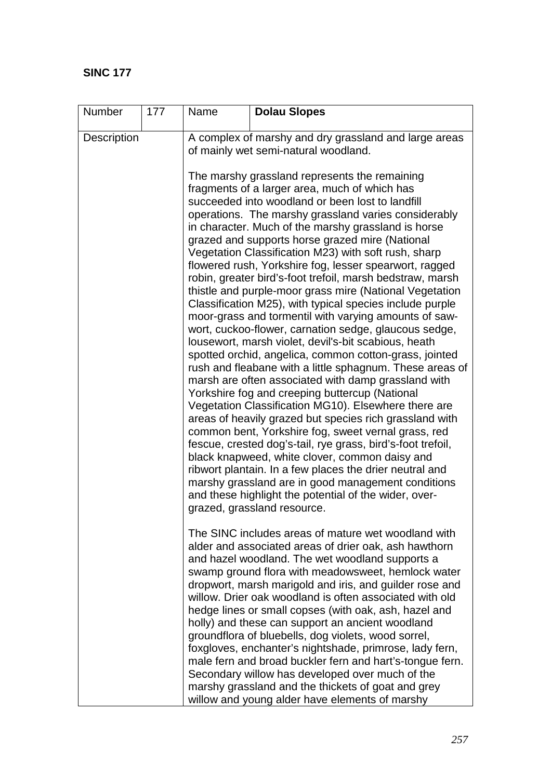| Number      | 177 | Name                                                                                          | <b>Dolau Slopes</b>                                                                                                                                                                                                                                                                                                                                                                                                                                                                                                                                                                                                                                                                                                                                                                                                                                                                                                                                                                                                                                                                                                                                                                                                                                                                                                                                                                                                                                                                                                                     |  |  |  |  |
|-------------|-----|-----------------------------------------------------------------------------------------------|-----------------------------------------------------------------------------------------------------------------------------------------------------------------------------------------------------------------------------------------------------------------------------------------------------------------------------------------------------------------------------------------------------------------------------------------------------------------------------------------------------------------------------------------------------------------------------------------------------------------------------------------------------------------------------------------------------------------------------------------------------------------------------------------------------------------------------------------------------------------------------------------------------------------------------------------------------------------------------------------------------------------------------------------------------------------------------------------------------------------------------------------------------------------------------------------------------------------------------------------------------------------------------------------------------------------------------------------------------------------------------------------------------------------------------------------------------------------------------------------------------------------------------------------|--|--|--|--|
| Description |     | A complex of marshy and dry grassland and large areas<br>of mainly wet semi-natural woodland. |                                                                                                                                                                                                                                                                                                                                                                                                                                                                                                                                                                                                                                                                                                                                                                                                                                                                                                                                                                                                                                                                                                                                                                                                                                                                                                                                                                                                                                                                                                                                         |  |  |  |  |
|             |     |                                                                                               | The marshy grassland represents the remaining<br>fragments of a larger area, much of which has<br>succeeded into woodland or been lost to landfill<br>operations. The marshy grassland varies considerably<br>in character. Much of the marshy grassland is horse<br>grazed and supports horse grazed mire (National<br>Vegetation Classification M23) with soft rush, sharp<br>flowered rush, Yorkshire fog, lesser spearwort, ragged<br>robin, greater bird's-foot trefoil, marsh bedstraw, marsh<br>thistle and purple-moor grass mire (National Vegetation<br>Classification M25), with typical species include purple<br>moor-grass and tormentil with varying amounts of saw-<br>wort, cuckoo-flower, carnation sedge, glaucous sedge,<br>lousewort, marsh violet, devil's-bit scabious, heath<br>spotted orchid, angelica, common cotton-grass, jointed<br>rush and fleabane with a little sphagnum. These areas of<br>marsh are often associated with damp grassland with<br>Yorkshire fog and creeping buttercup (National<br>Vegetation Classification MG10). Elsewhere there are<br>areas of heavily grazed but species rich grassland with<br>common bent, Yorkshire fog, sweet vernal grass, red<br>fescue, crested dog's-tail, rye grass, bird's-foot trefoil,<br>black knapweed, white clover, common daisy and<br>ribwort plantain. In a few places the drier neutral and<br>marshy grassland are in good management conditions<br>and these highlight the potential of the wider, over-<br>grazed, grassland resource. |  |  |  |  |
|             |     |                                                                                               | The SINC includes areas of mature wet woodland with<br>alder and associated areas of drier oak, ash hawthorn<br>and hazel woodland. The wet woodland supports a<br>swamp ground flora with meadowsweet, hemlock water<br>dropwort, marsh marigold and iris, and guilder rose and<br>willow. Drier oak woodland is often associated with old<br>hedge lines or small copses (with oak, ash, hazel and<br>holly) and these can support an ancient woodland<br>groundflora of bluebells, dog violets, wood sorrel,<br>foxgloves, enchanter's nightshade, primrose, lady fern,<br>male fern and broad buckler fern and hart's-tongue fern.<br>Secondary willow has developed over much of the<br>marshy grassland and the thickets of goat and grey<br>willow and young alder have elements of marshy                                                                                                                                                                                                                                                                                                                                                                                                                                                                                                                                                                                                                                                                                                                                       |  |  |  |  |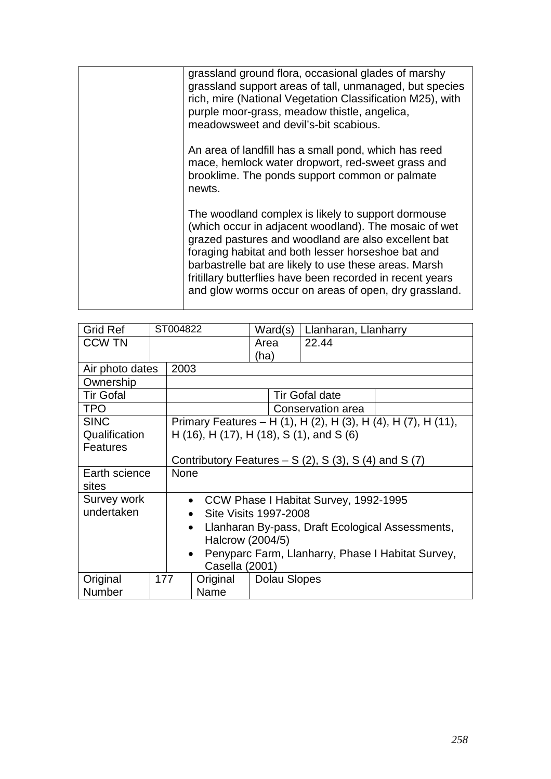| grassland ground flora, occasional glades of marshy       |
|-----------------------------------------------------------|
| grassland support areas of tall, unmanaged, but species   |
|                                                           |
| rich, mire (National Vegetation Classification M25), with |
| purple moor-grass, meadow thistle, angelica,              |
|                                                           |
| meadowsweet and devil's-bit scabious.                     |
|                                                           |
| An area of landfill has a small pond, which has reed      |
|                                                           |
| mace, hemlock water dropwort, red-sweet grass and         |
| brooklime. The ponds support common or palmate            |
|                                                           |
| newts.                                                    |
|                                                           |
| The woodland complex is likely to support dormouse        |
|                                                           |
| (which occur in adjacent woodland). The mosaic of wet     |
| grazed pastures and woodland are also excellent bat       |
|                                                           |
| foraging habitat and both lesser horseshoe bat and        |
| barbastrelle bat are likely to use these areas. Marsh     |
| fritillary butterflies have been recorded in recent years |
|                                                           |
| and glow worms occur on areas of open, dry grassland.     |
|                                                           |
|                                                           |

| <b>Grid Ref</b>  |                  | ST004822                                                       |                                    | Ward(s)      | Llanharan, Llanharry                     |                                                               |  |  |
|------------------|------------------|----------------------------------------------------------------|------------------------------------|--------------|------------------------------------------|---------------------------------------------------------------|--|--|
| <b>CCW TN</b>    |                  |                                                                |                                    | Area         | 22.44                                    |                                                               |  |  |
|                  |                  |                                                                |                                    | (ha)         |                                          |                                                               |  |  |
| Air photo dates  |                  | 2003                                                           |                                    |              |                                          |                                                               |  |  |
| Ownership        |                  |                                                                |                                    |              |                                          |                                                               |  |  |
| <b>Tir Gofal</b> |                  |                                                                |                                    |              | <b>Tir Gofal date</b>                    |                                                               |  |  |
| <b>TPO</b>       |                  |                                                                |                                    |              | Conservation area                        |                                                               |  |  |
| <b>SINC</b>      |                  |                                                                |                                    |              |                                          | Primary Features - H (1), H (2), H (3), H (4), H (7), H (11), |  |  |
| Qualification    |                  |                                                                |                                    |              | H (16), H (17), H (18), S (1), and S (6) |                                                               |  |  |
| <b>Features</b>  |                  |                                                                |                                    |              |                                          |                                                               |  |  |
|                  |                  | Contributory Features $- S(2)$ , S(3), S(4) and S(7)           |                                    |              |                                          |                                                               |  |  |
| Earth science    |                  | <b>None</b>                                                    |                                    |              |                                          |                                                               |  |  |
| sites            |                  |                                                                |                                    |              |                                          |                                                               |  |  |
| Survey work      |                  |                                                                | $\bullet$                          |              | CCW Phase I Habitat Survey, 1992-1995    |                                                               |  |  |
| undertaken       |                  |                                                                | Site Visits 1997-2008<br>$\bullet$ |              |                                          |                                                               |  |  |
|                  |                  | Llanharan By-pass, Draft Ecological Assessments,<br>$\bullet$  |                                    |              |                                          |                                                               |  |  |
|                  | Halcrow (2004/5) |                                                                |                                    |              |                                          |                                                               |  |  |
|                  |                  | Penyparc Farm, Llanharry, Phase I Habitat Survey,<br>$\bullet$ |                                    |              |                                          |                                                               |  |  |
|                  |                  |                                                                | Casella (2001)                     |              |                                          |                                                               |  |  |
| Original         | 177              |                                                                | Original                           | Dolau Slopes |                                          |                                                               |  |  |
| Number           |                  | Name                                                           |                                    |              |                                          |                                                               |  |  |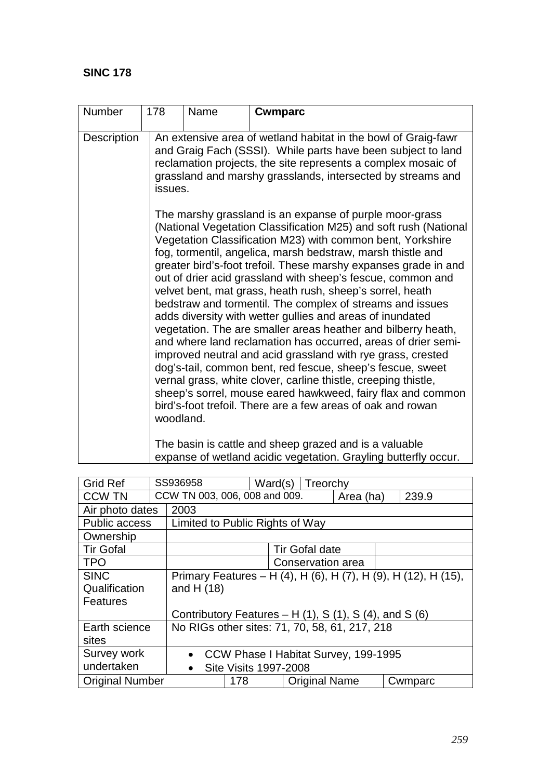| Number             | 178       | Name<br><b>Cwmparc</b>                                                                                                                                                                                                                                                    |                                                                                                                                                                                                                                                                                                                                                                                                                                                                                                                                                                                                                                                                                                                                                                                                                                                                                                                                                                                                                                                                                                                                                                               |  |  |  |  |  |
|--------------------|-----------|---------------------------------------------------------------------------------------------------------------------------------------------------------------------------------------------------------------------------------------------------------------------------|-------------------------------------------------------------------------------------------------------------------------------------------------------------------------------------------------------------------------------------------------------------------------------------------------------------------------------------------------------------------------------------------------------------------------------------------------------------------------------------------------------------------------------------------------------------------------------------------------------------------------------------------------------------------------------------------------------------------------------------------------------------------------------------------------------------------------------------------------------------------------------------------------------------------------------------------------------------------------------------------------------------------------------------------------------------------------------------------------------------------------------------------------------------------------------|--|--|--|--|--|
| <b>Description</b> |           | An extensive area of wetland habitat in the bowl of Graig-fawr<br>and Graig Fach (SSSI). While parts have been subject to land<br>reclamation projects, the site represents a complex mosaic of<br>grassland and marshy grasslands, intersected by streams and<br>issues. |                                                                                                                                                                                                                                                                                                                                                                                                                                                                                                                                                                                                                                                                                                                                                                                                                                                                                                                                                                                                                                                                                                                                                                               |  |  |  |  |  |
|                    | woodland. |                                                                                                                                                                                                                                                                           | The marshy grassland is an expanse of purple moor-grass<br>(National Vegetation Classification M25) and soft rush (National<br>Vegetation Classification M23) with common bent, Yorkshire<br>fog, tormentil, angelica, marsh bedstraw, marsh thistle and<br>greater bird's-foot trefoil. These marshy expanses grade in and<br>out of drier acid grassland with sheep's fescue, common and<br>velvet bent, mat grass, heath rush, sheep's sorrel, heath<br>bedstraw and tormentil. The complex of streams and issues<br>adds diversity with wetter gullies and areas of inundated<br>vegetation. The are smaller areas heather and bilberry heath,<br>and where land reclamation has occurred, areas of drier semi-<br>improved neutral and acid grassland with rye grass, crested<br>dog's-tail, common bent, red fescue, sheep's fescue, sweet<br>vernal grass, white clover, carline thistle, creeping thistle,<br>sheep's sorrel, mouse eared hawkweed, fairy flax and common<br>bird's-foot trefoil. There are a few areas of oak and rowan<br>The basin is cattle and sheep grazed and is a valuable<br>expanse of wetland acidic vegetation. Grayling butterfly occur. |  |  |  |  |  |

| <b>Grid Ref</b>        |                                                                | SS936958<br>Ward(s)   Treorchy                                    |                       |               |  |           |         |       |
|------------------------|----------------------------------------------------------------|-------------------------------------------------------------------|-----------------------|---------------|--|-----------|---------|-------|
| <b>CCW TN</b>          |                                                                | CCW TN 003, 006, 008 and 009.                                     |                       |               |  | Area (ha) |         | 239.9 |
| Air photo dates        |                                                                | 2003                                                              |                       |               |  |           |         |       |
| <b>Public access</b>   |                                                                | Limited to Public Rights of Way                                   |                       |               |  |           |         |       |
| Ownership              |                                                                |                                                                   |                       |               |  |           |         |       |
| <b>Tir Gofal</b>       |                                                                |                                                                   | <b>Tir Gofal date</b> |               |  |           |         |       |
| <b>TPO</b>             |                                                                | Conservation area                                                 |                       |               |  |           |         |       |
| <b>SINC</b>            | Primary Features – H (4), H (6), H (7), H (9), H (12), H (15), |                                                                   |                       |               |  |           |         |       |
| Qualification          |                                                                | and H $(18)$                                                      |                       |               |  |           |         |       |
| <b>Features</b>        |                                                                |                                                                   |                       |               |  |           |         |       |
|                        |                                                                | Contributory Features – H $(1)$ , S $(1)$ , S $(4)$ , and S $(6)$ |                       |               |  |           |         |       |
| Earth science          |                                                                | No RIGs other sites: 71, 70, 58, 61, 217, 218                     |                       |               |  |           |         |       |
| sites                  |                                                                |                                                                   |                       |               |  |           |         |       |
| Survey work            |                                                                | • CCW Phase I Habitat Survey, 199-1995                            |                       |               |  |           |         |       |
| undertaken             |                                                                | <b>Site Visits 1997-2008</b><br>$\bullet$                         |                       |               |  |           |         |       |
| <b>Original Number</b> |                                                                | 178 —                                                             |                       | Original Name |  |           | Cwmparc |       |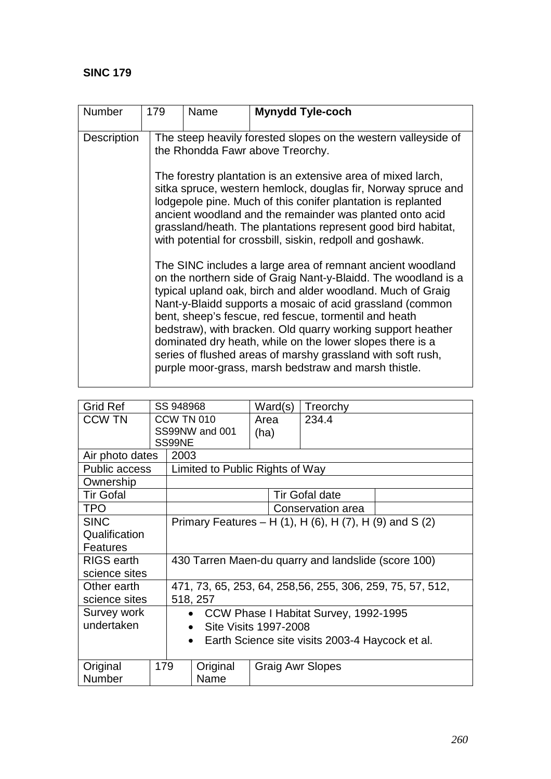| <b>Number</b>      | 179 | Name                                                                                                                                                                                                                                                                                                                                                                                                                                                                                                                                                                 | <b>Mynydd Tyle-coch</b> |  |  |  |  |  |
|--------------------|-----|----------------------------------------------------------------------------------------------------------------------------------------------------------------------------------------------------------------------------------------------------------------------------------------------------------------------------------------------------------------------------------------------------------------------------------------------------------------------------------------------------------------------------------------------------------------------|-------------------------|--|--|--|--|--|
| <b>Description</b> |     | The steep heavily forested slopes on the western valleyside of<br>the Rhondda Fawr above Treorchy.                                                                                                                                                                                                                                                                                                                                                                                                                                                                   |                         |  |  |  |  |  |
|                    |     | The forestry plantation is an extensive area of mixed larch,<br>sitka spruce, western hemlock, douglas fir, Norway spruce and<br>lodgepole pine. Much of this conifer plantation is replanted<br>ancient woodland and the remainder was planted onto acid<br>grassland/heath. The plantations represent good bird habitat,<br>with potential for crossbill, siskin, redpoll and goshawk.                                                                                                                                                                             |                         |  |  |  |  |  |
|                    |     | The SINC includes a large area of remnant ancient woodland<br>on the northern side of Graig Nant-y-Blaidd. The woodland is a<br>typical upland oak, birch and alder woodland. Much of Graig<br>Nant-y-Blaidd supports a mosaic of acid grassland (common<br>bent, sheep's fescue, red fescue, tormentil and heath<br>bedstraw), with bracken. Old quarry working support heather<br>dominated dry heath, while on the lower slopes there is a<br>series of flushed areas of marshy grassland with soft rush,<br>purple moor-grass, marsh bedstraw and marsh thistle. |                         |  |  |  |  |  |

| <b>Grid Ref</b>   |                                                              | SS 948968                                                  |                                                         | Ward(s)      |                         | Treorchy              |  |  |  |
|-------------------|--------------------------------------------------------------|------------------------------------------------------------|---------------------------------------------------------|--------------|-------------------------|-----------------------|--|--|--|
| <b>CCW TN</b>     | <b>CCW TN 010</b>                                            |                                                            | SS99NW and 001                                          | Area<br>(ha) |                         | 234.4                 |  |  |  |
|                   |                                                              | SS99NE                                                     |                                                         |              |                         |                       |  |  |  |
| Air photo dates   |                                                              | 2003                                                       |                                                         |              |                         |                       |  |  |  |
| Public access     |                                                              |                                                            | Limited to Public Rights of Way                         |              |                         |                       |  |  |  |
| Ownership         |                                                              |                                                            |                                                         |              |                         |                       |  |  |  |
| <b>Tir Gofal</b>  |                                                              |                                                            |                                                         |              |                         | <b>Tir Gofal date</b> |  |  |  |
| <b>TPO</b>        |                                                              |                                                            |                                                         |              |                         | Conservation area     |  |  |  |
| <b>SINC</b>       |                                                              |                                                            | Primary Features – H (1), H (6), H (7), H (9) and S (2) |              |                         |                       |  |  |  |
| Qualification     |                                                              |                                                            |                                                         |              |                         |                       |  |  |  |
| Features          |                                                              |                                                            |                                                         |              |                         |                       |  |  |  |
| <b>RIGS</b> earth |                                                              |                                                            | 430 Tarren Maen-du quarry and landslide (score 100)     |              |                         |                       |  |  |  |
| science sites     |                                                              |                                                            |                                                         |              |                         |                       |  |  |  |
| Other earth       |                                                              | 471, 73, 65, 253, 64, 258, 56, 255, 306, 259, 75, 57, 512, |                                                         |              |                         |                       |  |  |  |
| science sites     |                                                              | 518, 257                                                   |                                                         |              |                         |                       |  |  |  |
| Survey work       |                                                              | • CCW Phase I Habitat Survey, 1992-1995                    |                                                         |              |                         |                       |  |  |  |
| undertaken        |                                                              | Site Visits 1997-2008<br>$\bullet$                         |                                                         |              |                         |                       |  |  |  |
|                   | Earth Science site visits 2003-4 Haycock et al.<br>$\bullet$ |                                                            |                                                         |              |                         |                       |  |  |  |
|                   |                                                              |                                                            |                                                         |              |                         |                       |  |  |  |
| Original<br>179   |                                                              |                                                            | Original                                                |              | <b>Graig Awr Slopes</b> |                       |  |  |  |
| <b>Number</b>     |                                                              | Name                                                       |                                                         |              |                         |                       |  |  |  |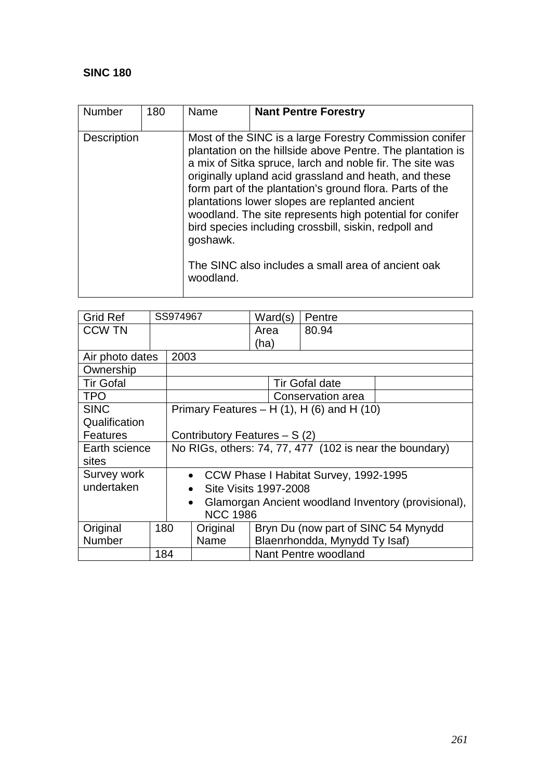| <b>Number</b>      | 180 | Name                                                                                                                                                                                                                                                                                                                                                                                                                                                                                      | <b>Nant Pentre Forestry</b> |  |  |  |
|--------------------|-----|-------------------------------------------------------------------------------------------------------------------------------------------------------------------------------------------------------------------------------------------------------------------------------------------------------------------------------------------------------------------------------------------------------------------------------------------------------------------------------------------|-----------------------------|--|--|--|
| <b>Description</b> |     | Most of the SINC is a large Forestry Commission conifer<br>plantation on the hillside above Pentre. The plantation is<br>a mix of Sitka spruce, larch and noble fir. The site was<br>originally upland acid grassland and heath, and these<br>form part of the plantation's ground flora. Parts of the<br>plantations lower slopes are replanted ancient<br>woodland. The site represents high potential for conifer<br>bird species including crossbill, siskin, redpoll and<br>goshawk. |                             |  |  |  |
|                    |     | The SINC also includes a small area of ancient oak<br>woodland.                                                                                                                                                                                                                                                                                                                                                                                                                           |                             |  |  |  |

| <b>Grid Ref</b>  | SS974967 |                                                                  |                      | Ward(s)                       | Pentre                                           |  |  |  |
|------------------|----------|------------------------------------------------------------------|----------------------|-------------------------------|--------------------------------------------------|--|--|--|
| <b>CCW TN</b>    |          |                                                                  |                      | Area                          | 80.94                                            |  |  |  |
|                  |          |                                                                  |                      | (ha)                          |                                                  |  |  |  |
| Air photo dates  |          | 2003                                                             |                      |                               |                                                  |  |  |  |
| Ownership        |          |                                                                  |                      |                               |                                                  |  |  |  |
| <b>Tir Gofal</b> |          |                                                                  |                      |                               | <b>Tir Gofal date</b>                            |  |  |  |
| <b>TPO</b>       |          |                                                                  |                      |                               | Conservation area                                |  |  |  |
| <b>SINC</b>      |          |                                                                  |                      |                               | Primary Features $- H(1)$ , H $(6)$ and H $(10)$ |  |  |  |
| Qualification    |          |                                                                  |                      |                               |                                                  |  |  |  |
| <b>Features</b>  |          | Contributory Features $- S(2)$                                   |                      |                               |                                                  |  |  |  |
| Earth science    |          | No RIGs, others: 74, 77, 477 (102 is near the boundary)          |                      |                               |                                                  |  |  |  |
| sites            |          |                                                                  |                      |                               |                                                  |  |  |  |
| Survey work      |          | • CCW Phase I Habitat Survey, 1992-1995                          |                      |                               |                                                  |  |  |  |
| undertaken       |          | Site Visits 1997-2008<br>$\bullet$                               |                      |                               |                                                  |  |  |  |
|                  |          | Glamorgan Ancient woodland Inventory (provisional),<br>$\bullet$ |                      |                               |                                                  |  |  |  |
|                  |          | <b>NCC 1986</b>                                                  |                      |                               |                                                  |  |  |  |
| Original         | 180      | Original                                                         |                      |                               | Bryn Du (now part of SINC 54 Mynydd              |  |  |  |
| <b>Number</b>    |          |                                                                  | Name                 | Blaenrhondda, Mynydd Ty Isaf) |                                                  |  |  |  |
|                  | 184      |                                                                  | Nant Pentre woodland |                               |                                                  |  |  |  |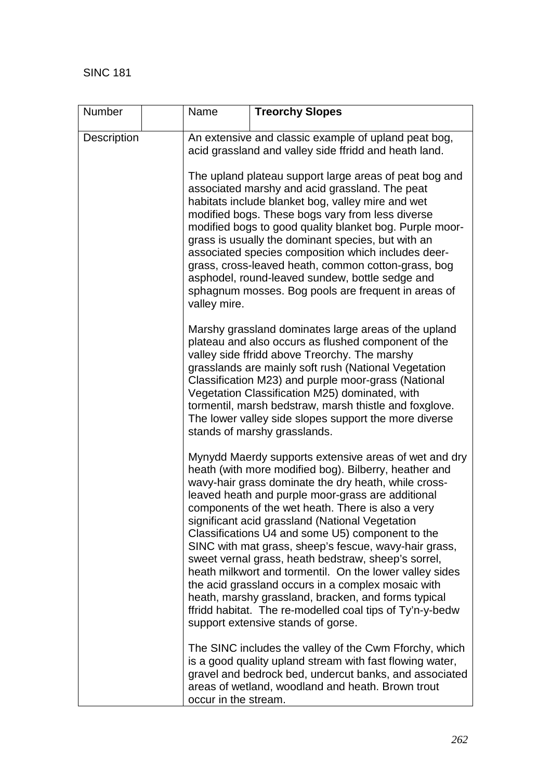| Number      |  | Name                                                                                                                                                                                                                                                                                                                                                                                                                                                                                                                                                                       | <b>Treorchy Slopes</b>                                                                                                                                                                                                                                                                                                                                                                                                                                                                                                                                                                                                                                                                                                                                                            |  |  |  |  |
|-------------|--|----------------------------------------------------------------------------------------------------------------------------------------------------------------------------------------------------------------------------------------------------------------------------------------------------------------------------------------------------------------------------------------------------------------------------------------------------------------------------------------------------------------------------------------------------------------------------|-----------------------------------------------------------------------------------------------------------------------------------------------------------------------------------------------------------------------------------------------------------------------------------------------------------------------------------------------------------------------------------------------------------------------------------------------------------------------------------------------------------------------------------------------------------------------------------------------------------------------------------------------------------------------------------------------------------------------------------------------------------------------------------|--|--|--|--|
| Description |  | An extensive and classic example of upland peat bog,<br>acid grassland and valley side ffridd and heath land.                                                                                                                                                                                                                                                                                                                                                                                                                                                              |                                                                                                                                                                                                                                                                                                                                                                                                                                                                                                                                                                                                                                                                                                                                                                                   |  |  |  |  |
|             |  | The upland plateau support large areas of peat bog and<br>associated marshy and acid grassland. The peat<br>habitats include blanket bog, valley mire and wet<br>modified bogs. These bogs vary from less diverse<br>modified bogs to good quality blanket bog. Purple moor-<br>grass is usually the dominant species, but with an<br>associated species composition which includes deer-<br>grass, cross-leaved heath, common cotton-grass, bog<br>asphodel, round-leaved sundew, bottle sedge and<br>sphagnum mosses. Bog pools are frequent in areas of<br>valley mire. |                                                                                                                                                                                                                                                                                                                                                                                                                                                                                                                                                                                                                                                                                                                                                                                   |  |  |  |  |
|             |  |                                                                                                                                                                                                                                                                                                                                                                                                                                                                                                                                                                            | Marshy grassland dominates large areas of the upland<br>plateau and also occurs as flushed component of the<br>valley side ffridd above Treorchy. The marshy<br>grasslands are mainly soft rush (National Vegetation<br>Classification M23) and purple moor-grass (National<br>Vegetation Classification M25) dominated, with<br>tormentil, marsh bedstraw, marsh thistle and foxglove.<br>The lower valley side slopes support the more diverse<br>stands of marshy grasslands.                                                                                                                                                                                                                                                                                                  |  |  |  |  |
|             |  |                                                                                                                                                                                                                                                                                                                                                                                                                                                                                                                                                                            | Mynydd Maerdy supports extensive areas of wet and dry<br>heath (with more modified bog). Bilberry, heather and<br>wavy-hair grass dominate the dry heath, while cross-<br>leaved heath and purple moor-grass are additional<br>components of the wet heath. There is also a very<br>significant acid grassland (National Vegetation<br>Classifications U4 and some U5) component to the<br>SINC with mat grass, sheep's fescue, wavy-hair grass,<br>sweet vernal grass, heath bedstraw, sheep's sorrel,<br>heath milkwort and tormentil. On the lower valley sides<br>the acid grassland occurs in a complex mosaic with<br>heath, marshy grassland, bracken, and forms typical<br>ffridd habitat. The re-modelled coal tips of Ty'n-y-bedw<br>support extensive stands of gorse. |  |  |  |  |
|             |  | The SINC includes the valley of the Cwm Fforchy, which<br>is a good quality upland stream with fast flowing water,<br>gravel and bedrock bed, undercut banks, and associated<br>areas of wetland, woodland and heath. Brown trout<br>occur in the stream.                                                                                                                                                                                                                                                                                                                  |                                                                                                                                                                                                                                                                                                                                                                                                                                                                                                                                                                                                                                                                                                                                                                                   |  |  |  |  |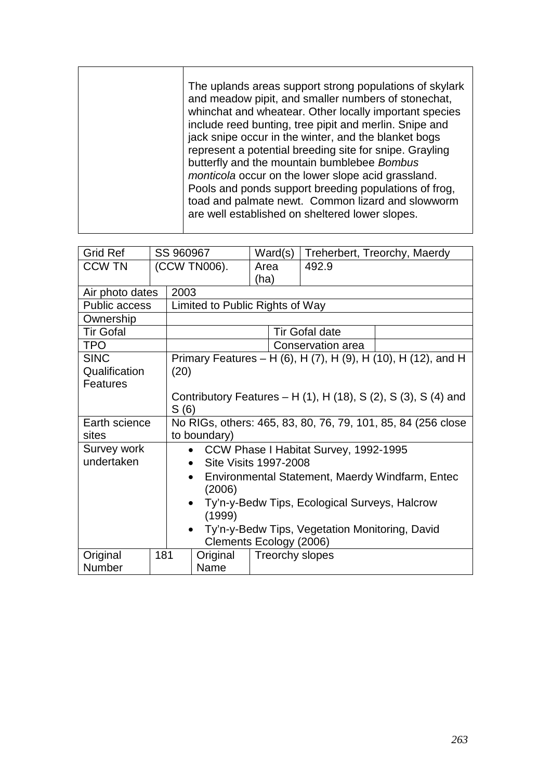| <b>Grid Ref</b>      |                                                |                                                                              | SS 960967                       | Ward(s)         |                       | Treherbert, Treorchy, Maerdy                                  |  |  |
|----------------------|------------------------------------------------|------------------------------------------------------------------------------|---------------------------------|-----------------|-----------------------|---------------------------------------------------------------|--|--|
| <b>CCW TN</b>        |                                                |                                                                              | (CCW TN006).                    | Area            | 492.9                 |                                                               |  |  |
|                      |                                                |                                                                              |                                 | (ha)            |                       |                                                               |  |  |
| Air photo dates      |                                                | 2003                                                                         |                                 |                 |                       |                                                               |  |  |
| <b>Public access</b> |                                                |                                                                              | Limited to Public Rights of Way |                 |                       |                                                               |  |  |
| Ownership            |                                                |                                                                              |                                 |                 |                       |                                                               |  |  |
| <b>Tir Gofal</b>     |                                                |                                                                              |                                 |                 | <b>Tir Gofal date</b> |                                                               |  |  |
| <b>TPO</b>           |                                                |                                                                              |                                 |                 | Conservation area     |                                                               |  |  |
| <b>SINC</b>          |                                                |                                                                              |                                 |                 |                       | Primary Features - H (6), H (7), H (9), H (10), H (12), and H |  |  |
| Qualification        |                                                | (20)                                                                         |                                 |                 |                       |                                                               |  |  |
| <b>Features</b>      |                                                |                                                                              |                                 |                 |                       |                                                               |  |  |
|                      |                                                | Contributory Features – H $(1)$ , H $(18)$ , S $(2)$ , S $(3)$ , S $(4)$ and |                                 |                 |                       |                                                               |  |  |
|                      |                                                | S(6)                                                                         |                                 |                 |                       |                                                               |  |  |
| Earth science        |                                                | No RIGs, others: 465, 83, 80, 76, 79, 101, 85, 84 (256 close                 |                                 |                 |                       |                                                               |  |  |
| sites                |                                                | to boundary)                                                                 |                                 |                 |                       |                                                               |  |  |
| Survey work          |                                                | CCW Phase I Habitat Survey, 1992-1995                                        |                                 |                 |                       |                                                               |  |  |
| undertaken           |                                                | Site Visits 1997-2008                                                        |                                 |                 |                       |                                                               |  |  |
|                      |                                                | Environmental Statement, Maerdy Windfarm, Entec<br>$\bullet$                 |                                 |                 |                       |                                                               |  |  |
|                      |                                                | (2006)                                                                       |                                 |                 |                       |                                                               |  |  |
|                      |                                                | Ty'n-y-Bedw Tips, Ecological Surveys, Halcrow                                |                                 |                 |                       |                                                               |  |  |
|                      | (1999)                                         |                                                                              |                                 |                 |                       |                                                               |  |  |
|                      | Ty'n-y-Bedw Tips, Vegetation Monitoring, David |                                                                              |                                 |                 |                       |                                                               |  |  |
|                      |                                                |                                                                              | Clements Ecology (2006)         |                 |                       |                                                               |  |  |
| Original             | 181                                            |                                                                              | Original                        | Treorchy slopes |                       |                                                               |  |  |
| Number               |                                                | Name                                                                         |                                 |                 |                       |                                                               |  |  |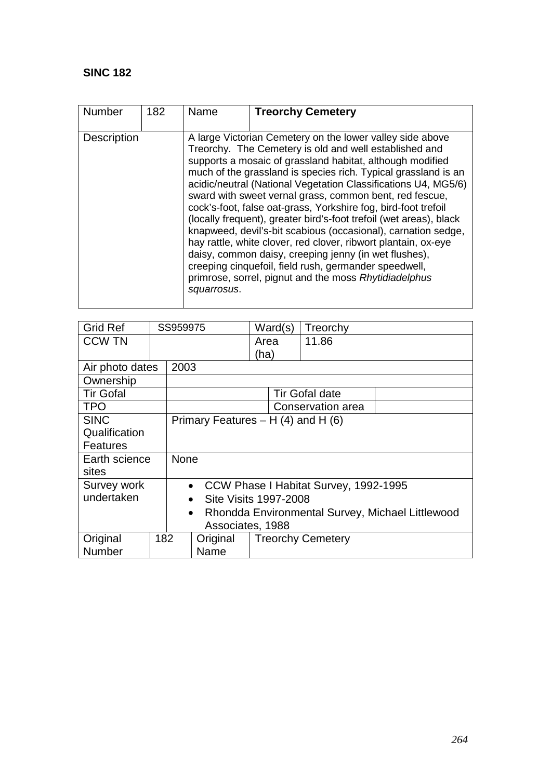| <b>Number</b>      | 182 | Name        | <b>Treorchy Cemetery</b>                                                                                                                                                                                                                                                                                                                                                                                                                                                                                                                                                                                                                                                                                                                                                                                                              |
|--------------------|-----|-------------|---------------------------------------------------------------------------------------------------------------------------------------------------------------------------------------------------------------------------------------------------------------------------------------------------------------------------------------------------------------------------------------------------------------------------------------------------------------------------------------------------------------------------------------------------------------------------------------------------------------------------------------------------------------------------------------------------------------------------------------------------------------------------------------------------------------------------------------|
| <b>Description</b> |     | squarrosus. | A large Victorian Cemetery on the lower valley side above<br>Treorchy. The Cemetery is old and well established and<br>supports a mosaic of grassland habitat, although modified<br>much of the grassland is species rich. Typical grassland is an<br>acidic/neutral (National Vegetation Classifications U4, MG5/6)<br>sward with sweet vernal grass, common bent, red fescue,<br>cock's-foot, false oat-grass, Yorkshire fog, bird-foot trefoil<br>(locally frequent), greater bird's-foot trefoil (wet areas), black<br>knapweed, devil's-bit scabious (occasional), carnation sedge,<br>hay rattle, white clover, red clover, ribwort plantain, ox-eye<br>daisy, common daisy, creeping jenny (in wet flushes),<br>creeping cinquefoil, field rush, germander speedwell,<br>primrose, sorrel, pignut and the moss Rhytidiadelphus |

| <b>Grid Ref</b>  |  | SS959975                                                      |                                       | Ward(s)                  | Treorchy              |  |  |  |
|------------------|--|---------------------------------------------------------------|---------------------------------------|--------------------------|-----------------------|--|--|--|
| <b>CCW TN</b>    |  |                                                               |                                       | Area                     | 11.86                 |  |  |  |
|                  |  |                                                               |                                       | (ha)                     |                       |  |  |  |
| Air photo dates  |  | 2003                                                          |                                       |                          |                       |  |  |  |
| Ownership        |  |                                                               |                                       |                          |                       |  |  |  |
| <b>Tir Gofal</b> |  |                                                               |                                       |                          | <b>Tir Gofal date</b> |  |  |  |
| <b>TPO</b>       |  |                                                               |                                       |                          | Conservation area     |  |  |  |
| <b>SINC</b>      |  |                                                               | Primary Features $- H(4)$ and H $(6)$ |                          |                       |  |  |  |
| Qualification    |  |                                                               |                                       |                          |                       |  |  |  |
| <b>Features</b>  |  |                                                               |                                       |                          |                       |  |  |  |
| Earth science    |  | <b>None</b>                                                   |                                       |                          |                       |  |  |  |
| sites            |  |                                                               |                                       |                          |                       |  |  |  |
| Survey work      |  | CCW Phase I Habitat Survey, 1992-1995<br>$\bullet$            |                                       |                          |                       |  |  |  |
| undertaken       |  | Site Visits 1997-2008<br>$\bullet$                            |                                       |                          |                       |  |  |  |
|                  |  | Rhondda Environmental Survey, Michael Littlewood<br>$\bullet$ |                                       |                          |                       |  |  |  |
|                  |  | Associates, 1988                                              |                                       |                          |                       |  |  |  |
| Original<br>182  |  |                                                               | Original                              | <b>Treorchy Cemetery</b> |                       |  |  |  |
| Number           |  |                                                               | Name                                  |                          |                       |  |  |  |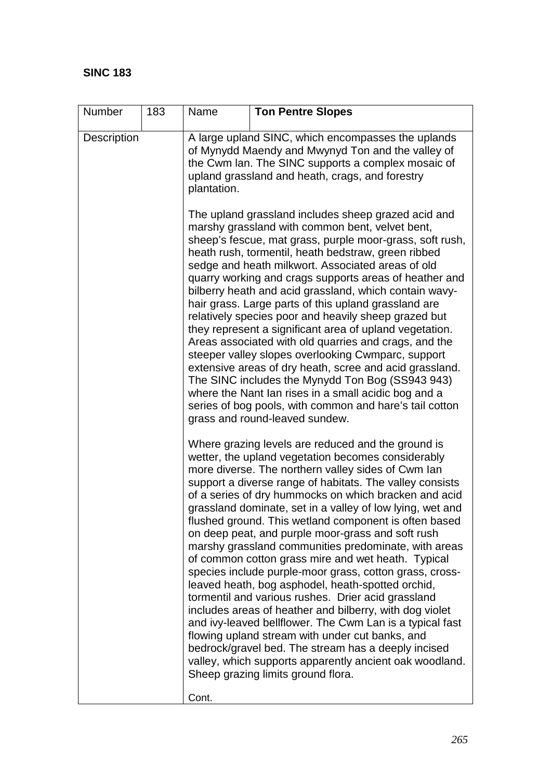| Number             | 183 | Name                                                                                                                                                                                                                            | <b>Ton Pentre Slopes</b>                                                                                                                                                                                                                                                                                                                                                                                                                                                                                                                                                                                                                                                                                                                                                                                                                                                                                                                                                                                                                                                             |  |  |  |  |
|--------------------|-----|---------------------------------------------------------------------------------------------------------------------------------------------------------------------------------------------------------------------------------|--------------------------------------------------------------------------------------------------------------------------------------------------------------------------------------------------------------------------------------------------------------------------------------------------------------------------------------------------------------------------------------------------------------------------------------------------------------------------------------------------------------------------------------------------------------------------------------------------------------------------------------------------------------------------------------------------------------------------------------------------------------------------------------------------------------------------------------------------------------------------------------------------------------------------------------------------------------------------------------------------------------------------------------------------------------------------------------|--|--|--|--|
| <b>Description</b> |     | A large upland SINC, which encompasses the uplands<br>of Mynydd Maendy and Mwynyd Ton and the valley of<br>the Cwm Ian. The SINC supports a complex mosaic of<br>upland grassland and heath, crags, and forestry<br>plantation. |                                                                                                                                                                                                                                                                                                                                                                                                                                                                                                                                                                                                                                                                                                                                                                                                                                                                                                                                                                                                                                                                                      |  |  |  |  |
|                    |     |                                                                                                                                                                                                                                 | The upland grassland includes sheep grazed acid and<br>marshy grassland with common bent, velvet bent,<br>sheep's fescue, mat grass, purple moor-grass, soft rush,<br>heath rush, tormentil, heath bedstraw, green ribbed<br>sedge and heath milkwort. Associated areas of old<br>quarry working and crags supports areas of heather and<br>bilberry heath and acid grassland, which contain wavy-<br>hair grass. Large parts of this upland grassland are<br>relatively species poor and heavily sheep grazed but<br>they represent a significant area of upland vegetation.<br>Areas associated with old quarries and crags, and the<br>steeper valley slopes overlooking Cwmparc, support<br>extensive areas of dry heath, scree and acid grassland.<br>The SINC includes the Mynydd Ton Bog (SS943 943)<br>where the Nant lan rises in a small acidic bog and a<br>series of bog pools, with common and hare's tail cotton<br>grass and round-leaved sundew.                                                                                                                     |  |  |  |  |
|                    |     | Cont.                                                                                                                                                                                                                           | Where grazing levels are reduced and the ground is<br>wetter, the upland vegetation becomes considerably<br>more diverse. The northern valley sides of Cwm Ian<br>support a diverse range of habitats. The valley consists<br>of a series of dry hummocks on which bracken and acid<br>grassland dominate, set in a valley of low lying, wet and<br>flushed ground. This wetland component is often based<br>on deep peat, and purple moor-grass and soft rush<br>marshy grassland communities predominate, with areas<br>of common cotton grass mire and wet heath. Typical<br>species include purple-moor grass, cotton grass, cross-<br>leaved heath, bog asphodel, heath-spotted orchid,<br>tormentil and various rushes. Drier acid grassland<br>includes areas of heather and bilberry, with dog violet<br>and ivy-leaved bellflower. The Cwm Lan is a typical fast<br>flowing upland stream with under cut banks, and<br>bedrock/gravel bed. The stream has a deeply incised<br>valley, which supports apparently ancient oak woodland.<br>Sheep grazing limits ground flora. |  |  |  |  |